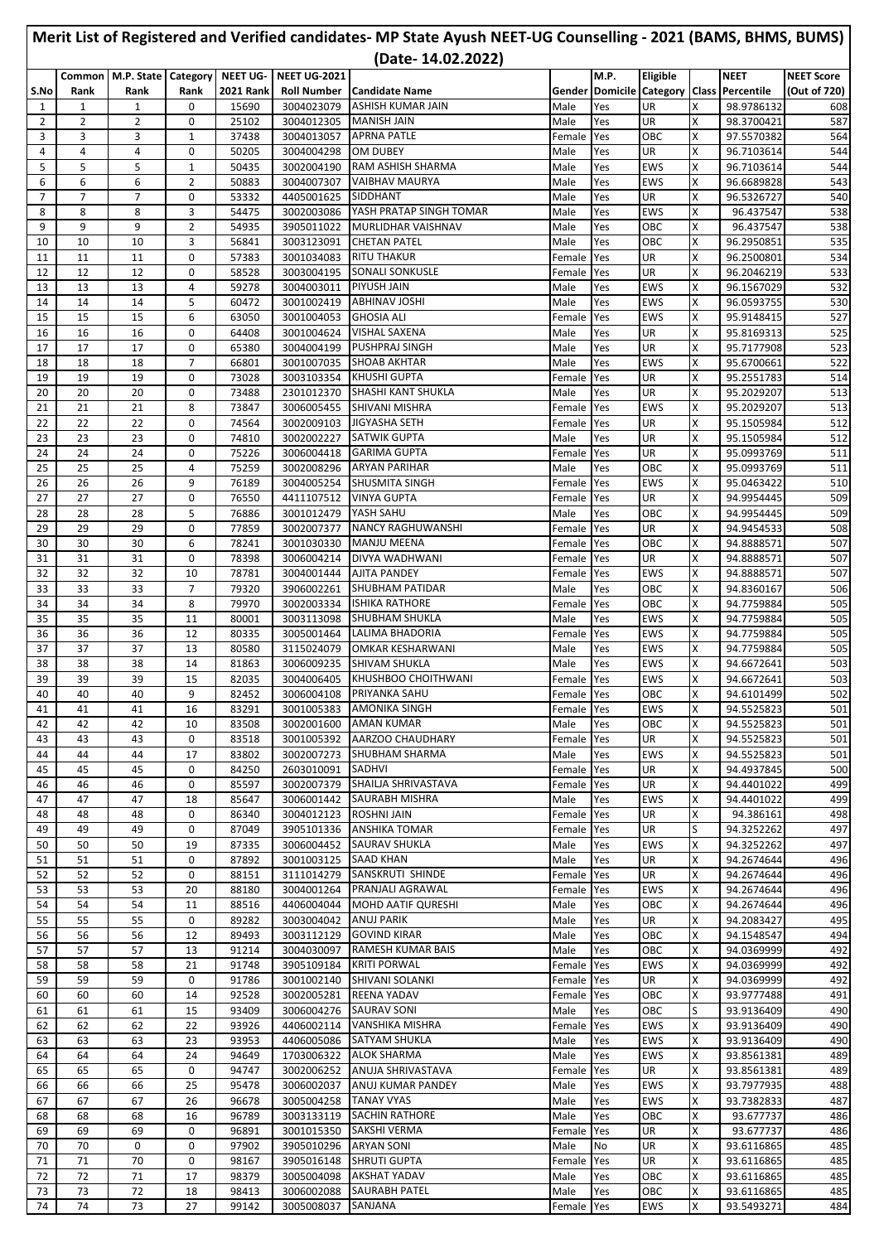|                     |                     |                            |                     |                           |                                    | Merit List of Registered and Verified candidates- MP State Ayush NEET-UG Counselling - 2021 (BAMS, BHMS, BUMS)<br>(Date-14.02.2022) |                  |                                       |                   |        |                          |                     |
|---------------------|---------------------|----------------------------|---------------------|---------------------------|------------------------------------|-------------------------------------------------------------------------------------------------------------------------------------|------------------|---------------------------------------|-------------------|--------|--------------------------|---------------------|
|                     |                     | Common M.P. State Category |                     | <b>NEET UG-</b>           | <b>NEET UG-2021</b>                |                                                                                                                                     |                  | M.P.                                  | Eligible          |        | <b>NEET</b>              | <b>NEET Score</b>   |
| S.No<br>1           | Rank<br>1           | Rank<br>1                  | Rank<br>0           | <b>2021 Rank</b><br>15690 | <b>Roll Number</b><br>3004023079   | <b>Candidate Name</b><br><b>ASHISH KUMAR JAIN</b>                                                                                   | Male             | Gender Domicile Category Class<br>Yes | UR                | X      | Percentile<br>98.9786132 | (Out of 720)<br>608 |
| 2                   | $\overline{2}$      | $\overline{2}$             | 0                   | 25102                     | 3004012305                         | <b>MANISH JAIN</b>                                                                                                                  | Male             | Yes                                   | UR                | X      | 98.3700421               | 587                 |
| 3                   | 3                   | 3                          | $\mathbf{1}$        | 37438                     | 3004013057                         | <b>APRNA PATLE</b>                                                                                                                  | Female           | Yes                                   | OBC               | Χ      | 97.5570382               | 564                 |
| 4                   | $\overline{4}$      | 4                          | 0                   | 50205                     | 3004004298                         | <b>OM DUBEY</b>                                                                                                                     | Male             | Yes                                   | UR                | X      | 96.7103614               | 544                 |
| 5                   | 5                   | 5                          | $\mathbf{1}$        | 50435                     | 3002004190                         | RAM ASHISH SHARMA<br><b>VAIBHAV MAURYA</b>                                                                                          | Male             | Yes                                   | <b>EWS</b>        | X      | 96.7103614               | 544                 |
| 6<br>$\overline{7}$ | 6<br>$\overline{7}$ | 6<br>$\overline{7}$        | $\overline{2}$<br>0 | 50883<br>53332            | 3004007307<br>4405001625           | SIDDHANT                                                                                                                            | Male<br>Male     | Yes<br>Yes                            | <b>EWS</b><br>UR  | X<br>Χ | 96.6689828<br>96.5326727 | 543<br>540          |
| 8                   | 8                   | 8                          | 3                   | 54475                     | 3002003086                         | YASH PRATAP SINGH TOMAR                                                                                                             | Male             | Yes                                   | <b>EWS</b>        | Χ      | 96.437547                | 538                 |
| 9                   | 9                   | 9                          | $\overline{2}$      | 54935                     | 3905011022                         | MURLIDHAR VAISHNAV                                                                                                                  | Male             | Yes                                   | OBC               | X      | 96.437547                | 538                 |
| 10                  | 10                  | 10                         | 3                   | 56841                     | 3003123091                         | <b>CHETAN PATEL</b>                                                                                                                 | Male             | Yes                                   | OBC               | X      | 96.2950851               | 535                 |
| 11                  | 11                  | 11                         | 0                   | 57383                     | 3001034083                         | <b>RITU THAKUR</b>                                                                                                                  | Female           | Yes                                   | UR                | X      | 96.2500801               | 534                 |
| 12<br>13            | 12<br>13            | 12<br>13                   | 0<br>4              | 58528<br>59278            | 3003004195<br>3004003011           | <b>SONALI SONKUSLE</b><br><b>PIYUSH JAIN</b>                                                                                        | Female<br>Male   | Yes<br>Yes                            | UR<br>EWS         | X<br>Χ | 96.2046219<br>96.1567029 | 533<br>532          |
| 14                  | 14                  | 14                         | 5                   | 60472                     | 3001002419                         | <b>ABHINAV JOSHI</b>                                                                                                                | Male             | Yes                                   | <b>EWS</b>        | X      | 96.0593755               | 530                 |
| 15                  | 15                  | 15                         | 6                   | 63050                     | 3001004053                         | <b>GHOSIA ALI</b>                                                                                                                   | Female           | Yes                                   | EWS               | X      | 95.9148415               | 527                 |
| 16                  | 16                  | 16                         | 0                   | 64408                     | 3001004624                         | <b>VISHAL SAXENA</b>                                                                                                                | Male             | Yes                                   | UR                | X      | 95.8169313               | 525                 |
| 17                  | 17                  | 17                         | 0                   | 65380                     | 3004004199                         | PUSHPRAJ SINGH                                                                                                                      | Male             | Yes                                   | UR                | X      | 95.7177908               | 523                 |
| 18<br>19            | 18<br>19            | 18<br>19                   | $\overline{7}$<br>0 | 66801<br>73028            | 3001007035<br>3003103354           | <b>SHOAB AKHTAR</b><br><b>KHUSHI GUPTA</b>                                                                                          | Male<br>Female   | Yes<br>Yes                            | <b>EWS</b><br>UR  | Χ<br>X | 95.6700661<br>95.2551783 | 522<br>514          |
| 20                  | 20                  | 20                         | 0                   | 73488                     | 2301012370                         | <b>SHASHI KANT SHUKLA</b>                                                                                                           | Male             | Yes                                   | UR                | X      | 95.2029207               | 513                 |
| 21                  | 21                  | 21                         | 8                   | 73847                     | 3006005455                         | SHIVANI MISHRA                                                                                                                      | Female           | Yes                                   | <b>EWS</b>        | X      | 95.2029207               | 513                 |
| 22                  | 22                  | 22                         | 0                   | 74564                     | 3002009103                         | <b>JIGYASHA SETH</b>                                                                                                                | Female           | Yes                                   | UR                | X      | 95.1505984               | 512                 |
| 23                  | 23                  | 23                         | 0                   | 74810                     | 3002002227                         | <b>SATWIK GUPTA</b>                                                                                                                 | Male             | Yes                                   | UR                | X      | 95.1505984               | 512                 |
| 24                  | 24                  | 24                         | 0                   | 75226                     | 3006004418                         | <b>GARIMA GUPTA</b>                                                                                                                 | Female           | Yes                                   | UR                | x      | 95.0993769               | 511                 |
| 25<br>26            | 25<br>26            | 25<br>26                   | 4<br>9              | 75259<br>76189            | 3002008296<br>3004005254           | <b>ARYAN PARIHAR</b><br>SHUSMITA SINGH                                                                                              | Male<br>Female   | Yes<br>Yes                            | OBC<br><b>EWS</b> | Χ<br>x | 95.0993769<br>95.0463422 | 511<br>510          |
| 27                  | 27                  | 27                         | 0                   | 76550                     | 4411107512                         | <b>VINYA GUPTA</b>                                                                                                                  | Female           | Yes                                   | UR                | X      | 94.9954445               | 509                 |
| 28                  | 28                  | 28                         | 5                   | 76886                     | 3001012479                         | YASH SAHU                                                                                                                           | Male             | Yes                                   | OBC               | Χ      | 94.9954445               | 509                 |
| 29                  | 29                  | 29                         | 0                   | 77859                     | 3002007377                         | <b>NANCY RAGHUWANSHI</b>                                                                                                            | Female           | Yes                                   | UR                | X      | 94.9454533               | 508                 |
| 30                  | 30                  | 30                         | 6                   | 78241                     | 3001030330                         | <b>MANJU MEENA</b>                                                                                                                  | Female           | Yes                                   | OBC               | Χ      | 94.8888571               | 507                 |
| 31                  | 31<br>32            | 31<br>32                   | 0<br>10             | 78398<br>78781            | 3006004214                         | DIVYA WADHWANI<br><b>AJITA PANDEY</b>                                                                                               | Female           | Yes                                   | UR<br><b>EWS</b>  | X<br>X | 94.8888571               | 507                 |
| 32<br>33            | 33                  | 33                         | 7                   | 79320                     | 3004001444<br>3906002261           | SHUBHAM PATIDAR                                                                                                                     | Female<br>Male   | Yes<br>Yes                            | OBC               | Χ      | 94.8888571<br>94.8360167 | 507<br>506          |
| 34                  | 34                  | 34                         | 8                   | 79970                     | 3002003334                         | <b>ISHIKA RATHORE</b>                                                                                                               | Female           | Yes                                   | OBC               | X      | 94.7759884               | 505                 |
| 35                  | 35                  | 35                         | 11                  | 80001                     | 3003113098                         | <b>SHUBHAM SHUKLA</b>                                                                                                               | Male             | Yes                                   | EWS               | X      | 94.7759884               | 505                 |
| 36                  | 36                  | 36                         | 12                  | 80335                     | 3005001464                         | LALIMA BHADORIA                                                                                                                     | Female           | Yes                                   | <b>EWS</b>        | X      | 94.7759884               | 505                 |
| 37                  | 37                  | 37                         | 13                  | 80580                     | 3115024079                         | <b>OMKAR KESHARWANI</b>                                                                                                             | Male             | Yes                                   | EWS               | X      | 94.7759884               | 505                 |
| 38<br>39            | 38<br>39            | 38<br>39                   | 14<br>15            | 81863<br>82035            | 3006009235<br>3004006405           | SHIVAM SHUKLA<br>KHUSHBOO CHOITHWANI                                                                                                | Male<br>Female   | Yes<br>Yes                            | EWS<br>EWS        | Χ<br>X | 94.6672641<br>94.6672641 | 503<br>503          |
| 40                  | 40                  | 40                         | 9                   | 82452                     |                                    | 3006004108 PRIYANKA SAHU                                                                                                            | Female Yes       |                                       | <b>OBC</b>        | ΙX     | 94.6101499               | 502                 |
| 41                  | 41                  | 41                         | 16                  | 83291                     |                                    | 3001005383 AMONIKA SINGH                                                                                                            | Female Yes       |                                       | EWS               | X      | 94.5525823               | 501                 |
| 42                  | 42                  | 42                         | 10                  | 83508                     | 3002001600                         | <b>AMAN KUMAR</b>                                                                                                                   | Male             | Yes                                   | OBC               | x      | 94.5525823               | 501                 |
| 43                  | 43                  | 43                         | 0                   | 83518                     | 3001005392                         | AARZOO CHAUDHARY                                                                                                                    | Female           | Yes                                   | UR                | X      | 94.5525823               | 501                 |
| 44                  | 44                  | 44                         | 17                  | 83802<br>84250            | 2603010091 SADHVI                  | 3002007273 SHUBHAM SHARMA                                                                                                           | Male             | Yes                                   | EWS               | x<br>Χ | 94.5525823               | 501                 |
| 45<br>46            | 45<br>46            | 45<br>46                   | 0<br>0              | 85597                     | 3002007379                         | SHAILJA SHRIVASTAVA                                                                                                                 | Female<br>Female | Yes<br>Yes                            | UR<br>UR          | x      | 94.4937845<br>94.4401022 | 500<br>499          |
| 47                  | 47                  | 47                         | 18                  | 85647                     | 3006001442                         | <b>SAURABH MISHRA</b>                                                                                                               | Male             | Yes                                   | EWS               | x      | 94.4401022               | 499                 |
| 48                  | 48                  | 48                         | 0                   | 86340                     | 3004012123                         | <b>ROSHNI JAIN</b>                                                                                                                  | Female           | Yes                                   | UR                | x      | 94.386161                | 498                 |
| 49                  | 49                  | 49                         | 0                   | 87049                     | 3905101336                         | <b>ANSHIKA TOMAR</b>                                                                                                                | Female           | Yes                                   | UR                | S      | 94.3252262               | 497                 |
| 50                  | 50                  | 50                         | 19                  | 87335                     | 3006004452                         | <b>SAURAV SHUKLA</b>                                                                                                                | Male             | Yes                                   | <b>EWS</b>        | X      | 94.3252262               | 497                 |
| 51<br>52            | 51<br>52            | 51<br>52                   | 0<br>0              | 87892<br>88151            | 3001003125 SAAD KHAN<br>3111014279 | SANSKRUTI SHINDE                                                                                                                    | Male<br>Female   | Yes<br>Yes                            | UR<br>UR          | X<br>x | 94.2674644<br>94.2674644 | 496<br>496          |
| 53                  | 53                  | 53                         | 20                  | 88180                     | 3004001264                         | PRANJALI AGRAWAL                                                                                                                    | Female           | Yes                                   | EWS               | Χ      | 94.2674644               | 496                 |
| 54                  | 54                  | 54                         | 11                  | 88516                     | 4406004044                         | <b>MOHD AATIF QURESHI</b>                                                                                                           | Male             | Yes                                   | OBC               | x      | 94.2674644               | 496                 |
| 55                  | 55                  | 55                         | 0                   | 89282                     | 3003004042                         | <b>ANUJ PARIK</b>                                                                                                                   | Male             | Yes                                   | UR                | Χ      | 94.2083427               | 495                 |
| 56                  | 56                  | 56                         | 12                  | 89493                     | 3003112129                         | <b>GOVIND KIRAR</b>                                                                                                                 | Male             | Yes                                   | OBC               | X      | 94.1548547               | 494                 |
| 57<br>58            | 57<br>58            | 57<br>58                   | 13<br>21            | 91214<br>91748            | 3004030097<br>3905109184           | <b>RAMESH KUMAR BAIS</b><br><b>KRITI PORWAL</b>                                                                                     | Male<br>Female   | Yes<br>Yes                            | OBC<br>EWS        | x<br>x | 94.0369999<br>94.0369999 | 492<br>492          |
| 59                  | 59                  | 59                         | 0                   | 91786                     | 3001002140                         | SHIVANI SOLANKI                                                                                                                     | Female           | Yes                                   | UR                | x      | 94.0369999               | 492                 |
| 60                  | 60                  | 60                         | 14                  | 92528                     | 3002005281                         | <b>REENA YADAV</b>                                                                                                                  | Female           | Yes                                   | OBC               | X      | 93.9777488               | 491                 |
| 61                  | 61                  | 61                         | 15                  | 93409                     |                                    | 3006004276 SAURAV SONI                                                                                                              | Male             | Yes                                   | OBC               | S      | 93.9136409               | 490                 |
| 62                  | 62                  | 62                         | 22                  | 93926                     | 4406002114                         | <b>VANSHIKA MISHRA</b>                                                                                                              | Female           | Yes                                   | EWS               | X      | 93.9136409               | 490                 |
| 63                  | 63                  | 63                         | 23                  | 93953                     | 4406005086                         | <b>SATYAM SHUKLA</b>                                                                                                                | Male             | Yes                                   | EWS               | X      | 93.9136409               | 490                 |
| 64<br>65            | 64<br>65            | 64<br>65                   | 24<br>0             | 94649<br>94747            | 1703006322<br>3002006252           | <b>ALOK SHARMA</b><br>ANUJA SHRIVASTAVA                                                                                             | Male<br>Female   | Yes<br>Yes                            | EWS<br>UR         | x<br>Χ | 93.8561381<br>93.8561381 | 489<br>489          |
| 66                  | 66                  | 66                         | 25                  | 95478                     | 3006002037                         | ANUJ KUMAR PANDEY                                                                                                                   | Male             | Yes                                   | EWS               | X      | 93.7977935               | 488                 |
| 67                  | 67                  | 67                         | 26                  | 96678                     | 3005004258                         | <b>TANAY VYAS</b>                                                                                                                   | Male             | Yes                                   | EWS               | x      | 93.7382833               | 487                 |
| 68                  | 68                  | 68                         | 16                  | 96789                     | 3003133119                         | <b>SACHIN RATHORE</b>                                                                                                               | Male             | Yes                                   | OBC               | x      | 93.677737                | 486                 |
| 69                  | 69                  | 69                         | 0                   | 96891                     | 3001015350                         | SAKSHI VERMA                                                                                                                        | Female           | Yes                                   | UR                | x      | 93.677737                | 486                 |
| 70<br>71            | 70<br>71            | 0<br>70                    | 0<br>0              | 97902<br>98167            | 3905010296                         | <b>ARYAN SONI</b><br>3905016148 SHRUTI GUPTA                                                                                        | Male             | No                                    | UR<br>UR          | X<br>X | 93.6116865               | 485<br>485          |
| 72                  | 72                  | 71                         | 17                  | 98379                     | 3005004098                         | <b>AKSHAT YADAV</b>                                                                                                                 | Female<br>Male   | Yes<br>Yes                            | OBC               | X      | 93.6116865<br>93.6116865 | 485                 |
| 73                  | 73                  | 72                         | 18                  | 98413                     | 3006002088                         | <b>SAURABH PATEL</b>                                                                                                                | Male             | Yes                                   | OBC               | x      | 93.6116865               | 485                 |
| 74                  | 74                  | 73                         | 27                  | 99142                     | 3005008037                         | SANJANA                                                                                                                             | Female Yes       |                                       | EWS               | X      | 93.5493271               | 484                 |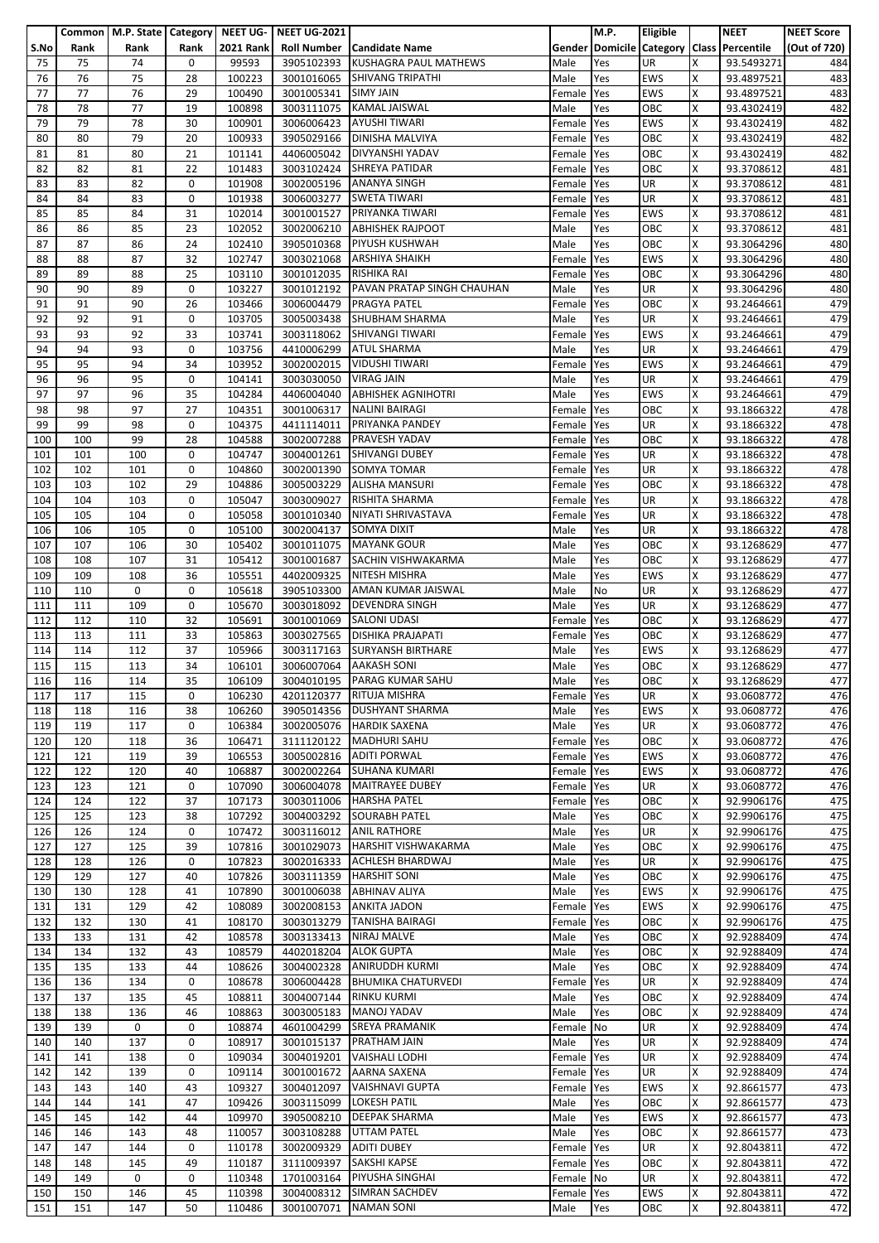|      |      |      |      |                  | Common   M.P. State   Category   NEET UG-   NEET UG-2021 |                              |            | M.P. | Eligible   |    | <b>NEET</b>                               | <b>NEET Score</b> |
|------|------|------|------|------------------|----------------------------------------------------------|------------------------------|------------|------|------------|----|-------------------------------------------|-------------------|
| S.No | Rank | Rank | Rank | <b>2021 Rank</b> |                                                          | Roll Number   Candidate Name |            |      |            |    | Gender Domicile Category Class Percentile | (Out of 720)      |
|      |      |      |      |                  |                                                          | <b>KUSHAGRA PAUL MATHEWS</b> |            |      |            |    |                                           |                   |
| 75   | 75   | 74   | 0    | 99593            | 3905102393                                               |                              | Male       | Yes  | UR         | x  | 93.5493271                                | 484               |
| 76   | 76   | 75   | 28   | 100223           | 3001016065                                               | <b>SHIVANG TRIPATHI</b>      | Male       | Yes  | EWS        | X  | 93.4897521                                | 483               |
| 77   | 77   | 76   | 29   | 100490           | 3001005341                                               | <b>SIMY JAIN</b>             | Female     | Yes  | <b>EWS</b> | X  | 93.4897521                                | 483               |
| 78   | 78   | 77   | 19   | 100898           | 3003111075                                               | <b>KAMAL JAISWAL</b>         | Male       | Yes  | OBC        | X  | 93.4302419                                | 482               |
| 79   | 79   | 78   | 30   | 100901           | 3006006423                                               | <b>AYUSHI TIWARI</b>         | Female     | Yes  | <b>EWS</b> | X  | 93.4302419                                | 482               |
| 80   | 80   | 79   | 20   | 100933           | 3905029166                                               | <b>DINISHA MALVIYA</b>       | Female     | Yes  | OBC        | X  | 93.4302419                                | 482               |
| 81   | 81   | 80   | 21   | 101141           | 4406005042                                               | DIVYANSHI YADAV              | Female     | Yes  | ОВС        | X  | 93.4302419                                | 482               |
|      |      |      |      |                  |                                                          |                              |            |      |            |    |                                           |                   |
| 82   | 82   | 81   | 22   | 101483           |                                                          | 3003102424 SHREYA PATIDAR    | Female     | Yes  | ОВС        | X  | 93.3708612                                | 481               |
| 83   | 83   | 82   | 0    | 101908           |                                                          | 3002005196 ANANYA SINGH      | Female     | Yes  | UR         | X  | 93.3708612                                | 481               |
| 84   | 84   | 83   | 0    | 101938           | 3006003277                                               | <b>SWETA TIWARI</b>          | Female     | Yes  | UR         | X  | 93.3708612                                | 481               |
| 85   | 85   | 84   | 31   | 102014           | 3001001527                                               | PRIYANKA TIWARI              | Female     | Yes  | EWS        | X  | 93.3708612                                | 481               |
| 86   | 86   | 85   | 23   | 102052           | 3002006210                                               | <b>ABHISHEK RAJPOOT</b>      | Male       | Yes  | ОВС        | X  | 93.3708612                                | 481               |
| 87   | 87   | 86   | 24   | 102410           | 3905010368                                               | <b>PIYUSH KUSHWAH</b>        | Male       | Yes  | OBC        | X  | 93.3064296                                | 480               |
|      |      |      |      |                  |                                                          |                              |            |      |            |    |                                           |                   |
| 88   | 88   | 87   | 32   | 102747           | 3003021068                                               | <b>ARSHIYA SHAIKH</b>        | Female     | Yes  | EWS        | X  | 93.3064296                                | 480               |
| 89   | 89   | 88   | 25   | 103110           | 3001012035                                               | RISHIKA RAI                  | Female     | Yes  | ОВС        | X  | 93.3064296                                | 480               |
| 90   | 90   | 89   | 0    | 103227           | 3001012192                                               | PAVAN PRATAP SINGH CHAUHAN   | Male       | Yes  | UR         | X  | 93.3064296                                | 480               |
| 91   | 91   | 90   | 26   | 103466           | 3006004479                                               | PRAGYA PATEL                 | Female     | Yes  | OBC        | X  | 93.2464661                                | 479               |
| 92   | 92   | 91   | 0    | 103705           |                                                          | 3005003438 SHUBHAM SHARMA    | Male       | Yes  | UR         | X  | 93.2464661                                | 479               |
| 93   | 93   | 92   | 33   | 103741           |                                                          | 3003118062 SHIVANGI TIWARI   | Female     | Yes  | EWS        | X  | 93.2464661                                | 479               |
| 94   | 94   | 93   | 0    | 103756           | 4410006299                                               | <b>ATUL SHARMA</b>           | Male       | Yes  | UR         | X  | 93.2464661                                | 479               |
|      |      |      |      |                  |                                                          |                              |            |      |            |    |                                           |                   |
| 95   | 95   | 94   | 34   | 103952           | 3002002015                                               | <b>VIDUSHI TIWARI</b>        | Female     | Yes  | EWS        | X  | 93.2464661                                | 479               |
| 96   | 96   | 95   | 0    | 104141           | 3003030050                                               | <b>VIRAG JAIN</b>            | Male       | Yes  | UR         | X  | 93.2464661                                | 479               |
| 97   | 97   | 96   | 35   | 104284           | 4406004040                                               | <b>ABHISHEK AGNIHOTRI</b>    | Male       | Yes  | <b>EWS</b> | X  | 93.2464661                                | 479               |
| 98   | 98   | 97   | 27   | 104351           | 3001006317                                               | <b>NALINI BAIRAGI</b>        | Female     | Yes  | ОВС        | X  | 93.1866322                                | 478               |
| 99   | 99   | 98   | 0    | 104375           | 4411114011                                               | <b>PRIYANKA PANDEY</b>       | Female     | Yes  | UR         | X  | 93.1866322                                | 478               |
| 100  | 100  | 99   | 28   | 104588           | 3002007288                                               | PRAVESH YADAV                | Female     | Yes  | OBC        | X  | 93.1866322                                | 478               |
|      |      |      |      |                  |                                                          |                              |            |      |            |    |                                           |                   |
| 101  | 101  | 100  | 0    | 104747           | 3004001261                                               | SHIVANGI DUBEY               | Female     | Yes  | UR         | X  | 93.1866322                                | 478               |
| 102  | 102  | 101  | 0    | 104860           |                                                          | 3002001390 SOMYA TOMAR       | Female     | Yes  | UR         | X  | 93.1866322                                | 478               |
| 103  | 103  | 102  | 29   | 104886           | 3005003229                                               | <b>ALISHA MANSURI</b>        | Female     | Yes  | ОВС        | X  | 93.1866322                                | 478               |
| 104  | 104  | 103  | 0    | 105047           | 3003009027                                               | RISHITA SHARMA               | Female     | Yes  | UR         | X  | 93.1866322                                | 478               |
| 105  | 105  | 104  | 0    | 105058           | 3001010340                                               | NIYATI SHRIVASTAVA           | Female     | Yes  | UR         | X  | 93.1866322                                | 478               |
| 106  | 106  | 105  | 0    | 105100           | 3002004137                                               | SOMYA DIXIT                  | Male       | Yes  | UR         | X  | 93.1866322                                | 478               |
|      | 107  | 106  | 30   |                  |                                                          | <b>MAYANK GOUR</b>           |            |      | OBC        | X  |                                           |                   |
| 107  |      |      |      | 105402           | 3001011075                                               |                              | Male       | Yes  |            |    | 93.1268629                                | 477               |
| 108  | 108  | 107  | 31   | 105412           | 3001001687                                               | SACHIN VISHWAKARMA           | Male       | Yes  | ОВС        | X  | 93.1268629                                | 477               |
| 109  | 109  | 108  | 36   | 105551           | 4402009325                                               | NITESH MISHRA                | Male       | Yes  | <b>EWS</b> | X  | 93.1268629                                | 477               |
| 110  | 110  | 0    | 0    | 105618           | 3905103300                                               | AMAN KUMAR JAISWAL           | Male       | No   | UR         | X  | 93.1268629                                | 477               |
| 111  | 111  | 109  | 0    | 105670           | 3003018092                                               | <b>DEVENDRA SINGH</b>        | Male       | Yes  | UR         | X  | 93.1268629                                | 477               |
| 112  | 112  | 110  | 32   | 105691           | 3001001069                                               | <b>SALONI UDASI</b>          | Female     | Yes  | ОВС        | X  | 93.1268629                                | 477               |
| 113  | 113  | 111  | 33   | 105863           | 3003027565                                               | <b>DISHIKA PRAJAPATI</b>     | Female     | Yes  | ОВС        | X  | 93.1268629                                | 477               |
|      | 114  | 112  | 37   | 105966           |                                                          | <b>SURYANSH BIRTHARE</b>     | Male       |      | <b>EWS</b> | X  |                                           | 477               |
| 114  |      |      |      |                  | 3003117163                                               |                              |            | Yes  |            |    | 93.1268629                                |                   |
| 115  | 115  | 113  | 34   | 106101           | 3006007064                                               | <b>AAKASH SONI</b>           | Male       | Yes  | ОВС        | X  | 93.1268629                                | 477               |
| 116  | 116  | 114  | 35   | 106109           |                                                          | 3004010195 PARAG KUMAR SAHU  | Male       | Yes  | OBC        | X  | 93.1268629                                | 477               |
| 117  | 117  | 115  | 0    | 106230           | 4201120377                                               | RITUJA MISHRA                | Female Yes |      | UR         | ΙX | 93.0608772                                | 476               |
| 118  | 118  | 116  | 38   | 106260           | 3905014356                                               | <b>DUSHYANT SHARMA</b>       | Male       | Yes  | EWS        | X  | 93.0608772                                | 476               |
| 119  | 119  | 117  | 0    | 106384           | 3002005076                                               | <b>HARDIK SAXENA</b>         | Male       | Yes  | UR         | X  | 93.0608772                                | 476               |
| 120  | 120  | 118  | 36   | 106471           | 3111120122                                               | <b>MADHURI SAHU</b>          | Female     | Yes  | OBC        | X  | 93.0608772                                | 476               |
|      |      |      |      |                  |                                                          |                              |            |      |            |    |                                           |                   |
| 121  | 121  | 119  | 39   | 106553           | 3005002816                                               | <b>ADITI PORWAL</b>          | Female     | Yes  | EWS        | X  | 93.0608772                                | 476               |
| 122  | 122  | 120  | 40   | 106887           |                                                          | 3002002264 SUHANA KUMARI     | Female     | Yes  | EWS        | X  | 93.0608772                                | 476               |
| 123  | 123  | 121  | 0    | 107090           | 3006004078                                               | <b>MAITRAYEE DUBEY</b>       | Female     | Yes  | UR         | X  | 93.0608772                                | 476               |
| 124  | 124  | 122  | 37   | 107173           | 3003011006                                               | <b>HARSHA PATEL</b>          | Female     | Yes  | OBC        | X  | 92.9906176                                | 475               |
| 125  | 125  | 123  | 38   | 107292           | 3004003292                                               | <b>SOURABH PATEL</b>         | Male       | Yes  | ОВС        | X  | 92.9906176                                | 475               |
| 126  | 126  | 124  | 0    | 107472           | 3003116012                                               | <b>ANIL RATHORE</b>          | Male       | Yes  | UR         | X  | 92.9906176                                | 475               |
| 127  | 127  | 125  | 39   | 107816           | 3001029073                                               | <b>HARSHIT VISHWAKARMA</b>   | Male       | Yes  | OBC        | X  | 92.9906176                                | 475               |
| 128  | 128  | 126  | 0    | 107823           | 3002016333                                               | ACHLESH BHARDWAJ             | Male       | Yes  | UR         | X  | 92.9906176                                | 475               |
|      |      |      |      |                  |                                                          |                              |            |      |            |    |                                           |                   |
| 129  | 129  | 127  | 40   | 107826           | 3003111359                                               | <b>HARSHIT SONI</b>          | Male       | Yes  | OBC        | X  | 92.9906176                                | 475               |
| 130  | 130  | 128  | 41   | 107890           | 3001006038                                               | <b>ABHINAV ALIYA</b>         | Male       | Yes  | <b>EWS</b> | X  | 92.9906176                                | 475               |
| 131  | 131  | 129  | 42   | 108089           | 3002008153                                               | <b>ANKITA JADON</b>          | Female     | Yes  | EWS        | X  | 92.9906176                                | 475               |
| 132  | 132  | 130  | 41   | 108170           | 3003013279                                               | <b>TANISHA BAIRAGI</b>       | Female     | Yes  | OBC        | X  | 92.9906176                                | 475               |
| 133  | 133  | 131  | 42   | 108578           | 3003133413                                               | <b>NIRAJ MALVE</b>           | Male       | Yes  | ОВС        | X  | 92.9288409                                | 474               |
| 134  | 134  | 132  | 43   | 108579           | 4402018204                                               | <b>ALOK GUPTA</b>            | Male       | Yes  | OBC        | X  | 92.9288409                                | 474               |
| 135  | 135  | 133  | 44   | 108626           | 3004002328                                               | <b>ANIRUDDH KURMI</b>        | Male       | Yes  | ОВС        | X  | 92.9288409                                | 474               |
|      |      |      | 0    | 108678           | 3006004428                                               | <b>BHUMIKA CHATURVEDI</b>    |            |      | UR         | X  | 92.9288409                                | 474               |
| 136  | 136  | 134  |      |                  |                                                          |                              | Female     | Yes  |            |    |                                           |                   |
| 137  | 137  | 135  | 45   | 108811           | 3004007144                                               | <b>RINKU KURMI</b>           | Male       | Yes  | OBC        | X  | 92.9288409                                | 474               |
| 138  | 138  | 136  | 46   | 108863           | 3003005183                                               | <b>MANOJ YADAV</b>           | Male       | Yes  | ОВС        | X  | 92.9288409                                | 474               |
| 139  | 139  | 0    | 0    | 108874           | 4601004299                                               | <b>SREYA PRAMANIK</b>        | Female     | No   | UR         | X  | 92.9288409                                | 474               |
| 140  | 140  | 137  | 0    | 108917           | 3001015137                                               | <b>PRATHAM JAIN</b>          | Male       | Yes  | UR         | X  | 92.9288409                                | 474               |
| 141  | 141  | 138  | 0    | 109034           | 3004019201                                               | <b>VAISHALI LODHI</b>        | Female     | Yes  | UR         | X  | 92.9288409                                | 474               |
| 142  | 142  | 139  | 0    | 109114           | 3001001672                                               | AARNA SAXENA                 | Female     | Yes  | UR         | X  | 92.9288409                                | 474               |
| 143  | 143  | 140  | 43   | 109327           | 3004012097                                               | <b>VAISHNAVI GUPTA</b>       | Female     | Yes  | EWS        | X  | 92.8661577                                | 473               |
|      |      |      |      |                  |                                                          |                              |            |      |            |    |                                           |                   |
| 144  | 144  | 141  | 47   | 109426           | 3003115099                                               | <b>LOKESH PATIL</b>          | Male       | Yes  | OBC        | X  | 92.8661577                                | 473               |
| 145  | 145  | 142  | 44   | 109970           | 3905008210                                               | <b>DEEPAK SHARMA</b>         | Male       | Yes  | EWS        | X  | 92.8661577                                | 473               |
| 146  | 146  | 143  | 48   | 110057           | 3003108288                                               | <b>UTTAM PATEL</b>           | Male       | Yes  | ОВС        | X  | 92.8661577                                | 473               |
| 147  | 147  | 144  | 0    | 110178           | 3002009329                                               | <b>ADITI DUBEY</b>           | Female     | Yes  | UR         | X  | 92.8043811                                | 472               |
| 148  | 148  | 145  | 49   | 110187           | 3111009397                                               | <b>SAKSHI KAPSE</b>          | Female     | Yes  | ОВС        | X  | 92.8043811                                | 472               |
| 149  | 149  | 0    | 0    | 110348           | 1701003164                                               | <b>PIYUSHA SINGHAI</b>       | Female     | No   | UR         | X  | 92.8043811                                | 472               |
| 150  | 150  | 146  | 45   | 110398           | 3004008312                                               | SIMRAN SACHDEV               | Female Yes |      | EWS        | X  | 92.8043811                                | 472               |
|      |      |      |      |                  |                                                          |                              |            |      |            |    |                                           |                   |
| 151  | 151  | 147  | 50   | 110486           | 3001007071                                               | <b>NAMAN SONI</b>            | Male       | Yes  | OBC        | X  | 92.8043811                                | 472               |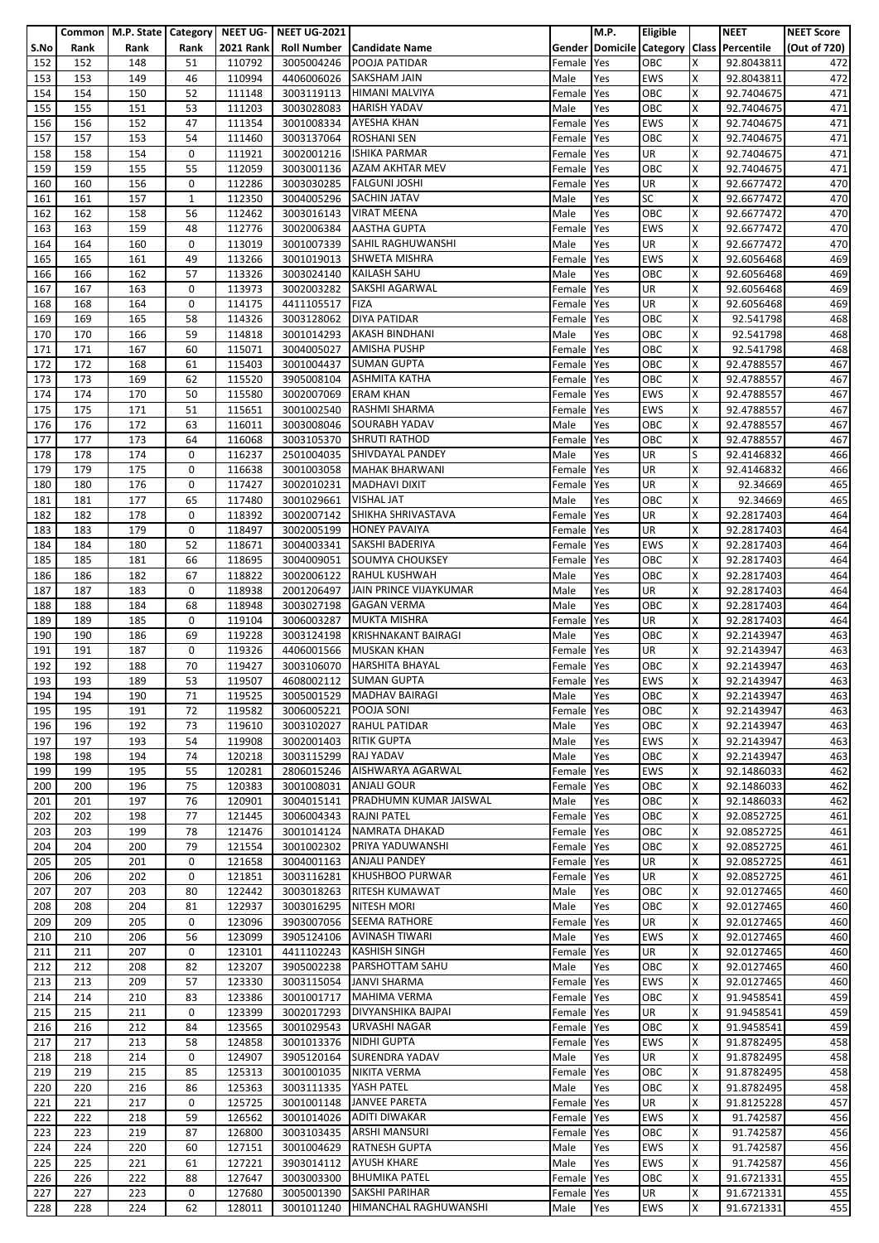|      |      |      |              |                  | Common   M.P. State   Category   NEET UG-   NEET UG-2021 |                                     |            | <b>M.P.</b> | Eligible   |   | <b>NEET</b>                               | <b>NEET Score</b> |
|------|------|------|--------------|------------------|----------------------------------------------------------|-------------------------------------|------------|-------------|------------|---|-------------------------------------------|-------------------|
| S.No | Rank | Rank | Rank         | <b>2021 Rank</b> |                                                          | <b>Roll Number   Candidate Name</b> |            |             |            |   | Gender Domicile Category Class Percentile | (Out of 720)      |
|      |      |      |              |                  |                                                          |                                     |            |             |            |   |                                           |                   |
| 152  | 152  | 148  | 51           | 110792           | 3005004246                                               | <b>POOJA PATIDAR</b>                | Female     | Yes         | OBC        | x | 92.8043811                                | 472               |
| 153  | 153  | 149  | 46           | 110994           | 4406006026                                               | <b>SAKSHAM JAIN</b>                 | Male       | Yes         | <b>EWS</b> | X | 92.8043811                                | 472               |
| 154  | 154  | 150  | 52           | 111148           |                                                          | 3003119113 HIMANI MALVIYA           | Female     | Yes         | OBC        | X | 92.7404675                                | 471               |
| 155  | 155  | 151  | 53           | 111203           | 3003028083                                               | <b>HARISH YADAV</b>                 | Male       | Yes         | OBC        | X | 92.7404675                                | 471               |
| 156  | 156  | 152  | 47           | 111354           |                                                          | 3001008334 AYESHA KHAN              | Female     | Yes         | <b>EWS</b> | X | 92.7404675                                | 471               |
|      |      |      |              |                  |                                                          |                                     |            |             |            |   |                                           |                   |
| 157  | 157  | 153  | 54           | 111460           |                                                          | 3003137064 ROSHANI SEN              | Female Yes |             | OBC        | X | 92.7404675                                | 471               |
| 158  | 158  | 154  | 0            | 111921           | 3002001216                                               | <b>ISHIKA PARMAR</b>                | Female     | Yes         | UR         | X | 92.7404675                                | 471               |
| 159  | 159  | 155  | 55           | 112059           | 3003001136                                               | <b>AZAM AKHTAR MEV</b>              | Female     | Yes         | OBC        | x | 92.7404675                                | 471               |
| 160  | 160  | 156  | 0            | 112286           |                                                          | 3003030285 FALGUNI JOSHI            | Female     | Yes         | UR         | Χ | 92.6677472                                | 470               |
| 161  | 161  | 157  | $\mathbf{1}$ | 112350           |                                                          | 3004005296 SACHIN JATAV             | Male       | Yes         | <b>SC</b>  | x | 92.6677472                                | 470               |
| 162  | 162  | 158  | 56           | 112462           | 3003016143                                               | <b>VIRAT MEENA</b>                  | Male       | Yes         | OBC        | x | 92.6677472                                | 470               |
| 163  | 163  | 159  | 48           | 112776           | 3002006384                                               | <b>AASTHA GUPTA</b>                 | Female     | Yes         | <b>EWS</b> | x | 92.6677472                                | 470               |
|      |      |      |              |                  |                                                          |                                     |            |             |            |   |                                           |                   |
| 164  | 164  | 160  | 0            | 113019           | 3001007339                                               | SAHIL RAGHUWANSHI                   | Male       | Yes         | <b>UR</b>  | x | 92.6677472                                | 470               |
| 165  | 165  | 161  | 49           | 113266           | 3001019013                                               | <b>SHWETA MISHRA</b>                | Female     | Yes         | <b>EWS</b> | Χ | 92.6056468                                | 469               |
| 166  | 166  | 162  | 57           | 113326           | 3003024140                                               | <b>KAILASH SAHU</b>                 | Male       | Yes         | OBC        | X | 92.6056468                                | 469               |
| 167  | 167  | 163  | 0            | 113973           | 3002003282                                               | SAKSHI AGARWAL                      | Female Yes |             | UR         | x | 92.6056468                                | 469               |
| 168  | 168  | 164  | 0            | 114175           | 4411105517                                               | FIZA                                | Female     | Yes         | UR         | x | 92.6056468                                | 469               |
| 169  | 169  | 165  | 58           | 114326           |                                                          | 3003128062 DIYA PATIDAR             | Female     | Yes         | OBC        | x | 92.541798                                 | 468               |
| 170  | 170  | 166  | 59           | 114818           |                                                          | 3001014293 AKASH BINDHANI           | Male       | Yes         | OBC        | Χ | 92.541798                                 | 468               |
|      | 171  | 167  | 60           | 115071           |                                                          | <b>AMISHA PUSHP</b>                 |            | Yes         | OBC        | X | 92.541798                                 | 468               |
| 171  |      |      |              |                  | 3004005027                                               |                                     | Female     |             |            |   |                                           |                   |
| 172  | 172  | 168  | 61           | 115403           | 3001004437                                               | <b>SUMAN GUPTA</b>                  | Female     | Yes         | OBC        | X | 92.4788557                                | 467               |
| 173  | 173  | 169  | 62           | 115520           | 3905008104                                               | <b>ASHMITA KATHA</b>                | Female     | Yes         | OBC        | X | 92.4788557                                | 467               |
| 174  | 174  | 170  | 50           | 115580           | 3002007069                                               | <b>ERAM KHAN</b>                    | Female     | Yes         | <b>EWS</b> | x | 92.4788557                                | 467               |
| 175  | 175  | 171  | 51           | 115651           | 3001002540                                               | RASHMI SHARMA                       | Female     | Yes         | <b>EWS</b> | X | 92.4788557                                | 467               |
| 176  | 176  | 172  | 63           | 116011           | 3003008046                                               | <b>SOURABH YADAV</b>                | Male       | Yes         | OBC        | X | 92.4788557                                | 467               |
| 177  | 177  | 173  | 64           | 116068           | 3003105370                                               | <b>SHRUTI RATHOD</b>                | Female     | Yes         | OBC        | X | 92.4788557                                | 467               |
| 178  | 178  | 174  | 0            | 116237           | 2501004035                                               | SHIVDAYAL PANDEY                    | Male       | Yes         | UR         | S | 92.4146832                                | 466               |
|      |      |      |              |                  |                                                          |                                     |            |             |            |   |                                           |                   |
| 179  | 179  | 175  | 0            | 116638           |                                                          | 3001003058 MAHAK BHARWANI           | Female     | Yes         | UR         | x | 92.4146832                                | 466               |
| 180  | 180  | 176  | 0            | 117427           |                                                          | 3002010231   MADHAVI DIXIT          | Female     | Yes         | UR         | Χ | 92.34669                                  | 465               |
| 181  | 181  | 177  | 65           | 117480           | 3001029661                                               | <b>VISHAL JAT</b>                   | Male       | Yes         | OBC        | X | 92.34669                                  | 465               |
| 182  | 182  | 178  | 0            | 118392           | 3002007142                                               | SHIKHA SHRIVASTAVA                  | Female Yes |             | UR         | X | 92.2817403                                | 464               |
| 183  | 183  | 179  | 0            | 118497           | 3002005199                                               | <b>HONEY PAVAIYA</b>                | Female     | Yes         | UR         | X | 92.2817403                                | 464               |
| 184  | 184  | 180  | 52           | 118671           | 3004003341                                               | <b>SAKSHI BADERIYA</b>              | Female     | Yes         | <b>EWS</b> | X | 92.2817403                                | 464               |
| 185  | 185  | 181  | 66           | 118695           | 3004009051                                               | <b>SOUMYA CHOUKSEY</b>              | Female     | Yes         | OBC        | Χ | 92.2817403                                | 464               |
| 186  | 186  | 182  | 67           | 118822           | 3002006122                                               | <b>RAHUL KUSHWAH</b>                | Male       | Yes         | OBC        | X | 92.2817403                                | 464               |
|      |      |      | 0            |                  |                                                          | JAIN PRINCE VIJAYKUMAR              |            |             | UR         |   |                                           | 464               |
| 187  | 187  | 183  |              | 118938           | 2001206497                                               |                                     | Male       | Yes         |            | X | 92.2817403                                |                   |
| 188  | 188  | 184  | 68           | 118948           | 3003027198                                               | <b>GAGAN VERMA</b>                  | Male       | Yes         | OBC        | X | 92.2817403                                | 464               |
| 189  | 189  | 185  | 0            | 119104           |                                                          | 3006003287 MUKTA MISHRA             | Female     | Yes         | <b>UR</b>  | X | 92.2817403                                | 464               |
| 190  | 190  | 186  | 69           | 119228           | 3003124198                                               | <b>KRISHNAKANT BAIRAGI</b>          | Male       | Yes         | OBC        | X | 92.2143947                                | 463               |
| 191  | 191  | 187  | 0            | 119326           | 4406001566                                               | <b>MUSKAN KHAN</b>                  | Female     | Yes         | UR         | X | 92.2143947                                | 463               |
| 192  | 192  | 188  | 70           | 119427           | 3003106070                                               | <b>HARSHITA BHAYAL</b>              | Female Yes |             | OBC        | X | 92.2143947                                | 463               |
| 193  | 193  | 189  | 53           | 119507           |                                                          | 4608002112 SUMAN GUPTA              | Female Yes |             | <b>EWS</b> | X | 92.2143947                                | 463               |
| 194  | 194  | 190  | 71           | 119525           |                                                          | 3005001529 MADHAV BAIRAGI           | Male       | Yes         | OBC        | X | 92.2143947                                | 463               |
|      |      |      |              |                  |                                                          |                                     |            |             |            |   |                                           |                   |
| 195  | 195  | 191  | 72           | 119582           | 3006005221                                               | POOJA SONI                          | Female     | Yes         | OBC        | Χ | 92.2143947                                | 463               |
| 196  | 196  | 192  | 73           | 119610           | 3003102027                                               | <b>RAHUL PATIDAR</b>                | Male       | Yes         | OBC        | x | 92.2143947                                | 463               |
| 197  | 197  | 193  | 54           | 119908           | 3002001403                                               | <b>RITIK GUPTA</b>                  | Male       | Yes         | <b>EWS</b> | Χ | 92.2143947                                | 463               |
| 198  | 198  | 194  | 74           | 120218           | 3003115299                                               | RAJ YADAV                           | Male       | Yes         | OBC        | X | 92.2143947                                | 463               |
| 199  | 199  | 195  | 55           | 120281           | 2806015246                                               | AISHWARYA AGARWAL                   | Female     | Yes         | <b>EWS</b> | X | 92.1486033                                | 462               |
| 200  | 200  | 196  | 75           | 120383           | 3001008031                                               | <b>ANJALI GOUR</b>                  | Female     | Yes         | OBC        | X | 92.1486033                                | 462               |
| 201  | 201  | 197  | 76           | 120901           | 3004015141                                               | PRADHUMN KUMAR JAISWAL              | Male       | Yes         | OBC        | x | 92.1486033                                | 462               |
|      | 202  |      | 77           | 121445           |                                                          | <b>RAJNI PATEL</b>                  |            |             | OBC        |   |                                           | 461               |
| 202  |      | 198  |              |                  | 3006004343                                               |                                     | Female     | Yes         |            | Χ | 92.0852725                                |                   |
| 203  | 203  | 199  | 78           | 121476           | 3001014124                                               | <b>NAMRATA DHAKAD</b>               | Female     | Yes         | OBC        | X | 92.0852725                                | 461               |
| 204  | 204  | 200  | 79           | 121554           | 3001002302                                               | PRIYA YADUWANSHI                    | Female     | Yes         | OBC        | Χ | 92.0852725                                | 461               |
| 205  | 205  | 201  | 0            | 121658           | 3004001163                                               | <b>ANJALI PANDEY</b>                | Female     | Yes         | <b>UR</b>  | X | 92.0852725                                | 461               |
| 206  | 206  | 202  | 0            | 121851           | 3003116281                                               | <b>KHUSHBOO PURWAR</b>              | Female     | Yes         | <b>UR</b>  | x | 92.0852725                                | 461               |
| 207  | 207  | 203  | 80           | 122442           | 3003018263                                               | <b>RITESH KUMAWAT</b>               | Male       | Yes         | OBC        | X | 92.0127465                                | 460               |
| 208  | 208  | 204  | 81           | 122937           | 3003016295                                               | <b>NITESH MORI</b>                  | Male       | Yes         | OBC        | X | 92.0127465                                | 460               |
| 209  | 209  | 205  | 0            | 123096           | 3903007056                                               | <b>SEEMA RATHORE</b>                | Female     | Yes         | <b>UR</b>  | x | 92.0127465                                | 460               |
| 210  | 210  | 206  | 56           | 123099           | 3905124106                                               | <b>AVINASH TIWARI</b>               | Male       | Yes         | <b>EWS</b> | X | 92.0127465                                | 460               |
| 211  | 211  | 207  | 0            | 123101           | 4411102243                                               | <b>KASHISH SINGH</b>                | Female     | Yes         | <b>UR</b>  | x | 92.0127465                                | 460               |
| 212  | 212  | 208  | 82           | 123207           | 3905002238                                               | PARSHOTTAM SAHU                     | Male       | Yes         | OBC        | Χ | 92.0127465                                | 460               |
|      |      |      |              |                  |                                                          |                                     |            |             |            |   |                                           |                   |
| 213  | 213  | 209  | 57           | 123330           |                                                          | 3003115054 JANVI SHARMA             | Female     | Yes         | <b>EWS</b> | x | 92.0127465                                | 460               |
| 214  | 214  | 210  | 83           | 123386           |                                                          | 3001001717 MAHIMA VERMA             | Female     | Yes         | OBC        | X | 91.9458541                                | 459               |
| 215  | 215  | 211  | 0            | 123399           | 3002017293                                               | <b>DIVYANSHIKA BAJPAI</b>           | Female     | Yes         | UR         | X | 91.9458541                                | 459               |
| 216  | 216  | 212  | 84           | 123565           | 3001029543                                               | URVASHI NAGAR                       | Female     | Yes         | OBC        | x | 91.9458541                                | 459               |
| 217  | 217  | 213  | 58           | 124858           | 3001013376                                               | NIDHI GUPTA                         | Female     | Yes         | <b>EWS</b> | X | 91.8782495                                | 458               |
| 218  | 218  | 214  | 0            | 124907           |                                                          | 3905120164 SURENDRA YADAV           | Male       | Yes         | <b>UR</b>  | X | 91.8782495                                | 458               |
| 219  | 219  | 215  | 85           | 125313           | 3001001035                                               | NIKITA VERMA                        | Female     | Yes         | OBC        | X | 91.8782495                                | 458               |
| 220  | 220  | 216  | 86           | 125363           | 3003111335                                               | YASH PATEL                          | Male       | Yes         | OBC        | X | 91.8782495                                | 458               |
| 221  | 221  | 217  | 0            | 125725           | 3001001148                                               | <b>JANVEE PARETA</b>                | Female     | Yes         | <b>UR</b>  | x | 91.8125228                                | 457               |
|      |      |      | 59           |                  |                                                          | <b>ADITI DIWAKAR</b>                |            |             | <b>EWS</b> |   |                                           | 456               |
| 222  | 222  | 218  |              | 126562           | 3001014026                                               |                                     | Female     | Yes         |            | Χ | 91.742587                                 |                   |
| 223  | 223  | 219  | 87           | 126800           | 3003103435                                               | <b>ARSHI MANSURI</b>                | Female     | Yes         | OBC        | x | 91.742587                                 | 456               |
| 224  | 224  | 220  | 60           | 127151           | 3001004629                                               | <b>RATNESH GUPTA</b>                | Male       | Yes         | <b>EWS</b> | X | 91.742587                                 | 456               |
| 225  | 225  | 221  | 61           | 127221           | 3903014112                                               | <b>AYUSH KHARE</b>                  | Male       | Yes         | <b>EWS</b> | X | 91.742587                                 | 456               |
| 226  | 226  | 222  | 88           | 127647           | 3003003300                                               | <b>BHUMIKA PATEL</b>                | Female     | Yes         | OBC        | x | 91.6721331                                | 455               |
| 227  | 227  | 223  | 0            | 127680           | 3005001390                                               | <b>SAKSHI PARIHAR</b>               | Female Yes |             | UR         | Χ | 91.6721331                                | 455               |
| 228  | 228  | 224  | 62           | 128011           | 3001011240                                               | HIMANCHAL RAGHUWANSHI               | Male       | Yes         | EWS        | X | 91.6721331                                | 455               |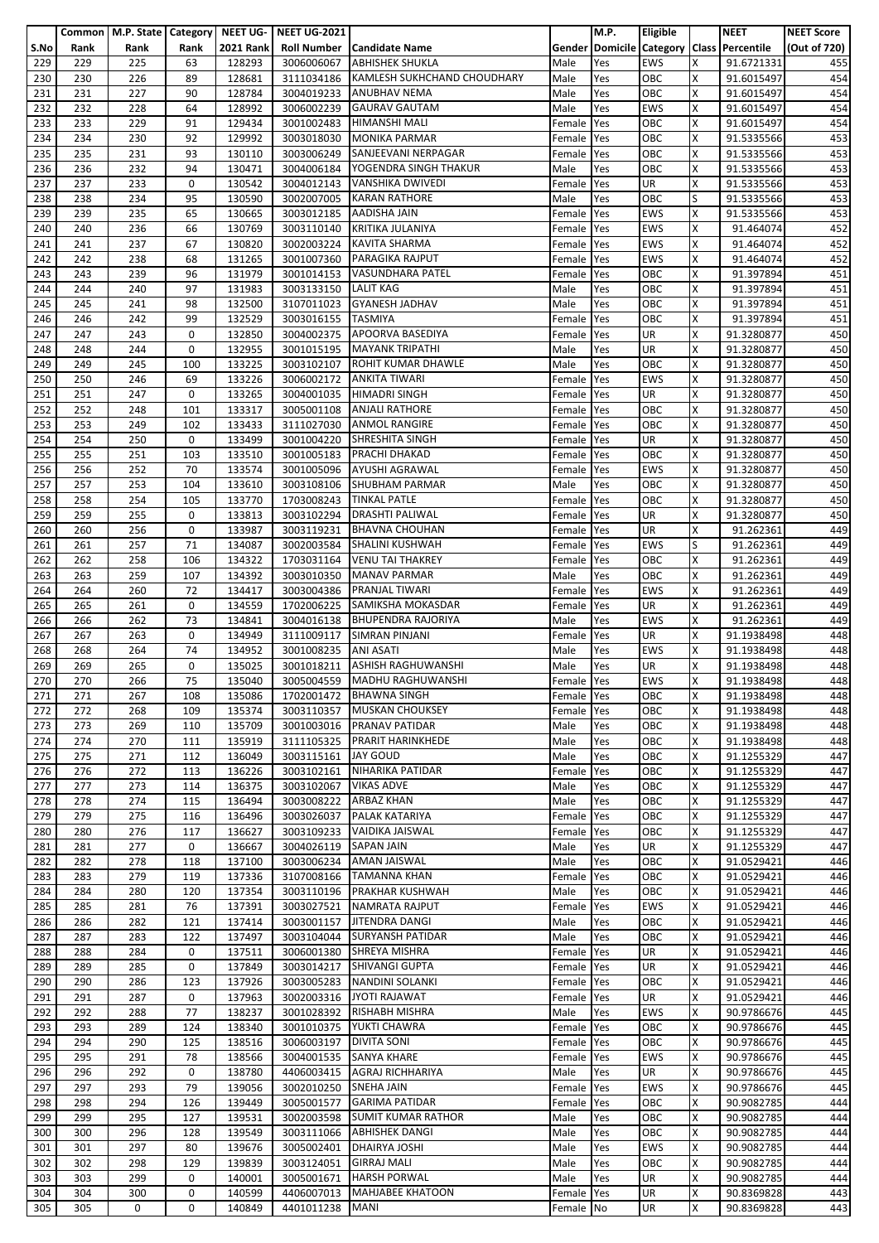|      |      | Common   M.P. State   Category   NEET UG- |      |                  | <b>NEET UG-2021</b> |                                    |            | M.P. | <b>Eligible</b> |   | <b>NEET</b>                               | <b>NEET Score</b> |
|------|------|-------------------------------------------|------|------------------|---------------------|------------------------------------|------------|------|-----------------|---|-------------------------------------------|-------------------|
| S.No | Rank | Rank                                      | Rank | <b>2021 Rank</b> |                     | Roll Number   Candidate Name       |            |      |                 |   | Gender Domicile Category Class Percentile | (Out of 720)      |
|      | 229  | 225                                       |      | 128293           | 3006006067          | <b>ABHISHEK SHUKLA</b>             |            |      | <b>EWS</b>      | x |                                           |                   |
| 229  |      |                                           | 63   |                  |                     |                                    | Male       | Yes  |                 |   | 91.6721331                                | 455               |
| 230  | 230  | 226                                       | 89   | 128681           | 3111034186          | <b>KAMLESH SUKHCHAND CHOUDHARY</b> | Male       | Yes  | OBC             | X | 91.6015497                                | 454               |
| 231  | 231  | 227                                       | 90   | 128784           | 3004019233          | <b>ANUBHAV NEMA</b>                | Male       | Yes  | OBC             | Χ | 91.6015497                                | 454               |
| 232  | 232  | 228                                       | 64   | 128992           | 3006002239          | <b>GAURAV GAUTAM</b>               | Male       | Yes  | <b>EWS</b>      | X | 91.6015497                                | 454               |
| 233  | 233  | 229                                       | 91   | 129434           | 3001002483          | <b>HIMANSHI MALI</b>               | Female     | Yes  | OBC             | X | 91.6015497                                | 454               |
| 234  | 234  | 230                                       | 92   | 129992           | 3003018030          | <b>MONIKA PARMAR</b>               |            | Yes  | OBC             | X | 91.5335566                                | 453               |
|      |      |                                           |      |                  |                     |                                    | Female     |      |                 |   |                                           |                   |
| 235  | 235  | 231                                       | 93   | 130110           | 3003006249          | SANJEEVANI NERPAGAR                | Female     | Yes  | OBC             | X | 91.5335566                                | 453               |
| 236  | 236  | 232                                       | 94   | 130471           | 3004006184          | YOGENDRA SINGH THAKUR              | Male       | Yes  | OBC             | x | 91.5335566                                | 453               |
| 237  | 237  | 233                                       | 0    | 130542           | 3004012143          | <b>VANSHIKA DWIVEDI</b>            | Female     | Yes  | UR              | Χ | 91.5335566                                | 453               |
| 238  | 238  | 234                                       | 95   | 130590           | 3002007005          | <b>KARAN RATHORE</b>               | Male       | Yes  | OBC             | S | 91.5335566                                | 453               |
| 239  | 239  | 235                                       | 65   | 130665           | 3003012185          | <b>AADISHA JAIN</b>                | Female     | Yes  | <b>EWS</b>      | x | 91.5335566                                | 453               |
| 240  | 240  | 236                                       | 66   | 130769           | 3003110140          | KRITIKA JULANIYA                   | Female     | Yes  | <b>EWS</b>      | x | 91.464074                                 | 452               |
|      |      | 237                                       | 67   |                  |                     | <b>KAVITA SHARMA</b>               |            |      | <b>EWS</b>      | X |                                           |                   |
| 241  | 241  |                                           |      | 130820           | 3002003224          |                                    | Female     | Yes  |                 |   | 91.464074                                 | 452               |
| 242  | 242  | 238                                       | 68   | 131265           | 3001007360          | <b>PARAGIKA RAJPUT</b>             | Female     | Yes  | <b>EWS</b>      | X | 91.464074                                 | 452               |
| 243  | 243  | 239                                       | 96   | 131979           |                     | 3001014153 VASUNDHARA PATEL        | Female     | Yes  | OBC             | X | 91.397894                                 | 451               |
| 244  | 244  | 240                                       | 97   | 131983           | 3003133150          | <b>LALIT KAG</b>                   | Male       | Yes  | OBC             | Χ | 91.397894                                 | 451               |
| 245  | 245  | 241                                       | 98   | 132500           | 3107011023          | <b>GYANESH JADHAV</b>              | Male       | Yes  | OBC             | x | 91.397894                                 | 451               |
| 246  | 246  | 242                                       | 99   | 132529           | 3003016155          | <b>TASMIYA</b>                     | Female     | Yes  | OBC             | x | 91.397894                                 | 451               |
| 247  | 247  | 243                                       | 0    | 132850           |                     | 3004002375 APOORVA BASEDIYA        | Female     | Yes  | UR              | Χ | 91.3280877                                | 450               |
| 248  | 248  | 244                                       | 0    | 132955           |                     | <b>MAYANK TRIPATHI</b>             | Male       |      | UR              | X | 91.3280877                                | 450               |
|      |      |                                           |      |                  | 3001015195          |                                    |            | Yes  |                 |   |                                           |                   |
| 249  | 249  | 245                                       | 100  | 133225           | 3003102107          | ROHIT KUMAR DHAWLE                 | Male       | Yes  | OBC             | X | 91.3280877                                | 450               |
| 250  | 250  | 246                                       | 69   | 133226           | 3006002172          | <b>ANKITA TIWARI</b>               | Female     | Yes  | <b>EWS</b>      | X | 91.3280877                                | 450               |
| 251  | 251  | 247                                       | 0    | 133265           |                     | 3004001035 HIMADRI SINGH           | Female     | Yes  | UR              | x | 91.3280877                                | 450               |
| 252  | 252  | 248                                       | 101  | 133317           | 3005001108          | <b>ANJALI RATHORE</b>              | Female     | Yes  | OBC             | X | 91.3280877                                | 450               |
| 253  | 253  | 249                                       | 102  | 133433           | 3111027030          | <b>ANMOL RANGIRE</b>               | Female     | Yes  | OBC             | x | 91.3280877                                | 450               |
| 254  | 254  | 250                                       | 0    | 133499           | 3001004220          | <b>SHRESHITA SINGH</b>             | Female     | Yes  | UR              | X | 91.3280877                                | 450               |
| 255  |      |                                           |      |                  |                     | PRACHI DHAKAD                      |            |      |                 | X |                                           |                   |
|      | 255  | 251                                       | 103  | 133510           | 3001005183          |                                    | Female     | Yes  | OBC             |   | 91.3280877                                | 450               |
| 256  | 256  | 252                                       | 70   | 133574           |                     | 3001005096 AYUSHI AGRAWAL          | Female     | Yes  | EWS             | x | 91.3280877                                | 450               |
| 257  | 257  | 253                                       | 104  | 133610           |                     | 3003108106 SHUBHAM PARMAR          | Male       | Yes  | OBC             | Χ | 91.3280877                                | 450               |
| 258  | 258  | 254                                       | 105  | 133770           | 1703008243          | <b>TINKAL PATLE</b>                | Female     | Yes  | OBC             | X | 91.3280877                                | 450               |
| 259  | 259  | 255                                       | 0    | 133813           |                     | 3003102294   DRASHTI PALIWAL       | Female     | Yes  | UR              | X | 91.3280877                                | 450               |
| 260  | 260  | 256                                       | 0    | 133987           | 3003119231          | <b>BHAVNA CHOUHAN</b>              | Female     | Yes  | UR              | x | 91.262361                                 | 449               |
| 261  | 261  | 257                                       | 71   | 134087           | 3002003584          | SHALINI KUSHWAH                    | Female     | Yes  | <b>EWS</b>      | ς | 91.262361                                 | 449               |
|      |      |                                           |      |                  |                     | <b>VENU TAI THAKREY</b>            |            |      |                 |   |                                           |                   |
| 262  | 262  | 258                                       | 106  | 134322           | 1703031164          |                                    | Female     | Yes  | OBC             | Χ | 91.262361                                 | 449               |
| 263  | 263  | 259                                       | 107  | 134392           | 3003010350          | <b>MANAV PARMAR</b>                | Male       | Yes  | OBC             | X | 91.262361                                 | 449               |
| 264  | 264  | 260                                       | 72   | 134417           | 3003004386          | <b>PRANJAL TIWARI</b>              | Female     | Yes  | <b>EWS</b>      | Χ | 91.262361                                 | 449               |
| 265  | 265  | 261                                       | 0    | 134559           | 1702006225          | SAMIKSHA MOKASDAR                  | Female     | Yes  | UR              | X | 91.262361                                 | 449               |
| 266  | 266  | 262                                       | 73   | 134841           | 3004016138          | <b>BHUPENDRA RAJORIYA</b>          | Male       | Yes  | <b>EWS</b>      | X | 91.262361                                 | 449               |
| 267  | 267  | 263                                       | 0    | 134949           | 3111009117          | <b>SIMRAN PINJANI</b>              | Female     | Yes  | UR              | Χ | 91.1938498                                | 448               |
| 268  | 268  | 264                                       | 74   | 134952           | 3001008235          | <b>ANI ASATI</b>                   | Male       | Yes  | <b>EWS</b>      | X | 91.1938498                                | 448               |
|      |      |                                           |      |                  |                     | <b>ASHISH RAGHUWANSHI</b>          |            |      |                 |   |                                           |                   |
| 269  | 269  | 265                                       | 0    | 135025           | 3001018211          |                                    | Male       | Yes  | UR              | X | 91.1938498                                | 448               |
| 270  | 270  | 266                                       | 75   | 135040           |                     | 3005004559 MADHU RAGHUWANSHI       | Female Yes |      | <b>EWS</b>      | X | 91.1938498                                | 448               |
| 271  | 271  | 267                                       | 108  | 135086           | 1702001472          | <b>BHAWNA SINGH</b>                | Female Yes |      | OBC             | X | 91.1938498                                | 448               |
| 272  | 272  | 268                                       | 109  | 135374           | 3003110357          | <b>MUSKAN CHOUKSEY</b>             | Female     | Yes  | OBC             | Χ | 91.1938498                                | 448               |
| 273  | 273  | 269                                       | 110  | 135709           | 3001003016          | <b>PRANAV PATIDAR</b>              | Male       | Yes  | OBC             | x | 91.1938498                                | 448               |
| 274  | 274  | 270                                       | 111  | 135919           | 3111105325          | <b>PRARIT HARINKHEDE</b>           | Male       | Yes  | OBC             | Χ | 91.1938498                                | 448               |
| 275  | 275  | 271                                       | 112  | 136049           | 3003115161          | <b>JAY GOUD</b>                    | Male       | Yes  | OBC             | X | 91.1255329                                | 447               |
|      |      |                                           |      |                  |                     |                                    |            |      |                 |   |                                           |                   |
| 276  | 276  | 272                                       | 113  | 136226           | 3003102161          | NIHARIKA PATIDAR                   | Female     | Yes  | OBC             | X | 91.1255329                                | 447               |
| 277  | 277  | 273                                       | 114  | 136375           | 3003102067          | <b>VIKAS ADVE</b>                  | Male       | Yes  | OBC             | X | 91.1255329                                | 447               |
| 278  | 278  | 274                                       | 115  | 136494           | 3003008222          | <b>ARBAZ KHAN</b>                  | Male       | Yes  | OBC             | x | 91.1255329                                | 447               |
| 279  | 279  | 275                                       | 116  | 136496           | 3003026037          | PALAK KATARIYA                     | Female     | Yes  | OBC             | Χ | 91.1255329                                | 447               |
| 280  | 280  | 276                                       | 117  | 136627           | 3003109233          | VAIDIKA JAISWAL                    | Female     | Yes  | OBC             | X | 91.1255329                                | 447               |
| 281  | 281  | 277                                       | 0    | 136667           | 3004026119          | <b>SAPAN JAIN</b>                  | Male       | Yes  | <b>UR</b>       | Χ | 91.1255329                                | 447               |
| 282  | 282  | 278                                       | 118  | 137100           | 3003006234          | <b>AMAN JAISWAL</b>                | Male       | Yes  | OBC             | X | 91.0529421                                | 446               |
| 283  | 283  | 279                                       | 119  | 137336           | 3107008166          | <b>TAMANNA KHAN</b>                | Female     | Yes  | OBC             | x | 91.0529421                                | 446               |
|      |      |                                           |      |                  |                     |                                    |            |      |                 |   |                                           |                   |
| 284  | 284  | 280                                       | 120  | 137354           | 3003110196          | <b>PRAKHAR KUSHWAH</b>             | Male       | Yes  | OBC             | Χ | 91.0529421                                | 446               |
| 285  | 285  | 281                                       | 76   | 137391           | 3003027521          | <b>NAMRATA RAJPUT</b>              | Female     | Yes  | EWS             | X | 91.0529421                                | 446               |
| 286  | 286  | 282                                       | 121  | 137414           | 3003001157          | JITENDRA DANGI                     | Male       | Yes  | OBC             | X | 91.0529421                                | 446               |
| 287  | 287  | 283                                       | 122  | 137497           | 3003104044          | <b>SURYANSH PATIDAR</b>            | Male       | Yes  | OBC             | X | 91.0529421                                | 446               |
| 288  | 288  | 284                                       | 0    | 137511           | 3006001380          | <b>SHREYA MISHRA</b>               | Female     | Yes  | <b>UR</b>       | x | 91.0529421                                | 446               |
| 289  | 289  | 285                                       | 0    | 137849           | 3003014217          | <b>SHIVANGI GUPTA</b>              | Female     | Yes  | <b>UR</b>       | Χ | 91.0529421                                | 446               |
| 290  | 290  | 286                                       | 123  | 137926           | 3003005283          | NANDINI SOLANKI                    | Female     | Yes  | OBC             | X | 91.0529421                                | 446               |
| 291  | 291  | 287                                       | 0    | 137963           | 3002003316          | <b>JYOTI RAJAWAT</b>               | Female     | Yes  | UR              | X | 91.0529421                                | 446               |
|      |      |                                           |      |                  |                     |                                    |            |      |                 |   |                                           |                   |
| 292  | 292  | 288                                       | 77   | 138237           | 3001028392          | <b>RISHABH MISHRA</b>              | Male       | Yes  | <b>EWS</b>      | X | 90.9786676                                | 445               |
| 293  | 293  | 289                                       | 124  | 138340           | 3001010375          | YUKTI CHAWRA                       | Female     | Yes  | OBC             | x | 90.9786676                                | 445               |
| 294  | 294  | 290                                       | 125  | 138516           | 3006003197          | <b>DIVITA SONI</b>                 | Female     | Yes  | OBC             | X | 90.9786676                                | 445               |
| 295  | 295  | 291                                       | 78   | 138566           | 3004001535          | <b>SANYA KHARE</b>                 | Female     | Yes  | <b>EWS</b>      | X | 90.9786676                                | 445               |
| 296  | 296  | 292                                       | 0    | 138780           | 4406003415          | AGRAJ RICHHARIYA                   | Male       | Yes  | <b>UR</b>       | x | 90.9786676                                | 445               |
| 297  | 297  | 293                                       | 79   | 139056           | 3002010250          | <b>SNEHA JAIN</b>                  | Female     | Yes  | <b>EWS</b>      | X | 90.9786676                                | 445               |
| 298  | 298  | 294                                       | 126  | 139449           | 3005001577          | <b>GARIMA PATIDAR</b>              | Female     | Yes  | OBC             | x | 90.9082785                                | 444               |
|      |      |                                           | 127  |                  |                     | <b>SUMIT KUMAR RATHOR</b>          |            |      | OBC             |   |                                           | 444               |
| 299  | 299  | 295                                       |      | 139531           | 3002003598          |                                    | Male       | Yes  |                 | Χ | 90.9082785                                |                   |
| 300  | 300  | 296                                       | 128  | 139549           | 3003111066          | <b>ABHISHEK DANGI</b>              | Male       | Yes  | OBC             | x | 90.9082785                                | 444               |
| 301  | 301  | 297                                       | 80   | 139676           | 3005002401          | DHAIRYA JOSHI                      | Male       | Yes  | <b>EWS</b>      | X | 90.9082785                                | 444               |
| 302  | 302  | 298                                       | 129  | 139839           | 3003124051          | <b>GIRRAJ MALI</b>                 | Male       | Yes  | OBC             | X | 90.9082785                                | 444               |
| 303  | 303  | 299                                       | 0    | 140001           | 3005001671          | <b>HARSH PORWAL</b>                | Male       | Yes  | UR              | x | 90.9082785                                | 444               |
| 304  | 304  | 300                                       | 0    | 140599           | 4406007013          | <b>MAHJABEE KHATOON</b>            | Female     | Yes  | UR              | Χ | 90.8369828                                | 443               |
| 305  | 305  | 0                                         | 0    | 140849           | 4401011238          | <b>MANI</b>                        | Female No  |      | UR              | X | 90.8369828                                | 443               |
|      |      |                                           |      |                  |                     |                                    |            |      |                 |   |                                           |                   |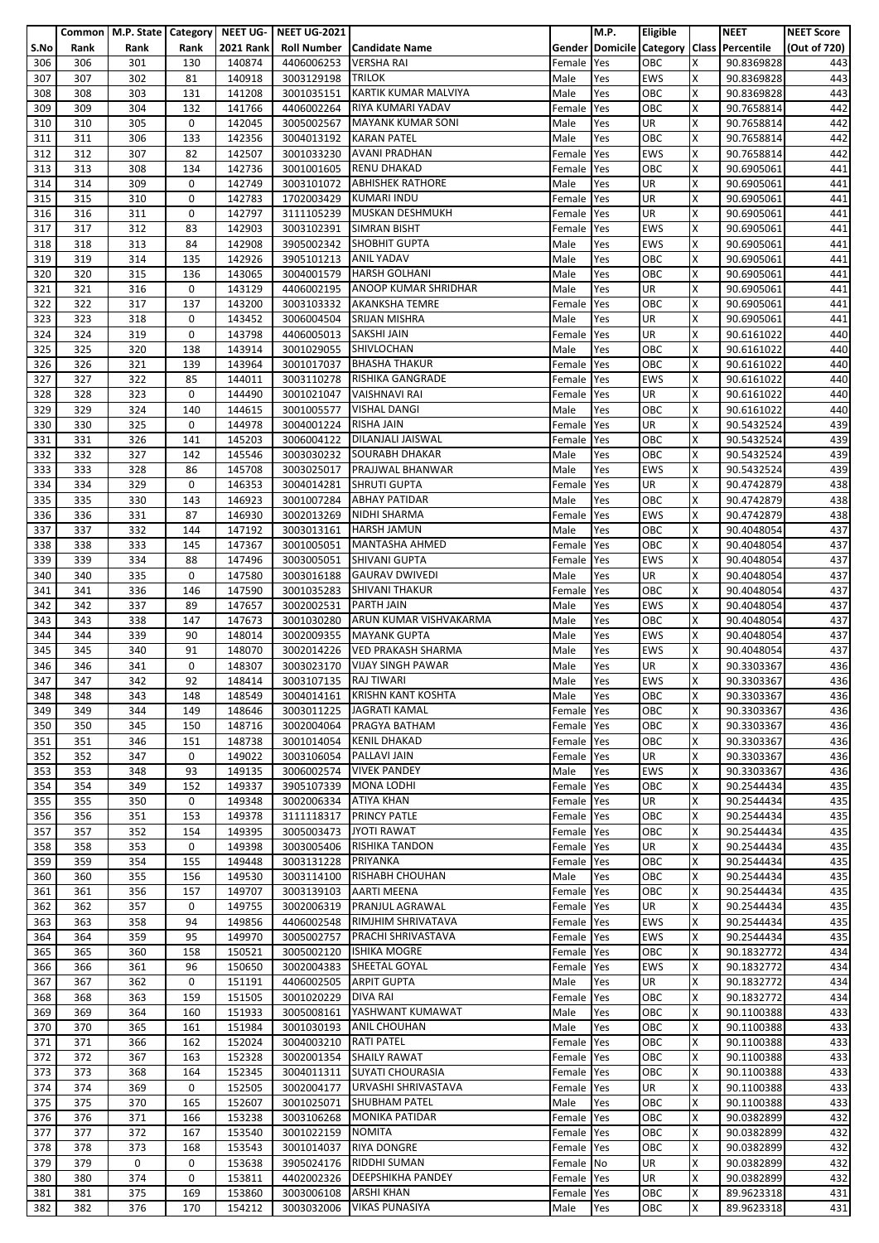|            |            | Common   M.P. State   Category   NEET UG- |             |                  | <b>NEET UG-2021</b>      |                                                     |                      | <b>M.P.</b> | <b>Eligible</b>         |        | <b>NEET</b>                               | <b>NEET Score</b> |
|------------|------------|-------------------------------------------|-------------|------------------|--------------------------|-----------------------------------------------------|----------------------|-------------|-------------------------|--------|-------------------------------------------|-------------------|
| S.No       | Rank       | Rank                                      | Rank        | <b>2021 Rank</b> |                          | Roll Number   Candidate Name                        |                      |             |                         |        | Gender Domicile Category Class Percentile | (Out of 720)      |
| 306        | 306        | 301                                       | 130         | 140874           | 4406006253               | <b>VERSHA RAI</b>                                   | Female               | Yes         | OBC                     | x      | 90.8369828                                | 443               |
| 307        | 307        | 302                                       | 81          | 140918           | 3003129198               | <b>TRILOK</b>                                       | Male                 | Yes         | <b>EWS</b>              | X      | 90.8369828                                | 443               |
| 308        | 308        | 303                                       | 131         | 141208           | 3001035151               | <b>KARTIK KUMAR MALVIYA</b>                         | Male                 | Yes         | OBC                     | x      | 90.8369828                                | 443               |
| 309        | 309        | 304                                       | 132         | 141766           | 4406002264               | RIYA KUMARI YADAV                                   | Female               | Yes         | OBC                     | Χ      | 90.7658814                                | 442               |
| 310        | 310<br>311 | 305<br>306                                | 0           | 142045           | 3005002567               | <b>MAYANK KUMAR SONI</b><br><b>KARAN PATEL</b>      | Male                 | Yes         | UR<br>OBC               | x<br>X | 90.7658814                                | 442               |
| 311<br>312 | 312        | 307                                       | 133<br>82   | 142356<br>142507 | 3004013192<br>3001033230 | <b>AVANI PRADHAN</b>                                | Male<br>Female       | Yes<br>Yes  | <b>EWS</b>              | X      | 90.7658814<br>90.7658814                  | 442<br>442        |
| 313        | 313        | 308                                       | 134         | 142736           | 3001001605               | <b>RENU DHAKAD</b>                                  | Female               | Yes         | OBC                     | X      | 90.6905061                                | 441               |
| 314        | 314        | 309                                       | 0           | 142749           | 3003101072               | <b>ABHISHEK RATHORE</b>                             | Male                 | Yes         | UR                      | Χ      | 90.6905061                                | 441               |
| 315        | 315        | 310                                       | 0           | 142783           | 1702003429               | <b>KUMARI INDU</b>                                  | Female               | Yes         | UR                      | X      | 90.6905061                                | 441               |
| 316        | 316        | 311                                       | 0           | 142797           | 3111105239               | MUSKAN DESHMUKH                                     | Female               | Yes         | UR                      | x      | 90.6905061                                | 441               |
| 317        | 317        | 312                                       | 83          | 142903           | 3003102391               | <b>SIMRAN BISHT</b>                                 | Female               | Yes         | <b>EWS</b>              | X      | 90.6905061                                | 441               |
| 318        | 318        | 313                                       | 84          | 142908           | 3905002342               | <b>SHOBHIT GUPTA</b>                                | Male                 | Yes         | <b>EWS</b>              | X      | 90.6905061                                | 441               |
| 319        | 319        | 314                                       | 135         | 142926           | 3905101213               | <b>ANIL YADAV</b>                                   | Male                 | Yes         | OBC                     | Χ      | 90.6905061                                | 441               |
| 320        | 320        | 315                                       | 136         | 143065           | 3004001579               | <b>HARSH GOLHANI</b>                                | Male                 | Yes         | OBC                     | x      | 90.6905061                                | 441               |
| 321        | 321        | 316                                       | 0           | 143129           | 4406002195               | <b>ANOOP KUMAR SHRIDHAR</b>                         | Male                 | Yes         | UR                      | x      | 90.6905061                                | 441               |
| 322        | 322        | 317                                       | 137         | 143200           | 3003103332               | <b>AKANKSHA TEMRE</b>                               | Female               | Yes         | OBC                     | X      | 90.6905061                                | 441               |
| 323        | 323        | 318                                       | 0           | 143452           |                          | 3006004504 SRIJAN MISHRA                            | Male                 | Yes         | UR                      | X      | 90.6905061                                | 441               |
| 324        | 324        | 319                                       | 0           | 143798           | 4406005013 SAKSHI JAIN   |                                                     | Female               | Yes         | <b>UR</b>               | X      | 90.6161022                                | 440               |
| 325        | 325        | 320                                       | 138         | 143914           | 3001029055               | SHIVLOCHAN                                          | Male                 | Yes         | OBC                     | X      | 90.6161022                                | 440               |
| 326        | 326        | 321                                       | 139         | 143964           |                          | 3001017037 BHASHA THAKUR                            | Female               | Yes         | OBC                     | x      | 90.6161022                                | 440               |
| 327        | 327        | 322                                       | 85          | 144011           | 3003110278               | <b>RISHIKA GANGRADE</b>                             | Female               | Yes         | <b>EWS</b>              | X      | 90.6161022                                | 440               |
| 328        | 328        | 323                                       | 0           | 144490           | 3001021047               | <b>VAISHNAVI RAI</b>                                | Female               | Yes         | <b>UR</b>               | X      | 90.6161022                                | 440               |
| 329        | 329        | 324                                       | 140         | 144615           | 3001005577               | <b>VISHAL DANGI</b>                                 | Male                 | Yes         | OBC                     | X      | 90.6161022                                | 440               |
| 330        | 330        | 325                                       | 0           | 144978           | 3004001224 RISHA JAIN    | DILANJALI JAISWAL                                   | Female               | Yes         | <b>UR</b>               | X      | 90.5432524                                | 439               |
| 331        | 331        | 326                                       | 141         | 145203           | 3006004122               | <b>SOURABH DHAKAR</b>                               | Female               | Yes         | OBC                     | X      | 90.5432524                                | 439               |
| 332        | 332<br>333 | 327<br>328                                | 142<br>86   | 145546<br>145708 | 3003030232<br>3003025017 | PRAJJWAL BHANWAR                                    | Male                 | Yes<br>Yes  | OBC<br><b>EWS</b>       | Χ<br>x | 90.5432524<br>90.5432524                  | 439<br>439        |
| 333<br>334 | 334        | 329                                       | 0           | 146353           | 3004014281               | <b>SHRUTI GUPTA</b>                                 | Male<br>Female       | Yes         | UR                      | Χ      | 90.4742879                                | 438               |
| 335        | 335        | 330                                       | 143         | 146923           | 3001007284               | <b>ABHAY PATIDAR</b>                                | Male                 | Yes         | OBC                     | x      | 90.4742879                                | 438               |
| 336        | 336        | 331                                       | 87          | 146930           | 3002013269               | <b>NIDHI SHARMA</b>                                 | Female               | Yes         | <b>EWS</b>              | X      | 90.4742879                                | 438               |
| 337        | 337        | 332                                       | 144         | 147192           |                          | 3003013161 HARSH JAMUN                              | Male                 | Yes         | OBC                     | X      | 90.4048054                                | 437               |
| 338        | 338        | 333                                       | 145         | 147367           | 3001005051               | <b>MANTASHA AHMED</b>                               | Female               | Yes         | OBC                     | X      | 90.4048054                                | 437               |
| 339        | 339        | 334                                       | 88          | 147496           | 3003005051               | SHIVANI GUPTA                                       | Female               | Yes         | <b>EWS</b>              | Χ      | 90.4048054                                | 437               |
| 340        | 340        | 335                                       | 0           | 147580           | 3003016188               | <b>GAURAV DWIVEDI</b>                               | Male                 | Yes         | <b>UR</b>               | x      | 90.4048054                                | 437               |
| 341        | 341        | 336                                       | 146         | 147590           | 3001035283               | <b>SHIVANI THAKUR</b>                               | Female               | Yes         | OBC                     | x      | 90.4048054                                | 437               |
| 342        | 342        | 337                                       | 89          | 147657           | 3002002531               | <b>PARTH JAIN</b>                                   | Male                 | Yes         | <b>EWS</b>              | X      | 90.4048054                                | 437               |
| 343        | 343        | 338                                       | 147         | 147673           | 3001030280               | ARUN KUMAR VISHVAKARMA                              | Male                 | Yes         | OBC                     | X      | 90.4048054                                | 437               |
| 344        | 344        | 339                                       | 90          | 148014           | 3002009355               | <b>MAYANK GUPTA</b>                                 | Male                 | Yes         | <b>EWS</b>              | Χ      | 90.4048054                                | 437               |
| 345        | 345        | 340                                       | 91          | 148070           | 3002014226               | <b>VED PRAKASH SHARMA</b>                           | Male                 | Yes         | <b>EWS</b>              | X      | 90.4048054                                | 437               |
| 346        | 346        | 341                                       | 0           | 148307           | 3003023170               | <b>VIJAY SINGH PAWAR</b>                            | Male                 | Yes         | UR                      | X      | 90.3303367                                | 436               |
| 347        | 347        | 342                                       | 92          | 148414           | 3003107135 RAJ TIWARI    |                                                     | Male                 | Yes         | <b>EWS</b>              | X      | 90.3303367                                | 436               |
| 348        | 348        | 343                                       | 148         | 148549           |                          | 3004014161 KRISHN KANT KOSHTA                       | Male                 | Yes         | OBC                     | X      | 90.3303367                                | 436               |
| 349        | 349        | 344                                       | 149         | 148646           | 3003011225               | <b>JAGRATI KAMAL</b>                                | Female Yes           |             | OBC                     | Χ      | 90.3303367                                | 436               |
| 350        | 350        | 345                                       | 150         | 148716           |                          | 3002004064 PRAGYA BATHAM<br>3001014054 KENIL DHAKAD | Female Yes           |             | OBC                     | X      | 90.3303367                                | 436               |
| 351<br>352 | 351<br>352 | 346<br>347                                | 151<br>0    | 148738<br>149022 | 3003106054               | PALLAVI JAIN                                        | Female Yes<br>Female | Yes         | OBC<br><b>UR</b>        | x<br>Χ | 90.3303367<br>90.3303367                  | 436<br>436        |
| 353        | 353        | 348                                       | 93          | 149135           |                          | 3006002574 VIVEK PANDEY                             | Male                 | Yes         | <b>EWS</b>              | x      | 90.3303367                                | 436               |
| 354        | 354        | 349                                       | 152         | 149337           | 3905107339               | <b>MONA LODHI</b>                                   | Female Yes           |             | OBC                     | Χ      | 90.2544434                                | 435               |
| 355        | 355        | 350                                       | 0           | 149348           | 3002006334 ATIYA KHAN    |                                                     | Female Yes           |             | <b>UR</b>               | X      | 90.2544434                                | 435               |
| 356        | 356        | 351                                       | 153         | 149378           | 3111118317               | <b>PRINCY PATLE</b>                                 | Female               | Yes         | OBC                     | X      | 90.2544434                                | 435               |
| 357        | 357        | 352                                       | 154         | 149395           | 3005003473               | <b>JYOTI RAWAT</b>                                  | Female Yes           |             | OBC                     | X      | 90.2544434                                | 435               |
| 358        | 358        | 353                                       | 0           | 149398           | 3003005406               | <b>RISHIKA TANDON</b>                               | Female               | Yes         | <b>UR</b>               | x      | 90.2544434                                | 435               |
| 359        | 359        | 354                                       | 155         | 149448           | 3003131228               | PRIYANKA                                            | Female               | Yes         | OBC                     | X      | 90.2544434                                | 435               |
| 360        | 360        | 355                                       | 156         | 149530           | 3003114100               | <b>RISHABH CHOUHAN</b>                              | Male                 | Yes         | OBC                     | X      | 90.2544434                                | 435               |
| 361        | 361        | 356                                       | 157         | 149707           | 3003139103               | <b>AARTI MEENA</b>                                  | Female Yes           |             | OBC                     | Χ      | 90.2544434                                | 435               |
| 362        | 362        | 357                                       | 0           | 149755           | 3002006319               | PRANJUL AGRAWAL                                     | Female               | Yes         | UR                      | Χ      | 90.2544434                                | 435               |
| 363        | 363        | 358                                       | 94          | 149856           | 4406002548               | <b>RIMJHIM SHRIVATAVA</b>                           | Female               | Yes         | <b>EWS</b>              | x      | 90.2544434                                | 435               |
| 364        | 364        | 359                                       | 95          | 149970           | 3005002757               | <b>PRACHI SHRIVASTAVA</b>                           | Female Yes           |             | <b>EWS</b>              | Χ      | 90.2544434                                | 435               |
| 365        | 365        | 360                                       | 158         | 150521           | 3005002120               | <b>ISHIKA MOGRE</b>                                 | Female               | Yes         | OBC                     | X      | 90.1832772                                | 434               |
| 366        | 366<br>367 | 361<br>362                                | 96<br>0     | 150650<br>151191 | 3002004383               | SHEETAL GOYAL<br><b>ARPIT GUPTA</b>                 | Female               | Yes<br>Yes  | <b>EWS</b><br><b>UR</b> | X<br>X | 90.1832772                                | 434               |
| 367<br>368 | 368        | 363                                       | 159         | 151505           | 4406002505<br>3001020229 | <b>DIVA RAI</b>                                     | Male<br>Female       | Yes         | OBC                     | X      | 90.1832772<br>90.1832772                  | 434<br>434        |
| 369        | 369        | 364                                       | 160         | 151933           | 3005008161               | YASHWANT KUMAWAT                                    | Male                 | Yes         | OBC                     | X      | 90.1100388                                | 433               |
| 370        | 370        | 365                                       | 161         | 151984           | 3001030193               | <b>ANIL CHOUHAN</b>                                 | Male                 | Yes         | OBC                     | X      | 90.1100388                                | 433               |
| 371        | 371        | 366                                       | 162         | 152024           | 3004003210               | <b>RATI PATEL</b>                                   | Female Yes           |             | OBC                     | Χ      | 90.1100388                                | 433               |
| 372        | 372        | 367                                       | 163         | 152328           | 3002001354               | <b>SHAILY RAWAT</b>                                 | Female               | Yes         | OBC                     | X      | 90.1100388                                | 433               |
| 373        | 373        | 368                                       | 164         | 152345           |                          | 3004011311 SUYATI CHOURASIA                         | Female               | Yes         | OBC                     | X      | 90.1100388                                | 433               |
| 374        | 374        | 369                                       | 0           | 152505           | 3002004177               | URVASHI SHRIVASTAVA                                 | Female Yes           |             | UR                      | Χ      | 90.1100388                                | 433               |
| 375        | 375        | 370                                       | 165         | 152607           | 3001025071               | <b>SHUBHAM PATEL</b>                                | Male                 | Yes         | OBC                     | X      | 90.1100388                                | 433               |
| 376        | 376        | 371                                       | 166         | 153238           | 3003106268               | <b>MONIKA PATIDAR</b>                               | Female Yes           |             | OBC                     | X      | 90.0382899                                | 432               |
| 377        | 377        | 372                                       | 167         | 153540           | 3001022159               | <b>NOMITA</b>                                       | Female Yes           |             | OBC                     | X      | 90.0382899                                | 432               |
| 378        | 378        | 373                                       | 168         | 153543           | 3001014037               | <b>RIYA DONGRE</b>                                  | Female               | Yes         | OBC                     | x      | 90.0382899                                | 432               |
| 379        | 379        | 0                                         | 0           | 153638           | 3905024176               | <b>RIDDHI SUMAN</b>                                 | Female No            |             | <b>UR</b>               | X      | 90.0382899                                | 432               |
| 380        | 380        | 374                                       | $\mathbf 0$ | 153811           | 4402002326               | <b>DEEPSHIKHA PANDEY</b>                            | Female Yes           |             | <b>UR</b>               | x      | 90.0382899                                | 432               |
| 381        | 381        | 375                                       | 169         | 153860           | 3003006108               | <b>ARSHI KHAN</b><br><b>VIKAS PUNASIYA</b>          | Female Yes           |             | OBC                     | X<br>X | 89.9623318                                | 431               |
| 382        | 382        | 376                                       | 170         | 154212           | 3003032006               |                                                     | Male                 | Yes         | OBC                     |        | 89.9623318                                | 431               |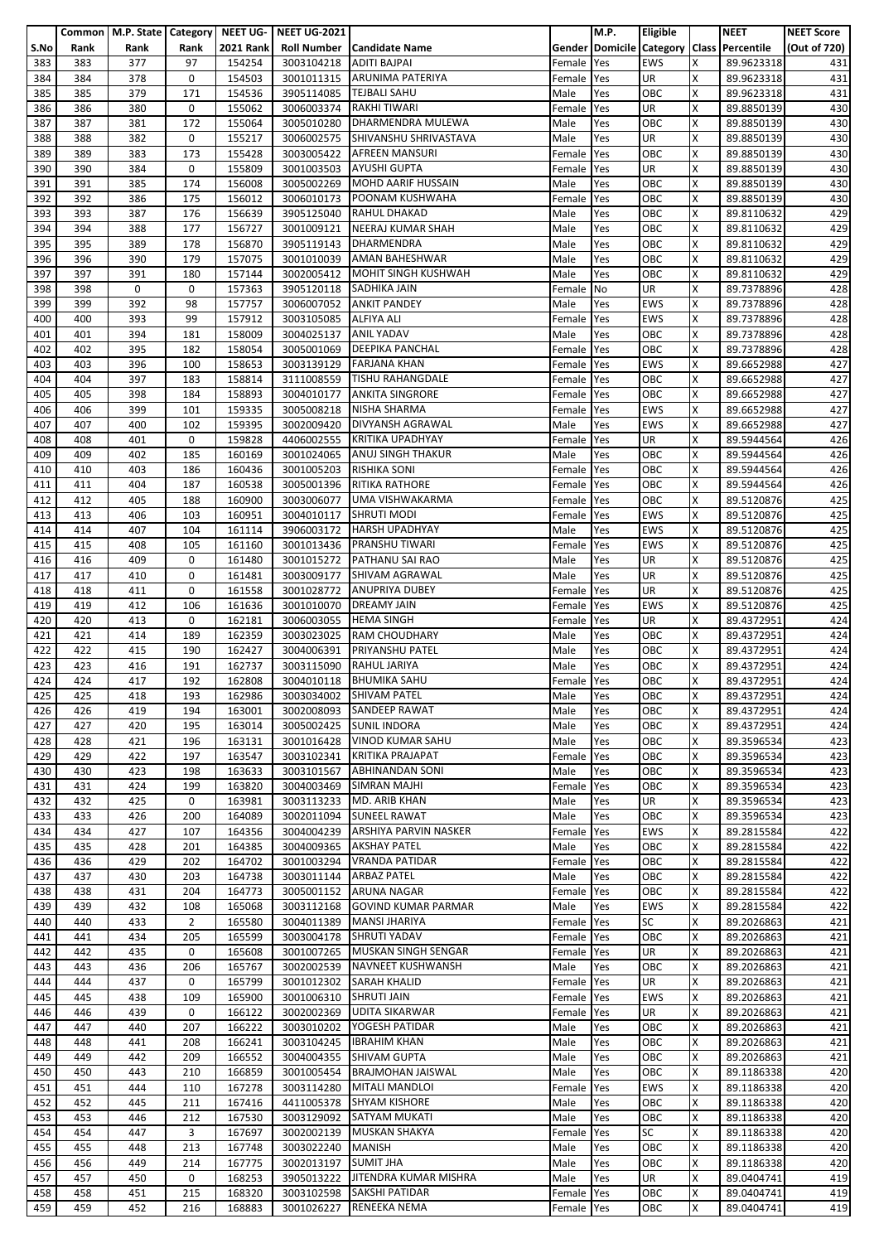|      |      | Common   M.P. State   Category   NEET UG- |                |                  | <b>NEET UG-2021</b>    |                                  |            | M.P. | Eligible   |   | <b>NEET</b>                               | <b>NEET Score</b> |
|------|------|-------------------------------------------|----------------|------------------|------------------------|----------------------------------|------------|------|------------|---|-------------------------------------------|-------------------|
|      |      |                                           |                |                  |                        |                                  |            |      |            |   |                                           |                   |
| S.No | Rank | Rank                                      | Rank           | <b>2021 Rank</b> |                        | Roll Number   Candidate Name     |            |      |            |   | Gender Domicile Category Class Percentile | (Out of 720)      |
| 383  | 383  | 377                                       | 97             | 154254           | 3003104218             | <b>ADITI BAJPAI</b>              | Female     | Yes  | <b>EWS</b> | Χ | 89.9623318                                | 431               |
| 384  | 384  | 378                                       | 0              | 154503           |                        | 3001011315 ARUNIMA PATERIYA      | Female     | Yes  | <b>UR</b>  | X | 89.9623318                                | 431               |
|      |      |                                           |                |                  |                        |                                  |            |      |            |   |                                           |                   |
| 385  | 385  | 379                                       | 171            | 154536           | 3905114085             | <b>TEJBALI SAHU</b>              | Male       | Yes  | OBC        | x | 89.9623318                                | 431               |
| 386  | 386  | 380                                       | 0              | 155062           |                        | 3006003374 RAKHI TIWARI          | Female     | Yes  | UR         | X | 89.8850139                                | 430               |
| 387  | 387  | 381                                       | 172            | 155064           | 3005010280             | DHARMENDRA MULEWA                | Male       | Yes  | OBC        | x | 89.8850139                                | 430               |
| 388  | 388  | 382                                       | 0              | 155217           |                        | 3006002575 SHIVANSHU SHRIVASTAVA | Male       | Yes  | <b>UR</b>  | X | 89.8850139                                | 430               |
|      |      |                                           |                |                  |                        |                                  |            |      |            | X |                                           |                   |
| 389  | 389  | 383                                       | 173            | 155428           |                        | 3003005422 AFREEN MANSURI        | Female     | Yes  | OBC        |   | 89.8850139                                | 430               |
| 390  | 390  | 384                                       | 0              | 155809           | 3001003503             | <b>AYUSHI GUPTA</b>              | Female     | Yes  | UR         | X | 89.8850139                                | 430               |
| 391  | 391  | 385                                       | 174            | 156008           | 3005002269             | MOHD AARIF HUSSAIN               | Male       | Yes  | OBC        | X | 89.8850139                                | 430               |
| 392  | 392  | 386                                       | 175            | 156012           | 3006010173             | POONAM KUSHWAHA                  | Female     | Yes  | OBC        | X | 89.8850139                                | 430               |
|      |      |                                           |                |                  |                        |                                  |            |      |            |   |                                           |                   |
| 393  | 393  | 387                                       | 176            | 156639           | 3905125040             | <b>RAHUL DHAKAD</b>              | Male       | Yes  | OBC        | Χ | 89.8110632                                | 429               |
| 394  | 394  | 388                                       | 177            | 156727           |                        | 3001009121 NEERAJ KUMAR SHAH     | Male       | Yes  | OBC        | x | 89.8110632                                | 429               |
| 395  | 395  | 389                                       | 178            | 156870           | 3905119143             | <b>DHARMENDRA</b>                | Male       | Yes  | OBC        | X | 89.8110632                                | 429               |
|      | 396  | 390                                       |                | 157075           |                        | <b>AMAN BAHESHWAR</b>            |            |      | OBC        | Χ |                                           | 429               |
| 396  |      |                                           | 179            |                  | 3001010039             |                                  | Male       | Yes  |            |   | 89.8110632                                |                   |
| 397  | 397  | 391                                       | 180            | 157144           |                        | 3002005412 MOHIT SINGH KUSHWAH   | Male       | Yes  | OBC        | x | 89.8110632                                | 429               |
| 398  | 398  | 0                                         | 0              | 157363           |                        | 3905120118 SADHIKA JAIN          | Female No  |      | <b>UR</b>  | X | 89.7378896                                | 428               |
| 399  | 399  | 392                                       | 98             | 157757           | 3006007052             | <b>ANKIT PANDEY</b>              | Male       | Yes  | <b>EWS</b> | X | 89.7378896                                | 428               |
|      |      |                                           |                |                  |                        | <b>ALFIYA ALI</b>                |            |      |            |   |                                           |                   |
| 400  | 400  | 393                                       | 99             | 157912           | 3003105085             |                                  | Female     | Yes  | <b>EWS</b> | X | 89.7378896                                | 428               |
| 401  | 401  | 394                                       | 181            | 158009           | 3004025137             | <b>ANIL YADAV</b>                | Male       | Yes  | OBC        | Χ | 89.7378896                                | 428               |
| 402  | 402  | 395                                       | 182            | 158054           | 3005001069             | <b>DEEPIKA PANCHAL</b>           | Female     | Yes  | OBC        | X | 89.7378896                                | 428               |
| 403  | 403  | 396                                       | 100            | 158653           | 3003139129             | <b>FARJANA KHAN</b>              | Female     | Yes  | <b>EWS</b> | Χ | 89.6652988                                | 427               |
|      |      |                                           |                |                  |                        |                                  |            |      |            |   |                                           |                   |
| 404  | 404  | 397                                       | 183            | 158814           | 3111008559             | <b>TISHU RAHANGDALE</b>          | Female     | Yes  | OBC        | x | 89.6652988                                | 427               |
| 405  | 405  | 398                                       | 184            | 158893           |                        | 3004010177 ANKITA SINGRORE       | Female Yes |      | OBC        | x | 89.6652988                                | 427               |
| 406  | 406  | 399                                       | 101            | 159335           | 3005008218             | NISHA SHARMA                     | Female     | Yes  | <b>EWS</b> | X | 89.6652988                                | 427               |
| 407  | 407  | 400                                       | 102            | 159395           | 3002009420             | <b>DIVYANSH AGRAWAL</b>          | Male       | Yes  | <b>EWS</b> | X | 89.6652988                                | 427               |
|      |      |                                           |                |                  |                        |                                  |            |      |            |   |                                           |                   |
| 408  | 408  | 401                                       | 0              | 159828           |                        | 4406002555 KRITIKA UPADHYAY      | Female Yes |      | UR         | X | 89.5944564                                | 426               |
| 409  | 409  | 402                                       | 185            | 160169           | 3001024065             | <b>ANUJ SINGH THAKUR</b>         | Male       | Yes  | OBC        | X | 89.5944564                                | 426               |
| 410  | 410  | 403                                       | 186            | 160436           | 3001005203             | <b>RISHIKA SONI</b>              | Female     | Yes  | OBC        | X | 89.5944564                                | 426               |
| 411  | 411  | 404                                       | 187            | 160538           | 3005001396             | <b>RITIKA RATHORE</b>            | Female     | Yes  | OBC        | X | 89.5944564                                | 426               |
|      |      |                                           |                |                  |                        |                                  |            |      |            |   |                                           |                   |
| 412  | 412  | 405                                       | 188            | 160900           | 3003006077             | UMA VISHWAKARMA                  | Female     | Yes  | OBC        | x | 89.5120876                                | 425               |
| 413  | 413  | 406                                       | 103            | 160951           | 3004010117             | <b>SHRUTI MODI</b>               | Female     | Yes  | <b>EWS</b> | X | 89.5120876                                | 425               |
| 414  | 414  | 407                                       | 104            | 161114           | 3906003172             | <b>HARSH UPADHYAY</b>            | Male       | Yes  | <b>EWS</b> | X | 89.5120876                                | 425               |
|      |      |                                           |                |                  |                        |                                  |            |      |            |   |                                           |                   |
| 415  | 415  | 408                                       | 105            | 161160           |                        | 3001013436 PRANSHU TIWARI        | Female Yes |      | <b>EWS</b> | X | 89.5120876                                | 425               |
| 416  | 416  | 409                                       | 0              | 161480           | 3001015272             | PATHANU SAI RAO                  | Male       | Yes  | UR         | Χ | 89.5120876                                | 425               |
| 417  | 417  | 410                                       | 0              | 161481           |                        | 3003009177 SHIVAM AGRAWAL        | Male       | Yes  | <b>UR</b>  | x | 89.5120876                                | 425               |
| 418  | 418  | 411                                       | 0              | 161558           | 3001028772             | <b>ANUPRIYA DUBEY</b>            | Female     | Yes  | <b>UR</b>  | X | 89.5120876                                | 425               |
|      |      |                                           |                |                  |                        |                                  |            |      |            |   |                                           |                   |
| 419  | 419  | 412                                       | 106            | 161636           | 3001010070             | <b>DREAMY JAIN</b>               | Female     | Yes  | <b>EWS</b> | X | 89.5120876                                | 425               |
| 420  | 420  | 413                                       | 0              | 162181           | 3006003055             | <b>HEMA SINGH</b>                | Female     | Yes  | UR         | X | 89.4372951                                | 424               |
| 421  | 421  | 414                                       | 189            | 162359           | 3003023025             | <b>RAM CHOUDHARY</b>             | Male       | Yes  | OBC        | Χ | 89.4372951                                | 424               |
| 422  | 422  | 415                                       | 190            | 162427           | 3004006391             | PRIYANSHU PATEL                  | Male       | Yes  | OBC        | X | 89.4372951                                | 424               |
|      |      |                                           |                |                  |                        |                                  |            |      |            |   |                                           |                   |
| 423  | 423  | 416                                       | 191            | 162737           | 3003115090             | <b>RAHUL JARIYA</b>              | Male       | Yes  | OBC        | X | 89.4372951                                | 424               |
| 424  | 424  | 417                                       | 192            | 162808           |                        | 3004010118 BHUMIKA SAHU          | Female Yes |      | OBC        | X | 89.4372951                                | 424               |
| 425  | 425  | 418                                       | 193            | 162986           |                        | 3003034002 SHIVAM PATEL          | Male       | Yes  | OBC        | x | 89.4372951                                | 424               |
|      |      |                                           |                |                  |                        | <b>SANDEEP RAWAT</b>             |            |      | OBC        | X |                                           |                   |
| 426  | 426  | 419                                       | 194            | 163001           | 3002008093             |                                  | Male       | Yes  |            |   | 89.4372951                                | 424               |
| 427  | 427  | 420                                       | 195            | 163014           | 3005002425             | <b>SUNIL INDORA</b>              | Male       | Yes  | OBC        | X | 89.4372951                                | 424               |
| 428  | 428  | 421                                       | 196            | 163131           | 3001016428             | <b>VINOD KUMAR SAHU</b>          | Male       | Yes  | OBC        | X | 89.3596534                                | 423               |
| 429  | 429  | 422                                       | 197            | 163547           | 3003102341             | <b>KRITIKA PRAJAPAT</b>          | Female     | Yes  | OBC        | X | 89.3596534                                | 423               |
|      |      |                                           |                |                  |                        |                                  |            |      |            |   |                                           |                   |
| 430  | 430  | 423                                       | 198            | 163633           | 3003101567             | <b>ABHINANDAN SONI</b>           | Male       | Yes  | OBC        | X | 89.3596534                                | 423               |
| 431  | 431  | 424                                       | 199            | 163820           | 3004003469             | <b>SIMRAN MAJHI</b>              | Female     | Yes  | OBC        | X | 89.3596534                                | 423               |
| 432  | 432  | 425                                       | 0              | 163981           | 3003113233             | MD. ARIB KHAN                    | Male       | Yes  | <b>UR</b>  | X | 89.3596534                                | 423               |
| 433  | 433  | 426                                       | 200            | 164089           | 3002011094             | <b>SUNEEL RAWAT</b>              | Male       | Yes  | OBC        | Χ | 89.3596534                                | 423               |
|      |      |                                           |                |                  | 3004004239             |                                  |            |      | <b>EWS</b> | X |                                           |                   |
| 434  | 434  | 427                                       | 107            | 164356           |                        | ARSHIYA PARVIN NASKER            | Female     | Yes  |            |   | 89.2815584                                | 422               |
| 435  | 435  | 428                                       | 201            | 164385           | 3004009365             | <b>AKSHAY PATEL</b>              | Male       | Yes  | OBC        | x | 89.2815584                                | 422               |
| 436  | 436  | 429                                       | 202            | 164702           | 3001003294             | <b>VRANDA PATIDAR</b>            | Female     | Yes  | OBC        | X | 89.2815584                                | 422               |
| 437  | 437  | 430                                       | 203            | 164738           | 3003011144 ARBAZ PATEL |                                  | Male       | Yes  | OBC        | X | 89.2815584                                | 422               |
| 438  | 438  | 431                                       | 204            | 164773           | 3005001152             | <b>ARUNA NAGAR</b>               | Female Yes |      | OBC        | X | 89.2815584                                | 422               |
|      |      |                                           |                |                  |                        |                                  |            |      |            |   |                                           |                   |
| 439  | 439  | 432                                       | 108            | 165068           | 3003112168             | <b>GOVIND KUMAR PARMAR</b>       | Male       | Yes  | <b>EWS</b> | X | 89.2815584                                | 422               |
| 440  | 440  | 433                                       | $\overline{2}$ | 165580           | 3004011389             | <b>MANSI JHARIYA</b>             | Female Yes |      | <b>SC</b>  | Χ | 89.2026863                                | 421               |
| 441  | 441  | 434                                       | 205            | 165599           | 3003004178             | <b>SHRUTI YADAV</b>              | Female     | Yes  | OBC        | X | 89.2026863                                | 421               |
| 442  | 442  | 435                                       | 0              | 165608           | 3001007265             | MUSKAN SINGH SENGAR              | Female     | Yes  | <b>UR</b>  | X | 89.2026863                                | 421               |
|      |      |                                           |                |                  |                        |                                  |            |      |            |   |                                           |                   |
| 443  | 443  | 436                                       | 206            | 165767           | 3002002539             | NAVNEET KUSHWANSH                | Male       | Yes  | OBC        | Χ | 89.2026863                                | 421               |
| 444  | 444  | 437                                       | $\mathbf 0$    | 165799           | 3001012302             | <b>SARAH KHALID</b>              | Female     | Yes  | UR         | X | 89.2026863                                | 421               |
| 445  | 445  | 438                                       | 109            | 165900           | 3001006310             | <b>SHRUTI JAIN</b>               | Female Yes |      | <b>EWS</b> | X | 89.2026863                                | 421               |
| 446  | 446  | 439                                       | 0              | 166122           | 3002002369             | <b>UDITA SIKARWAR</b>            | Female     | Yes  | UR         | X | 89.2026863                                | 421               |
|      |      |                                           |                |                  |                        |                                  |            |      |            |   |                                           |                   |
| 447  | 447  | 440                                       | 207            | 166222           | 3003010202             | YOGESH PATIDAR                   | Male       | Yes  | OBC        | X | 89.2026863                                | 421               |
| 448  | 448  | 441                                       | 208            | 166241           | 3003104245             | <b>IBRAHIM KHAN</b>              | Male       | Yes  | OBC        | X | 89.2026863                                | 421               |
| 449  | 449  | 442                                       | 209            | 166552           | 3004004355             | SHIVAM GUPTA                     | Male       | Yes  | OBC        | X | 89.2026863                                | 421               |
| 450  | 450  | 443                                       | 210            | 166859           | 3001005454             | <b>BRAJMOHAN JAISWAL</b>         | Male       | Yes  | OBC        | X | 89.1186338                                | 420               |
|      |      |                                           |                |                  |                        |                                  |            |      |            |   |                                           |                   |
| 451  | 451  | 444                                       | 110            | 167278           | 3003114280             | <b>MITALI MANDLOI</b>            | Female     | Yes  | <b>EWS</b> | X | 89.1186338                                | 420               |
| 452  | 452  | 445                                       | 211            | 167416           | 4411005378             | <b>SHYAM KISHORE</b>             | Male       | Yes  | OBC        | X | 89.1186338                                | 420               |
| 453  | 453  | 446                                       | 212            | 167530           | 3003129092             | SATYAM MUKATI                    | Male       | Yes  | OBC        | Χ | 89.1186338                                | 420               |
| 454  | 454  | 447                                       | 3              | 167697           | 3002002139             | <b>MUSKAN SHAKYA</b>             |            | Yes  | <b>SC</b>  | x | 89.1186338                                | 420               |
|      |      |                                           |                |                  |                        |                                  | Female     |      |            |   |                                           |                   |
| 455  | 455  | 448                                       | 213            | 167748           | 3003022240             | <b>MANISH</b>                    | Male       | Yes  | OBC        | X | 89.1186338                                | 420               |
| 456  | 456  | 449                                       | 214            | 167775           | 3002013197             | <b>SUMIT JHA</b>                 | Male       | Yes  | OBC        | X | 89.1186338                                | 420               |
| 457  | 457  | 450                                       | 0              | 168253           | 3905013222             | <b>JITENDRA KUMAR MISHRA</b>     | Male       | Yes  | <b>UR</b>  | x | 89.0404741                                | 419               |
|      |      |                                           |                |                  |                        | <b>SAKSHI PATIDAR</b>            |            |      |            |   |                                           |                   |
| 458  | 458  | 451                                       | 215            | 168320           | 3003102598             |                                  | Female Yes |      | OBC        | X | 89.0404741                                | 419               |
| 459  | 459  | 452                                       | 216            | 168883           | 3001026227             | <b>RENEEKA NEMA</b>              | Female Yes |      | OBC        | X | 89.0404741                                | 419               |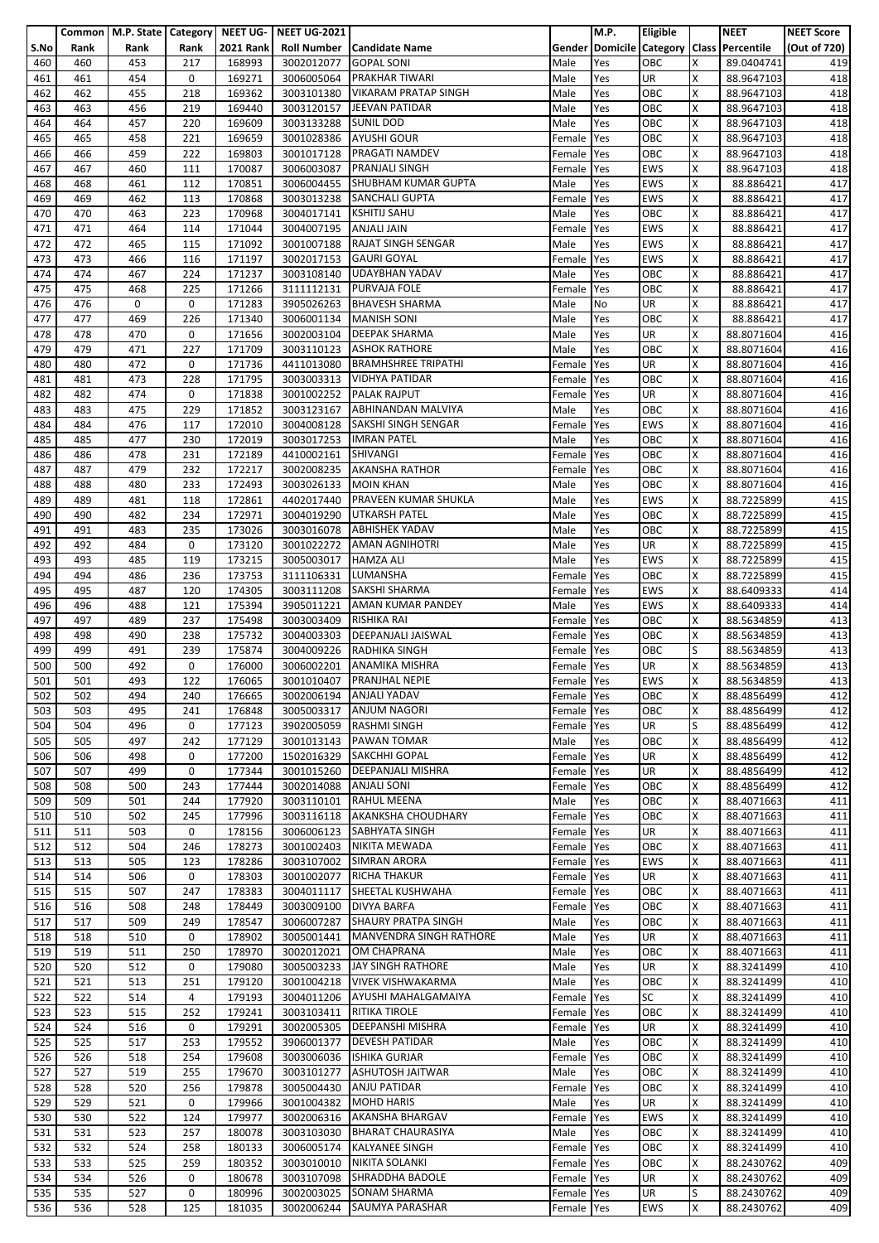|            |            | Common   M.P. State   Category   NEET UG- |             |                  | NEET UG-2021             |                                                       |                          | <b>M.P.</b> | <b>Eligible</b>   |        | <b>NEET</b>                               | <b>NEET Score</b> |
|------------|------------|-------------------------------------------|-------------|------------------|--------------------------|-------------------------------------------------------|--------------------------|-------------|-------------------|--------|-------------------------------------------|-------------------|
| S.No       | Rank       | Rank                                      | Rank        | <b>2021 Rank</b> |                          | Roll Number   Candidate Name                          |                          |             |                   |        | Gender Domicile Category Class Percentile | (Out of 720)      |
| 460<br>461 | 460<br>461 | 453<br>454                                | 217<br>0    | 168993<br>169271 | 3002012077<br>3006005064 | <b>GOPAL SONI</b><br><b>PRAKHAR TIWARI</b>            | Male<br>Male             | Yes<br>Yes  | OBC<br>UR         | X<br>x | 89.0404741<br>88.9647103                  | 419<br>418        |
| 462        | 462        | 455                                       | 218         | 169362           | 3003101380               | <b>VIKARAM PRATAP SINGH</b>                           | Male                     | Yes         | OBC               | x      | 88.9647103                                | 418               |
| 463        | 463        | 456                                       | 219         | 169440           | 3003120157               | JEEVAN PATIDAR                                        | Male                     | Yes         | OBC               | X      | 88.9647103                                | 418               |
| 464        | 464        | 457                                       | 220         | 169609           | 3003133288               | <b>SUNIL DOD</b>                                      | Male                     | Yes         | OBC               | x      | 88.9647103                                | 418               |
| 465        | 465        | 458                                       | 221         | 169659           | 3001028386               | <b>AYUSHI GOUR</b>                                    | Female                   | Yes         | OBC               | X      | 88.9647103                                | 418               |
| 466        | 466        | 459                                       | 222         | 169803           | 3001017128               | PRAGATI NAMDEV                                        | Female                   | Yes         | OBC               | x      | 88.9647103                                | 418               |
| 467        | 467        | 460                                       | 111         | 170087           | 3006003087               | PRANJALI SINGH                                        | Female                   | Yes         | <b>EWS</b>        | X      | 88.9647103                                | 418               |
| 468        | 468        | 461                                       | 112         | 170851           | 3006004455               | SHUBHAM KUMAR GUPTA                                   | Male                     | Yes         | <b>EWS</b>        | X      | 88.886421                                 | 417               |
| 469        | 469        | 462                                       | 113         | 170868           | 3003013238               | <b>SANCHALI GUPTA</b>                                 | Female                   | Yes         | <b>EWS</b>        | X      | 88.886421                                 | 417               |
| 470<br>471 | 470<br>471 | 463<br>464                                | 223<br>114  | 170968<br>171044 | 3004017141<br>3004007195 | <b>KSHITIJ SAHU</b><br><b>ANJALI JAIN</b>             | Male<br>Female           | Yes<br>Yes  | OBC<br><b>EWS</b> | X<br>X | 88.886421<br>88.886421                    | 417<br>417        |
| 472        | 472        | 465                                       | 115         | 171092           | 3001007188               | <b>RAJAT SINGH SENGAR</b>                             | Male                     | Yes         | <b>EWS</b>        | X      | 88.886421                                 | 417               |
| 473        | 473        | 466                                       | 116         | 171197           | 3002017153               | <b>GAURI GOYAL</b>                                    | Female                   | Yes         | <b>EWS</b>        | Χ      | 88.886421                                 | 417               |
| 474        | 474        | 467                                       | 224         | 171237           | 3003108140               | <b>UDAYBHAN YADAV</b>                                 | Male                     | Yes         | OBC               | x      | 88.886421                                 | 417               |
| 475        | 475        | 468                                       | 225         | 171266           | 3111112131               | PURVAJA FOLE                                          | Female                   | Yes         | OBC               | x      | 88.886421                                 | 417               |
| 476        | 476        | 0                                         | 0           | 171283           | 3905026263               | <b>BHAVESH SHARMA</b>                                 | Male                     | No          | UR                | X      | 88.886421                                 | 417               |
| 477        | 477        | 469                                       | 226         | 171340           |                          | 3006001134   MANISH SONI                              | Male                     | Yes         | OBC               | X      | 88.886421                                 | 417               |
| 478        | 478        | 470                                       | 0           | 171656           | 3002003104               | <b>DEEPAK SHARMA</b>                                  | Male                     | Yes         | <b>UR</b>         | X      | 88.8071604                                | 416               |
| 479<br>480 | 479<br>480 | 471<br>472                                | 227<br>0    | 171709<br>171736 | 3003110123               | <b>ASHOK RATHORE</b><br><b>BRAMHSHREE TRIPATHI</b>    | Male                     | Yes<br>Yes  | OBC<br>UR         | X<br>x | 88.8071604                                | 416<br>416        |
| 481        | 481        | 473                                       | 228         | 171795           | 4411013080<br>3003003313 | <b>VIDHYA PATIDAR</b>                                 | Female<br>Female         | Yes         | OBC               | X      | 88.8071604<br>88.8071604                  | 416               |
| 482        | 482        | 474                                       | 0           | 171838           | 3001002252               | <b>PALAK RAJPUT</b>                                   | Female                   | Yes         | UR                | X      | 88.8071604                                | 416               |
| 483        | 483        | 475                                       | 229         | 171852           | 3003123167               | <b>ABHINANDAN MALVIYA</b>                             | Male                     | Yes         | OBC               | Χ      | 88.8071604                                | 416               |
| 484        | 484        | 476                                       | 117         | 172010           | 3004008128               | <b>SAKSHI SINGH SENGAR</b>                            | Female                   | Yes         | <b>EWS</b>        | X      | 88.8071604                                | 416               |
| 485        | 485        | 477                                       | 230         | 172019           | 3003017253               | <b>IMRAN PATEL</b>                                    | Male                     | Yes         | OBC               | X      | 88.8071604                                | 416               |
| 486        | 486        | 478                                       | 231         | 172189           | 4410002161               | <b>SHIVANGI</b>                                       | Female                   | Yes         | OBC               | X      | 88.8071604                                | 416               |
| 487        | 487        | 479                                       | 232         | 172217           | 3002008235               | <b>AKANSHA RATHOR</b>                                 | Female                   | Yes         | OBC               | X      | 88.8071604                                | 416               |
| 488        | 488        | 480                                       | 233         | 172493           | 3003026133               | <b>MOIN KHAN</b>                                      | Male                     | Yes         | OBC               | X      | 88.8071604                                | 416               |
| 489<br>490 | 489<br>490 | 481<br>482                                | 118<br>234  | 172861<br>172971 | 4402017440<br>3004019290 | PRAVEEN KUMAR SHUKLA<br><b>UTKARSH PATEL</b>          | Male<br>Male             | Yes<br>Yes  | <b>EWS</b><br>OBC | X<br>x | 88.7225899<br>88.7225899                  | 415<br>415        |
| 491        | 491        | 483                                       | 235         | 173026           | 3003016078               | <b>ABHISHEK YADAV</b>                                 | Male                     | Yes         | OBC               | X      | 88.7225899                                | 415               |
| 492        | 492        | 484                                       | 0           | 173120           | 3001022272               | <b>AMAN AGNIHOTRI</b>                                 | Male                     | Yes         | UR                | X      | 88.7225899                                | 415               |
| 493        | 493        | 485                                       | 119         | 173215           | 3005003017               | <b>HAMZA ALI</b>                                      | Male                     | Yes         | <b>EWS</b>        | Χ      | 88.7225899                                | 415               |
| 494        | 494        | 486                                       | 236         | 173753           | 3111106331               | LUMANSHA                                              | Female                   | Yes         | OBC               | x      | 88.7225899                                | 415               |
| 495        | 495        | 487                                       | 120         | 174305           | 3003111208               | SAKSHI SHARMA                                         | Female                   | Yes         | <b>EWS</b>        | Χ      | 88.6409333                                | 414               |
| 496        | 496        | 488                                       | 121         | 175394           | 3905011221               | AMAN KUMAR PANDEY                                     | Male                     | Yes         | <b>EWS</b>        | X      | 88.6409333                                | 414               |
| 497        | 497        | 489                                       | 237         | 175498           | 3003003409               | RISHIKA RAI                                           | Female                   | Yes         | OBC               | X      | 88.5634859                                | 413               |
| 498<br>499 | 498<br>499 | 490<br>491                                | 238<br>239  | 175732<br>175874 | 3004003303<br>3004009226 | DEEPANJALI JAISWAL<br><b>RADHIKA SINGH</b>            | Female<br>Female         | Yes         | OBC<br>OBC        | X<br>S | 88.5634859<br>88.5634859                  | 413<br>413        |
| 500        | 500        | 492                                       | 0           | 176000           | 3006002201               | <b>ANAMIKA MISHRA</b>                                 | Female                   | Yes<br>Yes  | UR                | x      | 88.5634859                                | 413               |
| 501        | 501        | 493                                       | 122         | 176065           | 3001010407               | <b>PRANJHAL NEPIE</b>                                 | Female Yes               |             | <b>EWS</b>        | X      | 88.5634859                                | 413               |
| 502        | 502        | 494                                       | 240         | 176665           |                          | 3002006194 ANJALI YADAV                               | Female Yes               |             | OBC               | X      | 88.4856499                                | 412               |
| 503        | 503        | 495                                       | 241         | 176848           | 3005003317               | <b>ANJUM NAGORI</b>                                   | Female                   | Yes         | OBC               | Χ      | 88.4856499                                | 412               |
| 504        | 504        | 496                                       | $\mathbf 0$ | 177123           | 3902005059               | <b>RASHMI SINGH</b>                                   | Female Yes               |             | UR                | S      | 88.4856499                                | 412               |
| 505        | 505        | 497                                       | 242         | 177129           | 3001013143               | PAWAN TOMAR                                           | Male                     | Yes         | OBC               | X      | 88.4856499                                | 412               |
| 506        | 506        | 498                                       | 0           | 177200           | 1502016329               | SAKCHHI GOPAL                                         | Female                   | Yes         | UR                | X      | 88.4856499                                | 412               |
| 507        | 507        | 499                                       | $\mathbf 0$ | 177344           | 3001015260               | <b>DEEPANJALI MISHRA</b>                              | Female                   | Yes         | UR                | X      | 88.4856499                                | 412               |
| 508<br>509 | 508<br>509 | 500<br>501                                | 243<br>244  | 177444<br>177920 | 3002014088<br>3003110101 | <b>ANJALI SONI</b><br><b>RAHUL MEENA</b>              | Female Yes<br>Male       | Yes         | OBC<br>OBC        | x<br>X | 88.4856499<br>88.4071663                  | 412<br>411        |
| 510        | 510        | 502                                       | 245         | 177996           | 3003116118               | AKANKSHA CHOUDHARY                                    | Female                   | Yes         | OBC               | X      | 88.4071663                                | 411               |
| 511        | 511        | 503                                       | 0           | 178156           | 3006006123               | <b>SABHYATA SINGH</b>                                 | Female                   | Yes         | UR                | X      | 88.4071663                                | 411               |
| 512        | 512        | 504                                       | 246         | 178273           | 3001002403               | NIKITA MEWADA                                         | Female                   | Yes         | OBC               | X      | 88.4071663                                | 411               |
| 513        | 513        | 505                                       | 123         | 178286           | 3003107002               | SIMRAN ARORA                                          | Female                   | Yes         | <b>EWS</b>        | X      | 88.4071663                                | 411               |
| 514        | 514        | 506                                       | $\mathbf 0$ | 178303           | 3001002077               | <b>RICHA THAKUR</b>                                   | Female Yes               |             | UR                | X      | 88.4071663                                | 411               |
| 515        | 515        | 507                                       | 247         | 178383           | 3004011117               | SHEETAL KUSHWAHA                                      | Female Yes               |             | OBC               | X      | 88.4071663                                | 411               |
| 516        | 516        | 508                                       | 248         | 178449           | 3003009100               | <b>DIVYA BARFA</b>                                    | Female                   | Yes         | OBC               | X      | 88.4071663                                | 411               |
| 517<br>518 | 517<br>518 | 509<br>510                                | 249<br>0    | 178547<br>178902 | 3006007287<br>3005001441 | <b>SHAURY PRATPA SINGH</b><br>MANVENDRA SINGH RATHORE | Male<br>Male             | Yes<br>Yes  | OBC<br>UR         | X<br>X | 88.4071663<br>88.4071663                  | 411<br>411        |
| 519        | 519        | 511                                       | 250         | 178970           | 3002012021               | OM CHAPRANA                                           | Male                     | Yes         | OBC               | X      | 88.4071663                                | 411               |
| 520        | 520        | 512                                       | 0           | 179080           | 3005003233               | JAY SINGH RATHORE                                     | Male                     | Yes         | UR                | x      | 88.3241499                                | 410               |
| 521        | 521        | 513                                       | 251         | 179120           | 3001004218               | <b>VIVEK VISHWAKARMA</b>                              | Male                     | Yes         | OBC               | x      | 88.3241499                                | 410               |
| 522        | 522        | 514                                       | 4           | 179193           | 3004011206               | AYUSHI MAHALGAMAIYA                                   | Female                   | Yes         | <b>SC</b>         | X      | 88.3241499                                | 410               |
| 523        | 523        | 515                                       | 252         | 179241           | 3003103411               | RITIKA TIROLE                                         | Female                   | Yes         | OBC               | X      | 88.3241499                                | 410               |
| 524        | 524        | 516                                       | $\mathbf 0$ | 179291           | 3002005305               | <b>DEEPANSHI MISHRA</b>                               | Female                   | Yes         | UR                | x      | 88.3241499                                | 410               |
| 525        | 525        | 517                                       | 253         | 179552           | 3906001377               | <b>DEVESH PATIDAR</b>                                 | Male                     | Yes         | OBC               | X      | 88.3241499                                | 410               |
| 526<br>527 | 526<br>527 | 518<br>519                                | 254<br>255  | 179608<br>179670 | 3003006036<br>3003101277 | <b>ISHIKA GURJAR</b><br><b>ASHUTOSH JAITWAR</b>       | Female<br>Male           | Yes<br>Yes  | OBC<br>OBC        | X<br>X | 88.3241499<br>88.3241499                  | 410<br>410        |
| 528        | 528        | 520                                       | 256         | 179878           | 3005004430               | <b>ANJU PATIDAR</b>                                   | Female Yes               |             | OBC               | x      | 88.3241499                                | 410               |
| 529        | 529        | 521                                       | 0           | 179966           | 3001004382               | <b>MOHD HARIS</b>                                     | Male                     | Yes         | UR                | X      | 88.3241499                                | 410               |
| 530        | 530        | 522                                       | 124         | 179977           | 3002006316               | AKANSHA BHARGAV                                       | Female                   | Yes         | EWS               | x      | 88.3241499                                | 410               |
| 531        | 531        | 523                                       | 257         | 180078           | 3003103030               | <b>BHARAT CHAURASIYA</b>                              | Male                     | Yes         | OBC               | x      | 88.3241499                                | 410               |
| 532        | 532        | 524                                       | 258         | 180133           | 3006005174               | <b>KALYANEE SINGH</b>                                 | Female                   | Yes         | <b>OBC</b>        | x      | 88.3241499                                | 410               |
| 533        | 533        | 525                                       | 259         | 180352           | 3003010010               | NIKITA SOLANKI                                        | Female                   | Yes         | OBC               | X      | 88.2430762                                | 409               |
| 534        | 534        | 526                                       | 0           | 180678           | 3003107098               | SHRADDHA BADOLE                                       | Female Yes               |             | UR                | x      | 88.2430762                                | 409               |
| 535<br>536 | 535<br>536 | 527<br>528                                | 0<br>125    | 180996<br>181035 | 3002003025<br>3002006244 | SONAM SHARMA<br>SAUMYA PARASHAR                       | Female Yes<br>Female Yes |             | UR<br>EWS         | S<br>X | 88.2430762<br>88.2430762                  | 409<br>409        |
|            |            |                                           |             |                  |                          |                                                       |                          |             |                   |        |                                           |                   |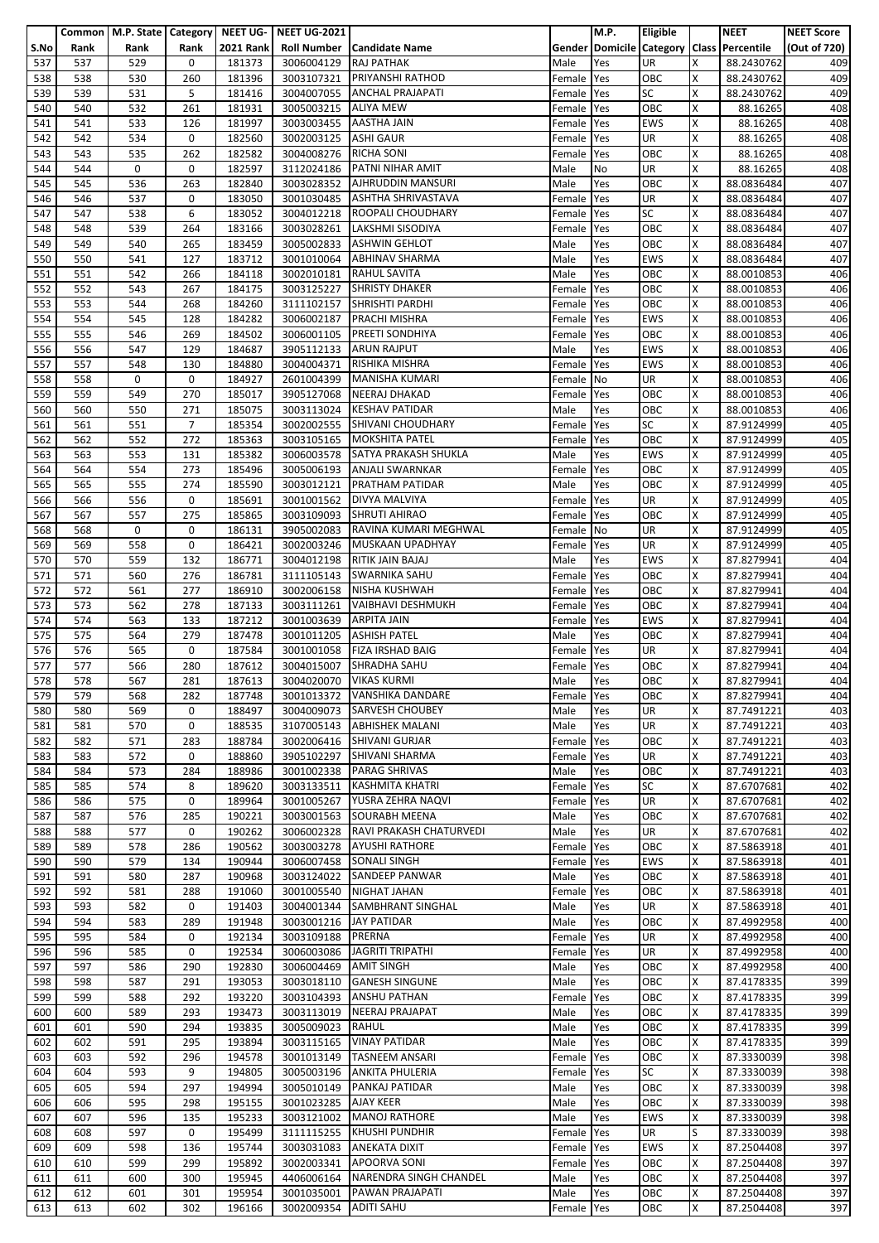|            |      | Common   M.P. State   Category   NEET UG- |                |                  | <b>NEET UG-2021</b>    |                                   |                | M.P.       | Eligible   |   | <b>NEET</b>                               | <b>NEET Score</b> |
|------------|------|-------------------------------------------|----------------|------------------|------------------------|-----------------------------------|----------------|------------|------------|---|-------------------------------------------|-------------------|
| S.No       | Rank | Rank                                      | Rank           | <b>2021 Rank</b> |                        | Roll Number   Candidate Name      |                |            |            |   | Gender Domicile Category Class Percentile | (Out of 720)      |
| 537        | 537  | 529                                       | 0              | 181373           | 3006004129             | <b>RAJ PATHAK</b>                 | Male           | Yes        | <b>UR</b>  | x | 88.2430762                                | 409               |
| 538        | 538  | 530                                       | 260            | 181396           | 3003107321             | <b>PRIYANSHI RATHOD</b>           | Female         | Yes        | OBC        | X | 88.2430762                                | 409               |
| 539        | 539  | 531                                       | 5              | 181416           |                        | <b>ANCHAL PRAJAPATI</b>           |                |            | <b>SC</b>  | x | 88.2430762                                | 409               |
|            |      |                                           |                |                  | 3004007055             |                                   | Female         | Yes        |            |   |                                           |                   |
| 540        | 540  | 532                                       | 261            | 181931           | 3005003215             | <b>ALIYA MEW</b>                  | Female         | Yes        | OBC        | Χ | 88.16265                                  | 408               |
| 541        | 541  | 533                                       | 126            | 181997           | 3003003455 AASTHA JAIN |                                   | Female         | Yes        | <b>EWS</b> | X | 88.16265                                  | 408               |
| 542        | 542  | 534                                       | 0              | 182560           | 3002003125             | <b>ASHI GAUR</b>                  | Female Yes     |            | UR         | X | 88.16265                                  | 408               |
| 543        | 543  | 535                                       | 262            | 182582           | 3004008276             | <b>RICHA SONI</b>                 | Female         | Yes        | OBC        | X | 88.16265                                  | 408               |
| 544        | 544  | 0                                         | 0              | 182597           | 3112024186             | PATNI NIHAR AMIT                  | Male           | No         | <b>UR</b>  | Χ | 88.16265                                  | 408               |
| 545        | 545  | 536                                       | 263            | 182840           |                        | 3003028352 AJHRUDDIN MANSURI      | Male           | Yes        | OBC        | Χ | 88.0836484                                | 407               |
| 546        | 546  | 537                                       | 0              | 183050           |                        | 3001030485 ASHTHA SHRIVASTAVA     | Female         | Yes        | UR         | X | 88.0836484                                | 407               |
| 547        | 547  | 538                                       | 6              | 183052           |                        | 3004012218 ROOPALI CHOUDHARY      | Female         | Yes        | <b>SC</b>  | x | 88.0836484                                | 407               |
| 548        | 548  | 539                                       | 264            | 183166           | 3003028261             | LAKSHMI SISODIYA                  | Female         | Yes        | OBC        | X | 88.0836484                                | 407               |
| 549        | 549  | 540                                       | 265            | 183459           | 3005002833             | <b>ASHWIN GEHLOT</b>              | Male           | Yes        | OBC        | x | 88.0836484                                | 407               |
| 550        | 550  | 541                                       | 127            | 183712           |                        | 3001010064 ABHINAV SHARMA         | Male           | Yes        | <b>EWS</b> | Χ | 88.0836484                                | 407               |
| 551        | 551  | 542                                       | 266            | 184118           |                        | 3002010181 RAHUL SAVITA           | Male           | Yes        | OBC        | X | 88.0010853                                | 406               |
|            | 552  | 543                                       | 267            | 184175           |                        | <b>SHRISTY DHAKER</b>             |                |            | OBC        | Χ |                                           | 406               |
| 552<br>553 |      |                                           |                |                  | 3003125227             |                                   | Female Yes     |            |            |   | 88.0010853                                |                   |
|            | 553  | 544                                       | 268            | 184260           | 3111102157             | <b>SHRISHTI PARDHI</b>            | Female         | Yes        | OBC        | X | 88.0010853                                | 406               |
| 554        | 554  | 545                                       | 128            | 184282           |                        | 3006002187 PRACHI MISHRA          | Female         | Yes        | EWS        | x | 88.0010853                                | 406               |
| 555        | 555  | 546                                       | 269            | 184502           |                        | 3006001105 PREETI SONDHIYA        | Female         | Yes        | OBC        | X | 88.0010853                                | 406               |
| 556        | 556  | 547                                       | 129            | 184687           |                        | 3905112133 ARUN RAJPUT            | Male           | Yes        | <b>EWS</b> | X | 88.0010853                                | 406               |
| 557        | 557  | 548                                       | 130            | 184880           | 3004004371             | RISHIKA MISHRA                    | Female         | Yes        | <b>EWS</b> | X | 88.0010853                                | 406               |
| 558        | 558  | 0                                         | 0              | 184927           | 2601004399             | MANISHA KUMARI                    | Female         | No         | UR         | X | 88.0010853                                | 406               |
| 559        | 559  | 549                                       | 270            | 185017           | 3905127068             | NEERAJ DHAKAD                     | Female Yes     |            | OBC        | x | 88.0010853                                | 406               |
| 560        | 560  | 550                                       | 271            | 185075           | 3003113024             | <b>KESHAV PATIDAR</b>             | Male           | Yes        | OBC        | X | 88.0010853                                | 406               |
| 561        | 561  | 551                                       | $\overline{7}$ | 185354           |                        | 3002002555 SHIVANI CHOUDHARY      | Female         | Yes        | <b>SC</b>  | X | 87.9124999                                | 405               |
| 562        | 562  | 552                                       | 272            | 185363           | 3003105165             | <b>MOKSHITA PATEL</b>             | Female         | Yes        | OBC        | X | 87.9124999                                | 405               |
| 563        | 563  | 553                                       | 131            | 185382           | 3006003578             | <b>SATYA PRAKASH SHUKLA</b>       | Male           | Yes        | <b>EWS</b> | X | 87.9124999                                | 405               |
| 564        | 564  | 554                                       | 273            | 185496           |                        | 3005006193 ANJALI SWARNKAR        | Female         | Yes        | OBC        | x | 87.9124999                                | 405               |
| 565        | 565  | 555                                       | 274            | 185590           |                        | 3003012121 PRATHAM PATIDAR        | Male           | Yes        | OBC        | Χ | 87.9124999                                | 405               |
| 566        | 566  | 556                                       | 0              | 185691           | 3001001562             | DIVYA MALVIYA                     |                |            | UR         | X | 87.9124999                                | 405               |
|            |      |                                           |                |                  |                        |                                   | Female         | Yes        |            |   |                                           |                   |
| 567        | 567  | 557                                       | 275            | 185865           | 3003109093             | <b>SHRUTI AHIRAO</b>              | Female         | Yes        | OBC        | X | 87.9124999                                | 405               |
| 568        | 568  | 0                                         | 0              | 186131           | 3905002083             | RAVINA KUMARI MEGHWAL             | Female         | No         | UR         | x | 87.9124999                                | 405               |
| 569        | 569  | 558                                       | 0              | 186421           | 3002003246             | MUSKAAN UPADHYAY                  | Female Yes     |            | UR         | X | 87.9124999                                | 405               |
| 570        | 570  | 559                                       | 132            | 186771           | 3004012198             | RITIK JAIN BAJAJ                  | Male           | Yes        | <b>EWS</b> | X | 87.8279941                                | 404               |
| 571        | 571  | 560                                       | 276            | 186781           |                        | 3111105143 SWARNIKA SAHU          | Female         | Yes        | OBC        | x | 87.8279941                                | 404               |
| 572        | 572  | 561                                       | 277            | 186910           | 3002006158             | <b>NISHA KUSHWAH</b>              | Female Yes     |            | OBC        | X | 87.8279941                                | 404               |
| 573        | 573  | 562                                       | 278            | 187133           | 3003111261             | <b>VAIBHAVI DESHMUKH</b>          | Female         | Yes        | OBC        | X | 87.8279941                                | 404               |
| 574        | 574  | 563                                       | 133            | 187212           | 3001003639             | <b>ARPITA JAIN</b>                | Female         | Yes        | <b>EWS</b> | x | 87.8279941                                | 404               |
| 575        | 575  | 564                                       | 279            | 187478           | 3001011205             | <b>ASHISH PATEL</b>               | Male           | Yes        | OBC        | X | 87.8279941                                | 404               |
| 576        | 576  | 565                                       | 0              | 187584           | 3001001058             | <b>FIZA IRSHAD BAIG</b>           | Female         | Yes        | UR         | X | 87.8279941                                | 404               |
| 577        | 577  | 566                                       | 280            | 187612           | 3004015007             | <b>SHRADHA SAHU</b>               | Female         | Yes        | OBC        | X | 87.8279941                                | 404               |
| 578        | 578  | 567                                       | 281            | 187613           | 3004020070 VIKAS KURMI |                                   | Male           | Yes        | OBC        | X | 87.8279941                                | 404               |
| 579        | 579  | 568                                       | 282            | 187748           |                        | 3001013372 VANSHIKA DANDARE       | Female Yes     |            | OBC        | X | 87.8279941                                | 404               |
| 580        | 580  | 569                                       | 0              | 188497           | 3004009073             | <b>SARVESH CHOUBEY</b>            | Male           | Yes        | <b>UR</b>  | Χ | 87.7491221                                | 403               |
| 581        | 581  | 570                                       | 0              | 188535           |                        | 3107005143 ABHISHEK MALANI        | Male           | Yes        | <b>UR</b>  | x | 87.7491221                                | 403               |
|            |      |                                           |                |                  |                        | <b>SHIVANI GURJAR</b>             |                |            | OBC        |   |                                           | 403               |
| 582        | 582  | 571                                       | 283            | 188784           | 3002006416             |                                   | Female         | Yes        |            | Χ | 87.7491221                                |                   |
| 583        | 583  | 572                                       | 0              | 188860           | 3905102297             | SHIVANI SHARMA                    | Female         | Yes        | UR         | X | 87.7491221                                | 403               |
| 584        | 584  | 573                                       | 284            | 188986           | 3001002338             | <b>PARAG SHRIVAS</b>              | Male           | Yes        | OBC        | X | 87.7491221                                | 403               |
| 585        | 585  | 574                                       | 8              | 189620           | 3003133511             | <b>KASHMITA KHATRI</b>            | Female         | Yes        | <b>SC</b>  | X | 87.6707681                                | 402               |
| 586        | 586  | 575                                       | 0              | 189964           | 3001005267             | YUSRA ZEHRA NAQVI                 | Female         | Yes        | <b>UR</b>  | x | 87.6707681                                | 402               |
| 587        | 587  | 576                                       | 285            | 190221           | 3003001563             | <b>SOURABH MEENA</b>              | Male           | Yes        | OBC        | Χ | 87.6707681                                | 402               |
| 588        | 588  | 577                                       | 0              | 190262           | 3006002328             | RAVI PRAKASH CHATURVEDI           | Male           | Yes        | UR         | X | 87.6707681                                | 402               |
| 589        | 589  | 578                                       | 286            | 190562           | 3003003278             | <b>AYUSHI RATHORE</b>             | Female         | Yes        | OBC        | Χ | 87.5863918                                | 401               |
| 590        | 590  | 579                                       | 134            | 190944           | 3006007458             | <b>SONALI SINGH</b>               | Female         | Yes        | <b>EWS</b> | X | 87.5863918                                | 401               |
| 591        | 591  | 580                                       | 287            | 190968           |                        | 3003124022 SANDEEP PANWAR         | Male           | Yes        | OBC        | x | 87.5863918                                | 401               |
| 592        | 592  | 581                                       | 288            | 191060           | 3001005540             | <b>NIGHAT JAHAN</b>               | Female         | Yes        | OBC        | Χ | 87.5863918                                | 401               |
| 593        | 593  | 582                                       | 0              | 191403           | 3004001344             | SAMBHRANT SINGHAL                 | Male           | Yes        | UR         | X | 87.5863918                                | 401               |
| 594        | 594  | 583                                       | 289            | 191948           | 3003001216             | <b>JAY PATIDAR</b>                | Male           | Yes        | OBC        | X | 87.4992958                                | 400               |
| 595        | 595  | 584                                       | 0              | 192134           | 3003109188             | <b>PRERNA</b>                     | Female         | Yes        | UR         | X | 87.4992958                                | 400               |
| 596        | 596  | 585                                       | 0              | 192534           | 3006003086             | <b>JAGRITI TRIPATHI</b>           | Female         | Yes        | <b>UR</b>  | x | 87.4992958                                | 400               |
| 597        | 597  | 586                                       | 290            | 192830           | 3006004469             | <b>AMIT SINGH</b>                 | Male           | Yes        | OBC        | Χ | 87.4992958                                | 400               |
| 598        | 598  | 587                                       | 291            | 193053           | 3003018110             | <b>GANESH SINGUNE</b>             |                |            | OBC        | X | 87.4178335                                | 399               |
| 599        | 599  | 588                                       | 292            | 193220           | 3003104393             | <b>ANSHU PATHAN</b>               | Male<br>Female | Yes<br>Yes | OBC        | X | 87.4178335                                | 399               |
| 600        | 600  | 589                                       | 293            | 193473           | 3003113019             | <b>NEERAJ PRAJAPAT</b>            | Male           | Yes        | OBC        | X | 87.4178335                                | 399               |
|            |      |                                           |                |                  |                        | <b>RAHUL</b>                      |                |            |            |   |                                           |                   |
| 601        | 601  | 590                                       | 294            | 193835           | 3005009023             |                                   | Male           | Yes        | OBC        | x | 87.4178335                                | 399               |
| 602        | 602  | 591                                       | 295            | 193894           | 3003115165             | <b>VINAY PATIDAR</b>              | Male           | Yes        | OBC        | X | 87.4178335                                | 399               |
| 603        | 603  | 592                                       | 296            | 194578           | 3001013149             | <b>TASNEEM ANSARI</b>             | Female         | Yes        | OBC        | X | 87.3330039                                | 398               |
| 604        | 604  | 593                                       | 9              | 194805           | 3005003196             | <b>ANKITA PHULERIA</b>            | Female         | Yes        | <b>SC</b>  | x | 87.3330039                                | 398               |
| 605        | 605  | 594                                       | 297            | 194994           | 3005010149             | PANKAJ PATIDAR                    | Male           | Yes        | OBC        | X | 87.3330039                                | 398               |
| 606        | 606  | 595                                       | 298            | 195155           | 3001023285             | <b>AJAY KEER</b>                  | Male           | Yes        | OBC        | x | 87.3330039                                | 398               |
| 607        | 607  | 596                                       | 135            | 195233           | 3003121002             | <b>MANOJ RATHORE</b>              | Male           | Yes        | <b>EWS</b> | Χ | 87.3330039                                | 398               |
| 608        | 608  | 597                                       | $\mathbf 0$    | 195499           | 3111115255             | <b>KHUSHI PUNDHIR</b>             | Female         | Yes        | UR         | S | 87.3330039                                | 398               |
| 609        | 609  | 598                                       | 136            | 195744           | 3003031083             | <b>ANEKATA DIXIT</b>              | Female         | Yes        | <b>EWS</b> | X | 87.2504408                                | 397               |
| 610        | 610  | 599                                       | 299            | 195892           | 3002003341             | <b>APOORVA SONI</b>               | Female         | Yes        | OBC        | X | 87.2504408                                | 397               |
| 611        | 611  | 600                                       | 300            | 195945           |                        | 4406006164 NARENDRA SINGH CHANDEL | Male           | Yes        | OBC        | x | 87.2504408                                | 397               |
| 612        | 612  | 601                                       | 301            | 195954           | 3001035001             | PAWAN PRAJAPATI                   | Male           | Yes        | OBC        | X | 87.2504408                                | 397               |
| 613        | 613  | 602                                       | 302            | 196166           | 3002009354             | <b>ADITI SAHU</b>                 | Female Yes     |            | OBC        | X | 87.2504408                                | 397               |
|            |      |                                           |                |                  |                        |                                   |                |            |            |   |                                           |                   |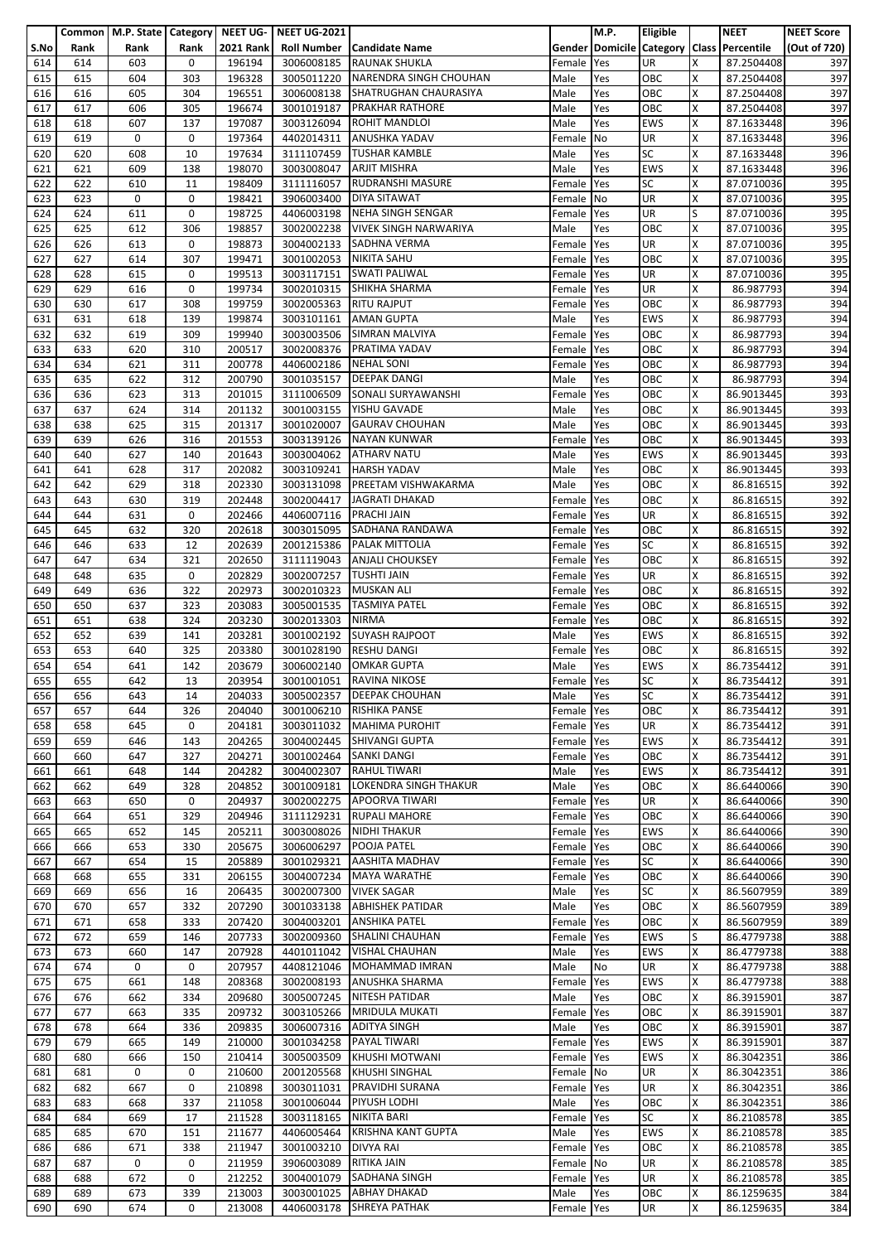|      |      |      |      |                  | Common   M.P. State   Category   NEET UG-   NEET UG-2021 |                              |            | M.P. | Eligible   |   | <b>NEET</b>                               | <b>NEET Score</b> |
|------|------|------|------|------------------|----------------------------------------------------------|------------------------------|------------|------|------------|---|-------------------------------------------|-------------------|
| S.No | Rank | Rank | Rank | <b>2021 Rank</b> |                                                          | Roll Number   Candidate Name |            |      |            |   | Gender Domicile Category Class Percentile | (Out of 720)      |
| 614  | 614  | 603  | 0    | 196194           | 3006008185                                               | <b>RAUNAK SHUKLA</b>         | Female     | Yes  | <b>UR</b>  | x | 87.2504408                                | 397               |
|      |      |      |      |                  |                                                          |                              |            |      |            |   |                                           |                   |
| 615  | 615  | 604  | 303  | 196328           | 3005011220                                               | NARENDRA SINGH CHOUHAN       | Male       | Yes  | OBC        | X | 87.2504408                                | 397               |
| 616  | 616  | 605  | 304  | 196551           | 3006008138                                               | SHATRUGHAN CHAURASIYA        | Male       | Yes  | OBC        | Χ | 87.2504408                                | 397               |
| 617  | 617  | 606  | 305  | 196674           | 3001019187                                               | <b>PRAKHAR RATHORE</b>       | Male       | Yes  | OBC        | Χ | 87.2504408                                | 397               |
| 618  | 618  | 607  | 137  | 197087           |                                                          | 3003126094 ROHIT MANDLOI     | Male       | Yes  | <b>EWS</b> | X | 87.1633448                                | 396               |
| 619  | 619  | 0    | 0    | 197364           | 4402014311                                               | <b>ANUSHKA YADAV</b>         | Female     | No   | UR         | X | 87.1633448                                | 396               |
| 620  | 620  | 608  | 10   | 197634           | 3111107459                                               | <b>TUSHAR KAMBLE</b>         | Male       | Yes  | <b>SC</b>  | x | 87.1633448                                | 396               |
|      |      |      |      |                  |                                                          |                              |            |      |            |   |                                           |                   |
| 621  | 621  | 609  | 138  | 198070           |                                                          | 3003008047 ARJIT MISHRA      | Male       | Yes  | <b>EWS</b> | x | 87.1633448                                | 396               |
| 622  | 622  | 610  | 11   | 198409           | 3111116057                                               | <b>RUDRANSHI MASURE</b>      | Female     | Yes  | <b>SC</b>  | X | 87.0710036                                | 395               |
| 623  | 623  | 0    | 0    | 198421           | 3906003400                                               | <b>DIYA SITAWAT</b>          | Female     | No   | UR         | X | 87.0710036                                | 395               |
| 624  | 624  | 611  | 0    | 198725           | 4406003198                                               | NEHA SINGH SENGAR            | Female     | Yes  | <b>UR</b>  | S | 87.0710036                                | 395               |
| 625  | 625  | 612  | 306  | 198857           | 3002002238                                               | <b>VIVEK SINGH NARWARIYA</b> | Male       | Yes  | OBC        | X | 87.0710036                                | 395               |
| 626  | 626  | 613  | 0    | 198873           | 3004002133                                               | SADHNA VERMA                 | Female     | Yes  | UR         | x | 87.0710036                                | 395               |
|      |      |      |      |                  |                                                          |                              |            |      |            |   |                                           |                   |
| 627  | 627  | 614  | 307  | 199471           | 3001002053                                               | <b>NIKITA SAHU</b>           | Female     | Yes  | OBC        | Χ | 87.0710036                                | 395               |
| 628  | 628  | 615  | 0    | 199513           | 3003117151                                               | <b>SWATI PALIWAL</b>         | Female     | Yes  | UR         | X | 87.0710036                                | 395               |
| 629  | 629  | 616  | 0    | 199734           | 3002010315                                               | SHIKHA SHARMA                | Female Yes |      | UR         | Χ | 86.987793                                 | 394               |
| 630  | 630  | 617  | 308  | 199759           | 3002005363                                               | <b>RITU RAJPUT</b>           | Female     | Yes  | OBC        | x | 86.987793                                 | 394               |
| 631  | 631  | 618  | 139  | 199874           |                                                          | 3003101161 AMAN GUPTA        | Male       | Yes  | <b>EWS</b> | x | 86.987793                                 | 394               |
|      |      | 619  | 309  | 199940           |                                                          | <b>SIMRAN MALVIYA</b>        |            |      | OBC        | Χ |                                           |                   |
| 632  | 632  |      |      |                  | 3003003506                                               |                              | Female     | Yes  |            |   | 86.987793                                 | 394               |
| 633  | 633  | 620  | 310  | 200517           | 3002008376                                               | PRATIMA YADAV                | Female     | Yes  | OBC        | X | 86.987793                                 | 394               |
| 634  | 634  | 621  | 311  | 200778           | 4406002186                                               | <b>NEHAL SONI</b>            | Female     | Yes  | OBC        | x | 86.987793                                 | 394               |
| 635  | 635  | 622  | 312  | 200790           | 3001035157                                               | <b>DEEPAK DANGI</b>          | Male       | Yes  | OBC        | X | 86.987793                                 | 394               |
| 636  | 636  | 623  | 313  | 201015           | 3111006509                                               | <b>SONALI SURYAWANSHI</b>    | Female     | Yes  | OBC        | X | 86.9013445                                | 393               |
| 637  | 637  | 624  | 314  | 201132           | 3001003155                                               | YISHU GAVADE                 | Male       | Yes  | OBC        | x | 86.9013445                                | 393               |
|      |      |      |      |                  |                                                          |                              |            |      |            |   |                                           |                   |
| 638  | 638  | 625  | 315  | 201317           | 3001020007                                               | <b>GAURAV CHOUHAN</b>        | Male       | Yes  | OBC        | X | 86.9013445                                | 393               |
| 639  | 639  | 626  | 316  | 201553           | 3003139126                                               | <b>NAYAN KUNWAR</b>          | Female     | Yes  | OBC        | X | 86.9013445                                | 393               |
| 640  | 640  | 627  | 140  | 201643           | 3003004062                                               | <b>ATHARV NATU</b>           | Male       | Yes  | <b>EWS</b> | X | 86.9013445                                | 393               |
| 641  | 641  | 628  | 317  | 202082           |                                                          | 3003109241 HARSH YADAV       | Male       | Yes  | OBC        | x | 86.9013445                                | 393               |
| 642  | 642  | 629  | 318  | 202330           | 3003131098                                               | <b>PREETAM VISHWAKARMA</b>   | Male       | Yes  | OBC        | Χ | 86.816515                                 | 392               |
| 643  | 643  | 630  | 319  | 202448           | 3002004417                                               | <b>JAGRATI DHAKAD</b>        | Female     | Yes  | OBC        | X | 86.816515                                 | 392               |
|      |      |      |      |                  |                                                          |                              |            |      |            |   |                                           |                   |
| 644  | 644  | 631  | 0    | 202466           | 4406007116                                               | <b>PRACHI JAIN</b>           | Female     | Yes  | UR         | X | 86.816515                                 | 392               |
| 645  | 645  | 632  | 320  | 202618           | 3003015095                                               | SADHANA RANDAWA              | Female     | Yes  | OBC        | x | 86.816515                                 | 392               |
| 646  | 646  | 633  | 12   | 202639           | 2001215386                                               | <b>PALAK MITTOLIA</b>        | Female     | Yes  | SC         | X | 86.816515                                 | 392               |
| 647  | 647  | 634  | 321  | 202650           | 3111119043                                               | <b>ANJALI CHOUKSEY</b>       | Female     | Yes  | OBC        | Χ | 86.816515                                 | 392               |
| 648  | 648  | 635  | 0    | 202829           | 3002007257                                               | <b>TUSHTI JAIN</b>           | Female     | Yes  | UR         | X | 86.816515                                 | 392               |
| 649  | 649  | 636  | 322  | 202973           | 3002010323                                               | <b>MUSKAN ALI</b>            | Female     | Yes  | OBC        | Χ | 86.816515                                 | 392               |
|      |      |      |      |                  |                                                          |                              |            |      |            |   |                                           |                   |
| 650  | 650  | 637  | 323  | 203083           | 3005001535                                               | <b>TASMIYA PATEL</b>         | Female     | Yes  | OBC        | X | 86.816515                                 | 392               |
| 651  | 651  | 638  | 324  | 203230           | 3002013303                                               | <b>NIRMA</b>                 | Female     | Yes  | OBC        | x | 86.816515                                 | 392               |
| 652  | 652  | 639  | 141  | 203281           | 3001002192                                               | <b>SUYASH RAJPOOT</b>        | Male       | Yes  | <b>EWS</b> | Χ | 86.816515                                 | 392               |
| 653  | 653  | 640  | 325  | 203380           | 3001028190                                               | <b>RESHU DANGI</b>           | Female     | Yes  | OBC        | X | 86.816515                                 | 392               |
| 654  | 654  | 641  | 142  | 203679           | 3006002140                                               | <b>OMKAR GUPTA</b>           | Male       | Yes  | <b>EWS</b> | X | 86.7354412                                | 391               |
|      |      |      |      |                  |                                                          | 3001001051 RAVINA NIKOSE     |            |      | SC         | X |                                           | 391               |
| 655  | 655  | 642  | 13   | 203954           |                                                          |                              | Female Yes |      |            |   | 86.7354412                                |                   |
| 656  | 656  | 643  | 14   | 204033           |                                                          | 3005002357 DEEPAK CHOUHAN    | Male       | Yes  | <b>SC</b>  | X | 86.7354412                                | 391               |
| 657  | 657  | 644  | 326  | 204040           | 3001006210                                               | <b>RISHIKA PANSE</b>         | Female     | Yes  | OBC        | Χ | 86.7354412                                | 391               |
| 658  | 658  | 645  | 0    | 204181           | 3003011032                                               | <b>MAHIMA PUROHIT</b>        | Female     | Yes  | <b>UR</b>  | x | 86.7354412                                | 391               |
| 659  | 659  | 646  | 143  | 204265           | 3004002445                                               | <b>SHIVANGI GUPTA</b>        | Female     | Yes  | <b>EWS</b> | X | 86.7354412                                | 391               |
| 660  | 660  | 647  | 327  | 204271           | 3001002464                                               | <b>SANKI DANGI</b>           | Female     | Yes  | OBC        | X | 86.7354412                                | 391               |
|      |      |      |      |                  |                                                          | <b>RAHUL TIWARI</b>          |            |      | <b>EWS</b> |   |                                           |                   |
| 661  | 661  | 648  | 144  | 204282           | 3004002307                                               |                              | Male       | Yes  |            | X | 86.7354412                                | 391               |
| 662  | 662  | 649  | 328  | 204852           | 3001009181                                               | <b>LOKENDRA SINGH THAKUR</b> | Male       | Yes  | OBC        | X | 86.6440066                                | 390               |
| 663  | 663  | 650  | 0    | 204937           | 3002002275                                               | <b>APOORVA TIWARI</b>        | Female     | Yes  | <b>UR</b>  | x | 86.6440066                                | 390               |
| 664  | 664  | 651  | 329  | 204946           | 3111129231                                               | <b>RUPALI MAHORE</b>         | Female     | Yes  | OBC        | Χ | 86.6440066                                | 390               |
| 665  | 665  | 652  | 145  | 205211           | 3003008026                                               | <b>NIDHI THAKUR</b>          | Female     | Yes  | <b>EWS</b> | X | 86.6440066                                | 390               |
| 666  | 666  | 653  | 330  | 205675           | 3006006297                                               | POOJA PATEL                  | Female     | Yes  | OBC        | Χ | 86.6440066                                | 390               |
| 667  | 667  | 654  | 15   | 205889           | 3001029321                                               | <b>AASHITA MADHAV</b>        | Female     | Yes  | <b>SC</b>  | X | 86.6440066                                | 390               |
|      |      |      |      |                  |                                                          |                              |            |      |            |   |                                           |                   |
| 668  | 668  | 655  | 331  | 206155           |                                                          | 3004007234 MAYA WARATHE      | Female     | Yes  | OBC        | x | 86.6440066                                | 390               |
| 669  | 669  | 656  | 16   | 206435           | 3002007300                                               | <b>VIVEK SAGAR</b>           | Male       | Yes  | <b>SC</b>  | X | 86.5607959                                | 389               |
| 670  | 670  | 657  | 332  | 207290           | 3001033138                                               | <b>ABHISHEK PATIDAR</b>      | Male       | Yes  | OBC        | X | 86.5607959                                | 389               |
| 671  | 671  | 658  | 333  | 207420           | 3004003201                                               | <b>ANSHIKA PATEL</b>         | Female     | Yes  | OBC        | x | 86.5607959                                | 389               |
| 672  | 672  | 659  | 146  | 207733           | 3002009360                                               | SHALINI CHAUHAN              | Female     | Yes  | <b>EWS</b> | S | 86.4779738                                | 388               |
| 673  | 673  | 660  | 147  | 207928           | 4401011042                                               | <b>VISHAL CHAUHAN</b>        | Male       | Yes  | <b>EWS</b> | x | 86.4779738                                | 388               |
|      | 674  | 0    | 0    | 207957           | 4408121046                                               | <b>MOHAMMAD IMRAN</b>        |            | No   | <b>UR</b>  | Χ | 86.4779738                                | 388               |
| 674  |      |      |      |                  |                                                          |                              | Male       |      |            |   |                                           |                   |
| 675  | 675  | 661  | 148  | 208368           | 3002008193                                               | <b>ANUSHKA SHARMA</b>        | Female     | Yes  | EWS        | x | 86.4779738                                | 388               |
| 676  | 676  | 662  | 334  | 209680           | 3005007245                                               | <b>NITESH PATIDAR</b>        | Male       | Yes  | OBC        | X | 86.3915901                                | 387               |
| 677  | 677  | 663  | 335  | 209732           | 3003105266                                               | <b>MRIDULA MUKATI</b>        | Female     | Yes  | OBC        | X | 86.3915901                                | 387               |
| 678  | 678  | 664  | 336  | 209835           | 3006007316                                               | <b>ADITYA SINGH</b>          | Male       | Yes  | OBC        | x | 86.3915901                                | 387               |
| 679  | 679  | 665  | 149  | 210000           | 3001034258                                               | PAYAL TIWARI                 | Female     | Yes  | <b>EWS</b> | X | 86.3915901                                | 387               |
| 680  | 680  | 666  | 150  | 210414           | 3005003509                                               | <b>KHUSHI MOTWANI</b>        | Female     | Yes  | <b>EWS</b> | X | 86.3042351                                | 386               |
|      |      |      |      |                  |                                                          |                              |            |      |            |   |                                           |                   |
| 681  | 681  | 0    | 0    | 210600           | 2001205568                                               | <b>KHUSHI SINGHAL</b>        | Female No  |      | <b>UR</b>  | x | 86.3042351                                | 386               |
| 682  | 682  | 667  | 0    | 210898           | 3003011031                                               | <b>PRAVIDHI SURANA</b>       | Female     | Yes  | UR         | X | 86.3042351                                | 386               |
| 683  | 683  | 668  | 337  | 211058           | 3001006044                                               | PIYUSH LODHI                 | Male       | Yes  | OBC        | x | 86.3042351                                | 386               |
| 684  | 684  | 669  | 17   | 211528           | 3003118165                                               | <b>NIKITA BARI</b>           | Female     | Yes  | <b>SC</b>  | Χ | 86.2108578                                | 385               |
| 685  | 685  | 670  | 151  | 211677           | 4406005464                                               | <b>KRISHNA KANT GUPTA</b>    | Male       | Yes  | EWS        | x | 86.2108578                                | 385               |
|      |      | 671  |      |                  |                                                          | <b>DIVYA RAI</b>             |            |      | OBC        | x |                                           |                   |
| 686  | 686  |      | 338  | 211947           | 3001003210                                               |                              | Female     | Yes  |            |   | 86.2108578                                | 385               |
| 687  | 687  | 0    | 0    | 211959           | 3906003089                                               | RITIKA JAIN                  | Female     | No   | UR         | X | 86.2108578                                | 385               |
| 688  | 688  | 672  | 0    | 212252           | 3004001079                                               | <b>SADHANA SINGH</b>         | Female     | Yes  | UR         | x | 86.2108578                                | 385               |
| 689  | 689  | 673  | 339  | 213003           | 3003001025                                               | <b>ABHAY DHAKAD</b>          | Male       | Yes  | OBC        | X | 86.1259635                                | 384               |
| 690  | 690  | 674  | 0    | 213008           | 4406003178                                               | <b>SHREYA PATHAK</b>         | Female Yes |      | UR         | X | 86.1259635                                | 384               |
|      |      |      |      |                  |                                                          |                              |            |      |            |   |                                           |                   |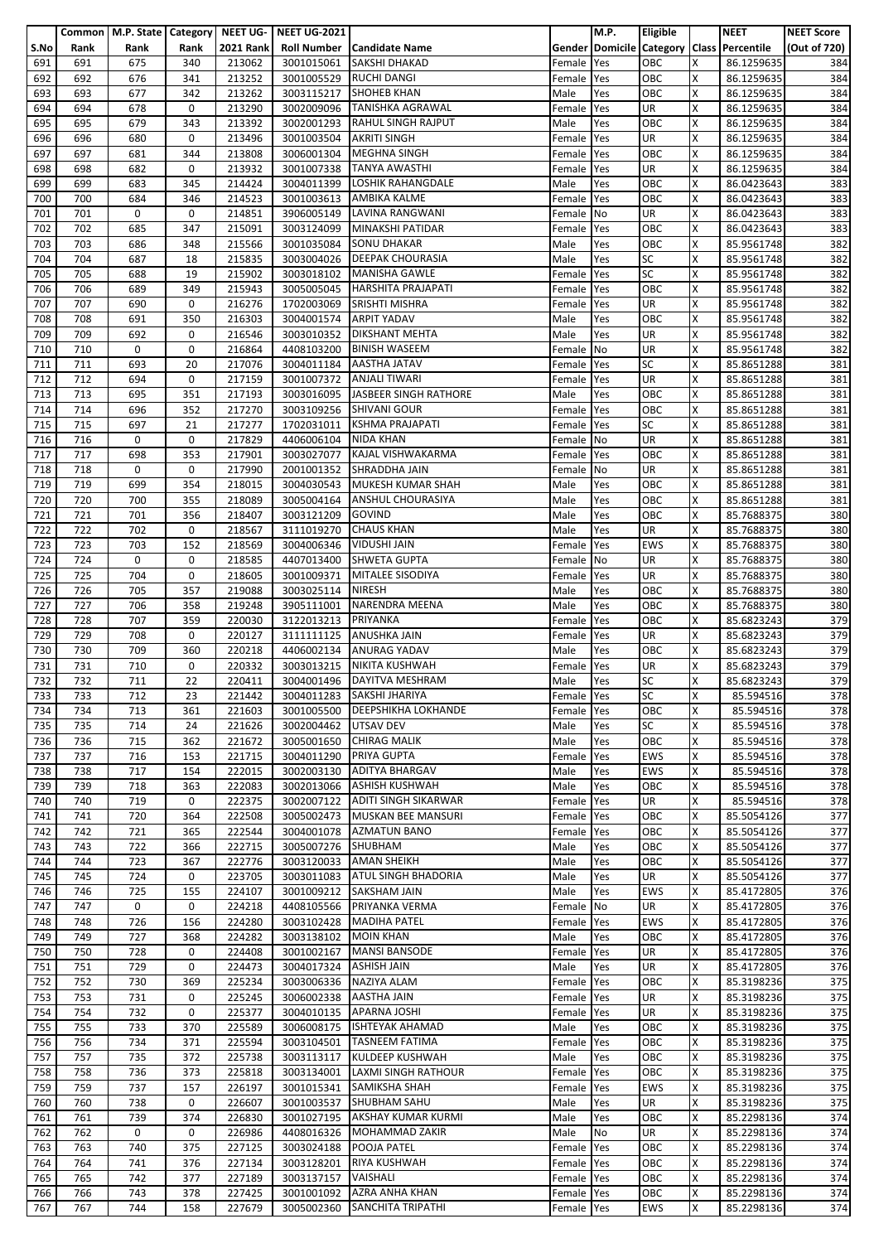|            |            | Common   M.P. State   Category   NEET UG- |             |                  | <b>NEET UG-2021</b>      |                                                  |                  | <b>M.P.</b> | <b>Eligible</b>          |        | <b>NEET</b>                               | <b>NEET Score</b> |
|------------|------------|-------------------------------------------|-------------|------------------|--------------------------|--------------------------------------------------|------------------|-------------|--------------------------|--------|-------------------------------------------|-------------------|
| S.No       | Rank       | Rank                                      | Rank        | <b>2021 Rank</b> |                          | Roll Number   Candidate Name                     |                  |             |                          |        | Gender Domicile Category Class Percentile | (Out of 720)      |
| 691        | 691        | 675                                       | 340         | 213062           | 3001015061               | SAKSHI DHAKAD                                    | Female           | Yes         | OBC                      | X      | 86.1259635                                | 384               |
| 692        | 692        | 676                                       | 341         | 213252           | 3001005529               | <b>RUCHI DANGI</b>                               | Female           | Yes         | OBC                      | x      | 86.1259635                                | 384               |
| 693        | 693        | 677                                       | 342         | 213262           | 3003115217               | <b>SHOHEB KHAN</b>                               | Male             | Yes         | OBC                      | x      | 86.1259635                                | 384               |
| 694        | 694        | 678                                       | 0           | 213290           | 3002009096               | <b>TANISHKA AGRAWAL</b>                          | Female           | Yes         | UR                       | Χ<br>x | 86.1259635                                | 384               |
| 695        | 695<br>696 | 679<br>680                                | 343<br>0    | 213392<br>213496 | 3002001293<br>3001003504 | <b>RAHUL SINGH RAJPUT</b><br><b>AKRITI SINGH</b> | Male             | Yes         | OBC<br><b>UR</b>         | X      | 86.1259635<br>86.1259635                  | 384<br>384        |
| 696<br>697 | 697        | 681                                       | 344         | 213808           | 3006001304               | <b>MEGHNA SINGH</b>                              | Female<br>Female | Yes<br>Yes  | OBC                      | x      | 86.1259635                                | 384               |
| 698        | 698        | 682                                       | 0           | 213932           | 3001007338               | <b>TANYA AWASTHI</b>                             | Female           | Yes         | UR                       | x      | 86.1259635                                | 384               |
| 699        | 699        | 683                                       | 345         | 214424           | 3004011399               | <b>LOSHIK RAHANGDALE</b>                         | Male             | Yes         | OBC                      | Χ      | 86.0423643                                | 383               |
| 700        | 700        | 684                                       | 346         | 214523           | 3001003613               | AMBIKA KALME                                     | Female           | Yes         | OBC                      | x      | 86.0423643                                | 383               |
| 701        | 701        | 0                                         | 0           | 214851           | 3906005149               | LAVINA RANGWANI                                  | Female           | No          | UR                       | x      | 86.0423643                                | 383               |
| 702        | 702        | 685                                       | 347         | 215091           | 3003124099               | <b>MINAKSHI PATIDAR</b>                          | Female           | Yes         | OBC                      | x      | 86.0423643                                | 383               |
| 703        | 703        | 686                                       | 348         | 215566           | 3001035084               | <b>SONU DHAKAR</b>                               | Male             | Yes         | OBC                      | x      | 85.9561748                                | 382               |
| 704        | 704        | 687                                       | 18          | 215835           | 3003004026               | <b>DEEPAK CHOURASIA</b>                          | Male             | Yes         | <b>SC</b>                | X      | 85.9561748                                | 382               |
| 705        | 705        | 688                                       | 19          | 215902           | 3003018102               | <b>MANISHA GAWLE</b>                             | Female           | Yes         | <b>SC</b>                | x      | 85.9561748                                | 382               |
| 706        | 706        | 689                                       | 349         | 215943           | 3005005045               | <b>HARSHITA PRAJAPATI</b>                        | Female           | Yes         | OBC                      | Χ      | 85.9561748                                | 382               |
| 707        | 707        | 690                                       | 0           | 216276           | 1702003069               | SRISHTI MISHRA                                   | Female           | Yes         | UR                       | X      | 85.9561748                                | 382               |
| 708        | 708        | 691                                       | 350         | 216303           | 3004001574 ARPIT YADAV   |                                                  | Male             | Yes         | OBC                      | X      | 85.9561748                                | 382               |
| 709        | 709        | 692                                       | 0           | 216546           | 3003010352               | <b>DIKSHANT MEHTA</b>                            | Male             | Yes         | UR                       | X      | 85.9561748                                | 382               |
| 710        | 710        | 0                                         | 0           | 216864           | 4408103200               | <b>BINISH WASEEM</b>                             | Female           | No          | UR                       | X      | 85.9561748                                | 382               |
| 711        | 711        | 693                                       | 20          | 217076           |                          | 3004011184 AASTHA JATAV                          | Female           | Yes         | SC                       | X      | 85.8651288                                | 381               |
| 712        | 712        | 694                                       | 0           | 217159           | 3001007372               | <b>ANJALI TIWARI</b>                             | Female           | Yes         | UR                       | X      | 85.8651288                                | 381               |
| 713        | 713        | 695                                       | 351         | 217193           | 3003016095               | JASBEER SINGH RATHORE                            | Male             | Yes         | OBC                      | X      | 85.8651288                                | 381               |
| 714        | 714        | 696                                       | 352         | 217270           | 3003109256               | <b>SHIVANI GOUR</b>                              | Female           | Yes         | OBC                      | x      | 85.8651288                                | 381               |
| 715        | 715        | 697                                       | 21          | 217277           | 1702031011               | <b>KSHMA PRAJAPATI</b>                           | Female           | Yes         | SC                       | x      | 85.8651288                                | 381               |
| 716        | 716        | 0                                         | 0           | 217829           | 4406006104               | <b>NIDA KHAN</b>                                 | Female           | No          | UR                       | Χ      | 85.8651288                                | 381               |
| 717        | 717<br>718 | 698<br>0                                  | 353<br>0    | 217901           | 3003027077               | KAJAL VISHWAKARMA                                | Female           | Yes         | OBC<br>UR                | X<br>x | 85.8651288                                | 381               |
| 718<br>719 | 719        | 699                                       | 354         | 217990<br>218015 | 3004030543               | 2001001352 SHRADDHA JAIN<br>MUKESH KUMAR SHAH    | Female<br>Male   | No<br>Yes   | OBC                      | Χ      | 85.8651288<br>85.8651288                  | 381<br>381        |
| 720        | 720        | 700                                       | 355         | 218089           | 3005004164               | <b>ANSHUL CHOURASIYA</b>                         | Male             | Yes         | OBC                      | X      | 85.8651288                                | 381               |
| 721        | 721        | 701                                       | 356         | 218407           | 3003121209               | <b>GOVIND</b>                                    | Male             | Yes         | OBC                      | x      | 85.7688375                                | 380               |
| 722        | 722        | 702                                       | 0           | 218567           | 3111019270               | <b>CHAUS KHAN</b>                                | Male             | Yes         | UR                       | X      | 85.7688375                                | 380               |
| 723        | 723        | 703                                       | 152         | 218569           | 3004006346               | <b>VIDUSHI JAIN</b>                              | Female           | Yes         | <b>EWS</b>               | X      | 85.7688375                                | 380               |
| 724        | 724        | 0                                         | 0           | 218585           | 4407013400               | <b>SHWETA GUPTA</b>                              | Female           | No          | UR                       | X      | 85.7688375                                | 380               |
| 725        | 725        | 704                                       | 0           | 218605           | 3001009371               | MITALEE SISODIYA                                 | Female           | Yes         | UR                       | x      | 85.7688375                                | 380               |
| 726        | 726        | 705                                       | 357         | 219088           | 3003025114               | <b>NIRESH</b>                                    | Male             | Yes         | OBC                      | X      | 85.7688375                                | 380               |
| 727        | 727        | 706                                       | 358         | 219248           | 3905111001               | NARENDRA MEENA                                   | Male             | Yes         | OBC                      | X      | 85.7688375                                | 380               |
| 728        | 728        | 707                                       | 359         | 220030           | 3122013213               | PRIYANKA                                         | Female           | Yes         | OBC                      | X      | 85.6823243                                | 379               |
| 729        | 729        | 708                                       | 0           | 220127           | 3111111125               | <b>ANUSHKA JAIN</b>                              | Female           | Yes         | UR                       | X      | 85.6823243                                | 379               |
| 730        | 730        | 709                                       | 360         | 220218           | 4406002134               | <b>ANURAG YADAV</b>                              | Male             | Yes         | OBC                      | X      | 85.6823243                                | 379               |
| 731        | 731        | 710                                       | 0           | 220332           | 3003013215               | <b>NIKITA KUSHWAH</b>                            | Female           | Yes         | UR                       | x      | 85.6823243                                | 379               |
| 732        | 732        | 711                                       | 22          | 220411           |                          | 3004001496 DAYITVA MESHRAM                       | Male             | Yes         | SC                       | X      | 85.6823243                                | 379               |
| 733        | 733        | 712                                       | 23          | 221442           |                          | 3004011283 SAKSHI JHARIYA                        | Female Yes       |             | <b>SC</b>                | X      | 85.594516                                 | 378               |
| 734        | 734        | 713                                       | 361         | 221603           | 3001005500               | <b>DEEPSHIKHA LOKHANDE</b>                       | Female           | Yes         | OBC                      | Χ      | 85.594516                                 | 378               |
| 735        | 735        | 714                                       | 24          | 221626           | 3002004462 UTSAV DEV     |                                                  | Male             | Yes         | SC                       | X      | 85.594516                                 | 378               |
| 736        | 736        | 715                                       | 362         | 221672           | 3005001650               | <b>CHIRAG MALIK</b><br>PRIYA GUPTA               | Male             | Yes         | OBC                      | Χ      | 85.594516                                 | 378               |
| 737<br>738 | 737<br>738 | 716<br>717                                | 153<br>154  | 221715<br>222015 | 3004011290<br>3002003130 | <b>ADITYA BHARGAV</b>                            | Female           | Yes         | <b>EWS</b><br><b>EWS</b> | X<br>X | 85.594516                                 | 378<br>378        |
| 739        | 739        | 718                                       | 363         | 222083           | 3002013066               | <b>ASHISH KUSHWAH</b>                            | Male<br>Male     | Yes<br>Yes  | OBC                      | X      | 85.594516<br>85.594516                    | 378               |
| 740        | 740        | 719                                       | 0           | 222375           | 3002007122               | ADITI SINGH SIKARWAR                             | Female           | Yes         | UR                       | X      | 85.594516                                 | 378               |
| 741        | 741        | 720                                       | 364         | 222508           | 3005002473               | MUSKAN BEE MANSURI                               | Female           | Yes         | OBC                      | x      | 85.5054126                                | 377               |
| 742        | 742        | 721                                       | 365         | 222544           | 3004001078               | <b>AZMATUN BANO</b>                              | Female           | Yes         | OBC                      | X      | 85.5054126                                | 377               |
| 743        | 743        | 722                                       | 366         | 222715           | 3005007276               | SHUBHAM                                          | Male             | Yes         | OBC                      | x      | 85.5054126                                | 377               |
| 744        | 744        | 723                                       | 367         | 222776           | 3003120033               | <b>AMAN SHEIKH</b>                               | Male             | Yes         | OBC                      | X      | 85.5054126                                | 377               |
| 745        | 745        | 724                                       | $\mathbf 0$ | 223705           |                          | 3003011083 ATUL SINGH BHADORIA                   | Male             | Yes         | UR                       | X      | 85.5054126                                | 377               |
| 746        | 746        | 725                                       | 155         | 224107           | 3001009212               | <b>SAKSHAM JAIN</b>                              | Male             | Yes         | <b>EWS</b>               | X      | 85.4172805                                | 376               |
| 747        | 747        | 0                                         | 0           | 224218           | 4408105566               | PRIYANKA VERMA                                   | Female           | No          | UR                       | X      | 85.4172805                                | 376               |
| 748        | 748        | 726                                       | 156         | 224280           | 3003102428               | <b>MADIHA PATEL</b>                              | Female           | Yes         | <b>EWS</b>               | X      | 85.4172805                                | 376               |
| 749        | 749        | 727                                       | 368         | 224282           | 3003138102               | <b>MOIN KHAN</b>                                 | Male             | Yes         | OBC                      | X      | 85.4172805                                | 376               |
| 750        | 750        | 728                                       | 0           | 224408           | 3001002167               | <b>MANSI BANSODE</b>                             | Female           | Yes         | UR                       | X      | 85.4172805                                | 376               |
| 751        | 751        | 729                                       | 0           | 224473           | 3004017324               | <b>ASHISH JAIN</b>                               | Male             | Yes         | UR                       | x      | 85.4172805                                | 376               |
| 752        | 752        | 730                                       | 369         | 225234           | 3003006336               | NAZIYA ALAM                                      | Female           | Yes         | OBC                      | X      | 85.3198236                                | 375               |
| 753        | 753        | 731                                       | 0<br>0      | 225245<br>225377 | 3006002338               | <b>AASTHA JAIN</b><br><b>APARNA JOSHI</b>        | Female           | Yes         | UR<br>UR                 | X      | 85.3198236                                | 375               |
| 754<br>755 | 754<br>755 | 732<br>733                                | 370         | 225589           | 3004010135<br>3006008175 | <b>ISHTEYAK AHAMAD</b>                           | Female<br>Male   | Yes<br>Yes  | OBC                      | X<br>x | 85.3198236<br>85.3198236                  | 375<br>375        |
| 756        | 756        | 734                                       | 371         | 225594           | 3003104501               | <b>TASNEEM FATIMA</b>                            | Female Yes       |             | OBC                      | X      | 85.3198236                                | 375               |
| 757        | 757        | 735                                       | 372         | 225738           | 3003113117               | KULDEEP KUSHWAH                                  | Male             | Yes         | OBC                      | X      | 85.3198236                                | 375               |
| 758        | 758        | 736                                       | 373         | 225818           | 3003134001               | LAXMI SINGH RATHOUR                              | Female           | Yes         | OBC                      | X      | 85.3198236                                | 375               |
| 759        | 759        | 737                                       | 157         | 226197           | 3001015341               | <b>SAMIKSHA SHAH</b>                             | Female Yes       |             | <b>EWS</b>               | x      | 85.3198236                                | 375               |
| 760        | 760        | 738                                       | 0           | 226607           | 3001003537               | SHUBHAM SAHU                                     | Male             | Yes         | UR                       | X      | 85.3198236                                | 375               |
| 761        | 761        | 739                                       | 374         | 226830           | 3001027195               | AKSHAY KUMAR KURMI                               | Male             | Yes         | OBC                      | x      | 85.2298136                                | 374               |
| 762        | 762        | 0                                         | 0           | 226986           | 4408016326               | MOHAMMAD ZAKIR                                   | Male             | No          | UR                       | X      | 85.2298136                                | 374               |
| 763        | 763        | 740                                       | 375         | 227125           | 3003024188               | POOJA PATEL                                      | Female           | Yes         | OBC                      | X      | 85.2298136                                | 374               |
| 764        | 764        | 741                                       | 376         | 227134           | 3003128201               | RIYA KUSHWAH                                     | Female           | Yes         | OBC                      | X      | 85.2298136                                | 374               |
| 765        | 765        | 742                                       | 377         | 227189           | 3003137157               | VAISHALI                                         | Female Yes       |             | OBC                      | x      | 85.2298136                                | 374               |
| 766        | 766        | 743                                       | 378         | 227425           | 3001001092               | <b>AZRA ANHA KHAN</b>                            | Female Yes       |             | OBC                      | x      | 85.2298136                                | 374               |
| 767        | 767        | 744                                       | 158         | 227679           | 3005002360               | SANCHITA TRIPATHI                                | Female Yes       |             | EWS                      | X      | 85.2298136                                | 374               |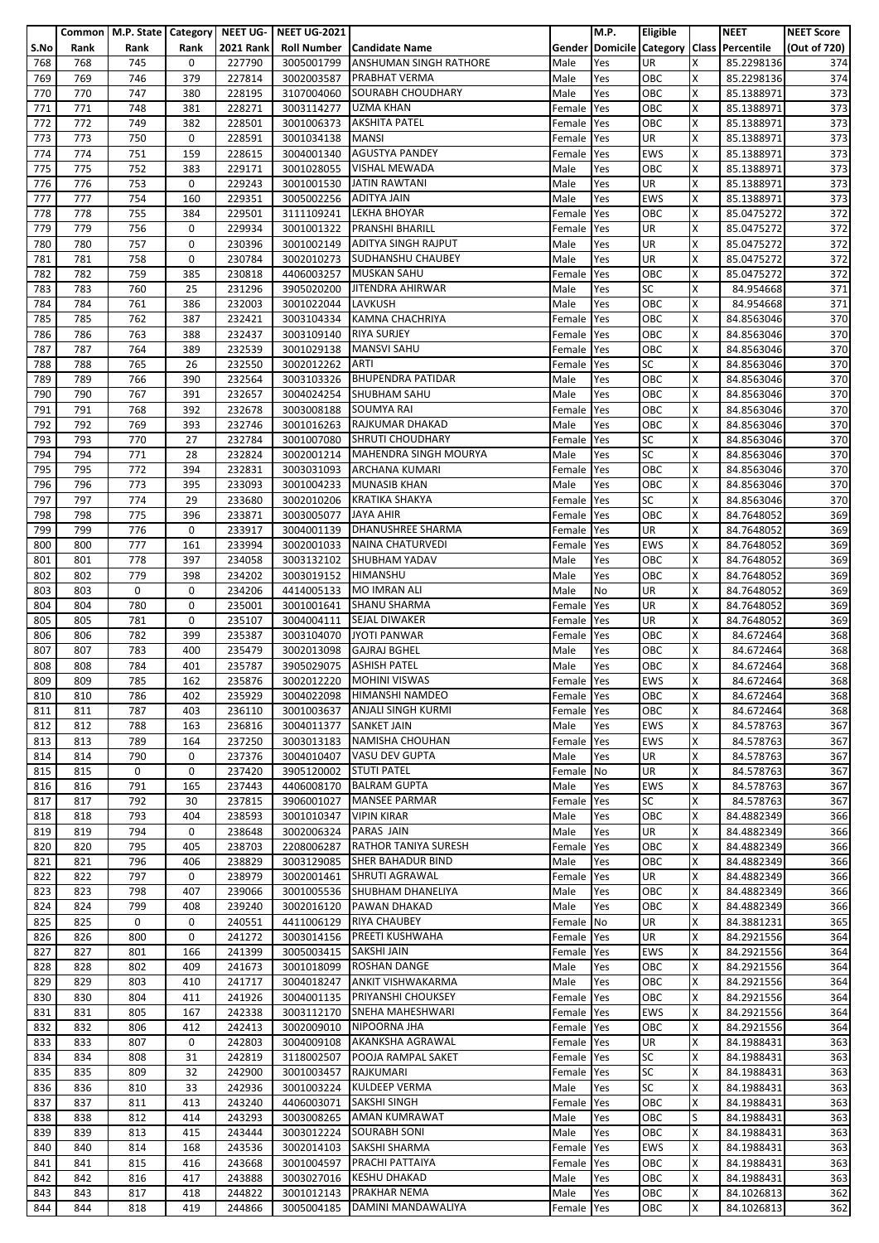|      |      | Common   M.P. State   Category   NEET UG- |      |                  | <b>NEET UG-2021</b> |                                   |            | M.P. | Eligible   |   | <b>NEET</b>                               | <b>NEET Score</b> |
|------|------|-------------------------------------------|------|------------------|---------------------|-----------------------------------|------------|------|------------|---|-------------------------------------------|-------------------|
|      |      |                                           |      | <b>2021 Rank</b> |                     |                                   |            |      |            |   |                                           |                   |
| S.No | Rank | Rank                                      | Rank |                  |                     | <b>Roll Number Candidate Name</b> |            |      |            |   | Gender Domicile Category Class Percentile | (Out of 720)      |
| 768  | 768  | 745                                       | 0    | 227790           | 3005001799          | ANSHUMAN SINGH RATHORE            | Male       | Yes  | UR         | Χ | 85.2298136                                | 374               |
| 769  | 769  | 746                                       | 379  | 227814           | 3002003587          | <b>PRABHAT VERMA</b>              | Male       | Yes  | OBC        | X | 85.2298136                                | 374               |
| 770  | 770  | 747                                       | 380  | 228195           | 3107004060          | SOURABH CHOUDHARY                 | Male       | Yes  | OBC        | x | 85.1388971                                | 373               |
|      |      |                                           |      |                  |                     |                                   |            |      |            |   |                                           |                   |
| 771  | 771  | 748                                       | 381  | 228271           | 3003114277          | <b>UZMA KHAN</b>                  | Female     | Yes  | OBC        | X | 85.1388971                                | 373               |
| 772  | 772  | 749                                       | 382  | 228501           | 3001006373          | <b>AKSHITA PATEL</b>              | Female     | Yes  | OBC        | X | 85.1388971                                | 373               |
| 773  | 773  | 750                                       | 0    | 228591           | 3001034138          | <b>MANSI</b>                      | Female     | Yes  | <b>UR</b>  | X | 85.1388971                                | 373               |
| 774  | 774  | 751                                       | 159  | 228615           | 3004001340          | <b>AGUSTYA PANDEY</b>             | Female     | Yes  | <b>EWS</b> | X | 85.1388971                                | 373               |
|      |      |                                           |      |                  |                     |                                   |            |      |            |   |                                           |                   |
| 775  | 775  | 752                                       | 383  | 229171           | 3001028055          | <b>VISHAL MEWADA</b>              | Male       | Yes  | ОВС        | x | 85.1388971                                | 373               |
| 776  | 776  | 753                                       | 0    | 229243           | 3001001530          | <b>JATIN RAWTANI</b>              | Male       | Yes  | UR         | Χ | 85.1388971                                | 373               |
| 777  | 777  | 754                                       | 160  | 229351           | 3005002256          | <b>ADITYA JAIN</b>                | Male       | Yes  | <b>EWS</b> | X | 85.1388971                                | 373               |
|      |      | 755                                       |      | 229501           | 3111109241          | <b>LEKHA BHOYAR</b>               |            |      | OBC        |   |                                           |                   |
| 778  | 778  |                                           | 384  |                  |                     |                                   | Female     | Yes  |            | X | 85.0475272                                | 372               |
| 779  | 779  | 756                                       | 0    | 229934           | 3001001322          | <b>PRANSHI BHARILL</b>            | Female     | Yes  | UR         | X | 85.0475272                                | 372               |
| 780  | 780  | 757                                       | 0    | 230396           | 3001002149          | <b>ADITYA SINGH RAJPUT</b>        | Male       | Yes  | UR         | x | 85.0475272                                | 372               |
| 781  | 781  | 758                                       | 0    | 230784           | 3002010273          | SUDHANSHU CHAUBEY                 | Male       | Yes  | UR         | X | 85.0475272                                | 372               |
|      |      |                                           |      |                  |                     |                                   |            |      |            |   |                                           |                   |
| 782  | 782  | 759                                       | 385  | 230818           | 4406003257          | <b>MUSKAN SAHU</b>                | Female     | Yes  | OBC        | X | 85.0475272                                | 372               |
| 783  | 783  | 760                                       | 25   | 231296           | 3905020200          | JITENDRA AHIRWAR                  | Male       | Yes  | SC         | X | 84.954668                                 | 371               |
| 784  | 784  | 761                                       | 386  | 232003           | 3001022044          | LAVKUSH                           | Male       | Yes  | OBC        | X | 84.954668                                 | 371               |
|      |      |                                           | 387  |                  | 3003104334          |                                   |            |      |            | x |                                           |                   |
| 785  | 785  | 762                                       |      | 232421           |                     | <b>KAMNA CHACHRIYA</b>            | Female     | Yes  | OBC        |   | 84.8563046                                | 370               |
| 786  | 786  | 763                                       | 388  | 232437           | 3003109140          | <b>RIYA SURJEY</b>                | Female     | Yes  | OBC        | X | 84.8563046                                | 370               |
| 787  | 787  | 764                                       | 389  | 232539           | 3001029138          | <b>MANSVI SAHU</b>                | Female     | Yes  | OBC        | X | 84.8563046                                | 370               |
| 788  | 788  | 765                                       | 26   | 232550           | 3002012262          | <b>ARTI</b>                       | Female     | Yes  | SC         | Χ | 84.8563046                                | 370               |
|      |      |                                           |      |                  |                     |                                   |            |      |            |   |                                           |                   |
| 789  | 789  | 766                                       | 390  | 232564           | 3003103326          | <b>BHUPENDRA PATIDAR</b>          | Male       | Yes  | OBC        | X | 84.8563046                                | 370               |
| 790  | 790  | 767                                       | 391  | 232657           |                     | 3004024254 SHUBHAM SAHU           | Male       | Yes  | OBC        | X | 84.8563046                                | 370               |
| 791  | 791  | 768                                       | 392  | 232678           | 3003008188          | <b>SOUMYA RAI</b>                 | Female     | Yes  | OBC        | X | 84.8563046                                | 370               |
| 792  | 792  | 769                                       | 393  | 232746           | 3001016263          | RAJKUMAR DHAKAD                   | Male       | Yes  | OBC        | X | 84.8563046                                | 370               |
|      |      |                                           |      |                  |                     |                                   |            |      |            |   |                                           |                   |
| 793  | 793  | 770                                       | 27   | 232784           | 3001007080          | <b>SHRUTI CHOUDHARY</b>           | Female Yes |      | <b>SC</b>  | X | 84.8563046                                | 370               |
| 794  | 794  | 771                                       | 28   | 232824           | 3002001214          | MAHENDRA SINGH MOURYA             | Male       | Yes  | <b>SC</b>  | X | 84.8563046                                | 370               |
| 795  | 795  | 772                                       | 394  | 232831           | 3003031093          | <b>ARCHANA KUMARI</b>             | Female     | Yes  | OBC        | X | 84.8563046                                | 370               |
|      |      |                                           |      |                  |                     |                                   |            |      | OBC        |   |                                           |                   |
| 796  | 796  | 773                                       | 395  | 233093           | 3001004233          | <b>MUNASIB KHAN</b>               | Male       | Yes  |            | x | 84.8563046                                | 370               |
| 797  | 797  | 774                                       | 29   | 233680           | 3002010206          | <b>KRATIKA SHAKYA</b>             | Female     | Yes  | <b>SC</b>  | X | 84.8563046                                | 370               |
| 798  | 798  | 775                                       | 396  | 233871           | 3003005077          | <b>JAYA AHIR</b>                  | Female     | Yes  | OBC        | Χ | 84.7648052                                | 369               |
| 799  | 799  | 776                                       | 0    | 233917           | 3004001139          | <b>DHANUSHREE SHARMA</b>          | Female     | Yes  | <b>UR</b>  | x | 84.7648052                                | 369               |
|      |      |                                           |      |                  |                     |                                   |            |      |            |   |                                           |                   |
| 800  | 800  | 777                                       | 161  | 233994           |                     | 3002001033 NAINA CHATURVEDI       | Female     | Yes  | <b>EWS</b> | x | 84.7648052                                | 369               |
| 801  | 801  | 778                                       | 397  | 234058           | 3003132102          | <b>SHUBHAM YADAV</b>              | Male       | Yes  | OBC        | X | 84.7648052                                | 369               |
| 802  | 802  | 779                                       | 398  | 234202           | 3003019152          | <b>HIMANSHU</b>                   | Male       | Yes  | OBC        | X | 84.7648052                                | 369               |
| 803  | 803  | 0                                         | 0    | 234206           | 4414005133          | <b>MO IMRAN ALI</b>               | Male       | No   | UR         | X | 84.7648052                                | 369               |
|      |      |                                           |      |                  |                     |                                   |            |      |            |   |                                           |                   |
| 804  | 804  | 780                                       | 0    | 235001           | 3001001641          | <b>SHANU SHARMA</b>               | Female     | Yes  | UR         | X | 84.7648052                                | 369               |
| 805  | 805  | 781                                       | 0    | 235107           | 3004004111          | <b>SEJAL DIWAKER</b>              | Female     | Yes  | UR         | x | 84.7648052                                | 369               |
| 806  | 806  | 782                                       | 399  | 235387           | 3003104070          | <b>JYOTI PANWAR</b>               | Female     | Yes  | OBC        | Χ | 84.672464                                 | 368               |
|      | 807  | 783                                       | 400  |                  |                     | <b>GAJRAJ BGHEL</b>               |            |      | OBC        | Χ |                                           |                   |
| 807  |      |                                           |      | 235479           | 3002013098          |                                   | Male       | Yes  |            |   | 84.672464                                 | 368               |
| 808  | 808  | 784                                       | 401  | 235787           | 3905029075          | <b>ASHISH PATEL</b>               | Male       | Yes  | OBC        | Χ | 84.672464                                 | 368               |
| 809  | 809  | 785                                       | 162  | 235876           |                     | 3002012220 MOHINI VISWAS          | Female Yes |      | <b>EWS</b> | X | 84.672464                                 | 368               |
| 810  | 810  | 786                                       | 402  | 235929           |                     | 3004022098 HIMANSHI NAMDEO        | Female Yes |      | OBC        | X | 84.672464                                 | 368               |
|      |      |                                           |      |                  |                     |                                   |            |      |            |   |                                           |                   |
| 811  | 811  | 787                                       | 403  | 236110           | 3001003637          | <b>ANJALI SINGH KURMI</b>         | Female     | Yes  | OBC        | X | 84.672464                                 | 368               |
| 812  | 812  | 788                                       | 163  | 236816           | 3004011377          | <b>SANKET JAIN</b>                | Male       | Yes  | <b>EWS</b> | x | 84.578763                                 | 367               |
| 813  | 813  | 789                                       | 164  | 237250           | 3003013183          | NAMISHA CHOUHAN                   | Female Yes |      | <b>EWS</b> | X | 84.578763                                 | 367               |
|      |      |                                           | 0    | 237376           |                     | <b>VASU DEV GUPTA</b>             |            |      | UR         | Χ | 84.578763                                 |                   |
| 814  | 814  | 790                                       |      |                  | 3004010407          |                                   | Male       | Yes  |            |   |                                           | 367               |
| 815  | 815  | 0                                         | 0    | 237420           | 3905120002          | <b>STUTI PATEL</b>                | Female No  |      | UR         | x | 84.578763                                 | 367               |
| 816  | 816  | 791                                       | 165  | 237443           | 4406008170          | <b>BALRAM GUPTA</b>               | Male       | Yes  | <b>EWS</b> | X | 84.578763                                 | 367               |
| 817  | 817  | 792                                       | 30   | 237815           | 3906001027          | <b>MANSEE PARMAR</b>              | Female     | Yes  | <b>SC</b>  | X | 84.578763                                 | 367               |
|      |      |                                           |      |                  |                     | <b>VIPIN KIRAR</b>                |            |      |            |   |                                           |                   |
| 818  | 818  | 793                                       | 404  | 238593           | 3001010347          |                                   | Male       | Yes  | OBC        | Χ | 84.4882349                                | 366               |
| 819  | 819  | 794                                       | 0    | 238648           | 3002006324          | PARAS JAIN                        | Male       | Yes  | UR         | x | 84.4882349                                | 366               |
| 820  | 820  | 795                                       | 405  | 238703           | 2208006287          | <b>RATHOR TANIYA SURESH</b>       | Female     | Yes  | OBC        | X | 84.4882349                                | 366               |
| 821  | 821  | 796                                       | 406  | 238829           | 3003129085          | SHER BAHADUR BIND                 | Male       | Yes  | OBC        | x | 84.4882349                                | 366               |
|      |      |                                           | 0    |                  |                     | 3002001461 SHRUTI AGRAWAL         |            |      |            |   |                                           |                   |
| 822  | 822  | 797                                       |      | 238979           |                     |                                   | Female     | Yes  | UR         | x | 84.4882349                                | 366               |
| 823  | 823  | 798                                       | 407  | 239066           | 3001005536          | SHUBHAM DHANELIYA                 | Male       | Yes  | OBC        | x | 84.4882349                                | 366               |
| 824  | 824  | 799                                       | 408  | 239240           | 3002016120          | PAWAN DHAKAD                      | Male       | Yes  | OBC        | X | 84.4882349                                | 366               |
| 825  | 825  | 0                                         | 0    | 240551           | 4411006129          | <b>RIYA CHAUBEY</b>               | Female No  |      | UR         | X | 84.3881231                                | 365               |
|      | 826  | 800                                       | 0    |                  |                     | PREETI KUSHWAHA                   |            |      | UR         | x |                                           | 364               |
| 826  |      |                                           |      | 241272           | 3003014156          |                                   | Female     | Yes  |            |   | 84.2921556                                |                   |
| 827  | 827  | 801                                       | 166  | 241399           | 3005003415          | <b>SAKSHI JAIN</b>                | Female     | Yes  | <b>EWS</b> | x | 84.2921556                                | 364               |
| 828  | 828  | 802                                       | 409  | 241673           | 3001018099          | ROSHAN DANGE                      | Male       | Yes  | OBC        | X | 84.2921556                                | 364               |
| 829  | 829  | 803                                       | 410  | 241717           | 3004018247          | <b>ANKIT VISHWAKARMA</b>          | Male       | Yes  | OBC        | X | 84.2921556                                | 364               |
|      |      |                                           |      |                  |                     | PRIYANSHI CHOUKSEY                |            |      | OBC        |   |                                           |                   |
| 830  | 830  | 804                                       | 411  | 241926           | 3004001135          |                                   | Female Yes |      |            | x | 84.2921556                                | 364               |
| 831  | 831  | 805                                       | 167  | 242338           | 3003112170          | SNEHA MAHESHWARI                  | Female     | Yes  | EWS        | x | 84.2921556                                | 364               |
| 832  | 832  | 806                                       | 412  | 242413           | 3002009010          | NIPOORNA JHA                      | Female     | Yes  | OBC        | x | 84.2921556                                | 364               |
| 833  | 833  | 807                                       | 0    | 242803           | 3004009108          | <b>AKANKSHA AGRAWAL</b>           | Female Yes |      | UR         | x | 84.1988431                                | 363               |
|      |      |                                           |      |                  |                     |                                   |            |      |            |   |                                           |                   |
| 834  | 834  | 808                                       | 31   | 242819           | 3118002507          | POOJA RAMPAL SAKET                | Female     | Yes  | <b>SC</b>  | x | 84.1988431                                | 363               |
| 835  | 835  | 809                                       | 32   | 242900           | 3001003457          | RAJKUMARI                         | Female     | Yes  | <b>SC</b>  | x | 84.1988431                                | 363               |
| 836  | 836  | 810                                       | 33   | 242936           | 3001003224          | <b>KULDEEP VERMA</b>              | Male       | Yes  | <b>SC</b>  | x | 84.1988431                                | 363               |
| 837  | 837  | 811                                       | 413  | 243240           | 4406003071          | <b>SAKSHI SINGH</b>               | Female     | Yes  | OBC        | x | 84.1988431                                | 363               |
|      |      |                                           |      |                  |                     |                                   |            |      |            |   |                                           |                   |
| 838  | 838  | 812                                       | 414  | 243293           | 3003008265          | AMAN KUMRAWAT                     | Male       | Yes  | OBC        | S | 84.1988431                                | 363               |
| 839  | 839  | 813                                       | 415  | 243444           | 3003012224          | <b>SOURABH SONI</b>               | Male       | Yes  | OBC        | X | 84.1988431                                | 363               |
| 840  | 840  | 814                                       | 168  | 243536           | 3002014103          | SAKSHI SHARMA                     | Female     | Yes  | <b>EWS</b> | x | 84.1988431                                | 363               |
| 841  | 841  | 815                                       | 416  | 243668           | 3001004597          | PRACHI PATTAIYA                   | Female     | Yes  | OBC        | x | 84.1988431                                | 363               |
|      |      |                                           |      |                  |                     |                                   |            |      |            |   |                                           |                   |
| 842  | 842  | 816                                       | 417  | 243888           | 3003027016          | <b>KESHU DHAKAD</b>               | Male       | Yes  | OBC        | x | 84.1988431                                | 363               |
| 843  | 843  | 817                                       | 418  | 244822           | 3001012143          | PRAKHAR NEMA                      | Male       | Yes  | OBC        | X | 84.1026813                                | 362               |
| 844  | 844  | 818                                       | 419  | 244866           | 3005004185          | DAMINI MANDAWALIYA                | Female Yes |      | OBC        | X | 84.1026813                                | 362               |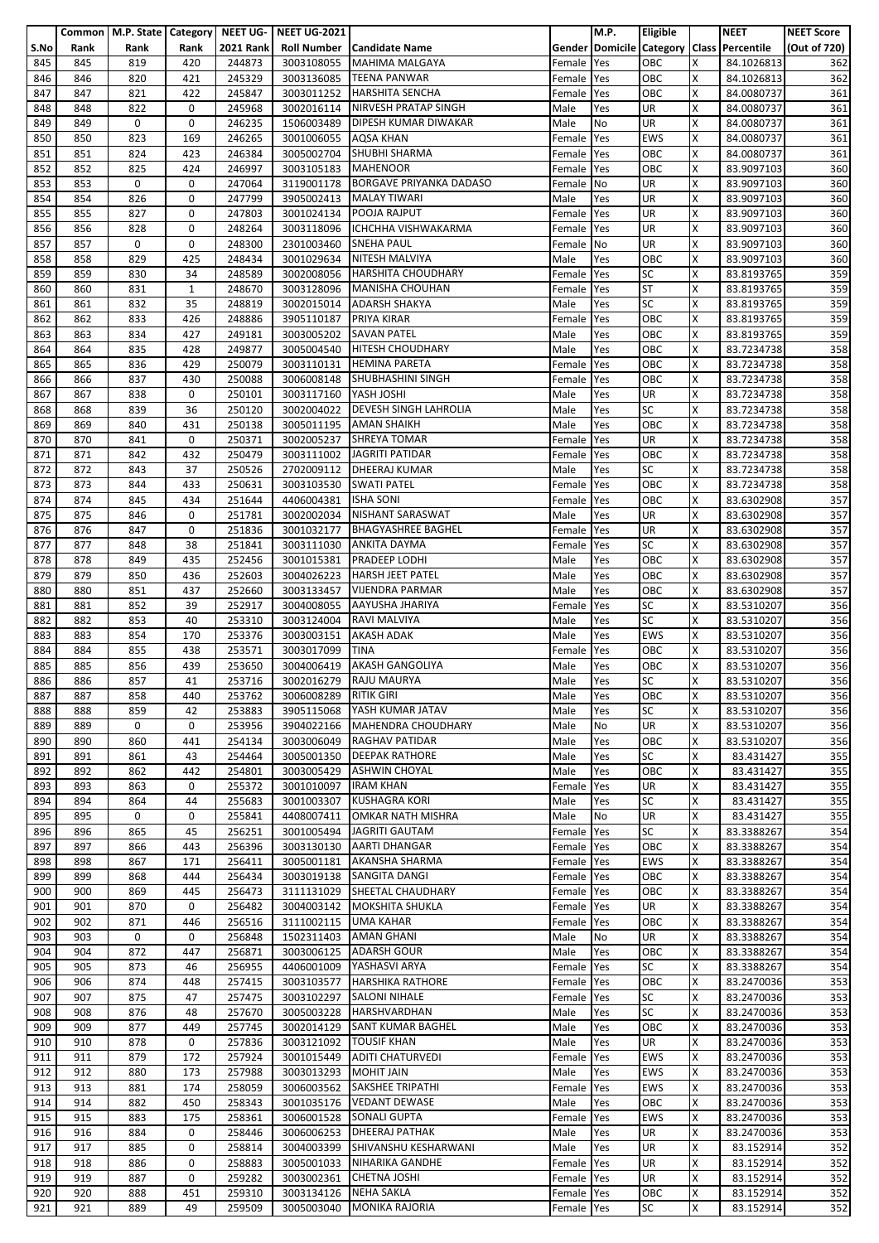|      |      | Common   M.P. State   Category   NEET UG- |              |                  | <b>NEET UG-2021</b>    |                                    |            | M.P. | Eligible   |   | <b>NEET</b>                               | <b>NEET Score</b> |
|------|------|-------------------------------------------|--------------|------------------|------------------------|------------------------------------|------------|------|------------|---|-------------------------------------------|-------------------|
| S.No | Rank | Rank                                      | Rank         | <b>2021 Rank</b> |                        | Roll Number   Candidate Name       |            |      |            |   | Gender Domicile Category Class Percentile | (Out of 720)      |
| 845  | 845  | 819                                       | 420          | 244873           | 3003108055             | <b>MAHIMA MALGAYA</b>              | Female     | Yes  | OBC        | x | 84.1026813                                | 362               |
|      |      |                                           |              |                  |                        |                                    |            |      |            |   |                                           |                   |
| 846  | 846  | 820                                       | 421          | 245329           | 3003136085             | <b>TEENA PANWAR</b>                | Female     | Yes  | OBC        | X | 84.1026813                                | 362               |
| 847  | 847  | 821                                       | 422          | 245847           |                        | 3003011252 HARSHITA SENCHA         | Female     | Yes  | OBC        | X | 84.0080737                                | 361               |
| 848  | 848  | 822                                       | 0            | 245968           |                        | 3002016114 NIRVESH PRATAP SINGH    | Male       | Yes  | UR         | X | 84.0080737                                | 361               |
| 849  | 849  | 0                                         | 0            | 246235           | 1506003489             | <b>DIPESH KUMAR DIWAKAR</b>        | Male       | No   | <b>UR</b>  | X | 84.0080737                                | 361               |
| 850  | 850  | 823                                       | 169          | 246265           | 3001006055             | AQSA KHAN                          | Female     | Yes  | <b>EWS</b> | X | 84.0080737                                | 361               |
| 851  | 851  | 824                                       | 423          | 246384           | 3005002704             | <b>SHUBHI SHARMA</b>               | Female     | Yes  | OBC        | X | 84.0080737                                | 361               |
|      |      |                                           |              |                  |                        |                                    |            |      |            |   |                                           |                   |
| 852  | 852  | 825                                       | 424          | 246997           | 3003105183 MAHENOOR    |                                    | Female     | Yes  | OBC        | x | 83.9097103                                | 360               |
| 853  | 853  | 0                                         | 0            | 247064           |                        | 3119001178 BORGAVE PRIYANKA DADASO | Female No  |      | UR         | Χ | 83.9097103                                | 360               |
| 854  | 854  | 826                                       | 0            | 247799           | 3905002413             | <b>MALAY TIWARI</b>                | Male       | Yes  | UR         | X | 83.9097103                                | 360               |
| 855  | 855  | 827                                       | 0            | 247803           |                        | 3001024134 POOJA RAJPUT            | Female     | Yes  | <b>UR</b>  | x | 83.9097103                                | 360               |
| 856  | 856  | 828                                       | 0            | 248264           | 3003118096             | ICHCHHA VISHWAKARMA                | Female     | Yes  | UR         | X | 83.9097103                                | 360               |
| 857  | 857  | 0                                         | 0            | 248300           | 2301003460             | <b>SNEHA PAUL</b>                  | Female No  |      | UR         | X | 83.9097103                                | 360               |
| 858  | 858  | 829                                       | 425          | 248434           | 3001029634             | <b>NITESH MALVIYA</b>              | Male       | Yes  | OBC        | Χ | 83.9097103                                | 360               |
|      |      |                                           |              |                  |                        |                                    |            |      | <b>SC</b>  |   |                                           |                   |
| 859  | 859  | 830                                       | 34           | 248589           |                        | 3002008056 HARSHITA CHOUDHARY      | Female     | Yes  |            | X | 83.8193765                                | 359               |
| 860  | 860  | 831                                       | $\mathbf{1}$ | 248670           | 3003128096             | <b>MANISHA CHOUHAN</b>             | Female Yes |      | <b>ST</b>  | X | 83.8193765                                | 359               |
| 861  | 861  | 832                                       | 35           | 248819           |                        | 3002015014 ADARSH SHAKYA           | Male       | Yes  | <b>SC</b>  | x | 83.8193765                                | 359               |
| 862  | 862  | 833                                       | 426          | 248886           | 3905110187 PRIYA KIRAR |                                    | Female     | Yes  | OBC        | x | 83.8193765                                | 359               |
| 863  | 863  | 834                                       | 427          | 249181           |                        | 3003005202 SAVAN PATEL             | Male       | Yes  | OBC        | X | 83.8193765                                | 359               |
| 864  | 864  | 835                                       | 428          | 249877           | 3005004540             | <b>HITESH CHOUDHARY</b>            | Male       | Yes  | OBC        | X | 83.7234738                                | 358               |
| 865  | 865  | 836                                       | 429          | 250079           |                        | 3003110131 HEMINA PARETA           | Female     | Yes  | OBC        | X | 83.7234738                                | 358               |
|      |      |                                           |              |                  |                        |                                    |            |      |            |   |                                           |                   |
| 866  | 866  | 837                                       | 430          | 250088           | 3006008148             | SHUBHASHINI SINGH                  | Female     | Yes  | OBC        | X | 83.7234738                                | 358               |
| 867  | 867  | 838                                       | 0            | 250101           | 3003117160 YASH JOSHI  |                                    | Male       | Yes  | UR         | X | 83.7234738                                | 358               |
| 868  | 868  | 839                                       | 36           | 250120           | 3002004022             | <b>DEVESH SINGH LAHROLIA</b>       | Male       | Yes  | <b>SC</b>  | Χ | 83.7234738                                | 358               |
| 869  | 869  | 840                                       | 431          | 250138           |                        | 3005011195 AMAN SHAIKH             | Male       | Yes  | OBC        | X | 83.7234738                                | 358               |
| 870  | 870  | 841                                       | 0            | 250371           | 3002005237             | <b>SHREYA TOMAR</b>                | Female     | Yes  | UR         | X | 83.7234738                                | 358               |
| 871  | 871  | 842                                       | 432          | 250479           | 3003111002             | <b>JAGRITI PATIDAR</b>             | Female     | Yes  | OBC        | X | 83.7234738                                | 358               |
|      |      |                                           | 37           |                  |                        |                                    |            |      | SC         | X |                                           |                   |
| 872  | 872  | 843                                       |              | 250526           |                        | 2702009112 DHEERAJ KUMAR           | Male       | Yes  |            |   | 83.7234738                                | 358               |
| 873  | 873  | 844                                       | 433          | 250631           | 3003103530 SWATI PATEL |                                    | Female     | Yes  | OBC        | Χ | 83.7234738                                | 358               |
| 874  | 874  | 845                                       | 434          | 251644           | 4406004381             | <b>ISHA SONI</b>                   | Female     | Yes  | OBC        | X | 83.6302908                                | 357               |
| 875  | 875  | 846                                       | 0            | 251781           |                        | 3002002034 NISHANT SARASWAT        | Male       | Yes  | UR         | X | 83.6302908                                | 357               |
| 876  | 876  | 847                                       | 0            | 251836           | 3001032177             | <b>BHAGYASHREE BAGHEL</b>          | Female     | Yes  | UR         | x | 83.6302908                                | 357               |
| 877  | 877  | 848                                       | 38           | 251841           | 3003111030             | <b>ANKITA DAYMA</b>                | Female     | Yes  | <b>SC</b>  | X | 83.6302908                                | 357               |
| 878  | 878  | 849                                       | 435          | 252456           | 3001015381             | <b>PRADEEP LODHI</b>               | Male       | Yes  | OBC        | Χ | 83.6302908                                | 357               |
|      |      |                                           |              |                  |                        |                                    |            |      | OBC        | X |                                           |                   |
| 879  | 879  | 850                                       | 436          | 252603           | 3004026223             | <b>HARSH JEET PATEL</b>            | Male       | Yes  |            |   | 83.6302908                                | 357               |
| 880  | 880  | 851                                       | 437          | 252660           | 3003133457             | <b>VIJENDRA PARMAR</b>             | Male       | Yes  | OBC        | X | 83.6302908                                | $\overline{357}$  |
| 881  | 881  | 852                                       | 39           | 252917           | 3004008055             | AAYUSHA JHARIYA                    | Female     | Yes  | <b>SC</b>  | X | 83.5310207                                | 356               |
| 882  | 882  | 853                                       | 40           | 253310           |                        | 3003124004 RAVI MALVIYA            | Male       | Yes  | SC         | x | 83.5310207                                | 356               |
| 883  | 883  | 854                                       | 170          | 253376           | 3003003151 AKASH ADAK  |                                    | Male       | Yes  | <b>EWS</b> | X | 83.5310207                                | 356               |
| 884  | 884  | 855                                       | 438          | 253571           | 3003017099             | <b>TINA</b>                        | Female     | Yes  | OBC        | X | 83.5310207                                | 356               |
| 885  | 885  | 856                                       | 439          | 253650           | 3004006419             | <b>AKASH GANGOLIYA</b>             | Male       | Yes  | OBC        | X | 83.5310207                                | 356               |
|      |      |                                           |              |                  |                        |                                    |            |      |            |   |                                           |                   |
| 886  | 886  | 857                                       | 41           | 253716           |                        | 3002016279 RAJU MAURYA             | Male       | Yes  | SC         | X | 83.5310207                                | 356               |
| 887  | 887  | 858                                       | 440          | 253762           | 3006008289             | <b>RITIK GIRI</b>                  | Male       | Yes  | OBC        | х | 83.5310207                                | 356               |
| 888  | 888  | 859                                       | 42           | 253883           | 3905115068             | YASH KUMAR JATAV                   | Male       | Yes  | <b>SC</b>  | X | 83.5310207                                | 356               |
| 889  | 889  | 0                                         | 0            | 253956           | 3904022166             | <b>MAHENDRA CHOUDHARY</b>          | Male       | No   | <b>UR</b>  | x | 83.5310207                                | 356               |
| 890  | 890  | 860                                       | 441          | 254134           | 3003006049             | <b>RAGHAV PATIDAR</b>              | Male       | Yes  | OBC        | X | 83.5310207                                | 356               |
| 891  | 891  | 861                                       | 43           | 254464           | 3005001350             | <b>DEEPAK RATHORE</b>              | Male       | Yes  | <b>SC</b>  | X | 83.431427                                 | 355               |
| 892  | 892  | 862                                       | 442          | 254801           | 3003005429             | <b>ASHWIN CHOYAL</b>               | Male       | Yes  | OBC        | x | 83.431427                                 | 355               |
|      |      |                                           |              |                  |                        |                                    |            |      |            |   |                                           |                   |
| 893  | 893  | 863                                       | 0            | 255372           | 3001010097             | <b>IRAM KHAN</b>                   | Female     | Yes  | UR         | Χ | 83.431427                                 | 355               |
| 894  | 894  | 864                                       | 44           | 255683           | 3001003307             | <b>KUSHAGRA KORI</b>               | Male       | Yes  | <b>SC</b>  | x | 83.431427                                 | 355               |
| 895  | 895  | 0                                         | 0            | 255841           | 4408007411             | <b>OMKAR NATH MISHRA</b>           | Male       | No   | UR         | Χ | 83.431427                                 | 355               |
| 896  | 896  | 865                                       | 45           | 256251           |                        | 3001005494 JAGRITI GAUTAM          | Female     | Yes  | SC         | x | 83.3388267                                | 354               |
| 897  | 897  | 866                                       | 443          | 256396           | 3003130130             | <b>AARTI DHANGAR</b>               | Female Yes |      | OBC        | x | 83.3388267                                | 354               |
| 898  | 898  | 867                                       | 171          | 256411           | 3005001181             | <b>AKANSHA SHARMA</b>              | Female     | Yes  | <b>EWS</b> | X | 83.3388267                                | 354               |
| 899  | 899  | 868                                       | 444          | 256434           |                        | 3003019138 SANGITA DANGI           | Female     | Yes  | OBC        | x | 83.3388267                                | 354               |
| 900  | 900  | 869                                       | 445          | 256473           | 3111131029             | SHEETAL CHAUDHARY                  | Female Yes |      | OBC        | X | 83.3388267                                | 354               |
|      |      |                                           |              |                  |                        |                                    |            |      |            |   |                                           |                   |
| 901  | 901  | 870                                       | 0            | 256482           | 3004003142             | <b>MOKSHITA SHUKLA</b>             | Female     | Yes  | UR         | X | 83.3388267                                | 354               |
| 902  | 902  | 871                                       | 446          | 256516           | 3111002115             | <b>UMA KAHAR</b>                   | Female     | Yes  | OBC        | x | 83.3388267                                | 354               |
| 903  | 903  | 0                                         | 0            | 256848           | 1502311403             | <b>AMAN GHANI</b>                  | Male       | No   | UR         | Χ | 83.3388267                                | 354               |
| 904  | 904  | 872                                       | 447          | 256871           | 3003006125             | <b>ADARSH GOUR</b>                 | Male       | Yes  | <b>OBC</b> | x | 83.3388267                                | 354               |
| 905  | 905  | 873                                       | 46           | 256955           | 4406001009             | YASHASVI ARYA                      | Female     | Yes  | <b>SC</b>  | Χ | 83.3388267                                | 354               |
| 906  | 906  | 874                                       | 448          | 257415           | 3003103577             | <b>HARSHIKA RATHORE</b>            | Female     | Yes  | OBC        | X | 83.2470036                                | 353               |
| 907  | 907  | 875                                       | 47           | 257475           | 3003102297             | <b>SALONI NIHALE</b>               | Female     | Yes  | <b>SC</b>  | X | 83.2470036                                | 353               |
|      |      |                                           |              | 257670           |                        | HARSHVARDHAN                       |            |      | <b>SC</b>  |   |                                           |                   |
| 908  | 908  | 876                                       | 48           |                  | 3005003228             |                                    | Male       | Yes  |            | X | 83.2470036                                | 353               |
| 909  | 909  | 877                                       | 449          | 257745           | 3002014129             | <b>SANT KUMAR BAGHEL</b>           | Male       | Yes  | OBC        | x | 83.2470036                                | 353               |
| 910  | 910  | 878                                       | 0            | 257836           | 3003121092             | <b>TOUSIF KHAN</b>                 | Male       | Yes  | UR         | X | 83.2470036                                | 353               |
| 911  | 911  | 879                                       | 172          | 257924           | 3001015449             | <b>ADITI CHATURVEDI</b>            | Female     | Yes  | EWS        | X | 83.2470036                                | 353               |
| 912  | 912  | 880                                       | 173          | 257988           | 3003013293             | <b>MOHIT JAIN</b>                  | Male       | Yes  | <b>EWS</b> | x | 83.2470036                                | 353               |
| 913  | 913  | 881                                       | 174          | 258059           | 3006003562             | <b>SAKSHEE TRIPATHI</b>            | Female     | Yes  | <b>EWS</b> | X | 83.2470036                                | 353               |
| 914  | 914  | 882                                       | 450          | 258343           | 3001035176             | <b>VEDANT DEWASE</b>               | Male       | Yes  | OBC        | x | 83.2470036                                | 353               |
| 915  | 915  | 883                                       | 175          | 258361           | 3006001528             | <b>SONALI GUPTA</b>                | Female     | Yes  | <b>EWS</b> | Χ | 83.2470036                                | 353               |
|      |      |                                           |              |                  |                        |                                    |            |      |            |   |                                           |                   |
| 916  | 916  | 884                                       | 0            | 258446           | 3006006253             | <b>DHEERAJ PATHAK</b>              | Male       | Yes  | UR         | x | 83.2470036                                | 353               |
| 917  | 917  | 885                                       | 0            | 258814           | 3004003399             | SHIVANSHU KESHARWANI               | Male       | Yes  | <b>UR</b>  | x | 83.152914                                 | 352               |
| 918  | 918  | 886                                       | 0            | 258883           | 3005001033             | <b>NIHARIKA GANDHE</b>             | Female     | Yes  | UR         | Χ | 83.152914                                 | 352               |
| 919  | 919  | 887                                       | 0            | 259282           | 3003002361             | <b>CHETNA JOSHI</b>                | Female     | Yes  | UR         | X | 83.152914                                 | 352               |
| 920  | 920  | 888                                       | 451          | 259310           | 3003134126             | <b>NEHA SAKLA</b>                  | Female Yes |      | OBC        | Χ | 83.152914                                 | 352               |
| 921  | 921  | 889                                       | 49           | 259509           | 3005003040             | <b>MONIKA RAJORIA</b>              | Female Yes |      | <b>SC</b>  | X | 83.152914                                 | 352               |
|      |      |                                           |              |                  |                        |                                    |            |      |            |   |                                           |                   |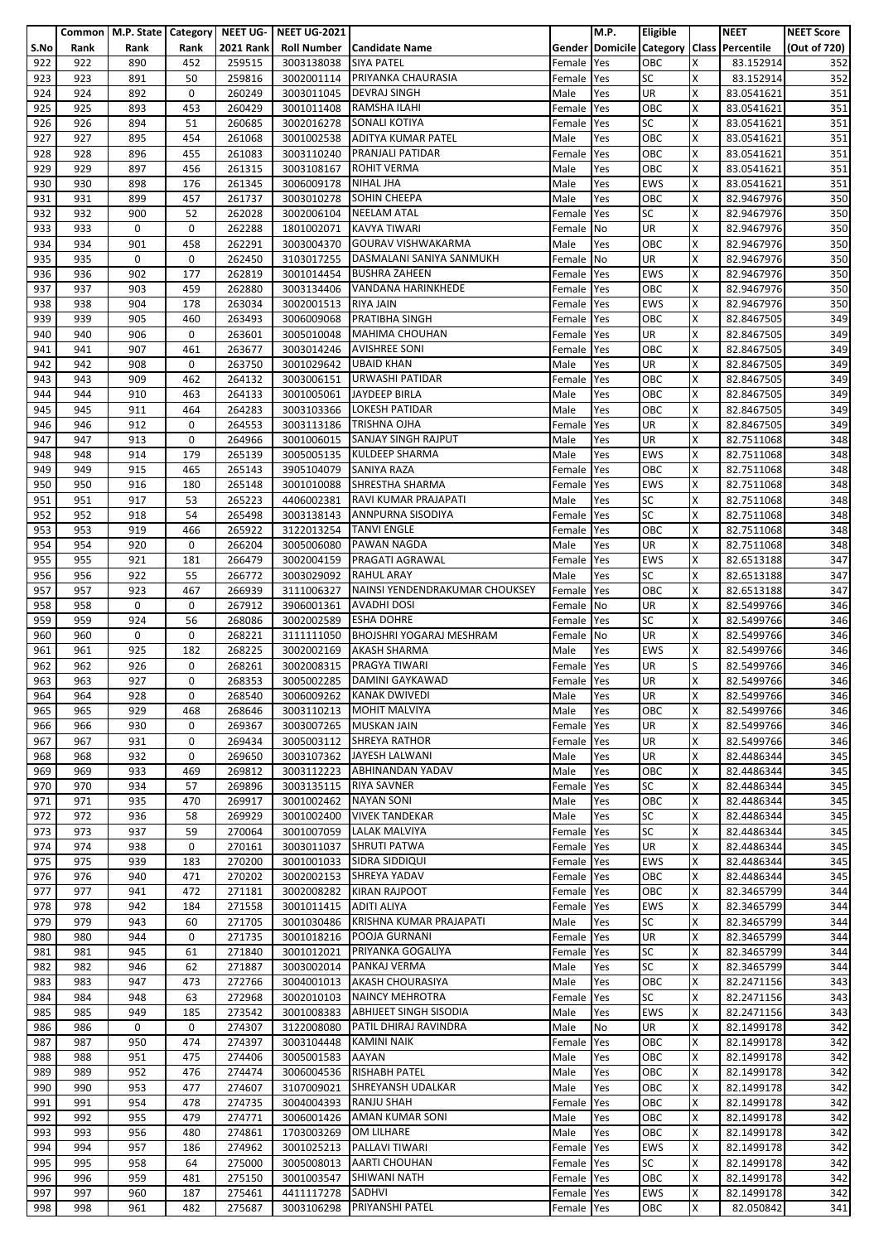|      |      |      |      |                  | Common   M.P. State   Category   NEET UG-   NEET UG-2021 |                                     |            | M.P. | Eligible                 |   | <b>NEET</b>                               | <b>NEET Score</b> |
|------|------|------|------|------------------|----------------------------------------------------------|-------------------------------------|------------|------|--------------------------|---|-------------------------------------------|-------------------|
| S.No | Rank | Rank | Rank | <b>2021 Rank</b> |                                                          | <b>Roll Number   Candidate Name</b> |            |      |                          |   | Gender Domicile Category Class Percentile | (Out of 720)      |
| 922  | 922  | 890  | 452  | 259515           | 3003138038                                               | <b>SIYA PATEL</b>                   | Female     | Yes  | OBC                      | X | 83.152914                                 | 352               |
|      |      |      |      |                  |                                                          |                                     |            |      |                          |   |                                           |                   |
| 923  | 923  | 891  | 50   | 259816           |                                                          | 3002001114 PRIYANKA CHAURASIA       | Female     | Yes  | <b>SC</b>                | X | 83.152914                                 | 352               |
| 924  | 924  | 892  | 0    | 260249           |                                                          | 3003011045 DEVRAJ SINGH             | Male       | Yes  | <b>UR</b>                | x | 83.0541621                                | 351               |
| 925  | 925  | 893  | 453  | 260429           | 3001011408                                               | <b>RAMSHA ILAHI</b>                 | Female     | Yes  | OBC                      | X | 83.0541621                                | 351               |
| 926  | 926  | 894  | 51   | 260685           | 3002016278                                               | SONALI KOTIYA                       | Female     | Yes  | <b>SC</b>                | x | 83.0541621                                | 351               |
| 927  | 927  | 895  | 454  | 261068           | 3001002538                                               | <b>ADITYA KUMAR PATEL</b>           | Male       | Yes  | OBC                      | X | 83.0541621                                | 351               |
| 928  | 928  | 896  | 455  | 261083           | 3003110240                                               | PRANJALI PATIDAR                    | Female     | Yes  | OBC                      | X | 83.0541621                                | 351               |
|      |      |      |      |                  |                                                          |                                     |            |      |                          |   |                                           |                   |
| 929  | 929  | 897  | 456  | 261315           |                                                          | 3003108167 ROHIT VERMA              | Male       | Yes  | OBC                      | x | 83.0541621                                | 351               |
| 930  | 930  | 898  | 176  | 261345           | 3006009178                                               | <b>NIHAL JHA</b>                    | Male       | Yes  | <b>EWS</b>               | Χ | 83.0541621                                | 351               |
| 931  | 931  | 899  | 457  | 261737           | 3003010278                                               | <b>SOHIN CHEEPA</b>                 | Male       | Yes  | OBC                      | X | 82.9467976                                | 350               |
| 932  | 932  | 900  | 52   | 262028           |                                                          | 3002006104 NEELAM ATAL              | Female     | Yes  | <b>SC</b>                | x | 82.9467976                                | 350               |
| 933  | 933  | 0    | 0    | 262288           | 1801002071                                               | <b>KAVYA TIWARI</b>                 | Female     | No   | UR                       | X | 82.9467976                                | 350               |
| 934  | 934  | 901  | 458  | 262291           | 3003004370                                               | <b>GOURAV VISHWAKARMA</b>           | Male       | Yes  | OBC                      | X | 82.9467976                                | 350               |
| 935  | 935  | 0    | 0    | 262450           | 3103017255                                               | DASMALANI SANIYA SANMUKH            | Female     | No   | <b>UR</b>                | Χ | 82.9467976                                | 350               |
|      |      |      |      |                  |                                                          |                                     |            |      |                          | X |                                           |                   |
| 936  | 936  | 902  | 177  | 262819           |                                                          | 3001014454 BUSHRA ZAHEEN            | Female     | Yes  | <b>EWS</b>               |   | 82.9467976                                | 350               |
| 937  | 937  | 903  | 459  | 262880           | 3003134406                                               | VANDANA HARINKHEDE                  | Female Yes |      | OBC                      | Χ | 82.9467976                                | 350               |
| 938  | 938  | 904  | 178  | 263034           | 3002001513                                               | <b>RIYA JAIN</b>                    | Female     | Yes  | <b>EWS</b>               | X | 82.9467976                                | 350               |
| 939  | 939  | 905  | 460  | 263493           | 3006009068                                               | <b>PRATIBHA SINGH</b>               | Female     | Yes  | OBC                      | x | 82.8467505                                | 349               |
| 940  | 940  | 906  | 0    | 263601           |                                                          | 3005010048 MAHIMA CHOUHAN           | Female     | Yes  | UR                       | X | 82.8467505                                | 349               |
| 941  | 941  | 907  | 461  | 263677           | 3003014246                                               | <b>AVISHREE SONI</b>                | Female     | Yes  | OBC                      | X | 82.8467505                                | 349               |
| 942  | 942  | 908  | 0    | 263750           | 3001029642                                               | <b>UBAID KHAN</b>                   | Male       | Yes  | UR                       | X | 82.8467505                                | 349               |
|      |      | 909  | 462  |                  |                                                          | URWASHI PATIDAR                     |            |      |                          | X |                                           |                   |
| 943  | 943  |      |      | 264132           | 3003006151                                               |                                     | Female     | Yes  | OBC                      |   | 82.8467505                                | 349               |
| 944  | 944  | 910  | 463  | 264133           | 3001005061                                               | <b>JAYDEEP BIRLA</b>                | Male       | Yes  | OBC                      | x | 82.8467505                                | 349               |
| 945  | 945  | 911  | 464  | 264283           | 3003103366                                               | <b>LOKESH PATIDAR</b>               | Male       | Yes  | OBC                      | X | 82.8467505                                | 349               |
| 946  | 946  | 912  | 0    | 264553           | 3003113186                                               | <b>TRISHNA OJHA</b>                 | Female     | Yes  | <b>UR</b>                | X | 82.8467505                                | 349               |
| 947  | 947  | 913  | 0    | 264966           | 3001006015                                               | <b>SANJAY SINGH RAJPUT</b>          | Male       | Yes  | $\overline{\mathsf{UR}}$ | Χ | 82.7511068                                | 348               |
| 948  | 948  | 914  | 179  | 265139           | 3005005135                                               | <b>KULDEEP SHARMA</b>               | Male       | Yes  | <b>EWS</b>               | X | 82.7511068                                | 348               |
| 949  | 949  | 915  | 465  | 265143           | 3905104079 SANIYA RAZA                                   |                                     | Female     | Yes  | OBC                      | x | 82.7511068                                | 348               |
|      |      |      |      |                  |                                                          |                                     |            |      |                          |   |                                           |                   |
| 950  | 950  | 916  | 180  | 265148           | 3001010088                                               | SHRESTHA SHARMA                     | Female     | Yes  | <b>EWS</b>               | Χ | 82.7511068                                | 348               |
| 951  | 951  | 917  | 53   | 265223           | 4406002381                                               | RAVI KUMAR PRAJAPATI                | Male       | Yes  | <b>SC</b>                | X | 82.7511068                                | 348               |
| 952  | 952  | 918  | 54   | 265498           | 3003138143                                               | <b>ANNPURNA SISODIYA</b>            | Female     | Yes  | <b>SC</b>                | X | 82.7511068                                | 348               |
| 953  | 953  | 919  | 466  | 265922           | 3122013254                                               | <b>TANVI ENGLE</b>                  | Female     | Yes  | OBC                      | X | 82.7511068                                | 348               |
| 954  | 954  | 920  | 0    | 266204           | 3005006080                                               | <b>PAWAN NAGDA</b>                  | Male       | Yes  | UR                       | x | 82.7511068                                | 348               |
| 955  | 955  | 921  | 181  | 266479           | 3002004159                                               | <b>PRAGATI AGRAWAL</b>              | Female     | Yes  | <b>EWS</b>               | Χ | 82.6513188                                | 347               |
| 956  | 956  | 922  | 55   | 266772           | 3003029092                                               | <b>RAHUL ARAY</b>                   | Male       | Yes  | <b>SC</b>                | X | 82.6513188                                | 347               |
|      | 957  | 923  | 467  | 266939           |                                                          | NAINSI YENDENDRAKUMAR CHOUKSEY      |            |      | OBC                      | X |                                           | $\overline{347}$  |
| 957  |      |      |      |                  | 3111006327                                               |                                     | Female     | Yes  |                          |   | 82.6513188                                |                   |
| 958  | 958  | 0    | 0    | 267912           | 3906001361                                               | <b>AVADHI DOSI</b>                  | Female     | No   | UR                       | X | 82.5499766                                | 346               |
| 959  | 959  | 924  | 56   | 268086           | 3002002589                                               | <b>ESHA DOHRE</b>                   | Female     | Yes  | SC                       | x | 82.5499766                                | 346               |
| 960  | 960  | 0    | 0    | 268221           | 3111111050                                               | <b>BHOJSHRI YOGARAJ MESHRAM</b>     | Female No  |      | UR                       | X | 82.5499766                                | 346               |
| 961  | 961  | 925  | 182  | 268225           | 3002002169                                               | <b>AKASH SHARMA</b>                 | Male       | Yes  | <b>EWS</b>               | X | 82.5499766                                | 346               |
| 962  | 962  | 926  | 0    | 268261           | 3002008315                                               | <b>PRAGYA TIWARI</b>                | Female Yes |      | UR                       | S | 82.5499766                                | 346               |
| 963  | 963  | 927  | 0    | 268353           |                                                          | 3005002285 DAMINI GAYKAWAD          | Female Yes |      | <b>UR</b>                | X | 82.5499766                                | 346               |
|      | 964  | 928  | 0    | 268540           |                                                          | 3006009262 KANAK DWIVEDI            | Male       | Yes  | <b>UR</b>                | X | 82.5499766                                | 346               |
| 964  |      |      |      |                  |                                                          |                                     |            |      |                          |   |                                           |                   |
| 965  | 965  | 929  | 468  | 268646           | 3003110213                                               | <b>MOHIT MALVIYA</b>                | Male       | Yes  | <b>OBC</b>               | X | 82.5499766                                | 346               |
| 966  | 966  | 930  | 0    | 269367           |                                                          | 3003007265 MUSKAN JAIN              | Female     | Yes  | <b>UR</b>                | x | 82.5499766                                | 346               |
| 967  | 967  | 931  | 0    | 269434           | 3005003112                                               | <b>SHREYA RATHOR</b>                | Female     | Yes  | UR                       | X | 82.5499766                                | 346               |
| 968  | 968  | 932  | 0    | 269650           | 3003107362                                               | JAYESH LALWANI                      | Male       | Yes  | UR                       | X | 82.4486344                                | 345               |
| 969  | 969  | 933  | 469  | 269812           |                                                          | 3003112223 ABHINANDAN YADAV         | Male       | Yes  | OBC                      | X | 82.4486344                                | 345               |
| 970  | 970  | 934  | 57   | 269896           | 3003135115                                               | <b>RIYA SAVNER</b>                  | Female     | Yes  | SC                       | Χ | 82.4486344                                | 345               |
| 971  | 971  | 935  | 470  | 269917           | 3001002462                                               | <b>NAYAN SONI</b>                   | Male       | Yes  | OBC                      | x | 82.4486344                                | 345               |
|      |      |      |      |                  |                                                          |                                     |            |      |                          |   |                                           |                   |
| 972  | 972  | 936  | 58   | 269929           | 3001002400                                               | <b>VIVEK TANDEKAR</b>               | Male       | Yes  | <b>SC</b>                | Χ | 82.4486344                                | 345               |
| 973  | 973  | 937  | 59   | 270064           | 3001007059                                               | <b>LALAK MALVIYA</b>                | Female     | Yes  | <b>SC</b>                | x | 82.4486344                                | 345               |
| 974  | 974  | 938  | 0    | 270161           | 3003011037                                               | <b>SHRUTI PATWA</b>                 | Female     | Yes  | <b>UR</b>                | X | 82.4486344                                | 345               |
| 975  | 975  | 939  | 183  | 270200           | 3001001033                                               | SIDRA SIDDIQUI                      | Female     | Yes  | <b>EWS</b>               | X | 82.4486344                                | 345               |
| 976  | 976  | 940  | 471  | 270202           |                                                          | 3002002153 SHREYA YADAV             | Female     | Yes  | OBC                      | x | 82.4486344                                | 345               |
| 977  | 977  | 941  | 472  | 271181           | 3002008282                                               | <b>KIRAN RAJPOOT</b>                | Female     | Yes  | OBC                      | X | 82.3465799                                | 344               |
| 978  | 978  | 942  | 184  | 271558           | 3001011415                                               | <b>ADITI ALIYA</b>                  | Female     | Yes  | <b>EWS</b>               | X | 82.3465799                                | 344               |
| 979  | 979  | 943  | 60   | 271705           | 3001030486                                               | KRISHNA KUMAR PRAJAPATI             | Male       | Yes  | <b>SC</b>                | x | 82.3465799                                | 344               |
|      |      | 944  | 0    |                  |                                                          | POOJA GURNANI                       |            |      | <b>UR</b>                | X |                                           |                   |
| 980  | 980  |      |      | 271735           | 3001018216                                               |                                     | Female     | Yes  |                          |   | 82.3465799                                | 344               |
| 981  | 981  | 945  | 61   | 271840           | 3001012021                                               | PRIYANKA GOGALIYA                   | Female     | Yes  | <b>SC</b>                | x | 82.3465799                                | 344               |
| 982  | 982  | 946  | 62   | 271887           | 3003002014                                               | PANKAJ VERMA                        | Male       | Yes  | <b>SC</b>                | Χ | 82.3465799                                | 344               |
| 983  | 983  | 947  | 473  | 272766           | 3004001013                                               | <b>AKASH CHOURASIYA</b>             | Male       | Yes  | OBC                      | X | 82.2471156                                | 343               |
| 984  | 984  | 948  | 63   | 272968           | 3002010103                                               | <b>NAINCY MEHROTRA</b>              | Female     | Yes  | <b>SC</b>                | X | 82.2471156                                | 343               |
| 985  | 985  | 949  | 185  | 273542           | 3001008383                                               | <b>ABHIJEET SINGH SISODIA</b>       | Male       | Yes  | <b>EWS</b>               | X | 82.2471156                                | 343               |
| 986  | 986  | 0    | 0    | 274307           | 3122008080                                               | PATIL DHIRAJ RAVINDRA               | Male       | No   | UR                       | x | 82.1499178                                | 342               |
| 987  | 987  | 950  | 474  | 274397           | 3003104448                                               | <b>KAMINI NAIK</b>                  | Female     | Yes  | OBC                      | X | 82.1499178                                | 342               |
| 988  | 988  | 951  | 475  | 274406           | 3005001583                                               | AAYAN                               | Male       |      | OBC                      | X | 82.1499178                                | 342               |
|      |      |      |      |                  |                                                          |                                     |            | Yes  |                          |   |                                           |                   |
| 989  | 989  | 952  | 476  | 274474           | 3006004536                                               | <b>RISHABH PATEL</b>                | Male       | Yes  | OBC                      | X | 82.1499178                                | 342               |
| 990  | 990  | 953  | 477  | 274607           | 3107009021                                               | SHREYANSH UDALKAR                   | Male       | Yes  | OBC                      | X | 82.1499178                                | 342               |
| 991  | 991  | 954  | 478  | 274735           | 3004004393                                               | <b>RANJU SHAH</b>                   | Female     | Yes  | OBC                      | x | 82.1499178                                | 342               |
| 992  | 992  | 955  | 479  | 274771           | 3006001426                                               | <b>AMAN KUMAR SONI</b>              | Male       | Yes  | OBC                      | Χ | 82.1499178                                | 342               |
| 993  | 993  | 956  | 480  | 274861           | 1703003269                                               | OM LILHARE                          | Male       | Yes  | OBC                      | x | 82.1499178                                | 342               |
| 994  | 994  | 957  | 186  | 274962           | 3001025213                                               | PALLAVI TIWARI                      | Female     | Yes  | <b>EWS</b>               | X | 82.1499178                                | 342               |
| 995  | 995  | 958  | 64   | 275000           | 3005008013                                               | <b>AARTI CHOUHAN</b>                |            |      | <b>SC</b>                | X | 82.1499178                                | 342               |
|      |      |      |      |                  |                                                          |                                     | Female     | Yes  |                          |   |                                           |                   |
| 996  | 996  | 959  | 481  | 275150           | 3001003547                                               | <b>SHIWANI NATH</b>                 | Female     | Yes  | OBC                      | x | 82.1499178                                | 342               |
| 997  | 997  | 960  | 187  | 275461           | 4411117278                                               | SADHVI                              | Female Yes |      | <b>EWS</b>               | X | 82.1499178                                | 342               |
| 998  | 998  | 961  | 482  | 275687           | 3003106298                                               | PRIYANSHI PATEL                     | Female Yes |      | OBC                      | X | 82.050842                                 | 341               |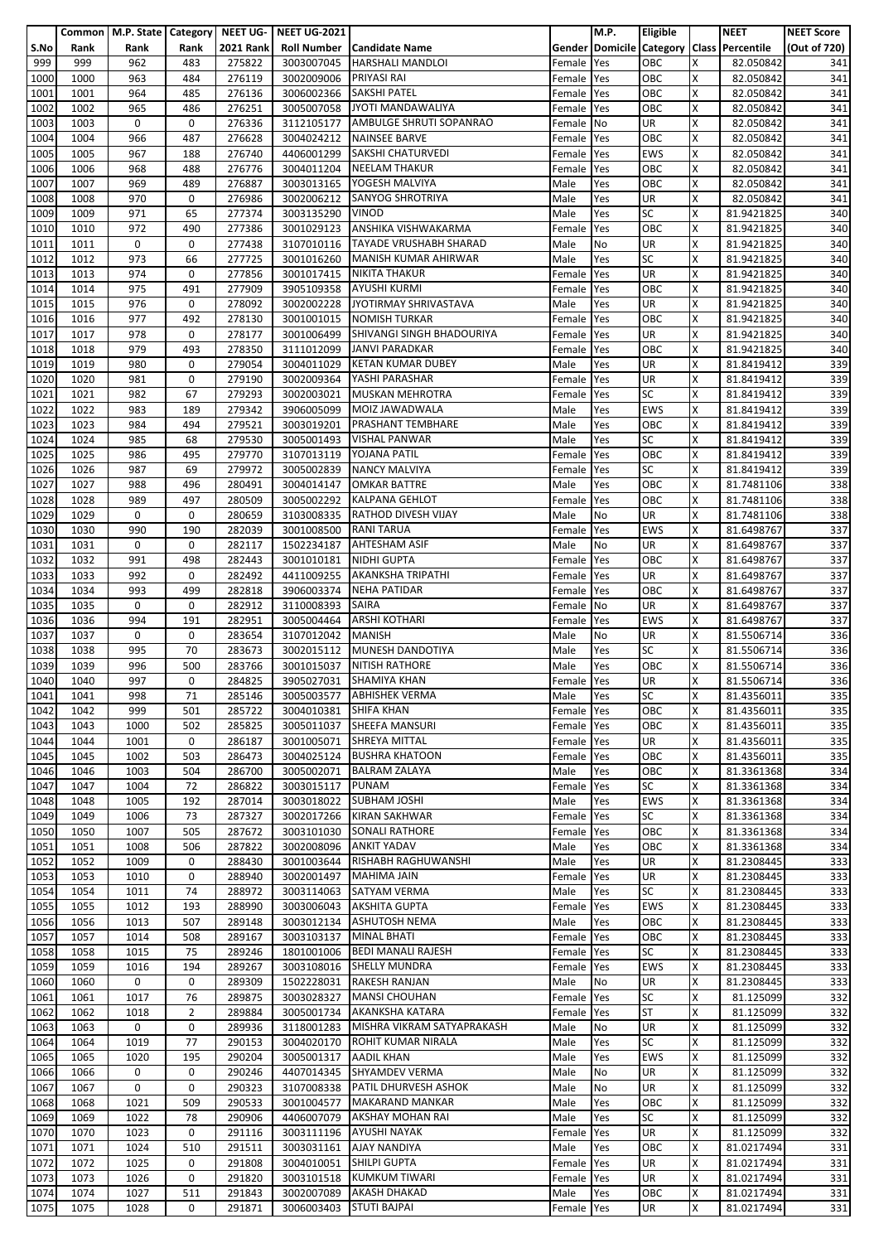|      |      |      |                |                  | Common   M.P. State   Category   NEET UG-   NEET UG-2021 |                                       |            | M.P. | Eligible   |    | <b>NEET</b>                               | <b>NEET Score</b> |
|------|------|------|----------------|------------------|----------------------------------------------------------|---------------------------------------|------------|------|------------|----|-------------------------------------------|-------------------|
| S.No | Rank | Rank | Rank           | <b>2021 Rank</b> |                                                          | <b>Roll Number   Candidate Name</b>   |            |      |            |    | Gender Domicile Category Class Percentile | (Out of 720)      |
| 999  | 999  | 962  | 483            | 275822           | 3003007045                                               | <b>HARSHALI MANDLOI</b>               | Female     | Yes  | OBC        | x  | 82.050842                                 | 341               |
|      |      |      |                |                  |                                                          |                                       |            |      |            |    |                                           |                   |
| 1000 | 1000 | 963  | 484            | 276119           | 3002009006                                               | PRIYASI RAI                           | Female     | Yes  | OBC        | X  | 82.050842                                 | 341               |
| 1001 | 1001 | 964  | 485            | 276136           | 3006002366                                               | <b>SAKSHI PATEL</b>                   | Female     | Yes  | OBC        | X  | 82.050842                                 | 341               |
| 1002 | 1002 | 965  | 486            | 276251           | 3005007058                                               | JYOTI MANDAWALIYA                     | Female     | Yes  | OBC        | X  | 82.050842                                 | 341               |
| 1003 | 1003 | 0    | $\mathbf 0$    | 276336           | 3112105177                                               | AMBULGE SHRUTI SOPANRAO               | Female     | No   | UR         | X  | 82.050842                                 | 341               |
| 1004 | 1004 | 966  | 487            | 276628           | 3004024212                                               | <b>NAINSEE BARVE</b>                  | Female     | Yes  | OBC        | Χ  | 82.050842                                 | 341               |
| 1005 | 1005 | 967  | 188            | 276740           | 4406001299                                               | SAKSHI CHATURVEDI                     | Female     | Yes  | <b>EWS</b> | x  | 82.050842                                 | 341               |
|      |      |      |                |                  |                                                          |                                       |            |      |            |    |                                           |                   |
| 1006 | 1006 | 968  | 488            | 276776           |                                                          | 3004011204 NEELAM THAKUR              | Female     | Yes  | OBC        | X  | 82.050842                                 | 341               |
| 1007 | 1007 | 969  | 489            | 276887           | 3003013165                                               | YOGESH MALVIYA                        | Male       | Yes  | OBC        | Χ  | 82.050842                                 | 341               |
| 1008 | 1008 | 970  | 0              | 276986           | 3002006212                                               | <b>SANYOG SHROTRIYA</b>               | Male       | Yes  | UR         | x  | 82.050842                                 | 341               |
| 1009 | 1009 | 971  | 65             | 277374           | 3003135290                                               | <b>VINOD</b>                          | Male       | Yes  | <b>SC</b>  | x  | 81.9421825                                | 340               |
| 1010 | 1010 | 972  | 490            | 277386           | 3001029123                                               | ANSHIKA VISHWAKARMA                   | Female     | Yes  | OBC        | X  | 81.9421825                                | 340               |
| 1011 | 1011 | 0    | 0              | 277438           | 3107010116                                               | <b>TAYADE VRUSHABH SHARAD</b>         | Male       | No   | UR         | X  | 81.9421825                                | 340               |
|      |      |      |                |                  |                                                          |                                       |            |      |            |    |                                           |                   |
| 1012 | 1012 | 973  | 66             | 277725           | 3001016260                                               | <b>MANISH KUMAR AHIRWAR</b>           | Male       | Yes  | <b>SC</b>  | X  | 81.9421825                                | 340               |
| 1013 | 1013 | 974  | 0              | 277856           | 3001017415                                               | <b>NIKITA THAKUR</b>                  | Female     | Yes  | UR         | x  | 81.9421825                                | 340               |
| 1014 | 1014 | 975  | 491            | 277909           | 3905109358                                               | <b>AYUSHI KURMI</b>                   | Female Yes |      | OBC        | x  | 81.9421825                                | 340               |
| 1015 | 1015 | 976  | 0              | 278092           | 3002002228                                               | JYOTIRMAY SHRIVASTAVA                 | Male       | Yes  | UR         | X  | 81.9421825                                | 340               |
| 1016 | 1016 | 977  | 492            | 278130           |                                                          | 3001001015 NOMISH TURKAR              | Female     | Yes  | OBC        | x  | 81.9421825                                | 340               |
| 1017 | 1017 | 978  | 0              | 278177           |                                                          | SHIVANGI SINGH BHADOURIYA             | Female     | Yes  | UR         | Χ  | 81.9421825                                | 340               |
|      |      |      |                |                  | 3001006499                                               |                                       |            |      |            |    |                                           |                   |
| 1018 | 1018 | 979  | 493            | 278350           | 3111012099                                               | <b>JANVI PARADKAR</b>                 | Female     | Yes  | OBC        | X  | 81.9421825                                | 340               |
| 1019 | 1019 | 980  | 0              | 279054           | 3004011029                                               | <b>KETAN KUMAR DUBEY</b>              | Male       | Yes  | <b>UR</b>  | x  | 81.8419412                                | 339               |
| 1020 | 1020 | 981  | 0              | 279190           | 3002009364                                               | YASHI PARASHAR                        | Female     | Yes  | UR         | X  | 81.8419412                                | 339               |
| 1021 | 1021 | 982  | 67             | 279293           | 3002003021                                               | <b>MUSKAN MEHROTRA</b>                | Female     | Yes  | <b>SC</b>  | X  | 81.8419412                                | 339               |
| 1022 | 1022 | 983  | 189            | 279342           | 3906005099                                               | MOIZ JAWADWALA                        | Male       | Yes  | <b>EWS</b> | X  | 81.8419412                                | 339               |
| 1023 | 1023 | 984  | 494            | 279521           | 3003019201                                               | <b>PRASHANT TEMBHARE</b>              |            |      | OBC        | x  | 81.8419412                                | 339               |
|      |      |      |                |                  |                                                          |                                       | Male       | Yes  |            |    |                                           |                   |
| 1024 | 1024 | 985  | 68             | 279530           | 3005001493                                               | <b>VISHAL PANWAR</b>                  | Male       | Yes  | <b>SC</b>  | X  | 81.8419412                                | 339               |
| 1025 | 1025 | 986  | 495            | 279770           | 3107013119                                               | YOJANA PATIL                          | Female     | Yes  | OBC        | X  | 81.8419412                                | 339               |
| 1026 | 1026 | 987  | 69             | 279972           | 3005002839                                               | <b>NANCY MALVIYA</b>                  | Female     | Yes  | <b>SC</b>  | x  | 81.8419412                                | 339               |
| 1027 | 1027 | 988  | 496            | 280491           | 3004014147                                               | <b>OMKAR BATTRE</b>                   | Male       | Yes  | OBC        | Χ  | 81.7481106                                | 338               |
| 1028 | 1028 | 989  | 497            | 280509           | 3005002292                                               | <b>KALPANA GEHLOT</b>                 | Female     | Yes  | OBC        | X  | 81.7481106                                | 338               |
|      |      |      | 0              |                  |                                                          |                                       |            |      |            |    |                                           |                   |
| 1029 | 1029 | 0    |                | 280659           | 3103008335                                               | <b>RATHOD DIVESH VIJAY</b>            | Male       | No   | UR         | x  | 81.7481106                                | 338               |
| 1030 | 1030 | 990  | 190            | 282039           | 3001008500                                               | <b>RANI TARUA</b>                     | Female     | Yes  | <b>EWS</b> | x  | 81.6498767                                | 337               |
| 1031 | 1031 | 0    | 0              | 282117           | 1502234187                                               | <b>AHTESHAM ASIF</b>                  | Male       | No   | UR         | X  | 81.6498767                                | 337               |
| 1032 | 1032 | 991  | 498            | 282443           | 3001010181                                               | <b>NIDHI GUPTA</b>                    | Female     | Yes  | OBC        | Χ  | 81.6498767                                | 337               |
| 1033 | 1033 | 992  | $\mathbf 0$    | 282492           | 4411009255                                               | <b>AKANKSHA TRIPATHI</b>              | Female     | Yes  | UR         | x  | 81.6498767                                | 337               |
| 1034 | 1034 | 993  | 499            | 282818           | 3906003374                                               | <b>NEHA PATIDAR</b>                   | Female     | Yes  | OBC        | Χ  | 81.6498767                                | 337               |
|      |      | 0    | 0              | 282912           |                                                          | <b>SAIRA</b>                          |            |      | UR         | X  |                                           |                   |
| 1035 | 1035 |      |                |                  | 3110008393                                               |                                       | Female     | No   |            |    | 81.6498767                                | 337               |
| 1036 | 1036 | 994  | 191            | 282951           | 3005004464                                               | <b>ARSHI KOTHARI</b>                  | Female     | Yes  | <b>EWS</b> | x  | 81.6498767                                | 337               |
| 1037 | 1037 | 0    | 0              | 283654           | 3107012042                                               | <b>MANISH</b>                         | Male       | No   | UR         | X  | 81.5506714                                | 336               |
| 1038 | 1038 | 995  | 70             | 283673           | 3002015112                                               | MUNESH DANDOTIYA                      | Male       | Yes  | <b>SC</b>  | X  | 81.5506714                                | 336               |
| 1039 | 1039 | 996  | 500            | 283766           | 3001015037                                               | <b>NITISH RATHORE</b>                 | Male       | Yes  | OBC        | X  | 81.5506714                                | 336               |
| 1040 | 1040 | 997  | 0              | 284825           |                                                          | 3905027031 SHAMIYA KHAN               | Female Yes |      | <b>UR</b>  | X  | 81.5506714                                | 336               |
|      | 1041 | 998  |                |                  |                                                          | 3005003577 ABHISHEK VERMA             |            |      | <b>SC</b>  | X  |                                           |                   |
| 1041 |      |      | 71             | 285146           |                                                          |                                       | Male       | Yes  |            |    | 81.4356011                                | 335               |
| 1042 | 1042 | 999  | 501            | 285722           | 3004010381                                               | <b>SHIFA KHAN</b>                     | Female     | Yes  | OBC        | X  | 81.4356011                                | 335               |
| 1043 | 1043 | 1000 | 502            | 285825           |                                                          | 3005011037 SHEEFA MANSURI             | Female     | Yes  | OBC        | x  | 81.4356011                                | 335               |
| 1044 | 1044 | 1001 | 0              | 286187           | 3001005071                                               | SHREYA MITTAL                         | Female Yes |      | UR         | X  | 81.4356011                                | 335               |
| 1045 | 1045 | 1002 | 503            | 286473           |                                                          | 3004025124 BUSHRA KHATOON             | Female     | Yes  | OBC        | X  | 81.4356011                                | 335               |
| 1046 | 1046 | 1003 | 504            | 286700           | 3005002071                                               | <b>BALRAM ZALAYA</b>                  | Male       | Yes  | OBC        | X  | 81.3361368                                | 334               |
|      | 1047 | 1004 | 72             | 286822           |                                                          | <b>PUNAM</b>                          |            | Yes  | <b>SC</b>  | Χ  |                                           |                   |
| 1047 |      |      |                |                  | 3003015117                                               |                                       | Female     |      |            |    | 81.3361368                                | 334               |
| 1048 | 1048 | 1005 | 192            | 287014           | 3003018022                                               | <b>SUBHAM JOSHI</b>                   | Male       | Yes  | <b>EWS</b> | X  | 81.3361368                                | 334               |
| 1049 | 1049 | 1006 | 73             | 287327           | 3002017266                                               | <b>KIRAN SAKHWAR</b>                  | Female     | Yes  | <b>SC</b>  | Χ  | 81.3361368                                | 334               |
| 1050 | 1050 | 1007 | 505            | 287672           | 3003101030                                               | <b>SONALI RATHORE</b>                 | Female     | Yes  | OBC        | X  | 81.3361368                                | 334               |
| 1051 | 1051 | 1008 | 506            | 287822           | 3002008096                                               | <b>ANKIT YADAV</b>                    | Male       | Yes  | OBC        | X. | 81.3361368                                | 334               |
| 1052 | 1052 | 1009 | 0              | 288430           | 3001003644                                               | <b>RISHABH RAGHUWANSHI</b>            | Male       | Yes  | <b>UR</b>  | X  | 81.2308445                                | 333               |
| 1053 | 1053 | 1010 | $\mathbf 0$    | 288940           | 3002001497                                               | <b>MAHIMA JAIN</b>                    | Female     | Yes  | <b>UR</b>  | x  | 81.2308445                                | 333               |
|      |      |      |                |                  |                                                          |                                       |            |      |            |    |                                           |                   |
| 1054 | 1054 | 1011 | 74             | 288972           | 3003114063                                               | <b>SATYAM VERMA</b>                   | Male       | Yes  | <b>SC</b>  | X  | 81.2308445                                | 333               |
| 1055 | 1055 | 1012 | 193            | 288990           | 3003006043                                               | <b>AKSHITA GUPTA</b>                  | Female     | Yes  | <b>EWS</b> | X  | 81.2308445                                | 333               |
| 1056 | 1056 | 1013 | 507            | 289148           |                                                          | 3003012134 ASHUTOSH NEMA              | Male       | Yes  | OBC        | X  | 81.2308445                                | 333               |
| 1057 | 1057 | 1014 | 508            | 289167           | 3003103137                                               | <b>MINAL BHATI</b>                    | Female     | Yes  | OBC        | X  | 81.2308445                                | 333               |
| 1058 | 1058 | 1015 | 75             | 289246           | 1801001006                                               | <b>BEDI MANALI RAJESH</b>             | Female     | Yes  | <b>SC</b>  | X  | 81.2308445                                | 333               |
| 1059 | 1059 | 1016 | 194            | 289267           | 3003108016                                               | <b>SHELLY MUNDRA</b>                  | Female     | Yes  | <b>EWS</b> | X  | 81.2308445                                | 333               |
|      |      | 0    | 0              |                  | 1502228031                                               | <b>RAKESH RANJAN</b>                  |            |      | <b>UR</b>  | X  |                                           |                   |
| 1060 | 1060 |      |                | 289309           |                                                          |                                       | Male       | No   |            |    | 81.2308445                                | 333               |
| 1061 | 1061 | 1017 | 76             | 289875           | 3003028327                                               | <b>MANSI CHOUHAN</b>                  | Female     | Yes  | <b>SC</b>  | X  | 81.125099                                 | 332               |
| 1062 | 1062 | 1018 | $\overline{2}$ | 289884           | 3005001734                                               | AKANKSHA KATARA                       | Female     | Yes  | <b>ST</b>  | X  | 81.125099                                 | 332               |
| 1063 | 1063 | 0    | 0              | 289936           |                                                          | 3118001283 MISHRA VIKRAM SATYAPRAKASH | Male       | No   | UR         | X  | 81.125099                                 | 332               |
| 1064 | 1064 | 1019 | 77             | 290153           |                                                          | 3004020170 ROHIT KUMAR NIRALA         | Male       | Yes  | <b>SC</b>  | X  | 81.125099                                 | 332               |
| 1065 | 1065 | 1020 | 195            | 290204           | 3005001317                                               | <b>AADIL KHAN</b>                     | Male       | Yes  | <b>EWS</b> | X  | 81.125099                                 | 332               |
| 1066 | 1066 | 0    | 0              | 290246           |                                                          | 4407014345 SHYAMDEV VERMA             | Male       | No   | <b>UR</b>  | x  | 81.125099                                 | 332               |
|      |      |      |                |                  |                                                          |                                       |            |      |            |    |                                           |                   |
| 1067 | 1067 | 0    | 0              | 290323           | 3107008338                                               | PATIL DHURVESH ASHOK                  | Male       | No   | UR         | X  | 81.125099                                 | 332               |
| 1068 | 1068 | 1021 | 509            | 290533           | 3001004577                                               | <b>MAKARAND MANKAR</b>                | Male       | Yes  | OBC        | X  | 81.125099                                 | 332               |
| 1069 | 1069 | 1022 | 78             | 290906           | 4406007079                                               | <b>AKSHAY MOHAN RAI</b>               | Male       | Yes  | <b>SC</b>  | Χ  | 81.125099                                 | 332               |
| 1070 | 1070 | 1023 | 0              | 291116           | 3003111196                                               | AYUSHI NAYAK                          | Female     | Yes  | UR         | x  | 81.125099                                 | 332               |
| 1071 | 1071 | 1024 | 510            | 291511           | 3003031161                                               | <b>AJAY NANDIYA</b>                   | Male       | Yes  | OBC        | X  | 81.0217494                                | 331               |
| 1072 | 1072 | 1025 | 0              | 291808           | 3004010051                                               | <b>SHILPI GUPTA</b>                   | Female     | Yes  | UR         | X  | 81.0217494                                | 331               |
|      |      |      |                |                  |                                                          |                                       |            |      |            |    |                                           |                   |
| 1073 | 1073 | 1026 | 0              | 291820           |                                                          | 3003101518 KUMKUM TIWARI              | Female     | Yes  | UR         | x  | 81.0217494                                | 331               |
| 1074 | 1074 | 1027 | 511            | 291843           | 3002007089                                               | <b>AKASH DHAKAD</b>                   | Male       | Yes  | OBC        | X  | 81.0217494                                | 331               |
| 1075 | 1075 | 1028 | 0              | 291871           | 3006003403                                               | <b>STUTI BAJPAI</b>                   | Female Yes |      | UR         | X  | 81.0217494                                | 331               |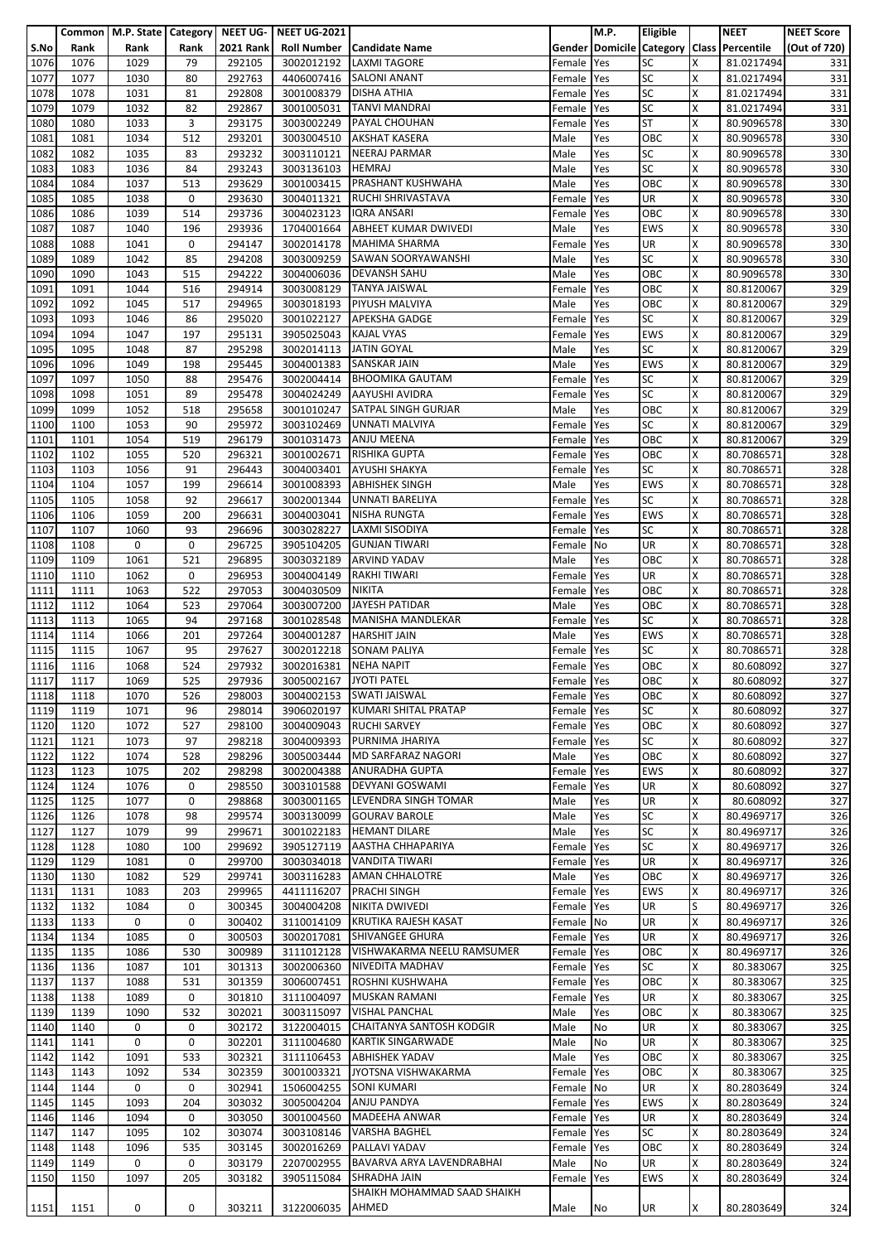|      |      |      |      |                  | Common   M.P. State   Category   NEET UG-   NEET UG-2021 |                                     |            | M.P. | Eligible   |   | <b>NEET</b>                               | <b>NEET Score</b> |
|------|------|------|------|------------------|----------------------------------------------------------|-------------------------------------|------------|------|------------|---|-------------------------------------------|-------------------|
| S.No | Rank | Rank | Rank | <b>2021 Rank</b> |                                                          | <b>Roll Number   Candidate Name</b> |            |      |            |   | Gender Domicile Category Class Percentile | (Out of 720)      |
|      |      |      |      |                  |                                                          |                                     |            |      |            |   |                                           |                   |
| 1076 | 1076 | 1029 | 79   | 292105           | 3002012192                                               | <b>LAXMI TAGORE</b>                 | Female     | Yes  | <b>SC</b>  | x | 81.0217494                                | 331               |
| 1077 | 1077 | 1030 | 80   | 292763           | 4406007416                                               | <b>SALONI ANANT</b>                 | Female     | Yes  | <b>SC</b>  | X | 81.0217494                                | 331               |
| 1078 | 1078 | 1031 | 81   | 292808           | 3001008379                                               | <b>DISHA ATHIA</b>                  | Female     | Yes  | <b>SC</b>  | X | 81.0217494                                | 331               |
| 1079 | 1079 | 1032 | 82   | 292867           | 3001005031                                               | <b>TANVI MANDRAI</b>                | Female     | Yes  | <b>SC</b>  | X | 81.0217494                                | 331               |
| 1080 | 1080 | 1033 | 3    | 293175           | 3003002249                                               | PAYAL CHOUHAN                       | Female     | Yes  | <b>ST</b>  | x | 80.9096578                                | 330               |
|      |      |      |      |                  |                                                          |                                     |            |      |            |   |                                           |                   |
| 1081 | 1081 | 1034 | 512  | 293201           | 3003004510                                               | <b>AKSHAT KASERA</b>                | Male       | Yes  | OBC        | Χ | 80.9096578                                | 330               |
| 1082 | 1082 | 1035 | 83   | 293232           | 3003110121                                               | <b>NEERAJ PARMAR</b>                | Male       | Yes  | <b>SC</b>  | X | 80.9096578                                | 330               |
| 1083 | 1083 | 1036 | 84   | 293243           | 3003136103                                               | <b>HEMRAJ</b>                       | Male       | Yes  | <b>SC</b>  | X | 80.9096578                                | 330               |
| 1084 | 1084 | 1037 | 513  | 293629           |                                                          | 3001003415 PRASHANT KUSHWAHA        | Male       | Yes  | OBC        | Χ | 80.9096578                                | 330               |
| 1085 | 1085 | 1038 | 0    | 293630           | 3004011321                                               | RUCHI SHRIVASTAVA                   | Female     | Yes  | UR         | x | 80.9096578                                | 330               |
| 1086 | 1086 | 1039 | 514  | 293736           | 3004023123                                               | <b>IQRA ANSARI</b>                  |            |      | OBC        | x |                                           | 330               |
|      |      |      |      |                  |                                                          |                                     | Female     | Yes  |            |   | 80.9096578                                |                   |
| 1087 | 1087 | 1040 | 196  | 293936           | 1704001664                                               | ABHEET KUMAR DWIVEDI                | Male       | Yes  | <b>EWS</b> | X | 80.9096578                                | 330               |
| 1088 | 1088 | 1041 | 0    | 294147           | 3002014178                                               | <b>MAHIMA SHARMA</b>                | Female     | Yes  | UR         | x | 80.9096578                                | 330               |
| 1089 | 1089 | 1042 | 85   | 294208           | 3003009259                                               | SAWAN SOORYAWANSHI                  | Male       | Yes  | <b>SC</b>  | X | 80.9096578                                | 330               |
| 1090 | 1090 | 1043 | 515  | 294222           |                                                          | 3004006036 DEVANSH SAHU             | Male       | Yes  | OBC        | x | 80.9096578                                | 330               |
| 1091 | 1091 | 1044 | 516  | 294914           | 3003008129                                               | <b>TANYA JAISWAL</b>                | Female Yes |      | OBC        | X | 80.8120067                                | 329               |
| 1092 | 1092 | 1045 | 517  | 294965           | 3003018193                                               | PIYUSH MALVIYA                      | Male       | Yes  | OBC        | X | 80.8120067                                | 329               |
| 1093 | 1093 | 1046 | 86   | 295020           |                                                          | 3001022127 APEKSHA GADGE            | Female     | Yes  | SC         | x | 80.8120067                                | 329               |
|      |      |      |      |                  |                                                          |                                     |            |      |            |   |                                           |                   |
| 1094 | 1094 | 1047 | 197  | 295131           | 3905025043 KAJAL VYAS                                    |                                     | Female     | Yes  | <b>EWS</b> | X | 80.8120067                                | 329               |
| 1095 | 1095 | 1048 | 87   | 295298           | 3002014113 JATIN GOYAL                                   |                                     | Male       | Yes  | <b>SC</b>  | X | 80.8120067                                | 329               |
| 1096 | 1096 | 1049 | 198  | 295445           | 3004001383                                               | <b>SANSKAR JAIN</b>                 | Male       | Yes  | <b>EWS</b> | X | 80.8120067                                | 329               |
| 1097 | 1097 | 1050 | 88   | 295476           | 3002004414                                               | <b>BHOOMIKA GAUTAM</b>              | Female     | Yes  | <b>SC</b>  | X | 80.8120067                                | 329               |
| 1098 | 1098 | 1051 | 89   | 295478           |                                                          | 3004024249 AAYUSHI AVIDRA           | Female     | Yes  | <b>SC</b>  | X | 80.8120067                                | 329               |
| 1099 | 1099 | 1052 | 518  | 295658           | 3001010247                                               | <b>SATPAL SINGH GURJAR</b>          | Male       | Yes  | OBC        | X | 80.8120067                                | 329               |
| 1100 | 1100 | 1053 | 90   | 295972           | 3003102469                                               | UNNATI MALVIYA                      | Female     | Yes  | <b>SC</b>  | X | 80.8120067                                | 329               |
|      | 1101 | 1054 | 519  |                  |                                                          | <b>ANJU MEENA</b>                   |            |      | OBC        | X | 80.8120067                                | 329               |
| 1101 |      |      |      | 296179           | 3001031473                                               |                                     | Female     | Yes  |            |   |                                           |                   |
| 1102 | 1102 | 1055 | 520  | 296321           | 3001002671                                               | <b>RISHIKA GUPTA</b>                | Female     | Yes  | OBC        | X | 80.7086571                                | 328               |
| 1103 | 1103 | 1056 | 91   | 296443           | 3004003401                                               | <b>AYUSHI SHAKYA</b>                | Female     | Yes  | <b>SC</b>  | X | 80.7086571                                | 328               |
| 1104 | 1104 | 1057 | 199  | 296614           | 3001008393                                               | <b>ABHISHEK SINGH</b>               | Male       | Yes  | <b>EWS</b> | Χ | 80.7086571                                | 328               |
| 1105 | 1105 | 1058 | 92   | 296617           | 3002001344                                               | UNNATI BARELIYA                     | Female     | Yes  | <b>SC</b>  | X | 80.7086571                                | 328               |
| 1106 | 1106 | 1059 | 200  | 296631           | 3004003041                                               | <b>NISHA RUNGTA</b>                 | Female     | Yes  | <b>EWS</b> | X | 80.7086571                                | 328               |
| 1107 | 1107 | 1060 | 93   | 296696           | 3003028227                                               | LAXMI SISODIYA                      | Female     | Yes  | <b>SC</b>  | x | 80.7086571                                | 328               |
|      | 1108 | 0    | 0    | 296725           |                                                          | <b>GUNJAN TIWARI</b>                | Female No  |      | UR         | x | 80.7086571                                | 328               |
| 1108 |      |      |      |                  | 3905104205                                               |                                     |            |      |            |   |                                           |                   |
| 1109 | 1109 | 1061 | 521  | 296895           | 3003032189                                               | <b>ARVIND YADAV</b>                 | Male       | Yes  | OBC        | Χ | 80.7086571                                | 328               |
| 1110 | 1110 | 1062 | 0    | 296953           | 3004004149                                               | <b>RAKHI TIWARI</b>                 | Female     | Yes  | UR         | x | 80.7086571                                | 328               |
| 1111 | 1111 | 1063 | 522  | 297053           | 3004030509                                               | <b>NIKITA</b>                       | Female     | Yes  | OBC        | X | 80.7086571                                | 328               |
| 1112 | 1112 | 1064 | 523  | 297064           | 3003007200                                               | JAYESH PATIDAR                      | Male       | Yes  | OBC        | X | 80.7086571                                | 328               |
| 1113 | 1113 | 1065 | 94   | 297168           | 3001028548                                               | <b>MANISHA MANDLEKAR</b>            | Female     | Yes  | <b>SC</b>  | X | 80.7086571                                | 328               |
| 1114 | 1114 | 1066 | 201  | 297264           | 3004001287                                               | <b>HARSHIT JAIN</b>                 | Male       | Yes  | <b>EWS</b> | X | 80.7086571                                | 328               |
| 1115 | 1115 | 1067 | 95   | 297627           | 3002012218                                               | <b>SONAM PALIYA</b>                 |            | Yes  | <b>SC</b>  | X | 80.7086571                                | 328               |
|      |      |      |      |                  |                                                          |                                     | Female     |      |            |   |                                           |                   |
| 1116 | 1116 | 1068 | 524  | 297932           | 3002016381                                               | <b>NEHA NAPIT</b>                   | Female     | Yes  | OBC        | X | 80.608092                                 | 327               |
| 1117 | 1117 | 1069 | 525  | 297936           | 3005002167 JYOTI PATEL                                   |                                     | Female Yes |      | OBC        | X | 80.608092                                 | 327               |
| 1118 | 1118 | 1070 | 526  | 298003           |                                                          | 3004002153 SWATI JAISWAL            | Female Yes |      | OBC        | X | 80.608092                                 | 327               |
| 1119 | 1119 | 1071 | 96   | 298014           | 3906020197                                               | <b>KUMARI SHITAL PRATAP</b>         | Female     | Yes  | <b>SC</b>  | X | 80.608092                                 | 327               |
| 1120 | 1120 | 1072 | 527  | 298100           |                                                          | 3004009043 RUCHI SARVEY             | Female Yes |      | OBC        | х | 80.608092                                 | 327               |
| 1121 | 1121 | 1073 | 97   | 298218           | 3004009393                                               | PURNIMA JHARIYA                     | Female Yes |      | <b>SC</b>  | X | 80.608092                                 | 327               |
| 1122 | 1122 |      | 528  | 298296           | 3005003444                                               | <b>MD SARFARAZ NAGORI</b>           |            |      | OBC        | X | 80.608092                                 |                   |
|      |      | 1074 |      |                  |                                                          |                                     | Male       | Yes  |            |   |                                           | 327               |
| 1123 | 1123 | 1075 | 202  | 298298           | 3002004388                                               | <b>ANURADHA GUPTA</b>               | Female Yes |      | <b>EWS</b> | x | 80.608092                                 | 327               |
| 1124 | 1124 | 1076 | 0    | 298550           | 3003101588                                               | <b>DEVYANI GOSWAMI</b>              | Female     | Yes  | <b>UR</b>  | X | 80.608092                                 | 327               |
| 1125 | 1125 | 1077 | 0    | 298868           | 3003001165                                               | LEVENDRA SINGH TOMAR                | Male       | Yes  | <b>UR</b>  | X | 80.608092                                 | 327               |
| 1126 | 1126 | 1078 | 98   | 299574           | 3003130099                                               | <b>GOURAV BAROLE</b>                | Male       | Yes  | <b>SC</b>  | Χ | 80.4969717                                | 326               |
| 1127 | 1127 | 1079 | 99   | 299671           | 3001022183                                               | <b>HEMANT DILARE</b>                | Male       | Yes  | <b>SC</b>  | x | 80.4969717                                | 326               |
| 1128 | 1128 | 1080 | 100  | 299692           |                                                          | 3905127119 AASTHA CHHAPARIYA        | Female     | Yes  | <b>SC</b>  | x | 80.4969717                                | 326               |
| 1129 | 1129 | 1081 | 0    | 299700           | 3003034018                                               | <b>VANDITA TIWARI</b>               | Female     | Yes  | <b>UR</b>  | X | 80.4969717                                | 326               |
| 1130 | 1130 | 1082 | 529  | 299741           |                                                          | 3003116283 AMAN CHHALOTRE           | Male       | Yes  | OBC        | x | 80.4969717                                | 326               |
|      |      |      |      |                  |                                                          |                                     |            |      |            |   |                                           |                   |
| 1131 | 1131 | 1083 | 203  | 299965           | 4411116207                                               | <b>PRACHI SINGH</b>                 | Female     | Yes  | <b>EWS</b> | Χ | 80.4969717                                | 326               |
| 1132 | 1132 | 1084 | 0    | 300345           | 3004004208                                               | NIKITA DWIVEDI                      | Female     | Yes  | UR         | S | 80.4969717                                | 326               |
| 1133 | 1133 | 0    | 0    | 300402           | 3110014109                                               | KRUTIKA RAJESH KASAT                | Female No  |      | <b>UR</b>  | x | 80.4969717                                | 326               |
| 1134 | 1134 | 1085 | 0    | 300503           | 3002017081                                               | <b>SHIVANGEE GHURA</b>              | Female     | Yes  | UR         | Χ | 80.4969717                                | 326               |
| 1135 | 1135 | 1086 | 530  | 300989           | 3111012128                                               | VISHWAKARMA NEELU RAMSUMER          | Female     | Yes  | OBC        | x | 80.4969717                                | 326               |
| 1136 | 1136 | 1087 | 101  | 301313           | 3002006360                                               | <b>NIVEDITA MADHAV</b>              | Female     | Yes  | <b>SC</b>  | Χ | 80.383067                                 | 325               |
| 1137 | 1137 | 1088 | 531  | 301359           | 3006007451                                               | ROSHNI KUSHWAHA                     | Female     | Yes  | OBC        | x | 80.383067                                 | 325               |
| 1138 | 1138 | 1089 | 0    | 301810           | 3111004097                                               | <b>MUSKAN RAMANI</b>                | Female     | Yes  | UR         | X | 80.383067                                 | 325               |
| 1139 | 1139 | 1090 | 532  | 302021           | 3003115097                                               | <b>VISHAL PANCHAL</b>               | Male       | Yes  | OBC        | Χ | 80.383067                                 | 325               |
|      |      |      |      |                  |                                                          |                                     |            |      |            |   |                                           |                   |
| 1140 | 1140 | 0    | 0    | 302172           | 3122004015                                               | CHAITANYA SANTOSH KODGIR            | Male       | No   | UR         | x | 80.383067                                 | 325               |
| 1141 | 1141 | 0    | 0    | 302201           | 3111004680                                               | <b>KARTIK SINGARWADE</b>            | Male       | No   | UR         | X | 80.383067                                 | 325               |
| 1142 | 1142 | 1091 | 533  | 302321           | 3111106453                                               | <b>ABHISHEK YADAV</b>               | Male       | Yes  | OBC        | X | 80.383067                                 | 325               |
| 1143 | 1143 | 1092 | 534  | 302359           | 3001003321                                               | JYOTSNA VISHWAKARMA                 | Female Yes |      | OBC        | x | 80.383067                                 | 325               |
| 1144 | 1144 | 0    | 0    | 302941           | 1506004255                                               | <b>SONI KUMARI</b>                  | Female No  |      | UR         | X | 80.2803649                                | 324               |
| 1145 | 1145 | 1093 | 204  | 303032           | 3005004204                                               | ANJU PANDYA                         | Female     | Yes  | <b>EWS</b> | X | 80.2803649                                | 324               |
| 1146 | 1146 | 1094 | 0    | 303050           | 3001004560                                               | <b>MADEEHA ANWAR</b>                | Female     | Yes  | <b>UR</b>  | Χ | 80.2803649                                | 324               |
| 1147 | 1147 | 1095 | 102  | 303074           | 3003108146                                               | <b>VARSHA BAGHEL</b>                | Female     | Yes  | SC         | X | 80.2803649                                | 324               |
|      |      |      | 535  |                  |                                                          | PALLAVI YADAV                       |            |      | OBC        | X |                                           |                   |
| 1148 | 1148 | 1096 |      | 303145           | 3002016269                                               |                                     | Female Yes |      |            |   | 80.2803649                                | 324               |
| 1149 | 1149 | 0    | 0    | 303179           | 2207002955                                               | BAVARVA ARYA LAVENDRABHAI           | Male       | No   | UR         | X | 80.2803649                                | 324               |
| 1150 | 1150 | 1097 | 205  | 303182           |                                                          | 3905115084 SHRADHA JAIN             | Female     | Yes  | <b>EWS</b> | x | 80.2803649                                | 324               |
|      |      |      |      |                  |                                                          | SHAIKH MOHAMMAD SAAD SHAIKH         |            |      |            |   |                                           |                   |
| 1151 | 1151 | 0    | 0    | 303211           | 3122006035                                               | AHMED                               | Male       | No   | <b>UR</b>  | X | 80.2803649                                | 324               |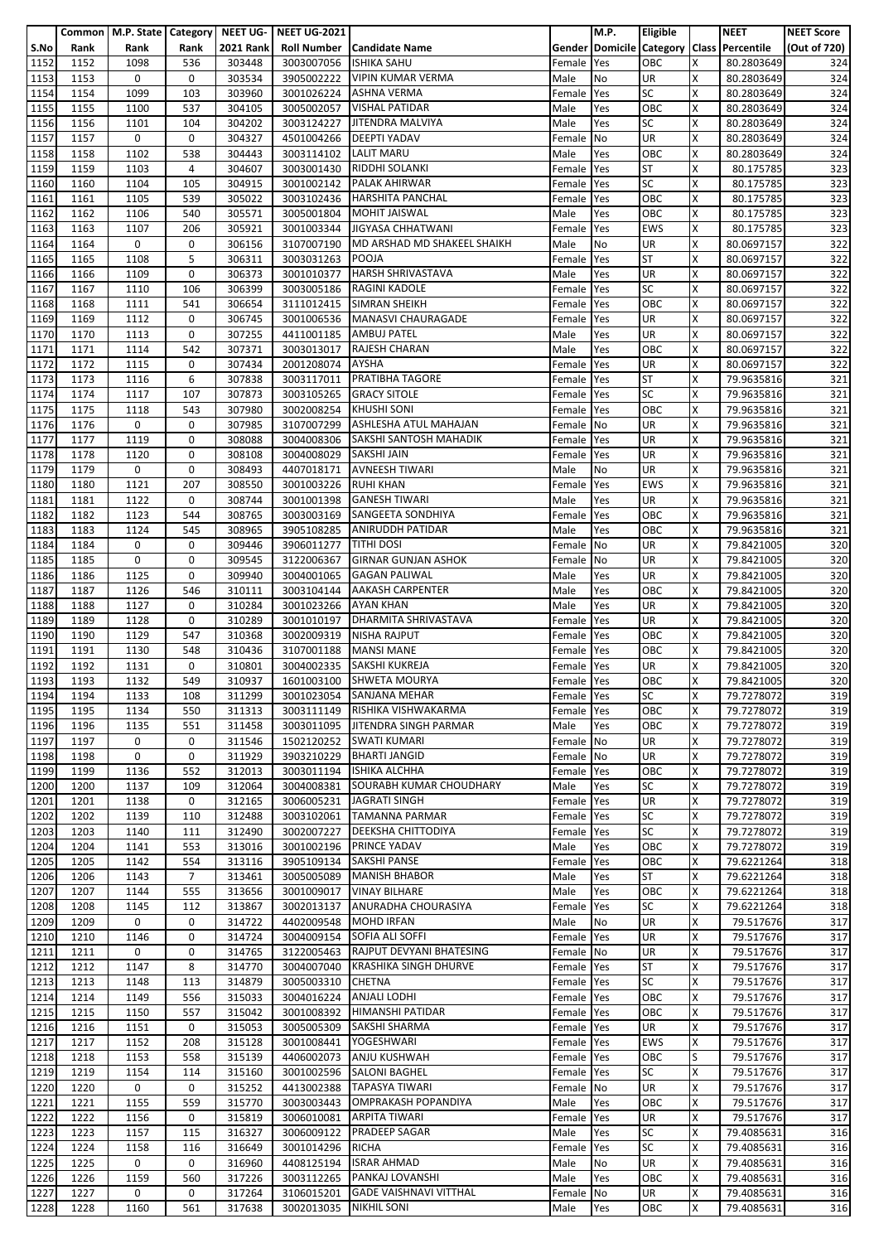|                   |      | Common   M.P. State   Category   NEET UG- |                |                  | <b>NEET UG-2021</b> |                                  |            | M.P.                            | Eligible   |   | <b>NEET</b>             | <b>NEET Score</b> |
|-------------------|------|-------------------------------------------|----------------|------------------|---------------------|----------------------------------|------------|---------------------------------|------------|---|-------------------------|-------------------|
| S.No              | Rank | Rank                                      | Rank           | <b>2021 Rank</b> | <b>Roll Number</b>  | <b>Candidate Name</b>            |            | <b>Gender Domicile Category</b> |            |   | <b>Class Percentile</b> | (Out of 720)      |
| 1152              | 1152 | 1098                                      | 536            | 303448           | 3003007056          | <b>ISHIKA SAHU</b>               | Female     | Yes                             | OBC        | X | 80.2803649              |                   |
|                   |      |                                           |                |                  |                     |                                  |            |                                 |            |   |                         | 324               |
| 1153              | 1153 | 0                                         | 0              | 303534           | 3905002222          | <b>VIPIN KUMAR VERMA</b>         | Male       | No                              | UR         | X | 80.2803649              | 324               |
| 1154              | 1154 | 1099                                      | 103            | 303960           | 3001026224          | <b>ASHNA VERMA</b>               | Female     | Yes                             | <b>SC</b>  | X | 80.2803649              | 324               |
| 1155              | 1155 | 1100                                      | 537            | 304105           | 3005002057          | <b>VISHAL PATIDAR</b>            | Male       | Yes                             | OBC        | X | 80.2803649              | 324               |
| 1156              | 1156 | 1101                                      | 104            | 304202           | 3003124227          | JITENDRA MALVIYA                 | Male       | Yes                             | <b>SC</b>  | X | 80.2803649              | 324               |
| 1157              | 1157 | 0                                         | 0              | 304327           | 4501004266          | <b>DEEPTI YADAV</b>              | Female No  |                                 | UR         | Χ | 80.2803649              | 324               |
| 1158              | 1158 | 1102                                      | 538            | 304443           | 3003114102          | LALIT MARU                       | Male       | Yes                             | OBC        | x | 80.2803649              | 324               |
|                   |      |                                           |                |                  |                     |                                  |            |                                 |            |   |                         |                   |
| 1159              | 1159 | 1103                                      | 4              | 304607           | 3003001430          | <b>RIDDHI SOLANKI</b>            | Female     | Yes                             | <b>ST</b>  | X | 80.175785               | 323               |
| 1160              | 1160 | 1104                                      | 105            | 304915           | 3001002142          | <b>PALAK AHIRWAR</b>             | Female     | Yes                             | SC         | Χ | 80.175785               | 323               |
| 1161              | 1161 | 1105                                      | 539            | 305022           | 3003102436          | <b>HARSHITA PANCHAL</b>          | Female     | Yes                             | OBC        | X | 80.175785               | 323               |
| 1162              | 1162 | 1106                                      | 540            | 305571           | 3005001804          | <b>MOHIT JAISWAL</b>             | Male       | Yes                             | OBC        | X | 80.175785               | 323               |
| 1163              | 1163 | 1107                                      | 206            | 305921           | 3001003344          | JIGYASA CHHATWANI                | Female     | Yes                             | <b>EWS</b> | X | 80.175785               | 323               |
| 1164              |      | 0                                         | 0              |                  |                     | MD ARSHAD MD SHAKEEL SHAIKH      |            |                                 | UR         | X |                         |                   |
|                   | 1164 |                                           |                | 306156           | 3107007190          |                                  | Male       | No                              |            |   | 80.0697157              | 322               |
| 1165              | 1165 | 1108                                      | 5              | 306311           | 3003031263          | <b>POOJA</b>                     | Female     | Yes                             | <b>ST</b>  | X | 80.0697157              | 322               |
| 1166              | 1166 | 1109                                      | 0              | 306373           | 3001010377          | <b>HARSH SHRIVASTAVA</b>         | Male       | Yes                             | UR         | X | 80.0697157              | 322               |
| 1167              | 1167 | 1110                                      | 106            | 306399           | 3003005186          | <b>RAGINI KADOLE</b>             | Female     | Yes                             | <b>SC</b>  | x | 80.0697157              | 322               |
| 1168              | 1168 | 1111                                      | 541            | 306654           | 3111012415          | <b>SIMRAN SHEIKH</b>             | Female     | Yes                             | OBC        | x | 80.0697157              | 322               |
| 1169              | 1169 | 1112                                      | 0              | 306745           | 3001006536          | MANASVI CHAURAGADE               | Female     | Yes                             | UR         | X | 80.0697157              | 322               |
| 1170              | 1170 | 1113                                      | 0              | 307255           | 4411001185          | <b>AMBUJ PATEL</b>               | Male       | Yes                             | UR         | Χ | 80.0697157              | 322               |
|                   |      |                                           |                |                  |                     |                                  |            |                                 |            |   |                         |                   |
| $\frac{1}{1171}$  | 1171 | 1114                                      | 542            | 307371           | 3003013017          | <b>RAJESH CHARAN</b>             | Male       | Yes                             | OBC        | X | 80.0697157              | 322               |
| 1172              | 1172 | 1115                                      | 0              | 307434           | 2001208074          | <b>AYSHA</b>                     | Female     | Yes                             | UR         | X | 80.0697157              | 322               |
| 1173              | 1173 | 1116                                      | 6              | 307838           | 3003117011          | <b>PRATIBHA TAGORE</b>           | Female     | Yes                             | <b>ST</b>  | X | 79.9635816              | 321               |
| 1174              | 1174 | 1117                                      | 107            | 307873           | 3003105265          | <b>GRACY SITOLE</b>              | Female     | Yes                             | <b>SC</b>  | X | 79.9635816              | 321               |
| 1175              | 1175 | 1118                                      | 543            | 307980           | 3002008254          | <b>KHUSHI SONI</b>               | Female     | Yes                             | OBC        | X | 79.9635816              | 321               |
| 1176              | 1176 | 0                                         | 0              | 307985           | 3107007299          | ASHLESHA ATUL MAHAJAN            |            | No                              | UR         | X | 79.9635816              | 321               |
|                   |      |                                           |                |                  |                     |                                  | Female     |                                 |            |   |                         |                   |
| 1177              | 1177 | 1119                                      | 0              | 308088           | 3004008306          | SAKSHI SANTOSH MAHADIK           | Female     | Yes                             | UR         | x | 79.9635816              | 321               |
| 1178              | 1178 | 1120                                      | 0              | 308108           | 3004008029          | SAKSHI JAIN                      | Female     | Yes                             | UR         | X | 79.9635816              | 321               |
| 1179              | 1179 | 0                                         | 0              | 308493           | 4407018171          | <b>AVNEESH TIWARI</b>            | Male       | No                              | UR         | х | 79.9635816              | 321               |
| 1180              | 1180 | 1121                                      | 207            | 308550           | 3001003226          | <b>RUHI KHAN</b>                 | Female     | Yes                             | <b>EWS</b> | X | 79.9635816              | 321               |
| 1181              | 1181 | 1122                                      | 0              | 308744           | 3001001398          | <b>GANESH TIWARI</b>             | Male       | Yes                             | <b>UR</b>  | X | 79.9635816              | 321               |
| 1182              |      |                                           |                | 308765           |                     | SANGEETA SONDHIYA                |            |                                 | OBC        | X |                         |                   |
|                   | 1182 | 1123                                      | 544            |                  | 3003003169          |                                  | Female     | Yes                             |            |   | 79.9635816              | 321               |
| 1183              | 1183 | 1124                                      | 545            | 308965           | 3905108285          | <b>ANIRUDDH PATIDAR</b>          | Male       | Yes                             | OBC        | X | 79.9635816              | 321               |
| 1184              | 1184 | 0                                         | 0              | 309446           | 3906011277          | <b>TITHI DOSI</b>                | Female     | No                              | UR         | X | 79.8421005              | 320               |
| 1185              | 1185 | 0                                         | 0              | 309545           | 3122006367          | <b>GIRNAR GUNJAN ASHOK</b>       | Female     | No                              | UR         | X | 79.8421005              | 320               |
| 1186              | 1186 | 1125                                      | 0              | 309940           | 3004001065          | <b>GAGAN PALIWAL</b>             | Male       | Yes                             | UR         | X | 79.8421005              | 320               |
| 1187              | 1187 | 1126                                      | 546            | 310111           | 3003104144          | <b>AAKASH CARPENTER</b>          | Male       | Yes                             | OBC        | Χ | 79.8421005              | 320               |
|                   |      |                                           |                |                  |                     |                                  |            |                                 |            |   |                         |                   |
| 1188              | 1188 | 1127                                      | 0              | 310284           | 3001023266          | <b>AYAN KHAN</b>                 | Male       | Yes                             | UR         | X | 79.8421005              | 320               |
| 1189              | 1189 | 1128                                      | 0              | 310289           | 3001010197          | <b>DHARMITA SHRIVASTAVA</b>      | Female     | Yes                             | UR         | X | 79.8421005              | 320               |
| 1190              | 1190 | 1129                                      | 547            | 310368           | 3002009319          | <b>NISHA RAJPUT</b>              | Female     | Yes                             | OBC        | Χ | 79.8421005              | 320               |
| $\overline{1191}$ | 1191 | 1130                                      | 548            | 310436           | 3107001188          | <b>MANSI MANE</b>                | Female     | Yes                             | OBC        | X | 79.8421005              | 320               |
| 1192              | 1192 | 1131                                      | 0              | 310801           | 3004002335          | SAKSHI KUKREJA                   | Female     | Yes                             | UR         | x | 79.8421005              | 320               |
| 1193              | 1193 | 1132                                      | 549            | 310937           |                     | 1601003100 SHWETA MOURYA         | Female Yes |                                 | OBC        | X | 79.8421005              | 320               |
|                   |      |                                           |                |                  |                     |                                  |            |                                 |            |   |                         |                   |
| 1194              | 1194 | 1133                                      | 108            | 311299           |                     | 3001023054 SANJANA MEHAR         | Female Yes |                                 | <b>SC</b>  | X | 79.7278072              | 319               |
| 1195              | 1195 | 1134                                      | 550            | 311313           | 3003111149          | RISHIKA VISHWAKARMA              | Female     | Yes                             | OBC        | x | 79.7278072              | 319               |
| 1196              | 1196 | 1135                                      | 551            | 311458           |                     | 3003011095 JITENDRA SINGH PARMAR | Male       | Yes                             | OBC        | X | 79.7278072              | 319               |
| 1197              | 1197 | 0                                         | 0              | 311546           | 1502120252          | <b>SWATI KUMARI</b>              | Female No  |                                 | <b>UR</b>  | X | 79.7278072              | 319               |
| 1198              | 1198 | 0                                         | 0              | 311929           | 3903210229          | <b>BHARTI JANGID</b>             | Female     | No                              | UR         | X | 79.7278072              | 319               |
| 1199              | 1199 | 1136                                      | 552            | 312013           |                     | <b>ISHIKA ALCHHA</b>             |            |                                 | OBC        | X | 79.7278072              | 319               |
|                   |      |                                           |                |                  | 3003011194          |                                  | Female     | Yes                             |            |   |                         |                   |
| 1200              | 1200 | 1137                                      | 109            | 312064           | 3004008381          | SOURABH KUMAR CHOUDHARY          | Male       | Yes                             | <b>SC</b>  | X | 79.7278072              | 319               |
| 1201              | 1201 | 1138                                      | 0              | 312165           | 3006005231          | <b>JAGRATI SINGH</b>             | Female     | Yes                             | <b>UR</b>  | X | 79.7278072              | 319               |
| 1202              | 1202 | 1139                                      | 110            | 312488           | 3003102061          | <b>TAMANNA PARMAR</b>            | Female     | Yes                             | <b>SC</b>  | Χ | 79.7278072              | 319               |
| 1203              | 1203 | 1140                                      | 111            | 312490           | 3002007227          | <b>DEEKSHA CHITTODIYA</b>        | Female     | Yes                             | <b>SC</b>  | X | 79.7278072              | 319               |
| 1204              | 1204 | 1141                                      | 553            | 313016           | 3001002196          | <b>PRINCE YADAV</b>              | Male       | Yes                             | OBC        | x | 79.7278072              | 319               |
| 1205              | 1205 | 1142                                      | 554            | 313116           | 3905109134          | SAKSHI PANSE                     | Female     | Yes                             | OBC        | X | 79.6221264              | 318               |
| 1206              |      | 1143                                      | $\overline{7}$ | 313461           | 3005005089          | <b>MANISH BHABOR</b>             |            |                                 | ST         | X | 79.6221264              | 318               |
|                   | 1206 |                                           |                |                  |                     |                                  | Male       | Yes                             |            |   |                         |                   |
| 1207              | 1207 | 1144                                      | 555            | 313656           | 3001009017          | <b>VINAY BILHARE</b>             | Male       | Yes                             | OBC        | Χ | 79.6221264              | 318               |
| 1208              | 1208 | 1145                                      | 112            | 313867           | 3002013137          | ANURADHA CHOURASIYA              | Female     | Yes                             | <b>SC</b>  | X | 79.6221264              | 318               |
| 1209              | 1209 | 0                                         | 0              | 314722           | 4402009548          | <b>MOHD IRFAN</b>                | Male       | No                              | <b>UR</b>  | x | 79.517676               | 317               |
| 1210              | 1210 | 1146                                      | 0              | 314724           | 3004009154          | SOFIA ALI SOFFI                  | Female     | Yes                             | <b>UR</b>  | X | 79.517676               | 317               |
| 1211              | 1211 | 0                                         | 0              | 314765           | 3122005463          | RAJPUT DEVYANI BHATESING         | Female     | No                              | <b>UR</b>  | X | 79.517676               | 317               |
| 1212              | 1212 | 1147                                      | 8              | 314770           | 3004007040          | <b>KRASHIKA SINGH DHURVE</b>     | Female     | Yes                             | <b>ST</b>  | X | 79.517676               | 317               |
|                   |      |                                           |                |                  |                     |                                  |            |                                 |            |   |                         |                   |
| 1213              | 1213 | 1148                                      | 113            | 314879           | 3005003310          | <b>CHETNA</b>                    | Female     | Yes                             | <b>SC</b>  | X | 79.517676               | 317               |
| 1214              | 1214 | 1149                                      | 556            | 315033           | 3004016224          | <b>ANJALI LODHI</b>              | Female     | Yes                             | OBC        | X | 79.517676               | 317               |
| 1215              | 1215 | 1150                                      | 557            | 315042           | 3001008392          | HIMANSHI PATIDAR                 | Female     | Yes                             | OBC        | X | 79.517676               | 317               |
| 1216              | 1216 | 1151                                      | 0              | 315053           | 3005005309          | SAKSHI SHARMA                    | Female     | Yes                             | UR         | X | 79.517676               | 317               |
| 1217              | 1217 | 1152                                      | 208            | 315128           | 3001008441          | YOGESHWARI                       | Female Yes |                                 | <b>EWS</b> | Χ | 79.517676               | 317               |
| 1218              | 1218 | 1153                                      | 558            | 315139           | 4406002073          | ANJU KUSHWAH                     | Female     | Yes                             | OBC        | S | 79.517676               | 317               |
| 1219              |      |                                           |                |                  |                     |                                  |            |                                 | <b>SC</b>  |   |                         |                   |
|                   | 1219 | 1154                                      | 114            | 315160           | 3001002596          | <b>SALONI BAGHEL</b>             | Female     | Yes                             |            | X | 79.517676               | 317               |
| 1220              | 1220 | 0                                         | 0              | 315252           | 4413002388          | <b>TAPASYA TIWARI</b>            | Female No  |                                 | <b>UR</b>  | x | 79.517676               | 317               |
| 1221              | 1221 | 1155                                      | 559            | 315770           | 3003003443          | OMPRAKASH POPANDIYA              | Male       | Yes                             | OBC        | X | 79.517676               | 317               |
| 1222              | 1222 | 1156                                      | 0              | 315819           | 3006010081          | <b>ARPITA TIWARI</b>             | Female     | Yes                             | <b>UR</b>  | X | 79.517676               | 317               |
| 1223              | 1223 | 1157                                      | 115            | 316327           | 3006009122          | PRADEEP SAGAR                    | Male       | Yes                             | <b>SC</b>  | X | 79.4085631              | 316               |
| 1224              | 1224 | 1158                                      | 116            | 316649           | 3001014296          | RICHA                            | Female     | Yes                             | <b>SC</b>  | x | 79.4085631              | 316               |
|                   |      |                                           |                |                  |                     |                                  |            |                                 |            |   |                         |                   |
| 1225              | 1225 | 0                                         | 0              | 316960           | 4408125194          | <b>ISRAR AHMAD</b>               | Male       | No                              | UR         | X | 79.4085631              | 316               |
| 1226              | 1226 | 1159                                      | 560            | 317226           | 3003112265          | PANKAJ LOVANSHI                  | Male       | Yes                             | OBC        | X | 79.4085631              | 316               |
| $\overline{12}27$ | 1227 | 0                                         | 0              | 317264           | 3106015201          | <b>GADE VAISHNAVI VITTHAL</b>    | Female No  |                                 | UR         | Χ | 79.4085631              | 316               |
| 1228              | 1228 | 1160                                      | 561            | 317638           | 3002013035          | <b>NIKHIL SONI</b>               | Male       | Yes                             | OBC        | X | 79.4085631              | 316               |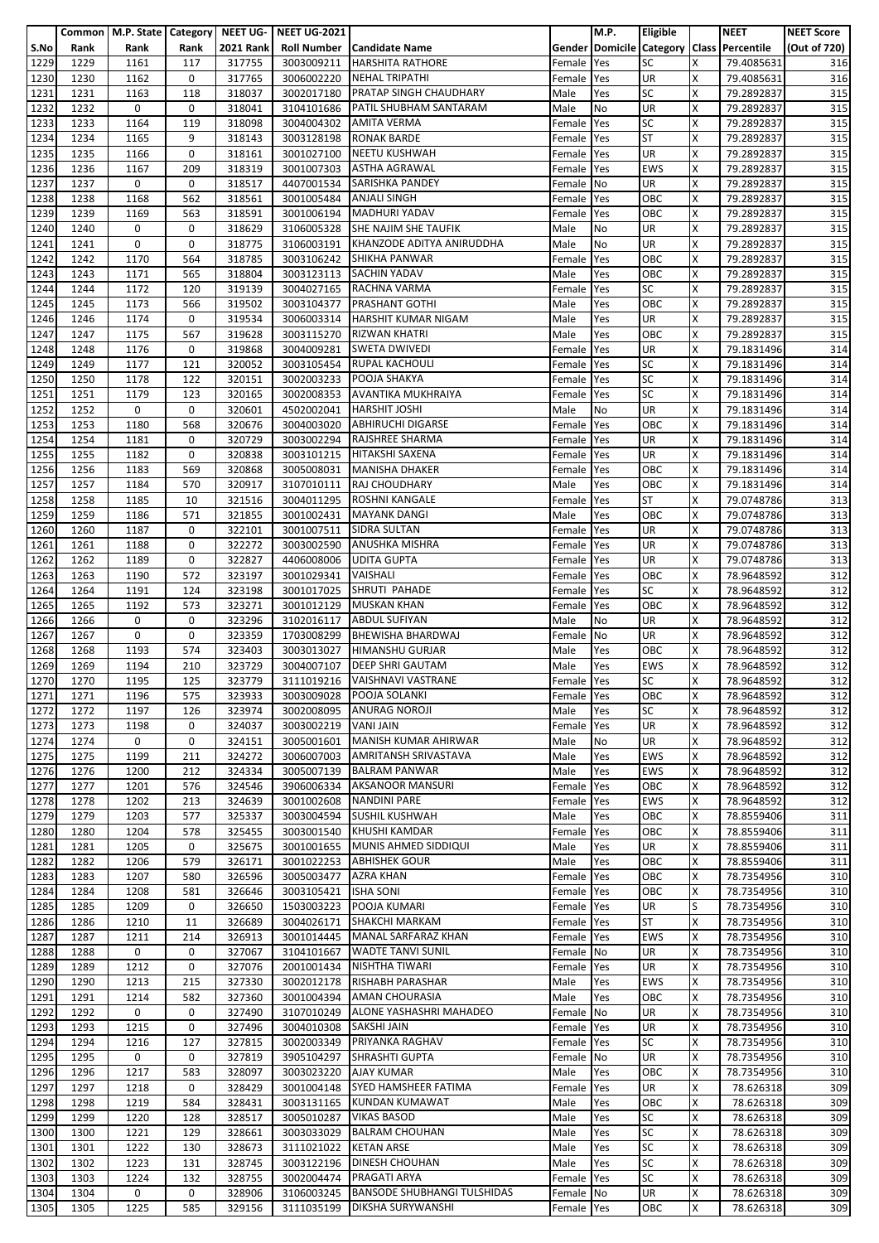|                   |      | Common   M.P. State   Category   NEET UG- |      |                  | <b>NEET UG-2021</b>  |                                    |            | M.P. | Eligible                        |   | <b>NEET</b>             | <b>NEET Score</b> |
|-------------------|------|-------------------------------------------|------|------------------|----------------------|------------------------------------|------------|------|---------------------------------|---|-------------------------|-------------------|
| S.No              | Rank | Rank                                      | Rank | <b>2021 Rank</b> | <b>Roll Number</b>   | <b>Candidate Name</b>              |            |      | <b>Gender Domicile Category</b> |   | <b>Class Percentile</b> | (Out of 720)      |
|                   |      |                                           |      |                  |                      |                                    |            |      |                                 |   |                         |                   |
| 1229              | 1229 | 1161                                      | 117  | 317755           | 3003009211           | <b>HARSHITA RATHORE</b>            | Female     | Yes  | <b>SC</b>                       | x | 79.4085631              | 316               |
| 1230              | 1230 | 1162                                      | 0    | 317765           | 3006002220           | <b>NEHAL TRIPATHI</b>              | Female     | Yes  | <b>UR</b>                       | X | 79.4085631              | 316               |
| 1231              | 1231 | 1163                                      | 118  | 318037           | 3002017180           | PRATAP SINGH CHAUDHARY             | Male       | Yes  | <b>SC</b>                       | X | 79.2892837              | 315               |
| 1232              | 1232 | 0                                         | 0    | 318041           | 3104101686           | PATIL SHUBHAM SANTARAM             | Male       | No   | UR                              | X | 79.2892837              | 315               |
| 1233              | 1233 | 1164                                      | 119  | 318098           | 3004004302           | <b>AMITA VERMA</b>                 | Female     | Yes  | <b>SC</b>                       | X | 79.2892837              | 315               |
|                   |      |                                           |      |                  |                      |                                    |            |      |                                 |   |                         |                   |
| 1234              | 1234 | 1165                                      | 9    | 318143           | 3003128198           | <b>RONAK BARDE</b>                 | Female     | Yes  | <b>ST</b>                       | x | 79.2892837              | 315               |
| 1235              | 1235 | 1166                                      | 0    | 318161           | 3001027100           | <b>NEETU KUSHWAH</b>               | Female     | Yes  | UR                              | x | 79.2892837              | 315               |
| 1236              | 1236 | 1167                                      | 209  | 318319           | 3001007303           | <b>ASTHA AGRAWAL</b>               | Female     | Yes  | <b>EWS</b>                      | X | 79.2892837              | 315               |
| 1237              | 1237 | 0                                         | 0    | 318517           | 4407001534           | <b>SARISHKA PANDEY</b>             | Female No  |      | UR                              | Χ | 79.2892837              | 315               |
| 1238              | 1238 | 1168                                      | 562  | 318561           | 3001005484           | <b>ANJALI SINGH</b>                | Female     | Yes  | OBC                             | X | 79.2892837              | 315               |
| 1239              | 1239 | 1169                                      | 563  | 318591           | 3001006194           | <b>MADHURI YADAV</b>               | Female     | Yes  | OBC                             | x | 79.2892837              | 315               |
| 1240              | 1240 | 0                                         | 0    | 318629           | 3106005328           | <b>SHE NAJIM SHE TAUFIK</b>        | Male       | No   | UR                              | X | 79.2892837              | 315               |
|                   |      |                                           |      |                  |                      | KHANZODE ADITYA ANIRUDDHA          |            |      |                                 |   |                         |                   |
| 1241              | 1241 | $\mathbf 0$                               | 0    | 318775           | 3106003191           |                                    | Male       | No   | UR                              | X | 79.2892837              | 315               |
| 1242              | 1242 | 1170                                      | 564  | 318785           | 3003106242           | <b>SHIKHA PANWAR</b>               | Female     | Yes  | OBC                             | X | 79.2892837              | 315               |
| 1243              | 1243 | 1171                                      | 565  | 318804           |                      | 3003123113 SACHIN YADAV            | Male       | Yes  | OBC                             | X | 79.2892837              | 315               |
| 1244              | 1244 | 1172                                      | 120  | 319139           | 3004027165           | RACHNA VARMA                       | Female     | Yes  | <b>SC</b>                       | x | 79.2892837              | 315               |
| 1245              | 1245 | 1173                                      | 566  | 319502           | 3003104377           | <b>PRASHANT GOTHI</b>              | Male       | Yes  | OBC                             | x | 79.2892837              | 315               |
| 1246              | 1246 | 1174                                      | 0    | 319534           | 3006003314           | <b>HARSHIT KUMAR NIGAM</b>         | Male       | Yes  | <b>UR</b>                       | х | 79.2892837              | 315               |
| 1247              | 1247 | 1175                                      | 567  | 319628           | 3003115270           | <b>RIZWAN KHATRI</b>               | Male       | Yes  | OBC                             | Χ | 79.2892837              | 315               |
| 1248              | 1248 |                                           | 0    |                  |                      | <b>SWETA DWIVEDI</b>               |            |      | UR                              | X |                         | 314               |
|                   |      | 1176                                      |      | 319868           | 3004009281           |                                    | Female     | Yes  |                                 |   | 79.1831496              |                   |
| 1249              | 1249 | 1177                                      | 121  | 320052           | 3003105454           | <b>RUPAL KACHOULI</b>              | Female     | Yes  | <b>SC</b>                       | x | 79.1831496              | 314               |
| 1250              | 1250 | 1178                                      | 122  | 320151           | 3002003233           | POOJA SHAKYA                       | Female     | Yes  | <b>SC</b>                       | X | 79.1831496              | 314               |
| 1251              | 1251 | 1179                                      | 123  | 320165           | 3002008353           | AVANTIKA MUKHRAIYA                 | Female     | Yes  | <b>SC</b>                       | X | 79.1831496              | 314               |
| 1252              | 1252 | 0                                         | 0    | 320601           | 4502002041           | <b>HARSHIT JOSHI</b>               | Male       | No   | <b>UR</b>                       | X | 79.1831496              | 314               |
| 1253              | 1253 | 1180                                      | 568  | 320676           | 3004003020           | <b>ABHIRUCHI DIGARSE</b>           | Female     | Yes  | OBC                             | X | 79.1831496              | 314               |
| 1254              | 1254 | 1181                                      | 0    | 320729           | 3003002294           | <b>RAJSHREE SHARMA</b>             | Female     | Yes  | UR                              | X | 79.1831496              | 314               |
| 1255              | 1255 | 1182                                      | 0    | 320838           | 3003101215           | HITAKSHI SAXENA                    |            | Yes  | UR                              | X | 79.1831496              | 314               |
|                   |      |                                           |      |                  |                      |                                    | Female     |      |                                 |   |                         |                   |
| 1256              | 1256 | 1183                                      | 569  | 320868           | 3005008031           | <b>MANISHA DHAKER</b>              | Female     | Yes  | OBC                             | X | 79.1831496              | 314               |
| 1257              | 1257 | 1184                                      | 570  | 320917           | 3107010111           | <b>RAJ CHOUDHARY</b>               | Male       | Yes  | OBC                             | X | 79.1831496              | 314               |
| 1258              | 1258 | 1185                                      | 10   | 321516           | 3004011295           | <b>ROSHNI KANGALE</b>              | Female     | Yes  | <b>ST</b>                       | X | 79.0748786              | 313               |
| 1259              | 1259 | 1186                                      | 571  | 321855           | 3001002431           | <b>MAYANK DANGI</b>                | Male       | Yes  | OBC                             | x | 79.0748786              | 313               |
| 1260              | 1260 | 1187                                      | 0    | 322101           | 3001007511           | SIDRA SULTAN                       | Female     | Yes  | UR                              | X | 79.0748786              | 313               |
| 1261              | 1261 | 1188                                      | 0    | 322272           | 3003002590           | <b>ANUSHKA MISHRA</b>              | Female     | Yes  | UR                              | X | 79.0748786              | 313               |
| $\overline{1262}$ | 1262 | 1189                                      | 0    | 322827           | 4406008006           | <b>UDITA GUPTA</b>                 | Female     | Yes  | UR                              | X | 79.0748786              | 313               |
| 1263              | 1263 | 1190                                      | 572  | 323197           | 3001029341           | VAISHALI                           | Female     | Yes  | OBC                             | X | 78.9648592              | 312               |
| 1264              |      |                                           |      |                  |                      |                                    |            |      |                                 |   |                         |                   |
|                   | 1264 | 1191                                      | 124  | 323198           | 3001017025           | SHRUTI PAHADE                      | Female     | Yes  | <b>SC</b>                       | X | 78.9648592              | 312               |
| 1265              | 1265 | 1192                                      | 573  | 323271           | 3001012129           | <b>MUSKAN KHAN</b>                 | Female     | Yes  | OBC                             | X | 78.9648592              | 312               |
| 1266              | 1266 | 0                                         | 0    | 323296           | 3102016117           | <b>ABDUL SUFIYAN</b>               | Male       | No   | <b>UR</b>                       | X | 78.9648592              | 312               |
| 1267              | 1267 | 0                                         | 0    | 323359           | 1703008299           | <b>BHEWISHA BHARDWAJ</b>           | Female No  |      | UR                              | Χ | 78.9648592              | 312               |
| 1268              | 1268 | 1193                                      | 574  | 323403           | 3003013027           | <b>HIMANSHU GURJAR</b>             | Male       | Yes  | OBC                             | X | 78.9648592              | 312               |
| 1269              | 1269 | 1194                                      | 210  | 323729           | 3004007107           | <b>DEEP SHRI GAUTAM</b>            | Male       | Yes  | <b>EWS</b>                      | x | 78.9648592              | 312               |
| 1270              | 1270 | 1195                                      | 125  | 323779           |                      | 3111019216   VAISHNAVI VASTRANE    | Female Yes |      | <b>SC</b>                       | X | 78.9648592              | 312               |
| 1271              | 1271 | 1196                                      |      | 323933           | 3003009028           | POOJA SOLANKI                      | Female Yes |      | OBC                             | х | 78.9648592              | 312               |
|                   |      |                                           | 575  |                  |                      |                                    |            |      |                                 |   |                         |                   |
| 1272              | 1272 | 1197                                      | 126  | 323974           | 3002008095           | <b>ANURAG NOROJI</b>               | Male       | Yes  | <b>SC</b>                       | x | 78.9648592              | 312               |
| 1273              | 1273 | 1198                                      | 0    | 324037           | 3003002219 VANI JAIN |                                    | Female     | Yes  | <b>UR</b>                       | X | 78.9648592              | 312               |
| 1274              | 1274 | 0                                         | 0    | 324151           | 3005001601           | <b>MANISH KUMAR AHIRWAR</b>        | Male       | No   | UR                              | x | 78.9648592              | 312               |
| 1275              | 1275 | 1199                                      | 211  | 324272           | 3006007003           | AMRITANSH SRIVASTAVA               | Male       | Yes  | <b>EWS</b>                      | X | 78.9648592              | 312               |
| 1276              | 1276 | 1200                                      | 212  | 324334           | 3005007139           | <b>BALRAM PANWAR</b>               | Male       | Yes  | <b>EWS</b>                      | X | 78.9648592              | 312               |
| 1277              | 1277 | 1201                                      | 576  | 324546           | 3906006334           | <b>AKSANOOR MANSURI</b>            | Female     | Yes  | OBC                             | X | 78.9648592              | 312               |
| 1278              | 1278 | 1202                                      | 213  | 324639           | 3001002608           | <b>NANDINI PARE</b>                | Female     | Yes  | <b>EWS</b>                      | X | 78.9648592              | 312               |
| 1279              |      | 1203                                      | 577  |                  |                      | <b>SUSHIL KUSHWAH</b>              |            |      | OBC                             |   | 78.8559406              |                   |
|                   | 1279 |                                           |      | 325337           | 3003004594           |                                    | Male       | Yes  |                                 | Χ |                         | 311               |
| 1280              | 1280 | 1204                                      | 578  | 325455           | 3003001540           | <b>KHUSHI KAMDAR</b>               | Female     | Yes  | OBC                             | X | 78.8559406              | 311               |
| 1281              | 1281 | 1205                                      | 0    | 325675           | 3001001655           | MUNIS AHMED SIDDIQUI               | Male       | Yes  | <b>UR</b>                       | x | 78.8559406              | 311               |
| 1282              | 1282 | 1206                                      | 579  | 326171           | 3001022253           | <b>ABHISHEK GOUR</b>               | Male       | Yes  | OBC                             | X | 78.8559406              | 311               |
| 1283              | 1283 | 1207                                      | 580  | 326596           | 3005003477           | <b>AZRA KHAN</b>                   | Female     | Yes  | OBC                             | X | 78.7354956              | 310               |
| 1284              | 1284 | 1208                                      | 581  | 326646           | 3003105421           | <b>ISHA SONI</b>                   | Female     | Yes  | OBC                             | Χ | 78.7354956              | 310               |
| 1285              | 1285 | 1209                                      | 0    | 326650           | 1503003223           | POOJA KUMARI                       | Female     | Yes  | UR                              | S | 78.7354956              | 310               |
| 1286              | 1286 | 1210                                      | 11   | 326689           | 3004026171           | <b>SHAKCHI MARKAM</b>              | Female     | Yes  | <b>ST</b>                       | x | 78.7354956              | 310               |
| 1287              | 1287 | 1211                                      | 214  | 326913           | 3001014445           | MANAL SARFARAZ KHAN                | Female     | Yes  | <b>EWS</b>                      | x | 78.7354956              | 310               |
| 1288              | 1288 | 0                                         | 0    | 327067           | 3104101667           | <b>WADTE TANVI SUNIL</b>           |            | No   | <b>UR</b>                       | x | 78.7354956              | 310               |
|                   |      |                                           |      |                  |                      |                                    | Female     |      |                                 |   |                         |                   |
| 1289              | 1289 | 1212                                      | 0    | 327076           | 2001001434           | NISHTHA TIWARI                     | Female     | Yes  | <b>UR</b>                       | X | 78.7354956              | 310               |
| 1290              | 1290 | 1213                                      | 215  | 327330           | 3002012178           | <b>RISHABH PARASHAR</b>            | Male       | Yes  | <b>EWS</b>                      | X | 78.7354956              | 310               |
| 1291              | 1291 | 1214                                      | 582  | 327360           | 3001004394           | <b>AMAN CHOURASIA</b>              | Male       | Yes  | OBC                             | X | 78.7354956              | 310               |
| 1292              | 1292 | 0                                         | 0    | 327490           | 3107010249           | ALONE YASHASHRI MAHADEO            | Female     | No   | <b>UR</b>                       | X | 78.7354956              | 310               |
| 1293              | 1293 | 1215                                      | 0    | 327496           | 3004010308           | <b>SAKSHI JAIN</b>                 | Female     | Yes  | UR                              | X | 78.7354956              | 310               |
| 1294              | 1294 | 1216                                      | 127  | 327815           | 3002003349           | <b>PRIYANKA RAGHAV</b>             | Female     | Yes  | <b>SC</b>                       | Χ | 78.7354956              | 310               |
| 1295              | 1295 | 0                                         | 0    | 327819           | 3905104297           | <b>SHRASHTI GUPTA</b>              | Female     | No   | UR                              | x | 78.7354956              | 310               |
| 1296              | 1296 | 1217                                      | 583  | 328097           | 3003023220           | AJAY KUMAR                         | Male       | Yes  | OBC                             | X | 78.7354956              | 310               |
|                   |      |                                           |      |                  |                      |                                    |            |      |                                 |   |                         |                   |
| 1297              | 1297 | 1218                                      | 0    | 328429           | 3001004148           | SYED HAMSHEER FATIMA               | Female     | Yes  | UR                              | X | 78.626318               | 309               |
| 1298              | 1298 | 1219                                      | 584  | 328431           | 3003131165           | <b>KUNDAN KUMAWAT</b>              | Male       | Yes  | OBC                             | X | 78.626318               | 309               |
| 1299              | 1299 | 1220                                      | 128  | 328517           | 3005010287           | <b>VIKAS BASOD</b>                 | Male       | Yes  | <b>SC</b>                       | X | 78.626318               | 309               |
| 1300              | 1300 | 1221                                      | 129  | 328661           | 3003033029           | <b>BALRAM CHOUHAN</b>              | Male       | Yes  | <b>SC</b>                       | x | 78.626318               | 309               |
| 1301              | 1301 | 1222                                      | 130  | 328673           | 3111021022           | <b>KETAN ARSE</b>                  | Male       | Yes  | <b>SC</b>                       | X | 78.626318               | 309               |
| 1302              | 1302 | 1223                                      | 131  | 328745           | 3003122196           | DINESH CHOUHAN                     | Male       | Yes  | <b>SC</b>                       | x | 78.626318               | 309               |
| 1303              | 1303 | 1224                                      | 132  | 328755           | 3002004474           | <b>PRAGATI ARYA</b>                | Female     | Yes  | <b>SC</b>                       | X | 78.626318               | 309               |
| 1304              | 1304 | 0                                         | 0    | 328906           | 3106003245           | <b>BANSODE SHUBHANGI TULSHIDAS</b> | Female No  |      | UR                              | Χ | 78.626318               | 309               |
|                   |      |                                           |      |                  |                      |                                    |            |      |                                 |   |                         |                   |
| 1305              | 1305 | 1225                                      | 585  | 329156           | 3111035199           | DIKSHA SURYWANSHI                  | Female Yes |      | OBC                             | X | 78.626318               | 309               |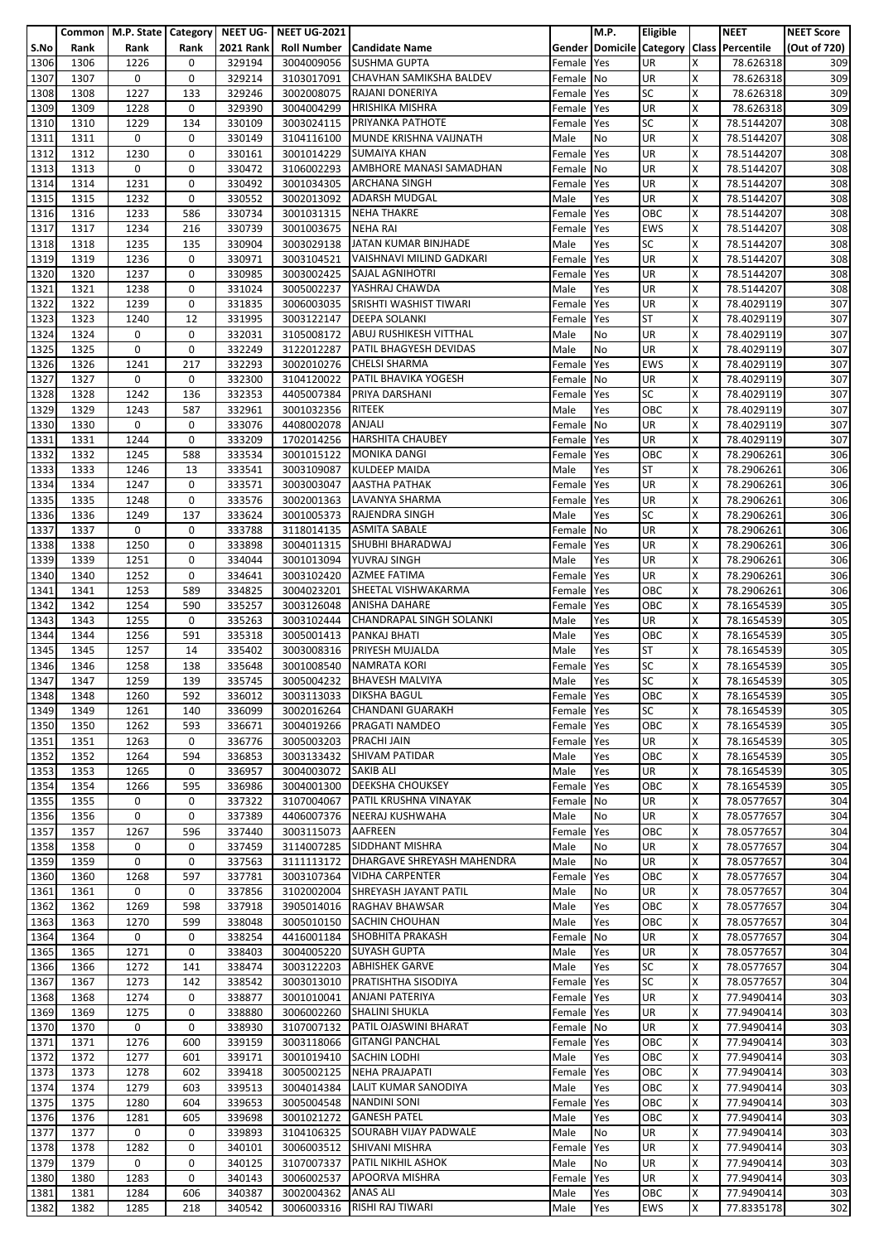|              |              | Common   M.P. State   Category   NEET UG- |                    |                  | <b>NEET UG-2021</b>      |                                                       |                      | M.P.                            | <b>Eligible</b>  |        | <b>NEET</b>              | <b>NEET Score</b> |
|--------------|--------------|-------------------------------------------|--------------------|------------------|--------------------------|-------------------------------------------------------|----------------------|---------------------------------|------------------|--------|--------------------------|-------------------|
| S.No         | Rank         | Rank                                      | Rank               | <b>2021 Rank</b> | <b>Roll Number</b>       | <b>Candidate Name</b>                                 |                      | <b>Gender Domicile Category</b> |                  |        | <b>Class Percentile</b>  | (Out of 720)      |
| 1306<br>1307 | 1306<br>1307 | 1226<br>0                                 | 0<br>0             | 329194<br>329214 | 3004009056<br>3103017091 | <b>SUSHMA GUPTA</b><br>CHAVHAN SAMIKSHA BALDEV        | Female               | Yes                             | UR<br><b>UR</b>  | x<br>Χ | 78.626318<br>78.626318   | 309<br>309        |
| 1308         | 1308         | 1227                                      | 133                | 329246           | 3002008075               | RAJANI DONERIYA                                       | Female<br>Female     | No<br>Yes                       | <b>SC</b>        | X      | 78.626318                | 309               |
| 1309         | 1309         | 1228                                      | 0                  | 329390           | 3004004299               | <b>HRISHIKA MISHRA</b>                                | Female               | Yes                             | <b>UR</b>        | X      | 78.626318                | 309               |
| 1310         | 1310         | 1229                                      | 134                | 330109           | 3003024115               | PRIYANKA PATHOTE                                      | Female               | Yes                             | <b>SC</b>        | X      | 78.5144207               | 308               |
| 1311         | 1311         | 0                                         | 0                  | 330149           | 3104116100               | MUNDE KRISHNA VAIJNATH                                | Male                 | No                              | UR               | X      | 78.5144207               | 308               |
| 1312         | 1312         | 1230                                      | 0                  | 330161           | 3001014229               | <b>SUMAIYA KHAN</b>                                   | Female               | Yes                             | <b>UR</b>        | x      | 78.5144207               | 308               |
| 1313         | 1313         | 0                                         | 0                  | 330472           | 3106002293               | AMBHORE MANASI SAMADHAN                               | Female               | No                              | UR               | X      | 78.5144207               | 308               |
| 1314         | 1314         | 1231                                      | 0                  | 330492           | 3001034305               | <b>ARCHANA SINGH</b>                                  | Female               | Yes                             | UR               | Χ      | 78.5144207               | 308               |
| 1315<br>1316 | 1315<br>1316 | 1232<br>1233                              | 0<br>586           | 330552<br>330734 | 3002013092<br>3001031315 | <b>ADARSH MUDGAL</b><br><b>NEHA THAKRE</b>            | Male<br>Female       | Yes<br>Yes                      | UR<br>OBC        | x<br>X | 78.5144207<br>78.5144207 | 308<br>308        |
| 1317         | 1317         | 1234                                      | 216                | 330739           | 3001003675               | <b>NEHA RAI</b>                                       | Female               | Yes                             | <b>EWS</b>       | x      | 78.5144207               | 308               |
| 1318         | 1318         | 1235                                      | 135                | 330904           | 3003029138               | JATAN KUMAR BINJHADE                                  | Male                 | Yes                             | <b>SC</b>        | X      | 78.5144207               | 308               |
| 1319         | 1319         | 1236                                      | 0                  | 330971           | 3003104521               | VAISHNAVI MILIND GADKARI                              | Female               | Yes                             | UR               | Χ      | 78.5144207               | 308               |
| 1320         | 1320         | 1237                                      | 0                  | 330985           | 3003002425               | <b>SAJAL AGNIHOTRI</b>                                | Female               | Yes                             | UR               | X      | 78.5144207               | 308               |
| 1321         | 1321         | 1238                                      | 0                  | 331024           | 3005002237               | YASHRAJ CHAWDA                                        | Male                 | Yes                             | UR               | X      | 78.5144207               | 308               |
| 1322         | 1322         | 1239                                      | 0                  | 331835           | 3006003035               | SRISHTI WASHIST TIWARI                                | Female               | Yes                             | <b>UR</b>        | x      | 78.4029119               | 307               |
| 1323<br>1324 | 1323<br>1324 | 1240<br>0                                 | 12<br>0            | 331995<br>332031 | 3003122147<br>3105008172 | <b>DEEPA SOLANKI</b><br><b>ABUJ RUSHIKESH VITTHAL</b> | Female<br>Male       | Yes<br>No                       | <b>ST</b><br>UR  | X<br>X | 78.4029119<br>78.4029119 | 307<br>307        |
| 1325         | 1325         | 0                                         | 0                  | 332249           | 3122012287               | PATIL BHAGYESH DEVIDAS                                | Male                 | No                              | UR               | X      | 78.4029119               | 307               |
| 1326         | 1326         | 1241                                      | 217                | 332293           | 3002010276               | <b>CHELSI SHARMA</b>                                  | Female               | Yes                             | <b>EWS</b>       | X      | 78.4029119               | 307               |
| 1327         | 1327         | 0                                         | 0                  | 332300           | 3104120022               | PATIL BHAVIKA YOGESH                                  | Female               | No                              | UR               | Χ      | 78.4029119               | 307               |
| 1328         | 1328         | 1242                                      | 136                | 332353           | 4405007384               | PRIYA DARSHANI                                        | Female               | Yes                             | <b>SC</b>        | X      | 78.4029119               | 307               |
| 1329         | 1329         | 1243                                      | 587                | 332961           | 3001032356               | <b>RITEEK</b>                                         | Male                 | Yes                             | OBC              | Χ      | 78.4029119               | 307               |
| 1330         | 1330         | 0                                         | 0                  | 333076           | 4408002078               | <b>ANJALI</b>                                         | Female               | No                              | UR               | X      | 78.4029119               | 307               |
| 1331         | 1331         | 1244                                      | 0                  | 333209           | 1702014256               | <b>HARSHITA CHAUBEY</b><br><b>MONIKA DANGI</b>        | Female               | Yes                             | UR               | X      | 78.4029119               | 307               |
| 1332<br>1333 | 1332<br>1333 | 1245<br>1246                              | 588<br>13          | 333534<br>333541 | 3001015122<br>3003109087 | <b>KULDEEP MAIDA</b>                                  | Female<br>Male       | Yes<br>Yes                      | OBC<br><b>ST</b> | x<br>X | 78.2906261<br>78.2906261 | 306<br>306        |
| 1334         | 1334         | 1247                                      | 0                  | 333571           | 3003003047               | <b>AASTHA PATHAK</b>                                  | Female               | Yes                             | UR               | Χ      | 78.2906261               | 306               |
| 1335         | 1335         | 1248                                      | 0                  | 333576           | 3002001363               | LAVANYA SHARMA                                        | Female               | Yes                             | UR               | X      | 78.2906261               | 306               |
| 1336         | 1336         | 1249                                      | 137                | 333624           | 3001005373               | <b>RAJENDRA SINGH</b>                                 | Male                 | Yes                             | <b>SC</b>        | X      | 78.2906261               | 306               |
| 1337         | 1337         | 0                                         | 0                  | 333788           | 3118014135               | <b>ASMITA SABALE</b>                                  | Female               | No                              | UR               | X      | 78.2906261               | 306               |
| 1338         | 1338         | 1250                                      | 0                  | 333898           | 3004011315               | SHUBHI BHARADWAJ                                      | Female               | Yes                             | UR               | X      | 78.2906261               | 306               |
| 1339         | 1339         | 1251                                      | 0                  | 334044           | 3001013094               | <b>YUVRAJ SINGH</b>                                   | Male                 | Yes                             | UR               | Χ      | 78.2906261               | 306               |
| 1340<br>1341 | 1340<br>1341 | 1252<br>1253                              | 0<br>589           | 334641<br>334825 | 3003102420<br>3004023201 | <b>AZMEE FATIMA</b><br>SHEETAL VISHWAKARMA            | Female<br>Female     | Yes<br>Yes                      | UR<br>OBC        | X<br>X | 78.2906261<br>78.2906261 | 306<br>306        |
| 1342         | 1342         | 1254                                      | 590                | 335257           | 3003126048               | <b>ANISHA DAHARE</b>                                  | Female               | Yes                             | OBC              | x      | 78.1654539               | 305               |
| 1343         | 1343         | 1255                                      | 0                  | 335263           | 3003102444               | <b>CHANDRAPAL SINGH SOLANKI</b>                       | Male                 | Yes                             | <b>UR</b>        | X      | 78.1654539               | 305               |
| 1344         | 1344         | 1256                                      | 591                | 335318           | 3005001413               | PANKAJ BHATI                                          | Male                 | Yes                             | OBC              | Χ      | 78.1654539               | 305               |
| 1345         | 1345         | 1257                                      | 14                 | 335402           | 3003008316               | PRIYESH MUJALDA                                       | Male                 | Yes                             | <b>ST</b>        | X      | 78.1654539               | 305               |
| 1346         | 1346         | 1258                                      | 138                | 335648           | 3001008540               | <b>NAMRATA KORI</b>                                   | Female               | Yes                             | <b>SC</b>        | x      | 78.1654539               | 305               |
| 1347         | 1347         | 1259                                      | 139                | 335745           | 3005004232               | <b>BHAVESH MALVIYA</b>                                | Male                 | Yes                             | <b>SC</b>        | X      | 78.1654539               | 305               |
| 1348<br>1349 | 1348<br>1349 | 1260<br>1261                              | 592<br>140         | 336012<br>336099 | 3003113033<br>3002016264 | <b>DIKSHA BAGUL</b><br><b>CHANDANI GUARAKH</b>        | Female Yes<br>Female | Yes                             | OBC<br><b>SC</b> | х<br>X | 78.1654539<br>78.1654539 | 305<br>305        |
| 1350         | 1350         | 1262                                      | 593                | 336671           | 3004019266               | <b>PRAGATI NAMDEO</b>                                 | Female               | Yes                             | OBC              | X      | 78.1654539               | 305               |
| 1351         | 1351         | 1263                                      | 0                  | 336776           | 3005003203               | <b>PRACHI JAIN</b>                                    | Female               | Yes                             | UR               | x      | 78.1654539               | 305               |
| 1352         | 1352         | 1264                                      | 594                | 336853           | 3003133432               | <b>SHIVAM PATIDAR</b>                                 | Male                 | Yes                             | OBC              | X      | 78.1654539               | 305               |
| 1353         | 1353         | 1265                                      | 0                  | 336957           | 3004003072 SAKIB ALI     |                                                       | Male                 | Yes                             | UR               | X      | 78.1654539               | 305               |
| 1354         | 1354         | 1266                                      | 595                | 336986           | 3004001300               | <b>DEEKSHA CHOUKSEY</b>                               | Female               | Yes                             | OBC              | X      | 78.1654539               | 305               |
| 1355         | 1355         | 0                                         | 0                  | 337322<br>337389 | 3107004067               | PATIL KRUSHNA VINAYAK<br>NEERAJ KUSHWAHA              | Female               | No                              | UR               | X      | 78.0577657               | 304               |
| 1356<br>1357 | 1356<br>1357 | 0<br>1267                                 | 0<br>596           | 337440           | 4406007376<br>3003115073 | <b>AAFREEN</b>                                        | Male<br>Female       | No<br>Yes                       | <b>UR</b><br>OBC | X<br>X | 78.0577657<br>78.0577657 | 304<br>304        |
| 1358         | 1358         | 0                                         | 0                  | 337459           | 3114007285               | <b>SIDDHANT MISHRA</b>                                | Male                 | No                              | UR               | X      | 78.0577657               | 304               |
| 1359         | 1359         | 0                                         | 0                  | 337563           | 3111113172               | DHARGAVE SHREYASH MAHENDRA                            | Male                 | No                              | <b>UR</b>        | X      | 78.0577657               | 304               |
| 1360         | 1360         | 1268                                      | 597                | 337781           |                          | 3003107364 VIDHA CARPENTER                            | Female               | Yes                             | OBC              | X      | 78.0577657               | 304               |
| 1361         | 1361         | 0                                         | 0                  | 337856           | 3102002004               | SHREYASH JAYANT PATIL                                 | Male                 | No                              | UR               | X      | 78.0577657               | 304               |
| 1362         | 1362         | 1269                                      | 598                | 337918           | 3905014016               | RAGHAV BHAWSAR                                        | Male                 | Yes                             | OBC              | X      | 78.0577657               | 304               |
| 1363<br>1364 | 1363<br>1364 | 1270<br>0                                 | 599<br>0           | 338048<br>338254 | 3005010150<br>4416001184 | <b>SACHIN CHOUHAN</b><br><b>SHOBHITA PRAKASH</b>      | Male<br>Female No    | Yes                             | OBC<br>UR        | X<br>X | 78.0577657<br>78.0577657 | 304<br>304        |
| 1365         | 1365         | 1271                                      | 0                  | 338403           | 3004005220               | <b>SUYASH GUPTA</b>                                   | Male                 | Yes                             | <b>UR</b>        | X      | 78.0577657               | 304               |
| 1366         | 1366         | 1272                                      | 141                | 338474           | 3003122203               | <b>ABHISHEK GARVE</b>                                 | Male                 | Yes                             | <b>SC</b>        | X      | 78.0577657               | 304               |
| 1367         | 1367         | 1273                                      | 142                | 338542           | 3003013010               | <b>PRATISHTHA SISODIYA</b>                            | Female               | Yes                             | <b>SC</b>        | x      | 78.0577657               | 304               |
| 1368         | 1368         | 1274                                      | 0                  | 338877           | 3001010041               | <b>ANJANI PATERIYA</b>                                | Female               | Yes                             | <b>UR</b>        | x      | 77.9490414               | 303               |
| 1369         | 1369         | 1275                                      | 0                  | 338880           | 3006002260               | <b>SHALINI SHUKLA</b>                                 | Female               | Yes                             | <b>UR</b>        | X      | 77.9490414               | 303               |
| 1370<br>1371 | 1370<br>1371 | 0<br>1276                                 | $\mathbf 0$<br>600 | 338930<br>339159 | 3107007132<br>3003118066 | PATIL OJASWINI BHARAT<br><b>GITANGI PANCHAL</b>       | Female<br>Female Yes | No                              | UR<br>OBC        | X<br>x | 77.9490414<br>77.9490414 | 303<br>303        |
| 1372         | 1372         | 1277                                      | 601                | 339171           | 3001019410               | <b>SACHIN LODHI</b>                                   | Male                 | Yes                             | OBC              | X      | 77.9490414               | 303               |
| 1373         | 1373         | 1278                                      | 602                | 339418           | 3005002125               | <b>NEHA PRAJAPATI</b>                                 | Female Yes           |                                 | OBC              | X      | 77.9490414               | 303               |
| 1374         | 1374         | 1279                                      | 603                | 339513           | 3004014384               | LALIT KUMAR SANODIYA                                  | Male                 | Yes                             | OBC              | X      | 77.9490414               | 303               |
| 1375         | 1375         | 1280                                      | 604                | 339653           | 3005004548               | <b>NANDINI SONI</b>                                   | Female               | Yes                             | OBC              | x      | 77.9490414               | 303               |
| 1376         | 1376         | 1281                                      | 605                | 339698           | 3001021272               | <b>GANESH PATEL</b>                                   | Male                 | Yes                             | OBC              | x      | 77.9490414               | 303               |
| 1377         | 1377<br>1378 | 0<br>1282                                 | 0<br>0             | 339893<br>340101 | 3104106325               | SOURABH VIJAY PADWALE<br>SHIVANI MISHRA               | Male                 | No                              | UR<br><b>UR</b>  | X<br>X | 77.9490414               | 303<br>303        |
| 1378<br>1379 | 1379         | 0                                         | 0                  | 340125           | 3006003512<br>3107007337 | PATIL NIKHIL ASHOK                                    | Female<br>Male       | Yes<br>No                       | <b>UR</b>        | х      | 77.9490414<br>77.9490414 | 303               |
| 1380         | 1380         | 1283                                      | $\mathbf 0$        | 340143           | 3006002537               | APOORVA MISHRA                                        | Female               | Yes                             | UR               | X      | 77.9490414               | 303               |
| 1381         | 1381         | 1284                                      | 606                | 340387           | 3002004362               | <b>ANAS ALI</b>                                       | Male                 | Yes                             | OBC              | x      | 77.9490414               | 303               |
| 1382         | 1382         | 1285                                      | 218                | 340542           | 3006003316               | RISHI RAJ TIWARI                                      | Male                 | Yes                             | EWS              | X      | 77.8335178               | 302               |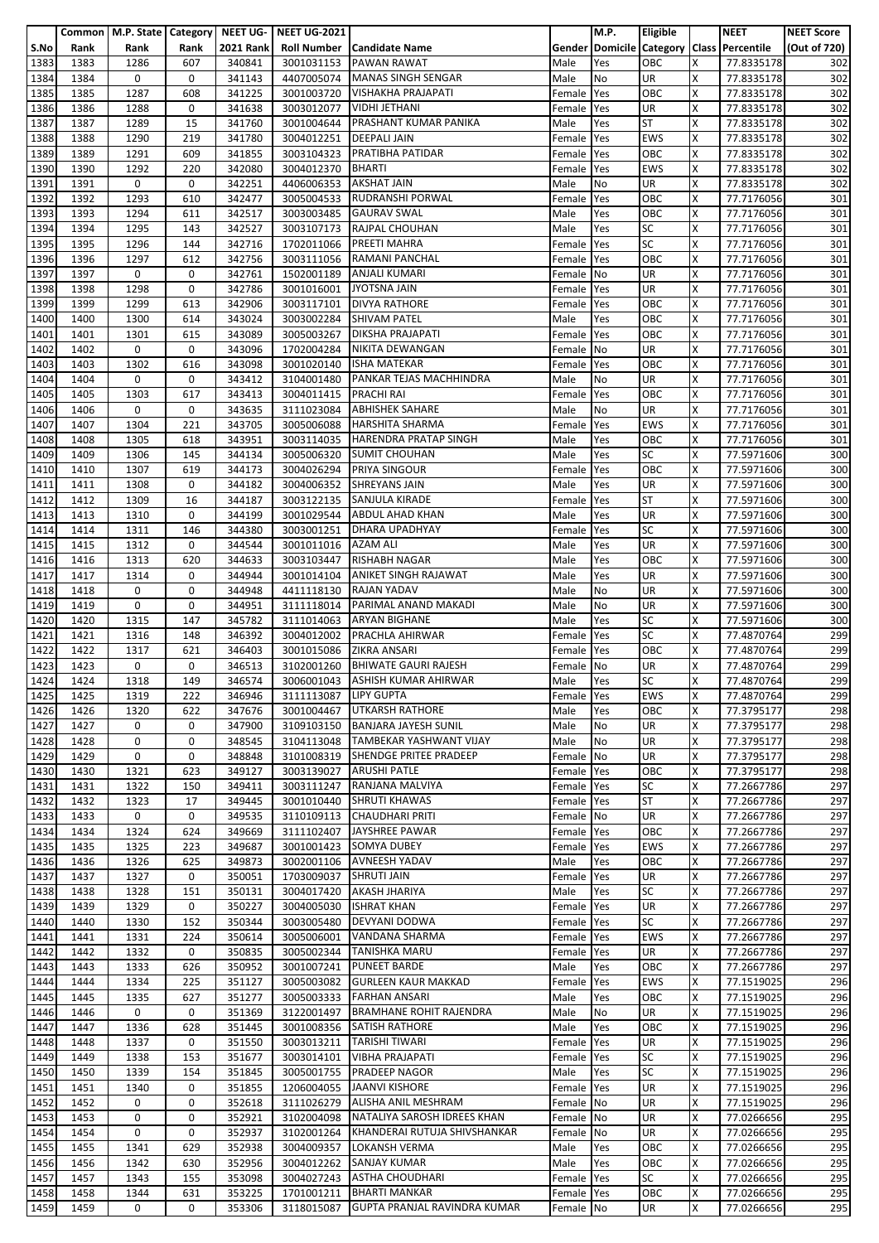|              |              | Common   M.P. State   Category   NEET UG- |             |                  | <b>NEET UG-2021</b>      |                                                           |                  | <b>M.P.</b>     | <b>Eligible</b>       |        | <b>NEET</b>                               | <b>NEET Score</b> |
|--------------|--------------|-------------------------------------------|-------------|------------------|--------------------------|-----------------------------------------------------------|------------------|-----------------|-----------------------|--------|-------------------------------------------|-------------------|
| S.No         | Rank         | Rank                                      | Rank        | <b>2021 Rank</b> | <b>Roll Number</b>       | <b>Candidate Name</b>                                     |                  |                 |                       |        | Gender Domicile Category Class Percentile | (Out of 720)      |
| 1383         | 1383         | 1286                                      | 607         | 340841           | 3001031153               | <b>PAWAN RAWAT</b>                                        | Male             | Yes             | OBC                   | X      | 77.8335178                                | 302               |
| 1384<br>1385 | 1384<br>1385 | 0<br>1287                                 | 0<br>608    | 341143<br>341225 | 4407005074<br>3001003720 | <b>MANAS SINGH SENGAR</b><br><b>VISHAKHA PRAJAPATI</b>    | Male             | No<br>Yes       | UR<br>OBC             | X<br>X | 77.8335178<br>77.8335178                  | 302<br>302        |
| 1386         | 1386         | 1288                                      | 0           | 341638           | 3003012077               | <b>VIDHI JETHANI</b>                                      | Female<br>Female | Yes             | UR                    | X      | 77.8335178                                | 302               |
| 1387         | 1387         | 1289                                      | 15          | 341760           | 3001004644               | PRASHANT KUMAR PANIKA                                     | Male             | Yes             | ST                    | X      | 77.8335178                                | 302               |
| 1388         | 1388         | 1290                                      | 219         | 341780           | 3004012251               | <b>DEEPALI JAIN</b>                                       | Female           | Yes             | <b>EWS</b>            | X      | 77.8335178                                | 302               |
| 1389         | 1389         | 1291                                      | 609         | 341855           | 3003104323               | PRATIBHA PATIDAR                                          | Female           | Yes             | OBC                   | X      | 77.8335178                                | 302               |
| 1390         | 1390         | 1292                                      | 220         | 342080           | 3004012370               | <b>BHARTI</b>                                             | Female           | Yes             | EWS                   | X      | 77.8335178                                | 302               |
| 1391         | 1391         | 0                                         | 0           | 342251           | 4406006353               | <b>AKSHAT JAIN</b>                                        | Male             | No              | UR                    | X      | 77.8335178                                | 302               |
| 1392         | 1392         | 1293                                      | 610         | 342477           | 3005004533               | <b>RUDRANSHI PORWAL</b>                                   | Female           | Yes             | OBC                   | X      | 77.7176056                                | 301               |
| 1393<br>1394 | 1393<br>1394 | 1294                                      | 611<br>143  | 342517           | 3003003485<br>3003107173 | <b>GAURAV SWAL</b><br><b>RAJPAL CHOUHAN</b>               | Male             | Yes<br>Yes      | OBC<br>SC             | X<br>X | 77.7176056                                | 301               |
| 1395         | 1395         | 1295<br>1296                              | 144         | 342527<br>342716 | 1702011066               | PREETI MAHRA                                              | Male<br>Female   | Yes             | SC                    | X      | 77.7176056<br>77.7176056                  | 301<br>301        |
| 1396         | 1396         | 1297                                      | 612         | 342756           | 3003111056               | <b>RAMANI PANCHAL</b>                                     | Female           | Yes             | OBC                   | X      | 77.7176056                                | 301               |
| 1397         | 1397         | 0                                         | 0           | 342761           | 1502001189               | ANJALI KUMARI                                             | Female           | No              | UR                    | X      | 77.7176056                                | 301               |
| 1398         | 1398         | 1298                                      | 0           | 342786           | 3001016001               | <b>JYOTSNA JAIN</b>                                       | Female           | Yes             | UR                    | X      | 77.7176056                                | 301               |
| 1399         | 1399         | 1299                                      | 613         | 342906           | 3003117101               | <b>DIVYA RATHORE</b>                                      | Female           | Yes             | ОВС                   | X      | 77.7176056                                | 301               |
| 1400         | 1400         | 1300                                      | 614         | 343024           | 3003002284               | <b>SHIVAM PATEL</b>                                       | Male             | Yes             | OBC                   | X      | 77.7176056                                | 301               |
| 1401         | 1401         | 1301                                      | 615         | 343089           | 3005003267               | <b>DIKSHA PRAJAPATI</b>                                   | Female           | Yes             | OBC                   | X      | 77.7176056                                | 301               |
| 1402<br>1403 | 1402<br>1403 | 0<br>1302                                 | 0<br>616    | 343096<br>343098 | 1702004284<br>3001020140 | NIKITA DEWANGAN<br><b>ISHA MATEKAR</b>                    | Female           | No              | UR<br>OBC             | X<br>X | 77.7176056                                | 301<br>301        |
| 1404         | 1404         | 0                                         | 0           | 343412           | 3104001480               | PANKAR TEJAS MACHHINDRA                                   | Female<br>Male   | Yes<br>No       | UR                    | X      | 77.7176056<br>77.7176056                  | 301               |
| 1405         | 1405         | 1303                                      | 617         | 343413           | 3004011415               | <b>PRACHI RAI</b>                                         | Female           | Yes             | OBC                   | X      | 77.7176056                                | 301               |
| 1406         | 1406         | 0                                         | 0           | 343635           | 3111023084               | <b>ABHISHEK SAHARE</b>                                    | Male             | No              | UR                    | X      | 77.7176056                                | 301               |
| 1407         | 1407         | 1304                                      | 221         | 343705           | 3005006088               | <b>HARSHITA SHARMA</b>                                    | Female           | Yes             | <b>EWS</b>            | X      | 77.7176056                                | 301               |
| 1408         | 1408         | 1305                                      | 618         | 343951           | 3003114035               | <b>HARENDRA PRATAP SINGH</b>                              | Male             | Yes             | OBC                   | X      | 77.7176056                                | 301               |
| 1409         | 1409         | 1306                                      | 145         | 344134           | 3005006320               | <b>SUMIT CHOUHAN</b>                                      | Male             | Yes             | SC                    | X      | 77.5971606                                | 300               |
| 1410         | 1410         | 1307                                      | 619         | 344173           | 3004026294               | <b>PRIYA SINGOUR</b>                                      | Female           | Yes             | OBC                   | X      | 77.5971606                                | 300               |
| 1411<br>1412 | 1411<br>1412 | 1308<br>1309                              | 0<br>16     | 344182<br>344187 | 3004006352<br>3003122135 | <b>SHREYANS JAIN</b><br>SANJULA KIRADE                    | Male             | Yes<br>Yes      | UR<br>ST              | X<br>X | 77.5971606<br>77.5971606                  | 300<br>300        |
| 1413         | 1413         | 1310                                      | 0           | 344199           | 3001029544               | <b>ABDUL AHAD KHAN</b>                                    | Female<br>Male   | Yes             | UR                    | X      | 77.5971606                                | 300               |
| 1414         | 1414         | 1311                                      | 146         | 344380           | 3003001251               | <b>DHARA UPADHYAY</b>                                     | Female           | Yes             | SC                    | X      | 77.5971606                                | 300               |
| 1415         | 1415         | 1312                                      | 0           | 344544           | 3001011016               | <b>AZAM ALI</b>                                           | Male             | Yes             | UR                    | X      | 77.5971606                                | 300               |
| 1416         | 1416         | 1313                                      | 620         | 344633           | 3003103447               | <b>RISHABH NAGAR</b>                                      | Male             | Yes             | OBC                   | X      | 77.5971606                                | 300               |
| 1417         | 1417         | 1314                                      | 0           | 344944           | 3001014104               | <b>ANIKET SINGH RAJAWAT</b>                               | Male             | Yes             | UR                    | X      | 77.5971606                                | 300               |
| 1418         | 1418         | 0                                         | 0           | 344948           | 4411118130               | <b>RAJAN YADAV</b>                                        | Male             | No              | UR                    | X      | 77.5971606                                | 300               |
| 1419         | 1419         | 0                                         | 0           | 344951           | 3111118014               | PARIMAL ANAND MAKADI                                      | Male             | No              | UR                    | X      | 77.5971606                                | 300               |
| 1420<br>1421 | 1420<br>1421 | 1315<br>1316                              | 147<br>148  | 345782<br>346392 | 3111014063<br>3004012002 | <b>ARYAN BIGHANE</b><br><b>PRACHLA AHIRWAR</b>            | Male<br>Female   | Yes<br>Yes      | SC<br>$\overline{SC}$ | X<br>X | 77.5971606<br>77.4870764                  | 300<br>299        |
| 1422         | 1422         | 1317                                      | 621         | 346403           | 3001015086               | <b>ZIKRA ANSARI</b>                                       | Female           | Yes             | OBC                   | X      | 77.4870764                                | 299               |
| 1423         | 1423         | 0                                         | 0           | 346513           | 3102001260               | <b>BHIWATE GAURI RAJESH</b>                               | Female           | No              | UR                    | X      | 77.4870764                                | 299               |
| 1424         | 1424         | 1318                                      | 149         | 346574           |                          | 3006001043 ASHISH KUMAR AHIRWAR                           | Male             | Yes             | SC                    | X      | 77.4870764                                | 299               |
| 1425         | 1425         | 1319                                      | 222         | 346946           | 3111113087 LIPY GUPTA    |                                                           | Female Yes       |                 | EWS                   | x      | 77.4870764                                | 299               |
| 1426         | 1426         | 1320                                      | 622         | 347676           | 3001004467               | <b>UTKARSH RATHORE</b>                                    | Male             | Yes             | OBC                   | X      | 77.3795177                                | 298               |
| 1427         | 1427         | 0                                         | 0           | 347900           | 3109103150               | <b>BANJARA JAYESH SUNIL</b>                               | Male             | No              | UR                    | X      | 77.3795177                                | 298               |
| 1428<br>1429 | 1428<br>1429 | 0<br>0                                    | 0<br>0      | 348545<br>348848 | 3104113048<br>3101008319 | TAMBEKAR YASHWANT VIJAY<br>SHENDGE PRITEE PRADEEP         | Male<br>Female   | No<br><b>No</b> | UR<br>UR              | X<br>X | 77.3795177<br>77.3795177                  | 298<br>298        |
| 1430         | 1430         | 1321                                      | 623         | 349127           | 3003139027               | <b>ARUSHI PATLE</b>                                       | Female           | Yes             | OBC                   | X      | 77.3795177                                | 298               |
| 1431         | 1431         | 1322                                      | 150         | 349411           | 3003111247               | RANJANA MALVIYA                                           | Female Yes       |                 | SC                    | X      | 77.2667786                                | 297               |
| 1432         | 1432         | 1323                                      | 17          | 349445           | 3001010440               | <b>SHRUTI KHAWAS</b>                                      | Female           | Yes             | <b>ST</b>             | X      | 77.2667786                                | 297               |
| 1433         | 1433         | 0                                         | 0           | 349535           | 3110109113               | <b>CHAUDHARI PRITI</b>                                    | Female           | No              | UR                    | X      | 77.2667786                                | 297               |
| 1434         | 1434         | 1324                                      | 624         | 349669           | 3111102407               | JAYSHREE PAWAR                                            | Female           | Yes             | OBC                   | X      | 77.2667786                                | 297               |
| 1435         | 1435         | 1325                                      | 223         | 349687           | 3001001423               | <b>SOMYA DUBEY</b>                                        | Female           | Yes             | EWS                   | X      | 77.2667786                                | 297               |
| 1436<br>1437 | 1436<br>1437 | 1326<br>1327                              | 625<br>0    | 349873<br>350051 | 3002001106<br>1703009037 | <b>AVNEESH YADAV</b><br><b>SHRUTI JAIN</b>                | Male<br>Female   | Yes<br>Yes      | OBC<br>UR             | X<br>X | 77.2667786<br>77.2667786                  | 297<br>297        |
| 1438         | 1438         | 1328                                      | 151         | 350131           | 3004017420               | <b>AKASH JHARIYA</b>                                      | Male             | Yes             | SC                    | X      | 77.2667786                                | 297               |
| 1439         | 1439         | 1329                                      | 0           | 350227           | 3004005030               | <b>ISHRAT KHAN</b>                                        | Female           | Yes             | UR                    | X      | 77.2667786                                | 297               |
| 1440         | 1440         | 1330                                      | 152         | 350344           | 3003005480               | DEVYANI DODWA                                             | Female           | Yes             | SC                    | X      | 77.2667786                                | 297               |
| 1441         | 1441         | 1331                                      | 224         | 350614           | 3005006001               | VANDANA SHARMA                                            | Female           | Yes             | EWS                   | X      | 77.2667786                                | 297               |
| 1442         | 1442         | 1332                                      | $\mathbf 0$ | 350835           | 3005002344               | <b>TANISHKA MARU</b>                                      | Female           | Yes             | UR                    | X      | 77.2667786                                | 297               |
| 1443<br>1444 | 1443         | 1333                                      | 626         | 350952           | 3001007241               | <b>PUNEET BARDE</b><br><b>GURLEEN KAUR MAKKAD</b>         | Male             | Yes             | OBC                   | X<br>X | 77.2667786                                | 297               |
| 1445         | 1444<br>1445 | 1334<br>1335                              | 225<br>627  | 351127<br>351277 | 3005003082<br>3005003333 | <b>FARHAN ANSARI</b>                                      | Female<br>Male   | Yes<br>Yes      | EWS<br>OBC            | X      | 77.1519025<br>77.1519025                  | 296<br>296        |
| 1446         | 1446         | 0                                         | 0           | 351369           | 3122001497               | <b>BRAMHANE ROHIT RAJENDRA</b>                            | Male             | No              | UR                    | X      | 77.1519025                                | 296               |
| 1447         | 1447         | 1336                                      | 628         | 351445           | 3001008356               | <b>SATISH RATHORE</b>                                     | Male             | Yes             | OBC                   | X      | 77.1519025                                | 296               |
| 1448         | 1448         | 1337                                      | 0           | 351550           | 3003013211               | <b>TARISHI TIWARI</b>                                     | Female           | Yes             | UR                    | X      | 77.1519025                                | 296               |
| 1449         | 1449         | 1338                                      | 153         | 351677           | 3003014101               | <b>VIBHA PRAJAPATI</b>                                    | Female           | Yes             | SC                    | X      | 77.1519025                                | 296               |
| 1450         | 1450         | 1339                                      | 154         | 351845           | 3005001755               | <b>PRADEEP NAGOR</b>                                      | Male             | Yes             | <b>SC</b>             | X      | 77.1519025                                | 296               |
| 1451         | 1451         | 1340                                      | 0           | 351855           | 1206004055               | JAANVI KISHORE                                            | Female Yes       |                 | UR                    | X      | 77.1519025                                | 296               |
| 1452<br>1453 | 1452<br>1453 | 0<br>0                                    | 0<br>0      | 352618<br>352921 | 3111026279<br>3102004098 | <b>ALISHA ANIL MESHRAM</b><br>NATALIYA SAROSH IDREES KHAN | Female<br>Female | No<br><b>No</b> | UR<br>UR              | X<br>X | 77.1519025<br>77.0266656                  | 296<br>295        |
| 1454         | 1454         | 0                                         | 0           | 352937           | 3102001264               | KHANDERAI RUTUJA SHIVSHANKAR                              | Female           | No              | UR                    | X      | 77.0266656                                | 295               |
| 1455         | 1455         | 1341                                      | 629         | 352938           | 3004009357               | <b>LOKANSH VERMA</b>                                      | Male             | Yes             | OBC                   | X      | 77.0266656                                | 295               |
| 1456         | 1456         | 1342                                      | 630         | 352956           | 3004012262               | <b>SANJAY KUMAR</b>                                       | Male             | Yes             | OBC                   | X      | 77.0266656                                | 295               |
| 1457         | 1457         | 1343                                      | 155         | 353098           |                          | 3004027243 ASTHA CHOUDHARI                                | Female           | Yes             | <b>SC</b>             | X      | 77.0266656                                | 295               |
| 1458         | 1458         | 1344                                      | 631         | 353225           | 1701001211               | <b>BHARTI MANKAR</b>                                      | Female Yes       |                 | OBC                   | X      | 77.0266656                                | 295               |
| 1459         | 1459         | 0                                         | 0           | 353306           | 3118015087               | GUPTA PRANJAL RAVINDRA KUMAR                              | Female No        |                 | UR                    | X      | 77.0266656                                | 295               |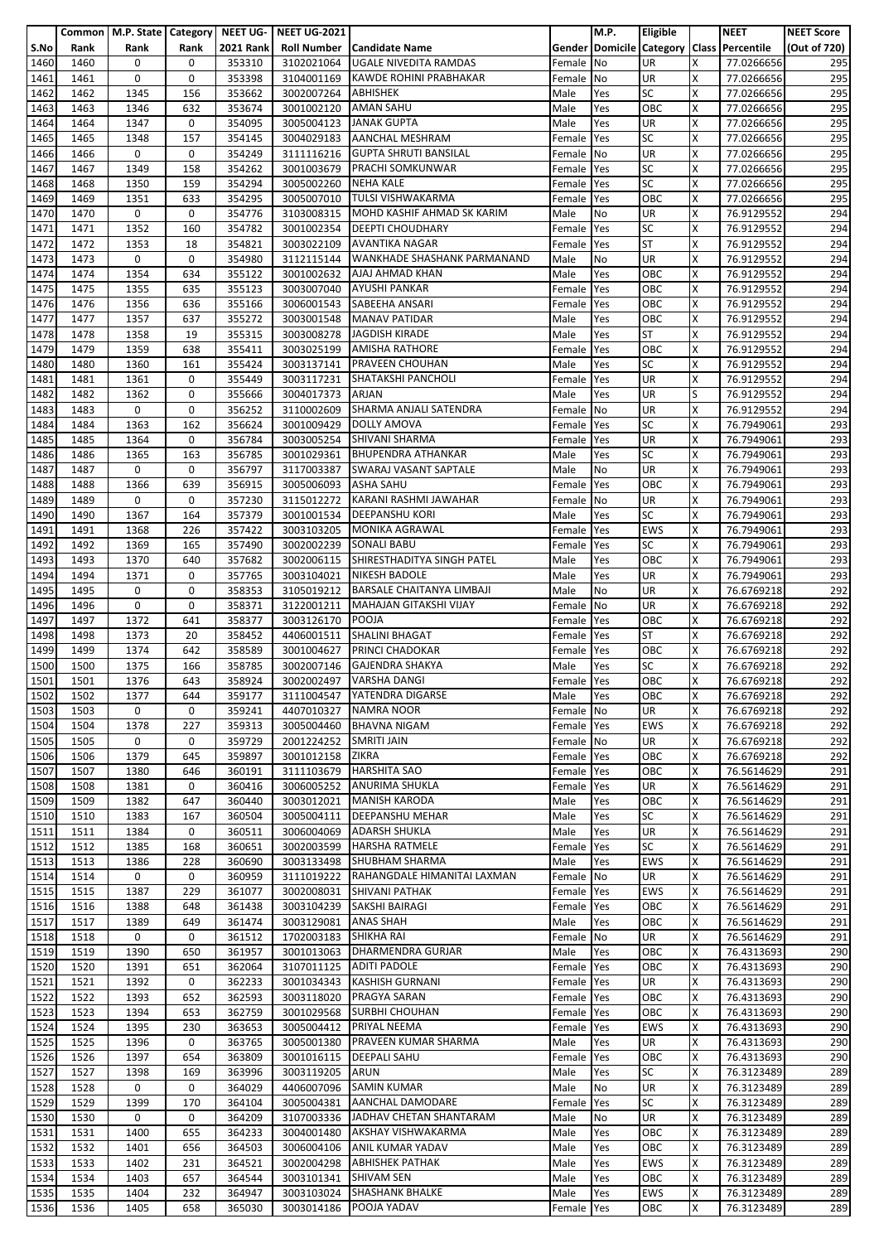|      |      |             |             |                  | Common   M.P. State   Category   NEET UG-   NEET UG-2021 |                                        |            | M.P. | Eligible   |   | <b>NEET</b>                               | <b>NEET Score</b> |
|------|------|-------------|-------------|------------------|----------------------------------------------------------|----------------------------------------|------------|------|------------|---|-------------------------------------------|-------------------|
| S.No | Rank | Rank        | Rank        | <b>2021 Rank</b> |                                                          | <b>Roll Number   Candidate Name</b>    |            |      |            |   | Gender Domicile Category Class Percentile | (Out of 720)      |
| 1460 | 1460 | 0           | 0           | 353310           | 3102021064                                               | <b>UGALE NIVEDITA RAMDAS</b>           |            | No   | UR         | x | 77.0266656                                | 295               |
|      |      |             |             |                  |                                                          |                                        | Female     |      |            |   |                                           |                   |
| 1461 | 1461 | 0           | 0           | 353398           | 3104001169                                               | KAWDE ROHINI PRABHAKAR                 | Female     | No   | <b>UR</b>  | X | 77.0266656                                | 295               |
| 1462 | 1462 | 1345        | 156         | 353662           | 3002007264                                               | ABHISHEK                               | Male       | Yes  | <b>SC</b>  | X | 77.0266656                                | 295               |
| 1463 | 1463 | 1346        | 632         | 353674           | 3001002120                                               | <b>AMAN SAHU</b>                       | Male       | Yes  | OBC        | X | 77.0266656                                | 295               |
| 1464 | 1464 | 1347        | 0           | 354095           | 3005004123                                               | <b>JANAK GUPTA</b>                     | Male       | Yes  | <b>UR</b>  | X | 77.0266656                                | 295               |
| 1465 | 1465 | 1348        | 157         | 354145           | 3004029183                                               | <b>AANCHAL MESHRAM</b>                 | Female     | Yes  | <b>SC</b>  | x | 77.0266656                                | 295               |
| 1466 | 1466 | 0           | 0           | 354249           | 3111116216                                               | <b>GUPTA SHRUTI BANSILAL</b>           | Female     | No   | UR         | X | 77.0266656                                | 295               |
| 1467 | 1467 | 1349        | 158         | 354262           | 3001003679                                               | <b>PRACHI SOMKUNWAR</b>                | Female     | Yes  | <b>SC</b>  | X | 77.0266656                                | 295               |
|      |      |             |             |                  |                                                          |                                        |            |      |            |   |                                           |                   |
| 1468 | 1468 | 1350        | 159         | 354294           | 3005002260                                               | <b>NEHA KALE</b>                       | Female     | Yes  | SC         | Χ | 77.0266656                                | 295               |
| 1469 | 1469 | 1351        | 633         | 354295           | 3005007010                                               | <b>TULSI VISHWAKARMA</b>               | Female     | Yes  | OBC        | X | 77.0266656                                | 295               |
| 1470 | 1470 | 0           | 0           | 354776           | 3103008315                                               | MOHD KASHIF AHMAD SK KARIM             | Male       | No   | <b>UR</b>  | x | 76.9129552                                | 294               |
| 1471 | 1471 | 1352        | 160         | 354782           | 3001002354                                               | <b>DEEPTI CHOUDHARY</b>                | Female     | Yes  | <b>SC</b>  | X | 76.9129552                                | 294               |
| 1472 | 1472 | 1353        | 18          | 354821           | 3003022109                                               | <b>AVANTIKA NAGAR</b>                  | Female     | Yes  | <b>ST</b>  | X | 76.9129552                                | 294               |
| 1473 | 1473 | 0           | 0           | 354980           | 3112115144                                               | WANKHADE SHASHANK PARMANAND            | Male       | No   | UR         | Χ | 76.9129552                                | 294               |
| 1474 | 1474 | 1354        | 634         | 355122           | 3001002632                                               | AJAJ AHMAD KHAN                        | Male       | Yes  | OBC        | x | 76.9129552                                | 294               |
| 1475 | 1475 | 1355        | 635         | 355123           | 3003007040                                               | <b>AYUSHI PANKAR</b>                   | Female     | Yes  | OBC        | X | 76.9129552                                | 294               |
|      |      |             |             |                  |                                                          |                                        |            |      |            |   |                                           |                   |
| 1476 | 1476 | 1356        | 636         | 355166           | 3006001543                                               | SABEEHA ANSARI                         | Female     | Yes  | OBC        | X | 76.9129552                                | 294               |
| 1477 | 1477 | 1357        | 637         | 355272           | 3003001548                                               | <b>MANAV PATIDAR</b>                   | Male       | Yes  | OBC        | x | 76.9129552                                | 294               |
| 1478 | 1478 | 1358        | 19          | 355315           | 3003008278                                               | <b>JAGDISH KIRADE</b>                  | Male       | Yes  | <b>ST</b>  | Χ | 76.9129552                                | 294               |
| 1479 | 1479 | 1359        | 638         | 355411           | 3003025199                                               | <b>AMISHA RATHORE</b>                  | Female     | Yes  | OBC        | X | 76.9129552                                | 294               |
| 1480 | 1480 | 1360        | 161         | 355424           | 3003137141                                               | <b>PRAVEEN CHOUHAN</b>                 | Male       | Yes  | <b>SC</b>  | x | 76.9129552                                | 294               |
| 1481 | 1481 | 1361        | 0           | 355449           | 3003117231                                               | SHATAKSHI PANCHOLI                     | Female     | Yes  | UR         | X | 76.9129552                                | 294               |
| 1482 | 1482 | 1362        | 0           | 355666           | 3004017373                                               | <b>ARJAN</b>                           | Male       | Yes  | UR         | ς | 76.9129552                                | 294               |
| 1483 | 1483 | 0           | 0           | 356252           | 3110002609                                               | SHARMA ANJALI SATENDRA                 | Female     | No   | UR         | X | 76.9129552                                | 294               |
|      |      |             |             |                  |                                                          |                                        |            |      | <b>SC</b>  | X | 76.7949061                                | 293               |
| 1484 | 1484 | 1363        | 162         | 356624           | 3001009429                                               | <b>DOLLY AMOVA</b>                     | Female     | Yes  |            |   |                                           |                   |
| 1485 | 1485 | 1364        | 0           | 356784           | 3003005254                                               | SHIVANI SHARMA                         | Female     | Yes  | UR         | X | 76.7949061                                | 293               |
| 1486 | 1486 | 1365        | 163         | 356785           | 3001029361                                               | <b>BHUPENDRA ATHANKAR</b>              | Male       | Yes  | <b>SC</b>  | X | 76.7949061                                | 293               |
| 1487 | 1487 | 0           | 0           | 356797           |                                                          | 3117003387 SWARAJ VASANT SAPTALE       | Male       | No   | UR         | X | 76.7949061                                | 293               |
| 1488 | 1488 | 1366        | 639         | 356915           | 3005006093                                               | <b>ASHA SAHU</b>                       | Female     | Yes  | OBC        | Χ | 76.7949061                                | 293               |
| 1489 | 1489 | 0           | 0           | 357230           | 3115012272                                               | KARANI RASHMI JAWAHAR                  | Female     | No   | UR         | X | 76.7949061                                | 293               |
| 1490 | 1490 | 1367        | 164         | 357379           | 3001001534                                               | <b>DEEPANSHU KORI</b>                  | Male       | Yes  | <b>SC</b>  | x | 76.7949061                                | 293               |
| 1491 | 1491 | 1368        | 226         | 357422           | 3003103205                                               | <b>MONIKA AGRAWAL</b>                  | Female     | Yes  | <b>EWS</b> | X | 76.7949061                                | 293               |
|      |      | 1369        | 165         |                  |                                                          | <b>SONALI BABU</b>                     |            |      | SC         | x |                                           |                   |
| 1492 | 1492 |             |             | 357490           | 3002002239                                               |                                        | Female     | Yes  |            |   | 76.7949061                                | 293               |
| 1493 | 1493 | 1370        | 640         | 357682           | 3002006115                                               | SHIRESTHADITYA SINGH PATEL             | Male       | Yes  | OBC        | Χ | 76.7949061                                | 293               |
| 1494 | 1494 | 1371        | $\mathbf 0$ | 357765           | 3003104021                                               | <b>NIKESH BADOLE</b>                   | Male       | Yes  | UR         | X | 76.7949061                                | 293               |
| 1495 | 1495 | 0           | 0           | 358353           | 3105019212                                               | <b>BARSALE CHAITANYA LIMBAJI</b>       | Male       | No   | UR         | X | 76.6769218                                | 292               |
| 1496 | 1496 | 0           | 0           | 358371           | 3122001211                                               | <b>MAHAJAN GITAKSHI VIJAY</b>          | Female     | No   | UR         | X | 76.6769218                                | 292               |
| 1497 | 1497 | 1372        | 641         | 358377           | 3003126170                                               | POOJA                                  | Female     | Yes  | OBC        | x | 76.6769218                                | 292               |
| 1498 | 1498 | 1373        | 20          | 358452           | 4406001511                                               | <b>SHALINI BHAGAT</b>                  | Female     | Yes  | <b>ST</b>  | Χ | 76.6769218                                | 292               |
| 1499 | 1499 | 1374        | 642         | 358589           | 3001004627                                               | PRINCI CHADOKAR                        | Female     | Yes  | OBC        | X | 76.6769218                                | 292               |
| 1500 | 1500 | 1375        | 166         | 358785           | 3002007146                                               | <b>GAJENDRA SHAKYA</b>                 | Male       | Yes  | <b>SC</b>  | x | 76.6769218                                | 292               |
|      |      |             |             |                  |                                                          |                                        |            |      |            |   |                                           |                   |
| 1501 | 1501 | 1376        | 643         | 358924           |                                                          | 3002002497 VARSHA DANGI                | Female Yes |      | OBC        | X | 76.6769218                                | 292               |
| 1502 | 1502 | 1377        | 644         | 359177           |                                                          | 3111004547 YATENDRA DIGARSE            | Male       | Yes  | OBC        | х | 76.6769218                                | 292               |
| 1503 | 1503 | 0           | 0           | 359241           | 4407010327                                               | <b>NAMRA NOOR</b>                      | Female     | No   | UR         | X | 76.6769218                                | 292               |
| 1504 | 1504 | 1378        | 227         | 359313           | 3005004460                                               | <b>BHAVNA NIGAM</b>                    | Female Yes |      | EWS        | x | 76.6769218                                | 292               |
| 1505 | 1505 | $\mathbf 0$ | 0           | 359729           | 2001224252                                               | <b>SMRITI JAIN</b>                     | Female No  |      | UR         | X | 76.6769218                                | 292               |
| 1506 | 1506 | 1379        | 645         | 359897           | 3001012158                                               | ZIKRA                                  | Female     | Yes  | OBC        | X | 76.6769218                                | 292               |
| 1507 | 1507 | 1380        | 646         | 360191           | 3111103679                                               | <b>HARSHITA SAO</b>                    | Female     | Yes  | OBC        | X | 76.5614629                                | 291               |
| 1508 | 1508 | 1381        | 0           | 360416           | 3006005252                                               | <b>ANURIMA SHUKLA</b>                  | Female     | Yes  | UR         | Χ | 76.5614629                                | 291               |
| 1509 | 1509 | 1382        | 647         | 360440           | 3003012021                                               | <b>MANISH KARODA</b>                   |            |      | OBC        | X | 76.5614629                                | 291               |
|      |      |             |             |                  |                                                          |                                        | Male       | Yes  |            |   |                                           |                   |
| 1510 | 1510 | 1383        | 167         | 360504           | 3005004111                                               | <b>DEEPANSHU MEHAR</b>                 | Male       | Yes  | <b>SC</b>  | Χ | 76.5614629                                | 291               |
| 1511 | 1511 | 1384        | 0           | 360511           | 3006004069                                               | <b>ADARSH SHUKLA</b>                   | Male       | Yes  | <b>UR</b>  | X | 76.5614629                                | 291               |
| 1512 | 1512 | 1385        | 168         | 360651           | 3002003599                                               | <b>HARSHA RATMELE</b>                  | Female     | Yes  | <b>SC</b>  | x | 76.5614629                                | 291               |
| 1513 | 1513 | 1386        | 228         | 360690           | 3003133498                                               | <b>SHUBHAM SHARMA</b>                  | Male       | Yes  | <b>EWS</b> | X | 76.5614629                                | 291               |
| 1514 | 1514 | 0           | $\mathbf 0$ | 360959           |                                                          | 3111019222 RAHANGDALE HIMANITAI LAXMAN | Female No  |      | <b>UR</b>  | x | 76.5614629                                | 291               |
| 1515 | 1515 | 1387        | 229         | 361077           | 3002008031                                               | <b>SHIVANI PATHAK</b>                  | Female Yes |      | <b>EWS</b> | Χ | 76.5614629                                | 291               |
| 1516 | 1516 | 1388        | 648         | 361438           | 3003104239                                               | SAKSHI BAIRAGI                         | Female     | Yes  | OBC        | X | 76.5614629                                | 291               |
| 1517 | 1517 | 1389        | 649         | 361474           | 3003129081                                               | <b>ANAS SHAH</b>                       | Male       | Yes  | OBC        | X | 76.5614629                                | 291               |
| 1518 | 1518 | 0           | 0           | 361512           | 1702003183                                               | <b>SHIKHA RAI</b>                      | Female No  |      | UR         | X | 76.5614629                                | 291               |
| 1519 | 1519 | 1390        | 650         | 361957           | 3001013063                                               | DHARMENDRA GURJAR                      | Male       | Yes  | OBC        | X | 76.4313693                                | 290               |
|      |      |             |             |                  |                                                          |                                        |            |      |            |   |                                           |                   |
| 1520 | 1520 | 1391        | 651         | 362064           | 3107011125                                               | <b>ADITI PADOLE</b>                    | Female Yes |      | OBC        | X | 76.4313693                                | 290               |
| 1521 | 1521 | 1392        | 0           | 362233           | 3001034343                                               | <b>KASHISH GURNANI</b>                 | Female     | Yes  | UR         | X | 76.4313693                                | 290               |
| 1522 | 1522 | 1393        | 652         | 362593           | 3003118020                                               | <b>PRAGYA SARAN</b>                    | Female     | Yes  | OBC        | X | 76.4313693                                | 290               |
| 1523 | 1523 | 1394        | 653         | 362759           | 3001029568                                               | <b>SURBHI CHOUHAN</b>                  | Female     | Yes  | OBC        | X | 76.4313693                                | 290               |
| 1524 | 1524 | 1395        | 230         | 363653           | 3005004412                                               | PRIYAL NEEMA                           | Female     | Yes  | <b>EWS</b> | x | 76.4313693                                | 290               |
| 1525 | 1525 | 1396        | 0           | 363765           | 3005001380                                               | <b>PRAVEEN KUMAR SHARMA</b>            | Male       | Yes  | UR         | X | 76.4313693                                | 290               |
| 1526 | 1526 | 1397        | 654         | 363809           | 3001016115                                               | <b>DEEPALI SAHU</b>                    | Female     | Yes  | OBC        | X | 76.4313693                                | 290               |
| 1527 | 1527 | 1398        | 169         | 363996           | 3003119205                                               | ARUN                                   | Male       | Yes  | <b>SC</b>  | X | 76.3123489                                | 289               |
| 1528 | 1528 | 0           | 0           | 364029           | 4406007096                                               | <b>SAMIN KUMAR</b>                     | Male       | No   | UR         | X | 76.3123489                                | 289               |
|      |      |             |             |                  |                                                          | <b>AANCHAL DAMODARE</b>                |            |      | <b>SC</b>  | x |                                           |                   |
| 1529 | 1529 | 1399        | 170         | 364104           | 3005004381                                               |                                        | Female     | Yes  |            |   | 76.3123489                                | 289               |
| 1530 | 1530 | 0           | 0           | 364209           | 3107003336                                               | JADHAV CHETAN SHANTARAM                | Male       | No   | <b>UR</b>  | Χ | 76.3123489                                | 289               |
| 1531 | 1531 | 1400        | 655         | 364233           | 3004001480                                               | AKSHAY VISHWAKARMA                     | Male       | Yes  | OBC        | X | 76.3123489                                | 289               |
| 1532 | 1532 | 1401        | 656         | 364503           | 3006004106                                               | ANIL KUMAR YADAV                       | Male       | Yes  | OBC        | X | 76.3123489                                | 289               |
| 1533 | 1533 | 1402        | 231         | 364521           | 3002004298                                               | <b>ABHISHEK PATHAK</b>                 | Male       | Yes  | <b>EWS</b> | X | 76.3123489                                | 289               |
| 1534 | 1534 | 1403        | 657         | 364544           | 3003101341                                               | <b>SHIVAM SEN</b>                      | Male       | Yes  | OBC        | x | 76.3123489                                | 289               |
| 1535 | 1535 | 1404        | 232         | 364947           | 3003103024                                               | <b>SHASHANK BHALKE</b>                 | Male       | Yes  | <b>EWS</b> | X | 76.3123489                                | 289               |
| 1536 | 1536 | 1405        | 658         | 365030           | 3003014186                                               | POOJA YADAV                            | Female Yes |      | OBC        | X | 76.3123489                                | 289               |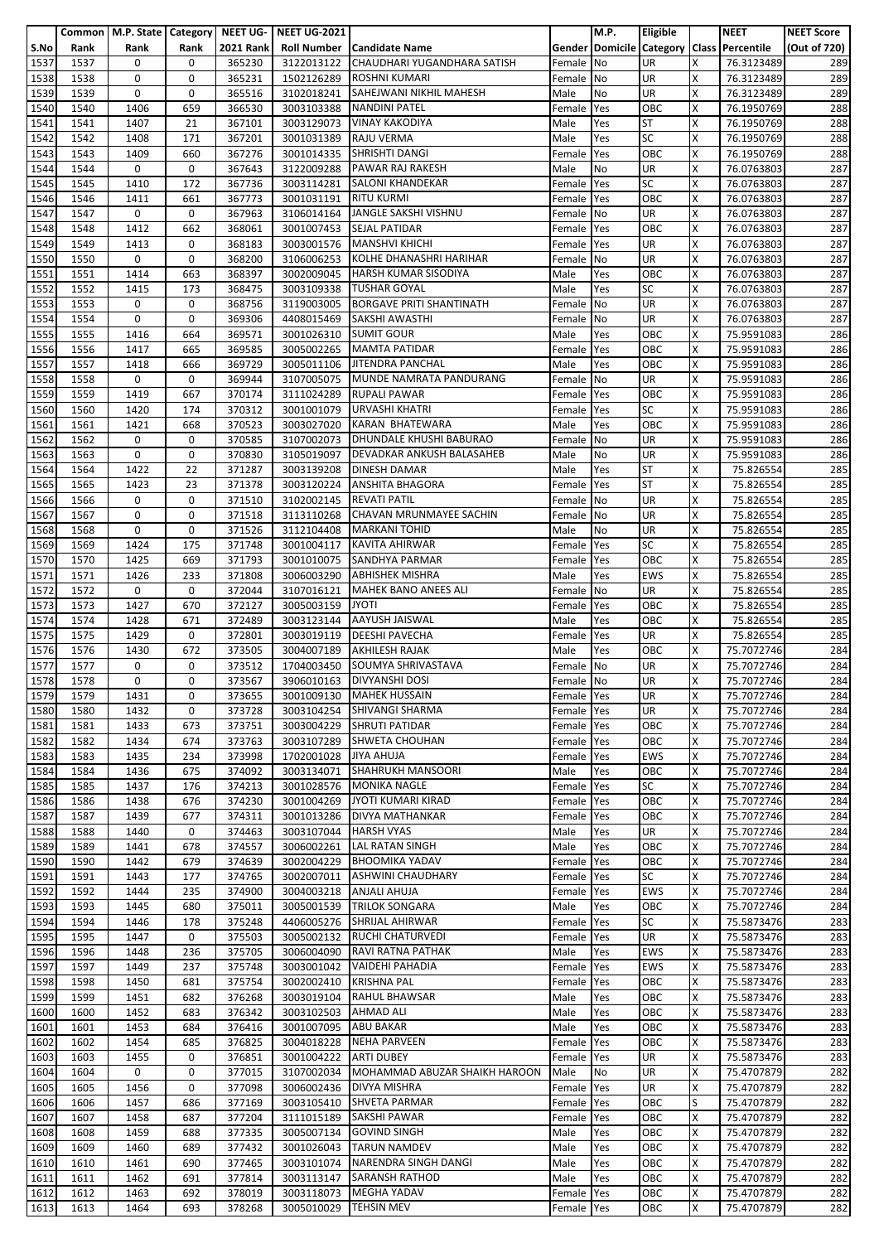|      |      |      |             | Common   M.P. State   Category   NEET UG- | <b>NEET UG-2021</b> |                                          |            | M.P.                            | Eligible   |              | <b>NEET</b> | <b>NEET Score</b> |
|------|------|------|-------------|-------------------------------------------|---------------------|------------------------------------------|------------|---------------------------------|------------|--------------|-------------|-------------------|
| S.No | Rank | Rank | Rank        | <b>2021 Rank</b>                          | <b>Roll Number</b>  | <b>Candidate Name</b>                    |            | <b>Gender Domicile Category</b> |            | <b>Class</b> | Percentile  | (Out of 720)      |
|      | 1537 |      | 0           | 365230                                    | 3122013122          | CHAUDHARI YUGANDHARA SATISH              |            | <b>No</b>                       | UR         | X            | 76.3123489  |                   |
| 1537 |      | 0    |             |                                           |                     |                                          | Female     |                                 |            |              |             | 289               |
| 1538 | 1538 | 0    | 0           | 365231                                    | 1502126289          | <b>ROSHNI KUMARI</b>                     | Female     | No                              | UR         | X            | 76.3123489  | 289               |
| 1539 | 1539 | 0    | 0           | 365516                                    | 3102018241          | SAHEJWANI NIKHIL MAHESH                  | Male       | No                              | UR         | X            | 76.3123489  | 289               |
| 1540 | 1540 | 1406 | 659         | 366530                                    | 3003103388          | <b>NANDINI PATEL</b>                     | Female     | Yes                             | OBC        | X            | 76.1950769  | 288               |
| 1541 | 1541 | 1407 | 21          | 367101                                    | 3003129073          | <b>VINAY KAKODIYA</b>                    | Male       | Yes                             | <b>ST</b>  | X            | 76.1950769  | 288               |
|      | 1542 | 1408 | 171         | 367201                                    |                     | <b>RAJU VERMA</b>                        |            | Yes                             | SC         | X            |             | 288               |
| 1542 |      |      |             |                                           | 3001031389          |                                          | Male       |                                 |            |              | 76.1950769  |                   |
| 1543 | 1543 | 1409 | 660         | 367276                                    | 3001014335          | SHRISHTI DANGI                           | Female     | Yes                             | ОВС        | X            | 76.1950769  | 288               |
| 1544 | 1544 | 0    | $\pmb{0}$   | 367643                                    | 3122009288          | PAWAR RAJ RAKESH                         | Male       | No                              | UR         | X            | 76.0763803  | 287               |
| 1545 | 1545 | 1410 | 172         | 367736                                    | 3003114281          | <b>SALONI KHANDEKAR</b>                  | Female     | Yes                             | SC         | X            | 76.0763803  | 287               |
| 1546 | 1546 | 1411 | 661         | 367773                                    | 3001031191          | <b>RITU KURMI</b>                        | Female     | Yes                             | ОВС        | X            | 76.0763803  | 287               |
| 1547 | 1547 | 0    | 0           | 367963                                    | 3106014164          | JANGLE SAKSHI VISHNU                     | Female     | No                              | UR         | X            | 76.0763803  | 287               |
| 1548 | 1548 | 1412 | 662         | 368061                                    | 3001007453          | <b>SEJAL PATIDAR</b>                     | Female     | Yes                             | OBC        | X            | 76.0763803  | 287               |
|      | 1549 |      | 0           | 368183                                    |                     | <b>MANSHVI KHICHI</b>                    |            |                                 | UR         | X            |             |                   |
| 1549 |      | 1413 |             |                                           | 3003001576          |                                          | Female     | Yes                             |            |              | 76.0763803  | 287               |
| 1550 | 1550 | 0    | 0           | 368200                                    | 3106006253          | KOLHE DHANASHRI HARIHAR                  | Female     | <b>No</b>                       | UR         | X            | 76.0763803  | 287               |
| 1551 | 1551 | 1414 | 663         | 368397                                    | 3002009045          | <b>HARSH KUMAR SISODIYA</b>              | Male       | Yes                             | ОВС        | X            | 76.0763803  | 287               |
| 1552 | 1552 | 1415 | 173         | 368475                                    | 3003109338          | <b>TUSHAR GOYAL</b>                      | Male       | Yes                             | SC         | X            | 76.0763803  | 287               |
| 1553 | 1553 | 0    | 0           | 368756                                    | 3119003005          | <b>BORGAVE PRITI SHANTINATH</b>          | Female     | No                              | UR         | X            | 76.0763803  | 287               |
| 1554 | 1554 | 0    | 0           | 369306                                    | 4408015469          | SAKSHI AWASTHI                           | Female     | <b>No</b>                       | UR         | X            | 76.0763803  | 287               |
| 1555 | 1555 | 1416 | 664         | 369571                                    | 3001026310          | <b>SUMIT GOUR</b>                        | Male       | Yes                             | ОВС        | X            | 75.9591083  | 286               |
| 1556 | 1556 | 1417 | 665         | 369585                                    | 3005002265          | <b>MAMTA PATIDAR</b>                     | Female     | Yes                             | OBC        | X            | 75.9591083  | 286               |
|      |      |      |             | 369729                                    |                     |                                          |            |                                 |            |              |             |                   |
| 1557 | 1557 | 1418 | 666         |                                           | 3005011106          | JITENDRA PANCHAL                         | Male       | Yes                             | OBC        | X            | 75.9591083  | 286               |
| 1558 | 1558 | 0    | 0           | 369944                                    | 3107005075          | MUNDE NAMRATA PANDURANG                  | Female     | No                              | UR         | X            | 75.9591083  | 286               |
| 1559 | 1559 | 1419 | 667         | 370174                                    | 3111024289          | <b>RUPALI PAWAR</b>                      | Female     | Yes                             | OBC        | X            | 75.9591083  | 286               |
| 1560 | 1560 | 1420 | 174         | 370312                                    | 3001001079          | URVASHI KHATRI                           | Female     | Yes                             | SC         | X            | 75.9591083  | 286               |
| 1561 | 1561 | 1421 | 668         | 370523                                    | 3003027020          | KARAN BHATEWARA                          | Male       | Yes                             | OBC        | X            | 75.9591083  | 286               |
| 1562 | 1562 | 0    | $\mathbf 0$ | 370585                                    | 3107002073          | DHUNDALE KHUSHI BABURAO                  | Female     | <b>No</b>                       | <b>UR</b>  | X            | 75.9591083  | 286               |
| 1563 | 1563 | 0    | 0           | 370830                                    | 3105019097          | DEVADKAR ANKUSH BALASAHEB                | Male       | No                              | UR         | X            | 75.9591083  | 286               |
|      |      |      |             |                                           |                     |                                          |            |                                 |            |              |             |                   |
| 1564 | 1564 | 1422 | 22          | 371287                                    | 3003139208          | DINESH DAMAR                             | Male       | Yes                             | <b>ST</b>  | X            | 75.826554   | 285               |
| 1565 | 1565 | 1423 | 23          | 371378                                    | 3003120224          | <b>ANSHITA BHAGORA</b>                   | Female     | Yes                             | <b>ST</b>  | X            | 75.826554   | 285               |
| 1566 | 1566 | 0    | 0           | 371510                                    | 3102002145          | <b>REVATI PATIL</b>                      | Female     | No                              | UR         | Ιx           | 75.826554   | 285               |
| 1567 | 1567 | 0    | 0           | 371518                                    | 3113110268          | CHAVAN MRUNMAYEE SACHIN                  | Female No  |                                 | UR         | X            | 75.826554   | 285               |
| 1568 | 1568 | 0    | 0           | 371526                                    | 3112104408          | <b>MARKANI TOHID</b>                     | Male       | No                              | UR         | X            | 75.826554   | 285               |
| 1569 | 1569 | 1424 | 175         | 371748                                    | 3001004117          | KAVITA AHIRWAR                           | Female     | Yes                             | SC         | ΙX           | 75.826554   | 285               |
| 1570 | 1570 | 1425 | 669         | 371793                                    | 3001010075          | SANDHYA PARMAR                           | Female     | Yes                             | ОВС        | X            | 75.826554   | 285               |
| 1571 | 1571 | 1426 | 233         | 371808                                    | 3006003290          | <b>ABHISHEK MISHRA</b>                   | Male       | Yes                             | <b>EWS</b> | X            | 75.826554   | 285               |
|      |      |      |             |                                           |                     |                                          |            |                                 |            |              |             |                   |
| 1572 | 1572 | 0    | 0           | 372044                                    | 3107016121          | <b>MAHEK BANO ANEES ALI</b>              | Female     | <b>No</b>                       | UR         | X            | 75.826554   | 285               |
| 1573 | 1573 | 1427 | 670         | 372127                                    | 3005003159          | <b>JYOTI</b>                             | Female     | Yes                             | ОВС        | X            | 75.826554   | 285               |
| 1574 | 1574 | 1428 | 671         | 372489                                    | 3003123144          | <b>AAYUSH JAISWAL</b>                    | Male       | Yes                             | ОВС        | X            | 75.826554   | 285               |
| 1575 | 1575 | 1429 | 0           | 372801                                    | 3003019119          | <b>DEESHI PAVECHA</b>                    | Female     | Yes                             | UR         | X            | 75.826554   | 285               |
| 1576 | 1576 | 1430 | 672         | 373505                                    | 3004007189          | AKHILESH RAJAK                           | Male       | Yes                             | OBC        | Ιx           | 75.7072746  | 284               |
| 1577 | 1577 | 0    | 0           | 373512                                    | 1704003450          | SOUMYA SHRIVASTAVA                       | Female No  |                                 | UR         | X            | 75.7072746  | 284               |
| 1578 | 1578 | 0    | 0           | 373567                                    |                     | 3906010163   DIVYANSHI DOSI              | Female No  |                                 | UR         | X            | 75.7072746  | 284               |
|      |      |      |             |                                           |                     |                                          |            |                                 |            |              |             |                   |
| 1579 | 1579 | 1431 | 0           | 373655                                    | 3001009130          | <b>MAHEK HUSSAIN</b>                     | Female Yes |                                 | UR         | ΙX           | 75.7072746  | 284               |
| 1580 | 1580 | 1432 | 0           | 373728                                    | 3003104254          | SHIVANGI SHARMA                          | Female     | Yes                             | UR         | X            | 75.7072746  | 284               |
| 1581 | 1581 | 1433 | 673         | 373751                                    |                     | 3003004229 SHRUTI PATIDAR                | Female     | Yes                             | OBC        | X            | 75.7072746  | 284               |
| 1582 | 1582 | 1434 | 674         | 373763                                    | 3003107289          | <b>SHWETA CHOUHAN</b>                    | Female Yes |                                 | OBC        | X            | 75.7072746  | 284               |
| 1583 | 1583 | 1435 | 234         | 373998                                    | 1702001028          | JIYA AHUJA                               | Female     | Yes                             | EWS        | X            | 75.7072746  | 284               |
| 1584 | 1584 | 1436 | 675         | 374092                                    | 3003134071          | <b>SHAHRUKH MANSOORI</b>                 | Male       | Yes                             | OBC        | ΙX           | 75.7072746  | 284               |
| 1585 | 1585 | 1437 | 176         | 374213                                    | 3001028576          | <b>MONIKA NAGLE</b>                      | Female     | Yes                             | SC         | X            | 75.7072746  | 284               |
| 1586 | 1586 | 1438 | 676         | 374230                                    | 3001004269          | JYOTI KUMARI KIRAD                       | Female     | Yes                             | OBC        | Ιx           | 75.7072746  | 284               |
|      |      |      |             |                                           |                     |                                          |            |                                 |            |              |             |                   |
| 1587 | 1587 | 1439 | 677         | 374311                                    | 3001013286          | DIVYA MATHANKAR                          | Female     | Yes                             | ОВС        | X            | 75.7072746  | 284               |
| 1588 | 1588 | 1440 | $\mathbf 0$ | 374463                                    | 3003107044          | <b>HARSH VYAS</b>                        | Male       | Yes                             | UR         | X            | 75.7072746  | 284               |
| 1589 | 1589 | 1441 | 678         | 374557                                    | 3006002261          | LAL RATAN SINGH                          | Male       | Yes                             | ОВС        | X            | 75.7072746  | 284               |
| 1590 | 1590 | 1442 | 679         | 374639                                    | 3002004229          | <b>BHOOMIKA YADAV</b>                    | Female     | Yes                             | ОВС        | X            | 75.7072746  | 284               |
| 1591 | 1591 | 1443 | 177         | 374765                                    | 3002007011          | <b>ASHWINI CHAUDHARY</b>                 | Female     | Yes                             | SC         | X            | 75.7072746  | 284               |
| 1592 | 1592 | 1444 | 235         | 374900                                    | 3004003218          | <b>ANJALI AHUJA</b>                      | Female Yes |                                 | <b>EWS</b> | X            | 75.7072746  | 284               |
| 1593 | 1593 | 1445 | 680         | 375011                                    | 3005001539          | <b>TRILOK SONGARA</b>                    | Male       | Yes                             | OBC        | X            | 75.7072746  | 284               |
| 1594 | 1594 | 1446 | 178         | 375248                                    | 4406005276          | <b>SHRIJAL AHIRWAR</b>                   | Female     | Yes                             | SC         | X            | 75.5873476  | 283               |
| 1595 | 1595 | 1447 | 0           | 375503                                    | 3005002132          | <b>RUCHI CHATURVEDI</b>                  | Female     | Yes                             | UR         | X            | 75.5873476  | 283               |
|      |      |      |             |                                           |                     |                                          |            |                                 |            | ΙX           |             |                   |
| 1596 | 1596 | 1448 | 236         | 375705                                    | 3006004090          | RAVI RATNA PATHAK                        | Male       | Yes                             | EWS        |              | 75.5873476  | 283               |
| 1597 | 1597 | 1449 | 237         | 375748                                    | 3003001042          | <b>VAIDEHI PAHADIA</b>                   | Female     | Yes                             | EWS        | X            | 75.5873476  | 283               |
| 1598 | 1598 | 1450 | 681         | 375754                                    | 3002002410          | <b>KRISHNA PAL</b>                       | Female     | Yes                             | OBC        | X            | 75.5873476  | 283               |
| 1599 | 1599 | 1451 | 682         | 376268                                    | 3003019104          | <b>RAHUL BHAWSAR</b>                     | Male       | Yes                             | OBC        | X            | 75.5873476  | 283               |
| 1600 | 1600 | 1452 | 683         | 376342                                    | 3003102503          | AHMAD ALI                                | Male       | Yes                             | ОВС        | X            | 75.5873476  | 283               |
| 1601 | 1601 | 1453 | 684         | 376416                                    | 3001007095          | <b>ABU BAKAR</b>                         | Male       | Yes                             | OBC        | X            | 75.5873476  | 283               |
| 1602 | 1602 | 1454 | 685         | 376825                                    | 3004018228          | <b>NEHA PARVEEN</b>                      | Female     | Yes                             | OBC        | X            | 75.5873476  | 283               |
| 1603 | 1603 | 1455 | 0           | 376851                                    | 3001004222          | <b>ARTI DUBEY</b>                        | Female     | Yes                             | UR         | X            | 75.5873476  | 283               |
|      |      |      |             |                                           |                     |                                          |            |                                 |            |              |             |                   |
| 1604 | 1604 | 0    | 0           | 377015                                    |                     | 3107002034 MOHAMMAD ABUZAR SHAIKH HAROON | Male       | No                              | UR         | X            | 75.4707879  | 282               |
| 1605 | 1605 | 1456 | 0           | 377098                                    | 3006002436          | <b>DIVYA MISHRA</b>                      | Female     | Yes                             | UR         | X            | 75.4707879  | 282               |
| 1606 | 1606 | 1457 | 686         | 377169                                    | 3003105410          | SHVETA PARMAR                            | Female     | Yes                             | ОВС        | lS.          | 75.4707879  | 282               |
| 1607 | 1607 | 1458 | 687         | 377204                                    | 3111015189          | SAKSHI PAWAR                             | Female     | Yes                             | ОВС        | X            | 75.4707879  | 282               |
| 1608 | 1608 | 1459 | 688         | 377335                                    | 3005007134          | <b>GOVIND SINGH</b>                      | Male       | Yes                             | ОВС        | Ιx           | 75.4707879  | 282               |
| 1609 | 1609 | 1460 | 689         | 377432                                    | 3001026043          | <b>TARUN NAMDEV</b>                      | Male       | Yes                             | OBC        | X            | 75.4707879  | 282               |
| 1610 | 1610 | 1461 | 690         | 377465                                    | 3003101074          | NARENDRA SINGH DANGI                     | Male       | Yes                             | ОВС        | X            | 75.4707879  | 282               |
| 1611 | 1611 | 1462 | 691         | 377814                                    | 3003113147          | SARANSH RATHOD                           | Male       | Yes                             | OBC        | ΙX           | 75.4707879  | 282               |
| 1612 | 1612 | 1463 | 692         | 378019                                    | 3003118073          | <b>MEGHA YADAV</b>                       | Female Yes |                                 | ОВС        | X            | 75.4707879  | 282               |
|      |      |      |             |                                           |                     | <b>TEHSIN MEV</b>                        |            |                                 |            |              |             |                   |
| 1613 | 1613 | 1464 | 693         | 378268                                    | 3005010029          |                                          | Female Yes |                                 | ОВС        | X            | 75.4707879  | 282               |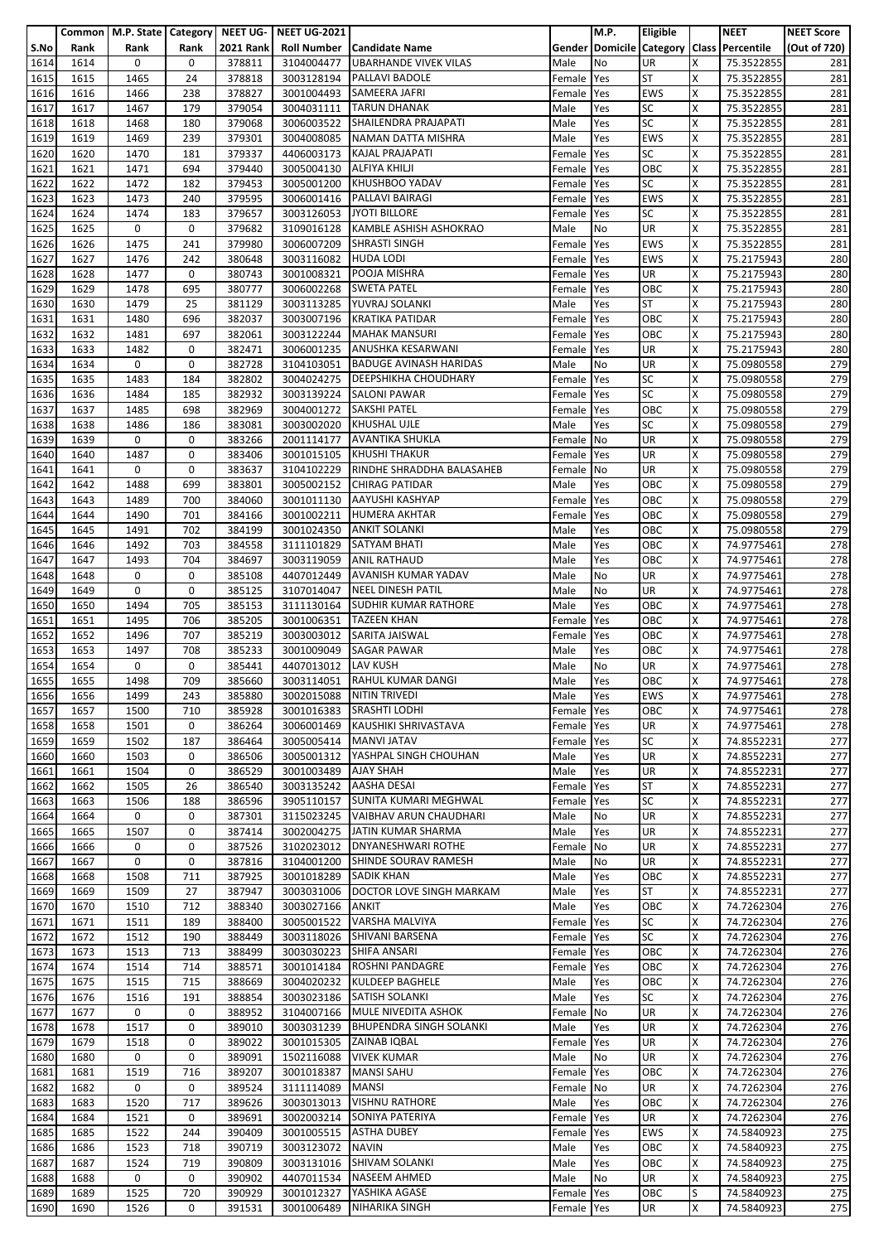|              |              | Common   M.P. State   Category   NEET UG- |             |                  | <b>NEET UG-2021</b>                 |                                                   |              | M.P.      | Eligible               |        | <b>NEET</b>                               | <b>NEET Score</b> |
|--------------|--------------|-------------------------------------------|-------------|------------------|-------------------------------------|---------------------------------------------------|--------------|-----------|------------------------|--------|-------------------------------------------|-------------------|
| S.No         | Rank         | Rank                                      | Rank        | <b>2021 Rank</b> |                                     | Roll Number   Candidate Name                      |              |           |                        |        | Gender Domicile Category Class Percentile | (Out of 720)      |
| 1614         | 1614         | 0                                         | 0           | 378811           | 3104004477                          | <b>UBARHANDE VIVEK VILAS</b>                      | Male         | No        | UR                     | x      | 75.3522855                                | 281               |
| 1615         | 1615         | 1465                                      | 24          | 378818           | 3003128194                          | <b>PALLAVI BADOLE</b>                             | Female       | Yes       | <b>ST</b>              | X      | 75.3522855                                | 281               |
| 1616         | 1616         | 1466                                      | 238         | 378827           | 3001004493                          | SAMEERA JAFRI                                     | Female       | Yes       | <b>EWS</b>             | X      | 75.3522855                                | 281               |
| 1617         | 1617         | 1467                                      | 179         | 379054           | 3004031111                          | <b>TARUN DHANAK</b>                               | Male         | Yes       | <b>SC</b>              | Χ      | 75.3522855                                | 281               |
| 1618         | 1618         | 1468                                      | 180         | 379068           | 3006003522                          | SHAILENDRA PRAJAPATI                              | Male         | Yes       | <b>SC</b>              | x      | 75.3522855                                | 281               |
| 1619         | 1619         | 1469                                      | 239         | 379301           | 3004008085                          | NAMAN DATTA MISHRA                                | Male         | Yes       | <b>EWS</b>             | X      | 75.3522855                                | 281               |
| 1620         | 1620         | 1470                                      | 181         | 379337           | 4406003173                          | <b>KAJAL PRAJAPATI</b>                            | Female       | Yes       | <b>SC</b>              | X      | 75.3522855                                | 281               |
| 1621         | 1621         | 1471                                      | 694         | 379440           | 3005004130                          | ALFIYA KHILJI                                     | Female       | Yes       | OBC                    | X      | 75.3522855                                | 281               |
| 1622         | 1622         | 1472                                      | 182         | 379453           | 3005001200                          | KHUSHBOO YADAV                                    | Female       | Yes       | <b>SC</b>              | Χ      | 75.3522855                                | 281               |
| 1623         | 1623         | 1473                                      | 240         | 379595           | 3006001416                          | PALLAVI BAIRAGI                                   | Female       | Yes       | <b>EWS</b>             | X      | 75.3522855                                | 281               |
| 1624         | 1624         | 1474                                      | 183         | 379657           | 3003126053                          | JYOTI BILLORE                                     | Female       | Yes       | <b>SC</b>              | x      | 75.3522855                                | 281               |
| 1625         | 1625         | 0                                         | 0           | 379682           | 3109016128                          | <b>KAMBLE ASHISH ASHOKRAO</b>                     | Male         | No        | UR                     | X      | 75.3522855                                | 281               |
| 1626         | 1626         | 1475                                      | 241         | 379980           | 3006007209                          | <b>SHRASTI SINGH</b>                              | Female       | Yes       | <b>EWS</b>             | x      | 75.3522855                                | 281               |
| 1627         | 1627         | 1476                                      | 242         | 380648           | 3003116082                          | <b>HUDA LODI</b>                                  | Female       | Yes       | <b>EWS</b>             | Χ      | 75.2175943                                | 280               |
| 1628         | 1628         | 1477                                      | $\mathbf 0$ | 380743           | 3001008321                          | POOJA MISHRA                                      | Female       | Yes       | UR                     | x      | 75.2175943                                | 280               |
| 1629         | 1629         | 1478                                      | 695         | 380777           | 3006002268                          | <b>SWETA PATEL</b>                                | Female Yes   |           | OBC                    | Χ      | 75.2175943                                | 280               |
| 1630         | 1630         | 1479                                      | 25          | 381129           | 3003113285                          | YUVRAJ SOLANKI                                    | Male         | Yes       | <b>ST</b>              | X      | 75.2175943                                | 280               |
| 1631         | 1631         | 1480                                      | 696         | 382037           | 3003007196                          | <b>KRATIKA PATIDAR</b>                            | Female       | Yes       | OBC                    | X      | 75.2175943                                | 280               |
| 1632         | 1632         | 1481                                      | 697         | 382061           |                                     | 3003122244   MAHAK MANSURI                        | Female       | Yes       | OBC                    | Χ      | 75.2175943                                | 280               |
| 1633         | 1633         | 1482                                      | 0           | 382471           | 3006001235                          | ANUSHKA KESARWANI                                 | Female       | Yes       | UR                     | X      | 75.2175943                                | 280               |
| 1634         | 1634         | 0                                         | 0           | 382728           | 3104103051                          | <b>BADUGE AVINASH HARIDAS</b>                     | Male         | No        | <b>UR</b>              | x      | 75.0980558                                | 279               |
| 1635         | 1635         | 1483                                      | 184         | 382802           | 3004024275                          | <b>DEEPSHIKHA CHOUDHARY</b>                       | Female       | Yes       | <b>SC</b>              | X      | 75.0980558                                | 279               |
| 1636         | 1636         | 1484                                      | 185         | 382932           |                                     | 3003139224 SALONI PAWAR                           | Female       | Yes       | <b>SC</b>              | X      | 75.0980558                                | 279               |
| 1637         | 1637         | 1485                                      | 698         | 382969           | 3004001272                          | <b>SAKSHI PATEL</b>                               | Female       | Yes       | OBC                    | X      | 75.0980558                                | 279               |
| 1638         | 1638         | 1486                                      | 186         | 383081           | 3003002020                          | <b>KHUSHAL UJLE</b>                               | Male         | Yes       | <b>SC</b>              | X      | 75.0980558                                | 279               |
| 1639         | 1639         | 0                                         | 0           | 383266           | 2001114177                          | <b>AVANTIKA SHUKLA</b>                            | Female       | No        | <b>UR</b>              | X      | 75.0980558                                | 279               |
| 1640         | 1640         | 1487                                      | 0           | 383406           | 3001015105                          | <b>KHUSHI THAKUR</b>                              | Female       | Yes       | UR                     | X      | 75.0980558                                | 279               |
| 1641         | 1641         | 0                                         | 0           | 383637           | 3104102229                          | RINDHE SHRADDHA BALASAHEB                         | Female       | <b>No</b> | UR                     | X      | 75.0980558                                | 279               |
| 1642         | 1642         | 1488                                      | 699         | 383801           | 3005002152                          | <b>CHIRAG PATIDAR</b>                             | Male         | Yes       | OBC                    | Χ      | 75.0980558                                | 279               |
| 1643         | 1643         | 1489                                      | 700         | 384060           | 3001011130                          | <b>AAYUSHI KASHYAP</b>                            | Female       | Yes       | OBC                    | X      | 75.0980558                                | 279               |
| 1644         | 1644         | 1490                                      | 701         | 384166           | 3001002211                          | <b>HUMERA AKHTAR</b>                              | Female       | Yes       | OBC                    | X      | 75.0980558                                | 279               |
| 1645         | 1645         | 1491                                      | 702         | 384199           | 3001024350                          | <b>ANKIT SOLANKI</b>                              | Male         | Yes       | OBC                    | x      | 75.0980558                                | 279               |
| 1646         | 1646         | 1492                                      | 703         | 384558           | 3111101829                          | <b>SATYAM BHATI</b>                               | Male         | Yes       | OBC                    | x      | 74.9775461                                | 278               |
| 1647         | 1647         | 1493                                      | 704         | 384697           | 3003119059                          | <b>ANIL RATHAUD</b>                               | Male         | Yes       | OBC                    | Χ      | 74.9775461                                | 278               |
| 1648         | 1648         | 0                                         | $\mathbf 0$ | 385108           | 4407012449                          | <b>AVANISH KUMAR YADAV</b>                        | Male         | No        | UR                     | X      | 74.9775461                                | 278               |
| 1649         | 1649         | 0                                         | 0           | 385125           | 3107014047                          | NEEL DINESH PATIL                                 | Male         | No        | UR                     | X      | 74.9775461                                | 278               |
| 1650         | 1650         | 1494                                      | 705         | 385153           | 3111130164                          | <b>SUDHIR KUMAR RATHORE</b>                       | Male         | Yes       | OBC                    | X      | 74.9775461                                | 278               |
| 1651         | 1651         | 1495                                      | 706         | 385205           | 3001006351                          | <b>TAZEEN KHAN</b>                                | Female       | Yes       | OBC                    | x      | 74.9775461                                | 278               |
| 1652         | 1652         | 1496                                      | 707         | 385219           | 3003003012                          | SARITA JAISWAL                                    | Female       | Yes       | OBC                    | X      | 74.9775461                                | 278               |
| 1653         | 1653         | 1497                                      | 708         | 385233           | 3001009049                          | <b>SAGAR PAWAR</b>                                | Male         | Yes       | OBC                    | X      | 74.9775461                                | 278               |
| 1654         | 1654         | 0                                         | 0           | 385441           | 4407013012                          | <b>LAV KUSH</b>                                   | Male         | No        | UR                     | x      | 74.9775461                                | 278               |
| 1655         | 1655         | 1498                                      | 709         | 385660           |                                     | 3003114051 RAHUL KUMAR DANGI                      | Male         | Yes       | OBC                    | X      | 74.9775461                                | 278               |
| 1656         | 1656         | 1499                                      | 243         | 385880           |                                     | 3002015088 NITIN TRIVEDI<br><b>SRASHTI LODHI</b>  | Male         | Yes       | <b>EWS</b>             | х      | 74.9775461                                | 278               |
| 1657         | 1657         | 1500                                      | 710         | 385928           | 3001016383                          |                                                   | Female       | Yes       | OBC                    | X      | 74.9775461                                | 278               |
| 1658         | 1658         | 1501                                      | $\mathbf 0$ | 386264           |                                     | 3006001469 KAUSHIKI SHRIVASTAVA                   | Female       | Yes       | <b>UR</b><br>SC        | X      | 74.9775461                                | 278               |
| 1659         | 1659         | 1502                                      | 187         | 386464           |                                     | 3005005414 MANVI JATAV                            | Female       | Yes       |                        | X      | 74.8552231                                | 277               |
| 1660         | 1660         | 1503                                      | 0           | 386506           | 3005001312                          | YASHPAL SINGH CHOUHAN                             | Male         | Yes       | UR                     | X      | 74.8552231                                | 277               |
| 1661         | 1661         | 1504                                      | 0           | 386529           | 3001003489                          | <b>AJAY SHAH</b>                                  | Male         | Yes       | <b>UR</b>              | X      | 74.8552231                                | 277               |
| 1662         | 1662         | 1505                                      | 26          | 386540           | 3003135242                          | <b>AASHA DESAI</b><br>SUNITA KUMARI MEGHWAL       | Female       | Yes       | <b>ST</b>              | X      | 74.8552231                                | 277               |
| 1663         | 1663         | 1506<br>0                                 | 188<br>0    | 386596           | 3905110157                          | <b>VAIBHAV ARUN CHAUDHARI</b>                     | Female       | Yes       | <b>SC</b><br><b>UR</b> | x      | 74.8552231                                | 277               |
| 1664         | 1664         |                                           |             | 387301           | 3115023245                          |                                                   | Male         | No        |                        | Χ      | 74.8552231                                | 277               |
| 1665         | 1665         | 1507                                      | 0           | 387414           | 3002004275                          | JATIN KUMAR SHARMA                                | Male         | Yes       | <b>UR</b><br><b>UR</b> | X      | 74.8552231                                | 277               |
| 1666         | 1666<br>1667 | 0<br>0                                    | 0<br>0      | 387526<br>387816 | 3102023012                          | <b>DNYANESHWARI ROTHE</b><br>SHINDE SOURAV RAMESH | Female       | <b>No</b> | <b>UR</b>              | x<br>X | 74.8552231                                | 277<br>277        |
| 1667<br>1668 | 1668         | 1508                                      | 711         | 387925           | 3104001200<br>3001018289 SADIK KHAN |                                                   | Male<br>Male | No<br>Yes | OBC                    | x      | 74.8552231<br>74.8552231                  | 277               |
| 1669         | 1669         | 1509                                      | 27          | 387947           | 3003031006                          | DOCTOR LOVE SINGH MARKAM                          | Male         | Yes       | <b>ST</b>              | X      | 74.8552231                                | 277               |
| 1670         | 1670         | 1510                                      | 712         | 388340           | 3003027166                          | ANKIT                                             | Male         | Yes       | OBC                    | X      | 74.7262304                                | 276               |
| 1671         | 1671         | 1511                                      | 189         | 388400           | 3005001522                          | VARSHA MALVIYA                                    | Female       | Yes       | <b>SC</b>              | X      | 74.7262304                                | 276               |
| 1672         | 1672         | 1512                                      | 190         | 388449           | 3003118026                          | SHIVANI BARSENA                                   | Female       | Yes       | <b>SC</b>              | X      | 74.7262304                                | 276               |
| 1673         | 1673         | 1513                                      | 713         | 388499           | 3003030223                          | <b>SHIFA ANSARI</b>                               | Female       | Yes       | OBC                    | X      | 74.7262304                                | 276               |
| 1674         | 1674         | 1514                                      | 714         | 388571           | 3001014184                          | <b>ROSHNI PANDAGRE</b>                            | Female       | Yes       | OBC                    | X      | 74.7262304                                | 276               |
| 1675         | 1675         | 1515                                      | 715         | 388669           | 3004020232                          | <b>KULDEEP BAGHELE</b>                            | Male         | Yes       | OBC                    | X      | 74.7262304                                | 276               |
| 1676         | 1676         | 1516                                      | 191         | 388854           | 3003023186                          | SATISH SOLANKI                                    | Male         | Yes       | <b>SC</b>              | X      | 74.7262304                                | 276               |
| 1677         | 1677         | 0                                         | 0           | 388952           | 3104007166                          | MULE NIVEDITA ASHOK                               | Female       | No        | <b>UR</b>              | X      | 74.7262304                                | 276               |
| 1678         | 1678         | 1517                                      | 0           | 389010           | 3003031239                          | <b>BHUPENDRA SINGH SOLANKI</b>                    | Male         | Yes       | UR                     | x      | 74.7262304                                | 276               |
| 1679         | 1679         | 1518                                      | 0           | 389022           | 3001015305                          | ZAINAB IQBAL                                      | Female Yes   |           | UR                     | X      | 74.7262304                                | 276               |
| 1680         | 1680         | 0                                         | 0           | 389091           | 1502116088                          | <b>VIVEK KUMAR</b>                                | Male         | No        | <b>UR</b>              | X      | 74.7262304                                | 276               |
| 1681         | 1681         | 1519                                      | 716         | 389207           | 3001018387                          | <b>MANSI SAHU</b>                                 | Female       | Yes       | OBC                    | X      | 74.7262304                                | 276               |
| 1682         | 1682         | 0                                         | 0           | 389524           | 3111114089                          | <b>MANSI</b>                                      | Female No    |           | UR                     | X      | 74.7262304                                | 276               |
| 1683         | 1683         | 1520                                      | 717         | 389626           | 3003013013                          | <b>VISHNU RATHORE</b>                             | Male         | Yes       | OBC                    | X      | 74.7262304                                | 276               |
| 1684         | 1684         | 1521                                      | 0           | 389691           |                                     | 3002003214 SONIYA PATERIYA                        | Female       | Yes       | <b>UR</b>              | Χ      | 74.7262304                                | 276               |
| 1685         | 1685         | 1522                                      | 244         | 390409           | 3001005515                          | <b>ASTHA DUBEY</b>                                | Female       | Yes       | EWS                    | X      | 74.5840923                                | 275               |
| 1686         | 1686         | 1523                                      | 718         | 390719           | 3003123072                          | <b>NAVIN</b>                                      | Male         | Yes       | OBC                    | X      | 74.5840923                                | 275               |
| 1687         | 1687         | 1524                                      | 719         | 390809           | 3003131016                          | SHIVAM SOLANKI                                    | Male         | Yes       | OBC                    | X      | 74.5840923                                | 275               |
| 1688         | 1688         | 0                                         | 0           | 390902           |                                     | 4407011534 NASEEM AHMED                           | Male         | No        | UR                     | x      | 74.5840923                                | 275               |
| 1689         | 1689         | 1525                                      | 720         | 390929           | 3001012327                          | YASHIKA AGASE                                     | Female Yes   |           | OBC                    | S      | 74.5840923                                | 275               |
| 1690         | 1690         | 1526                                      | 0           | 391531           | 3001006489                          | NIHARIKA SINGH                                    | Female Yes   |           | UR                     | X      | 74.5840923                                | 275               |
|              |              |                                           |             |                  |                                     |                                                   |              |           |                        |        |                                           |                   |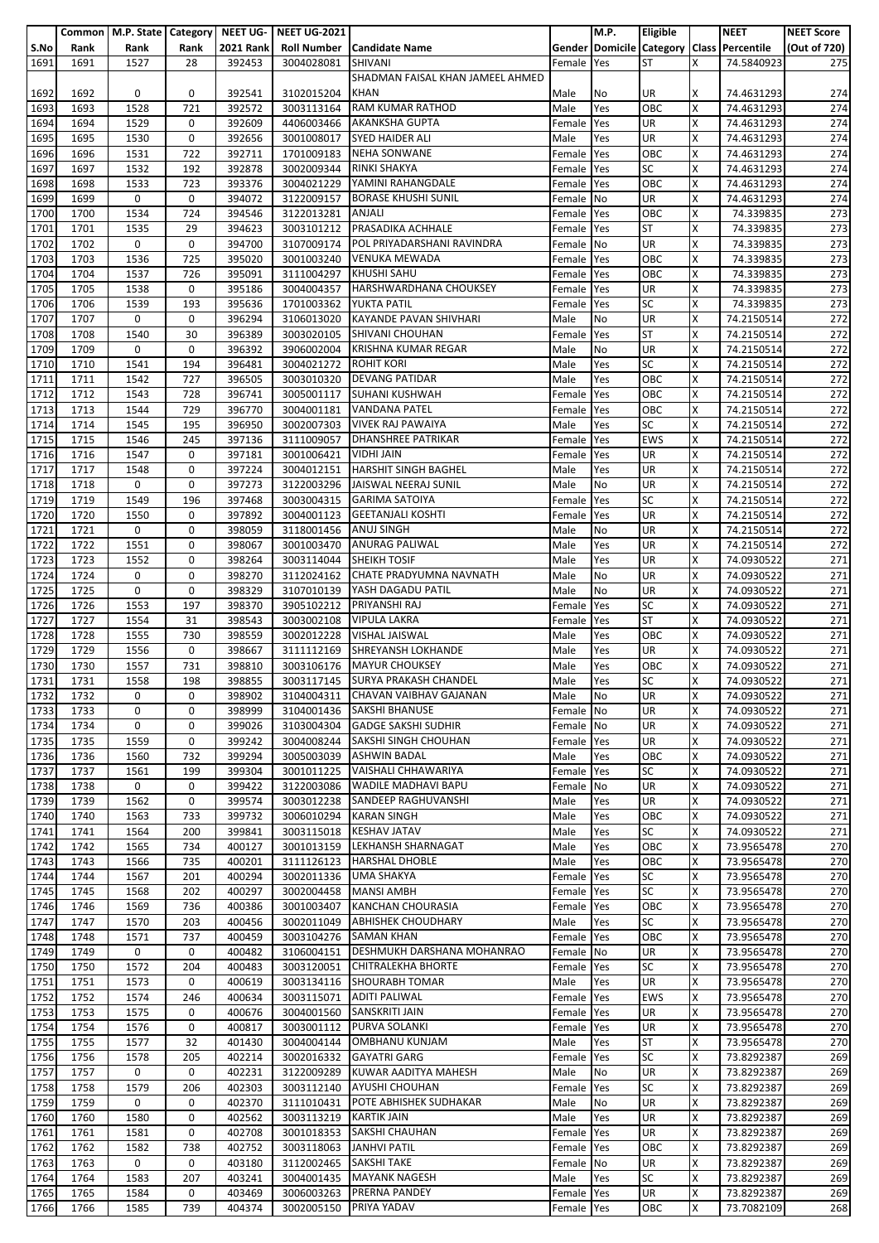|      |      | Common   M.P. State   Category   NEET UG- |             |                  | <b>NEET UG-2021</b>     |                                       |            | M.P.       | Eligible   |   | <b>NEET</b>                               | <b>NEET Score</b> |
|------|------|-------------------------------------------|-------------|------------------|-------------------------|---------------------------------------|------------|------------|------------|---|-------------------------------------------|-------------------|
| S.No | Rank | Rank                                      | Rank        | <b>2021 Rank</b> |                         | <b>Roll Number   Candidate Name</b>   |            |            |            |   | Gender Domicile Category Class Percentile | (Out of 720)      |
| 1691 | 1691 | 1527                                      | 28          | 392453           | 3004028081              | <b>SHIVANI</b>                        | Female     | Yes        | <b>ST</b>  | X | 74.5840923                                | 275               |
|      |      |                                           |             |                  |                         |                                       |            |            |            |   |                                           |                   |
|      |      |                                           |             |                  |                         | SHADMAN FAISAL KHAN JAMEEL AHMED      |            |            |            |   |                                           |                   |
| 1692 | 1692 | 0                                         | 0           | 392541           | 3102015204              | <b>KHAN</b>                           | Male       | No         | UR         | x | 74.4631293                                | 274               |
| 1693 | 1693 | 1528                                      | 721         | 392572           | 3003113164              | <b>RAM KUMAR RATHOD</b>               | Male       | Yes        | OBC        | X | 74.4631293                                | 274               |
| 1694 | 1694 | 1529                                      | 0           | 392609           | 4406003466              | <b>AKANKSHA GUPTA</b>                 | Female     | Yes        | UR         | x | 74.4631293                                | 274               |
| 1695 | 1695 | 1530                                      | 0           | 392656           | 3001008017              | <b>SYED HAIDER ALI</b>                | Male       | Yes        | <b>UR</b>  | Χ | 74.4631293                                | 274               |
| 1696 | 1696 | 1531                                      | 722         | 392711           | 1701009183              | <b>NEHA SONWANE</b>                   |            | Yes        | OBC        | X | 74.4631293                                | 274               |
|      |      |                                           |             |                  |                         |                                       | Female     |            |            |   |                                           |                   |
| 1697 | 1697 | 1532                                      | 192         | 392878           | 3002009344              | RINKI SHAKYA                          | Female     | Yes        | <b>SC</b>  | X | 74.4631293                                | 274               |
| 1698 | 1698 | 1533                                      | 723         | 393376           | 3004021229              | YAMINI RAHANGDALE                     | Female     | Yes        | OBC        | X | 74.4631293                                | 274               |
| 1699 | 1699 | 0                                         | 0           | 394072           | 3122009157              | <b>BORASE KHUSHI SUNIL</b>            | Female     | No         | <b>UR</b>  | X | 74.4631293                                | 274               |
| 1700 | 1700 | 1534                                      | 724         | 394546           | 3122013281              | <b>ANJALI</b>                         | Female     | Yes        | OBC        | Χ | 74.339835                                 | 273               |
| 1701 | 1701 | 1535                                      | 29          | 394623           | 3003101212              | PRASADIKA ACHHALE                     | Female     | Yes        | <b>ST</b>  | X | 74.339835                                 | 273               |
|      | 1702 | 0                                         | 0           | 394700           |                         | POL PRIYADARSHANI RAVINDRA            |            | No         | UR         | Χ |                                           | 273               |
| 1702 |      |                                           |             |                  | 3107009174              |                                       | Female     |            |            |   | 74.339835                                 |                   |
| 1703 | 1703 | 1536                                      | 725         | 395020           | 3001003240              | <b>VENUKA MEWADA</b>                  | Female     | Yes        | OBC        | X | 74.339835                                 | 273               |
| 1704 | 1704 | 1537                                      | 726         | 395091           | 3111004297              | <b>KHUSHI SAHU</b>                    | Female     | Yes        | OBC        | х | 74.339835                                 | 273               |
| 1705 | 1705 | 1538                                      | 0           | 395186           | 3004004357              | HARSHWARDHANA CHOUKSEY                | Female     | Yes        | UR         | X | 74.339835                                 | 273               |
| 1706 | 1706 | 1539                                      | 193         | 395636           | 1701003362              | <b>YUKTA PATIL</b>                    | Female     | Yes        | <b>SC</b>  | X | 74.339835                                 | 273               |
| 1707 | 1707 | 0                                         | 0           | 396294           | 3106013020              | <b>KAYANDE PAVAN SHIVHARI</b>         | Male       | No         | UR         | x | 74.2150514                                | 272               |
|      |      |                                           |             |                  |                         |                                       |            |            | <b>ST</b>  |   |                                           |                   |
| 1708 | 1708 | 1540                                      | 30          | 396389           | 3003020105              | SHIVANI CHOUHAN                       | Female     | Yes        |            | X | 74.2150514                                | 272               |
| 1709 | 1709 | 0                                         | 0           | 396392           | 3906002004              | <b>KRISHNA KUMAR REGAR</b>            | Male       | No         | <b>UR</b>  | X | 74.2150514                                | 272               |
| 1710 | 1710 | 1541                                      | 194         | 396481           | 3004021272              | <b>ROHIT KORI</b>                     | Male       | Yes        | SC         | Χ | 74.2150514                                | 272               |
| 1711 | 1711 | 1542                                      | 727         | 396505           | 3003010320              | <b>DEVANG PATIDAR</b>                 | Male       | Yes        | OBC        | x | 74.2150514                                | 272               |
| 1712 | 1712 | 1543                                      | 728         | 396741           | 3005001117              | <b>SUHANI KUSHWAH</b>                 | Female     | Yes        | OBC        | X | 74.2150514                                | 272               |
| 1713 | 1713 | 1544                                      | 729         | 396770           | 3004001181              | <b>VANDANA PATEL</b>                  | Female     | Yes        | OBC        | X | 74.2150514                                | 272               |
|      |      |                                           |             |                  |                         | <b>VIVEK RAJ PAWAIYA</b>              |            |            | <b>SC</b>  | x |                                           | 272               |
| 1714 | 1714 | 1545                                      | 195         | 396950           | 3002007303              |                                       | Male       | Yes        |            |   | 74.2150514                                |                   |
| 1715 | 1715 | 1546                                      | 245         | 397136           | 3111009057              | <b>DHANSHREE PATRIKAR</b>             | Female     | Yes        | <b>EWS</b> | X | 74.2150514                                | 272               |
| 1716 | 1716 | 1547                                      | 0           | 397181           | 3001006421              | <b>VIDHI JAIN</b>                     | Female     | Yes        | UR         | X | 74.2150514                                | 272               |
| 1717 | 1717 | 1548                                      | 0           | 397224           | 3004012151              | <b>HARSHIT SINGH BAGHEL</b>           | Male       | Yes        | UR         | X | 74.2150514                                | 272               |
| 1718 | 1718 | 0                                         | 0           | 397273           | 3122003296              | JAISWAL NEERAJ SUNIL                  | Male       | No         | UR         | X | 74.2150514                                | 272               |
| 1719 | 1719 | 1549                                      | 196         | 397468           | 3003004315              | <b>GARIMA SATOIYA</b>                 | Female     | Yes        | <b>SC</b>  | x | 74.2150514                                | 272               |
|      |      |                                           |             |                  |                         |                                       |            |            |            |   |                                           |                   |
| 1720 | 1720 | 1550                                      | 0           | 397892           | 3004001123              | <b>GEETANJALI KOSHTI</b>              | Female     | Yes        | UR         | Χ | 74.2150514                                | 272               |
| 1721 | 1721 | 0                                         | 0           | 398059           | 3118001456              | <b>ANUJ SINGH</b>                     | Male       | No         | UR         | x | 74.2150514                                | 272               |
| 1722 | 1722 | 1551                                      | 0           | 398067           | 3001003470              | <b>ANURAG PALIWAL</b>                 | Male       | Yes        | UR         | X | 74.2150514                                | 272               |
| 1723 | 1723 | 1552                                      | 0           | 398264           | 3003114044              | <b>SHEIKH TOSIF</b>                   | Male       | Yes        | UR         | Χ | 74.0930522                                | 271               |
| 1724 | 1724 | 0                                         | 0           | 398270           | 3112024162              | CHATE PRADYUMNA NAVNATH               | Male       | No         | <b>UR</b>  | x | 74.0930522                                | 271               |
| 1725 | 1725 | 0                                         | 0           | 398329           | 3107010139              | YASH DAGADU PATIL                     | Male       | No         | <b>UR</b>  | X | 74.0930522                                | 271               |
|      |      |                                           |             |                  |                         |                                       |            |            |            |   |                                           |                   |
| 1726 | 1726 | 1553                                      | 197         | 398370           | 3905102212              | PRIYANSHI RAJ                         | Female     | Yes        | <b>SC</b>  | X | 74.0930522                                | 271               |
| 1727 | 1727 | 1554                                      | 31          | 398543           | 3003002108              | <b>VIPULA LAKRA</b>                   | Female     | Yes        | <b>ST</b>  | x | 74.0930522                                | 271               |
| 1728 | 1728 | 1555                                      | 730         | 398559           | 3002012228              | <b>VISHAL JAISWAL</b>                 | Male       | Yes        | OBC        | X | 74.0930522                                | 271               |
| 1729 | 1729 | 1556                                      | 0           | 398667           | 3111112169              | SHREYANSH LOKHANDE                    | Male       | Yes        | <b>UR</b>  | x | 74.0930522                                | 271               |
| 1730 | 1730 | 1557                                      | 731         | 398810           | 3003106176              | <b>MAYUR CHOUKSEY</b>                 | Male       | Yes        | OBC        | Χ | 74.0930522                                | 271               |
| 1731 | 1731 | 1558                                      | 198         | 398855           |                         | 3003117145 SURYA PRAKASH CHANDEL      | Male       | Yes        | <b>SC</b>  | X |                                           | 271               |
|      |      |                                           |             |                  |                         |                                       |            |            |            |   | 74.0930522                                |                   |
| 1732 | 1732 | 0                                         | 0           | 398902           |                         | 3104004311 CHAVAN VAIBHAV GAJANAN     | Male       | No         | <b>UR</b>  | X | 74.0930522                                | 271               |
| 1733 | 1733 | 0                                         | 0           | 398999           | 3104001436              | <b>SAKSHI BHANUSE</b>                 | Female     | No         | UR         | X | 74.0930522                                | 271               |
| 1734 | 1734 | 0                                         | 0           | 399026           |                         | 3103004304 GADGE SAKSHI SUDHIR        | Female No  |            | UR         | X | 74.0930522                                | 271               |
| 1735 | 1735 | 1559                                      | 0           | 399242           |                         | 3004008244 SAKSHI SINGH CHOUHAN       | Female Yes |            | UR         | X | 74.0930522                                | 271               |
| 1736 | 1736 | 1560                                      | 732         | 399294           |                         | 3005003039 ASHWIN BADAL               | Male       | Yes        | OBC        | X | 74.0930522                                | 271               |
|      |      |                                           |             | 399304           |                         |                                       | Female Yes |            |            |   |                                           |                   |
| 1737 | 1737 | 1561                                      | 199         |                  |                         | 3001011225 VAISHALI CHHAWARIYA        |            |            | <b>SC</b>  | X | 74.0930522                                | 271               |
| 1738 | 1738 | 0                                         | 0           | 399422           | 3122003086              | <b>WADILE MADHAVI BAPU</b>            | Female No  |            | UR         | X | 74.0930522                                | 271               |
| 1739 | 1739 | 1562                                      | 0           | 399574           | 3003012238              | SANDEEP RAGHUVANSHI                   | Male       | Yes        | <b>UR</b>  | X | 74.0930522                                | 271               |
| 1740 | 1740 | 1563                                      | 733         | 399732           | 3006010294              | <b>KARAN SINGH</b>                    | Male       | Yes        | OBC        | X | 74.0930522                                | 271               |
| 1741 | 1741 | 1564                                      | 200         | 399841           |                         | 3003115018 KESHAV JATAV               | Male       | Yes        | <b>SC</b>  | X | 74.0930522                                | 271               |
| 1742 | 1742 | 1565                                      | 734         | 400127           |                         | 3001013159 LEKHANSH SHARNAGAT         | Male       | Yes        | OBC        | X | 73.9565478                                | 270               |
| 1743 | 1743 | 1566                                      | 735         | 400201           | 3111126123              | <b>HARSHAL DHOBLE</b>                 | Male       | Yes        | OBC        | X | 73.9565478                                | 270               |
|      |      |                                           |             | 400294           |                         |                                       |            |            |            |   |                                           |                   |
| 1744 | 1744 | 1567                                      | 201         |                  |                         | 3002011336 UMA SHAKYA                 | Female     | <b>Yes</b> | SC         | X | 73.9565478                                | 270               |
| 1745 | 1745 | 1568                                      | 202         | 400297           |                         | 3002004458 MANSI AMBH                 | Female Yes |            | <b>SC</b>  | X | 73.9565478                                | 270               |
| 1746 | 1746 | 1569                                      | 736         | 400386           | 3001003407              | <b>KANCHAN CHOURASIA</b>              | Female     | Yes        | OBC        | X | 73.9565478                                | 270               |
| 1747 | 1747 | 1570                                      | 203         | 400456           | 3002011049              | <b>ABHISHEK CHOUDHARY</b>             | Male       | Yes        | <b>SC</b>  | X | 73.9565478                                | 270               |
| 1748 | 1748 | 1571                                      | 737         | 400459           |                         | 3003104276 SAMAN KHAN                 | Female Yes |            | OBC        | X | 73.9565478                                | 270               |
| 1749 | 1749 | 0                                         | 0           | 400482           |                         | 3106004151 DESHMUKH DARSHANA MOHANRAO | Female No  |            | <b>UR</b>  | X | 73.9565478                                | 270               |
|      |      |                                           |             |                  |                         |                                       |            |            | <b>SC</b>  |   |                                           |                   |
| 1750 | 1750 | 1572                                      | 204         | 400483           | 3003120051              | <b>CHITRALEKHA BHORTE</b>             | Female     | Yes        |            | X | 73.9565478                                | 270               |
| 1751 | 1751 | 1573                                      | $\mathbf 0$ | 400619           |                         | 3003134116 SHOURABH TOMAR             | Male       | Yes        | <b>UR</b>  | X | 73.9565478                                | 270               |
| 1752 | 1752 | 1574                                      | 246         | 400634           |                         | 3003115071 ADITI PALIWAL              | Female Yes |            | <b>EWS</b> | X | 73.9565478                                | 270               |
| 1753 | 1753 | 1575                                      | 0           | 400676           | 3004001560              | SANSKRITI JAIN                        | Female     | Yes        | <b>UR</b>  | X | 73.9565478                                | 270               |
| 1754 | 1754 | 1576                                      | 0           | 400817           | 3003001112              | <b>PURVA SOLANKI</b>                  | Female Yes |            | <b>UR</b>  | X | 73.9565478                                | 270               |
| 1755 | 1755 | 1577                                      | 32          | 401430           |                         | 3004004144 OMBHANU KUNJAM             | Male       | Yes        | <b>ST</b>  | X | 73.9565478                                | 270               |
|      |      |                                           | 205         | 402214           |                         | <b>GAYATRI GARG</b>                   |            |            | <b>SC</b>  | X |                                           |                   |
| 1756 | 1756 | 1578                                      |             |                  | 3002016332              |                                       | Female     | Yes        |            |   | 73.8292387                                | 269               |
| 1757 | 1757 | 0                                         | 0           | 402231           |                         | 3122009289 KUWAR AADITYA MAHESH       | Male       | No         | <b>UR</b>  | X | 73.8292387                                | 269               |
| 1758 | 1758 | 1579                                      | 206         | 402303           | 3003112140              | <b>AYUSHI CHOUHAN</b>                 | Female Yes |            | <b>SC</b>  | X | 73.8292387                                | 269               |
| 1759 | 1759 | 0                                         | 0           | 402370           | 3111010431              | POTE ABHISHEK SUDHAKAR                | Male       | No         | <b>UR</b>  | X | 73.8292387                                | 269               |
| 1760 | 1760 | 1580                                      | 0           | 402562           | 3003113219              | <b>KARTIK JAIN</b>                    | Male       | Yes        | <b>UR</b>  | Χ | 73.8292387                                | 269               |
| 1761 | 1761 | 1581                                      | 0           | 402708           |                         | 3001018353 SAKSHI CHAUHAN             | Female     | Yes        | <b>UR</b>  | X | 73.8292387                                | 269               |
| 1762 | 1762 | 1582                                      | 738         | 402752           | 3003118063 JANHVI PATIL |                                       | Female Yes |            | OBC        | X | 73.8292387                                | 269               |
|      |      |                                           |             |                  |                         |                                       |            |            |            |   |                                           |                   |
| 1763 | 1763 | 0                                         | 0           | 403180           | 3112002465              | <b>SAKSHI TAKE</b>                    | Female     | No         | UR         | X | 73.8292387                                | 269               |
| 1764 | 1764 | 1583                                      | 207         | 403241           |                         | 3004001435 MAYANK NAGESH              | Male       | Yes        | <b>SC</b>  | X | 73.8292387                                | 269               |
| 1765 | 1765 | 1584                                      | 0           | 403469           |                         | 3006003263 PRERNA PANDEY              | Female Yes |            | UR         | X | 73.8292387                                | 269               |
| 1766 | 1766 | 1585                                      | 739         | 404374           | 3002005150              | PRIYA YADAV                           | Female Yes |            | OBC        | X | 73.7082109                                | 268               |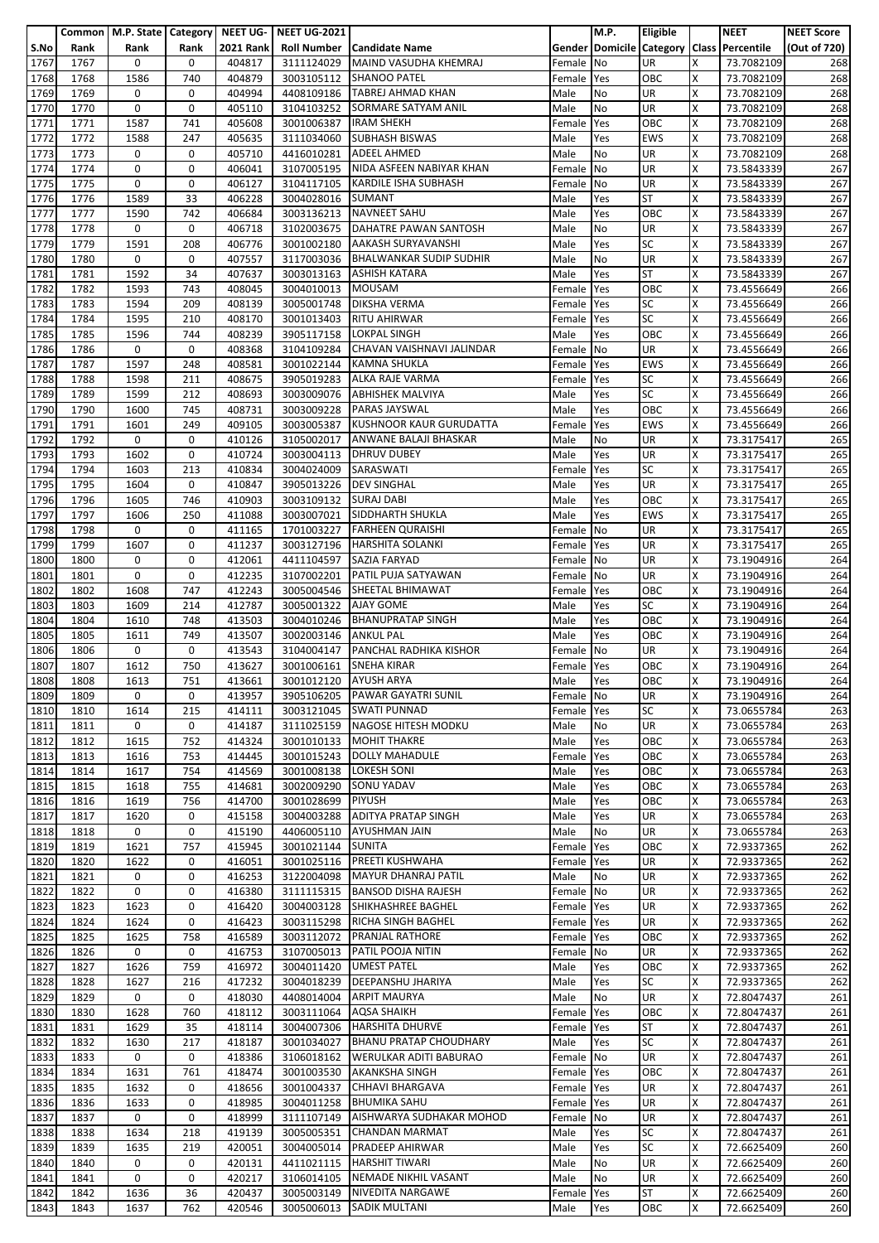|      |      |      |             |                  | Common   M.P. State   Category   NEET UG-   NEET UG-2021 |                                   |            | M.P.      | Eligible   |    | <b>NEET</b>                               | <b>NEET Score</b> |
|------|------|------|-------------|------------------|----------------------------------------------------------|-----------------------------------|------------|-----------|------------|----|-------------------------------------------|-------------------|
| S.No | Rank | Rank | Rank        | <b>2021 Rank</b> |                                                          | <b>Roll Number Candidate Name</b> |            |           |            |    | Gender Domicile Category Class Percentile | (Out of 720)      |
| 1767 | 1767 | 0    | 0           | 404817           | 3111124029                                               | MAIND VASUDHA KHEMRAJ             | Female     | No        | UR         | X  | 73.7082109                                | 268               |
| 1768 | 1768 | 1586 | 740         | 404879           | 3003105112                                               | <b>SHANOO PATEL</b>               | Female     | Yes       | OBC        | X  | 73.7082109                                | 268               |
| 1769 | 1769 | 0    | 0           | 404994           | 4408109186                                               | <b>TABREJ AHMAD KHAN</b>          | Male       | No        | <b>UR</b>  | X  | 73.7082109                                | 268               |
| 1770 | 1770 | 0    | 0           | 405110           | 3104103252                                               | SORMARE SATYAM ANIL               | Male       | No        | <b>UR</b>  | Χ  | 73.7082109                                | 268               |
| 1771 | 1771 | 1587 | 741         | 405608           | 3001006387                                               | <b>IRAM SHEKH</b>                 | Female     | Yes       | OBC        | x  | 73.7082109                                | 268               |
|      |      |      |             |                  |                                                          |                                   |            |           | <b>EWS</b> |    |                                           |                   |
| 1772 | 1772 | 1588 | 247         | 405635           | 3111034060                                               | <b>SUBHASH BISWAS</b>             | Male       | Yes       |            | X  | 73.7082109                                | 268               |
| 1773 | 1773 | 0    | 0           | 405710           | 4416010281                                               | <b>ADEEL AHMED</b>                | Male       | No        | UR         | Χ  | 73.7082109                                | 268               |
| 1774 | 1774 | 0    | 0           | 406041           | 3107005195                                               | NIDA ASFEEN NABIYAR KHAN          | Female     | <b>No</b> | <b>UR</b>  | X  | 73.5843339                                | 267               |
| 1775 | 1775 | 0    | 0           | 406127           | 3104117105                                               | <b>KARDILE ISHA SUBHASH</b>       | Female     | <b>No</b> | UR         | Χ  | 73.5843339                                | 267               |
| 1776 | 1776 | 1589 | 33          | 406228           | 3004028016                                               | <b>SUMANT</b>                     | Male       | Yes       | <b>ST</b>  | x  | 73.5843339                                | 267               |
| 1777 | 1777 | 1590 | 742         | 406684           | 3003136213                                               | <b>NAVNEET SAHU</b>               | Male       | Yes       | OBC        | x  | 73.5843339                                | 267               |
| 1778 | 1778 | 0    | 0           | 406718           | 3102003675                                               | DAHATRE PAWAN SANTOSH             | Male       | No        | UR         | X  | 73.5843339                                | 267               |
| 1779 | 1779 | 1591 | 208         | 406776           | 3001002180                                               | <b>AAKASH SURYAVANSHI</b>         | Male       | Yes       | <b>SC</b>  | X  | 73.5843339                                | 267               |
| 1780 | 1780 | 0    | 0           | 407557           | 3117003036                                               | <b>BHALWANKAR SUDIP SUDHIR</b>    | Male       | No        | UR         | X  | 73.5843339                                | 267               |
| 1781 | 1781 | 1592 | 34          | 407637           |                                                          | 3003013163 ASHISH KATARA          | Male       | Yes       | <b>ST</b>  | X  | 73.5843339                                | 267               |
| 1782 | 1782 | 1593 | 743         | 408045           | 3004010013                                               | <b>MOUSAM</b>                     | Female     | Yes       | OBC        | x  | 73.4556649                                | 266               |
| 1783 | 1783 | 1594 | 209         | 408139           | 3005001748                                               | DIKSHA VERMA                      | Female     | Yes       | <b>SC</b>  | X  | 73.4556649                                | 266               |
|      |      |      |             |                  |                                                          |                                   |            |           | <b>SC</b>  |    | 73.4556649                                |                   |
| 1784 | 1784 | 1595 | 210         | 408170           |                                                          | 3001013403 RITU AHIRWAR           | Female     | Yes       |            | x  |                                           | 266               |
| 1785 | 1785 | 1596 | 744         | 408239           |                                                          | 3905117158 LOKPAL SINGH           | Male       | Yes       | OBC        | Χ  | 73.4556649                                | 266               |
| 1786 | 1786 | 0    | 0           | 408368           | 3104109284                                               | CHAVAN VAISHNAVI JALINDAR         | Female     | No        | UR         | X  | 73.4556649                                | 266               |
| 1787 | 1787 | 1597 | 248         | 408581           |                                                          | 3001022144 KAMNA SHUKLA           | Female     | Yes       | <b>EWS</b> | X  | 73.4556649                                | 266               |
| 1788 | 1788 | 1598 | 211         | 408675           | 3905019283                                               | <b>ALKA RAJE VARMA</b>            | Female     | Yes       | <b>SC</b>  | X  | 73.4556649                                | 266               |
| 1789 | 1789 | 1599 | 212         | 408693           | 3003009076                                               | <b>ABHISHEK MALVIYA</b>           | Male       | Yes       | <b>SC</b>  | X  | 73.4556649                                | 266               |
| 1790 | 1790 | 1600 | 745         | 408731           | 3003009228                                               | <b>PARAS JAYSWAL</b>              | Male       | Yes       | OBC        | X  | 73.4556649                                | 266               |
| 1791 | 1791 | 1601 | 249         | 409105           | 3003005387                                               | <b>KUSHNOOR KAUR GURUDATTA</b>    | Female     | Yes       | <b>EWS</b> | x  | 73.4556649                                | 266               |
| 1792 | 1792 | 0    | 0           | 410126           | 3105002017                                               | ANWANE BALAJI BHASKAR             | Male       | No        | UR         | X  | 73.3175417                                | 265               |
| 1793 | 1793 | 1602 | 0           | 410724           | 3003004113                                               | <b>DHRUV DUBEY</b>                | Male       | Yes       | UR         | X  | 73.3175417                                | 265               |
| 1794 | 1794 | 1603 | 213         | 410834           | 3004024009                                               | SARASWATI                         | Female     | Yes       | SC         | X  | 73.3175417                                | 265               |
| 1795 | 1795 | 1604 | 0           | 410847           | 3905013226                                               | <b>DEV SINGHAL</b>                | Male       | Yes       | UR         | Χ  | 73.3175417                                | 265               |
| 1796 | 1796 | 1605 | 746         | 410903           | 3003109132                                               | <b>SURAJ DABI</b>                 | Male       | Yes       | OBC        | X  | 73.3175417                                | 265               |
|      |      | 1606 | 250         | 411088           |                                                          | SIDDHARTH SHUKLA                  |            |           | <b>EWS</b> | X  |                                           | 265               |
| 1797 | 1797 |      |             |                  | 3003007021                                               |                                   | Male       | Yes       |            |    | 73.3175417                                |                   |
| 1798 | 1798 | 0    | 0           | 411165           | 1701003227                                               | <b>FARHEEN QURAISHI</b>           | Female     | No        | UR         | x  | 73.3175417                                | 265               |
| 1799 | 1799 | 1607 | 0           | 411237           | 3003127196                                               | <b>HARSHITA SOLANKI</b>           | Female     | Yes       | UR         | Χ  | 73.3175417                                | 265               |
| 1800 | 1800 | 0    | 0           | 412061           | 4411104597                                               | SAZIA FARYAD                      | Female     | No        | <b>UR</b>  | X  | 73.1904916                                | 264               |
| 1801 | 1801 | 0    | $\mathbf 0$ | 412235           | 3107002201                                               | PATIL PUJA SATYAWAN               | Female     | <b>No</b> | UR         | x  | 73.1904916                                | 264               |
| 1802 | 1802 | 1608 | 747         | 412243           | 3005004546                                               | SHEETAL BHIMAWAT                  | Female     | Yes       | OBC        | Χ  | 73.1904916                                | 264               |
| 1803 | 1803 | 1609 | 214         | 412787           | 3005001322                                               | <b>AJAY GOME</b>                  | Male       | Yes       | <b>SC</b>  | X  | 73.1904916                                | 264               |
| 1804 | 1804 | 1610 | 748         | 413503           | 3004010246                                               | <b>BHANUPRATAP SINGH</b>          | Male       | Yes       | OBC        | x  | 73.1904916                                | 264               |
| 1805 | 1805 | 1611 | 749         | 413507           | 3002003146                                               | <b>ANKUL PAL</b>                  | Male       | Yes       | OBC        | Χ  | 73.1904916                                | 264               |
| 1806 | 1806 | 0    | 0           | 413543           | 3104004147                                               | PANCHAL RADHIKA KISHOR            | Female     | No        | UR         | X  | 73.1904916                                | 264               |
| 1807 | 1807 | 1612 | 750         | 413627           | 3001006161                                               | <b>SNEHA KIRAR</b>                | Female     | Yes       | OBC        | X  | 73.1904916                                | 264               |
| 1808 | 1808 | 1613 | 751         | 413661           | 3001012120 AYUSH ARYA                                    |                                   | Male       | Yes       | OBC        | X  | 73.1904916                                | 264               |
|      | 1809 | 0    |             |                  |                                                          | 3905106205 PAWAR GAYATRI SUNIL    |            |           |            | X  | 73.1904916                                |                   |
| 1809 |      |      | 0           | 413957           |                                                          |                                   | Female No  |           | <b>UR</b>  |    |                                           | 264               |
| 1810 | 1810 | 1614 | 215         | 414111           | 3003121045                                               | <b>SWATI PUNNAD</b>               | Female     | Yes       | <b>SC</b>  | X  | 73.0655784                                | 263               |
| 1811 | 1811 | 0    | 0           | 414187           |                                                          | 3111025159 NAGOSE HITESH MODKU    | Male       | No        | <b>UR</b>  | x  | 73.0655784                                | 263               |
| 1812 | 1812 | 1615 | 752         | 414324           |                                                          | 3001010133 MOHIT THAKRE           | Male       | Yes       | OBC        | Χ  | 73.0655784                                | 263               |
| 1813 | 1813 | 1616 | 753         | 414445           | 3001015243                                               | <b>DOLLY MAHADULE</b>             | Female     | Yes       | OBC        | X  | 73.0655784                                | 263               |
| 1814 | 1814 | 1617 | 754         | 414569           | 3001008138                                               | <b>LOKESH SONI</b>                | Male       | Yes       | OBC        | X  | 73.0655784                                | 263               |
| 1815 | 1815 | 1618 | 755         | 414681           | 3002009290                                               | <b>SONU YADAV</b>                 | Male       | Yes       | OBC        | X  | 73.0655784                                | 263               |
| 1816 | 1816 | 1619 | 756         | 414700           | 3001028699                                               | <b>PIYUSH</b>                     | Male       | Yes       | OBC        | X  | 73.0655784                                | 263               |
| 1817 | 1817 | 1620 | 0           | 415158           | 3004003288                                               | <b>ADITYA PRATAP SINGH</b>        | Male       | Yes       | UR         | Χ  | 73.0655784                                | 263               |
| 1818 | 1818 | 0    | 0           | 415190           | 4406005110                                               | <b>AYUSHMAN JAIN</b>              | Male       | No        | UR         | X  | 73.0655784                                | 263               |
| 1819 | 1819 | 1621 | 757         | 415945           | 3001021144                                               | <b>SUNITA</b>                     | Female     | Yes       | OBC        | X. | 72.9337365                                | 262               |
| 1820 | 1820 | 1622 | 0           | 416051           | 3001025116                                               | PREETI KUSHWAHA                   | Female     | Yes       | UR         | X  | 72.9337365                                | 262               |
| 1821 | 1821 | 0    | 0           | 416253           |                                                          | 3122004098 MAYUR DHANRAJ PATIL    | Male       | No        | <b>UR</b>  | x  | 72.9337365                                | 262               |
|      | 1822 | 0    | 0           | 416380           | 3111115315                                               | <b>BANSOD DISHA RAJESH</b>        | Female No  |           | <b>UR</b>  | X  |                                           | 262               |
| 1822 |      |      |             |                  |                                                          |                                   |            |           |            |    | 72.9337365                                |                   |
| 1823 | 1823 | 1623 | 0           | 416420           | 3004003128                                               | SHIKHASHREE BAGHEL                | Female     | Yes       | UR         | X  | 72.9337365                                | 262               |
| 1824 | 1824 | 1624 | 0           | 416423           | 3003115298                                               | RICHA SINGH BAGHEL                | Female     | Yes       | <b>UR</b>  | X  | 72.9337365                                | 262               |
| 1825 | 1825 | 1625 | 758         | 416589           | 3003112072                                               | <b>PRANJAL RATHORE</b>            | Female     | Yes       | OBC        | X  | 72.9337365                                | 262               |
| 1826 | 1826 | 0    | 0           | 416753           |                                                          | 3107005013 PATIL POOJA NITIN      | Female     | No        | <b>UR</b>  | X  | 72.9337365                                | 262               |
| 1827 | 1827 | 1626 | 759         | 416972           | 3004011420                                               | <b>UMEST PATEL</b>                | Male       | Yes       | OBC        | X  | 72.9337365                                | 262               |
| 1828 | 1828 | 1627 | 216         | 417232           | 3004018239                                               | <b>DEEPANSHU JHARIYA</b>          | Male       | Yes       | <b>SC</b>  | X  | 72.9337365                                | 262               |
| 1829 | 1829 | 0    | 0           | 418030           | 4408014004                                               | <b>ARPIT MAURYA</b>               | Male       | No        | UR         | X  | 72.8047437                                | 261               |
| 1830 | 1830 | 1628 | 760         | 418112           | 3003111064                                               | <b>AQSA SHAIKH</b>                | Female     | Yes       | OBC        | X  | 72.8047437                                | 261               |
| 1831 | 1831 | 1629 | 35          | 418114           | 3004007306                                               | <b>HARSHITA DHURVE</b>            | Female     | Yes       | <b>ST</b>  | x  | 72.8047437                                | 261               |
| 1832 | 1832 | 1630 | 217         | 418187           | 3001034027                                               | <b>BHANU PRATAP CHOUDHARY</b>     | Male       | Yes       | <b>SC</b>  | X  | 72.8047437                                | 261               |
| 1833 | 1833 | 0    | 0           | 418386           | 3106018162                                               | <b>WERULKAR ADITI BABURAO</b>     | Female     | No        | UR         | X  | 72.8047437                                | 261               |
|      |      |      |             |                  |                                                          |                                   |            |           | OBC        |    |                                           |                   |
| 1834 | 1834 | 1631 | 761         | 418474           | 3001003530                                               | <b>AKANKSHA SINGH</b>             | Female     | Yes       |            | X  | 72.8047437                                | 261               |
| 1835 | 1835 | 1632 | 0           | 418656           | 3001004337                                               | <b>CHHAVI BHARGAVA</b>            | Female Yes |           | UR         | X  | 72.8047437                                | 261               |
| 1836 | 1836 | 1633 | 0           | 418985           | 3004011258                                               | <b>BHUMIKA SAHU</b>               | Female     | Yes       | <b>UR</b>  | x  | 72.8047437                                | 261               |
| 1837 | 1837 | 0    | 0           | 418999           | 3111107149                                               | AISHWARYA SUDHAKAR MOHOD          | Female     | No        | <b>UR</b>  | X  | 72.8047437                                | 261               |
| 1838 | 1838 | 1634 | 218         | 419139           | 3005005351                                               | <b>CHANDAN MARMAT</b>             | Male       | Yes       | <b>SC</b>  | X  | 72.8047437                                | 261               |
| 1839 | 1839 | 1635 | 219         | 420051           | 3004005014                                               | <b>PRADEEP AHIRWAR</b>            | Male       | Yes       | <b>SC</b>  | X  | 72.6625409                                | 260               |
| 1840 | 1840 | 0    | 0           | 420131           | 4411021115                                               | <b>HARSHIT TIWARI</b>             | Male       | No        | UR         | X  | 72.6625409                                | 260               |
| 1841 | 1841 | 0    | 0           | 420217           | 3106014105                                               | NEMADE NIKHIL VASANT              | Male       | No        | UR         | x  | 72.6625409                                | 260               |
| 1842 | 1842 | 1636 | 36          | 420437           | 3005003149                                               | <b>NIVEDITA NARGAWE</b>           | Female Yes |           | <b>ST</b>  | X  | 72.6625409                                | 260               |
| 1843 | 1843 | 1637 | 762         | 420546           | 3005006013                                               | <b>SADIK MULTANI</b>              | Male       | Yes       | OBC        | X  | 72.6625409                                | 260               |
|      |      |      |             |                  |                                                          |                                   |            |           |            |    |                                           |                   |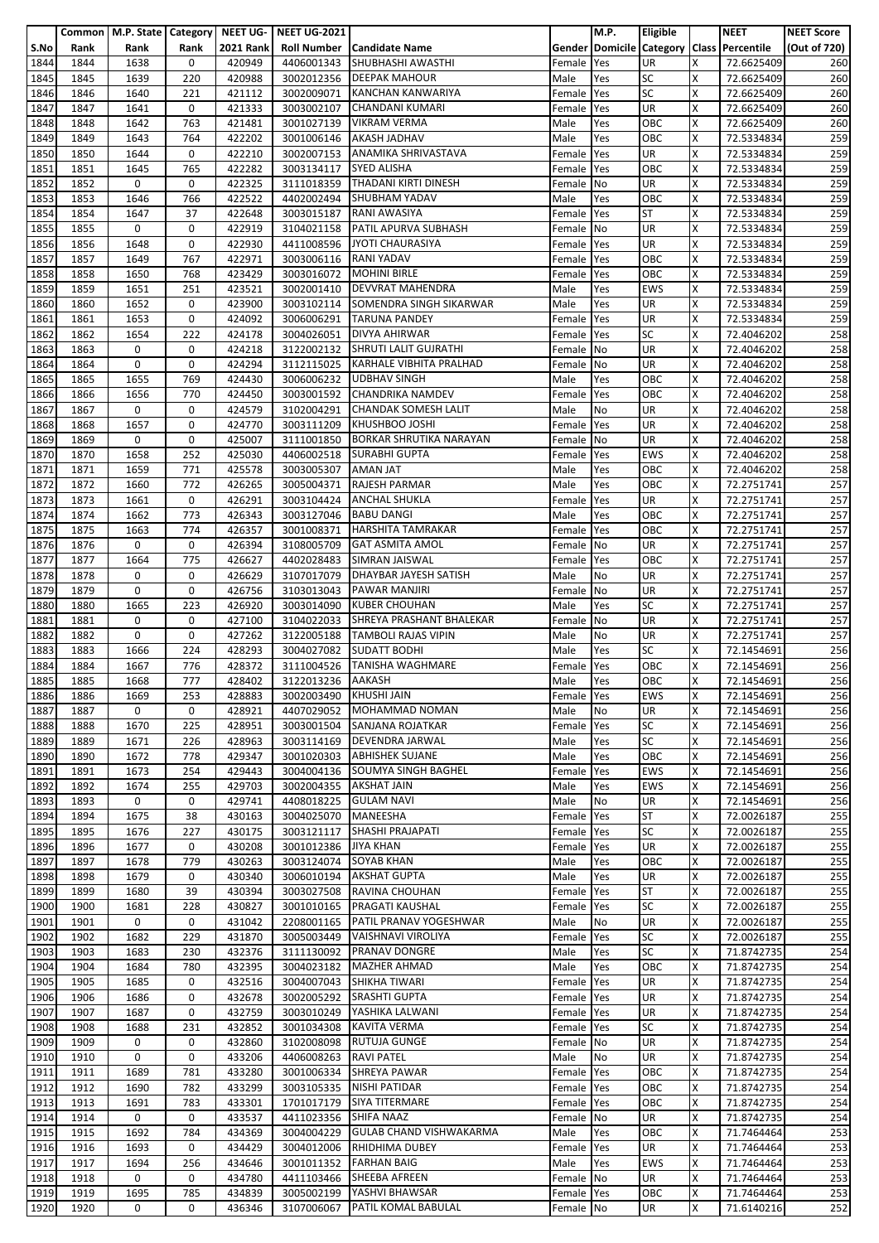|              |              | Common   M.P. State   Category |             | NEET UG-         | <b>NEET UG-2021</b>      |                                              |                  | M.P.       | Eligible                |        | <b>NEET</b>                               | <b>NEET Score</b> |
|--------------|--------------|--------------------------------|-------------|------------------|--------------------------|----------------------------------------------|------------------|------------|-------------------------|--------|-------------------------------------------|-------------------|
| S.No         | Rank         | Rank                           | Rank        | <b>2021 Rank</b> | <b>Roll Number</b>       | <b>Candidate Name</b>                        |                  |            |                         |        | Gender Domicile Category Class Percentile | (Out of 720)      |
| 1844         | 1844         | 1638                           | 0           | 420949           | 4406001343               | <b>SHUBHASHI AWASTHI</b>                     | Female           | Yes        | <b>UR</b>               | X      | 72.6625409                                | 260               |
| 1845         | 1845         | 1639                           | 220         | 420988           | 3002012356               | <b>DEEPAK MAHOUR</b>                         | Male             | Yes        | <b>SC</b>               | X      | 72.6625409                                | 260               |
| 1846         | 1846         | 1640                           | 221         | 421112           | 3002009071               | <b>KANCHAN KANWARIYA</b>                     | Female           | Yes        | <b>SC</b>               | x      | 72.6625409                                | 260               |
| 1847         | 1847         | 1641                           | 0           | 421333           | 3003002107               | <b>CHANDANI KUMARI</b>                       | Female           | Yes        | <b>UR</b>               | Χ      | 72.6625409                                | 260               |
| 1848         | 1848<br>1849 | 1642<br>1643                   | 763<br>764  | 421481           | 3001027139               | <b>VIKRAM VERMA</b><br><b>AKASH JADHAV</b>   | Male             | Yes        | OBC<br>OBC              | x<br>x | 72.6625409                                | 260<br>259        |
| 1849<br>1850 | 1850         | 1644                           | 0           | 422202<br>422210 | 3001006146<br>3002007153 | <b>ANAMIKA SHRIVASTAVA</b>                   | Male<br>Female   | Yes<br>Yes | UR                      | X      | 72.5334834<br>72.5334834                  | 259               |
| 1851         | 1851         | 1645                           | 765         | 422282           | 3003134117               | <b>SYED ALISHA</b>                           | Female           | Yes        | OBC                     | X      | 72.5334834                                | 259               |
| 1852         | 1852         | 0                              | 0           | 422325           | 3111018359               | THADANI KIRTI DINESH                         | Female No        |            | UR                      | Χ      | 72.5334834                                | 259               |
| 1853         | 1853         | 1646                           | 766         | 422522           | 4402002494               | <b>SHUBHAM YADAV</b>                         | Male             | Yes        | OBC                     | X      | 72.5334834                                | 259               |
| 1854         | 1854         | 1647                           | 37          | 422648           |                          | 3003015187 RANI AWASIYA                      | Female           | Yes        | <b>ST</b>               | x      | 72.5334834                                | 259               |
| 1855         | 1855         | 0                              | 0           | 422919           | 3104021158               | <b>PATIL APURVA SUBHASH</b>                  | Female           | No         | UR                      | X      | 72.5334834                                | 259               |
| 1856         | 1856         | 1648                           | 0           | 422930           | 4411008596               | <b>JYOTI CHAURASIYA</b>                      | Female           | Yes        | <b>UR</b>               | X      | 72.5334834                                | 259               |
| 1857         | 1857         | 1649                           | 767         | 422971           | 3003006116               | <b>RANI YADAV</b>                            | Female           | Yes        | OBC                     | X      | 72.5334834                                | 259               |
| 1858         | 1858         | 1650                           | 768         | 423429           | 3003016072               | <b>MOHINI BIRLE</b>                          | Female           | Yes        | OBC                     | x      | 72.5334834                                | 259               |
| 1859         | 1859         | 1651                           | 251         | 423521           | 3002001410               | <b>DEVVRAT MAHENDRA</b>                      | Male             | Yes        | <b>EWS</b>              | x      | 72.5334834                                | 259               |
| 1860         | 1860         | 1652                           | 0           | 423900           | 3003102114               | SOMENDRA SINGH SIKARWAR                      | Male             | Yes        | <b>UR</b>               | X      | 72.5334834                                | 259               |
| 1861         | 1861         | 1653                           | 0           | 424092           | 3006006291               | <b>TARUNA PANDEY</b>                         | Female           | Yes        | <b>UR</b>               | X      | 72.5334834                                | 259               |
| 1862         | 1862         | 1654                           | 222         | 424178           | 3004026051               | <b>DIVYA AHIRWAR</b>                         | Female           | Yes        | <b>SC</b>               | X      | 72.4046202                                | 258               |
| 1863         | 1863         | 0                              | 0           | 424218           | 3122002132               | <b>SHRUTI LALIT GUJRATHI</b>                 | Female           | No         | UR                      | x      | 72.4046202                                | 258               |
| 1864         | 1864         | 0                              | 0           | 424294           | 3112115025               | KARHALE VIBHITA PRALHAD                      | Female           | No         | <b>UR</b>               | X      | 72.4046202                                | 258               |
| 1865         | 1865         | 1655                           | 769         | 424430           | 3006006232               | <b>UDBHAV SINGH</b>                          | Male             | Yes        | OBC                     | X      | 72.4046202                                | 258               |
| 1866         | 1866         | 1656                           | 770         | 424450           | 3003001592               | <b>CHANDRIKA NAMDEV</b>                      | Female           | Yes        | OBC                     | X      | 72.4046202                                | 258               |
| 1867         | 1867         | 0                              | 0           | 424579           | 3102004291               | <b>CHANDAK SOMESH LALIT</b>                  | Male             | No         | UR                      | X      | 72.4046202                                | 258               |
| 1868         | 1868         | 1657                           | 0           | 424770           | 3003111209               | <b>KHUSHBOO JOSHI</b>                        | Female           | Yes        | <b>UR</b>               | X      | 72.4046202                                | 258               |
| 1869         | 1869         | 0                              | 0           | 425007           | 3111001850               | <b>BORKAR SHRUTIKA NARAYAN</b>               | Female           | No         | UR                      | X      | 72.4046202                                | 258               |
| 1870         | 1870         | 1658                           | 252         | 425030           | 4406002518               | <b>SURABHI GUPTA</b>                         | Female           | Yes        | <b>EWS</b>              | Χ      | 72.4046202                                | 258               |
| 1871<br>1872 | 1871         | 1659<br>1660                   | 771<br>772  | 425578<br>426265 | 3003005307               | <b>AMAN JAT</b><br><b>RAJESH PARMAR</b>      | Male<br>Male     | Yes<br>Yes | OBC<br>OBC              | x<br>Χ | 72.4046202                                | 258<br>257        |
| 1873         | 1872<br>1873 | 1661                           | 0           | 426291           | 3005004371<br>3003104424 | <b>ANCHAL SHUKLA</b>                         | Female           | Yes        | UR                      | X      | 72.2751741<br>72.2751741                  | 257               |
| 1874         | 1874         | 1662                           | 773         | 426343           | 3003127046               | <b>BABU DANGI</b>                            | Male             | Yes        | OBC                     | X      | 72.2751741                                | 257               |
| 1875         | 1875         | 1663                           | 774         | 426357           | 3001008371               | <b>HARSHITA TAMRAKAR</b>                     | Female           | Yes        | OBC                     | X      | 72.2751741                                | 257               |
| 1876         | 1876         | 0                              | 0           | 426394           | 3108005709               | <b>GAT ASMITA AMOL</b>                       | Female           | No         | UR                      | X      | 72.2751741                                | 257               |
| 1877         | 1877         | 1664                           | 775         | 426627           | 4402028483               | SIMRAN JAISWAL                               | Female           | Yes        | OBC                     | Χ      | 72.2751741                                | 257               |
| 1878         | 1878         | 0                              | 0           | 426629           | 3107017079               | <b>DHAYBAR JAYESH SATISH</b>                 | Male             | No         | <b>UR</b>               | x      | 72.2751741                                | 257               |
| 1879         | 1879         | 0                              | 0           | 426756           | 3103013043               | <b>PAWAR MANJIRI</b>                         | Female           | <b>No</b>  | UR                      | X      | 72.2751741                                | 257               |
| 1880         | 1880         | 1665                           | 223         | 426920           | 3003014090               | <b>KUBER CHOUHAN</b>                         | Male             | Yes        | <b>SC</b>               | Χ      | 72.2751741                                | 257               |
| 1881         | 1881         | 0                              | 0           | 427100           | 3104022033               | SHREYA PRASHANT BHALEKAR                     | Female           | <b>No</b>  | <b>UR</b>               | X      | 72.2751741                                | 257               |
| 1882         | 1882         | 0                              | 0           | 427262           | 3122005188               | <b>TAMBOLI RAJAS VIPIN</b>                   | Male             | No         | <b>UR</b>               | X      | 72.2751741                                | 257               |
| 1883         | 1883         | 1666                           | 224         | 428293           | 3004027082               | <b>SUDATT BODHI</b>                          | Male             | Yes        | <b>SC</b>               | X      | 72.1454691                                | 256               |
| 1884         | 1884         | 1667                           | 776         | 428372           | 3111004526               | <b>TANISHA WAGHMARE</b>                      | Female           | Yes        | OBC                     | X      | 72.1454691                                | 256               |
| 1885         | 1885         | 1668                           | 777         | 428402           | 3122013236               | <b>AAKASH</b>                                | Male             | Yes        | OBC                     | X      | 72.1454691                                | 256               |
| 1886         | 1886         | 1669                           | 253         | 428883           | 3002003490               | KHUSHI JAIN                                  | Female Yes       |            | <b>EWS</b>              | x      | 72.1454691                                | 256               |
| 1887         | 1887         | 0                              | 0           | 428921           | 4407029052               | <b>MOHAMMAD NOMAN</b>                        | Male             | No         | <b>UR</b>               | Χ      | 72.1454691                                | 256               |
| 1888         | 1888         | 1670                           | 225         | 428951           |                          | 3003001504 SANJANA ROJATKAR                  | Female           | Yes        | <b>SC</b>               | X      | 72.1454691                                | 256               |
| 1889         | 1889         | 1671                           | 226         | 428963           | 3003114169               | <b>DEVENDRA JARWAL</b>                       | Male             | Yes        | <b>SC</b>               | Χ      | 72.1454691                                | 256               |
| 1890         | 1890         | 1672                           | 778         | 429347           | 3001020303               | <b>ABHISHEK SUJANE</b>                       | Male             | Yes        | OBC                     | X      | 72.1454691                                | 256               |
| 1891         | 1891         | 1673                           | 254         | 429443           |                          | 3004004136 SOUMYA SINGH BAGHEL               | Female           | Yes        | <b>EWS</b>              | x      | 72.1454691                                | 256               |
| 1892         | 1892<br>1893 | 1674<br>0                      | 255<br>0    | 429703<br>429741 | 3002004355<br>4408018225 | <b>AKSHAT JAIN</b><br><b>GULAM NAVI</b>      | Male             | Yes        | <b>EWS</b><br><b>UR</b> | Χ<br>X | 72.1454691                                | 256               |
| 1893<br>1894 | 1894         | 1675                           | 38          | 430163           | 3004025070               | MANEESHA                                     | Male<br>Female   | No<br>Yes  | <b>ST</b>               | X      | 72.1454691<br>72.0026187                  | 256<br>255        |
| 1895         | 1895         | 1676                           | 227         | 430175           | 3003121117               | SHASHI PRAJAPATI                             | Female           | Yes        | <b>SC</b>               | X      | 72.0026187                                | 255               |
| 1896         | 1896         | 1677                           | 0           | 430208           | 3001012386               | <b>JIYA KHAN</b>                             | Female           | Yes        | <b>UR</b>               | x      | 72.0026187                                | 255               |
| 1897         | 1897         | 1678                           | 779         | 430263           | 3003124074               | <b>SOYAB KHAN</b>                            | Male             | Yes        | OBC                     | X      | 72.0026187                                | 255               |
| 1898         | 1898         | 1679                           | $\mathbf 0$ | 430340           |                          | 3006010194 AKSHAT GUPTA                      | Male             | Yes        | <b>UR</b>               | X      | 72.0026187                                | 255               |
| 1899         | 1899         | 1680                           | 39          | 430394           | 3003027508               | RAVINA CHOUHAN                               | Female Yes       |            | <b>ST</b>               | Χ      | 72.0026187                                | 255               |
| 1900         | 1900         | 1681                           | 228         | 430827           | 3001010165               | PRAGATI KAUSHAL                              | Female           | Yes        | <b>SC</b>               | X      | 72.0026187                                | 255               |
| 1901         | 1901         | 0                              | 0           | 431042           | 2208001165               | <b>PATIL PRANAV YOGESHWAR</b>                | Male             | No         | UR                      | x      | 72.0026187                                | 255               |
| 1902         | 1902         | 1682                           | 229         | 431870           | 3005003449               | VAISHNAVI VIROLIYA                           | Female Yes       |            | <b>SC</b>               | Χ      | 72.0026187                                | 255               |
| 1903         | 1903         | 1683                           | 230         | 432376           | 3111130092               | <b>PRANAV DONGRE</b>                         | Male             | Yes        | <b>SC</b>               | X      | 71.8742735                                | 254               |
| 1904         | 1904         | 1684                           | 780         | 432395           | 3004023182               | <b>MAZHER AHMAD</b>                          | Male             | Yes        | OBC                     | X      | 71.8742735                                | 254               |
| 1905         | 1905         | 1685                           | 0           | 432516           | 3004007043               | SHIKHA TIWARI                                | Female           | Yes        | UR                      | x      | 71.8742735                                | 254               |
| 1906         | 1906         | 1686                           | 0           | 432678           | 3002005292               | <b>SRASHTI GUPTA</b>                         | Female           | Yes        | <b>UR</b>               | X      | 71.8742735                                | 254               |
| 1907         | 1907         | 1687                           | 0           | 432759           | 3003010249               | YASHIKA LALWANI                              | Female           | Yes        | <b>UR</b>               | X      | 71.8742735                                | 254               |
| 1908         | 1908         | 1688                           | 231         | 432852           | 3001034308               | <b>KAVITA VERMA</b>                          | Female Yes       |            | <b>SC</b>               | x      | 71.8742735                                | 254               |
| 1909         | 1909         | 0                              | 0           | 432860           | 3102008098               | <b>RUTUJA GUNGE</b>                          | Female No        |            | UR                      | x      | 71.8742735                                | 254               |
| 1910         | 1910         | 0                              | 0           | 433206           | 4406008263               | <b>RAVI PATEL</b><br>3001006334 SHREYA PAWAR | Male             | No<br>Yes  | <b>UR</b><br>OBC        | X<br>X | 71.8742735                                | 254<br>254        |
| 1911<br>1912 | 1911<br>1912 | 1689<br>1690                   | 781<br>782  | 433280<br>433299 | 3003105335               | <b>NISHI PATIDAR</b>                         | Female<br>Female | Yes        | OBC                     | X      | 71.8742735<br>71.8742735                  | 254               |
| 1913         | 1913         | 1691                           | 783         | 433301           | 1701017179               | <b>SIYA TITERMARE</b>                        | Female           | Yes        | OBC                     | X      | 71.8742735                                | 254               |
| 1914         | 1914         | 0                              | 0           | 433537           | 4411023356               | <b>SHIFA NAAZ</b>                            | Female No        |            | UR                      | X      | 71.8742735                                | 254               |
| 1915         | 1915         | 1692                           | 784         | 434369           | 3004004229               | <b>GULAB CHAND VISHWAKARMA</b>               | Male             | Yes        | OBC                     | X      | 71.7464464                                | 253               |
| 1916         | 1916         | 1693                           | 0           | 434429           | 3004012006               | <b>RHIDHIMA DUBEY</b>                        | Female           | Yes        | <b>UR</b>               | x      | 71.7464464                                | 253               |
| 1917         | 1917         | 1694                           | 256         | 434646           | 3001011352               | <b>FARHAN BAIG</b>                           | Male             | Yes        | <b>EWS</b>              | X      | 71.7464464                                | 253               |
| 1918         | 1918         | 0                              | 0           | 434780           | 4411103466               | SHEEBA AFREEN                                | Female No        |            | UR                      | x      | 71.7464464                                | 253               |
| 1919         | 1919         | 1695                           | 785         | 434839           | 3005002199               | YASHVI BHAWSAR                               | Female Yes       |            | OBC                     | X      | 71.7464464                                | 253               |
| 1920         | 1920         | 0                              | 0           | 436346           | 3107006067               | PATIL KOMAL BABULAL                          | Female No        |            | UR                      | X      | 71.6140216                                | 252               |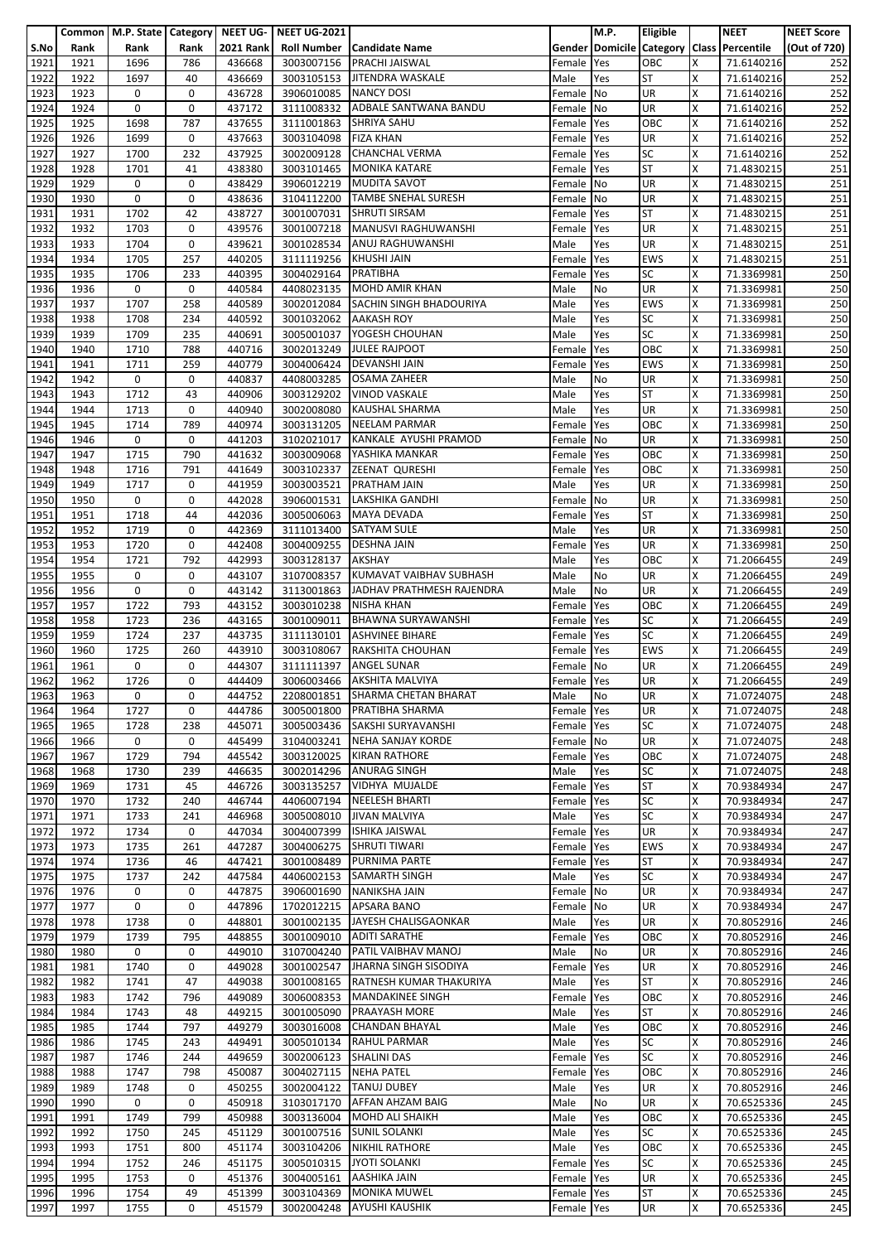|              |              |              |             |                  | Common   M.P. State   Category   NEET UG-   NEET UG-2021 |                                           |                | M.P.       | <b>Eligible</b> |   | <b>NEET</b>                               | <b>NEET Score</b> |
|--------------|--------------|--------------|-------------|------------------|----------------------------------------------------------|-------------------------------------------|----------------|------------|-----------------|---|-------------------------------------------|-------------------|
| S.No         | Rank         | Rank         | Rank        | <b>2021 Rank</b> |                                                          | <b>Roll Number   Candidate Name</b>       |                |            |                 |   | Gender Domicile Category Class Percentile | (Out of 720)      |
| 1921         | 1921         | 1696         | 786         | 436668           | 3003007156                                               | <b>PRACHI JAISWAL</b>                     | Female         | Yes        | OBC             | x | 71.6140216                                | 252               |
| 1922         | 1922         | 1697         | 40          | 436669           |                                                          | 3003105153 JITENDRA WASKALE               | Male           | Yes        | <b>ST</b>       | X | 71.6140216                                | 252               |
| 1923         | 1923         | 0            | 0           | 436728           | 3906010085                                               | <b>NANCY DOSI</b>                         | Female         | No         | <b>UR</b>       | X | 71.6140216                                | 252               |
|              |              |              |             |                  |                                                          |                                           |                |            |                 |   |                                           |                   |
| 1924         | 1924         | 0            | 0           | 437172           | 3111008332                                               | ADBALE SANTWANA BANDU                     | Female         | No         | <b>UR</b>       | Χ | 71.6140216                                | 252               |
| 1925         | 1925         | 1698         | 787         | 437655           | 3111001863 SHRIYA SAHU                                   |                                           | Female         | Yes        | OBC             | X | 71.6140216                                | 252               |
| 1926         | 1926         | 1699         | 0           | 437663           | 3003104098                                               | <b>FIZA KHAN</b>                          | Female         | Yes        | UR              | X | 71.6140216                                | 252               |
| 1927         | 1927         | 1700         | 232         | 437925           | 3002009128                                               | <b>CHANCHAL VERMA</b>                     | Female         | Yes        | <b>SC</b>       | X | 71.6140216                                | 252               |
| 1928         | 1928         | 1701         | 41          | 438380           | 3003101465                                               | <b>MONIKA KATARE</b>                      | Female         | Yes        | <b>ST</b>       | X | 71.4830215                                | 251               |
| 1929         | 1929         | 0            | 0           | 438429           |                                                          | 3906012219 MUDITA SAVOT                   | Female No      |            | UR              | Χ | 71.4830215                                | 251               |
| 1930         | 1930         | 0            | 0           | 438636           | 3104112200                                               | <b>TAMBE SNEHAL SURESH</b>                | Female         | No         | UR              | x | 71.4830215                                | 251               |
| 1931         | 1931         | 1702         | 42          | 438727           | 3001007031                                               | <b>SHRUTI SIRSAM</b>                      | Female         | Yes        | <b>ST</b>       | x | 71.4830215                                | 251               |
| 1932         | 1932         | 1703         | 0           | 439576           | 3001007218                                               | MANUSVI RAGHUWANSHI                       | Female         | Yes        | UR              | X | 71.4830215                                | 251               |
| 1933         | 1933         | 1704         | 0           | 439621           | 3001028534                                               | <b>ANUJ RAGHUWANSHI</b>                   | Male           | Yes        | UR              | X | 71.4830215                                | 251               |
| 1934         | 1934         | 1705         | 257         | 440205           | 3111119256                                               | <b>KHUSHI JAIN</b>                        | Female         | Yes        | <b>EWS</b>      | Χ | 71.4830215                                | 251               |
| 1935         | 1935         | 1706         | 233         | 440395           | 3004029164 PRATIBHA                                      |                                           | Female         | Yes        | <b>SC</b>       | x | 71.3369981                                | 250               |
| 1936         | 1936         | 0            | 0           | 440584           | 4408023135                                               | <b>MOHD AMIR KHAN</b>                     | Male           | No         | UR              | x | 71.3369981                                | 250               |
|              |              |              |             |                  |                                                          |                                           |                |            |                 |   |                                           |                   |
| 1937         | 1937         | 1707         | 258         | 440589           | 3002012084                                               | SACHIN SINGH BHADOURIYA                   | Male           | Yes        | <b>EWS</b>      | X | 71.3369981                                | 250               |
| 1938         | 1938         | 1708         | 234         | 440592           | 3001032062 AAKASH ROY                                    |                                           | Male           | Yes        | <b>SC</b>       | x | 71.3369981                                | 250               |
| 1939         | 1939         | 1709         | 235         | 440691           | 3005001037                                               | YOGESH CHOUHAN                            | Male           | Yes        | SC              | Χ | 71.3369981                                | 250               |
| 1940         | 1940         | 1710         | 788         | 440716           | 3002013249                                               | <b>JULEE RAJPOOT</b>                      | Female         | Yes        | OBC             | X | 71.3369981                                | 250               |
| 1941         | 1941         | 1711         | 259         | 440779           |                                                          | 3004006424   DEVANSHI JAIN                | Female         | Yes        | <b>EWS</b>      | X | 71.3369981                                | 250               |
| 1942         | 1942         | 0            | 0           | 440837           | 4408003285                                               | <b>OSAMA ZAHEER</b>                       | Male           | No         | UR              | X | 71.3369981                                | 250               |
| 1943         | 1943         | 1712         | 43          | 440906           | 3003129202                                               | <b>VINOD VASKALE</b>                      | Male           | Yes        | <b>ST</b>       | X | 71.3369981                                | 250               |
| 1944         | 1944         | 1713         | 0           | 440940           | 3002008080                                               | <b>KAUSHAL SHARMA</b>                     | Male           | Yes        | <b>UR</b>       | X | 71.3369981                                | 250               |
| 1945         | 1945         | 1714         | 789         | 440974           | 3003131205                                               | <b>NEELAM PARMAR</b>                      | Female         | Yes        | OBC             | x | 71.3369981                                | 250               |
| 1946         | 1946         | 0            | 0           | 441203           | 3102021017                                               | KANKALE AYUSHI PRAMOD                     | Female No      |            | UR              | X | 71.3369981                                | 250               |
| 1947         | 1947         | 1715         | 790         | 441632           | 3003009068                                               | YASHIKA MANKAR                            | Female         | Yes        | OBC             | X | 71.3369981                                | 250               |
|              |              |              |             |                  |                                                          |                                           |                |            | OBC             | x |                                           |                   |
| 1948<br>1949 | 1948<br>1949 | 1716<br>1717 | 791<br>0    | 441649<br>441959 | 3003003521                                               | 3003102337 ZEENAT QURESHI<br>PRATHAM JAIN | Female<br>Male | Yes<br>Yes | UR              | Χ | 71.3369981<br>71.3369981                  | 250<br>250        |
|              |              |              |             |                  |                                                          |                                           |                |            |                 |   |                                           |                   |
| 1950         | 1950         | 0            | 0           | 442028           | 3906001531                                               | LAKSHIKA GANDHI                           | Female         | No         | UR              | X | 71.3369981                                | 250               |
| 1951         | 1951         | 1718         | 44          | 442036           | 3005006063                                               | <b>MAYA DEVADA</b>                        | Female         | Yes        | <b>ST</b>       | x | 71.3369981                                | 250               |
| 1952         | 1952         | 1719         | 0           | 442369           | 3111013400                                               | <b>SATYAM SULE</b>                        | Male           | Yes        | UR              | x | 71.3369981                                | 250               |
| 1953         | 1953         | 1720         | 0           | 442408           | 3004009255                                               | <b>DESHNA JAIN</b>                        | Female         | Yes        | UR              | X | 71.3369981                                | 250               |
| 1954         | 1954         | 1721         | 792         | 442993           | 3003128137                                               | <b>AKSHAY</b>                             | Male           | Yes        | OBC             | Χ | 71.2066455                                | 249               |
| 1955         | 1955         | 0            | 0           | 443107           | 3107008357                                               | KUMAVAT VAIBHAV SUBHASH                   | Male           | No         | UR              | X | 71.2066455                                | 249               |
| 1956         | 1956         | 0            | 0           | 443142           | 3113001863                                               | JADHAV PRATHMESH RAJENDRA                 | Male           | No         | UR              | X | 71.2066455                                | 249               |
| 1957         | 1957         | 1722         | 793         | 443152           | 3003010238                                               | <b>NISHA KHAN</b>                         | Female         | Yes        | OBC             | X | 71.2066455                                | 249               |
| 1958         | 1958         | 1723         | 236         | 443165           | 3001009011                                               | <b>BHAWNA SURYAWANSHI</b>                 | Female         | Yes        | <b>SC</b>       | x | 71.2066455                                | 249               |
| 1959         | 1959         | 1724         | 237         | 443735           | 3111130101                                               | <b>ASHVINEE BIHARE</b>                    | Female         | Yes        | SC              | X | 71.2066455                                | 249               |
| 1960         | 1960         | 1725         | 260         | 443910           | 3003108067                                               | RAKSHITA CHOUHAN                          | Female         | Yes        | <b>EWS</b>      | X | 71.2066455                                | 249               |
| 1961         | 1961         | 0            | 0           | 444307           | 3111111397                                               | <b>ANGEL SUNAR</b>                        | Female No      |            | UR              | X | 71.2066455                                | 249               |
|              |              |              |             |                  |                                                          |                                           |                |            |                 |   |                                           |                   |
| 1962         | 1962         | 1726         | 0           | 444409           |                                                          | 3006003466 AKSHITA MALVIYA                | Female Yes     |            | <b>UR</b>       | X | 71.2066455                                | 249               |
| 1963         | 1963         | 0            | 0           | 444752           | 2208001851                                               | SHARMA CHETAN BHARAT                      | Male           | No         | <b>UR</b>       | X | 71.0724075                                | 248               |
| 1964         | 1964         | 1727         | 0           | 444786           | 3005001800                                               | PRATIBHA SHARMA                           | Female         | Yes        | UR              | X | 71.0724075                                | 248               |
| 1965         | 1965         | 1728         | 238         | 445071           |                                                          | 3005003436 SAKSHI SURYAVANSHI             | Female Yes     |            | <b>SC</b>       | x | 71.0724075                                | 248               |
| 1966         | 1966         | $\mathbf 0$  | 0           | 445499           | 3104003241                                               | NEHA SANJAY KORDE                         | Female No      |            | <b>UR</b>       | X | 71.0724075                                | 248               |
| 1967         | 1967         | 1729         | 794         | 445542           | 3003120025                                               | <b>KIRAN RATHORE</b>                      | Female         | Yes        | OBC             | X | 71.0724075                                | 248               |
| 1968         | 1968         | 1730         | 239         | 446635           |                                                          | 3002014296 ANURAG SINGH                   | Male           | Yes        | <b>SC</b>       | X | 71.0724075                                | 248               |
| 1969         | 1969         | 1731         | 45          | 446726           | 3003135257                                               | VIDHYA MUJALDE                            | Female         | Yes        | <b>ST</b>       | X | 70.9384934                                | 247               |
| 1970         | 1970         | 1732         | 240         | 446744           | 4406007194                                               | <b>NEELESH BHARTI</b>                     | Female         | Yes        | <b>SC</b>       | X | 70.9384934                                | 247               |
| 1971         | 1971         | 1733         | 241         | 446968           | 3005008010                                               | <b>JIVAN MALVIYA</b>                      | Male           | Yes        | <b>SC</b>       | Χ | 70.9384934                                | 247               |
| 1972         | 1972         | 1734         | $\mathbf 0$ | 447034           | 3004007399                                               | <b>ISHIKA JAISWAL</b>                     | Female         | Yes        | <b>UR</b>       | X | 70.9384934                                | 247               |
| 1973         | 1973         | 1735         | 261         | 447287           | 3004006275                                               | <b>SHRUTI TIWARI</b>                      | Female         | Yes        | <b>EWS</b>      | X | 70.9384934                                | 247               |
| 1974         | 1974         | 1736         | 46          | 447421           | 3001008489                                               | <b>PURNIMA PARTE</b>                      |                |            | <b>ST</b>       | X | 70.9384934                                | 247               |
|              |              |              |             |                  |                                                          |                                           | Female         | Yes        |                 |   |                                           |                   |
| 1975         | 1975         | 1737         | 242         | 447584           |                                                          | 4406002153 SAMARTH SINGH                  | Male           | Yes        | <b>SC</b>       | X | 70.9384934                                | 247               |
| 1976         | 1976         | 0            | 0           | 447875           | 3906001690                                               | <b>NANIKSHA JAIN</b>                      | Female No      |            | UR              | X | 70.9384934                                | 247               |
| 1977         | 1977         | 0            | 0           | 447896           | 1702012215                                               | APSARA BANO                               | Female         | No         | UR              | X | 70.9384934                                | 247               |
| 1978         | 1978         | 1738         | 0           | 448801           |                                                          | 3001002135 JAYESH CHALISGAONKAR           | Male           | Yes        | <b>UR</b>       | X | 70.8052916                                | 246               |
| 1979         | 1979         | 1739         | 795         | 448855           | 3001009010                                               | <b>ADITI SARATHE</b>                      | Female Yes     |            | OBC             | X | 70.8052916                                | 246               |
| 1980         | 1980         | 0            | 0           | 449010           | 3107004240                                               | PATIL VAIBHAV MANOJ                       | Male           | No         | <b>UR</b>       | X | 70.8052916                                | 246               |
| 1981         | 1981         | 1740         | 0           | 449028           | 3001002547                                               | JHARNA SINGH SISODIYA                     | Female         | Yes        | <b>UR</b>       | X | 70.8052916                                | 246               |
| 1982         | 1982         | 1741         | 47          | 449038           | 3001008165                                               | RATNESH KUMAR THAKURIYA                   | Male           | Yes        | <b>ST</b>       | X | 70.8052916                                | 246               |
| 1983         | 1983         | 1742         | 796         | 449089           |                                                          | 3006008353 MANDAKINEE SINGH               | Female         | Yes        | OBC             | X | 70.8052916                                | 246               |
| 1984         | 1984         | 1743         | 48          | 449215           | 3001005090                                               | <b>PRAAYASH MORE</b>                      | Male           | Yes        | <b>ST</b>       | X | 70.8052916                                | 246               |
| 1985         | 1985         | 1744         | 797         | 449279           | 3003016008                                               | <b>CHANDAN BHAYAL</b>                     | Male           | Yes        | OBC             | x | 70.8052916                                | 246               |
| 1986         | 1986         | 1745         | 243         | 449491           | 3005010134                                               | <b>RAHUL PARMAR</b>                       | Male           | Yes        | <b>SC</b>       | X | 70.8052916                                | 246               |
| 1987         | 1987         | 1746         | 244         | 449659           | 3002006123                                               | <b>SHALINI DAS</b>                        | Female         | Yes        | <b>SC</b>       | X | 70.8052916                                | 246               |
|              |              |              |             |                  |                                                          | <b>NEHA PATEL</b>                         |                |            |                 |   |                                           |                   |
| 1988         | 1988         | 1747         | 798         | 450087           | 3004027115                                               |                                           | Female         | Yes        | OBC             | X | 70.8052916                                | 246               |
| 1989         | 1989         | 1748         | 0           | 450255           | 3002004122                                               | <b>TANUJ DUBEY</b>                        | Male           | Yes        | UR              | X | 70.8052916                                | 246               |
| 1990         | 1990         | 0            | 0           | 450918           | 3103017170                                               | AFFAN AHZAM BAIG                          | Male           | No         | <b>UR</b>       | x | 70.6525336                                | 245               |
| 1991         | 1991         | 1749         | 799         | 450988           | 3003136004                                               | <b>MOHD ALI SHAIKH</b>                    | Male           | Yes        | OBC             | X | 70.6525336                                | 245               |
| 1992         | 1992         | 1750         | 245         | 451129           | 3001007516                                               | <b>SUNIL SOLANKI</b>                      | Male           | Yes        | <b>SC</b>       | X | 70.6525336                                | 245               |
| 1993         | 1993         | 1751         | 800         | 451174           | 3003104206                                               | <b>NIKHIL RATHORE</b>                     | Male           | Yes        | OBC             | X | 70.6525336                                | 245               |
| 1994         | 1994         | 1752         | 246         | 451175           | 3005010315                                               | <b>JYOTI SOLANKI</b>                      | Female         | Yes        | <b>SC</b>       | X | 70.6525336                                | 245               |
| 1995         | 1995         | 1753         | 0           | 451376           | 3004005161                                               | <b>AASHIKA JAIN</b>                       | Female         | Yes        | UR              | x | 70.6525336                                | 245               |
| 1996         | 1996         | 1754         | 49          | 451399           | 3003104369                                               | <b>MONIKA MUWEL</b>                       | Female Yes     |            | <b>ST</b>       | X | 70.6525336                                | 245               |
| 1997         | 1997         | 1755         | 0           | 451579           | 3002004248                                               | <b>AYUSHI KAUSHIK</b>                     | Female Yes     |            | UR              | X | 70.6525336                                | 245               |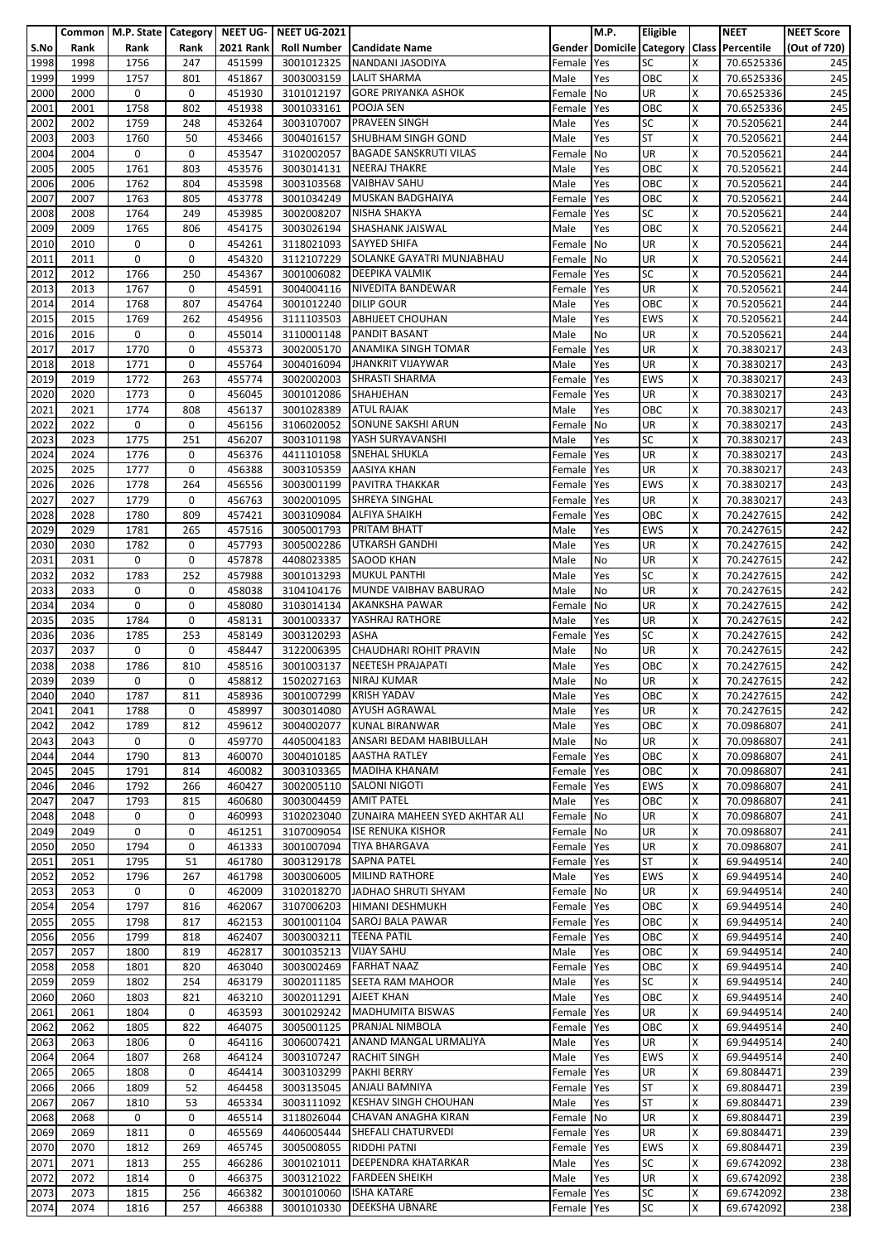|              |              | Common   M.P. State   Category |             | l NEET UG-       | <b>NEET UG-2021</b>      |                                                       |                      | M.P.       | Eligible          |        | <b>NEET</b>                               | <b>NEET Score</b> |
|--------------|--------------|--------------------------------|-------------|------------------|--------------------------|-------------------------------------------------------|----------------------|------------|-------------------|--------|-------------------------------------------|-------------------|
| S.No         | Rank         | Rank                           | Rank        | <b>2021 Rank</b> | <b>Roll Number</b>       | Candidate Name                                        |                      |            |                   |        | Gender Domicile Category Class Percentile | (Out of 720)      |
| 1998         | 1998         | 1756                           | 247         | 451599           | 3001012325               | NANDANI JASODIYA                                      | Female               | Yes        | <b>SC</b>         | X      | 70.6525336                                | 245               |
| 1999         | 1999         | 1757                           | 801         | 451867           | 3003003159               | <b>LALIT SHARMA</b>                                   | Male                 | Yes        | OBC               | X      | 70.6525336                                | 245               |
| 2000         | 2000         | 0                              | 0           | 451930           | 3101012197               | <b>GORE PRIYANKA ASHOK</b>                            | Female               | No         | <b>UR</b>         | X      | 70.6525336                                | 245               |
| 2001         | 2001<br>2002 | 1758<br>1759                   | 802<br>248  | 451938<br>453264 | 3001033161               | <b>POOJA SEN</b><br><b>PRAVEEN SINGH</b>              | Female               | Yes        | OBC<br><b>SC</b>  | X<br>x | 70.6525336                                | 245               |
| 2002<br>2003 | 2003         | 1760                           | 50          | 453466           | 3003107007               | 3004016157 SHUBHAM SINGH GOND                         | Male<br>Male         | Yes<br>Yes | <b>ST</b>         | x      | 70.5205621<br>70.5205621                  | 244<br>244        |
| 2004         | 2004         | 0                              | 0           | 453547           | 3102002057               | <b>BAGADE SANSKRUTI VILAS</b>                         | Female               | No         | UR                | X      | 70.5205621                                | 244               |
| 2005         | 2005         | 1761                           | 803         | 453576           | 3003014131               | <b>NEERAJ THAKRE</b>                                  | Male                 | Yes        | OBC               | X      | 70.5205621                                | 244               |
| 2006         | 2006         | 1762                           | 804         | 453598           | 3003103568               | <b>VAIBHAV SAHU</b>                                   | Male                 | Yes        | OBC               | Χ      | 70.5205621                                | 244               |
| 2007         | 2007         | 1763                           | 805         | 453778           | 3001034249               | <b>MUSKAN BADGHAIYA</b>                               | Female               | Yes        | OBC               | X      | 70.5205621                                | 244               |
| 2008         | 2008         | 1764                           | 249         | 453985           | 3002008207               | NISHA SHAKYA                                          | Female               | Yes        | <b>SC</b>         | X      | 70.5205621                                | 244               |
| 2009         | 2009         | 1765                           | 806         | 454175           | 3003026194               | <b>SHASHANK JAISWAL</b>                               | Male                 | Yes        | OBC               | X      | 70.5205621                                | 244               |
| 2010         | 2010         | 0                              | 0           | 454261           | 3118021093               | <b>SAYYED SHIFA</b>                                   | Female               | No         | <b>UR</b>         | X      | 70.5205621                                | 244               |
| 2011         | 2011         | 0                              | 0           | 454320           | 3112107229               | SOLANKE GAYATRI MUNJABHAU                             | Female               | No         | UR                | Χ      | 70.5205621                                | 244               |
| 2012         | 2012         | 1766                           | 250         | 454367           | 3001006082               | <b>DEEPIKA VALMIK</b>                                 | Female               | Yes        | <b>SC</b>         | x      | 70.5205621                                | 244               |
| 2013         | 2013         | 1767                           | 0           | 454591           | 3004004116               | NIVEDITA BANDEWAR                                     | Female               | Yes        | UR                | x      | 70.5205621                                | 244               |
| 2014         | 2014         | 1768                           | 807         | 454764           | 3001012240               | <b>DILIP GOUR</b>                                     | Male                 | Yes        | OBC               | X<br>X | 70.5205621                                | 244               |
| 2015<br>2016 | 2015<br>2016 | 1769<br>0                      | 262<br>0    | 454956<br>455014 | 3111103503<br>3110001148 | <b>ABHIJEET CHOUHAN</b><br><b>PANDIT BASANT</b>       | Male<br>Male         | Yes<br>No  | <b>EWS</b><br>UR  | X      | 70.5205621<br>70.5205621                  | 244<br>244        |
| 2017         | 2017         | 1770                           | 0           | 455373           | 3002005170               | <b>ANAMIKA SINGH TOMAR</b>                            | Female               | Yes        | UR                | X      | 70.3830217                                | 243               |
| 2018         | 2018         | 1771                           | 0           | 455764           |                          | 3004016094 JHANKRIT VIJAYWAR                          | Male                 | Yes        | UR                | X      | 70.3830217                                | 243               |
| 2019         | 2019         | 1772                           | 263         | 455774           | 3002002003               | <b>SHRASTI SHARMA</b>                                 | Female               | Yes        | <b>EWS</b>        | X      | 70.3830217                                | 243               |
| 2020         | 2020         | 1773                           | 0           | 456045           | 3001012086               | SHAHJEHAN                                             | Female               | Yes        | UR                | X      | 70.3830217                                | 243               |
| 2021         | 2021         | 1774                           | 808         | 456137           | 3001028389               | <b>ATUL RAJAK</b>                                     | Male                 | Yes        | OBC               | X      | 70.3830217                                | 243               |
| 2022         | 2022         | 0                              | 0           | 456156           | 3106020052               | <b>SONUNE SAKSHI ARUN</b>                             | Female               | No         | <b>UR</b>         | x      | 70.3830217                                | 243               |
| 2023         | 2023         | 1775                           | 251         | 456207           | 3003101198               | YASH SURYAVANSHI                                      | Male                 | Yes        | <b>SC</b>         | X      | 70.3830217                                | 243               |
| 2024         | 2024         | 1776                           | 0           | 456376           | 4411101058               | <b>SNEHAL SHUKLA</b>                                  | Female               | Yes        | UR                | Χ      | 70.3830217                                | 243               |
| 2025         | 2025         | 1777                           | 0           | 456388           | 3003105359               | <b>AASIYA KHAN</b>                                    | Female               | Yes        | <b>UR</b>         | x      | 70.3830217                                | 243               |
| 2026         | 2026         | 1778                           | 264         | 456556           | 3003001199               | PAVITRA THAKKAR                                       | Female               | Yes        | <b>EWS</b>        | Χ      | 70.3830217                                | 243               |
| 2027         | 2027         | 1779                           | 0           | 456763           | 3002001095               | <b>SHREYA SINGHAL</b>                                 | Female               | Yes        | UR                | x      | 70.3830217                                | 243               |
| 2028<br>2029 | 2028<br>2029 | 1780<br>1781                   | 809<br>265  | 457421<br>457516 | 3003109084<br>3005001793 | <b>ALFIYA SHAIKH</b><br><b>PRITAM BHATT</b>           | Female<br>Male       | Yes<br>Yes | OBC<br><b>EWS</b> | X<br>X | 70.2427615<br>70.2427615                  | 242<br>242        |
| 2030         | 2030         | 1782                           | 0           | 457793           | 3005002286               | <b>UTKARSH GANDHI</b>                                 | Male                 | Yes        | UR                | X      | 70.2427615                                | 242               |
| 2031         | 2031         | 0                              | 0           | 457878           | 4408023385               | <b>SAOOD KHAN</b>                                     | Male                 | No         | UR                | Χ      | 70.2427615                                | 242               |
| 2032         | 2032         | 1783                           | 252         | 457988           | 3001013293               | <b>MUKUL PANTHI</b>                                   | Male                 | Yes        | <b>SC</b>         | x      | 70.2427615                                | 242               |
| 2033         | 2033         | 0                              | 0           | 458038           | 3104104176               | MUNDE VAIBHAV BABURAO                                 | Male                 | No         | UR                | X      | 70.2427615                                | 242               |
| 2034         | 2034         | 0                              | 0           | 458080           | 3103014134               | <b>AKANKSHA PAWAR</b>                                 | Female               | No         | UR                | Χ      | 70.2427615                                | 242               |
| 2035         | 2035         | 1784                           | 0           | 458131           | 3001003337               | YASHRAJ RATHORE                                       | Male                 | Yes        | UR                | X      | 70.2427615                                | 242               |
| 2036         | 2036         | 1785                           | 253         | 458149           | 3003120293               | <b>ASHA</b>                                           | Female               | Yes        | SC                | X      | 70.2427615                                | 242               |
| 2037         | 2037         | 0                              | 0           | 458447           | 3122006395               | CHAUDHARI ROHIT PRAVIN                                | Male                 | No         | UR                | X      | 70.2427615                                | 242               |
| 2038         | 2038         | 1786                           | 810         | 458516           | 3001003137               | <b>NEETESH PRAJAPATI</b>                              | Male                 | Yes        | OBC               | X      | 70.2427615                                | 242               |
| 2039         | 2039         | 0                              | 0           | 458812           |                          | 1502027163 NIRAJ KUMAR                                | Male                 | No         | <b>UR</b>         | X      | 70.2427615                                | 242               |
| 2040         | 2040         | 1787                           | 811         | 458936           | 3001007299               | <b>KRISH YADAV</b>                                    | Male                 | Yes        | OBC               | X      | 70.2427615                                | 242               |
| 2041<br>2042 | 2041<br>2042 | 1788<br>1789                   | 0<br>812    | 458997           | 3003014080<br>3004002077 | <b>AYUSH AGRAWAL</b><br><b>KUNAL BIRANWAR</b>         | Male                 | Yes<br>Yes | <b>UR</b><br>OBC  | X<br>X | 70.2427615                                | 242<br>241        |
| 2043         | 2043         | 0                              | 0           | 459612<br>459770 | 4405004183               | ANSARI BEDAM HABIBULLAH                               | Male<br>Male         | No         | UR                | X.     | 70.0986807<br>70.0986807                  | 241               |
| 2044         | 2044         | 1790                           | 813         | 460070           | 3004010185               | <b>AASTHA RATLEY</b>                                  | Female               | Yes        | OBC               | X      | 70.0986807                                | 241               |
| 2045         | 2045         | 1791                           | 814         | 460082           |                          | 3003103365 MADIHA KHANAM                              | Female               | Yes        | OBC               | x      | 70.0986807                                | 241               |
| 2046         | 2046         | 1792                           | 266         | 460427           | 3002005110               | <b>SALONI NIGOTI</b>                                  | Female Yes           |            | <b>EWS</b>        | Χ      | 70.0986807                                | 241               |
| 2047         | 2047         | 1793                           | 815         | 460680           | 3003004459               | <b>AMIT PATEL</b>                                     | Male                 | Yes        | OBC               | X      | 70.0986807                                | 241               |
| 2048         | 2048         | 0                              | 0           | 460993           | 3102023040               | ZUNAIRA MAHEEN SYED AKHTAR ALI                        | Female No            |            | <b>UR</b>         | X      | 70.0986807                                | 241               |
| 2049         | 2049         | 0                              | 0           | 461251           |                          | 3107009054 ISE RENUKA KISHOR                          | Female No            |            | <b>UR</b>         | X      | 70.0986807                                | 241               |
| 2050         | 2050         | 1794                           | 0           | 461333           | 3001007094               | <b>TIYA BHARGAVA</b>                                  | Female               | Yes        | <b>UR</b>         | x      | 70.0986807                                | 241               |
| 2051         | 2051         | 1795                           | 51          | 461780           | 3003129178               | <b>SAPNA PATEL</b>                                    | Female Yes           |            | <b>ST</b>         | X      | 69.9449514                                | 240               |
| 2052         | 2052         | 1796                           | 267         | 461798           |                          | 3003006005 MILIND RATHORE                             | Male                 | Yes        | <b>EWS</b>        | X      | 69.9449514                                | 240               |
| 2053         | 2053         | 0                              | 0           | 462009           |                          | 3102018270 JADHAO SHRUTI SHYAM                        | Female No            |            | <b>UR</b>         | Χ      | 69.9449514                                | 240               |
| 2054         | 2054<br>2055 | 1797<br>1798                   | 816<br>817  | 462067           | 3107006203               | <b>HIMANI DESHMUKH</b><br>3001001104 SAROJ BALA PAWAR | Female               | Yes        | OBC<br>OBC        | Χ<br>x | 69.9449514<br>69.9449514                  | 240<br>240        |
| 2055<br>2056 | 2056         | 1799                           | 818         | 462153<br>462407 | 3003003211               | <b>TEENA PATIL</b>                                    | Female<br>Female Yes | Yes        | OBC               | Χ      | 69.9449514                                | 240               |
| 2057         | 2057         | 1800                           | 819         | 462817           | 3001035213               | <b>VIJAY SAHU</b>                                     | Male                 | Yes        | OBC               | X      | 69.9449514                                | 240               |
| 2058         | 2058         | 1801                           | 820         | 463040           | 3003002469               | <b>FARHAT NAAZ</b>                                    | Female Yes           |            | OBC               | X      | 69.9449514                                | 240               |
| 2059         | 2059         | 1802                           | 254         | 463179           | 3002011185               | <b>SEETA RAM MAHOOR</b>                               | Male                 | Yes        | <b>SC</b>         | x      | 69.9449514                                | 240               |
| 2060         | 2060         | 1803                           | 821         | 463210           | 3002011291               | <b>AJEET KHAN</b>                                     | Male                 | Yes        | OBC               | x      | 69.9449514                                | 240               |
| 2061         | 2061         | 1804                           | 0           | 463593           | 3001029242               | <b>MADHUMITA BISWAS</b>                               | Female               | Yes        | <b>UR</b>         | X      | 69.9449514                                | 240               |
| 2062         | 2062         | 1805                           | 822         | 464075           | 3005001125               | PRANJAL NIMBOLA                                       | Female               | Yes        | OBC               | X      | 69.9449514                                | 240               |
| 2063         | 2063         | 1806                           | 0           | 464116           | 3006007421               | ANAND MANGAL URMALIYA                                 | Male                 | Yes        | UR                | x      | 69.9449514                                | 240               |
| 2064         | 2064         | 1807                           | 268         | 464124           | 3003107247               | <b>RACHIT SINGH</b>                                   | Male                 | Yes        | <b>EWS</b>        | X      | 69.9449514                                | 240               |
| 2065         | 2065         | 1808                           | 0           | 464414           | 3003103299               | <b>PAKHI BERRY</b>                                    | Female               | Yes        | UR                | X      | 69.8084471                                | 239               |
| 2066         | 2066         | 1809                           | 52          | 464458           | 3003135045               | ANJALI BAMNIYA                                        | Female Yes           |            | <b>ST</b>         | Χ      | 69.8084471                                | 239               |
| 2067         | 2067         | 1810                           | 53          | 465334           | 3003111092               | <b>KESHAV SINGH CHOUHAN</b>                           | Male                 | Yes        | <b>ST</b>         | x      | 69.8084471                                | 239               |
| 2068         | 2068         | 0                              | 0<br>0      | 465514           |                          | 3118026044 CHAVAN ANAGHA KIRAN<br>SHEFALI CHATURVEDI  | Female No            |            | UR<br><b>UR</b>   | X<br>X | 69.8084471                                | 239               |
| 2069<br>2070 | 2069<br>2070 | 1811<br>1812                   | 269         | 465569<br>465745 | 4406005444<br>3005008055 | <b>RIDDHI PATNI</b>                                   | Female Yes<br>Female | Yes        | <b>EWS</b>        | x      | 69.8084471<br>69.8084471                  | 239<br>239        |
| 2071         | 2071         | 1813                           | 255         | 466286           | 3001021011               | <b>DEEPENDRA KHATARKAR</b>                            | Male                 | Yes        | <b>SC</b>         | X      | 69.6742092                                | 238               |
| 2072         | 2072         | 1814                           | $\mathbf 0$ | 466375           | 3003121022               | <b>FARDEEN SHEIKH</b>                                 | Male                 | Yes        | <b>UR</b>         | X      | 69.6742092                                | 238               |
| 2073         | 2073         | 1815                           | 256         | 466382           | 3001010060               | <b>ISHA KATARE</b>                                    | Female Yes           |            | <b>SC</b>         | x      | 69.6742092                                | 238               |
| 2074         | 2074         | 1816                           | 257         | 466388           | 3001010330               | DEEKSHA UBNARE                                        | Female Yes           |            | <b>SC</b>         | X      | 69.6742092                                | 238               |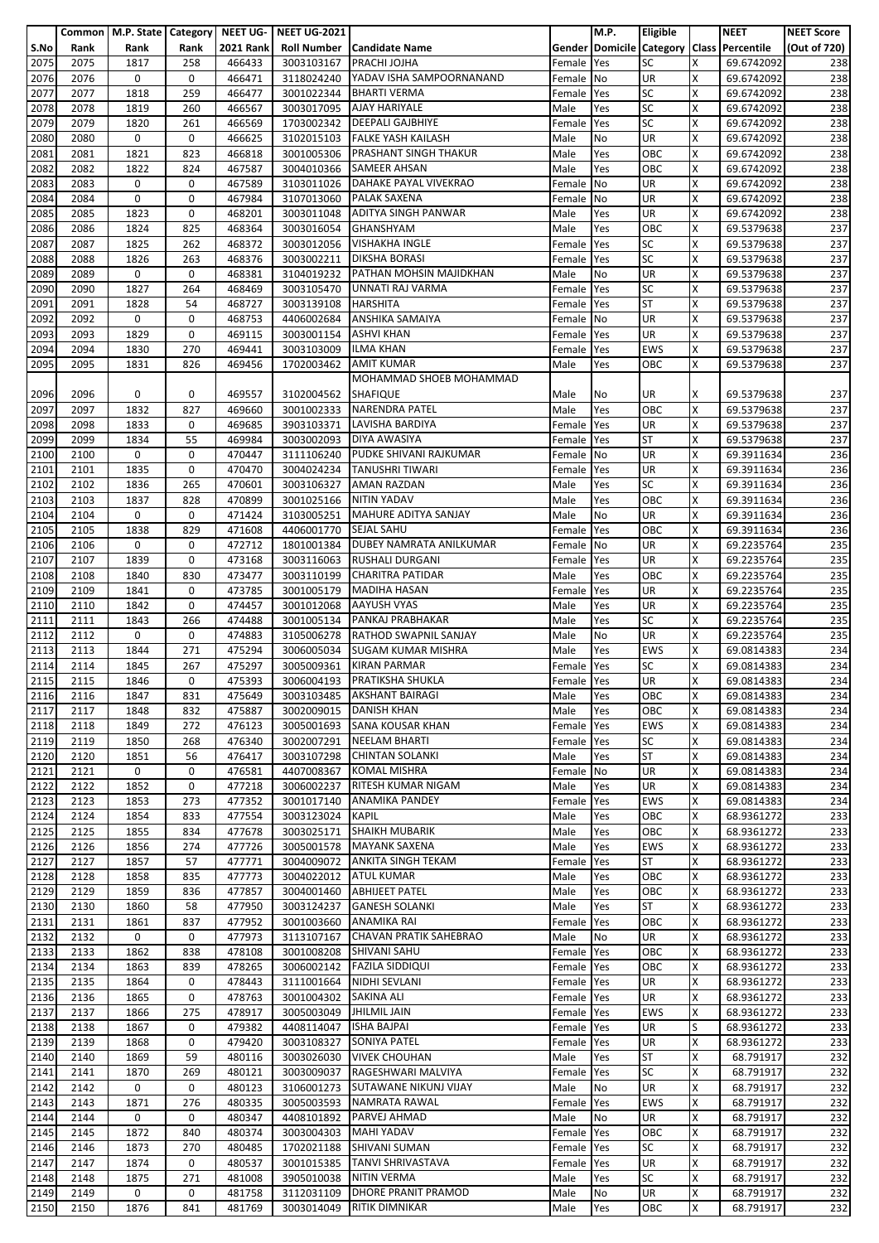|      |      |      |             |                  | Common   M.P. State   Category   NEET UG-   NEET UG-2021 |                                   |            | M.P.      | Eligible   |   | <b>NEET</b>                                 | <b>NEET Score</b> |
|------|------|------|-------------|------------------|----------------------------------------------------------|-----------------------------------|------------|-----------|------------|---|---------------------------------------------|-------------------|
| S.No | Rank | Rank | Rank        | <b>2021 Rank</b> |                                                          | <b>Roll Number Candidate Name</b> |            |           |            |   | Gender Domicile Category Class   Percentile | (Out of 720)      |
|      | 2075 | 1817 | 258         | 466433           | 3003103167                                               | <b>PRACHI JOJHA</b>               |            |           | <b>SC</b>  | x | 69.6742092                                  |                   |
| 2075 |      |      |             |                  |                                                          |                                   | Female     | Yes       |            |   |                                             | 238               |
| 2076 | 2076 | 0    | 0           | 466471           | 3118024240                                               | YADAV ISHA SAMPOORNANAND          | Female     | No        | <b>UR</b>  | X | 69.6742092                                  | 238               |
| 2077 | 2077 | 1818 | 259         | 466477           | 3001022344                                               | <b>BHARTI VERMA</b>               | Female     | Yes       | <b>SC</b>  | X | 69.6742092                                  | 238               |
| 2078 | 2078 | 1819 | 260         | 466567           | 3003017095                                               | <b>AJAY HARIYALE</b>              | Male       | Yes       | <b>SC</b>  | X | 69.6742092                                  | 238               |
| 2079 | 2079 | 1820 | 261         | 466569           | 1703002342                                               | <b>DEEPALI GAJBHIYE</b>           | Female     | Yes       | <b>SC</b>  | x | 69.6742092                                  | 238               |
| 2080 | 2080 | 0    | 0           | 466625           | 3102015103                                               | <b>FALKE YASH KAILASH</b>         | Male       | No        | UR         | X | 69.6742092                                  | 238               |
|      |      |      |             |                  |                                                          |                                   |            |           |            |   |                                             |                   |
| 2081 | 2081 | 1821 | 823         | 466818           | 3001005306                                               | <b>PRASHANT SINGH THAKUR</b>      | Male       | Yes       | OBC        | Χ | 69.6742092                                  | 238               |
| 2082 | 2082 | 1822 | 824         | 467587           | 3004010366                                               | <b>SAMEER AHSAN</b>               | Male       | Yes       | OBC        | X | 69.6742092                                  | 238               |
| 2083 | 2083 | 0    | 0           | 467589           |                                                          | 3103011026 DAHAKE PAYAL VIVEKRAO  | Female     | <b>No</b> | UR         | Χ | 69.6742092                                  | 238               |
| 2084 | 2084 | 0    | 0           | 467984           | 3107013060                                               | <b>PALAK SAXENA</b>               | Female     | No        | UR         | X | 69.6742092                                  | 238               |
| 2085 | 2085 | 1823 | 0           | 468201           | 3003011048                                               | <b>ADITYA SINGH PANWAR</b>        | Male       | Yes       | <b>UR</b>  | x | 69.6742092                                  | 238               |
|      |      |      |             |                  |                                                          |                                   |            |           | OBC        |   |                                             |                   |
| 2086 | 2086 | 1824 | 825         | 468364           | 3003016054                                               | <b>GHANSHYAM</b>                  | Male       | Yes       |            | X | 69.5379638                                  | 237               |
| 2087 | 2087 | 1825 | 262         | 468372           | 3003012056                                               | <b>VISHAKHA INGLE</b>             | Female     | Yes       | <b>SC</b>  | Χ | 69.5379638                                  | 237               |
| 2088 | 2088 | 1826 | 263         | 468376           | 3003002211                                               | <b>DIKSHA BORASI</b>              | Female     | Yes       | <b>SC</b>  | Χ | 69.5379638                                  | 237               |
| 2089 | 2089 | 0    | $\mathbf 0$ | 468381           | 3104019232                                               | PATHAN MOHSIN MAJIDKHAN           | Male       | No        | <b>UR</b>  | X | 69.5379638                                  | 237               |
| 2090 | 2090 | 1827 | 264         | 468469           | 3003105470                                               | UNNATI RAJ VARMA                  | Female     | Yes       | <b>SC</b>  | X | 69.5379638                                  | 237               |
| 2091 | 2091 | 1828 | 54          | 468727           | 3003139108                                               | <b>HARSHITA</b>                   | Female     | Yes       | <b>ST</b>  | X | 69.5379638                                  | 237               |
|      |      |      |             |                  |                                                          |                                   |            |           |            |   |                                             |                   |
| 2092 | 2092 | 0    | 0           | 468753           | 4406002684                                               | <b>ANSHIKA SAMAIYA</b>            | Female     | No        | <b>UR</b>  | X | 69.5379638                                  | 237               |
| 2093 | 2093 | 1829 | 0           | 469115           | 3003001154 ASHVI KHAN                                    |                                   | Female     | Yes       | UR         | Χ | 69.5379638                                  | 237               |
| 2094 | 2094 | 1830 | 270         | 469441           | 3003103009                                               | <b>ILMA KHAN</b>                  | Female     | Yes       | <b>EWS</b> | X | 69.5379638                                  | 237               |
| 2095 | 2095 | 1831 | 826         | 469456           | 1702003462                                               | <b>AMIT KUMAR</b>                 | Male       | Yes       | OBC        | X | 69.5379638                                  | 237               |
|      |      |      |             |                  |                                                          | MOHAMMAD SHOEB MOHAMMAD           |            |           |            |   |                                             |                   |
|      |      |      |             |                  |                                                          |                                   |            |           |            |   |                                             |                   |
| 2096 | 2096 | 0    | 0           | 469557           | 3102004562                                               | <b>SHAFIQUE</b>                   | Male       | No        | UR         | x | 69.5379638                                  | 237               |
| 2097 | 2097 | 1832 | 827         | 469660           | 3001002333                                               | <b>NARENDRA PATEL</b>             | Male       | Yes       | OBC        | x | 69.5379638                                  | 237               |
| 2098 | 2098 | 1833 | $\mathbf 0$ | 469685           | 3903103371                                               | LAVISHA BARDIYA                   | Female     | Yes       | <b>UR</b>  | X | 69.5379638                                  | 237               |
| 2099 | 2099 | 1834 | 55          | 469984           | 3003002093                                               | DIYA AWASIYA                      | Female     | Yes       | ST         | Χ | 69.5379638                                  | 237               |
| 2100 | 2100 | 0    | 0           | 470447           | 3111106240                                               | PUDKE SHIVANI RAJKUMAR            | Female     | No        | UR         | x | 69.3911634                                  | 236               |
| 2101 | 2101 | 1835 | 0           | 470470           |                                                          | 3004024234 TANUSHRI TIWARI        | Female     | Yes       | <b>UR</b>  | X | 69.3911634                                  | 236               |
|      |      |      |             |                  |                                                          |                                   |            |           |            |   |                                             |                   |
| 2102 | 2102 | 1836 | 265         | 470601           | 3003106327                                               | <b>AMAN RAZDAN</b>                | Male       | Yes       | <b>SC</b>  | Χ | 69.3911634                                  | 236               |
| 2103 | 2103 | 1837 | 828         | 470899           | 3001025166                                               | <b>NITIN YADAV</b>                | Male       | Yes       | OBC        | X | 69.3911634                                  | 236               |
| 2104 | 2104 | 0    | 0           | 471424           | 3103005251                                               | MAHURE ADITYA SANJAY              | Male       | No        | UR         | x | 69.3911634                                  | 236               |
| 2105 | 2105 | 1838 | 829         | 471608           | 4406001770                                               | <b>SEJAL SAHU</b>                 | Female     | Yes       | OBC        | x | 69.3911634                                  | 236               |
| 2106 | 2106 | 0    | 0           | 472712           | 1801001384                                               | DUBEY NAMRATA ANILKUMAR           | Female     | No        | UR         | Χ | 69.2235764                                  | 235               |
| 2107 | 2107 | 1839 | 0           | 473168           | 3003116063                                               | <b>RUSHALI DURGANI</b>            | Female     | Yes       | UR         | X | 69.2235764                                  | 235               |
|      |      |      |             |                  |                                                          |                                   |            |           |            |   |                                             |                   |
| 2108 | 2108 | 1840 | 830         | 473477           | 3003110199                                               | <b>CHARITRA PATIDAR</b>           | Male       | Yes       | OBC        | X | 69.2235764                                  | 235               |
| 2109 | 2109 | 1841 | 0           | 473785           | 3001005179                                               | <b>MADIHA HASAN</b>               | Female     | Yes       | UR         | Χ | 69.2235764                                  | 235               |
| 2110 | 2110 | 1842 | 0           | 474457           | 3001012068                                               | <b>AAYUSH VYAS</b>                | Male       | Yes       | UR         | X | 69.2235764                                  | 235               |
| 2111 | 2111 | 1843 | 266         | 474488           |                                                          | 3001005134 PANKAJ PRABHAKAR       | Male       | Yes       | SC         | x | 69.2235764                                  | 235               |
| 2112 | 2112 | 0    | 0           | 474883           | 3105006278                                               | <b>RATHOD SWAPNIL SANJAY</b>      | Male       | No        | UR         | Χ | 69.2235764                                  | 235               |
|      | 2113 | 1844 | 271         | 475294           |                                                          | <b>SUGAM KUMAR MISHRA</b>         |            |           | <b>EWS</b> | X | 69.0814383                                  | 234               |
| 2113 |      |      |             |                  | 3006005034                                               |                                   | Male       | Yes       |            |   |                                             |                   |
| 2114 | 2114 | 1845 | 267         | 475297           | 3005009361                                               | <b>KIRAN PARMAR</b>               | Female     | Yes       | <b>SC</b>  | X | 69.0814383                                  | 234               |
| 2115 | 2115 | 1846 | 0           | 475393           |                                                          | 3006004193 PRATIKSHA SHUKLA       | Female Yes |           | <b>UR</b>  | X | 69.0814383                                  | 234               |
| 2116 | 2116 | 1847 | 831         | 475649           |                                                          | 3003103485 AKSHANT BAIRAGI        | Male       | Yes       | OBC        | х | 69.0814383                                  | 234               |
| 2117 | 2117 | 1848 | 832         | 475887           | 3002009015                                               | <b>DANISH KHAN</b>                | Male       | Yes       | OBC        | Χ | 69.0814383                                  | 234               |
| 2118 | 2118 | 1849 | 272         | 476123           |                                                          | 3005001693 SANA KOUSAR KHAN       | Female     | Yes       | <b>EWS</b> | x | 69.0814383                                  | 234               |
|      |      |      |             |                  |                                                          |                                   |            |           |            |   |                                             |                   |
| 2119 | 2119 | 1850 | 268         | 476340           | 3002007291                                               | <b>NEELAM BHARTI</b>              | Female     | Yes       | <b>SC</b>  | X | 69.0814383                                  | 234               |
| 2120 | 2120 | 1851 | 56          | 476417           | 3003107298                                               | <b>CHINTAN SOLANKI</b>            | Male       | Yes       | <b>ST</b>  | X | 69.0814383                                  | 234               |
| 2121 | 2121 | 0    | 0           | 476581           |                                                          | 4407008367 KOMAL MISHRA           | Female No  |           | <b>UR</b>  | X | 69.0814383                                  | 234               |
| 2122 | 2122 | 1852 | 0           | 477218           | 3006002237                                               | <b>RITESH KUMAR NIGAM</b>         | Male       | Yes       | <b>UR</b>  | X | 69.0814383                                  | 234               |
| 2123 | 2123 | 1853 | 273         | 477352           | 3001017140                                               | <b>ANAMIKA PANDEY</b>             | Female     | Yes       | <b>EWS</b> | x | 69.0814383                                  | 234               |
| 2124 | 2124 | 1854 | 833         | 477554           | 3003123024                                               | <b>KAPIL</b>                      | Male       | Yes       | OBC        | Χ | 68.9361272                                  | 233               |
|      |      |      |             |                  |                                                          |                                   |            |           |            |   |                                             |                   |
| 2125 | 2125 | 1855 | 834         | 477678           | 3003025171                                               | <b>SHAIKH MUBARIK</b>             | Male       | Yes       | OBC        | X | 68.9361272                                  | 233               |
| 2126 | 2126 | 1856 | 274         | 477726           | 3005001578                                               | <b>MAYANK SAXENA</b>              | Male       | Yes       | <b>EWS</b> | X | 68.9361272                                  | 233               |
| 2127 | 2127 | 1857 | 57          | 477771           | 3004009072                                               | <b>ANKITA SINGH TEKAM</b>         | Female     | Yes       | <b>ST</b>  | X | 68.9361272                                  | 233               |
| 2128 | 2128 | 1858 | 835         | 477773           | 3004022012 ATUL KUMAR                                    |                                   | Male       | Yes       | OBC        | x | 68.9361272                                  | 233               |
| 2129 | 2129 | 1859 | 836         | 477857           | 3004001460                                               | <b>ABHIJEET PATEL</b>             | Male       | Yes       | OBC        | Χ | 68.9361272                                  | 233               |
| 2130 | 2130 | 1860 | 58          | 477950           | 3003124237                                               | <b>GANESH SOLANKI</b>             | Male       | Yes       | <b>ST</b>  | X | 68.9361272                                  | 233               |
|      |      |      |             |                  |                                                          |                                   |            |           |            |   |                                             |                   |
| 2131 | 2131 | 1861 | 837         | 477952           | 3001003660                                               | ANAMIKA RAI                       | Female     | Yes       | OBC        | X | 68.9361272                                  | 233               |
| 2132 | 2132 | 0    | 0           | 477973           | 3113107167                                               | <b>CHAVAN PRATIK SAHEBRAO</b>     | Male       | No        | UR         | Χ | 68.9361272                                  | 233               |
| 2133 | 2133 | 1862 | 838         | 478108           | 3001008208                                               | <b>SHIVANI SAHU</b>               | Female     | Yes       | OBC        | X | 68.9361272                                  | 233               |
| 2134 | 2134 | 1863 | 839         | 478265           | 3006002142                                               | <b>FAZILA SIDDIQUI</b>            | Female     | Yes       | OBC        | X | 68.9361272                                  | 233               |
| 2135 | 2135 | 1864 | 0           | 478443           |                                                          | 3111001664 NIDHI SEVLANI          | Female     | Yes       | UR         | X | 68.9361272                                  | 233               |
| 2136 | 2136 | 1865 | 0           | 478763           | 3001004302                                               | <b>SAKINA ALI</b>                 | Female     | Yes       | UR         | X | 68.9361272                                  | 233               |
| 2137 | 2137 |      | 275         | 478917           | 3005003049                                               | <b>JHILMIL JAIN</b>               |            |           | <b>EWS</b> | X | 68.9361272                                  | 233               |
|      |      | 1866 |             |                  |                                                          |                                   | Female     | Yes       |            |   |                                             |                   |
| 2138 | 2138 | 1867 | 0           | 479382           | 4408114047                                               | <b>ISHA BAJPAI</b>                | Female     | Yes       | UR         | S | 68.9361272                                  | 233               |
| 2139 | 2139 | 1868 | 0           | 479420           | 3003108327                                               | <b>SONIYA PATEL</b>               | Female Yes |           | <b>UR</b>  | X | 68.9361272                                  | 233               |
| 2140 | 2140 | 1869 | 59          | 480116           | 3003026030                                               | <b>VIVEK CHOUHAN</b>              | Male       | Yes       | <b>ST</b>  | X | 68.791917                                   | 232               |
| 2141 | 2141 | 1870 | 269         | 480121           |                                                          | 3003009037 RAGESHWARI MALVIYA     | Female Yes |           | <b>SC</b>  | x | 68.791917                                   | 232               |
| 2142 | 2142 | 0    | 0           | 480123           | 3106001273                                               | SUTAWANE NIKUNJ VIJAY             | Male       | No        | <b>UR</b>  | X | 68.791917                                   | 232               |
|      |      |      |             |                  |                                                          |                                   |            |           |            |   |                                             |                   |
| 2143 | 2143 | 1871 | 276         | 480335           | 3005003593                                               | <b>NAMRATA RAWAL</b>              | Female     | Yes       | <b>EWS</b> | X | 68.791917                                   | 232               |
| 2144 | 2144 | 0    | 0           | 480347           | 4408101892                                               | PARVEJ AHMAD                      | Male       | No        | <b>UR</b>  | Χ | 68.791917                                   | 232               |
| 2145 | 2145 | 1872 | 840         | 480374           | 3003004303                                               | <b>MAHI YADAV</b>                 | Female     | Yes       | OBC        | x | 68.791917                                   | 232               |
| 2146 | 2146 | 1873 | 270         | 480485           | 1702021188                                               | <b>SHIVANI SUMAN</b>              | Female     | Yes       | <b>SC</b>  | x | 68.791917                                   | 232               |
| 2147 | 2147 | 1874 | 0           | 480537           | 3001015385                                               | <b>TANVI SHRIVASTAVA</b>          | Female     | Yes       | UR         | Χ | 68.791917                                   | 232               |
| 2148 | 2148 | 1875 | 271         |                  | 3905010038                                               | <b>NITIN VERMA</b>                |            | Yes       | <b>SC</b>  | х |                                             | 232               |
|      |      |      |             | 481008           |                                                          |                                   | Male       |           |            |   | 68.791917                                   |                   |
| 2149 | 2149 | 0    | 0           | 481758           | 3112031109                                               | <b>DHORE PRANIT PRAMOD</b>        | Male       | No        | UR         | X | 68.791917                                   | 232               |
| 2150 | 2150 | 1876 | 841         | 481769           | 3003014049                                               | <b>RITIK DIMNIKAR</b>             | Male       | Yes       | OBC        | X | 68.791917                                   | 232               |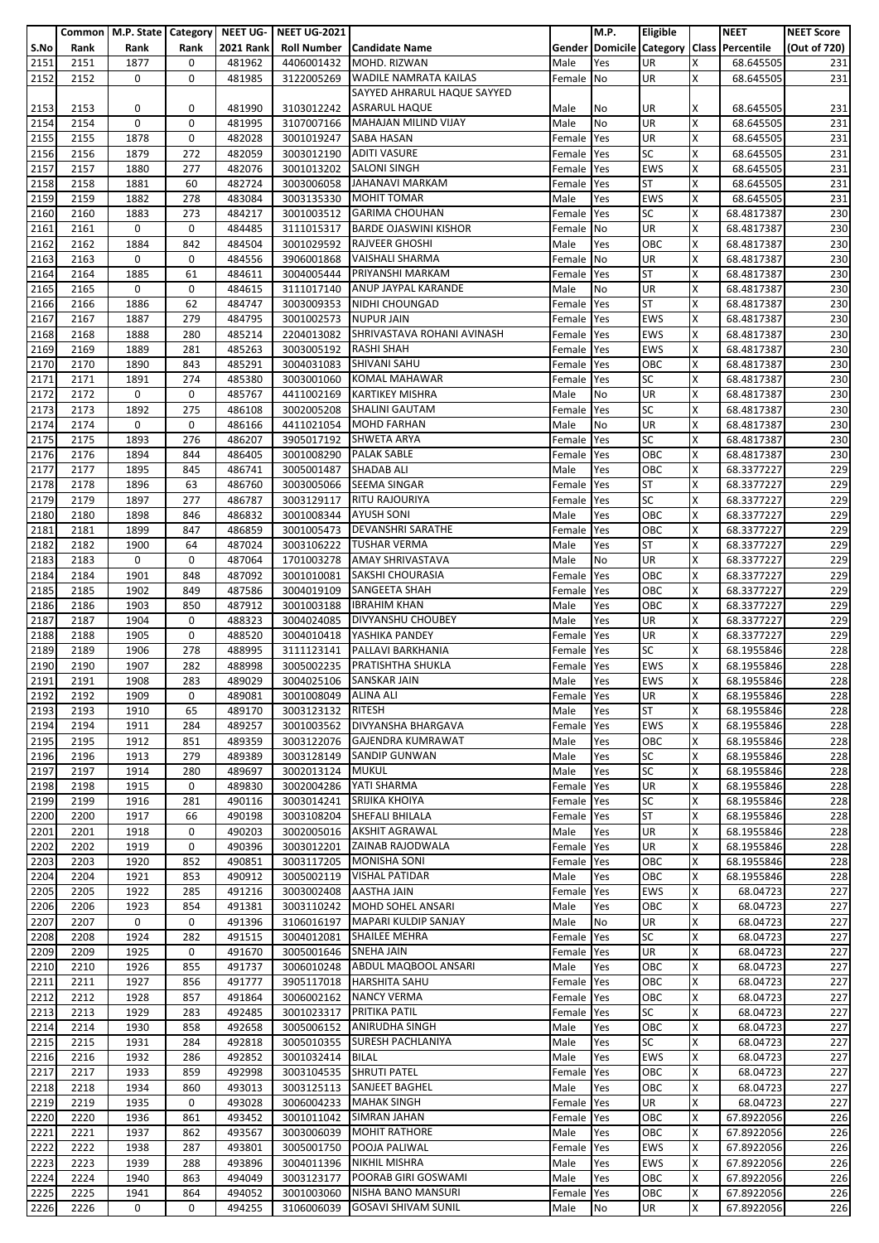|      |      | Common   M.P. State   Category   NEET UG- |      |                  | <b>NEET UG-2021</b>   |                                     |            | M.P. | Eligible   |   | <b>NEET</b>                               | <b>NEET Score</b> |
|------|------|-------------------------------------------|------|------------------|-----------------------|-------------------------------------|------------|------|------------|---|-------------------------------------------|-------------------|
| S.No | Rank | Rank                                      | Rank | <b>2021 Rank</b> |                       | <b>Roll Number   Candidate Name</b> |            |      |            |   | Gender Domicile Category Class Percentile | (Out of 720)      |
| 2151 | 2151 | 1877                                      | 0    | 481962           | 4406001432            | MOHD. RIZWAN                        | Male       | Yes  | UR         | Χ | 68.645505                                 | 231               |
|      |      |                                           |      |                  |                       |                                     |            |      |            |   |                                           |                   |
| 2152 | 2152 | 0                                         | 0    | 481985           | 3122005269            | <b>WADILE NAMRATA KAILAS</b>        | Female     | No   | UR         | X | 68.645505                                 | 231               |
|      |      |                                           |      |                  |                       | SAYYED AHRARUL HAQUE SAYYED         |            |      |            |   |                                           |                   |
| 2153 | 2153 | 0                                         | 0    | 481990           | 3103012242            | <b>ASRARUL HAQUE</b>                | Male       | No   | UR         | х | 68.645505                                 | 231               |
| 2154 | 2154 | $\pmb{0}$                                 | 0    | 481995           | 3107007166            | MAHAJAN MILIND VIJAY                | Male       | No   | <b>UR</b>  | X | 68.645505                                 | 231               |
| 2155 | 2155 | 1878                                      | 0    | 482028           | 3001019247            | <b>SABA HASAN</b>                   | Female     | Yes  | <b>UR</b>  | Χ | 68.645505                                 | 231               |
| 2156 | 2156 | 1879                                      | 272  | 482059           | 3003012190            | <b>ADITI VASURE</b>                 | Female     | Yes  | <b>SC</b>  | X | 68.645505                                 | 231               |
|      |      |                                           |      |                  |                       |                                     |            |      |            |   |                                           |                   |
| 2157 | 2157 | 1880                                      | 277  | 482076           | 3001013202            | <b>SALONI SINGH</b>                 | Female     | Yes  | <b>EWS</b> | X | 68.645505                                 | 231               |
| 2158 | 2158 | 1881                                      | 60   | 482724           | 3003006058            | JAHANAVI MARKAM                     | Female     | Yes  | <b>ST</b>  | X | 68.645505                                 | 231               |
| 2159 | 2159 | 1882                                      | 278  | 483084           | 3003135330            | <b>MOHIT TOMAR</b>                  | Male       | Yes  | <b>EWS</b> | X | 68.645505                                 | 231               |
| 2160 | 2160 | 1883                                      | 273  | 484217           | 3001003512            | <b>GARIMA CHOUHAN</b>               | Female     | Yes  | <b>SC</b>  | Χ | 68.4817387                                | 230               |
| 2161 | 2161 | 0                                         | 0    | 484485           | 3111015317            | <b>BARDE OJASWINI KISHOR</b>        | Female     | No   | UR         | X | 68.4817387                                | 230               |
|      | 2162 | 1884                                      | 842  | 484504           |                       | <b>RAJVEER GHOSHI</b>               | Male       |      | OBC        | X |                                           | 230               |
| 2162 |      |                                           |      |                  | 3001029592            |                                     |            | Yes  |            |   | 68.4817387                                |                   |
| 2163 | 2163 | 0                                         | 0    | 484556           | 3906001868            | <b>VAISHALI SHARMA</b>              | Female     | No   | UR         | Χ | 68.4817387                                | 230               |
| 2164 | 2164 | 1885                                      | 61   | 484611           | 3004005444            | <b>PRIYANSHI MARKAM</b>             | Female     | Yes  | <b>ST</b>  | X | 68.4817387                                | 230               |
| 2165 | 2165 | 0                                         | 0    | 484615           | 3111017140            | ANUP JAYPAL KARANDE                 | Male       | No   | UR         | Χ | 68.4817387                                | 230               |
| 2166 | 2166 | 1886                                      | 62   | 484747           | 3003009353            | NIDHI CHOUNGAD                      | Female     | Yes  | <b>ST</b>  | X | 68.4817387                                | 230               |
| 2167 | 2167 | 1887                                      | 279  | 484795           | 3001002573            | <b>NUPUR JAIN</b>                   | Female     | Yes  | <b>EWS</b> | X | 68.4817387                                | 230               |
|      |      |                                           |      |                  |                       |                                     |            |      |            |   |                                           |                   |
| 2168 | 2168 | 1888                                      | 280  | 485214           | 2204013082            | SHRIVASTAVA ROHANI AVINASH          | Female     | Yes  | <b>EWS</b> | X | 68.4817387                                | 230               |
| 2169 | 2169 | 1889                                      | 281  | 485263           | 3003005192            | <b>RASHI SHAH</b>                   | Female     | Yes  | <b>EWS</b> | X | 68.4817387                                | 230               |
| 2170 | 2170 | 1890                                      | 843  | 485291           | 3004031083            | <b>SHIVANI SAHU</b>                 | Female     | Yes  | OBC        | Χ | 68.4817387                                | 230               |
| 2171 | 2171 | 1891                                      | 274  | 485380           | 3003001060            | <b>KOMAL MAHAWAR</b>                | Female     | Yes  | <b>SC</b>  | X | 68.4817387                                | 230               |
| 2172 | 2172 | 0                                         | 0    | 485767           | 4411002169            | <b>KARTIKEY MISHRA</b>              | Male       | No   | UR         | X | 68.4817387                                | 230               |
| 2173 | 2173 | 1892                                      | 275  | 486108           | 3002005208            | <b>SHALINI GAUTAM</b>               | Female     | Yes  | <b>SC</b>  | X | 68.4817387                                | 230               |
|      |      |                                           |      |                  |                       |                                     |            |      |            |   |                                           |                   |
| 2174 | 2174 | 0                                         | 0    | 486166           |                       | 4411021054 MOHD FARHAN              | Male       | No   | <b>UR</b>  | x | 68.4817387                                | 230               |
| 2175 | 2175 | 1893                                      | 276  | 486207           | 3905017192            | <b>SHWETA ARYA</b>                  | Female     | Yes  | <b>SC</b>  | X | 68.4817387                                | 230               |
| 2176 | 2176 | 1894                                      | 844  | 486405           | 3001008290            | <b>PALAK SABLE</b>                  | Female     | Yes  | OBC        | X | 68.4817387                                | 230               |
| 2177 | 2177 | 1895                                      | 845  | 486741           | 3005001487            | <b>SHADAB ALI</b>                   | Male       | Yes  | OBC        | X | 68.3377227                                | 229               |
| 2178 | 2178 | 1896                                      | 63   | 486760           | 3003005066            | <b>SEEMA SINGAR</b>                 | Female     | Yes  | <b>ST</b>  | x | 68.3377227                                | 229               |
| 2179 | 2179 | 1897                                      | 277  | 486787           |                       | <b>RITU RAJOURIYA</b>               |            |      | <b>SC</b>  | x |                                           | 229               |
|      |      |                                           |      |                  | 3003129117            |                                     | Female     | Yes  |            |   | 68.3377227                                |                   |
| 2180 | 2180 | 1898                                      | 846  | 486832           | 3001008344            | <b>AYUSH SONI</b>                   | Male       | Yes  | OBC        | Χ | 68.3377227                                | 229               |
| 2181 | 2181 | 1899                                      | 847  | 486859           | 3001005473            | <b>DEVANSHRI SARATHE</b>            | Female     | Yes  | OBC        | x | 68.3377227                                | 229               |
| 2182 | 2182 | 1900                                      | 64   | 487024           | 3003106222            | <b>TUSHAR VERMA</b>                 | Male       | Yes  | <b>ST</b>  | X | 68.3377227                                | 229               |
| 2183 | 2183 | 0                                         | 0    | 487064           | 1701003278            | <b>AMAY SHRIVASTAVA</b>             | Male       | No   | UR         | Χ | 68.3377227                                | 229               |
| 2184 | 2184 | 1901                                      | 848  | 487092           | 3001010081            | <b>SAKSHI CHOURASIA</b>             | Female     | Yes  | OBC        | x | 68.3377227                                | 229               |
|      |      |                                           |      |                  |                       |                                     |            |      |            |   |                                           | 229               |
| 2185 | 2185 | 1902                                      | 849  | 487586           | 3004019109            | <b>SANGEETA SHAH</b>                | Female     | Yes  | OBC        | X | 68.3377227                                |                   |
| 2186 | 2186 | 1903                                      | 850  | 487912           | 3001003188            | <b>IBRAHIM KHAN</b>                 | Male       | Yes  | OBC        | X | 68.3377227                                | 229               |
| 2187 | 2187 | 1904                                      | 0    | 488323           | 3004024085            | <b>DIVYANSHU CHOUBEY</b>            | Male       | Yes  | UR         | X | 68.3377227                                | 229               |
| 2188 | 2188 | 1905                                      | 0    | 488520           | 3004010418            | YASHIKA PANDEY                      | Female     | Yes  | UR         | X | 68.3377227                                | 229               |
| 2189 | 2189 | 1906                                      | 278  | 488995           | 3111123141            | PALLAVI BARKHANIA                   | Female     | Yes  | <b>SC</b>  | x | 68.1955846                                | 228               |
| 2190 | 2190 | 1907                                      | 282  | 488998           | 3005002235            | PRATISHTHA SHUKLA                   | Female     | Yes  | <b>EWS</b> | Χ | 68.1955846                                | 228               |
|      |      |                                           |      |                  |                       |                                     |            |      |            |   |                                           |                   |
| 2191 | 2191 | 1908                                      | 283  | 489029           |                       | 3004025106 SANSKAR JAIN             | Male       | Yes  | <b>EWS</b> | X | 68.1955846                                | 228               |
| 2192 | 2192 | 1909                                      | 0    | 489081           | 3001008049 ALINA ALI  |                                     | Female Yes |      | <b>UR</b>  | X | 68.1955846                                | 228               |
| 2193 | 2193 | 1910                                      | 65   | 489170           | 3003123132            | <b>RITESH</b>                       | Male       | Yes  | <b>ST</b>  | X | 68.1955846                                | 228               |
| 2194 | 2194 | 1911                                      | 284  | 489257           |                       | 3001003562 DIVYANSHA BHARGAVA       | Female     | Yes  | <b>EWS</b> | X | 68.1955846                                | 228               |
| 2195 | 2195 | 1912                                      | 851  | 489359           | 3003122076            | <b>GAJENDRA KUMRAWAT</b>            | Male       | Yes  | OBC        | X | 68.1955846                                | 228               |
|      |      |                                           |      |                  |                       | <b>SANDIP GUNWAN</b>                |            |      | <b>SC</b>  | X | 68.1955846                                |                   |
| 2196 | 2196 | 1913                                      | 279  | 489389           | 3003128149            |                                     | Male       | Yes  |            |   |                                           | 228               |
| 2197 | 2197 | 1914                                      | 280  | 489697           | 3002013124 MUKUL      |                                     | Male       | Yes  | <b>SC</b>  | X | 68.1955846                                | 228               |
| 2198 | 2198 | 1915                                      | 0    | 489830           | 3002004286            | YATI SHARMA                         | Female     | Yes  | UR         | X | 68.1955846                                | 228               |
| 2199 | 2199 | 1916                                      | 281  | 490116           | 3003014241            | SRIJIKA KHOIYA                      | Female     | Yes  | <b>SC</b>  | X | 68.1955846                                | 228               |
| 2200 | 2200 | 1917                                      | 66   | 490198           | 3003108204            | SHEFALI BHILALA                     | Female     | Yes  | <b>ST</b>  | Χ | 68.1955846                                | 228               |
| 2201 | 2201 | 1918                                      | 0    | 490203           | 3002005016            | <b>AKSHIT AGRAWAL</b>               | Male       | Yes  | <b>UR</b>  | X | 68.1955846                                | 228               |
|      |      |                                           |      |                  |                       |                                     |            |      |            |   |                                           |                   |
| 2202 | 2202 | 1919                                      | 0    | 490396           | 3003012201            | ZAINAB RAJODWALA                    | Female Yes |      | UR         | X | 68.1955846                                | 228               |
| 2203 | 2203 | 1920                                      | 852  | 490851           | 3003117205            | <b>MONISHA SONI</b>                 | Female     | Yes  | OBC        | X | 68.1955846                                | 228               |
| 2204 | 2204 | 1921                                      | 853  | 490912           |                       | 3005002119 VISHAL PATIDAR           | Male       | Yes  | OBC        | X | 68.1955846                                | 228               |
| 2205 | 2205 | 1922                                      | 285  | 491216           | 3003002408            | <b>AASTHA JAIN</b>                  | Female Yes |      | <b>EWS</b> | X | 68.04723                                  | 227               |
| 2206 | 2206 | 1923                                      | 854  | 491381           |                       | 3003110242 MOHD SOHEL ANSARI        | Male       | Yes  | OBC        | X | 68.04723                                  | 227               |
| 2207 | 2207 | 0                                         | 0    | 491396           | 3106016197            | MAPARI KULDIP SANJAY                | Male       | No   | <b>UR</b>  | X | 68.04723                                  | 227               |
|      |      |                                           |      |                  |                       |                                     |            |      |            |   |                                           |                   |
| 2208 | 2208 | 1924                                      | 282  | 491515           | 3004012081            | <b>SHAILEE MEHRA</b>                | Female     | Yes  | <b>SC</b>  | Χ | 68.04723                                  | 227               |
| 2209 | 2209 | 1925                                      | 0    | 491670           | 3005001646 SNEHA JAIN |                                     | Female     | Yes  | <b>UR</b>  | X | 68.04723                                  | 227               |
| 2210 | 2210 | 1926                                      | 855  | 491737           | 3006010248            | ABDUL MAQBOOL ANSARI                | Male       | Yes  | OBC        | Χ | 68.04723                                  | 227               |
| 2211 | 2211 | 1927                                      | 856  | 491777           |                       | 3905117018 HARSHITA SAHU            | Female Yes |      | OBC        | x | 68.04723                                  | 227               |
| 2212 | 2212 | 1928                                      | 857  | 491864           |                       | 3006002162 NANCY VERMA              | Female Yes |      | OBC        | X | 68.04723                                  | 227               |
| 2213 | 2213 | 1929                                      | 283  | 492485           | 3001023317            | PRITIKA PATIL                       | Female     | Yes  | <b>SC</b>  | X | 68.04723                                  | 227               |
|      |      |                                           |      |                  |                       |                                     |            |      |            |   |                                           |                   |
| 2214 | 2214 | 1930                                      | 858  | 492658           | 3005006152            | <b>ANIRUDHA SINGH</b>               | Male       | Yes  | OBC        | x | 68.04723                                  | 227               |
| 2215 | 2215 | 1931                                      | 284  | 492818           | 3005010355            | <b>SURESH PACHLANIYA</b>            | Male       | Yes  | <b>SC</b>  | X | 68.04723                                  | 227               |
| 2216 | 2216 | 1932                                      | 286  | 492852           | 3001032414            | <b>BILAL</b>                        | Male       | Yes  | <b>EWS</b> | X | 68.04723                                  | 227               |
| 2217 | 2217 | 1933                                      | 859  | 492998           | 3003104535            | <b>SHRUTI PATEL</b>                 | Female Yes |      | OBC        | X | 68.04723                                  | 227               |
| 2218 | 2218 | 1934                                      | 860  | 493013           |                       | 3003125113 SANJEET BAGHEL           | Male       | Yes  | OBC        | X | 68.04723                                  | 227               |
| 2219 | 2219 | 1935                                      | 0    | 493028           | 3006004233            | <b>MAHAK SINGH</b>                  | Female     | Yes  | <b>UR</b>  | Χ | 68.04723                                  | 227               |
|      |      |                                           |      |                  |                       |                                     |            |      |            |   |                                           |                   |
| 2220 | 2220 | 1936                                      | 861  | 493452           | 3001011042            | SIMRAN JAHAN                        | Female     | Yes  | OBC        | Χ | 67.8922056                                | 226               |
| 2221 | 2221 | 1937                                      | 862  | 493567           | 3003006039            | <b>MOHIT RATHORE</b>                | Male       | Yes  | OBC        | X | 67.8922056                                | 226               |
| 2222 | 2222 | 1938                                      | 287  | 493801           | 3005001750            | POOJA PALIWAL                       | Female Yes |      | <b>EWS</b> | X | 67.8922056                                | 226               |
| 2223 | 2223 | 1939                                      | 288  | 493896           | 3004011396            | <b>NIKHIL MISHRA</b>                | Male       | Yes  | <b>EWS</b> | X | 67.8922056                                | 226               |
| 2224 | 2224 | 1940                                      | 863  | 494049           |                       | 3003123177 POORAB GIRI GOSWAMI      | Male       | Yes  | OBC        | X | 67.8922056                                | 226               |
| 2225 | 2225 |                                           | 864  |                  |                       | NISHA BANO MANSURI                  | Female Yes |      | OBC        | X |                                           |                   |
|      |      | 1941                                      |      | 494052           | 3001003060            |                                     |            |      |            |   | 67.8922056                                | 226               |
| 2226 | 2226 | 0                                         | 0    | 494255           | 3106006039            | <b>GOSAVI SHIVAM SUNIL</b>          | Male       | No   | UR         | X | 67.8922056                                | 226               |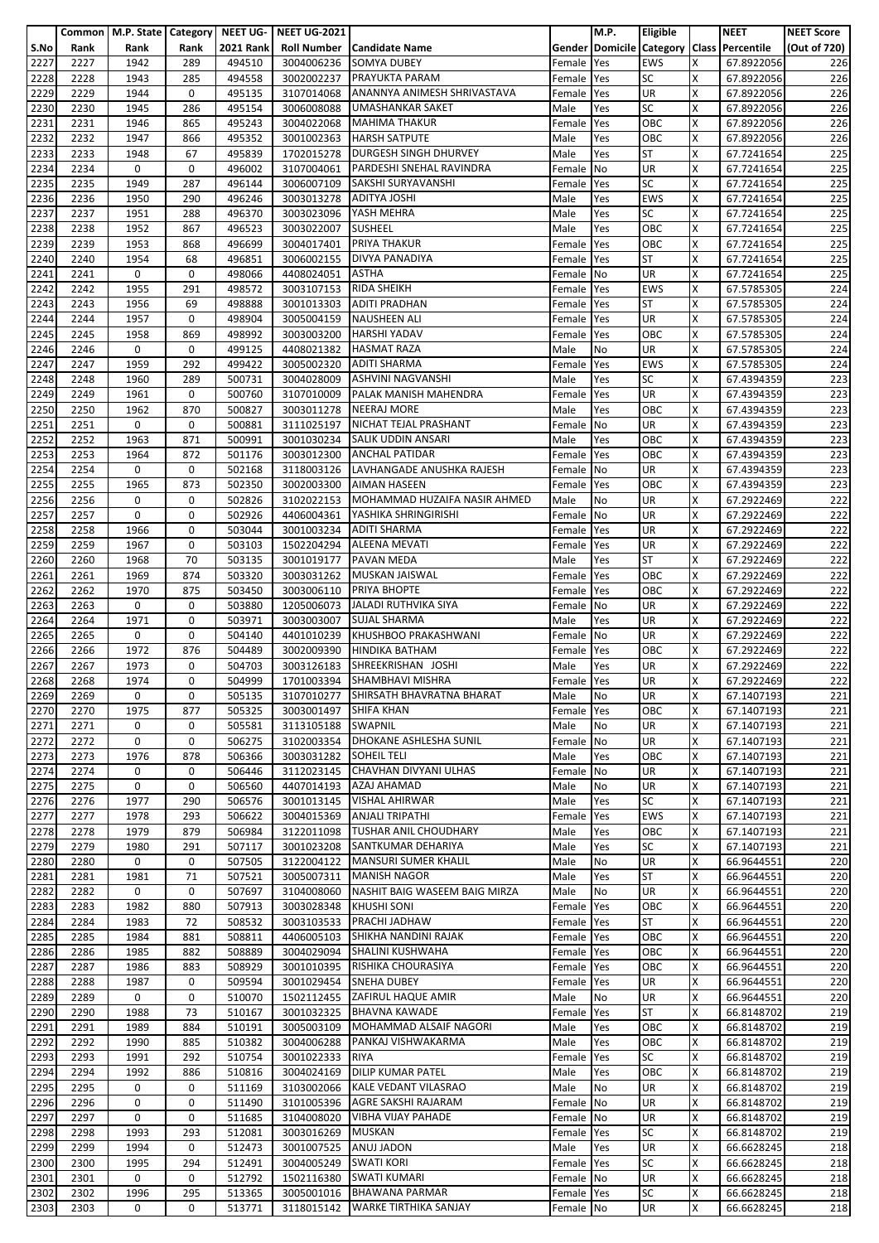|              |              | Common   M.P. State   Category |             |                  | NEET UG- NEET UG-2021    |                                                               |                      | M.P.       | <b>Eligible</b>  |        | <b>NEET</b>                               | <b>NEET Score</b> |
|--------------|--------------|--------------------------------|-------------|------------------|--------------------------|---------------------------------------------------------------|----------------------|------------|------------------|--------|-------------------------------------------|-------------------|
| S.No         | Rank         | Rank                           | Rank        | <b>2021 Rank</b> | <b>Roll Number</b>       | <b>Candidate Name</b>                                         |                      |            |                  |        | Gender Domicile Category Class Percentile | (Out of 720)      |
| 2227         | 2227         | 1942                           | 289         | 494510           | 3004006236               | <b>SOMYA DUBEY</b>                                            | Female               | Yes        | <b>EWS</b>       | x      | 67.8922056                                | 226               |
| 2228         | 2228         | 1943                           | 285         | 494558           | 3002002237               | <b>PRAYUKTA PARAM</b>                                         | Female               | Yes        | <b>SC</b>        | X      | 67.8922056                                | 226               |
| 2229         | 2229         | 1944                           | 0           | 495135           | 3107014068               | ANANNYA ANIMESH SHRIVASTAVA                                   | Female               | Yes        | <b>UR</b>        | x      | 67.8922056                                | 226               |
| 2230         | 2230         | 1945                           | 286         | 495154           | 3006008088               | <b>UMASHANKAR SAKET</b><br><b>MAHIMA THAKUR</b>               | Male                 | Yes        | SC               | Χ<br>x | 67.8922056                                | 226               |
| 2231         | 2231<br>2232 | 1946<br>1947                   | 865<br>866  | 495243           | 3004022068               | <b>HARSH SATPUTE</b>                                          | Female               | Yes        | OBC<br>OBC       | x      | 67.8922056                                | 226               |
| 2232<br>2233 | 2233         | 1948                           | 67          | 495352<br>495839 | 3001002363<br>1702015278 | DURGESH SINGH DHURVEY                                         | Male<br>Male         | Yes<br>Yes | <b>ST</b>        | X      | 67.8922056<br>67.7241654                  | 226<br>225        |
| 2234         | 2234         | 0                              | 0           | 496002           | 3107004061               | PARDESHI SNEHAL RAVINDRA                                      | Female               | No         | UR               | X      | 67.7241654                                | 225               |
| 2235         | 2235         | 1949                           | 287         | 496144           | 3006007109               | SAKSHI SURYAVANSHI                                            | Female               | Yes        | <b>SC</b>        | Χ      | 67.7241654                                | 225               |
| 2236         | 2236         | 1950                           | 290         | 496246           | 3003013278               | <b>ADITYA JOSHI</b>                                           | Male                 | Yes        | <b>EWS</b>       | X      | 67.7241654                                | 225               |
| 2237         | 2237         | 1951                           | 288         | 496370           | 3003023096               | YASH MEHRA                                                    | Male                 | Yes        | <b>SC</b>        | x      | 67.7241654                                | 225               |
| 2238         | 2238         | 1952                           | 867         | 496523           | 3003022007               | <b>SUSHEEL</b>                                                | Male                 | Yes        | OBC              | X      | 67.7241654                                | 225               |
| 2239         | 2239         | 1953                           | 868         | 496699           | 3004017401               | <b>PRIYA THAKUR</b>                                           | Female               | Yes        | OBC              | X      | 67.7241654                                | 225               |
| 2240         | 2240         | 1954                           | 68          | 496851           | 3006002155               | <b>DIVYA PANADIYA</b>                                         | Female               | Yes        | <b>ST</b>        | X      | 67.7241654                                | 225               |
| 2241         | 2241         | 0                              | 0           | 498066           | 4408024051               | <b>ASTHA</b>                                                  | Female               | No         | UR               | x      | 67.7241654                                | 225               |
| 2242         | 2242         | 1955                           | 291         | 498572           | 3003107153               | <b>RIDA SHEIKH</b>                                            | Female               | Yes        | <b>EWS</b>       | x      | 67.5785305                                | 224               |
| 2243         | 2243         | 1956                           | 69          | 498888           | 3001013303               | <b>ADITI PRADHAN</b>                                          | Female               | Yes        | <b>ST</b>        | X      | 67.5785305                                | 224               |
| 2244         | 2244         | 1957                           | 0           | 498904           | 3005004159               | <b>NAUSHEEN ALI</b>                                           | Female               | Yes        | <b>UR</b>        | X      | 67.5785305                                | 224               |
| 2245         | 2245         | 1958                           | 869         | 498992           | 3003003200               | <b>HARSHI YADAV</b>                                           | Female               | Yes        | OBC              | X      | 67.5785305                                | 224               |
| 2246         | 2246         | 0                              | 0           | 499125           | 4408021382               | <b>HASMAT RAZA</b>                                            | Male                 | No         | UR               | x      | 67.5785305                                | 224               |
| 2247         | 2247         | 1959                           | 292         | 499422           | 3005002320               | <b>ADITI SHARMA</b>                                           | Female               | Yes        | <b>EWS</b>       | x      | 67.5785305                                | 224               |
| 2248         | 2248         | 1960                           | 289         | 500731           | 3004028009               | <b>ASHVINI NAGVANSHI</b>                                      | Male                 | Yes        | <b>SC</b>        | X      | 67.4394359                                | 223               |
| 2249         | 2249         | 1961                           | 0           | 500760           | 3107010009               | PALAK MANISH MAHENDRA                                         | Female               | Yes        | <b>UR</b>        | X      | 67.4394359                                | 223               |
| 2250         | 2250         | 1962                           | 870         | 500827           | 3003011278               | <b>NEERAJ MORE</b>                                            | Male                 | Yes        | OBC              | X      | 67.4394359                                | 223               |
| 2251         | 2251         | 0                              | 0           | 500881           | 3111025197               | NICHAT TEJAL PRASHANT                                         | Female               | <b>No</b>  | UR               | x      | 67.4394359                                | 223               |
| 2252         | 2252         | 1963                           | 871         | 500991           | 3001030234               | SALIK UDDIN ANSARI                                            | Male                 | Yes        | OBC              | X      | 67.4394359                                | 223               |
| 2253<br>2254 | 2253<br>2254 | 1964<br>0                      | 872<br>0    | 501176           | 3003012300               | <b>ANCHAL PATIDAR</b><br>3118003126 LAVHANGADE ANUSHKA RAJESH | Female               | Yes        | OBC<br>UR        | Χ<br>X | 67.4394359                                | 223<br>223        |
| 2255         | 2255         | 1965                           | 873         | 502168<br>502350 | 3002003300               | <b>AIMAN HASEEN</b>                                           | Female<br>Female Yes | No         | OBC              | Χ      | 67.4394359<br>67.4394359                  | 223               |
| 2256         | 2256         | 0                              | 0           | 502826           | 3102022153               | MOHAMMAD HUZAIFA NASIR AHMED                                  | Male                 | No         | UR               | x      | 67.2922469                                | 222               |
| 2257         | 2257         | 0                              | 0           | 502926           | 4406004361               | YASHIKA SHRINGIRISHI                                          | Female               | <b>No</b>  | <b>UR</b>        | X      | 67.2922469                                | 222               |
| 2258         | 2258         | 1966                           | 0           | 503044           | 3001003234               | <b>ADITI SHARMA</b>                                           | Female               | Yes        | UR               | X      | 67.2922469                                | 222               |
| 2259         | 2259         | 1967                           | 0           | 503103           | 1502204294               | <b>ALEENA MEVATI</b>                                          | Female               | Yes        | UR               | X      | 67.2922469                                | 222               |
| 2260         | 2260         | 1968                           | 70          | 503135           | 3001019177               | <b>PAVAN MEDA</b>                                             | Male                 | Yes        | <b>ST</b>        | Χ      | 67.2922469                                | 222               |
| 2261         | 2261         | 1969                           | 874         | 503320           | 3003031262               | MUSKAN JAISWAL                                                | Female               | Yes        | OBC              | x      | 67.2922469                                | 222               |
| 2262         | 2262         | 1970                           | 875         | 503450           | 3003006110               | <b>PRIYA BHOPTE</b>                                           | Female               | Yes        | OBC              | x      | 67.2922469                                | 222               |
| 2263         | 2263         | 0                              | 0           | 503880           | 1205006073               | <b>JALADI RUTHVIKA SIYA</b>                                   | Female               | No         | UR               | X      | 67.2922469                                | 222               |
| 2264         | 2264         | 1971                           | 0           | 503971           | 3003003007               | <b>SUJAL SHARMA</b>                                           | Male                 | Yes        | UR               | X      | 67.2922469                                | 222               |
| 2265         | 2265         | 0                              | 0           | 504140           | 4401010239               | KHUSHBOO PRAKASHWANI                                          | Female No            |            | <b>UR</b>        | X      | 67.2922469                                | 222               |
| 2266         | 2266         | 1972                           | 876         | 504489           | 3002009390               | <b>HINDIKA BATHAM</b>                                         | Female               | Yes        | OBC              | X      | 67.2922469                                | 222               |
| 2267         | 2267         | 1973                           | 0           | 504703           | 3003126183               | SHREEKRISHAN JOSHI                                            | Male                 | Yes        | UR               | X      | 67.2922469                                | 222               |
| 2268         | 2268         | 1974                           | 0           | 504999           |                          | 1701003394 SHAMBHAVI MISHRA                                   | Female Yes           |            | UR               | X      | 67.2922469                                | 222               |
| 2269         | 2269         | 0                              | 0           | 505135           |                          | 3107010277 SHIRSATH BHAVRATNA BHARAT                          | Male                 | No         | UR               | X      | 67.1407193                                | 221               |
| 2270         | 2270         | 1975                           | 877         | 505325           | 3003001497               | <b>SHIFA KHAN</b>                                             | Female Yes           |            | OBC              | Χ      | 67.1407193                                | 221               |
| 2271         | 2271         | 0                              | 0           | 505581           | 3113105188               | <b>SWAPNIL</b>                                                | Male                 | No         | <b>UR</b>        | X      | 67.1407193                                | 221               |
| 2272         | 2272         | 0                              | 0           | 506275           |                          | 3102003354 DHOKANE ASHLESHA SUNIL                             | Female No            |            | <b>UR</b>        | X      | 67.1407193                                | 221               |
| 2273         | 2273<br>2274 | 1976<br>0                      | 878<br>0    | 506366           | 3003031282               | <b>SOHEIL TELI</b><br>3112023145 CHAVHAN DIVYANI ULHAS        | Male                 | Yes        | OBC<br>UR        | X<br>X | 67.1407193                                | 221               |
| 2274<br>2275 | 2275         | 0                              | $\mathbf 0$ | 506446<br>506560 | 4407014193               | AZAJ AHAMAD                                                   | Female No<br>Male    | No         | UR               | Χ      | 67.1407193<br>67.1407193                  | 221<br>221        |
| 2276         | 2276         | 1977                           | 290         | 506576           | 3001013145               | <b>VISHAL AHIRWAR</b>                                         | Male                 | Yes        | <b>SC</b>        | X      | 67.1407193                                | 221               |
| 2277         | 2277         | 1978                           | 293         | 506622           | 3004015369               | <b>ANJALI TRIPATHI</b>                                        | Female               | Yes        | <b>EWS</b>       | X      | 67.1407193                                | 221               |
| 2278         | 2278         | 1979                           | 879         | 506984           | 3122011098               | <b>TUSHAR ANIL CHOUDHARY</b>                                  | Male                 | Yes        | OBC              | X      | 67.1407193                                | 221               |
| 2279         | 2279         | 1980                           | 291         | 507117           | 3001023208               | SANTKUMAR DEHARIYA                                            | Male                 | Yes        | <b>SC</b>        | x      | 67.1407193                                | 221               |
| 2280         | 2280         | 0                              | $\mathbf 0$ | 507505           | 3122004122               | <b>MANSURI SUMER KHALIL</b>                                   | Male                 | No         | <b>UR</b>        | X      | 66.9644551                                | 220               |
| 2281         | 2281         | 1981                           | 71          | 507521           |                          | 3005007311 MANISH NAGOR                                       | Male                 | Yes        | <b>ST</b>        | X      | 66.9644551                                | 220               |
| 2282         | 2282         | 0                              | 0           | 507697           | 3104008060               | NASHIT BAIG WASEEM BAIG MIRZA                                 | Male                 | No         | UR               | Χ      | 66.9644551                                | 220               |
| 2283         | 2283         | 1982                           | 880         | 507913           | 3003028348               | <b>KHUSHI SONI</b>                                            | Female               | Yes        | OBC              | X      | 66.9644551                                | 220               |
| 2284         | 2284         | 1983                           | 72          | 508532           |                          | 3003103533 PRACHI JADHAW                                      | Female               | Yes        | <b>ST</b>        | x      | 66.9644551                                | 220               |
| 2285         | 2285         | 1984                           | 881         | 508811           | 4406005103               | SHIKHA NANDINI RAJAK                                          | Female Yes           |            | OBC              | Χ      | 66.9644551                                | 220               |
| 2286         | 2286         | 1985                           | 882         | 508889           |                          | 3004029094 SHALINI KUSHWAHA                                   | Female               | Yes        | OBC              | X      | 66.9644551                                | 220               |
| 2287         | 2287         | 1986                           | 883         | 508929           |                          | 3001010395 RISHIKA CHOURASIYA                                 | Female               | Yes        | OBC              | X      | 66.9644551                                | 220               |
| 2288         | 2288         | 1987                           | 0           | 509594           |                          | 3001029454 SNEHA DUBEY                                        | Female Yes           |            | UR               | x      | 66.9644551                                | 220               |
| 2289         | 2289         | 0                              | 0           | 510070           |                          | 1502112455 ZAFIRUL HAQUE AMIR                                 | Male                 | No         | <b>UR</b>        | x      | 66.9644551                                | 220               |
| 2290<br>2291 | 2290<br>2291 | 1988<br>1989                   | 73<br>884   | 510167<br>510191 | 3001032325               | <b>BHAVNA KAWADE</b><br>3005003109 MOHAMMAD ALSAIF NAGORI     | Female<br>Male       | Yes        | <b>ST</b><br>OBC | X<br>X | 66.8148702                                | 219<br>219        |
| 2292         | 2292         | 1990                           | 885         | 510382           | 3004006288               | PANKAJ VISHWAKARMA                                            | Male                 | Yes<br>Yes | OBC              | x      | 66.8148702<br>66.8148702                  | 219               |
| 2293         | 2293         | 1991                           | 292         | 510754           | 3001022333               | <b>RIYA</b>                                                   | Female               | Yes        | <b>SC</b>        | X      | 66.8148702                                | 219               |
| 2294         | 2294         | 1992                           | 886         | 510816           | 3004024169               | <b>DILIP KUMAR PATEL</b>                                      | Male                 | Yes        | OBC              | X      | 66.8148702                                | 219               |
| 2295         | 2295         | 0                              | 0           | 511169           | 3103002066               | KALE VEDANT VILASRAO                                          | Male                 | No         | UR               | Χ      | 66.8148702                                | 219               |
| 2296         | 2296         | 0                              | 0           | 511490           | 3101005396               | AGRE SAKSHI RAJARAM                                           | Female               | No         | UR               | X      | 66.8148702                                | 219               |
| 2297         | 2297         | 0                              | 0           | 511685           | 3104008020               | <b>VIBHA VIJAY PAHADE</b>                                     | Female No            |            | UR               | X      | 66.8148702                                | 219               |
| 2298         | 2298         | 1993                           | 293         | 512081           | 3003016269               | MUSKAN                                                        | Female Yes           |            | <b>SC</b>        | X      | 66.8148702                                | 219               |
| 2299         | 2299         | 1994                           | 0           | 512473           | 3001007525               | ANUJ JADON                                                    | Male                 | Yes        | <b>UR</b>        | x      | 66.6628245                                | 218               |
| 2300         | 2300         | 1995                           | 294         | 512491           | 3004005249               | <b>SWATI KORI</b>                                             | Female Yes           |            | <b>SC</b>        | X      | 66.6628245                                | 218               |
| 2301         | 2301         | 0                              | 0           | 512792           | 1502116380               | <b>SWATI KUMARI</b>                                           | Female No            |            | <b>UR</b>        | X      | 66.6628245                                | 218               |
| 2302         | 2302         | 1996                           | 295         | 513365           | 3005001016               | <b>BHAWANA PARMAR</b>                                         | Female Yes           |            | <b>SC</b>        | X      | 66.6628245                                | 218               |
| 2303         | 2303         | 0                              | 0           | 513771           | 3118015142               | <b>WARKE TIRTHIKA SANJAY</b>                                  | Female No            |            | UR               | X      | 66.6628245                                | 218               |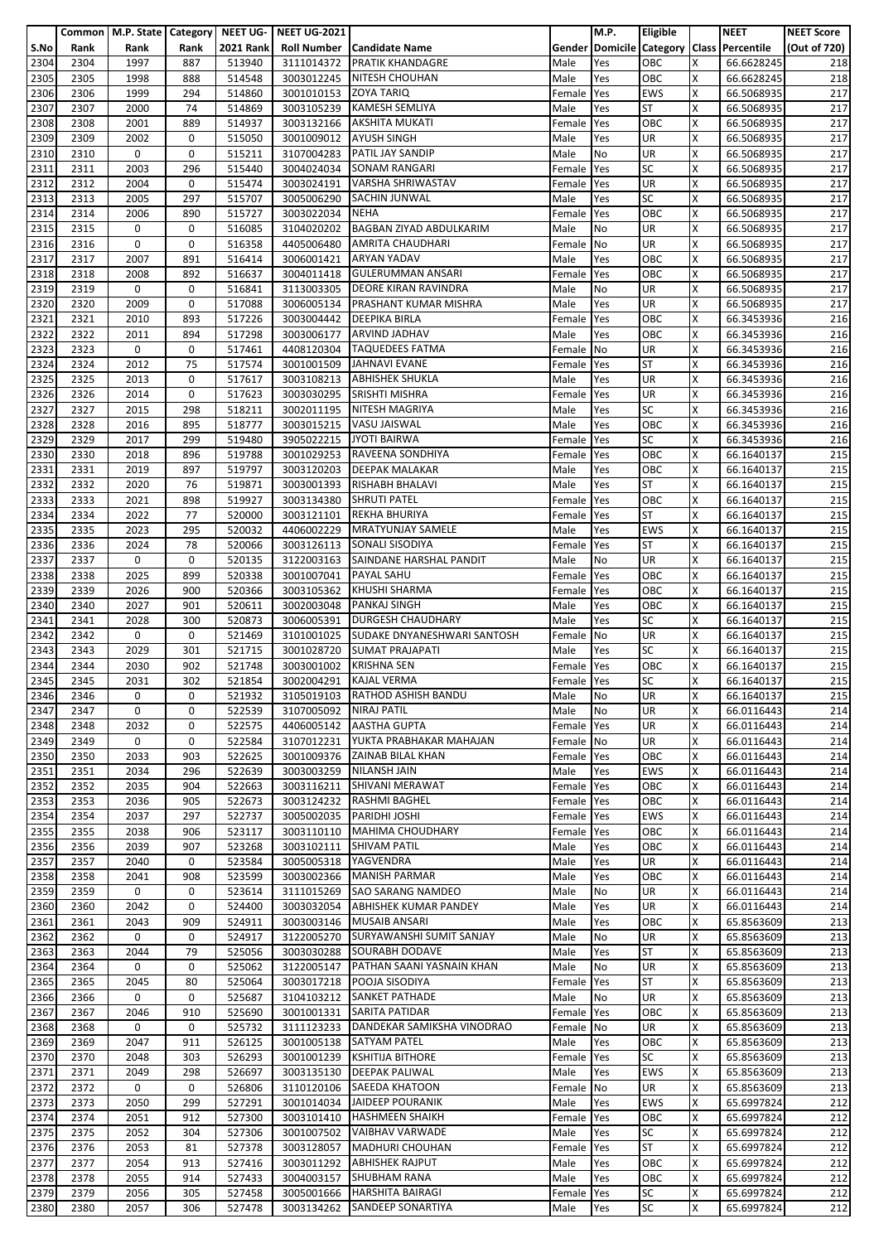|              |              | Common   M.P. State   Category   NEET UG- |             |                  | <b>NEET UG-2021</b>      |                                                     |                    | M.P.       | <b>Eligible</b>        |        | <b>NEET</b>                               | <b>NEET Score</b> |
|--------------|--------------|-------------------------------------------|-------------|------------------|--------------------------|-----------------------------------------------------|--------------------|------------|------------------------|--------|-------------------------------------------|-------------------|
| S.No         | Rank         | Rank                                      | Rank        | <b>2021 Rank</b> |                          | <b>Roll Number   Candidate Name</b>                 |                    |            |                        |        | Gender Domicile Category Class Percentile | (Out of 720)      |
| 2304<br>2305 | 2304<br>2305 | 1997<br>1998                              | 887<br>888  | 513940<br>514548 | 3111014372<br>3003012245 | <b>PRATIK KHANDAGRE</b><br><b>NITESH CHOUHAN</b>    | Male<br>Male       | Yes<br>Yes | OBC<br>OBC             | Χ<br>X | 66.6628245<br>66.6628245                  | 218<br>218        |
| 2306         | 2306         | 1999                                      | 294         | 514860           | 3001010153               | <b>ZOYA TARIQ</b>                                   | Female             | Yes        | <b>EWS</b>             | X      | 66.5068935                                | 217               |
| 2307         | 2307         | 2000                                      | 74          | 514869           | 3003105239               | <b>KAMESH SEMLIYA</b>                               | Male               | Yes        | <b>ST</b>              | Χ      | 66.5068935                                | 217               |
| 2308         | 2308         | 2001                                      | 889         | 514937           | 3003132166               | <b>AKSHITA MUKATI</b>                               | Female             | Yes        | OBC                    | x      | 66.5068935                                | 217               |
| 2309         | 2309         | 2002                                      | 0           | 515050           | 3001009012               | <b>AYUSH SINGH</b>                                  | Male               | Yes        | UR                     | x      | 66.5068935                                | 217               |
| 2310<br>2311 | 2310<br>2311 | 0<br>2003                                 | 0<br>296    | 515211<br>515440 | 3107004283               | PATIL JAY SANDIP<br>3004024034 SONAM RANGARI        | Male               | No<br>Yes  | <b>UR</b><br><b>SC</b> | X<br>X | 66.5068935<br>66.5068935                  | 217<br>217        |
| 2312         | 2312         | 2004                                      | 0           | 515474           | 3003024191               | VARSHA SHRIWASTAV                                   | Female<br>Female   | Yes        | <b>UR</b>              | Χ      | 66.5068935                                | 217               |
| 2313         | 2313         | 2005                                      | 297         | 515707           | 3005006290               | <b>SACHIN JUNWAL</b>                                | Male               | Yes        | <b>SC</b>              | x      | 66.5068935                                | 217               |
| 2314         | 2314         | 2006                                      | 890         | 515727           | 3003022034               | <b>NEHA</b>                                         | Female             | Yes        | OBC                    | x      | 66.5068935                                | 217               |
| 2315         | 2315         | 0                                         | 0           | 516085           | 3104020202               | <b>BAGBAN ZIYAD ABDULKARIM</b>                      | Male               | No         | UR                     | X      | 66.5068935                                | 217               |
| 2316         | 2316         | 0                                         | 0           | 516358           | 4405006480               | <b>AMRITA CHAUDHARI</b>                             | Female             | No         | UR                     | X      | 66.5068935                                | 217               |
| 2317         | 2317         | 2007                                      | 891<br>892  | 516414           | 3006001421               | <b>ARYAN YADAV</b><br><b>GULERUMMAN ANSARI</b>      | Male               | Yes        | OBC<br>OBC             | Χ<br>x | 66.5068935                                | 217               |
| 2318<br>2319 | 2318<br>2319 | 2008<br>0                                 | 0           | 516637<br>516841 | 3004011418<br>3113003305 | <b>DEORE KIRAN RAVINDRA</b>                         | Female<br>Male     | Yes<br>No  | UR                     | x      | 66.5068935<br>66.5068935                  | 217<br>217        |
| 2320         | 2320         | 2009                                      | 0           | 517088           | 3006005134               | PRASHANT KUMAR MISHRA                               | Male               | Yes        | <b>UR</b>              | X      | 66.5068935                                | 217               |
| 2321         | 2321         | 2010                                      | 893         | 517226           | 3003004442               | <b>DEEPIKA BIRLA</b>                                | Female             | Yes        | OBC                    | X      | 66.3453936                                | 216               |
| 2322         | 2322         | 2011                                      | 894         | 517298           | 3003006177               | <b>ARVIND JADHAV</b>                                | Male               | Yes        | OBC                    | Χ      | 66.3453936                                | 216               |
| 2323         | 2323         | 0                                         | 0           | 517461           | 4408120304               | <b>TAQUEDEES FATMA</b>                              | Female             | No         | UR                     | x      | 66.3453936                                | 216               |
| 2324         | 2324         | 2012                                      | 75          | 517574           | 3001001509               | JAHNAVI EVANE                                       | Female             | Yes        | <b>ST</b>              | X      | 66.3453936                                | 216               |
| 2325<br>2326 | 2325<br>2326 | 2013<br>2014                              | 0<br>0      | 517617<br>517623 | 3003108213<br>3003030295 | <b>ABHISHEK SHUKLA</b><br>SRISHTI MISHRA            | Male<br>Female     | Yes<br>Yes | UR<br>UR               | X<br>x | 66.3453936<br>66.3453936                  | 216<br>216        |
| 2327         | 2327         | 2015                                      | 298         | 518211           | 3002011195               | <b>NITESH MAGRIYA</b>                               | Male               | Yes        | SC                     | Χ      | 66.3453936                                | 216               |
| 2328         | 2328         | 2016                                      | 895         | 518777           | 3003015215               | <b>VASU JAISWAL</b>                                 | Male               | Yes        | OBC                    | X      | 66.3453936                                | 216               |
| 2329         | 2329         | 2017                                      | 299         | 519480           | 3905022215               | <b>JYOTI BAIRWA</b>                                 | Female             | Yes        | <b>SC</b>              | X      | 66.3453936                                | 216               |
| 2330         | 2330         | 2018                                      | 896         | 519788           | 3001029253               | RAVEENA SONDHIYA                                    | Female             | Yes        | OBC                    | Χ      | 66.1640137                                | 215               |
| 2331         | 2331         | 2019                                      | 897         | 519797           |                          | 3003120203 DEEPAK MALAKAR                           | Male               | Yes        | OBC                    | X      | 66.1640137                                | 215               |
| 2332<br>2333 | 2332<br>2333 | 2020<br>2021                              | 76<br>898   | 519871<br>519927 | 3003001393<br>3003134380 | <b>RISHABH BHALAVI</b><br><b>SHRUTI PATEL</b>       | Male<br>Female     | Yes<br>Yes | <b>ST</b><br>OBC       | Χ<br>x | 66.1640137<br>66.1640137                  | 215<br>215        |
| 2334         | 2334         | 2022                                      | 77          | 520000           | 3003121101               | <b>REKHA BHURIYA</b>                                | Female             | Yes        | <b>ST</b>              | X      | 66.1640137                                | 215               |
| 2335         | 2335         | 2023                                      | 295         | 520032           | 4406002229               | MRATYUNJAY SAMELE                                   | Male               | Yes        | <b>EWS</b>             | X      | 66.1640137                                | 215               |
| 2336         | 2336         | 2024                                      | 78          | 520066           | 3003126113               | SONALI SISODIYA                                     | Female             | Yes        | <b>ST</b>              | x      | 66.1640137                                | 215               |
| 2337         | 2337         | 0                                         | 0           | 520135           | 3122003163               | SAINDANE HARSHAL PANDIT                             | Male               | No         | UR                     | Χ      | 66.1640137                                | 215               |
| 2338         | 2338         | 2025                                      | 899         | 520338           | 3001007041               | <b>PAYAL SAHU</b>                                   | Female             | Yes        | OBC                    | x      | 66.1640137                                | 215               |
| 2339         | 2339         | 2026                                      | 900         | 520366           | 3003105362               | <b>KHUSHI SHARMA</b><br><b>PANKAJ SINGH</b>         | Female             | Yes        | OBC                    | X<br>Χ | 66.1640137<br>66.1640137                  | 215               |
| 2340<br>2341 | 2340<br>2341 | 2027<br>2028                              | 901<br>300  | 520611<br>520873 | 3002003048<br>3006005391 | <b>DURGESH CHAUDHARY</b>                            | Male<br>Male       | Yes<br>Yes | OBC<br><b>SC</b>       | X      | 66.1640137                                | 215<br>215        |
| 2342         | 2342         | 0                                         | 0           | 521469           | 3101001025               | SUDAKE DNYANESHWARI SANTOSH                         | Female No          |            | <b>UR</b>              | X      | 66.1640137                                | 215               |
| 2343         | 2343         | 2029                                      | 301         | 521715           | 3001028720               | <b>SUMAT PRAJAPATI</b>                              | Male               | Yes        | <b>SC</b>              | x      | 66.1640137                                | 215               |
| 2344         | 2344         | 2030                                      | 902         | 521748           | 3003001002               | <b>KRISHNA SEN</b>                                  | Female             | Yes        | OBC                    | X      | 66.1640137                                | 215               |
| 2345         | 2345         | 2031                                      | 302         | 521854           | 3002004291               | <b>KAJAL VERMA</b>                                  | Female Yes         |            | <b>SC</b>              | X      | 66.1640137                                | 215               |
| 2346         | 2346         | 0                                         | 0           | 521932           |                          | 3105019103 RATHOD ASHISH BANDU                      | Male               | No         | <b>UR</b>              | X      | 66.1640137                                | 215               |
| 2347<br>2348 | 2347<br>2348 | 0<br>2032                                 | 0<br>0      | 522539<br>522575 | 3107005092               | <b>NIRAJ PATIL</b><br>4406005142 AASTHA GUPTA       | Male<br>Female Yes | No         | <b>UR</b><br><b>UR</b> | X<br>X | 66.0116443<br>66.0116443                  | 214<br>214        |
| 2349         | 2349         | 0                                         | 0           | 522584           | 3107012231               | YUKTA PRABHAKAR MAHAJAN                             | Female No          |            | <b>UR</b>              | x      | 66.0116443                                | 214               |
| 2350         | 2350         | 2033                                      | 903         | 522625           | 3001009376               | <b>ZAINAB BILAL KHAN</b>                            | Female             | Yes        | OBC                    | X      | 66.0116443                                | 214               |
| 2351         | 2351         | 2034                                      | 296         | 522639           |                          | 3003003259 NILANSH JAIN                             | Male               | Yes        | <b>EWS</b>             | x      | 66.0116443                                | 214               |
| 2352         | 2352         | 2035                                      | 904         | 522663           | 3003116211               | SHIVANI MERAWAT                                     | Female Yes         |            | OBC                    | Χ      | 66.0116443                                | 214               |
| 2353         | 2353         | 2036                                      | 905         | 522673           |                          | 3003124232 RASHMI BAGHEL                            | Female Yes         |            | OBC                    | X      | 66.0116443                                | 214               |
| 2354         | 2354         | 2037                                      | 297         | 522737<br>523117 | 3005002035               | <b>PARIDHI JOSHI</b><br>3003110110 MAHIMA CHOUDHARY | Female             | Yes        | <b>EWS</b><br>OBC      | X<br>X | 66.0116443<br>66.0116443                  | 214               |
| 2355<br>2356 | 2355<br>2356 | 2038<br>2039                              | 906<br>907  | 523268           | 3003102111               | <b>SHIVAM PATIL</b>                                 | Female<br>Male     | Yes<br>Yes | OBC                    | x      | 66.0116443                                | 214<br>214        |
| 2357         | 2357         | 2040                                      | 0           | 523584           | 3005005318               | YAGVENDRA                                           | Male               | Yes        | <b>UR</b>              | X      | 66.0116443                                | 214               |
| 2358         | 2358         | 2041                                      | 908         | 523599           | 3003002366               | <b>MANISH PARMAR</b>                                | Male               | Yes        | OBC                    | X      | 66.0116443                                | 214               |
| 2359         | 2359         | 0                                         | 0           | 523614           |                          | 3111015269 SAO SARANG NAMDEO                        | Male               | No         | UR                     | X      | 66.0116443                                | 214               |
| 2360         | 2360         | 2042                                      | 0           | 524400           | 3003032054               | <b>ABHISHEK KUMAR PANDEY</b>                        | Male               | Yes        | UR                     | Χ      | 66.0116443                                | 214               |
| 2361         | 2361         | 2043                                      | 909         | 524911           |                          | 3003003146 MUSAIB ANSARI                            | Male               | Yes        | OBC                    | x      | 65.8563609                                | 213               |
| 2362<br>2363 | 2362<br>2363 | 0<br>2044                                 | 0<br>79     | 524917<br>525056 | 3122005270<br>3003030288 | SURYAWANSHI SUMIT SANJAY<br><b>SOURABH DODAVE</b>   | Male<br>Male       | No<br>Yes  | UR<br><b>ST</b>        | Χ<br>X | 65.8563609<br>65.8563609                  | 213<br>213        |
| 2364         | 2364         | 0                                         | 0           | 525062           |                          | 3122005147 PATHAN SAANI YASNAIN KHAN                | Male               | No         | UR                     | X      | 65.8563609                                | 213               |
| 2365         | 2365         | 2045                                      | 80          | 525064           |                          | 3003017218 POOJA SISODIYA                           | Female Yes         |            | <b>ST</b>              | X      | 65.8563609                                | 213               |
| 2366         | 2366         | 0                                         | 0           | 525687           |                          | 3104103212 SANKET PATHADE                           | Male               | No         | <b>UR</b>              | x      | 65.8563609                                | 213               |
| 2367         | 2367         | 2046                                      | 910         | 525690           | 3001001331               | SARITA PATIDAR                                      | Female             | Yes        | OBC                    | X      | 65.8563609                                | 213               |
| 2368         | 2368         | $\mathbf 0$                               | $\mathbf 0$ | 525732           |                          | 3111123233 DANDEKAR SAMIKSHA VINODRAO               | Female No          |            | <b>UR</b>              | x      | 65.8563609                                | 213               |
| 2369<br>2370 | 2369<br>2370 | 2047<br>2048                              | 911<br>303  | 526125<br>526293 | 3001001239               | 3001005138 SATYAM PATEL<br><b>KSHITIJA BITHORE</b>  | Male<br>Female Yes | Yes        | OBC<br><b>SC</b>       | x<br>X | 65.8563609<br>65.8563609                  | 213<br>213        |
| 2371         | 2371         | 2049                                      | 298         | 526697           | 3003135130               | <b>DEEPAK PALIWAL</b>                               | Male               | Yes        | <b>EWS</b>             | X      | 65.8563609                                | 213               |
| 2372         | 2372         | 0                                         | 0           | 526806           | 3110120106               | SAEEDA KHATOON                                      | Female No          |            | <b>UR</b>              | Χ      | 65.8563609                                | 213               |
| 2373         | 2373         | 2050                                      | 299         | 527291           | 3001014034               | JAIDEEP POURANIK                                    | Male               | Yes        | <b>EWS</b>             | X      | 65.6997824                                | 212               |
| 2374         | 2374         | 2051                                      | 912         | 527300           | 3003101410               | <b>HASHMEEN SHAIKH</b>                              | Female Yes         |            | ОВС                    | X      | 65.6997824                                | 212               |
| 2375         | 2375         | 2052                                      | 304         | 527306           | 3001007502               | VAIBHAV VARWADE                                     | Male               | Yes        | <b>SC</b>              | X      | 65.6997824                                | 212               |
| 2376         | 2376         | 2053                                      | 81          | 527378           | 3003128057               | <b>MADHURI CHOUHAN</b>                              | Female             | Yes        | <b>ST</b>              | x      | 65.6997824                                | 212               |
| 2377         | 2377         | 2054                                      | 913<br>914  | 527416<br>527433 | 3003011292               | <b>ABHISHEK RAJPUT</b><br>3004003157 SHUBHAM RANA   | Male               | Yes        | OBC<br>OBC             | X<br>X | 65.6997824                                | 212               |
| 2378<br>2379 | 2378<br>2379 | 2055<br>2056                              | 305         | 527458           | 3005001666               | <b>HARSHITA BAIRAGI</b>                             | Male<br>Female Yes | Yes        | <b>SC</b>              | X      | 65.6997824<br>65.6997824                  | 212<br>212        |
| 2380         | 2380         | 2057                                      | 306         | 527478           | 3003134262               | SANDEEP SONARTIYA                                   | Male               | Yes        | SC                     | X      | 65.6997824                                | 212               |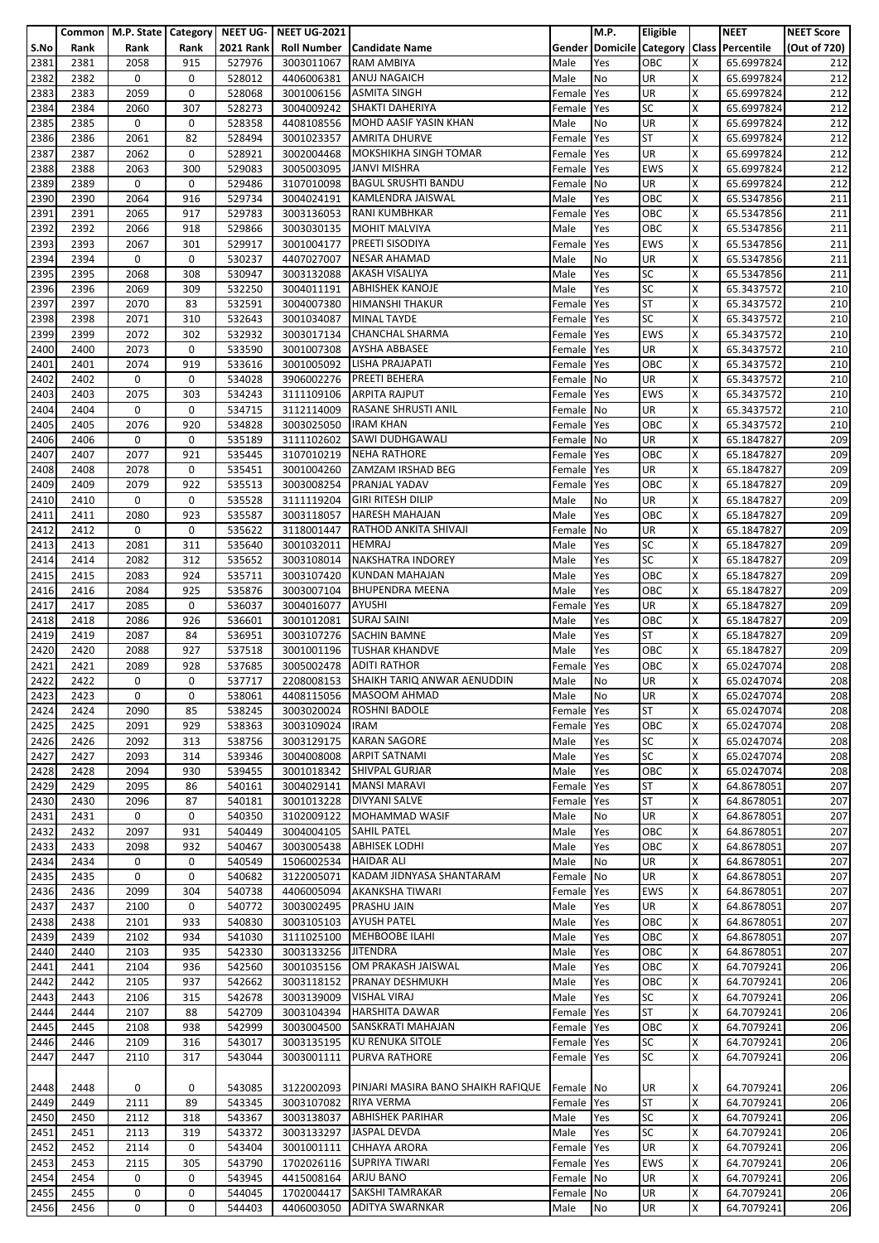|      |      | Common   M.P. State   Category   NEET UG- |      |                  | <b>NEET UG-2021</b> |                                        |            | M.P.      | <b>Eligible</b> |   | <b>NEET</b>                               | <b>NEET Score</b> |
|------|------|-------------------------------------------|------|------------------|---------------------|----------------------------------------|------------|-----------|-----------------|---|-------------------------------------------|-------------------|
| S.No | Rank | Rank                                      | Rank | <b>2021 Rank</b> |                     | Roll Number   Candidate Name           |            |           |                 |   | Gender Domicile Category Class Percentile | (Out of 720)      |
| 2381 | 2381 | 2058                                      | 915  | 527976           | 3003011067          | <b>RAM AMBIYA</b>                      | Male       | Yes       | OBC             | x | 65.6997824                                | 212               |
| 2382 | 2382 | 0                                         | 0    | 528012           | 4406006381          | <b>ANUJ NAGAICH</b>                    | Male       | No        | <b>UR</b>       | x | 65.6997824                                | 212               |
| 2383 | 2383 | 2059                                      | 0    | 528068           | 3001006156          | <b>ASMITA SINGH</b>                    | Female     | Yes       | <b>UR</b>       | X | 65.6997824                                | 212               |
| 2384 | 2384 | 2060                                      | 307  | 528273           | 3004009242          | <b>SHAKTI DAHERIYA</b>                 | Female     | Yes       | <b>SC</b>       | x | 65.6997824                                | 212               |
| 2385 | 2385 | 0                                         | 0    | 528358           | 4408108556          | MOHD AASIF YASIN KHAN                  | Male       | No        | UR              | x | 65.6997824                                | 212               |
| 2386 | 2386 | 2061                                      | 82   | 528494           | 3001023357          | <b>AMRITA DHURVE</b>                   | Female     | Yes       | <b>ST</b>       | X | 65.6997824                                | 212               |
| 2387 | 2387 | 2062                                      | 0    | 528921           | 3002004468          | <b>MOKSHIKHA SINGH TOMAR</b>           | Female     | Yes       | <b>UR</b>       | Χ | 65.6997824                                | 212               |
| 2388 | 2388 | 2063                                      | 300  | 529083           | 3005003095          | <b>JANVI MISHRA</b>                    | Female     | Yes       | <b>EWS</b>      | x | 65.6997824                                | 212               |
| 2389 | 2389 | 0                                         | 0    | 529486           | 3107010098          | <b>BAGUL SRUSHTI BANDU</b>             | Female No  |           | UR              | x | 65.6997824                                | 212               |
| 2390 | 2390 | 2064                                      | 916  | 529734           | 3004024191          | KAMLENDRA JAISWAL                      | Male       | Yes       | OBC             | X | 65.5347856                                | 211               |
| 2391 | 2391 | 2065                                      | 917  | 529783           | 3003136053          | <b>RANI KUMBHKAR</b>                   | Female     | Yes       | OBC             | x | 65.5347856                                | 211               |
| 2392 | 2392 | 2066                                      | 918  | 529866           | 3003030135          | <b>MOHIT MALVIYA</b>                   | Male       | Yes       | OBC             | X | 65.5347856                                | 211               |
| 2393 | 2393 | 2067                                      | 301  | 529917           | 3001004177          | PREETI SISODIYA                        | Female     | Yes       | <b>EWS</b>      | X | 65.5347856                                | 211               |
| 2394 | 2394 | 0                                         | 0    | 530237           | 4407027007          | <b>NESAR AHAMAD</b>                    | Male       | No        | UR              | X | 65.5347856                                | 211               |
| 2395 | 2395 | 2068                                      | 308  | 530947           | 3003132088          | <b>AKASH VISALIYA</b>                  | Male       | Yes       | <b>SC</b>       | X | 65.5347856                                | 211               |
| 2396 | 2396 | 2069                                      | 309  | 532250           | 3004011191          | <b>ABHISHEK KANOJE</b>                 | Male       | Yes       | SC              | X | 65.3437572                                | 210               |
| 2397 | 2397 | 2070                                      | 83   | 532591           | 3004007380          | <b>HIMANSHI THAKUR</b>                 | Female     | Yes       | <b>ST</b>       | Χ | 65.3437572                                | 210               |
| 2398 | 2398 | 2071                                      | 310  | 532643           | 3001034087          | <b>MINAL TAYDE</b>                     | Female     | Yes       | <b>SC</b>       | x | 65.3437572                                | 210               |
| 2399 | 2399 | 2072                                      | 302  | 532932           | 3003017134          | <b>CHANCHAL SHARMA</b>                 | Female Yes |           | <b>EWS</b>      | X | 65.3437572                                | 210               |
| 2400 | 2400 | 2073                                      | 0    | 533590           | 3001007308          | <b>AYSHA ABBASEE</b>                   | Female     | Yes       | UR              | Χ | 65.3437572                                | 210               |
| 2401 | 2401 | 2074                                      | 919  | 533616           | 3001005092          | <b>LISHA PRAJAPATI</b>                 | Female     | Yes       | OBC             | x | 65.3437572                                | 210               |
| 2402 | 2402 | $\mathbf 0$                               | 0    | 534028           | 3906002276          | <b>PREETI BEHERA</b>                   | Female No  |           | <b>UR</b>       | Χ | 65.3437572                                | 210               |
| 2403 | 2403 | 2075                                      | 303  | 534243           | 3111109106          | <b>ARPITA RAJPUT</b>                   | Female     | Yes       | <b>EWS</b>      | X | 65.3437572                                | 210               |
| 2404 | 2404 | 0                                         | 0    | 534715           | 3112114009          | <b>RASANE SHRUSTI ANIL</b>             | Female     | No        | UR              | x | 65.3437572                                | 210               |
| 2405 | 2405 | 2076                                      | 920  | 534828           | 3003025050          | <b>IRAM KHAN</b>                       | Female     | Yes       | OBC             | Χ | 65.3437572                                | 210               |
| 2406 | 2406 | 0                                         | 0    | 535189           | 3111102602          | SAWI DUDHGAWALI                        | Female     | No        | <b>UR</b>       | X | 65.1847827                                | 209               |
| 2407 | 2407 | 2077                                      | 921  | 535445           | 3107010219          | <b>NEHA RATHORE</b>                    | Female     | Yes       | OBC             | Χ | 65.1847827                                | 209               |
| 2408 | 2408 | 2078                                      | 0    | 535451           | 3001004260          | ZAMZAM IRSHAD BEG                      | Female     | Yes       | UR              | x | 65.1847827                                | 209               |
| 2409 | 2409 | 2079                                      | 922  | 535513           |                     | 3003008254 PRANJAL YADAV               | Female     | Yes       | OBC             | X | 65.1847827                                | 209               |
| 2410 | 2410 | 0                                         | 0    | 535528           | 3111119204          | <b>GIRI RITESH DILIP</b>               | Male       | No        | UR              | X | 65.1847827                                | 209               |
| 2411 | 2411 | 2080                                      | 923  | 535587           | 3003118057          | <b>HARESH MAHAJAN</b>                  | Male       | Yes       | OBC             | x | 65.1847827                                | 209               |
| 2412 | 2412 | 0                                         | 0    | 535622           | 3118001447          | RATHOD ANKITA SHIVAJI                  | Female     | <b>No</b> | <b>UR</b>       | X | 65.1847827                                | 209               |
| 2413 | 2413 | 2081                                      | 311  | 535640           | 3001032011          | <b>HEMRAJ</b>                          | Male       | Yes       | <b>SC</b>       | X | 65.1847827                                | 209               |
| 2414 | 2414 | 2082                                      | 312  | 535652           | 3003108014          | <b>NAKSHATRA INDOREY</b>               | Male       | Yes       | <b>SC</b>       | X | 65.1847827                                | 209               |
| 2415 | 2415 | 2083                                      | 924  | 535711           | 3003107420          | <b>KUNDAN MAHAJAN</b>                  | Male       | Yes       | OBC             | X | 65.1847827                                | 209               |
| 2416 | 2416 | 2084                                      | 925  | 535876           | 3003007104          | <b>BHUPENDRA MEENA</b>                 | Male       | Yes       | OBC             | X | 65.1847827                                | 209               |
| 2417 | 2417 | 2085                                      | 0    | 536037           | 3004016077          | <b>AYUSHI</b>                          | Female     | Yes       | UR              | Χ | 65.1847827                                | 209               |
| 2418 | 2418 | 2086                                      | 926  | 536601           | 3001012081          | <b>SURAJ SAINI</b>                     | Male       | Yes       | OBC             | X | 65.1847827                                | 209               |
| 2419 | 2419 | 2087                                      | 84   | 536951           | 3003107276          | <b>SACHIN BAMNE</b>                    | Male       | Yes       | ST              | X | 65.1847827                                | 209               |
| 2420 | 2420 | 2088                                      | 927  | 537518           | 3001001196          | <b>TUSHAR KHANDVE</b>                  | Male       | Yes       | OBC             | Χ | 65.1847827                                | 209               |
| 2421 | 2421 | 2089                                      | 928  | 537685           | 3005002478          | <b>ADITI RATHOR</b>                    | Female     | Yes       | OBC             | x | 65.0247074                                | 208               |
| 2422 | 2422 | 0                                         | 0    | 537717           |                     | 2208008153 SHAIKH TARIQ ANWAR AENUDDIN | Male       | No        | <b>UR</b>       | X | 65.0247074                                | 208               |
| 2423 | 2423 | 0                                         | 0    | 538061           | 4408115056          | <b>MASOOM AHMAD</b>                    | Male       | No        | <b>UR</b>       | х | 65.0247074                                | 208               |
| 2424 | 2424 | 2090                                      | 85   | 538245           | 3003020024          | <b>ROSHNI BADOLE</b>                   | Female     | Yes       | <b>ST</b>       | X | 65.0247074                                | 208               |
| 2425 | 2425 | 2091                                      | 929  | 538363           | 3003109024          | <b>IRAM</b>                            | Female     | Yes       | OBC             | X | 65.0247074                                | 208               |
| 2426 | 2426 | 2092                                      | 313  | 538756           | 3003129175          | <b>KARAN SAGORE</b>                    | Male       | Yes       | <b>SC</b>       | X | 65.0247074                                | 208               |
| 2427 | 2427 | 2093                                      | 314  | 539346           | 3004008008          | <b>ARPIT SATNAMI</b>                   | Male       | Yes       | <b>SC</b>       | Χ | 65.0247074                                | 208               |
| 2428 | 2428 | 2094                                      | 930  | 539455           | 3001018342          | <b>SHIVPAL GURJAR</b>                  | Male       | Yes       | OBC             | x | 65.0247074                                | 208               |
| 2429 | 2429 | 2095                                      | 86   | 540161           | 3004029141          | <b>MANSI MARAVI</b>                    | Female     | Yes       | <b>ST</b>       | X | 64.8678051                                | 207               |
| 2430 | 2430 | 2096                                      | 87   | 540181           | 3001013228          | <b>DIVYANI SALVE</b>                   | Female     | Yes       | <b>ST</b>       | X | 64.8678051                                | 207               |
| 2431 | 2431 | 0                                         | 0    | 540350           | 3102009122          | MOHAMMAD WASIF                         | Male       | No        | <b>UR</b>       | X | 64.8678051                                | 207               |
| 2432 | 2432 | 2097                                      | 931  | 540449           | 3004004105          | <b>SAHIL PATEL</b>                     | Male       | Yes       | OBC             | Χ | 64.8678051                                | 207               |
| 2433 | 2433 | 2098                                      | 932  | 540467           | 3003005438          | <b>ABHISEK LODHI</b>                   | Male       | Yes       | OBC             | X | 64.8678051                                | 207               |
| 2434 | 2434 | 0                                         | 0    | 540549           | 1506002534          | <b>HAIDAR ALI</b>                      | Male       | No        | UR              | X | 64.8678051                                | 207               |
| 2435 | 2435 | 0                                         | 0    | 540682           | 3122005071          | KADAM JIDNYASA SHANTARAM               | Female     | No        | UR              | X | 64.8678051                                | 207               |
| 2436 | 2436 | 2099                                      | 304  | 540738           | 4406005094          | <b>AKANKSHA TIWARI</b>                 | Female     | Yes       | <b>EWS</b>      | X | 64.8678051                                | 207               |
| 2437 | 2437 | 2100                                      | 0    | 540772           | 3003002495          | PRASHU JAIN                            | Male       | Yes       | UR              | Χ | 64.8678051                                | 207               |
| 2438 | 2438 | 2101                                      | 933  | 540830           | 3003105103          | <b>AYUSH PATEL</b>                     | Male       | Yes       | OBC             | x | 64.8678051                                | 207               |
| 2439 | 2439 | 2102                                      | 934  | 541030           | 3111025100          | <b>MEHBOOBE ILAHI</b>                  | Male       | Yes       | OBC             | X | 64.8678051                                | 207               |
| 2440 | 2440 | 2103                                      | 935  | 542330           | 3003133256          | <b>JITENDRA</b>                        | Male       | Yes       | OBC             | X | 64.8678051                                | 207               |
| 2441 | 2441 | 2104                                      | 936  | 542560           | 3001035156          | OM PRAKASH JAISWAL                     | Male       | Yes       | OBC             | X | 64.7079241                                | 206               |
| 2442 | 2442 | 2105                                      | 937  | 542662           | 3003118152          | <b>PRANAY DESHMUKH</b>                 | Male       | Yes       | OBC             | X | 64.7079241                                | 206               |
| 2443 | 2443 | 2106                                      | 315  | 542678           | 3003139009          | <b>VISHAL VIRAJ</b>                    | Male       | Yes       | <b>SC</b>       | X | 64.7079241                                | 206               |
| 2444 | 2444 | 2107                                      | 88   | 542709           | 3003104394          | <b>HARSHITA DAWAR</b>                  | Female     | Yes       | <b>ST</b>       | X | 64.7079241                                | 206               |
| 2445 | 2445 | 2108                                      | 938  | 542999           | 3003004500          | SANSKRATI MAHAJAN                      | Female     | Yes       | OBC             | X | 64.7079241                                | 206               |
| 2446 | 2446 | 2109                                      | 316  | 543017           | 3003135195          | KU RENUKA SITOLE                       | Female Yes |           | <b>SC</b>       | X | 64.7079241                                | 206               |
| 2447 | 2447 | 2110                                      | 317  | 543044           | 3003001111          | <b>PURVA RATHORE</b>                   | Female     | Yes       | <b>SC</b>       | X | 64.7079241                                | 206               |
|      |      |                                           |      |                  |                     |                                        |            |           |                 |   |                                           |                   |
| 2448 | 2448 | 0                                         | 0    | 543085           | 3122002093          | PINJARI MASIRA BANO SHAIKH RAFIQUE     | Female No  |           | UR              | x | 64.7079241                                | 206               |
| 2449 | 2449 | 2111                                      | 89   | 543345           | 3003107082          | <b>RIYA VERMA</b>                      | Female     | Yes       | <b>ST</b>       | X | 64.7079241                                | 206               |
| 2450 | 2450 | 2112                                      | 318  | 543367           | 3003138037          | <b>ABHISHEK PARIHAR</b>                | Male       | Yes       | <b>SC</b>       | X | 64.7079241                                | 206               |
| 2451 | 2451 | 2113                                      | 319  | 543372           | 3003133297          | <b>JASPAL DEVDA</b>                    | Male       | Yes       | <b>SC</b>       | Χ | 64.7079241                                | 206               |
| 2452 | 2452 | 2114                                      | 0    | 543404           | 3001001111          | <b>CHHAYA ARORA</b>                    | Female     | Yes       | <b>UR</b>       | x | 64.7079241                                | 206               |
| 2453 | 2453 | 2115                                      | 305  | 543790           | 1702026116          | <b>SUPRIYA TIWARI</b>                  | Female     | Yes       | <b>EWS</b>      | X | 64.7079241                                | 206               |
| 2454 | 2454 | 0                                         | 0    | 543945           | 4415008164          | <b>ARJU BANO</b>                       | Female     | No        | UR              | X | 64.7079241                                | 206               |
| 2455 | 2455 | 0                                         | 0    | 544045           | 1702004417          | <b>SAKSHI TAMRAKAR</b>                 | Female No  |           | <b>UR</b>       | x | 64.7079241                                | 206               |
| 2456 | 2456 | 0                                         | 0    | 544403           | 4406003050          | <b>ADITYA SWARNKAR</b>                 | Male       | No        | UR              | Χ | 64.7079241                                | 206               |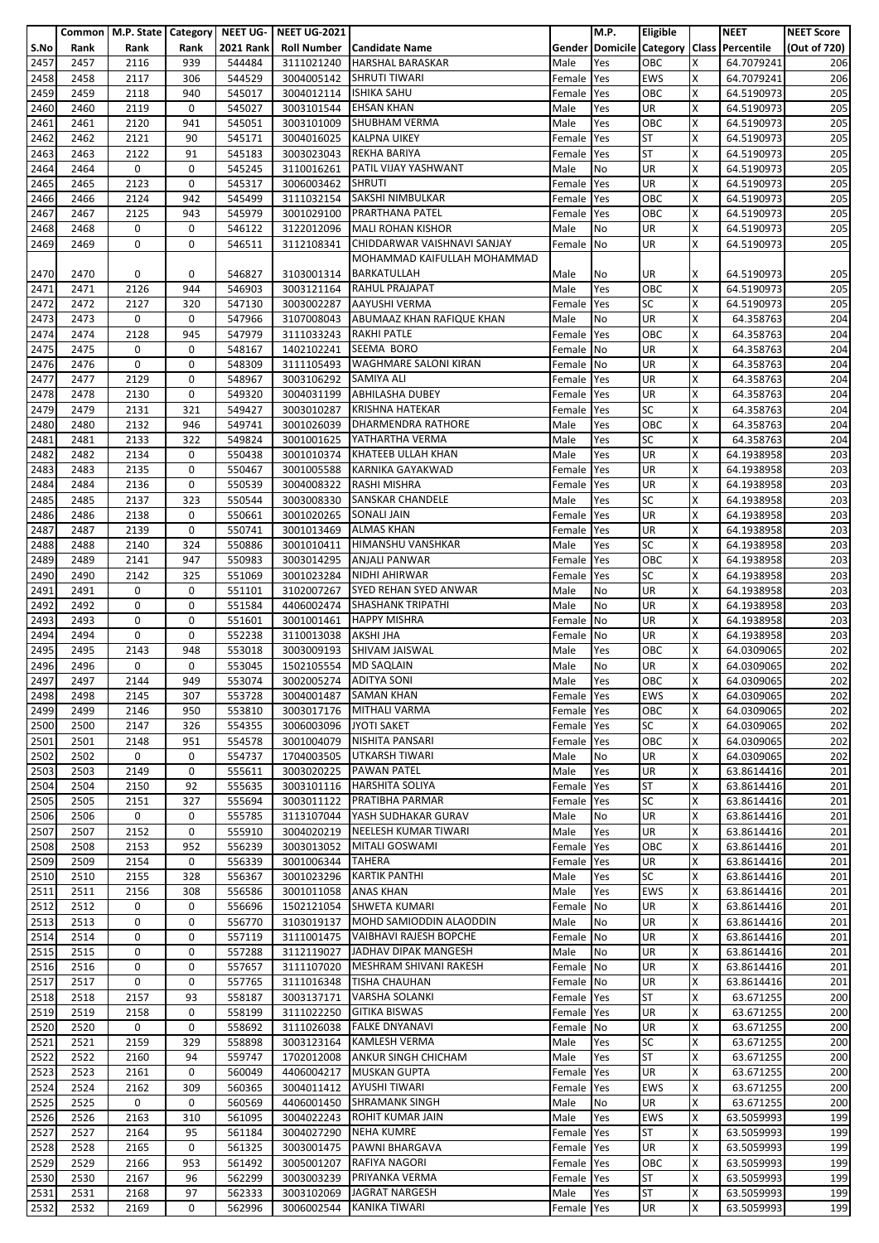|      |      | Common   M.P. State   Category   NEET UG- |      |                  | <b>NEET UG-2021</b>      |                                      |            | M.P.      | Eligible   |   | <b>NEET</b>                               | <b>NEET Score</b> |
|------|------|-------------------------------------------|------|------------------|--------------------------|--------------------------------------|------------|-----------|------------|---|-------------------------------------------|-------------------|
| S.No | Rank | Rank                                      | Rank | <b>2021 Rank</b> |                          | Roll Number   Candidate Name         |            |           |            |   | Gender Domicile Category Class Percentile | (Out of 720)      |
| 2457 | 2457 | 2116                                      | 939  | 544484           | 3111021240               | <b>HARSHAL BARASKAR</b>              | Male       | Yes       | OBC        | x | 64.7079241                                | 206               |
|      |      |                                           |      |                  |                          |                                      |            |           |            |   |                                           |                   |
| 2458 | 2458 | 2117                                      | 306  | 544529           | 3004005142               | <b>SHRUTI TIWARI</b>                 | Female     | Yes       | <b>EWS</b> | X | 64.7079241                                | 206               |
| 2459 | 2459 | 2118                                      | 940  | 545017           | 3004012114   ISHIKA SAHU |                                      | Female     | Yes       | OBC        | x | 64.5190973                                | 205               |
| 2460 | 2460 | 2119                                      | 0    | 545027           | 3003101544               | <b>EHSAN KHAN</b>                    | Male       | Yes       | <b>UR</b>  | Χ | 64.5190973                                | 205               |
| 2461 | 2461 | 2120                                      | 941  | 545051           | 3003101009               | <b>SHUBHAM VERMA</b>                 | Male       | Yes       | OBC        | X | 64.5190973                                | 205               |
| 2462 | 2462 | 2121                                      | 90   | 545171           |                          | 3004016025 KALPNA UIKEY              | Female     | Yes       | <b>ST</b>  | X | 64.5190973                                | 205               |
| 2463 | 2463 | 2122                                      | 91   | 545183           | 3003023043               | <b>REKHA BARIYA</b>                  | Female     | Yes       | <b>ST</b>  | X | 64.5190973                                | 205               |
|      |      |                                           |      |                  |                          | PATIL VIJAY YASHWANT                 |            |           |            |   |                                           |                   |
| 2464 | 2464 | 0                                         | 0    | 545245           | 3110016261               |                                      | Male       | No        | UR         | X | 64.5190973                                | 205               |
| 2465 | 2465 | 2123                                      | 0    | 545317           | 3006003462 SHRUTI        |                                      | Female     | Yes       | UR         | Χ | 64.5190973                                | 205               |
| 2466 | 2466 | 2124                                      | 942  | 545499           |                          | 3111032154 SAKSHI NIMBULKAR          | Female     | Yes       | OBC        | x | 64.5190973                                | 205               |
| 2467 | 2467 | 2125                                      | 943  | 545979           | 3001029100               | <b>PRARTHANA PATEL</b>               | Female     | Yes       | OBC        | X | 64.5190973                                | 205               |
| 2468 | 2468 | 0                                         | 0    | 546122           | 3122012096               | <b>MALI ROHAN KISHOR</b>             | Male       | No        | UR         | X | 64.5190973                                | 205               |
| 2469 | 2469 | 0                                         | 0    | 546511           | 3112108341               | CHIDDARWAR VAISHNAVI SANJAY          | Female     | <b>No</b> | UR         | X | 64.5190973                                | 205               |
|      |      |                                           |      |                  |                          | MOHAMMAD KAIFULLAH MOHAMMAD          |            |           |            |   |                                           |                   |
|      |      |                                           |      |                  |                          |                                      |            |           |            |   |                                           |                   |
| 2470 | 2470 | 0                                         | 0    | 546827           | 3103001314               | <b>BARKATULLAH</b>                   | Male       | No        | UR         | x | 64.5190973                                | 205               |
| 2471 | 2471 | 2126                                      | 944  | 546903           |                          | 3003121164 RAHUL PRAJAPAT            | Male       | Yes       | OBC        | x | 64.5190973                                | 205               |
| 2472 | 2472 | 2127                                      | 320  | 547130           | 3003002287               | <b>AAYUSHI VERMA</b>                 | Female     | Yes       | <b>SC</b>  | X | 64.5190973                                | 205               |
| 2473 | 2473 | 0                                         | 0    | 547966           |                          | 3107008043 ABUMAAZ KHAN RAFIQUE KHAN | Male       | No        | UR         | x | 64.358763                                 | 204               |
| 2474 | 2474 | 2128                                      | 945  | 547979           | 3111033243 RAKHI PATLE   |                                      | Female     | Yes       | OBC        | Χ | 64.358763                                 | 204               |
| 2475 | 2475 | 0                                         | 0    | 548167           | 1402102241               | SEEMA BORO                           | Female     | No        | UR         | X | 64.358763                                 | 204               |
|      |      |                                           |      |                  |                          |                                      |            |           |            |   |                                           |                   |
| 2476 | 2476 | 0                                         | 0    | 548309           | 3111105493               | <b>WAGHMARE SALONI KIRAN</b>         | Female     | <b>No</b> | UR         | x | 64.358763                                 | 204               |
| 2477 | 2477 | 2129                                      | 0    | 548967           | 3003106292               | <b>SAMIYA ALI</b>                    | Female     | Yes       | UR         | X | 64.358763                                 | 204               |
| 2478 | 2478 | 2130                                      | 0    | 549320           |                          | 3004031199 ABHILASHA DUBEY           | Female     | Yes       | UR         | Χ | 64.358763                                 | 204               |
| 2479 | 2479 | 2131                                      | 321  | 549427           | 3003010287               | <b>KRISHNA HATEKAR</b>               | Female     | Yes       | <b>SC</b>  | Χ | 64.358763                                 | 204               |
| 2480 | 2480 | 2132                                      | 946  | 549741           | 3001026039               | <b>DHARMENDRA RATHORE</b>            | Male       | Yes       | OBC        | X | 64.358763                                 | 204               |
| 2481 | 2481 | 2133                                      | 322  | 549824           | 3001001625               | YATHARTHA VERMA                      | Male       | Yes       | <b>SC</b>  | X | 64.358763                                 | 204               |
|      |      |                                           |      |                  |                          |                                      |            |           |            |   |                                           |                   |
| 2482 | 2482 | 2134                                      | 0    | 550438           | 3001010374               | KHATEEB ULLAH KHAN                   | Male       | Yes       | UR         | x | 64.1938958                                | 203               |
| 2483 | 2483 | 2135                                      | 0    | 550467           | 3001005588               | KARNIKA GAYAKWAD                     | Female     | Yes       | UR         | X | 64.1938958                                | 203               |
| 2484 | 2484 | 2136                                      | 0    | 550539           | 3004008322               | <b>RASHI MISHRA</b>                  | Female     | Yes       | <b>UR</b>  | Χ | 64.1938958                                | 203               |
| 2485 | 2485 | 2137                                      | 323  | 550544           | 3003008330               | <b>SANSKAR CHANDELE</b>              | Male       | Yes       | <b>SC</b>  | x | 64.1938958                                | 203               |
| 2486 | 2486 | 2138                                      | 0    | 550661           | 3001020265               | <b>SONALI JAIN</b>                   | Female     | Yes       | UR         | x | 64.1938958                                | 203               |
| 2487 | 2487 | 2139                                      | 0    | 550741           | 3001013469               | <b>ALMAS KHAN</b>                    | Female     | Yes       | UR         | x | 64.1938958                                | 203               |
| 2488 | 2488 | 2140                                      | 324  | 550886           | 3001010411               | <b>HIMANSHU VANSHKAR</b>             |            | Yes       | <b>SC</b>  | Χ | 64.1938958                                | 203               |
|      |      |                                           |      |                  |                          |                                      | Male       |           |            |   |                                           |                   |
| 2489 | 2489 | 2141                                      | 947  | 550983           | 3003014295               | <b>ANJALI PANWAR</b>                 | Female     | Yes       | OBC        | Χ | 64.1938958                                | 203               |
| 2490 | 2490 | 2142                                      | 325  | 551069           | 3001023284               | NIDHI AHIRWAR                        | Female     | Yes       | <b>SC</b>  | x | 64.1938958                                | 203               |
| 2491 | 2491 | 0                                         | 0    | 551101           | 3102007267               | SYED REHAN SYED ANWAR                | Male       | No        | UR         | Χ | 64.1938958                                | 203               |
| 2492 | 2492 | 0                                         | 0    | 551584           |                          | 4406002474 SHASHANK TRIPATHI         | Male       | No        | UR         | X | 64.1938958                                | 203               |
| 2493 | 2493 | 0                                         | 0    | 551601           | 3001001461               | <b>HAPPY MISHRA</b>                  | Female     | No        | UR         | x | 64.1938958                                | 203               |
| 2494 | 2494 | 0                                         | 0    | 552238           | 3110013038               | <b>AKSHI JHA</b>                     | Female     | No        | UR         | Χ | 64.1938958                                | 203               |
|      |      |                                           |      |                  |                          |                                      |            |           |            |   |                                           |                   |
| 2495 | 2495 | 2143                                      | 948  | 553018           | 3003009193               | SHIVAM JAISWAL                       | Male       | Yes       | OBC        | X | 64.0309065                                | 202               |
| 2496 | 2496 | 0                                         | 0    | 553045           | 1502105554 MD SAQLAIN    |                                      | Male       | No        | UR         | x | 64.0309065                                | 202               |
| 2497 | 2497 | 2144                                      | 949  | 553074           | 3002005274 ADITYA SONI   |                                      | Male       | Yes       | OBC        | X | 64.0309065                                | 202               |
| 2498 | 2498 | 2145                                      | 307  | 553728           |                          | 3004001487 SAMAN KHAN                | Female Yes |           | <b>EWS</b> | X | 64.0309065                                | 202               |
| 2499 | 2499 | 2146                                      | 950  | 553810           | 3003017176               | <b>MITHALI VARMA</b>                 | Female     | Yes       | OBC        | X | 64.0309065                                | 202               |
| 2500 | 2500 | 2147                                      | 326  | 554355           | 3006003096 JYOTI SAKET   |                                      | Female     | Yes       | <b>SC</b>  | x | 64.0309065                                | 202               |
|      |      |                                           |      |                  |                          |                                      |            |           |            |   |                                           |                   |
| 2501 | 2501 | 2148                                      | 951  | 554578           | 3001004079               | NISHITA PANSARI                      | Female Yes |           | OBC        | Χ | 64.0309065                                | 202               |
| 2502 | 2502 | 0                                         | 0    | 554737           | 1704003505               | UTKARSH TIWARI                       | Male       | No        | UR         | X | 64.0309065                                | 202               |
| 2503 | 2503 | 2149                                      | 0    | 555611           | 3003020225               | <b>PAWAN PATEL</b>                   | Male       | Yes       | <b>UR</b>  | X | 63.8614416                                | 201               |
| 2504 | 2504 | 2150                                      | 92   | 555635           |                          | 3003101116 HARSHITA SOLIYA           | Female     | Yes       | <b>ST</b>  | X | 63.8614416                                | 201               |
| 2505 | 2505 | 2151                                      | 327  | 555694           | 3003011122               | PRATIBHA PARMAR                      | Female     | Yes       | <b>SC</b>  | X | 63.8614416                                | 201               |
| 2506 | 2506 | 0                                         | 0    | 555785           | 3113107044               | YASH SUDHAKAR GURAV                  | Male       | No        | <b>UR</b>  | Χ | 63.8614416                                | 201               |
|      | 2507 | 2152                                      | 0    | 555910           | 3004020219               | NEELESH KUMAR TIWARI                 |            |           | UR         | X |                                           |                   |
| 2507 |      |                                           |      |                  |                          |                                      | Male       | Yes       |            |   | 63.8614416                                | 201               |
| 2508 | 2508 | 2153                                      | 952  | 556239           | 3003013052               | <b>MITALI GOSWAMI</b>                | Female     | Yes       | OBC        | x | 63.8614416                                | 201               |
| 2509 | 2509 | 2154                                      | 0    | 556339           | 3001006344               | <b>TAHERA</b>                        | Female     | Yes       | UR         | X | 63.8614416                                | 201               |
| 2510 | 2510 | 2155                                      | 328  | 556367           | 3001023296               | <b>KARTIK PANTHI</b>                 | Male       | Yes       | <b>SC</b>  | X | 63.8614416                                | 201               |
| 2511 | 2511 | 2156                                      | 308  | 556586           | 3001011058               | <b>ANAS KHAN</b>                     | Male       | Yes       | <b>EWS</b> | Χ | 63.8614416                                | 201               |
| 2512 | 2512 | 0                                         | 0    | 556696           |                          | 1502121054 SHWETA KUMARI             | Female     | No        | <b>UR</b>  | X | 63.8614416                                | 201               |
| 2513 | 2513 | 0                                         | 0    | 556770           |                          | 3103019137 MOHD SAMIODDIN ALAODDIN   | Male       | No        | <b>UR</b>  | X | 63.8614416                                | 201               |
| 2514 | 2514 | 0                                         | 0    | 557119           | 3111001475               | VAIBHAVI RAJESH BOPCHE               | Female No  |           | UR         | X | 63.8614416                                | 201               |
| 2515 | 2515 | 0                                         | 0    | 557288           | 3112119027               | JADHAV DIPAK MANGESH                 |            | No        | <b>UR</b>  | x | 63.8614416                                | 201               |
|      |      |                                           |      |                  |                          |                                      | Male       |           |            |   |                                           |                   |
| 2516 | 2516 | 0                                         | 0    | 557657           | 3111107020               | MESHRAM SHIVANI RAKESH               | Female No  |           | UR         | X | 63.8614416                                | 201               |
| 2517 | 2517 | 0                                         | 0    | 557765           | 3111016348               | TISHA CHAUHAN                        | Female No  |           | <b>UR</b>  | X | 63.8614416                                | 201               |
| 2518 | 2518 | 2157                                      | 93   | 558187           | 3003137171               | <b>VARSHA SOLANKI</b>                | Female Yes |           | <b>ST</b>  | X | 63.671255                                 | 200               |
| 2519 | 2519 | 2158                                      | 0    | 558199           | 3111022250               | <b>GITIKA BISWAS</b>                 | Female     | Yes       | UR         | X | 63.671255                                 | 200               |
| 2520 | 2520 | 0                                         | 0    | 558692           | 3111026038               | <b>FALKE DNYANAVI</b>                | Female     | No        | UR         | х | 63.671255                                 | 200               |
| 2521 | 2521 | 2159                                      | 329  | 558898           | 3003123164               | <b>KAMLESH VERMA</b>                 | Male       | Yes       | <b>SC</b>  | X | 63.671255                                 | 200               |
|      |      |                                           |      |                  |                          |                                      |            |           |            |   |                                           |                   |
| 2522 | 2522 | 2160                                      | 94   | 559747           | 1702012008               | <b>ANKUR SINGH CHICHAM</b>           | Male       | Yes       | <b>ST</b>  | X | 63.671255                                 | 200               |
| 2523 | 2523 | 2161                                      | 0    | 560049           |                          | 4406004217 MUSKAN GUPTA              | Female     | Yes       | <b>UR</b>  | x | 63.671255                                 | 200               |
| 2524 | 2524 | 2162                                      | 309  | 560365           | 3004011412               | AYUSHI TIWARI                        | Female Yes |           | <b>EWS</b> | X | 63.671255                                 | 200               |
| 2525 | 2525 | 0                                         | 0    | 560569           | 4406001450               | <b>SHRAMANK SINGH</b>                | Male       | No        | <b>UR</b>  | X | 63.671255                                 | 200               |
| 2526 | 2526 | 2163                                      | 310  | 561095           | 3004022243               | ROHIT KUMAR JAIN                     | Male       | Yes       | <b>EWS</b> | Χ | 63.5059993                                | 199               |
| 2527 | 2527 | 2164                                      | 95   | 561184           | 3004027290               | <b>NEHA KUMRE</b>                    | Female     | Yes       | <b>ST</b>  | x | 63.5059993                                | 199               |
| 2528 | 2528 | 2165                                      | 0    | 561325           | 3003001475               | <b>PAWNI BHARGAVA</b>                |            |           | UR         | X | 63.5059993                                | 199               |
|      |      |                                           |      |                  |                          |                                      | Female Yes |           |            |   |                                           |                   |
| 2529 | 2529 | 2166                                      | 953  | 561492           | 3005001207               | RAFIYA NAGORI                        | Female     | Yes       | OBC        | X | 63.5059993                                | 199               |
| 2530 | 2530 | 2167                                      | 96   | 562299           | 3003003239               | PRIYANKA VERMA                       | Female     | Yes       | <b>ST</b>  | x | 63.5059993                                | 199               |
| 2531 | 2531 | 2168                                      | 97   | 562333           | 3003102069               | <b>JAGRAT NARGESH</b>                | Male       | Yes       | <b>ST</b>  | X | 63.5059993                                | 199               |
| 2532 | 2532 | 2169                                      | 0    | 562996           | 3006002544               | <b>KANIKA TIWARI</b>                 | Female Yes |           | UR         | X | 63.5059993                                | 199               |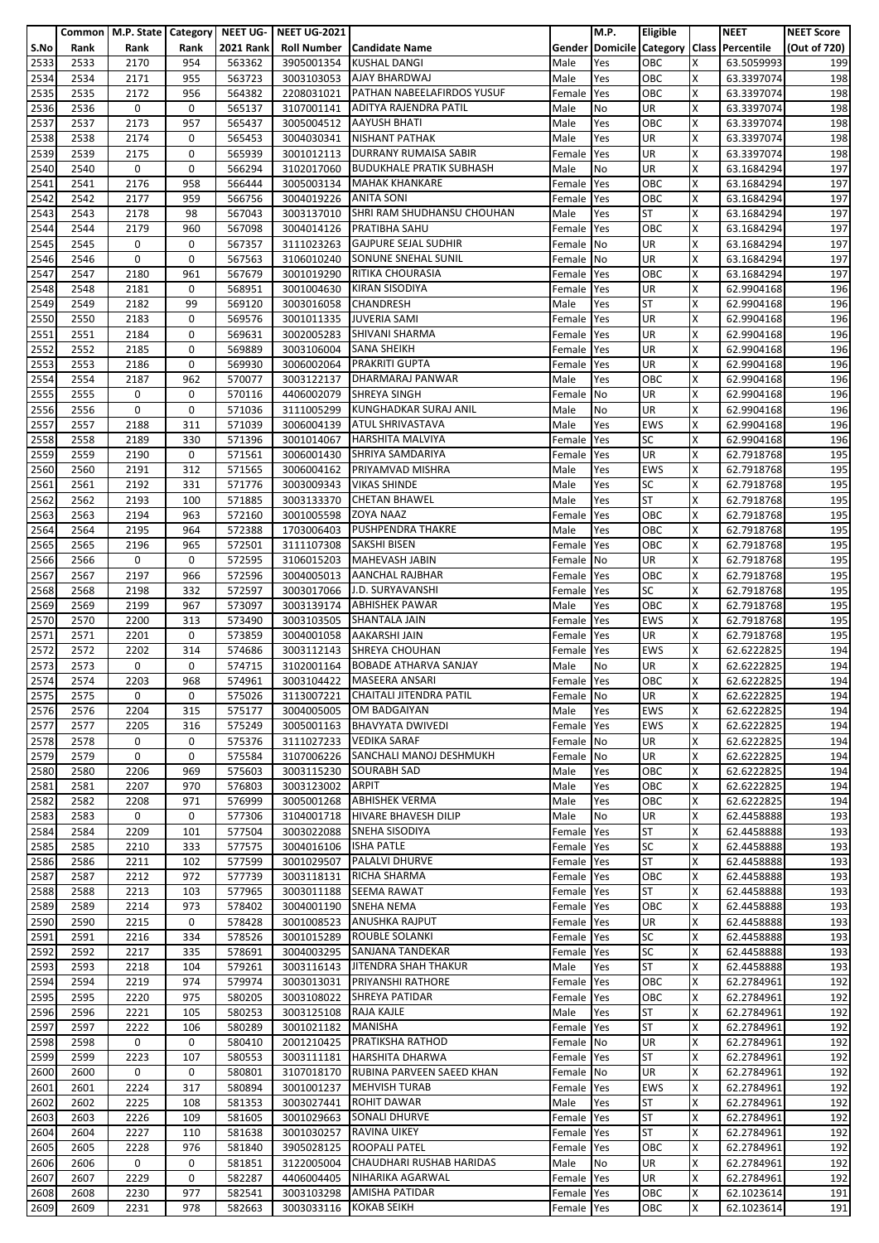|              |              | Common   M.P. State   Category |             | <b>NEET UG-</b>  | <b>NEET UG-2021</b>      |                                                    |                          | M.P.       | Eligible                              |         | <b>NEET</b>              | <b>NEET Score</b> |
|--------------|--------------|--------------------------------|-------------|------------------|--------------------------|----------------------------------------------------|--------------------------|------------|---------------------------------------|---------|--------------------------|-------------------|
| S.No         | Rank         | Rank                           | Rank        | <b>2021 Rank</b> | <b>Roll Number</b>       | <b>Candidate Name</b>                              |                          |            | <b>Gender Domicile Category Class</b> |         | Percentile               | (Out of 720)      |
| 2533<br>2534 | 2533<br>2534 | 2170<br>2171                   | 954<br>955  | 563362<br>563723 | 3905001354<br>3003103053 | KUSHAL DANGI<br>AJAY BHARDWAJ                      | Male<br>Male             | Yes<br>Yes | ОВС<br>ОВС                            | X<br>X  | 63.5059993<br>63.3397074 | 199<br>198        |
| 2535         | 2535         | 2172                           | 956         | 564382           | 2208031021               | PATHAN NABEELAFIRDOS YUSUF                         | Female                   | Yes        | OBC                                   | ΙX      | 63.3397074               | 198               |
| 2536         | 2536         | 0                              | 0           | 565137           | 3107001141               | ADITYA RAJENDRA PATIL                              | Male                     | No         | UR                                    | X       | 63.3397074               | 198               |
| 2537         | 2537         | 2173                           | 957         | 565437           | 3005004512               | <b>AAYUSH BHATI</b>                                | Male                     | Yes        | ОВС                                   | Ιx      | 63.3397074               | 198               |
| 2538         | 2538         | 2174                           | 0           | 565453           | 3004030341               | NISHANT PATHAK                                     | Male                     | Yes        | UR                                    | X       | 63.3397074               | 198               |
| 2539         | 2539         | 2175                           | 0           | 565939           | 3001012113               | DURRANY RUMAISA SABIR                              | Female                   | Yes        | UR                                    | X       | 63.3397074               | 198               |
| 2540         | 2540         | 0                              | 0           | 566294           | 3102017060               | <b>BUDUKHALE PRATIK SUBHASH</b>                    | Male                     | No         | UR                                    | X       | 63.1684294               | 197               |
| 2541         | 2541         | 2176                           | 958         | 566444           | 3005003134               | <b>MAHAK KHANKARE</b>                              | Female                   | Yes        | OBC                                   | X       | 63.1684294               | 197               |
| 2542         | 2542         | 2177                           | 959         | 566756           | 3004019226               | <b>ANITA SONI</b>                                  | Female                   | Yes        | ОВС                                   | X       | 63.1684294               | 197               |
| 2543<br>2544 | 2543<br>2544 | 2178<br>2179                   | 98<br>960   | 567043<br>567098 | 3003137010<br>3004014126 | SHRI RAM SHUDHANSU CHOUHAN<br><b>PRATIBHA SAHU</b> | Male<br>Female           | Yes<br>Yes | <b>ST</b><br>ОВС                      | ΙX<br>X | 63.1684294<br>63.1684294 | 197<br>197        |
| 2545         | 2545         | 0                              | 0           | 567357           | 3111023263               | <b>GAJPURE SEJAL SUDHIR</b>                        | Female                   | No         | UR                                    | X       | 63.1684294               | 197               |
| 2546         | 2546         | 0                              | $\mathbf 0$ | 567563           | 3106010240               | SONUNE SNEHAL SUNIL                                | Female                   | No         | UR                                    | X       | 63.1684294               | 197               |
| 2547         | 2547         | 2180                           | 961         | 567679           | 3001019290               | RITIKA CHOURASIA                                   | Female                   | Yes        | ОВС                                   | X       | 63.1684294               | 197               |
| 2548         | 2548         | 2181                           | 0           | 568951           | 3001004630               | KIRAN SISODIYA                                     | Female                   | Yes        | UR                                    | X       | 62.9904168               | 196               |
| 2549         | 2549         | 2182                           | 99          | 569120           | 3003016058               | CHANDRESH                                          | Male                     | Yes        | ST                                    | X       | 62.9904168               | 196               |
| 2550         | 2550         | 2183                           | 0           | 569576           | 3001011335               | <b>JUVERIA SAMI</b>                                | Female                   | Yes        | UR                                    | X       | 62.9904168               | 196               |
| 2551         | 2551         | 2184                           | $\mathbf 0$ | 569631           | 3002005283               | SHIVANI SHARMA                                     | Female                   | Yes        | UR                                    | ΙX      | 62.9904168               | 196               |
| 2552         | 2552         | 2185                           | 0<br>0      | 569889           | 3003106004               | <b>SANA SHEIKH</b><br><b>PRAKRITI GUPTA</b>        | Female                   | Yes        | UR<br>UR                              | X<br>X  | 62.9904168               | 196               |
| 2553<br>2554 | 2553<br>2554 | 2186<br>2187                   | 962         | 569930<br>570077 | 3006002064<br>3003122137 | DHARMARAJ PANWAR                                   | Female<br>Male           | Yes<br>Yes | ОВС                                   | X       | 62.9904168<br>62.9904168 | 196<br>196        |
| 2555         | 2555         | 0                              | 0           | 570116           | 4406002079               | <b>SHREYA SINGH</b>                                | Female                   | <b>No</b>  | UR                                    | X       | 62.9904168               | 196               |
| 2556         | 2556         | 0                              | 0           | 571036           | 3111005299               | KUNGHADKAR SURAJ ANIL                              | Male                     | No         | UR                                    | X       | 62.9904168               | 196               |
| 2557         | 2557         | 2188                           | 311         | 571039           | 3006004139               | <b>ATUL SHRIVASTAVA</b>                            | Male                     | Yes        | <b>EWS</b>                            | Ιx      | 62.9904168               | 196               |
| 2558         | 2558         | 2189                           | 330         | 571396           | 3001014067               | <b>HARSHITA MALVIYA</b>                            | Female                   | Yes        | SC                                    | X       | 62.9904168               | 196               |
| 2559         | 2559         | 2190                           | 0           | 571561           | 3006001430               | SHRIYA SAMDARIYA                                   | Female                   | Yes        | UR                                    | X       | 62.7918768               | 195               |
| 2560         | 2560         | 2191                           | 312         | 571565           | 3006004162               | PRIYAMVAD MISHRA                                   | Male                     | Yes        | <b>EWS</b>                            | X       | 62.7918768               | 195               |
| 2561         | 2561         | 2192                           | 331         | 571776           | 3003009343               | <b>VIKAS SHINDE</b>                                | Male                     | Yes        | SC                                    | X       | 62.7918768               | 195               |
| 2562         | 2562         | 2193                           | 100         | 571885           | 3003133370               | <b>CHETAN BHAWEL</b>                               | Male                     | Yes        | <b>ST</b>                             | X       | 62.7918768               | 195               |
| 2563<br>2564 | 2563<br>2564 | 2194<br>2195                   | 963<br>964  | 572160<br>572388 | 3001005598<br>1703006403 | <b>ZOYA NAAZ</b><br>PUSHPENDRA THAKRE              | Female<br>Male           | Yes<br>Yes | OBC<br>ОВС                            | ΙX<br>X | 62.7918768<br>62.7918768 | 195<br>195        |
| 2565         | 2565         | 2196                           | 965         | 572501           | 3111107308               | <b>SAKSHI BISEN</b>                                | Female                   | Yes        | OBC                                   | X       | 62.7918768               | 195               |
| 2566         | 2566         | 0                              | 0           | 572595           | 3106015203               | MAHEVASH JABIN                                     | Female                   | No         | UR                                    | X       | 62.7918768               | 195               |
| 2567         | 2567         | 2197                           | 966         | 572596           | 3004005013               | <b>AANCHAL RAJBHAR</b>                             | Female                   | Yes        | ОВС                                   | X       | 62.7918768               | 195               |
| 2568         | 2568         | 2198                           | 332         | 572597           | 3003017066               | J.D. SURYAVANSHI                                   | Female                   | Yes        | SC                                    | X       | 62.7918768               | 195               |
| 2569         | 2569         | 2199                           | 967         | 573097           | 3003139174               | <b>ABHISHEK PAWAR</b>                              | Male                     | Yes        | ОВС                                   | X       | 62.7918768               | 195               |
| 2570         | 2570         | 2200                           | 313         | 573490           | 3003103505               | SHANTALA JAIN                                      | Female                   | Yes        | EWS                                   | X       | 62.7918768               | 195               |
| 2571         | 2571         | 2201                           | 0           | 573859<br>574686 | 3004001058               | AAKARSHI JAIN                                      | Female                   | Yes        | UR                                    | ΙX<br>X | 62.7918768               | 195               |
| 2572<br>2573 | 2572<br>2573 | 2202<br>0                      | 314<br>0    | 574715           | 3003112143<br>3102001164 | SHREYA CHOUHAN<br><b>BOBADE ATHARVA SANJAY</b>     | Female<br>Male           | Yes<br>No  | EWS<br>UR                             | ΙX      | 62.6222825<br>62.6222825 | 194<br>194        |
| 2574         | 2574         | 2203                           | 968         | 574961           | 3003104422               | <b>MASEERA ANSARI</b>                              | Female Yes               |            | OBC                                   | X       | 62.6222825               | 194               |
| 2575         | 2575         | 0                              | 0           | 575026           | 3113007221               | CHAITALI JITENDRA PATIL                            | Female No                |            | UR                                    | ΙX      | 62.6222825               | 194               |
| 2576         | 2576         | 2204                           | 315         | 575177           | 3004005005               | OM BADGAIYAN                                       | Male                     | Yes        | EWS                                   | X       | 62.6222825               | 194               |
| 2577         | 2577         | 2205                           | 316         | 575249           |                          | 3005001163 BHAVYATA DWIVEDI                        | Female Yes               |            | EWS                                   | X       | 62.6222825               | 194               |
| 2578         | 2578         | 0                              | 0           | 575376           | 3111027233               | <b>VEDIKA SARAF</b>                                | Female No                |            | UR                                    | X       | 62.6222825               | 194               |
| 2579         | 2579         | 0                              | 0           | 575584           | 3107006226               | SANCHALI MANOJ DESHMUKH                            | Female                   | No         | UR                                    | X       | 62.6222825               | 194               |
| 2580         | 2580         | 2206                           | 969         | 575603           | 3003115230               | <b>SOURABH SAD</b>                                 | Male                     | Yes        | OBC                                   | X       | 62.6222825               | 194               |
| 2581<br>2582 | 2581<br>2582 | 2207<br>2208                   | 970<br>971  | 576803<br>576999 | 3003123002<br>3005001268 | <b>ARPIT</b><br><b>ABHISHEK VERMA</b>              | Male<br>Male             | Yes<br>Yes | ОВС<br>OBC                            | X<br>X  | 62.6222825<br>62.6222825 | 194<br>194        |
| 2583         | 2583         | 0                              | 0           | 577306           | 3104001718               | <b>HIVARE BHAVESH DILIP</b>                        | Male                     | No         | UR                                    | X       | 62.4458888               | 193               |
| 2584         | 2584         | 2209                           | 101         | 577504           | 3003022088               | <b>SNEHA SISODIYA</b>                              | Female                   | Yes        | ST                                    | X       | 62.4458888               | 193               |
| 2585         | 2585         | 2210                           | 333         | 577575           | 3004016106               | <b>ISHA PATLE</b>                                  | Female                   | Yes        | SC                                    | ΙX      | 62.4458888               | 193               |
| 2586         | 2586         | 2211                           | 102         | 577599           | 3001029507               | PALALVI DHURVE                                     | Female Yes               |            | ST                                    | X       | 62.4458888               | 193               |
| 2587         | 2587         | 2212                           | 972         | 577739           | 3003118131               | <b>RICHA SHARMA</b>                                | Female Yes               |            | OBC                                   | X       | 62.4458888               | 193               |
| 2588         | 2588         | 2213                           | 103         | 577965           | 3003011188               | <b>SEEMA RAWAT</b>                                 | Female Yes               |            | ST                                    | X       | 62.4458888               | 193               |
| 2589         | 2589         | 2214                           | 973         | 578402           | 3004001190               | SNEHA NEMA                                         | Female                   | Yes        | ОВС                                   | X       | 62.4458888               | 193               |
| 2590<br>2591 | 2590<br>2591 | 2215<br>2216                   | 0<br>334    | 578428<br>578526 | 3001008523<br>3001015289 | <b>ANUSHKA RAJPUT</b><br>ROUBLE SOLANKI            | Female<br>Female Yes     | Yes        | UR<br>SC                              | Ιx<br>X | 62.4458888<br>62.4458888 | 193<br>193        |
| 2592         | 2592         | 2217                           | 335         | 578691           | 3004003295               | SANJANA TANDEKAR                                   | Female                   | Yes        | SC                                    | X       | 62.4458888               | 193               |
| 2593         | 2593         | 2218                           | 104         | 579261           | 3003116143               | <b>JITENDRA SHAH THAKUR</b>                        | Male                     | Yes        | ST                                    | X       | 62.4458888               | 193               |
| 2594         | 2594         | 2219                           | 974         | 579974           | 3003013031               | PRIYANSHI RATHORE                                  | Female                   | Yes        | OBC                                   | X       | 62.2784961               | 192               |
| 2595         | 2595         | 2220                           | 975         | 580205           | 3003108022               | <b>SHREYA PATIDAR</b>                              | Female                   | Yes        | OBC                                   | X       | 62.2784961               | 192               |
| 2596         | 2596         | 2221                           | 105         | 580253           | 3003125108               | RAJA KAJLE                                         | Male                     | Yes        | ST                                    | X       | 62.2784961               | 192               |
| 2597         | 2597         | 2222                           | 106         | 580289           | 3001021182               | MANISHA                                            | Female                   | Yes        | ST                                    | X       | 62.2784961               | 192               |
| 2598         | 2598         | 0                              | 0           | 580410           | 2001210425               | <b>PRATIKSHA RATHOD</b>                            | Female No                |            | UR                                    | X       | 62.2784961               | 192               |
| 2599<br>2600 | 2599<br>2600 | 2223<br>0                      | 107<br>0    | 580553<br>580801 | 3003111181<br>3107018170 | HARSHITA DHARWA<br>RUBINA PARVEEN SAEED KHAN       | Female<br>Female No      | Yes        | ST<br>UR                              | X<br>ΙX | 62.2784961<br>62.2784961 | 192<br>192        |
| 2601         | 2601         | 2224                           | 317         | 580894           | 3001001237               | <b>MEHVISH TURAB</b>                               | Female Yes               |            | EWS                                   | X       | 62.2784961               | 192               |
| 2602         | 2602         | 2225                           | 108         | 581353           | 3003027441               | ROHIT DAWAR                                        | Male                     | Yes        | ST                                    | X       | 62.2784961               | 192               |
| 2603         | 2603         | 2226                           | 109         | 581605           | 3001029663               | SONALI DHURVE                                      | Female Yes               |            | ST                                    | X       | 62.2784961               | 192               |
| 2604         | 2604         | 2227                           | 110         | 581638           | 3001030257               | <b>RAVINA UIKEY</b>                                | Female                   | Yes        | ST                                    | X       | 62.2784961               | 192               |
| 2605         | 2605         | 2228                           | 976         | 581840           | 3905028125               | ROOPALI PATEL                                      | Female                   | Yes        | ОВС                                   | X       | 62.2784961               | 192               |
| 2606         | 2606         | 0                              | 0           | 581851           | 3122005004               | CHAUDHARI RUSHAB HARIDAS                           | Male                     | No         | UR                                    | X       | 62.2784961               | 192               |
| 2607         | 2607         | 2229                           | $\mathbf 0$ | 582287           | 4406004405               | NIHARIKA AGARWAL                                   | Female                   | Yes        | UR                                    | Ιx      | 62.2784961               | 192               |
| 2608<br>2609 | 2608<br>2609 | 2230<br>2231                   | 977<br>978  | 582541<br>582663 | 3003103298<br>3003033116 | AMISHA PATIDAR<br><b>KOKAB SEIKH</b>               | Female Yes<br>Female Yes |            | ОВС<br>ОВС                            | X<br>X  | 62.1023614<br>62.1023614 | 191<br>191        |
|              |              |                                |             |                  |                          |                                                    |                          |            |                                       |         |                          |                   |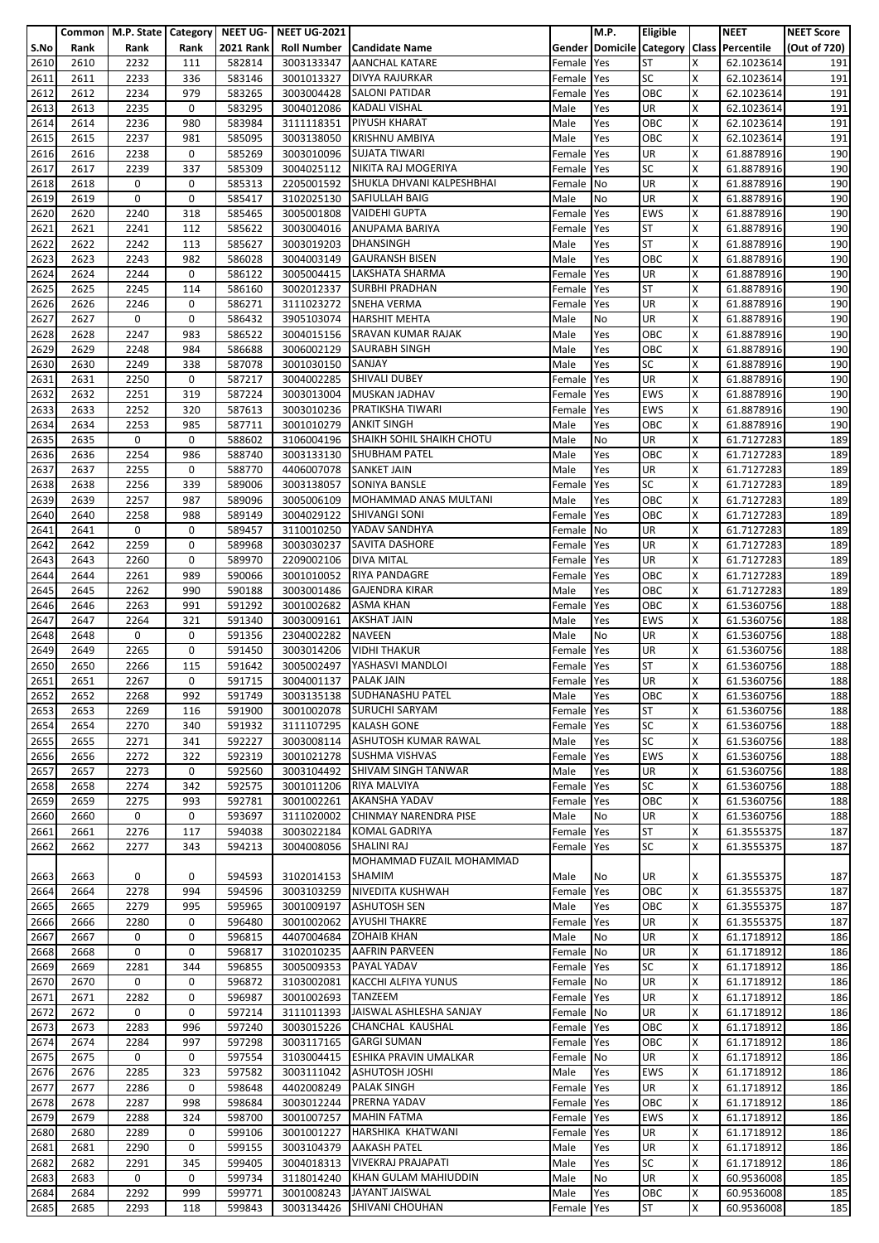|      |      | Common   M.P. State   Category   NEET UG- |      |                  | <b>NEET UG-2021</b>    |                                      |            | M.P. | Eligible   |   | <b>NEET</b>                               | <b>NEET Score</b> |
|------|------|-------------------------------------------|------|------------------|------------------------|--------------------------------------|------------|------|------------|---|-------------------------------------------|-------------------|
| S.No | Rank | Rank                                      | Rank | <b>2021 Rank</b> |                        | <b>Roll Number   Candidate Name</b>  |            |      |            |   | Gender Domicile Category Class Percentile | (Out of 720)      |
| 2610 | 2610 | 2232                                      | 111  | 582814           | 3003133347             | <b>AANCHAL KATARE</b>                | Female     | Yes  | <b>ST</b>  | x | 62.1023614                                | 191               |
| 2611 | 2611 | 2233                                      | 336  | 583146           | 3001013327             | <b>DIVYA RAJURKAR</b>                | Female     | Yes  | <b>SC</b>  | X | 62.1023614                                | 191               |
| 2612 | 2612 | 2234                                      | 979  | 583265           | 3003004428             | <b>SALONI PATIDAR</b>                | Female     | Yes  | OBC        | X | 62.1023614                                | 191               |
|      |      |                                           |      |                  |                        |                                      |            |      |            |   |                                           |                   |
| 2613 | 2613 | 2235                                      | 0    | 583295           | 3004012086             | <b>KADALI VISHAL</b>                 | Male       | Yes  | <b>UR</b>  | X | 62.1023614                                | 191               |
| 2614 | 2614 | 2236                                      | 980  | 583984           | 3111118351             | <b>PIYUSH KHARAT</b>                 | Male       | Yes  | OBC        | X | 62.1023614                                | 191               |
| 2615 | 2615 | 2237                                      | 981  | 585095           | 3003138050             | <b>KRISHNU AMBIYA</b>                | Male       | Yes  | OBC        | X | 62.1023614                                | 191               |
| 2616 | 2616 | 2238                                      | 0    | 585269           | 3003010096             | <b>SUJATA TIWARI</b>                 | Female     | Yes  | UR         | X | 61.8878916                                | 190               |
| 2617 | 2617 | 2239                                      | 337  | 585309           |                        | 3004025112 NIKITA RAJ MOGERIYA       | Female     | Yes  | <b>SC</b>  | X | 61.8878916                                | 190               |
| 2618 | 2618 | 0                                         | 0    | 585313           |                        | 2205001592 SHUKLA DHVANI KALPESHBHAI | Female No  |      | UR         | Χ | 61.8878916                                | 190               |
| 2619 | 2619 | 0                                         | 0    | 585417           | 3102025130             | <b>SAFIULLAH BAIG</b>                | Male       | No   | UR         | x | 61.8878916                                | 190               |
| 2620 | 2620 | 2240                                      | 318  | 585465           | 3005001808             | <b>VAIDEHI GUPTA</b>                 | Female     | Yes  | <b>EWS</b> | x | 61.8878916                                | 190               |
| 2621 | 2621 | 2241                                      | 112  | 585622           | 3003004016             | <b>ANUPAMA BARIYA</b>                | Female     | Yes  | <b>ST</b>  | X | 61.8878916                                | 190               |
| 2622 | 2622 | 2242                                      | 113  | 585627           | 3003019203             | <b>DHANSINGH</b>                     | Male       | Yes  | <b>ST</b>  | x | 61.8878916                                | 190               |
| 2623 | 2623 | 2243                                      | 982  | 586028           | 3004003149             | <b>GAURANSH BISEN</b>                | Male       | Yes  | OBC        | Χ | 61.8878916                                | 190               |
| 2624 | 2624 | 2244                                      | 0    | 586122           |                        | 3005004415 LAKSHATA SHARMA           | Female     | Yes  | <b>UR</b>  | x | 61.8878916                                | 190               |
| 2625 | 2625 | 2245                                      | 114  | 586160           | 3002012337             | <b>SURBHI PRADHAN</b>                | Female     | Yes  | <b>ST</b>  | x | 61.8878916                                | 190               |
|      |      |                                           |      |                  |                        |                                      |            |      |            |   |                                           |                   |
| 2626 | 2626 | 2246                                      | 0    | 586271           | 3111023272             | <b>SNEHA VERMA</b>                   | Female     | Yes  | UR         | X | 61.8878916                                | 190               |
| 2627 | 2627 | 0                                         | 0    | 586432           |                        | 3905103074 HARSHIT MEHTA             | Male       | No   | UR         | x | 61.8878916                                | 190               |
| 2628 | 2628 | 2247                                      | 983  | 586522           |                        | 3004015156 SRAVAN KUMAR RAJAK        | Male       | Yes  | OBC        | Χ | 61.8878916                                | 190               |
| 2629 | 2629 | 2248                                      | 984  | 586688           | 3006002129             | <b>SAURABH SINGH</b>                 | Male       | Yes  | OBC        | X | 61.8878916                                | 190               |
| 2630 | 2630 | 2249                                      | 338  | 587078           | 3001030150             | SANJAY                               | Male       | Yes  | <b>SC</b>  | x | 61.8878916                                | 190               |
| 2631 | 2631 | 2250                                      | 0    | 587217           | 3004002285             | <b>SHIVALI DUBEY</b>                 | Female     | Yes  | UR         | X | 61.8878916                                | 190               |
| 2632 | 2632 | 2251                                      | 319  | 587224           |                        | 3003013004 MUSKAN JADHAV             | Female     | Yes  | <b>EWS</b> | X | 61.8878916                                | 190               |
| 2633 | 2633 | 2252                                      | 320  | 587613           | 3003010236             | <b>PRATIKSHA TIWARI</b>              | Female     | Yes  | <b>EWS</b> | X | 61.8878916                                | 190               |
| 2634 | 2634 | 2253                                      | 985  | 587711           | 3001010279             | <b>ANKIT SINGH</b>                   | Male       | Yes  | OBC        | X | 61.8878916                                | 190               |
| 2635 | 2635 | 0                                         | 0    | 588602           | 3106004196             | SHAIKH SOHIL SHAIKH CHOTU            | Male       | No   | UR         | X | 61.7127283                                | 189               |
| 2636 | 2636 | 2254                                      | 986  | 588740           | 3003133130             | <b>SHUBHAM PATEL</b>                 | Male       | Yes  | OBC        | X | 61.7127283                                | 189               |
| 2637 | 2637 | 2255                                      | 0    | 588770           | 4406007078 SANKET JAIN |                                      | Male       | Yes  | <b>UR</b>  | X | 61.7127283                                | 189               |
| 2638 | 2638 | 2256                                      | 339  | 589006           | 3003138057             | SONIYA BANSLE                        | Female     | Yes  | <b>SC</b>  | Χ | 61.7127283                                | 189               |
| 2639 | 2639 | 2257                                      | 987  | 589096           | 3005006109             | MOHAMMAD ANAS MULTANI                | Male       | Yes  | OBC        | X | 61.7127283                                | 189               |
|      |      |                                           |      |                  |                        |                                      |            |      |            |   |                                           |                   |
| 2640 | 2640 | 2258                                      | 988  | 589149           | 3004029122             | <b>SHIVANGI SONI</b>                 | Female     | Yes  | OBC        | X | 61.7127283                                | 189               |
| 2641 | 2641 | 0                                         | 0    | 589457           | 3110010250             | YADAV SANDHYA                        | Female     | No   | UR         | x | 61.7127283                                | 189               |
| 2642 | 2642 | 2259                                      | 0    | 589968           |                        | 3003030237 SAVITA DASHORE            | Female     | Yes  | UR         | X | 61.7127283                                | 189               |
| 2643 | 2643 | 2260                                      | 0    | 589970           | 2209002106             | <b>DIVA MITAL</b>                    | Female     | Yes  | <b>UR</b>  | X | 61.7127283                                | 189               |
| 2644 | 2644 | 2261                                      | 989  | 590066           | 3001010052             | <b>RIYA PANDAGRE</b>                 | Female     | Yes  | OBC        | X | 61.7127283                                | 189               |
| 2645 | 2645 | 2262                                      | 990  | 590188           | 3003001486             | <b>GAJENDRA KIRAR</b>                | Male       | Yes  | OBC        | Χ | 61.7127283                                | 189               |
| 2646 | 2646 | 2263                                      | 991  | 591292           | 3001002682             | <b>ASMA KHAN</b>                     | Female     | Yes  | OBC        | X | 61.5360756                                | 188               |
| 2647 | 2647 | 2264                                      | 321  | 591340           | 3003009161             | <b>AKSHAT JAIN</b>                   | Male       | Yes  | <b>EWS</b> | x | 61.5360756                                | 188               |
| 2648 | 2648 | 0                                         | 0    | 591356           | 2304002282             | <b>NAVEEN</b>                        | Male       | No   | UR         | X | 61.5360756                                | 188               |
| 2649 | 2649 | 2265                                      | 0    | 591450           | 3003014206             | <b>VIDHI THAKUR</b>                  | Female     | Yes  | UR         | X | 61.5360756                                | 188               |
| 2650 | 2650 | 2266                                      | 115  | 591642           | 3005002497             | YASHASVI MANDLOI                     | Female     | Yes  | <b>ST</b>  | X | 61.5360756                                | 188               |
| 2651 | 2651 | 2267                                      | 0    | 591715           | 3004001137 PALAK JAIN  |                                      |            |      | UR         | X | 61.5360756                                | 188               |
|      |      |                                           |      |                  |                        |                                      | Female Yes |      |            |   |                                           |                   |
| 2652 | 2652 | 2268                                      | 992  | 591749           |                        | 3003135138 SUDHANASHU PATEL          | Male       | Yes  | OBC        | х | 61.5360756                                | 188               |
| 2653 | 2653 | 2269                                      | 116  | 591900           | 3001002078             | <b>SURUCHI SARYAM</b>                | Female     | Yes  | <b>ST</b>  | X | 61.5360756                                | 188               |
| 2654 | 2654 | 2270                                      | 340  | 591932           |                        | 3111107295 KALASH GONE               | Female     | Yes  | <b>SC</b>  | X | 61.5360756                                | 188               |
| 2655 | 2655 | 2271                                      | 341  | 592227           |                        | 3003008114 ASHUTOSH KUMAR RAWAL      | Male       | Yes  | <b>SC</b>  | X | 61.5360756                                | 188               |
| 2656 | 2656 | 2272                                      | 322  | 592319           | 3001021278             | <b>SUSHMA VISHVAS</b>                | Female     | Yes  | <b>EWS</b> | X | 61.5360756                                | 188               |
| 2657 | 2657 | 2273                                      | 0    | 592560           |                        | 3003104492 SHIVAM SINGH TANWAR       | Male       | Yes  | <b>UR</b>  | X | 61.5360756                                | 188               |
| 2658 | 2658 | 2274                                      | 342  | 592575           | 3001011206             | RIYA MALVIYA                         | Female     | Yes  | <b>SC</b>  | X | 61.5360756                                | 188               |
| 2659 | 2659 | 2275                                      | 993  | 592781           | 3001002261             | <b>AKANSHA YADAV</b>                 | Female Yes |      | <b>OBC</b> | x | 61.5360756                                | 188               |
| 2660 | 2660 | 0                                         | 0    | 593697           | 3111020002             | CHINMAY NARENDRA PISE                | Male       | No   | UR         | Χ | 61.5360756                                | 188               |
| 2661 | 2661 | 2276                                      | 117  | 594038           |                        | 3003022184 KOMAL GADRIYA             | Female     | Yes  | <b>ST</b>  | X | 61.3555375                                | 187               |
| 2662 | 2662 | 2277                                      | 343  | 594213           | 3004008056             | SHALINI RAJ                          | Female Yes |      | <b>SC</b>  | X | 61.3555375                                | 187               |
|      |      |                                           |      |                  |                        | MOHAMMAD FUZAIL MOHAMMAD             |            |      |            |   |                                           |                   |
| 2663 | 2663 | 0                                         | 0    | 594593           | 3102014153             | <b>SHAMIM</b>                        | Male       | No   | UR         | x | 61.3555375                                | 187               |
|      | 2664 | 2278                                      | 994  | 594596           |                        | 3003103259 NIVEDITA KUSHWAH          |            | Yes  | OBC        | X |                                           | 187               |
| 2664 |      |                                           |      |                  |                        |                                      | Female     |      |            |   | 61.3555375                                |                   |
| 2665 | 2665 | 2279                                      | 995  | 595965           | 3001009197             | <b>ASHUTOSH SEN</b>                  | Male       | Yes  | OBC        | X | 61.3555375                                | 187               |
| 2666 | 2666 | 2280                                      | 0    | 596480           | 3001002062             | <b>AYUSHI THAKRE</b>                 | Female Yes |      | UR         | X | 61.3555375                                | 187               |
| 2667 | 2667 | 0                                         | 0    | 596815           | 4407004684             | <b>ZOHAIB KHAN</b>                   | Male       | No   | <b>UR</b>  | X | 61.1718912                                | 186               |
| 2668 | 2668 | 0                                         | 0    | 596817           |                        | 3102010235 AAFRIN PARVEEN            | Female     | No   | <b>UR</b>  | x | 61.1718912                                | 186               |
| 2669 | 2669 | 2281                                      | 344  | 596855           |                        | 3005009353 PAYAL YADAV               | Female     | Yes  | <b>SC</b>  | Χ | 61.1718912                                | 186               |
| 2670 | 2670 | 0                                         | 0    | 596872           | 3103002081             | KACCHI ALFIYA YUNUS                  | Female No  |      | <b>UR</b>  | X | 61.1718912                                | 186               |
| 2671 | 2671 | 2282                                      | 0    | 596987           | 3001002693             | <b>TANZEEM</b>                       | Female Yes |      | UR         | X | 61.1718912                                | 186               |
| 2672 | 2672 | 0                                         | 0    | 597214           | 3111011393             | JAISWAL ASHLESHA SANJAY              | Female     | No   | <b>UR</b>  | X | 61.1718912                                | 186               |
| 2673 | 2673 | 2283                                      | 996  | 597240           | 3003015226             | <b>CHANCHAL KAUSHAL</b>              | Female     | Yes  | OBC        | x | 61.1718912                                | 186               |
| 2674 | 2674 | 2284                                      | 997  | 597298           | 3003117165             | <b>GARGI SUMAN</b>                   | Female Yes |      | OBC        | Χ | 61.1718912                                | 186               |
| 2675 | 2675 | 0                                         | 0    | 597554           | 3103004415             | ESHIKA PRAVIN UMALKAR                | Female     | No   | <b>UR</b>  | X | 61.1718912                                | 186               |
| 2676 | 2676 | 2285                                      | 323  | 597582           |                        | 3003111042 ASHUTOSH JOSHI            | Male       | Yes  | <b>EWS</b> | X | 61.1718912                                | 186               |
| 2677 | 2677 | 2286                                      | 0    | 598648           | 4402008249             | <b>PALAK SINGH</b>                   | Female Yes |      | UR         | X | 61.1718912                                | 186               |
| 2678 | 2678 | 2287                                      | 998  | 598684           | 3003012244             | PRERNA YADAV                         |            |      | OBC        | x | 61.1718912                                |                   |
|      |      |                                           |      |                  |                        |                                      | Female     | Yes  |            |   |                                           | 186               |
| 2679 | 2679 | 2288                                      | 324  | 598700           | 3001007257             | <b>MAHIN FATMA</b>                   | Female     | Yes  | <b>EWS</b> | Χ | 61.1718912                                | 186               |
| 2680 | 2680 | 2289                                      | 0    | 599106           | 3001001227             | HARSHIKA KHATWANI                    | Female     | Yes  | UR         | X | 61.1718912                                | 186               |
| 2681 | 2681 | 2290                                      | 0    | 599155           | 3003104379             | <b>AAKASH PATEL</b>                  | Male       | Yes  | <b>UR</b>  | X | 61.1718912                                | 186               |
| 2682 | 2682 | 2291                                      | 345  | 599405           | 3004018313             | <b>VIVEKRAJ PRAJAPATI</b>            | Male       | Yes  | <b>SC</b>  | X | 61.1718912                                | 186               |
| 2683 | 2683 | 0                                         | 0    | 599734           | 3118014240             | KHAN GULAM MAHIUDDIN                 | Male       | No   | UR         | x | 60.9536008                                | 185               |
| 2684 | 2684 | 2292                                      | 999  | 599771           | 3001008243             | <b>JAYANT JAISWAL</b>                | Male       | Yes  | OBC        | X | 60.9536008                                | 185               |
| 2685 | 2685 | 2293                                      | 118  | 599843           | 3003134426             | SHIVANI CHOUHAN                      | Female Yes |      | ST         | X | 60.9536008                                | 185               |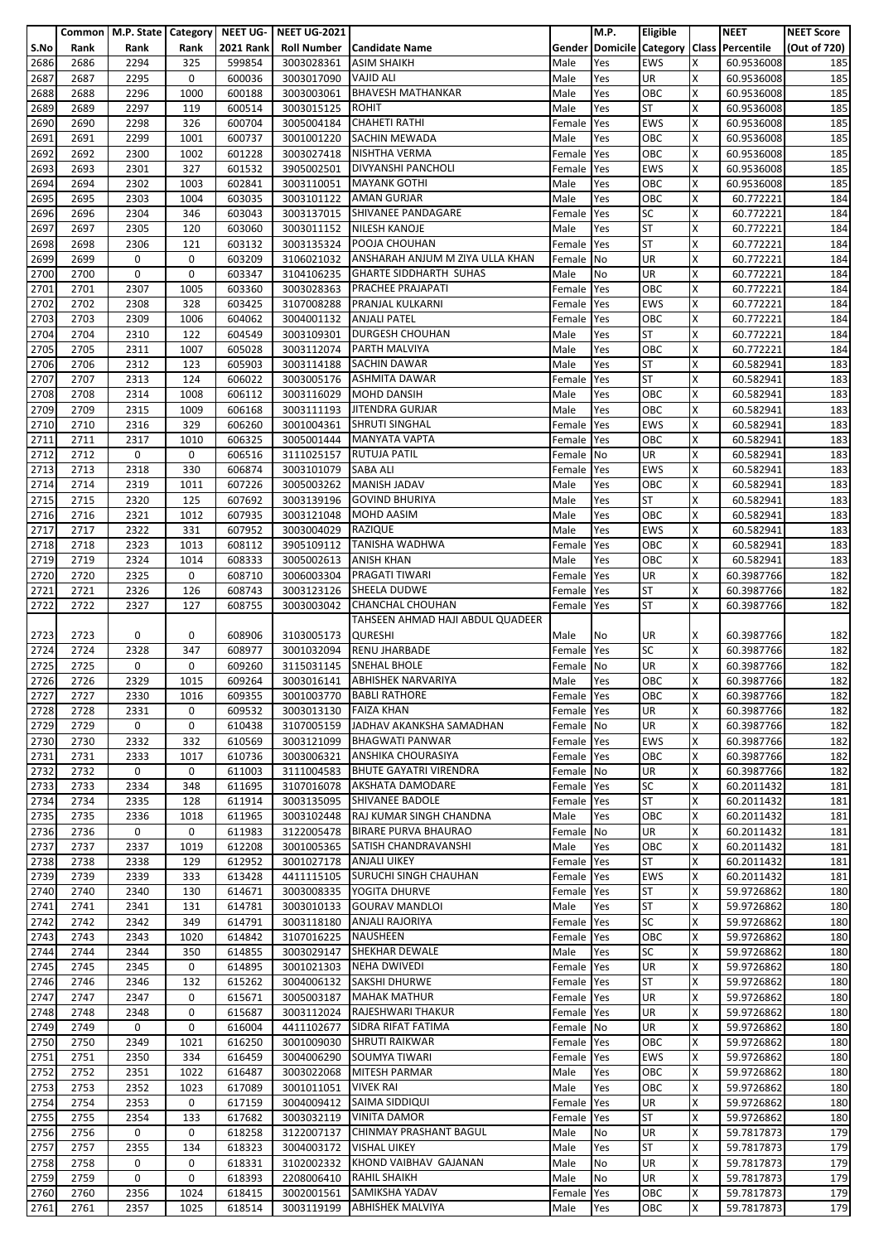|              |              | Common   M.P. State   Category |              | NEET UG-         | <b>NEET UG-2021</b>      |                                                                |                          | M.P.       | <b>Eligible</b>   |        | <b>NEET</b>                               | <b>NEET Score</b> |
|--------------|--------------|--------------------------------|--------------|------------------|--------------------------|----------------------------------------------------------------|--------------------------|------------|-------------------|--------|-------------------------------------------|-------------------|
| S.No         | Rank         | Rank                           | Rank         | <b>2021 Rank</b> | <b>Roll Number</b>       | <b>Candidate Name</b>                                          |                          |            |                   |        | Gender Domicile Category Class Percentile | (Out of 720)      |
| 2686         | 2686         | 2294                           | 325          | 599854           | 3003028361               | <b>ASIM SHAIKH</b>                                             | Male                     | Yes        | <b>EWS</b>        | x      | 60.9536008                                | 185               |
| 2687         | 2687         | 2295                           | 0            | 600036           | 3003017090               | <b>VAJID ALI</b>                                               | Male                     | Yes        | UR                | X      | 60.9536008                                | 185               |
| 2688<br>2689 | 2688<br>2689 | 2296<br>2297                   | 1000<br>119  | 600188<br>600514 | 3003003061<br>3003015125 | <b>BHAVESH MATHANKAR</b><br><b>ROHIT</b>                       | Male<br>Male             | Yes        | OBC<br><b>ST</b>  | X<br>Χ | 60.9536008<br>60.9536008                  | 185<br>185        |
| 2690         | 2690         | 2298                           | 326          | 600704           | 3005004184               | <b>CHAHETI RATHI</b>                                           | Female                   | Yes<br>Yes | <b>EWS</b>        | x      | 60.9536008                                | 185               |
| 2691         | 2691         | 2299                           | 1001         | 600737           | 3001001220               | <b>SACHIN MEWADA</b>                                           | Male                     | Yes        | OBC               | X      | 60.9536008                                | 185               |
| 2692         | 2692         | 2300                           | 1002         | 601228           | 3003027418               | NISHTHA VERMA                                                  | Female                   | Yes        | OBC               | X      | 60.9536008                                | 185               |
| 2693         | 2693         | 2301                           | 327          | 601532           | 3905002501               | <b>DIVYANSHI PANCHOLI</b>                                      | Female                   | Yes        | <b>EWS</b>        | X      | 60.9536008                                | 185               |
| 2694         | 2694         | 2302                           | 1003         | 602841           | 3003110051               | <b>MAYANK GOTHI</b>                                            | Male                     | Yes        | OBC               | Χ      | 60.9536008                                | 185               |
| 2695         | 2695         | 2303                           | 1004         | 603035           | 3003101122               | <b>AMAN GURJAR</b>                                             | Male                     | Yes        | OBC               | X      | 60.772221                                 | 184               |
| 2696         | 2696         | 2304                           | 346          | 603043           | 3003137015               | SHIVANEE PANDAGARE                                             | Female                   | Yes        | <b>SC</b>         | x      | 60.772221                                 | 184               |
| 2697         | 2697         | 2305                           | 120          | 603060           |                          | 3003011152 NILESH KANOJE                                       | Male                     | Yes        | <b>ST</b>         | X      | 60.772221                                 | 184               |
| 2698         | 2698         | 2306                           | 121          | 603132           | 3003135324               | POOJA CHOUHAN                                                  | Female                   | Yes        | <b>ST</b>         | X      | 60.772221                                 | 184               |
| 2699         | 2699         | 0                              | 0            | 603209           | 3106021032               | ANSHARAH ANJUM M ZIYA ULLA KHAN                                | Female                   | No         | UR                | Χ      | 60.772221                                 | 184               |
| 2700         | 2700         | 0                              | 0            | 603347           | 3104106235               | <b>GHARTE SIDDHARTH SUHAS</b>                                  | Male                     | No         | UR                | X      | 60.772221                                 | 184               |
| 2701         | 2701         | 2307                           | 1005         | 603360           | 3003028363               | <b>PRACHEE PRAJAPATI</b>                                       | Female                   | Yes        | OBC               | Χ      | 60.772221                                 | 184               |
| 2702<br>2703 | 2702<br>2703 | 2308<br>2309                   | 328<br>1006  | 603425<br>604062 | 3107008288<br>3004001132 | PRANJAL KULKARNI<br><b>ANJALI PATEL</b>                        | Female                   | Yes<br>Yes | <b>EWS</b><br>OBC | X<br>X | 60.772221<br>60.772221                    | 184<br>184        |
| 2704         | 2704         | 2310                           | 122          | 604549           | 3003109301               | <b>DURGESH CHOUHAN</b>                                         | Female<br>Male           | Yes        | <b>ST</b>         | X      | 60.772221                                 | 184               |
| 2705         | 2705         | 2311                           | 1007         | 605028           | 3003112074               | PARTH MALVIYA                                                  | Male                     | Yes        | OBC               | X      | 60.772221                                 | 184               |
| 2706         | 2706         | 2312                           | 123          | 605903           | 3003114188               | <b>SACHIN DAWAR</b>                                            | Male                     | Yes        | <b>ST</b>         | X      | 60.582941                                 | 183               |
| 2707         | 2707         | 2313                           | 124          | 606022           | 3003005176               | <b>ASHMITA DAWAR</b>                                           | Female                   | Yes        | <b>ST</b>         | Χ      | 60.582941                                 | 183               |
| 2708         | 2708         | 2314                           | 1008         | 606112           | 3003116029               | <b>MOHD DANSIH</b>                                             | Male                     | Yes        | OBC               | X      | 60.582941                                 | 183               |
| 2709         | 2709         | 2315                           | 1009         | 606168           | 3003111193               | <b>JITENDRA GURJAR</b>                                         | Male                     | Yes        | OBC               | X      | 60.582941                                 | 183               |
| 2710         | 2710         | 2316                           | 329          | 606260           | 3001004361               | <b>SHRUTI SINGHAL</b>                                          | Female                   | Yes        | <b>EWS</b>        | X      | 60.582941                                 | 183               |
| 2711         | 2711         | 2317                           | 1010         | 606325           | 3005001444               | <b>MANYATA VAPTA</b>                                           | Female                   | Yes        | OBC               | X      | 60.582941                                 | 183               |
| 2712         | 2712         | 0                              | 0            | 606516           | 3111025157               | <b>RUTUJA PATIL</b>                                            | Female                   | No         | UR                | Χ      | 60.582941                                 | 183               |
| 2713         | 2713         | 2318                           | 330          | 606874           | 3003101079               | <b>SABA ALI</b>                                                | Female                   | Yes        | <b>EWS</b>        | X      | 60.582941                                 | 183               |
| 2714         | 2714         | 2319                           | 1011         | 607226           | 3005003262               | <b>MANISH JADAV</b>                                            | Male                     | Yes        | OBC               | X      | 60.582941                                 | 183               |
| 2715         | 2715         | 2320                           | 125          | 607692           | 3003139196               | <b>GOVIND BHURIYA</b>                                          | Male                     | Yes        | <b>ST</b>         | x      | 60.582941                                 | 183               |
| 2716         | 2716         | 2321                           | 1012         | 607935           | 3003121048               | <b>MOHD AASIM</b>                                              | Male                     | Yes        | OBC               | x      | 60.582941                                 | 183               |
| 2717         | 2717         | 2322                           | 331          | 607952           | 3003004029               | <b>RAZIQUE</b><br><b>TANISHA WADHWA</b>                        | Male                     | Yes        | <b>EWS</b>        | Χ<br>X | 60.582941                                 | 183               |
| 2718<br>2719 | 2718<br>2719 | 2323<br>2324                   | 1013<br>1014 | 608112<br>608333 | 3905109112<br>3005002613 | <b>ANISH KHAN</b>                                              | Female<br>Male           | Yes<br>Yes | OBC<br>OBC        | Χ      | 60.582941<br>60.582941                    | 183<br>183        |
| 2720         | 2720         | 2325                           | 0            | 608710           | 3006003304               | <b>PRAGATI TIWARI</b>                                          | Female                   | Yes        | UR                | x      | 60.3987766                                | 182               |
| 2721         | 2721         | 2326                           | 126          | 608743           | 3003123126               | SHEELA DUDWE                                                   | Female                   | Yes        | <b>ST</b>         | X      | 60.3987766                                | 182               |
| 2722         | 2722         | 2327                           | 127          | 608755           | 3003003042               | <b>CHANCHAL CHOUHAN</b>                                        | Female                   | Yes        | <b>ST</b>         | x      | 60.3987766                                | 182               |
|              |              |                                |              |                  |                          | TAHSEEN AHMAD HAJI ABDUL QUADEER                               |                          |            |                   |        |                                           |                   |
| 2723         | 2723         | 0                              | 0            | 608906           | 3103005173               | <b>QURESHI</b>                                                 | Male                     | No         | UR                | x      | 60.3987766                                | 182               |
| 2724         | 2724         | 2328                           | 347          | 608977           | 3001032094               | <b>RENU JHARBADE</b>                                           | Female                   | Yes        | <b>SC</b>         | x      | 60.3987766                                | 182               |
| 2725         | 2725         | 0                              | 0            | 609260           | 3115031145               | <b>SNEHAL BHOLE</b>                                            | Female                   | No         | UR                | X      | 60.3987766                                | 182               |
| 2726         | 2726         | 2329                           | 1015         | 609264           |                          | 3003016141 ABHISHEK NARVARIYA                                  | Male                     | Yes        | OBC               | X      | 60.3987766                                | 182               |
| 2727         | 2727         | 2330                           | 1016         | 609355           |                          | 3001003770 BABLI RATHORE                                       | Female Yes               |            | OBC               | X      | 60.3987766                                | 182               |
| 2728         | 2728         | 2331                           | 0            | 609532           | 3003013130               | <b>FAIZA KHAN</b>                                              | Female Yes               |            | <b>UR</b>         | Χ      | 60.3987766                                | 182               |
| 2729         | 2729         | 0                              | $\mathbf 0$  | 610438           |                          | 3107005159 JADHAV AKANKSHA SAMADHAN                            | Female No                |            | <b>UR</b>         | X      | 60.3987766                                | 182               |
| 2730         | 2730         | 2332                           | 332          | 610569           | 3003121099               | <b>BHAGWATI PANWAR</b>                                         | Female Yes               |            | <b>EWS</b>        | x      | 60.3987766                                | 182               |
| 2731<br>2732 | 2731<br>2732 | 2333<br>0                      | 1017<br>0    | 610736<br>611003 | 3003006321               | <b>ANSHIKA CHOURASIYA</b><br>3111004583 BHUTE GAYATRI VIRENDRA | Female Yes               |            | OBC<br>UR         | X<br>X | 60.3987766                                | 182               |
| 2733         | 2733         | 2334                           | 348          | 611695           | 3107016078               | AKSHATA DAMODARE                                               | Female No<br>Female Yes  |            | <b>SC</b>         | Χ      | 60.3987766<br>60.2011432                  | 182<br>181        |
| 2734         | 2734         | 2335                           | 128          | 611914           | 3003135095               | SHIVANEE BADOLE                                                | Female Yes               |            | <b>ST</b>         | X      | 60.2011432                                | 181               |
| 2735         | 2735         | 2336                           | 1018         | 611965           | 3003102448               | RAJ KUMAR SINGH CHANDNA                                        | Male                     | Yes        | OBC               | X      | 60.2011432                                | 181               |
| 2736         | 2736         | $\mathbf 0$                    | 0            | 611983           | 3122005478               | <b>BIRARE PURVA BHAURAO</b>                                    | Female No                |            | <b>UR</b>         | X      | 60.2011432                                | 181               |
| 2737         | 2737         | 2337                           | 1019         | 612208           |                          | 3001005365 SATISH CHANDRAVANSHI                                | Male                     | Yes        | OBC               | x      | 60.2011432                                | 181               |
| 2738         | 2738         | 2338                           | 129          | 612952           | 3001027178               | <b>ANJALI UIKEY</b>                                            | Female Yes               |            | <b>ST</b>         | X      | 60.2011432                                | 181               |
| 2739         | 2739         | 2339                           | 333          | 613428           | 4411115105               | <b>SURUCHI SINGH CHAUHAN</b>                                   | Female Yes               |            | <b>EWS</b>        | X      | 60.2011432                                | 181               |
| 2740         | 2740         | 2340                           | 130          | 614671           | 3003008335               | YOGITA DHURVE                                                  | Female Yes               |            | <b>ST</b>         | X      | 59.9726862                                | 180               |
| 2741         | 2741         | 2341                           | 131          | 614781           | 3003010133               | <b>GOURAV MANDLOI</b>                                          | Male                     | Yes        | <b>ST</b>         | X      | 59.9726862                                | 180               |
| 2742         | 2742         | 2342                           | 349          | 614791           | 3003118180               | <b>ANJALI RAJORIYA</b>                                         | Female                   | Yes        | <b>SC</b>         | X      | 59.9726862                                | 180               |
| 2743         | 2743         | 2343                           | 1020         | 614842           | 3107016225               | <b>NAUSHEEN</b>                                                | Female Yes               |            | OBC<br><b>SC</b>  | Χ<br>X | 59.9726862                                | 180               |
| 2744         | 2744         | 2344                           | 350          | 614855           | 3003029147               | <b>SHEKHAR DEWALE</b>                                          | Male                     | Yes        |                   |        | 59.9726862                                | 180               |
| 2745<br>2746 | 2745<br>2746 | 2345<br>2346                   | 0<br>132     | 614895<br>615262 | 3004006132               | 3001021303 NEHA DWIVEDI<br><b>SAKSHI DHURWE</b>                | Female Yes<br>Female Yes |            | UR<br><b>ST</b>   | X<br>X | 59.9726862<br>59.9726862                  | 180<br>180        |
| 2747         | 2747         | 2347                           | 0            | 615671           | 3005003187               | <b>MAHAK MATHUR</b>                                            | Female                   | Yes        | <b>UR</b>         | x      | 59.9726862                                | 180               |
| 2748         | 2748         | 2348                           | 0            | 615687           | 3003112024               | RAJESHWARI THAKUR                                              | Female                   | Yes        | <b>UR</b>         | X      | 59.9726862                                | 180               |
| 2749         | 2749         | 0                              | 0            | 616004           | 4411102677               | SIDRA RIFAT FATIMA                                             | Female No                |            | <b>UR</b>         | x      | 59.9726862                                | 180               |
| 2750         | 2750         | 2349                           | 1021         | 616250           | 3001009030               | <b>SHRUTI RAIKWAR</b>                                          | Female Yes               |            | OBC               | Χ      | 59.9726862                                | 180               |
| 2751         | 2751         | 2350                           | 334          | 616459           | 3004006290               | SOUMYA TIWARI                                                  | Female                   | Yes        | <b>EWS</b>        | X      | 59.9726862                                | 180               |
| 2752         | 2752         | 2351                           | 1022         | 616487           | 3003022068               | <b>MITESH PARMAR</b>                                           | Male                     | Yes        | OBC               | X      | 59.9726862                                | 180               |
| 2753         | 2753         | 2352                           | 1023         | 617089           | 3001011051               | <b>VIVEK RAI</b>                                               | Male                     | Yes        | OBC               | X      | 59.9726862                                | 180               |
| 2754         | 2754         | 2353                           | 0            | 617159           | 3004009412               | SAIMA SIDDIQUI                                                 | Female                   | Yes        | UR                | X      | 59.9726862                                | 180               |
| 2755         | 2755         | 2354                           | 133          | 617682           | 3003032119               | <b>VINITA DAMOR</b>                                            | Female                   | Yes        | <b>ST</b>         | X      | 59.9726862                                | 180               |
| 2756         | 2756         | 0                              | 0            | 618258           | 3122007137               | CHINMAY PRASHANT BAGUL                                         | Male                     | No         | <b>UR</b>         | X      | 59.7817873                                | 179               |
| 2757         | 2757         | 2355                           | 134          | 618323           | 3004003172               | <b>VISHAL UIKEY</b>                                            | Male                     | Yes        | <b>ST</b>         | x      | 59.7817873                                | 179               |
| 2758         | 2758         | 0                              | 0            | 618331           | 3102002332               | KHOND VAIBHAV GAJANAN                                          | Male                     | No         | <b>UR</b>         | X      | 59.7817873                                | 179               |
| 2759         | 2759         | 0                              | 0            | 618393           | 2208006410               | <b>RAHIL SHAIKH</b>                                            | Male                     | No         | <b>UR</b>         | x      | 59.7817873                                | 179               |
| 2760<br>2761 | 2760<br>2761 | 2356<br>2357                   | 1024<br>1025 | 618415<br>618514 | 3002001561<br>3003119199 | SAMIKSHA YADAV<br><b>ABHISHEK MALVIYA</b>                      | Female Yes<br>Male       | Yes        | OBC<br>OBC        | X<br>X | 59.7817873<br>59.7817873                  | 179<br>179        |
|              |              |                                |              |                  |                          |                                                                |                          |            |                   |        |                                           |                   |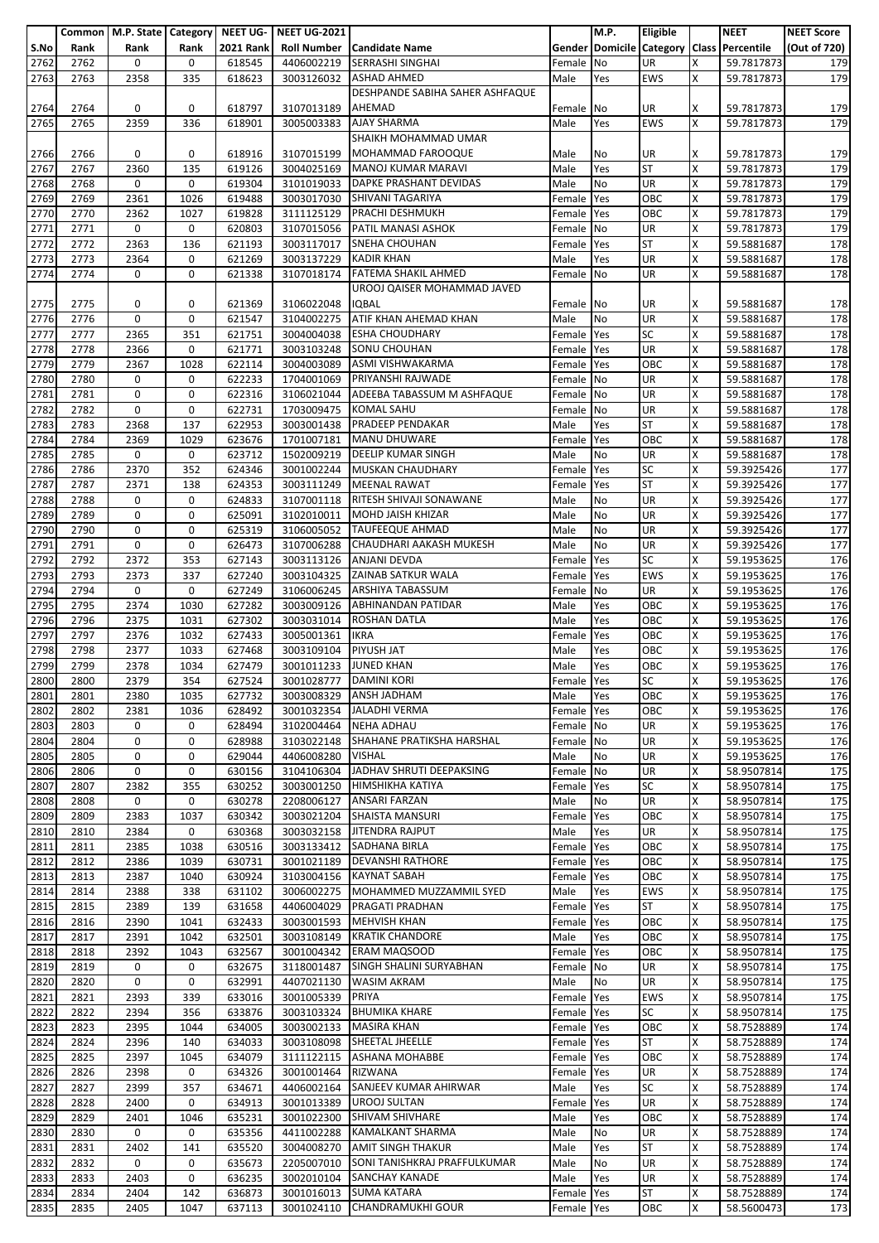|      |      | Common   M.P. State   Category   NEET UG- |      |                  | <b>NEET UG-2021</b>    |                                   |            | M.P.      | Eligible   |    | <b>NEET</b>                               | <b>NEET Score</b> |
|------|------|-------------------------------------------|------|------------------|------------------------|-----------------------------------|------------|-----------|------------|----|-------------------------------------------|-------------------|
| S.No | Rank | Rank                                      | Rank | <b>2021 Rank</b> |                        | <b>Roll Number Candidate Name</b> |            |           |            |    | Gender Domicile Category Class Percentile | (Out of 720)      |
| 2762 |      | 0                                         | 0    | 618545           | 4406002219             | <b>SERRASHI SINGHAI</b>           |            | No        | UR         | Χ  | 59.7817873                                |                   |
|      | 2762 |                                           |      |                  |                        |                                   | Female     |           |            |    |                                           | 179               |
| 2763 | 2763 | 2358                                      | 335  | 618623           | 3003126032             | <b>ASHAD AHMED</b>                | Male       | Yes       | <b>EWS</b> | X  | 59.7817873                                | 179               |
|      |      |                                           |      |                  |                        | DESHPANDE SABIHA SAHER ASHFAQUE   |            |           |            |    |                                           |                   |
| 2764 | 2764 | 0                                         | 0    | 618797           | 3107013189             | AHEMAD                            | Female     | No        | UR         | x  | 59.7817873                                | 179               |
| 2765 | 2765 | 2359                                      | 336  | 618901           | 3005003383             | <b>AJAY SHARMA</b>                | Male       | Yes       | <b>EWS</b> | x  | 59.7817873                                | 179               |
|      |      |                                           |      |                  |                        | SHAIKH MOHAMMAD UMAR              |            |           |            |    |                                           |                   |
|      |      |                                           |      |                  |                        |                                   |            |           |            |    |                                           |                   |
| 2766 | 2766 | 0                                         | 0    | 618916           | 3107015199             | MOHAMMAD FAROOQUE                 | Male       | No        | UR         | x  | 59.7817873                                | 179               |
| 2767 | 2767 | 2360                                      | 135  | 619126           | 3004025169             | MANOJ KUMAR MARAVI                | Male       | Yes       | <b>ST</b>  | Χ  | 59.7817873                                | 179               |
| 2768 | 2768 | 0                                         | 0    | 619304           | 3101019033             | <b>DAPKE PRASHANT DEVIDAS</b>     | Male       | No        | UR         | x  | 59.7817873                                | 179               |
| 2769 | 2769 | 2361                                      | 1026 | 619488           | 3003017030             | SHIVANI TAGARIYA                  | Female     | Yes       | OBC        | x  | 59.7817873                                | 179               |
| 2770 | 2770 | 2362                                      | 1027 | 619828           | 3111125129             | PRACHI DESHMUKH                   | Female     | Yes       | OBC        | Χ  | 59.7817873                                | 179               |
| 2771 | 2771 | 0                                         | 0    | 620803           | 3107015056             | PATIL MANASI ASHOK                | Female     | No        | UR         | X  | 59.7817873                                | 179               |
|      |      |                                           |      |                  |                        | <b>SNEHA CHOUHAN</b>              |            |           |            |    |                                           |                   |
| 2772 | 2772 | 2363                                      | 136  | 621193           | 3003117017             |                                   | Female Yes |           | <b>ST</b>  | X  | 59.5881687                                | 178               |
| 2773 | 2773 | 2364                                      | 0    | 621269           | 3003137229             | <b>KADIR KHAN</b>                 | Male       | Yes       | UR         | X  | 59.5881687                                | 178               |
| 2774 | 2774 | 0                                         | 0    | 621338           | 3107018174             | <b>FATEMA SHAKIL AHMED</b>        | Female     | <b>No</b> | UR         | X  | 59.5881687                                | 178               |
|      |      |                                           |      |                  |                        | UROOJ QAISER MOHAMMAD JAVED       |            |           |            |    |                                           |                   |
| 2775 | 2775 | 0                                         | 0    | 621369           | 3106022048             | <b>IQBAL</b>                      | Female No  |           | UR         | x  | 59.5881687                                | 178               |
| 2776 | 2776 | 0                                         | 0    | 621547           | 3104002275             | ATIF KHAN AHEMAD KHAN             | Male       | No        | UR         | Χ  | 59.5881687                                | 178               |
|      |      |                                           |      |                  |                        | <b>ESHA CHOUDHARY</b>             |            |           | <b>SC</b>  |    |                                           |                   |
| 2777 | 2777 | 2365                                      | 351  | 621751           | 3004004038             |                                   | Female     | Yes       |            | x  | 59.5881687                                | 178               |
| 2778 | 2778 | 2366                                      | 0    | 621771           | 3003103248             | <b>SONU CHOUHAN</b>               | Female     | Yes       | <b>UR</b>  | X  | 59.5881687                                | 178               |
| 2779 | 2779 | 2367                                      | 1028 | 622114           | 3004003089             | ASMI VISHWAKARMA                  | Female     | Yes       | OBC        | X  | 59.5881687                                | 178               |
| 2780 | 2780 | 0                                         | 0    | 622233           | 1704001069             | PRIYANSHI RAJWADE                 | Female     | <b>No</b> | UR         | X  | 59.5881687                                | 178               |
| 2781 | 2781 | $\mathbf 0$                               | 0    | 622316           | 3106021044             | ADEEBA TABASSUM M ASHFAQUE        | Female No  |           | <b>UR</b>  | X  | 59.5881687                                | 178               |
| 2782 | 2782 | 0                                         | 0    | 622731           | 1703009475             | <b>KOMAL SAHU</b>                 | Female     | No        | UR         | X  | 59.5881687                                | 178               |
|      |      |                                           |      |                  |                        |                                   |            |           |            |    |                                           |                   |
| 2783 | 2783 | 2368                                      | 137  | 622953           | 3003001438             | PRADEEP PENDAKAR                  | Male       | Yes       | <b>ST</b>  | X  | 59.5881687                                | 178               |
| 2784 | 2784 | 2369                                      | 1029 | 623676           | 1701007181             | <b>MANU DHUWARE</b>               | Female     | Yes       | OBC        | x  | 59.5881687                                | 178               |
| 2785 | 2785 | 0                                         | 0    | 623712           | 1502009219             | <b>DEELIP KUMAR SINGH</b>         | Male       | No        | UR         | X  | 59.5881687                                | 178               |
| 2786 | 2786 | 2370                                      | 352  | 624346           | 3001002244             | MUSKAN CHAUDHARY                  | Female     | Yes       | <b>SC</b>  | X  | 59.3925426                                | 177               |
| 2787 | 2787 | 2371                                      | 138  | 624353           | 3003111249             | <b>MEENAL RAWAT</b>               | Female     | Yes       | <b>ST</b>  | x  | 59.3925426                                | 177               |
| 2788 | 2788 | 0                                         | 0    | 624833           | 3107001118             | RITESH SHIVAJI SONAWANE           | Male       | No        | <b>UR</b>  | Χ  | 59.3925426                                | 177               |
|      |      |                                           |      |                  |                        |                                   |            |           |            |    |                                           |                   |
| 2789 | 2789 | 0                                         | 0    | 625091           | 3102010011             | MOHD JAISH KHIZAR                 | Male       | No        | UR         | X  | 59.3925426                                | 177               |
| 2790 | 2790 | 0                                         | 0    | 625319           | 3106005052             | <b>TAUFEEQUE AHMAD</b>            | Male       | No        | UR         | X  | 59.3925426                                | 177               |
| 2791 | 2791 | $\mathbf 0$                               | 0    | 626473           | 3107006288             | CHAUDHARI AAKASH MUKESH           | Male       | No        | <b>UR</b>  | X  | 59.3925426                                | 177               |
| 2792 | 2792 | 2372                                      | 353  | 627143           | 3003113126             | <b>ANJANI DEVDA</b>               | Female     | Yes       | <b>SC</b>  | X  | 59.1953625                                | 176               |
| 2793 | 2793 | 2373                                      | 337  | 627240           | 3003104325             | ZAINAB SATKUR WALA                | Female     | Yes       | <b>EWS</b> | x  | 59.1953625                                | 176               |
| 2794 | 2794 | 0                                         | 0    | 627249           | 3106006245             | <b>ARSHIYA TABASSUM</b>           | Female     | No        | UR         | x  | 59.1953625                                | 176               |
|      |      |                                           |      |                  |                        |                                   |            |           |            |    |                                           |                   |
| 2795 | 2795 | 2374                                      | 1030 | 627282           | 3003009126             | ABHINANDAN PATIDAR                | Male       | Yes       | OBC        | X  | 59.1953625                                | 176               |
| 2796 | 2796 | 2375                                      | 1031 | 627302           | 3003031014             | <b>ROSHAN DATLA</b>               | Male       | Yes       | OBC        | Χ  | 59.1953625                                | 176               |
| 2797 | 2797 | 2376                                      | 1032 | 627433           | 3005001361             | <b>IKRA</b>                       | Female     | Yes       | OBC        | x  | 59.1953625                                | 176               |
| 2798 | 2798 | 2377                                      | 1033 | 627468           | 3003109104             | PIYUSH JAT                        | Male       | Yes       | OBC        | X  | 59.1953625                                | 176               |
| 2799 | 2799 | 2378                                      | 1034 | 627479           | 3001011233             | <b>JUNED KHAN</b>                 | Male       | Yes       | OBC        | X  | 59.1953625                                | 176               |
| 2800 | 2800 | 2379                                      | 354  | 627524           | 3001028777 DAMINI KORI |                                   | Female Yes |           | <b>SC</b>  | Ιx |                                           | 176               |
|      |      |                                           |      |                  |                        |                                   |            |           |            |    | 59.1953625                                |                   |
| 2801 | 2801 | 2380                                      | 1035 | 627732           | 3003008329             | <b>ANSH JADHAM</b>                | Male       | Yes       | OBC        | X  | 59.1953625                                | 176               |
| 2802 | 2802 | 2381                                      | 1036 | 628492           | 3001032354             | <b>JALADHI VERMA</b>              | Female     | Yes       | OBC        | x  | 59.1953625                                | 176               |
| 2803 | 2803 | 0                                         | 0    | 628494           | 3102004464             | <b>NEHA ADHAU</b>                 | Female     | No        | UR         | x  | 59.1953625                                | 176               |
| 2804 | 2804 | 0                                         | 0    | 628988           | 3103022148             | SHAHANE PRATIKSHA HARSHAL         | Female No  |           | UR         | X  | 59.1953625                                | 176               |
| 2805 | 2805 | 0                                         | 0    | 629044           | 4406008280             | <b>VISHAL</b>                     | Male       | No        | UR         | x  | 59.1953625                                | 176               |
|      |      | 0                                         | 0    |                  |                        | JADHAV SHRUTI DEEPAKSING          |            |           |            |    | 58.9507814                                |                   |
| 2806 | 2806 |                                           |      | 630156           | 3104106304             |                                   | Female No  |           | UR         | X  |                                           | 175               |
| 2807 | 2807 | 2382                                      | 355  | 630252           | 3003001250             | <b>HIMSHIKHA KATIYA</b>           | Female Yes |           | <b>SC</b>  | X  | 58.9507814                                | 175               |
| 2808 | 2808 | 0                                         | 0    | 630278           | 2208006127             | <b>ANSARI FARZAN</b>              | Male       | No        | UR         | x  | 58.9507814                                | 175               |
| 2809 | 2809 | 2383                                      | 1037 | 630342           | 3003021204             | SHAISTA MANSURI                   | Female     | Yes       | OBC        | X  | 58.9507814                                | 175               |
| 2810 | 2810 | 2384                                      | 0    | 630368           | 3003032158             | <b>JITENDRA RAJPUT</b>            | Male       | Yes       | UR         | X  | 58.9507814                                | 175               |
| 2811 | 2811 | 2385                                      | 1038 | 630516           | 3003133412             | <b>SADHANA BIRLA</b>              | Female Yes |           | OBC        | Χ  | 58.9507814                                | 175               |
| 2812 | 2812 | 2386                                      | 1039 | 630731           | 3001021189             | <b>DEVANSHI RATHORE</b>           |            |           | OBC        | X  | 58.9507814                                | 175               |
|      |      |                                           |      |                  |                        |                                   | Female     | Yes       |            |    |                                           |                   |
| 2813 | 2813 | 2387                                      | 1040 | 630924           | 3103004156             | <b>KAYNAT SABAH</b>               | Female     | Yes       | OBC        | x  | 58.9507814                                | 175               |
| 2814 | 2814 | 2388                                      | 338  | 631102           | 3006002275             | MOHAMMED MUZZAMMIL SYED           | Male       | Yes       | <b>EWS</b> | x  | 58.9507814                                | 175               |
| 2815 | 2815 | 2389                                      | 139  | 631658           | 4406004029             | PRAGATI PRADHAN                   | Female     | Yes       | <b>ST</b>  | X  | 58.9507814                                | 175               |
| 2816 | 2816 | 2390                                      | 1041 | 632433           | 3003001593             | <b>MEHVISH KHAN</b>               | Female     | Yes       | OBC        | X  | 58.9507814                                | 175               |
| 2817 | 2817 | 2391                                      | 1042 | 632501           | 3003108149             | <b>KRATIK CHANDORE</b>            | Male       | Yes       | OBC        | x  | 58.9507814                                | 175               |
| 2818 | 2818 | 2392                                      | 1043 | 632567           | 3001004342             | <b>ERAM MAQSOOD</b>               | Female     | Yes       | OBC        | x  | 58.9507814                                | 175               |
|      |      |                                           |      |                  |                        |                                   |            |           |            |    |                                           |                   |
| 2819 | 2819 | 0                                         | 0    | 632675           | 3118001487             | SINGH SHALINI SURYABHAN           | Female     | <b>No</b> | UR         | x  | 58.9507814                                | 175               |
| 2820 | 2820 | 0                                         | 0    | 632991           | 4407021130             | <b>WASIM AKRAM</b>                | Male       | No        | UR         | X  | 58.9507814                                | 175               |
| 2821 | 2821 | 2393                                      | 339  | 633016           | 3001005339             | PRIYA                             | Female Yes |           | <b>EWS</b> | X  | 58.9507814                                | 175               |
| 2822 | 2822 | 2394                                      | 356  | 633876           | 3003103324             | <b>BHUMIKA KHARE</b>              | Female     | Yes       | <b>SC</b>  | X  | 58.9507814                                | 175               |
| 2823 | 2823 | 2395                                      | 1044 | 634005           | 3003002133             | <b>MASIRA KHAN</b>                | Female     | Yes       | OBC        | x  | 58.7528889                                | 174               |
|      |      |                                           |      |                  |                        | SHEETAL JHEELLE                   |            |           | ST         | X  |                                           |                   |
| 2824 | 2824 | 2396                                      | 140  | 634033           | 3003108098             |                                   | Female     | Yes       |            |    | 58.7528889                                | 174               |
| 2825 | 2825 | 2397                                      | 1045 | 634079           | 3111122115             | <b>ASHANA MOHABBE</b>             | Female     | Yes       | OBC        | x  | 58.7528889                                | 174               |
| 2826 | 2826 | 2398                                      | 0    | 634326           | 3001001464             | RIZWANA                           | Female     | Yes       | UR         | X  | 58.7528889                                | 174               |
| 2827 | 2827 | 2399                                      | 357  | 634671           |                        | 4406002164 SANJEEV KUMAR AHIRWAR  | Male       | Yes       | <b>SC</b>  | X  | 58.7528889                                | 174               |
| 2828 | 2828 | 2400                                      | 0    | 634913           | 3001013389             | <b>UROOJ SULTAN</b>               | Female     | Yes       | UR         | X  | 58.7528889                                | 174               |
| 2829 | 2829 | 2401                                      | 1046 | 635231           | 3001022300             | <b>SHIVAM SHIVHARE</b>            | Male       | Yes       | OBC        | X  | 58.7528889                                | 174               |
|      |      |                                           |      |                  |                        |                                   |            |           |            |    |                                           |                   |
| 2830 | 2830 | 0                                         | 0    | 635356           | 4411002288             | KAMALKANT SHARMA                  | Male       | No        | UR         | X  | 58.7528889                                | 174               |
| 2831 | 2831 | 2402                                      | 141  | 635520           | 3004008270             | <b>AMIT SINGH THAKUR</b>          | Male       | Yes       | <b>ST</b>  | Χ  | 58.7528889                                | 174               |
| 2832 | 2832 | 0                                         | 0    | 635673           | 2205007010             | SONI TANISHKRAJ PRAFFULKUMAR      | Male       | No        | UR         | X  | 58.7528889                                | 174               |
| 2833 | 2833 | 2403                                      | 0    | 636235           | 3002010104             | <b>SANCHAY KANADE</b>             | Male       | Yes       | UR         | x  | 58.7528889                                | 174               |
| 2834 | 2834 | 2404                                      | 142  | 636873           | 3001016013             | <b>SUMA KATARA</b>                | Female Yes |           | ST         | x  | 58.7528889                                | 174               |
| 2835 | 2835 | 2405                                      | 1047 | 637113           | 3001024110             | <b>CHANDRAMUKHI GOUR</b>          | Female Yes |           | OBC        | X  | 58.5600473                                | 173               |
|      |      |                                           |      |                  |                        |                                   |            |           |            |    |                                           |                   |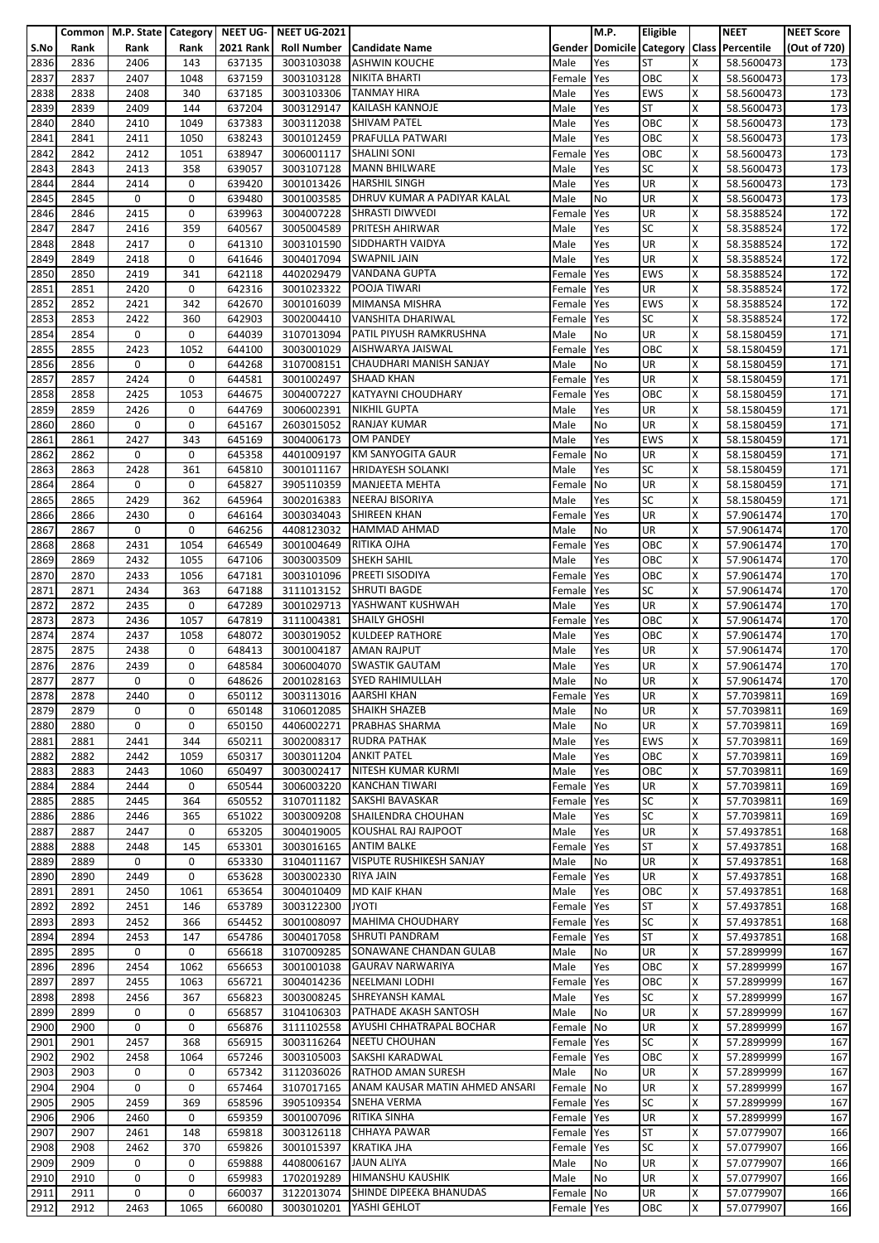|              |              | Common   M.P. State   Category   NEET UG- |              |                  | <b>NEET UG-2021</b>      |                                                                 |                      | M.P.       | Eligible               |        | <b>NEET</b>                               | <b>NEET Score</b> |
|--------------|--------------|-------------------------------------------|--------------|------------------|--------------------------|-----------------------------------------------------------------|----------------------|------------|------------------------|--------|-------------------------------------------|-------------------|
| S.No         | Rank         | Rank                                      | Rank         | <b>2021 Rank</b> | <b>Roll Number</b>       | <b>Candidate Name</b>                                           |                      |            |                        |        | Gender Domicile Category Class Percentile | (Out of 720)      |
| 2836         | 2836         | 2406                                      | 143          | 637135           | 3003103038               | <b>ASHWIN KOUCHE</b>                                            | Male                 | Yes        | <b>ST</b>              | X      | 58.5600473                                | 173               |
| 2837         | 2837         | 2407                                      | 1048         | 637159           | 3003103128               | NIKITA BHARTI                                                   | Female               | Yes        | OBC                    | x      | 58.5600473                                | 173               |
| 2838         | 2838         | 2408                                      | 340          | 637185           | 3003103306               | <b>TANMAY HIRA</b>                                              | Male                 | Yes        | <b>EWS</b>             | X      | 58.5600473                                | 173               |
| 2839         | 2839         | 2409                                      | 144          | 637204           | 3003129147               | <b>KAILASH KANNOJE</b><br><b>SHIVAM PATEL</b>                   | Male                 | Yes        | <b>ST</b>              | Χ      | 58.5600473                                | 173               |
| 2840         | 2840         | 2410                                      | 1049         | 637383           | 3003112038               | PRAFULLA PATWARI                                                | Male                 | Yes        | OBC<br>OBC             | x<br>X | 58.5600473                                | 173               |
| 2841<br>2842 | 2841<br>2842 | 2411<br>2412                              | 1050<br>1051 | 638243<br>638947 | 3001012459<br>3006001117 | <b>SHALINI SONI</b>                                             | Male<br>Female       | Yes<br>Yes | OBC                    | X      | 58.5600473<br>58.5600473                  | 173<br>173        |
| 2843         | 2843         | 2413                                      | 358          | 639057           | 3003107128               | <b>MANN BHILWARE</b>                                            | Male                 | Yes        | <b>SC</b>              | X      | 58.5600473                                | 173               |
| 2844         | 2844         | 2414                                      | 0            | 639420           | 3001013426               | <b>HARSHIL SINGH</b>                                            | Male                 | Yes        | <b>UR</b>              | Χ      | 58.5600473                                | 173               |
| 2845         | 2845         | 0                                         | 0            | 639480           | 3001003585               | DHRUV KUMAR A PADIYAR KALAL                                     | Male                 | No         | UR                     | x      | 58.5600473                                | 173               |
| 2846         | 2846         | 2415                                      | 0            | 639963           | 3004007228               | <b>SHRASTI DIWVEDI</b>                                          | Female               | Yes        | UR                     | x      | 58.3588524                                | 172               |
| 2847         | 2847         | 2416                                      | 359          | 640567           | 3005004589               | <b>PRITESH AHIRWAR</b>                                          | Male                 | Yes        | <b>SC</b>              | X      | 58.3588524                                | 172               |
| 2848         | 2848         | 2417                                      | 0            | 641310           | 3003101590               | SIDDHARTH VAIDYA                                                | Male                 | Yes        | <b>UR</b>              | X      | 58.3588524                                | 172               |
| 2849         | 2849         | 2418                                      | 0            | 641646           | 3004017094               | <b>SWAPNIL JAIN</b>                                             | Male                 | Yes        | UR                     | Χ      | 58.3588524                                | 172               |
| 2850         | 2850         | 2419                                      | 341          | 642118           | 4402029479               | <b>VANDANA GUPTA</b>                                            | Female               | Yes        | <b>EWS</b>             | x      | 58.3588524                                | 172               |
| 2851         | 2851         | 2420                                      | 0            | 642316           | 3001023322               | POOJA TIWARI                                                    | Female               | Yes        | UR                     | x      | 58.3588524                                | 172               |
| 2852         | 2852         | 2421                                      | 342          | 642670           | 3001016039               | MIMANSA MISHRA                                                  | Female               | Yes        | <b>EWS</b>             | X      | 58.3588524                                | 172               |
| 2853         | 2853         | 2422                                      | 360          | 642903           | 3002004410               | <b>VANSHITA DHARIWAL</b>                                        | Female               | Yes        | <b>SC</b>              | X      | 58.3588524                                | 172               |
| 2854         | 2854         | 0                                         | 0            | 644039           | 3107013094               | PATIL PIYUSH RAMKRUSHNA                                         | Male                 | No         | <b>UR</b>              | Χ      | 58.1580459                                | 171               |
| 2855         | 2855         | 2423                                      | 1052         | 644100           | 3003001029               | AISHWARYA JAISWAL                                               | Female               | Yes        | OBC                    | X      | 58.1580459                                | 171               |
| 2856         | 2856         | 0                                         | 0            | 644268           | 3107008151               | CHAUDHARI MANISH SANJAY                                         | Male                 | No         | UR                     | X      | 58.1580459                                | 171               |
| 2857         | 2857         | 2424                                      | 0            | 644581           | 3001002497               | <b>SHAAD KHAN</b>                                               | Female               | Yes        | UR                     | X      | 58.1580459                                | 171               |
| 2858         | 2858         | 2425                                      | 1053         | 644675           | 3004007227               | <b>KATYAYNI CHOUDHARY</b>                                       | Female               | Yes        | OBC                    | X      | 58.1580459                                | 171               |
| 2859         | 2859         | 2426                                      | 0            | 644769           | 3006002391               | <b>NIKHIL GUPTA</b>                                             | Male                 | Yes        | UR                     | X      | 58.1580459                                | 171               |
| 2860         | 2860         | 0                                         | 0            | 645167           | 2603015052               | <b>RANJAY KUMAR</b>                                             | Male                 | No         | UR                     | X      | 58.1580459                                | 171               |
| 2861         | 2861         | 2427                                      | 343          | 645169           | 3004006173               | <b>OM PANDEY</b>                                                | Male                 | Yes        | <b>EWS</b>             | X      | 58.1580459                                | 171               |
| 2862         | 2862         | 0                                         | 0            | 645358           | 4401009197               | <b>KM SANYOGITA GAUR</b>                                        | Female               | <b>No</b>  | UR                     | Χ      | 58.1580459                                | 171               |
| 2863         | 2863<br>2864 | 2428<br>0                                 | 361<br>0     | 645810<br>645827 | 3001011167               | <b>HRIDAYESH SOLANKI</b><br><b>MANJEETA MEHTA</b>               | Male                 | Yes        | <b>SC</b><br><b>UR</b> | X<br>Χ | 58.1580459                                | 171               |
| 2864<br>2865 | 2865         | 2429                                      | 362          | 645964           | 3905110359<br>3002016383 | <b>NEERAJ BISORIYA</b>                                          | Female No<br>Male    | Yes        | <b>SC</b>              | x      | 58.1580459<br>58.1580459                  | 171<br>171        |
| 2866         | 2866         | 2430                                      | 0            | 646164           | 3003034043               | <b>SHIREEN KHAN</b>                                             | Female               | Yes        | <b>UR</b>              | X      | 57.9061474                                | 170               |
| 2867         | 2867         | 0                                         | 0            | 646256           | 4408123032               | <b>HAMMAD AHMAD</b>                                             | Male                 | No         | UR                     | X      | 57.9061474                                | 170               |
| 2868         | 2868         | 2431                                      | 1054         | 646549           | 3001004649               | <b>RITIKA OJHA</b>                                              | Female               | Yes        | OBC                    | X      | 57.9061474                                | 170               |
| 2869         | 2869         | 2432                                      | 1055         | 647106           | 3003003509               | <b>SHEKH SAHIL</b>                                              | Male                 | Yes        | OBC                    | Χ      | 57.9061474                                | 170               |
| 2870         | 2870         | 2433                                      | 1056         | 647181           | 3003101096               | PREETI SISODIYA                                                 | Female               | Yes        | OBC                    | x      | 57.9061474                                | 170               |
| 2871         | 2871         | 2434                                      | 363          | 647188           | 3111013152               | <b>SHRUTI BAGDE</b>                                             | Female               | Yes        | <b>SC</b>              | x      | 57.9061474                                | 170               |
| 2872         | 2872         | 2435                                      | 0            | 647289           | 3001029713               | YASHWANT KUSHWAH                                                | Male                 | Yes        | UR                     | X      | 57.9061474                                | 170               |
| 2873         | 2873         | 2436                                      | 1057         | 647819           | 3111004381               | <b>SHAILY GHOSHI</b>                                            | Female               | Yes        | OBC                    | x      | 57.9061474                                | 170               |
| 2874         | 2874         | 2437                                      | 1058         | 648072           | 3003019052               | <b>KULDEEP RATHORE</b>                                          | Male                 | Yes        | OBC                    | Χ      | 57.9061474                                | 170               |
| 2875         | 2875         | 2438                                      | 0            | 648413           | 3001004187               | <b>AMAN RAJPUT</b>                                              | Male                 | Yes        | UR                     | X      | 57.9061474                                | 170               |
| 2876         | 2876         | 2439                                      | 0            | 648584           | 3006004070               | <b>SWASTIK GAUTAM</b>                                           | Male                 | Yes        | UR                     | X      | 57.9061474                                | 170               |
| 2877         | 2877         | 0                                         | 0            | 648626           |                          | 2001028163 SYED RAHIMULLAH                                      | Male                 | No         | UR                     | X      | 57.9061474                                | 170               |
| 2878         | 2878         | 2440                                      | 0            | 650112           |                          | 3003113016 AARSHI KHAN                                          | Female Yes           |            | <b>UR</b>              | X      | 57.7039811                                | 169               |
| 2879         | 2879         | 0                                         | 0            | 650148           | 3106012085               | <b>SHAIKH SHAZEB</b>                                            | Male                 | No         | <b>UR</b>              | X      | 57.7039811                                | 169               |
| 2880         | 2880         | 0                                         | $\mathbf 0$  | 650150           |                          | 4406002271 PRABHAS SHARMA                                       | Male                 | No         | <b>UR</b>              | X      | 57.7039811                                | 169               |
| 2881         | 2881         | 2441                                      | 344          | 650211           | 3002008317               | <b>RUDRA PATHAK</b>                                             | Male                 | Yes        | <b>EWS</b>             | x      | 57.7039811                                | 169               |
| 2882         | 2882         | 2442                                      | 1059         | 650317           | 3003011204               | <b>ANKIT PATEL</b>                                              | Male                 | Yes        | OBC                    | X      | 57.7039811                                | 169               |
| 2883         | 2883         | 2443                                      | 1060         | 650497           |                          | 3003002417 NITESH KUMAR KURMI                                   | Male                 | Yes        | OBC                    | X      | 57.7039811                                | 169               |
| 2884         | 2884<br>2885 | 2444<br>2445                              | 0<br>364     | 650544           | 3006003220<br>3107011182 | <b>KANCHAN TIWARI</b><br>SAKSHI BAVASKAR                        | Female               | Yes        | UR<br><b>SC</b>        | Χ<br>X | 57.7039811<br>57.7039811                  | 169               |
| 2885         |              |                                           |              | 650552           |                          | SHAILENDRA CHOUHAN                                              | Female               | Yes        | <b>SC</b>              |        |                                           | 169               |
| 2886<br>2887 | 2886<br>2887 | 2446<br>2447                              | 365<br>0     | 651022<br>653205 | 3003009208<br>3004019005 | KOUSHAL RAJ RAJPOOT                                             | Male<br>Male         | Yes<br>Yes | <b>UR</b>              | X<br>X | 57.7039811<br>57.4937851                  | 169<br>168        |
| 2888         | 2888         | 2448                                      | 145          | 653301           | 3003016165               | <b>ANTIM BALKE</b>                                              | Female               | Yes        | <b>ST</b>              | x      | 57.4937851                                | 168               |
| 2889         | 2889         | $\mathbf 0$                               | 0            | 653330           | 3104011167               | <b>VISPUTE RUSHIKESH SANJAY</b>                                 | Male                 | No         | <b>UR</b>              | X      | 57.4937851                                | 168               |
| 2890         | 2890         | 2449                                      | $\mathbf 0$  | 653628           | 3003002330               | <b>RIYA JAIN</b>                                                | Female Yes           |            | <b>UR</b>              | X      | 57.4937851                                | 168               |
| 2891         | 2891         | 2450                                      | 1061         | 653654           | 3004010409               | <b>MD KAIF KHAN</b>                                             | Male                 | Yes        | OBC                    | x      | 57.4937851                                | 168               |
| 2892         | 2892         | 2451                                      | 146          | 653789           | 3003122300               | <b>JYOTI</b>                                                    | Female               | Yes        | <b>ST</b>              | X      | 57.4937851                                | 168               |
| 2893         | 2893         | 2452                                      | 366          | 654452           | 3001008097               | <b>MAHIMA CHOUDHARY</b>                                         | Female               | Yes        | <b>SC</b>              | x      | 57.4937851                                | 168               |
| 2894         | 2894         | 2453                                      | 147          | 654786           | 3004017058               | <b>SHRUTI PANDRAM</b>                                           | Female Yes           |            | <b>ST</b>              | Χ      | 57.4937851                                | 168               |
| 2895         | 2895         | 0                                         | 0            | 656618           | 3107009285               | SONAWANE CHANDAN GULAB                                          | Male                 | No         | <b>UR</b>              | X      | 57.2899999                                | 167               |
| 2896         | 2896         | 2454                                      | 1062         | 656653           | 3001001038               | <b>GAURAV NARWARIYA</b>                                         | Male                 | Yes        | OBC                    | X      | 57.2899999                                | 167               |
| 2897         | 2897         | 2455                                      | 1063         | 656721           | 3004014236               | NEELMANI LODHI                                                  | Female               | Yes        | OBC                    | X      | 57.2899999                                | 167               |
| 2898         | 2898         | 2456                                      | 367          | 656823           |                          | 3003008245 SHREYANSH KAMAL                                      | Male                 | Yes        | <b>SC</b>              | x      | 57.2899999                                | 167               |
| 2899         | 2899         | 0                                         | 0            | 656857           | 3104106303               | PATHADE AKASH SANTOSH                                           | Male                 | No         | <b>UR</b>              | X      | 57.2899999                                | 167               |
| 2900         | 2900         | 0                                         | $\mathbf 0$  | 656876           |                          | 3111102558 AYUSHI CHHATRAPAL BOCHAR                             | Female No            |            | <b>UR</b>              | X      | 57.2899999                                | 167               |
| 2901         | 2901         | 2457                                      | 368          | 656915           |                          | 3003116264 NEETU CHOUHAN                                        | Female Yes           |            | <b>SC</b>              | X      | 57.2899999                                | 167               |
| 2902         | 2902         | 2458                                      | 1064         | 657246           | 3003105003               | SAKSHI KARADWAL                                                 | Female               | Yes        | OBC                    | X      | 57.2899999                                | 167               |
| 2903         | 2903         | 0                                         | 0            | 657342           |                          | 3112036026 RATHOD AMAN SURESH                                   | Male                 | No         | UR                     | X      | 57.2899999                                | 167               |
| 2904         | 2904         | 0                                         | 0            | 657464           |                          | 3107017165 ANAM KAUSAR MATIN AHMED ANSARI<br><b>SNEHA VERMA</b> | Female No            |            | <b>UR</b><br><b>SC</b> | Χ<br>X | 57.2899999                                | 167               |
| 2905<br>2906 | 2905<br>2906 | 2459<br>2460                              | 369<br>0     | 658596<br>659359 | 3905109354<br>3001007096 | <b>RITIKA SINHA</b>                                             | Female<br>Female Yes | Yes        | UR                     | X      | 57.2899999<br>57.2899999                  | 167<br>167        |
| 2907         | 2907         | 2461                                      | 148          | 659818           | 3003126118               | <b>CHHAYA PAWAR</b>                                             | Female               | Yes        | <b>ST</b>              | X      | 57.0779907                                | 166               |
| 2908         | 2908         | 2462                                      | 370          | 659826           | 3001015397               | <b>KRATIKA JHA</b>                                              | Female               | Yes        | <b>SC</b>              | x      | 57.0779907                                | 166               |
| 2909         | 2909         | 0                                         | 0            | 659888           | 4408006167               | <b>JAUN ALIYA</b>                                               | Male                 | No         | <b>UR</b>              | X      | 57.0779907                                | 166               |
| 2910         | 2910         | 0                                         | 0            | 659983           | 1702019289               | <b>HIMANSHU KAUSHIK</b>                                         | Male                 | No         | <b>UR</b>              | X      | 57.0779907                                | 166               |
| 2911         | 2911         | 0                                         | 0            | 660037           | 3122013074               | SHINDE DIPEEKA BHANUDAS                                         | Female No            |            | UR                     | X      | 57.0779907                                | 166               |
| 2912         | 2912         | 2463                                      | 1065         | 660080           | 3003010201               | YASHI GEHLOT                                                    | Female Yes           |            | OBC                    | X      | 57.0779907                                | 166               |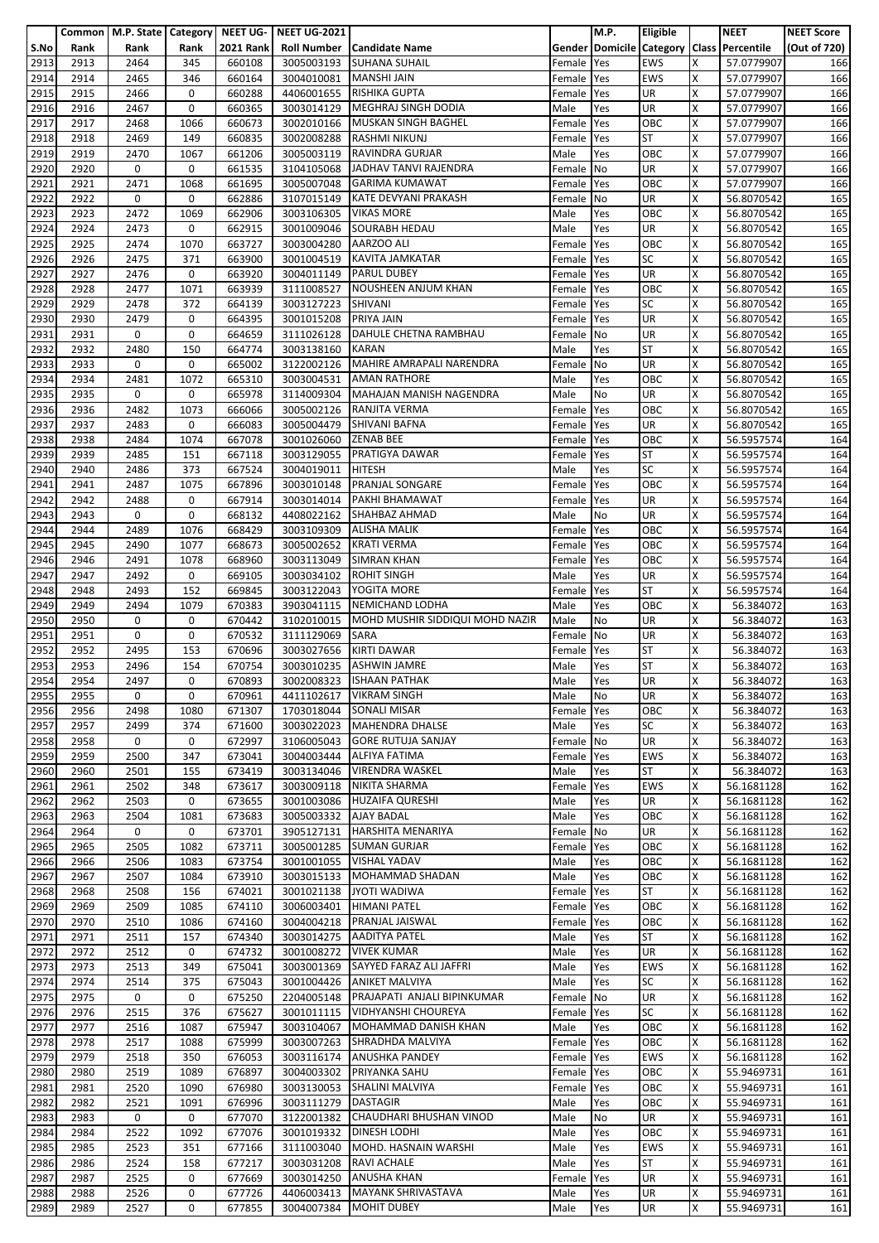|              |              | Common   M.P. State   Category |             | NEET UG-         | <b>NEET UG-2021</b>      |                                                   |                | M.P.       | Eligible                |        | <b>NEET</b>                               | <b>NEET Score</b> |
|--------------|--------------|--------------------------------|-------------|------------------|--------------------------|---------------------------------------------------|----------------|------------|-------------------------|--------|-------------------------------------------|-------------------|
| S.No         | Rank         | Rank                           | Rank        | <b>2021 Rank</b> | <b>Roll Number</b>       | <b>Candidate Name</b>                             |                |            |                         |        | Gender Domicile Category Class Percentile | (Out of 720)      |
| 2913         | 2913         | 2464                           | 345         | 660108           | 3005003193               | <b>SUHANA SUHAIL</b>                              | Female         | Yes        | <b>EWS</b>              | X      | 57.0779907                                | 166               |
| 2914         | 2914         | 2465                           | 346         | 660164           | 3004010081               | <b>MANSHI JAIN</b>                                | Female         | Yes        | <b>EWS</b>              | X      | 57.0779907                                | 166               |
| 2915         | 2915         | 2466                           | 0           | 660288           | 4406001655               | <b>RISHIKA GUPTA</b>                              | Female         | Yes        | <b>UR</b>               | X      | 57.0779907                                | 166               |
| 2916         | 2916         | 2467                           | 0           | 660365           | 3003014129               | MEGHRAJ SINGH DODIA<br><b>MUSKAN SINGH BAGHEL</b> | Male           | Yes        | UR                      | Χ      | 57.0779907                                | 166               |
| 2917         | 2917<br>2918 | 2468<br>2469                   | 1066<br>149 | 660673           | 3002010166               | <b>RASHMI NIKUNJ</b>                              | Female         | Yes        | OBC<br><b>ST</b>        | x<br>X | 57.0779907                                | 166               |
| 2918<br>2919 | 2919         | 2470                           | 1067        | 660835<br>661206 | 3002008288<br>3005003119 | <b>RAVINDRA GURJAR</b>                            | Female<br>Male | Yes<br>Yes | OBC                     | X      | 57.0779907<br>57.0779907                  | 166<br>166        |
| 2920         | 2920         | 0                              | 0           | 661535           | 3104105068               | JADHAV TANVI RAJENDRA                             | Female         | No         | <b>UR</b>               | X      | 57.0779907                                | 166               |
| 2921         | 2921         | 2471                           | 1068        | 661695           | 3005007048               | <b>GARIMA KUMAWAT</b>                             | Female         | Yes        | OBC                     | Χ      | 57.0779907                                | 166               |
| 2922         | 2922         | 0                              | 0           | 662886           | 3107015149               | KATE DEVYANI PRAKASH                              | Female         | No         | UR                      | X      | 56.8070542                                | 165               |
| 2923         | 2923         | 2472                           | 1069        | 662906           | 3003106305               | <b>VIKAS MORE</b>                                 | Male           | Yes        | OBC                     | x      | 56.8070542                                | 165               |
| 2924         | 2924         | 2473                           | 0           | 662915           | 3001009046               | <b>SOURABH HEDAU</b>                              | Male           | Yes        | UR                      | X      | 56.8070542                                | 165               |
| 2925         | 2925         | 2474                           | 1070        | 663727           | 3003004280               | AARZOO ALI                                        | Female         | Yes        | OBC                     | X      | 56.8070542                                | 165               |
| 2926         | 2926         | 2475                           | 371         | 663900           | 3001004519               | <b>KAVITA JAMKATAR</b>                            | Female         | Yes        | <b>SC</b>               | Χ      | 56.8070542                                | 165               |
| 2927         | 2927         | 2476                           | 0           | 663920           | 3004011149               | <b>PARUL DUBEY</b>                                | Female         | Yes        | UR                      | x      | 56.8070542                                | 165               |
| 2928         | 2928         | 2477                           | 1071        | 663939           | 3111008527               | NOUSHEEN ANJUM KHAN                               | Female         | Yes        | OBC                     | x      | 56.8070542                                | 165               |
| 2929         | 2929         | 2478                           | 372         | 664139           | 3003127223               | <b>SHIVANI</b>                                    | Female         | Yes        | <b>SC</b>               | X      | 56.8070542                                | 165               |
| 2930         | 2930         | 2479                           | 0           | 664395           | 3001015208               | PRIYA JAIN                                        | Female         | Yes        | <b>UR</b>               | X      | 56.8070542                                | 165               |
| 2931         | 2931         | 0                              | 0           | 664659           | 3111026128               | DAHULE CHETNA RAMBHAU                             | Female No      |            | <b>UR</b>               | Χ      | 56.8070542                                | 165               |
| 2932         | 2932         | 2480                           | 150         | 664774           | 3003138160               | <b>KARAN</b>                                      | Male           | Yes        | <b>ST</b>               | x      | 56.8070542                                | 165               |
| 2933         | 2933         | 0                              | 0           | 665002           | 3122002126               | <b>MAHIRE AMRAPALI NARENDRA</b>                   | Female         | <b>No</b>  | UR                      | X      | 56.8070542                                | 165               |
| 2934         | 2934         | 2481                           | 1072        | 665310           | 3003004531               | <b>AMAN RATHORE</b>                               | Male           | Yes        | OBC                     | X      | 56.8070542                                | 165               |
| 2935         | 2935         | 0                              | 0           | 665978           | 3114009304               | MAHAJAN MANISH NAGENDRA                           | Male           | No         | <b>UR</b>               | X      | 56.8070542                                | 165               |
| 2936         | 2936         | 2482                           | 1073        | 666066           | 3005002126               | RANJITA VERMA                                     | Female         | Yes        | OBC                     | X      | 56.8070542                                | 165               |
| 2937         | 2937         | 2483                           | 0           | 666083           | 3005004479               | <b>SHIVANI BAFNA</b>                              | Female         | Yes        | UR                      | x      | 56.8070542                                | 165               |
| 2938         | 2938         | 2484                           | 1074        | 667078           | 3001026060               | <b>ZENAB BEE</b>                                  | Female         | Yes        | OBC                     | X      | 56.5957574                                | 164               |
| 2939         | 2939         | 2485                           | 151         | 667118           | 3003129055               | PRATIGYA DAWAR                                    | Female         | Yes        | <b>ST</b>               | Χ      | 56.5957574                                | 164               |
| 2940         | 2940         | 2486                           | 373         | 667524           | 3004019011               | <b>HITESH</b>                                     | Male           | Yes        | <b>SC</b>               | X      | 56.5957574                                | 164               |
| 2941         | 2941<br>2942 | 2487<br>2488                   | 1075<br>0   | 667896           | 3003010148               | <b>PRANJAL SONGARE</b><br>PAKHI BHAMAWAT          | Female         | Yes        | OBC<br>UR               | Χ<br>x | 56.5957574                                | 164               |
| 2942<br>2943 | 2943         | 0                              | 0           | 667914<br>668132 | 3003014014<br>4408022162 | <b>SHAHBAZ AHMAD</b>                              | Female<br>Male | Yes<br>No  | <b>UR</b>               | x      | 56.5957574<br>56.5957574                  | 164<br>164        |
| 2944         | 2944         | 2489                           | 1076        | 668429           | 3003109309               | <b>ALISHA MALIK</b>                               | Female         | Yes        | OBC                     | X      | 56.5957574                                | 164               |
| 2945         | 2945         | 2490                           | 1077        | 668673           | 3005002652               | <b>KRATI VERMA</b>                                | Female         | Yes        | OBC                     | X      | 56.5957574                                | 164               |
| 2946         | 2946         | 2491                           | 1078        | 668960           | 3003113049               | <b>SIMRAN KHAN</b>                                | Female         | Yes        | OBC                     | Χ      | 56.5957574                                | 164               |
| 2947         | 2947         | 2492                           | 0           | 669105           | 3003034102               | <b>ROHIT SINGH</b>                                | Male           | Yes        | <b>UR</b>               | x      | 56.5957574                                | 164               |
| 2948         | 2948         | 2493                           | 152         | 669845           | 3003122043               | YOGITA MORE                                       | Female         | Yes        | <b>ST</b>               | X      | 56.5957574                                | 164               |
| 2949         | 2949         | 2494                           | 1079        | 670383           | 3903041115               | NEMICHAND LODHA                                   | Male           | Yes        | OBC                     | Χ      | 56.384072                                 | 163               |
| 2950         | 2950         | 0                              | 0           | 670442           | 3102010015               | MOHD MUSHIR SIDDIQUI MOHD NAZIR                   | Male           | No         | UR                      | X      | 56.384072                                 | 163               |
| 2951         | 2951         | 0                              | 0           | 670532           | 3111129069               | <b>SARA</b>                                       | Female         | <b>No</b>  | <b>UR</b>               | X      | 56.384072                                 | 163               |
| 2952         | 2952         | 2495                           | 153         | 670696           | 3003027656               | <b>KIRTI DAWAR</b>                                | Female         | Yes        | <b>ST</b>               | x      | 56.384072                                 | 163               |
| 2953         | 2953         | 2496                           | 154         | 670754           | 3003010235               | <b>ASHWIN JAMRE</b>                               | Male           | Yes        | <b>ST</b>               | x      | 56.384072                                 | 163               |
| 2954         | 2954         | 2497                           | 0           | 670893           |                          | 3002008323 ISHAAN PATHAK                          | Male           | Yes        | UR                      | Χ      | 56.384072                                 | 163               |
| 2955         | 2955         | 0                              | 0           | 670961           | 4411102617               | <b>VIKRAM SINGH</b>                               | Male           | No         | UR                      | X      | 56.384072                                 | 163               |
| 2956         | 2956         | 2498                           | 1080        | 671307           | 1703018044               | <b>SONALI MISAR</b>                               | Female Yes     |            | OBC                     | Χ      | 56.384072                                 | 163               |
| 2957         | 2957         | 2499                           | 374         | 671600           |                          | 3003022023 MAHENDRA DHALSE                        | Male           | Yes        | <b>SC</b>               | X      | 56.384072                                 | 163               |
| 2958         | 2958         | 0                              | 0           | 672997           | 3106005043               | <b>GORE RUTUJA SANJAY</b>                         | Female No      |            | <b>UR</b>               | X      | 56.384072                                 | 163               |
| 2959         | 2959         | 2500                           | 347         | 673041           | 3004003444               | <b>ALFIYA FATIMA</b>                              | Female         | Yes        | <b>EWS</b>              | Χ      | 56.384072                                 | 163               |
| 2960         | 2960         | 2501                           | 155         | 673419           | 3003134046               | <b>VIRENDRA WASKEL</b>                            | Male           | Yes        | <b>ST</b>               | X      | 56.384072                                 | 163               |
| 2961         | 2961         | 2502                           | 348         | 673617           | 3003009118               | <b>NIKITA SHARMA</b>                              | Female         | Yes        | <b>EWS</b>              | Χ      | 56.1681128                                | 162               |
| 2962         | 2962         | 2503                           | 0           | 673655           | 3001003086               | <b>HUZAIFA QURESHI</b>                            | Male           | Yes        | <b>UR</b>               | x      | 56.1681128                                | 162               |
| 2963         | 2963         | 2504                           | 1081        | 673683           | 3005003332               | AJAY BADAL                                        | Male           | Yes        | OBC                     | X      | 56.1681128                                | 162               |
| 2964<br>2965 | 2964<br>2965 | $\mathbf 0$<br>2505            | 0<br>1082   | 673701<br>673711 | 3905127131<br>3005001285 | <b>HARSHITA MENARIYA</b><br><b>SUMAN GURJAR</b>   | Female         | No         | <b>UR</b><br>OBC        | x<br>x | 56.1681128<br>56.1681128                  | 162<br>162        |
| 2966         | 2966         | 2506                           | 1083        | 673754           | 3001001055               | <b>VISHAL YADAV</b>                               | Female<br>Male | Yes<br>Yes | OBC                     | X      | 56.1681128                                | 162               |
| 2967         | 2967         | 2507                           | 1084        | 673910           |                          | 3003015133 MOHAMMAD SHADAN                        | Male           | Yes        | OBC                     | X      | 56.1681128                                | 162               |
| 2968         | 2968         | 2508                           | 156         | 674021           |                          | 3001021138 JYOTI WADIWA                           | Female Yes     |            | <b>ST</b>               | Χ      | 56.1681128                                | 162               |
| 2969         | 2969         | 2509                           | 1085        | 674110           | 3006003401               | <b>HIMANI PATEL</b>                               | Female         | Yes        | OBC                     | Χ      | 56.1681128                                | 162               |
| 2970         | 2970         | 2510                           | 1086        | 674160           |                          | 3004004218 PRANJAL JAISWAL                        | Female         | Yes        | OBC                     | x      | 56.1681128                                | 162               |
| 2971         | 2971         | 2511                           | 157         | 674340           | 3003014275               | <b>AADITYA PATEL</b>                              | Male           | Yes        | <b>ST</b>               | Χ      | 56.1681128                                | 162               |
| 2972         | 2972         | 2512                           | 0           | 674732           | 3001008272               | <b>VIVEK KUMAR</b>                                | Male           | Yes        | <b>UR</b>               | X      | 56.1681128                                | 162               |
| 2973         | 2973         | 2513                           | 349         | 675041           | 3003001369               | SAYYED FARAZ ALI JAFFRI                           | Male           | Yes        | <b>EWS</b>              | X      | 56.1681128                                | 162               |
| 2974         | 2974         | 2514                           | 375         | 675043           | 3001004426               | <b>ANIKET MALVIYA</b>                             | Male           | Yes        | <b>SC</b>               | x      | 56.1681128                                | 162               |
| 2975         | 2975         | 0                              | 0           | 675250           | 2204005148               | PRAJAPATI ANJALI BIPINKUMAR                       | Female         | No         | <b>UR</b>               | x      | 56.1681128                                | 162               |
| 2976         | 2976         | 2515                           | 376         | 675627           | 3001011115               | <b>VIDHYANSHI CHOUREYA</b>                        | Female         | Yes        | <b>SC</b>               | X      | 56.1681128                                | 162               |
| 2977         | 2977         | 2516                           | 1087        | 675947           | 3003104067               | MOHAMMAD DANISH KHAN                              | Male           | Yes        | OBC                     | x      | 56.1681128                                | 162               |
| 2978         | 2978         | 2517                           | 1088        | 675999           | 3003007263               | SHRADHDA MALVIYA                                  | Female Yes     |            | OBC                     | X      | 56.1681128                                | 162               |
| 2979         | 2979         | 2518                           | 350         | 676053           |                          | 3003116174 ANUSHKA PANDEY                         | Female         | Yes        | <b>EWS</b>              | X      | 56.1681128                                | 162               |
| 2980         | 2980         | 2519                           | 1089        | 676897           | 3004003302               | <b>PRIYANKA SAHU</b>                              | Female         | Yes        | OBC                     | X      | 55.9469731                                | 161               |
| 2981         | 2981         | 2520                           | 1090        | 676980           |                          | 3003130053 SHALINI MALVIYA                        | Female         | Yes        | OBC                     | Χ      | 55.9469731                                | 161               |
| 2982         | 2982         | 2521                           | 1091        | 676996           | 3003111279               | <b>DASTAGIR</b>                                   | Male           | Yes        | OBC                     | X      | 55.9469731                                | 161               |
| 2983         | 2983         | 0                              | 0           | 677070           |                          | 3122001382 CHAUDHARI BHUSHAN VINOD                | Male           | No         | <b>UR</b>               | X      | 55.9469731                                | 161               |
| 2984         | 2984         | 2522                           | 1092        | 677076           | 3001019332               | <b>DINESH LODHI</b>                               | Male           | Yes        | OBC                     | X<br>x | 55.9469731                                | 161               |
| 2985<br>2986 | 2985<br>2986 | 2523<br>2524                   | 351<br>158  | 677166<br>677217 | 3111003040<br>3003031208 | MOHD. HASNAIN WARSHI<br><b>RAVI ACHALE</b>        | Male<br>Male   | Yes<br>Yes | <b>EWS</b><br><b>ST</b> | X      | 55.9469731<br>55.9469731                  | 161<br>161        |
| 2987         | 2987         | 2525                           | $\mathbf 0$ | 677669           | 3003014250               | <b>ANUSHA KHAN</b>                                | Female         | Yes        | <b>UR</b>               | x      | 55.9469731                                | 161               |
| 2988         | 2988         | 2526                           | 0           | 677726           | 4406003413               | <b>MAYANK SHRIVASTAVA</b>                         | Male           | Yes        | UR                      | Χ      | 55.9469731                                | 161               |
| 2989         | 2989         | 2527                           | 0           | 677855           | 3004007384               | <b>MOHIT DUBEY</b>                                | Male           | Yes        | UR                      | X      | 55.9469731                                | 161               |
|              |              |                                |             |                  |                          |                                                   |                |            |                         |        |                                           |                   |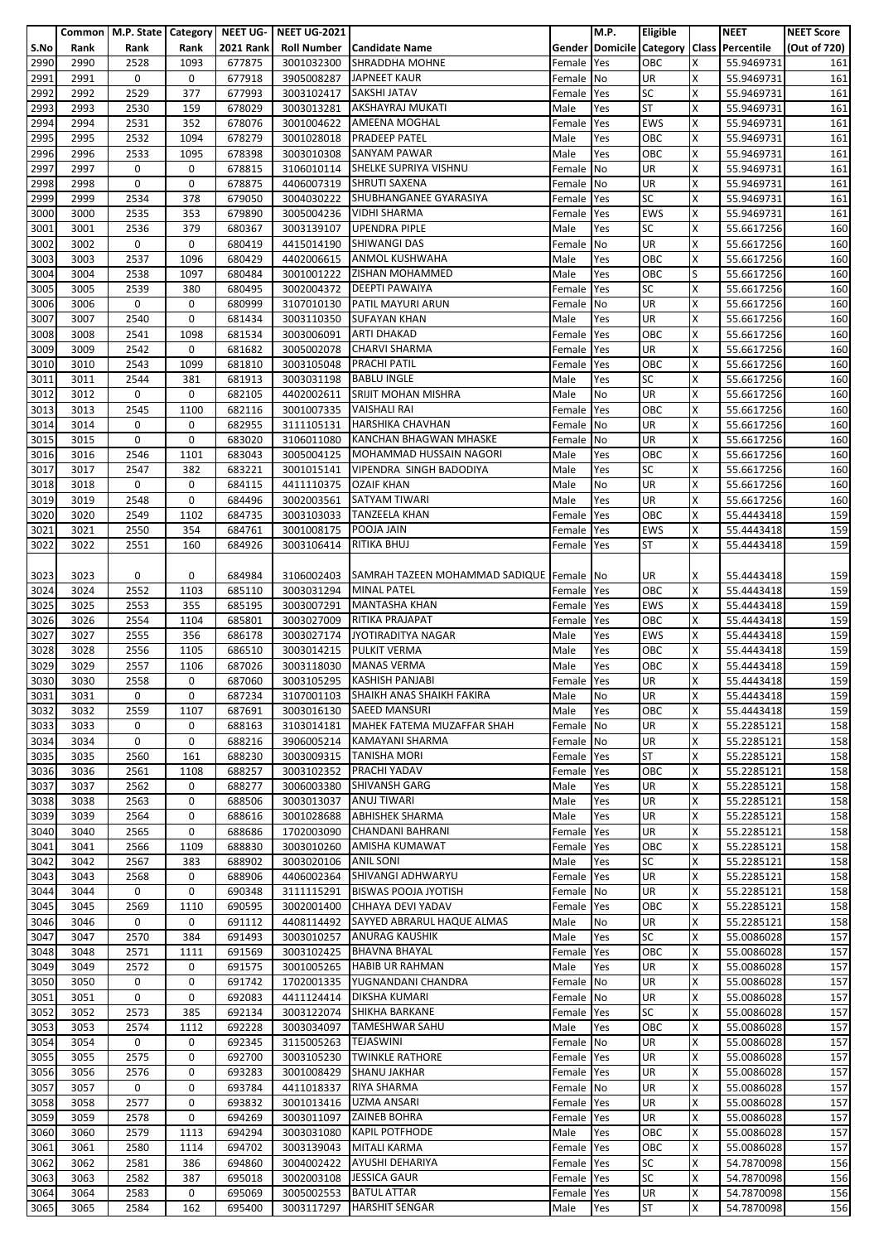|      |      | Common   M.P. State   Category   NEET UG- |      |                  | <b>NEET UG-2021</b>    |                                                     |            | M.P.      | Eligible                 |   | <b>NEET</b>                               | <b>NEET Score</b> |
|------|------|-------------------------------------------|------|------------------|------------------------|-----------------------------------------------------|------------|-----------|--------------------------|---|-------------------------------------------|-------------------|
| S.No | Rank | Rank                                      | Rank | <b>2021 Rank</b> |                        | <b>Roll Number   Candidate Name</b>                 |            |           |                          |   | Gender Domicile Category Class Percentile | (Out of 720)      |
| 2990 | 2990 | 2528                                      | 1093 | 677875           | 3001032300             | SHRADDHA MOHNE                                      | Female     | Yes       | OBC                      | x | 55.9469731                                | 161               |
|      |      |                                           |      |                  |                        |                                                     |            |           |                          |   |                                           |                   |
| 2991 | 2991 | 0                                         | 0    | 677918           | 3905008287             | <b>JAPNEET KAUR</b>                                 | Female     | No        | <b>UR</b>                | X | 55.9469731                                | 161               |
| 2992 | 2992 | 2529                                      | 377  | 677993           | 3003102417             | <b>SAKSHI JATAV</b>                                 | Female     | Yes       | <b>SC</b>                | x | 55.9469731                                | 161               |
| 2993 | 2993 | 2530                                      | 159  | 678029           | 3003013281             | AKSHAYRAJ MUKATI                                    | Male       | Yes       | <b>ST</b>                | Χ | 55.9469731                                | 161               |
| 2994 | 2994 | 2531                                      | 352  | 678076           | 3001004622             | AMEENA MOGHAL                                       | Female     | Yes       | <b>EWS</b>               | x | 55.9469731                                | 161               |
| 2995 | 2995 | 2532                                      | 1094 | 678279           | 3001028018             | <b>PRADEEP PATEL</b>                                | Male       | Yes       | OBC                      | Χ | 55.9469731                                | 161               |
| 2996 | 2996 | 2533                                      | 1095 | 678398           | 3003010308             | <b>SANYAM PAWAR</b>                                 | Male       | Yes       | OBC                      | X | 55.9469731                                | 161               |
|      | 2997 | 0                                         | 0    |                  |                        | 3106010114 SHELKE SUPRIYA VISHNU                    |            |           | <b>UR</b>                | X |                                           |                   |
| 2997 |      |                                           |      | 678815           |                        |                                                     | Female No  |           |                          |   | 55.9469731                                | 161               |
| 2998 | 2998 | 0                                         | 0    | 678875           |                        | 4406007319 SHRUTI SAXENA                            | Female     | No        | UR                       | Χ | 55.9469731                                | 161               |
| 2999 | 2999 | 2534                                      | 378  | 679050           | 3004030222             | SHUBHANGANEE GYARASIYA                              | Female     | Yes       | <b>SC</b>                | x | 55.9469731                                | 161               |
| 3000 | 3000 | 2535                                      | 353  | 679890           | 3005004236             | <b>VIDHI SHARMA</b>                                 | Female     | Yes       | <b>EWS</b>               | x | 55.9469731                                | 161               |
| 3001 | 3001 | 2536                                      | 379  | 680367           | 3003139107             | <b>UPENDRA PIPLE</b>                                | Male       | Yes       | <b>SC</b>                | X | 55.6617256                                | 160               |
| 3002 | 3002 | 0                                         | 0    | 680419           | 4415014190             | <b>SHIWANGI DAS</b>                                 | Female     | <b>No</b> | UR                       | X | 55.6617256                                | 160               |
| 3003 | 3003 | 2537                                      | 1096 | 680429           | 4402006615             | <b>ANMOL KUSHWAHA</b>                               |            |           | OBC                      | Χ | 55.6617256                                | 160               |
|      |      |                                           |      |                  |                        |                                                     | Male       | Yes       |                          |   |                                           |                   |
| 3004 | 3004 | 2538                                      | 1097 | 680484           | 3001001222             | ZISHAN MOHAMMED                                     | Male       | Yes       | OBC                      | S | 55.6617256                                | 160               |
| 3005 | 3005 | 2539                                      | 380  | 680495           | 3002004372             | <b>DEEPTI PAWAIYA</b>                               | Female     | Yes       | <b>SC</b>                | X | 55.6617256                                | 160               |
| 3006 | 3006 | 0                                         | 0    | 680999           | 3107010130             | PATIL MAYURI ARUN                                   | Female     | No        | UR                       | X | 55.6617256                                | 160               |
| 3007 | 3007 | 2540                                      | 0    | 681434           | 3003110350             | <b>SUFAYAN KHAN</b>                                 | Male       | Yes       | UR                       | X | 55.6617256                                | 160               |
| 3008 | 3008 | 2541                                      | 1098 | 681534           | 3003006091             | <b>ARTI DHAKAD</b>                                  | Female     | Yes       | OBC                      | Χ | 55.6617256                                | 160               |
| 3009 | 3009 | 2542                                      | 0    | 681682           | 3005002078             | <b>CHARVI SHARMA</b>                                | Female     | Yes       | UR                       | X | 55.6617256                                | 160               |
|      |      |                                           |      |                  |                        |                                                     |            |           |                          |   |                                           |                   |
| 3010 | 3010 | 2543                                      | 1099 | 681810           | 3003105048             | <b>PRACHI PATIL</b>                                 | Female     | Yes       | OBC                      | X | 55.6617256                                | 160               |
| 3011 | 3011 | 2544                                      | 381  | 681913           | 3003031198             | <b>BABLU INGLE</b>                                  | Male       | Yes       | <b>SC</b>                | X | 55.6617256                                | 160               |
| 3012 | 3012 | 0                                         | 0    | 682105           | 4402002611             | SRIJIT MOHAN MISHRA                                 | Male       | No        | UR                       | X | 55.6617256                                | 160               |
| 3013 | 3013 | 2545                                      | 1100 | 682116           | 3001007335             | <b>VAISHALI RAI</b>                                 | Female     | Yes       | OBC                      | X | 55.6617256                                | 160               |
| 3014 | 3014 | 0                                         | 0    | 682955           | 3111105131             | <b>HARSHIKA CHAVHAN</b>                             | Female     | No        | <b>UR</b>                | X | 55.6617256                                | 160               |
| 3015 | 3015 | 0                                         | 0    | 683020           | 3106011080             | KANCHAN BHAGWAN MHASKE                              | Female No  |           | $\overline{\mathsf{UR}}$ | X | 55.6617256                                | 160               |
|      | 3016 |                                           | 1101 |                  |                        | MOHAMMAD HUSSAIN NAGORI                             |            |           | OBC                      | X |                                           |                   |
| 3016 |      | 2546                                      |      | 683043           | 3005004125             |                                                     | Male       | Yes       |                          |   | 55.6617256                                | 160               |
| 3017 | 3017 | 2547                                      | 382  | 683221           | 3001015141             | VIPENDRA SINGH BADODIYA                             | Male       | Yes       | <b>SC</b>                | X | 55.6617256                                | 160               |
| 3018 | 3018 | 0                                         | 0    | 684115           | 4411110375             | <b>OZAIF KHAN</b>                                   | Male       | No        | UR                       | Χ | 55.6617256                                | 160               |
| 3019 | 3019 | 2548                                      | 0    | 684496           | 3002003561             | <b>SATYAM TIWARI</b>                                | Male       | Yes       | <b>UR</b>                | X | 55.6617256                                | 160               |
| 3020 | 3020 | 2549                                      | 1102 | 684735           | 3003103033             | <b>TANZEELA KHAN</b>                                | Female     | Yes       | OBC                      | x | 55.4443418                                | 159               |
| 3021 | 3021 | 2550                                      | 354  | 684761           | 3001008175             | POOJA JAIN                                          | Female     | Yes       | <b>EWS</b>               | X | 55.4443418                                | 159               |
| 3022 | 3022 | 2551                                      | 160  | 684926           | 3003106414             | <b>RITIKA BHUJ</b>                                  | Female     | Yes       | <b>ST</b>                | x | 55.4443418                                | 159               |
|      |      |                                           |      |                  |                        |                                                     |            |           |                          |   |                                           |                   |
|      |      |                                           |      |                  |                        |                                                     |            |           |                          |   |                                           |                   |
| 3023 | 3023 | 0                                         | 0    | 684984           |                        | 3106002403 SAMRAH TAZEEN MOHAMMAD SADIQUE Female No |            |           | UR                       | x | 55.4443418                                | 159               |
| 3024 | 3024 | 2552                                      | 1103 | 685110           | 3003031294 MINAL PATEL |                                                     | Female Yes |           | OBC                      | X | 55.4443418                                | 159               |
| 3025 | 3025 | 2553                                      | 355  | 685195           | 3003007291             | <b>MANTASHA KHAN</b>                                | Female     | Yes       | <b>EWS</b>               | X | 55.4443418                                | 159               |
| 3026 | 3026 | 2554                                      | 1104 | 685801           | 3003027009             | RITIKA PRAJAPAT                                     | Female     | Yes       | OBC                      | x | 55.4443418                                | 159               |
| 3027 | 3027 | 2555                                      | 356  | 686178           |                        | 3003027174 JYOTIRADITYA NAGAR                       | Male       | Yes       | <b>EWS</b>               | X | 55.4443418                                | 159               |
| 3028 | 3028 | 2556                                      | 1105 | 686510           | 3003014215             | <b>PULKIT VERMA</b>                                 | Male       | Yes       | OBC                      | X | 55.4443418                                | 159               |
|      |      |                                           |      |                  |                        |                                                     |            |           |                          |   |                                           |                   |
| 3029 | 3029 | 2557                                      | 1106 | 687026           | 3003118030             | <b>MANAS VERMA</b>                                  | Male       | Yes       | OBC                      | X | 55.4443418                                | 159               |
| 3030 | 3030 | 2558                                      | 0    | 687060           |                        | 3003105295 KASHISH PANJABI                          | Female Yes |           | <b>UR</b>                | X | 55.4443418                                | 159               |
| 3031 | 3031 | 0                                         | 0    | 687234           |                        | 3107001103 SHAIKH ANAS SHAIKH FAKIRA                | Male       | No        | <b>UR</b>                | X | 55.4443418                                | 159               |
| 3032 | 3032 | 2559                                      | 1107 | 687691           | 3003016130             | <b>SAEED MANSURI</b>                                | Male       | Yes       | OBC                      | X | 55.4443418                                | 159               |
| 3033 | 3033 | 0                                         | 0    | 688163           |                        | 3103014181 MAHEK FATEMA MUZAFFAR SHAH               | Female     | <b>No</b> | <b>UR</b>                | x | 55.2285121                                | 158               |
| 3034 | 3034 | $\mathbf 0$                               | 0    | 688216           |                        | 3906005214 KAMAYANI SHARMA                          | Female No  |           | <b>UR</b>                | Χ | 55.2285121                                | 158               |
|      |      |                                           |      |                  |                        | <b>TANISHA MORI</b>                                 |            |           | <b>ST</b>                | X |                                           |                   |
| 3035 | 3035 | 2560                                      | 161  | 688230           | 3003009315             |                                                     | Female     | Yes       |                          |   | 55.2285121                                | 158               |
| 3036 | 3036 | 2561                                      | 1108 | 688257           |                        | 3003102352 PRACHI YADAV                             | Female     | Yes       | OBC                      | X | 55.2285121                                | 158               |
| 3037 | 3037 | 2562                                      | 0    | 688277           | 3006003380             | <b>SHIVANSH GARG</b>                                | Male       | Yes       | UR                       | Χ | 55.2285121                                | 158               |
| 3038 | 3038 | 2563                                      | 0    | 688506           | 3003013037             | <b>ANUJ TIWARI</b>                                  | Male       | Yes       | <b>UR</b>                | X | 55.2285121                                | 158               |
| 3039 | 3039 | 2564                                      | 0    | 688616           | 3001028688             | <b>ABHISHEK SHARMA</b>                              | Male       | Yes       | UR                       | Χ | 55.2285121                                | 158               |
| 3040 | 3040 | 2565                                      | 0    | 688686           | 1702003090             | <b>CHANDANI BAHRANI</b>                             | Female     | Yes       | UR                       | X | 55.2285121                                | 158               |
| 3041 | 3041 | 2566                                      | 1109 | 688830           | 3003010260             | <b>AMISHA KUMAWAT</b>                               | Female Yes |           | OBC                      | X | 55.2285121                                | 158               |
| 3042 | 3042 | 2567                                      | 383  | 688902           | 3003020106             | <b>ANIL SONI</b>                                    | Male       | Yes       | <b>SC</b>                | X | 55.2285121                                | 158               |
|      |      |                                           |      |                  |                        |                                                     |            |           |                          |   |                                           |                   |
| 3043 | 3043 | 2568                                      | 0    | 688906           |                        | 4406002364 SHIVANGI ADHWARYU                        | Female Yes |           | <b>UR</b>                | x | 55.2285121                                | 158               |
| 3044 | 3044 | 0                                         | 0    | 690348           | 3111115291             | <b>BISWAS POOJA JYOTISH</b>                         | Female No  |           | <b>UR</b>                | X | 55.2285121                                | 158               |
| 3045 | 3045 | 2569                                      | 1110 | 690595           | 3002001400             | CHHAYA DEVI YADAV                                   | Female     | Yes       | OBC                      | X | 55.2285121                                | 158               |
| 3046 | 3046 | 0                                         | 0    | 691112           |                        | 4408114492 SAYYED ABRARUL HAQUE ALMAS               | Male       | No        | UR                       | X | 55.2285121                                | 158               |
| 3047 | 3047 | 2570                                      | 384  | 691493           | 3003010257             | <b>ANURAG KAUSHIK</b>                               | Male       | Yes       | <b>SC</b>                | X | 55.0086028                                | 157               |
| 3048 | 3048 | 2571                                      | 1111 | 691569           | 3003102425             | <b>BHAVNA BHAYAL</b>                                | Female     | Yes       | OBC                      | X | 55.0086028                                | 157               |
| 3049 | 3049 | 2572                                      | 0    | 691575           | 3001005265             | <b>HABIB UR RAHMAN</b>                              | Male       | Yes       | UR                       | X | 55.0086028                                | 157               |
|      |      |                                           |      |                  |                        |                                                     |            |           |                          |   |                                           |                   |
| 3050 | 3050 | 0                                         | 0    | 691742           | 1702001335             | YUGNANDANI CHANDRA                                  | Female No  |           | UR                       | X | 55.0086028                                | 157               |
| 3051 | 3051 | 0                                         | 0    | 692083           | 4411124414             | <b>DIKSHA KUMARI</b>                                | Female No  |           | UR                       | X | 55.0086028                                | 157               |
| 3052 | 3052 | 2573                                      | 385  | 692134           | 3003122074             | <b>SHIKHA BARKANE</b>                               | Female     | Yes       | <b>SC</b>                | X | 55.0086028                                | 157               |
| 3053 | 3053 | 2574                                      | 1112 | 692228           | 3003034097             | <b>TAMESHWAR SAHU</b>                               | Male       | Yes       | OBC                      | x | 55.0086028                                | 157               |
| 3054 | 3054 | 0                                         | 0    | 692345           | 3115005263             | <b>TEJASWINI</b>                                    | Female No  |           | UR                       | X | 55.0086028                                | 157               |
| 3055 | 3055 | 2575                                      | 0    | 692700           | 3003105230             | <b>TWINKLE RATHORE</b>                              | Female Yes |           | UR                       | X | 55.0086028                                | 157               |
| 3056 | 3056 | 2576                                      | 0    | 693283           | 3001008429             | <b>SHANU JAKHAR</b>                                 | Female     | Yes       | <b>UR</b>                | X | 55.0086028                                | 157               |
|      |      |                                           |      |                  |                        |                                                     |            |           |                          |   |                                           |                   |
| 3057 | 3057 | 0                                         | 0    | 693784           | 4411018337             | <b>RIYA SHARMA</b>                                  | Female No  |           | UR                       | X | 55.0086028                                | 157               |
| 3058 | 3058 | 2577                                      | 0    | 693832           | 3001013416             | <b>UZMA ANSARI</b>                                  | Female     | Yes       | <b>UR</b>                | x | 55.0086028                                | 157               |
| 3059 | 3059 | 2578                                      | 0    | 694269           | 3003011097             | <b>ZAINEB BOHRA</b>                                 | Female     | Yes       | UR                       | Χ | 55.0086028                                | 157               |
| 3060 | 3060 | 2579                                      | 1113 | 694294           | 3003031080             | <b>KAPIL POTFHODE</b>                               | Male       | Yes       | OBC                      | X | 55.0086028                                | 157               |
| 3061 | 3061 | 2580                                      | 1114 | 694702           | 3003139043             | <b>MITALI KARMA</b>                                 | Female     | Yes       | OBC                      | X | 55.0086028                                | 157               |
| 3062 | 3062 | 2581                                      | 386  | 694860           | 3004002422             | AYUSHI DEHARIYA                                     | Female     | Yes       | <b>SC</b>                | X | 54.7870098                                | 156               |
|      |      |                                           |      |                  |                        | <b>JESSICA GAUR</b>                                 |            |           | <b>SC</b>                | x |                                           |                   |
| 3063 | 3063 | 2582                                      | 387  | 695018           | 3002003108             |                                                     | Female     | Yes       |                          |   | 54.7870098                                | 156               |
| 3064 | 3064 | 2583                                      | 0    | 695069           | 3005002553             | <b>BATUL ATTAR</b>                                  | Female Yes |           | UR                       | X | 54.7870098                                | 156               |
| 3065 | 3065 | 2584                                      | 162  | 695400           | 3003117297             | <b>HARSHIT SENGAR</b>                               | Male       | Yes       | ST                       | X | 54.7870098                                | 156               |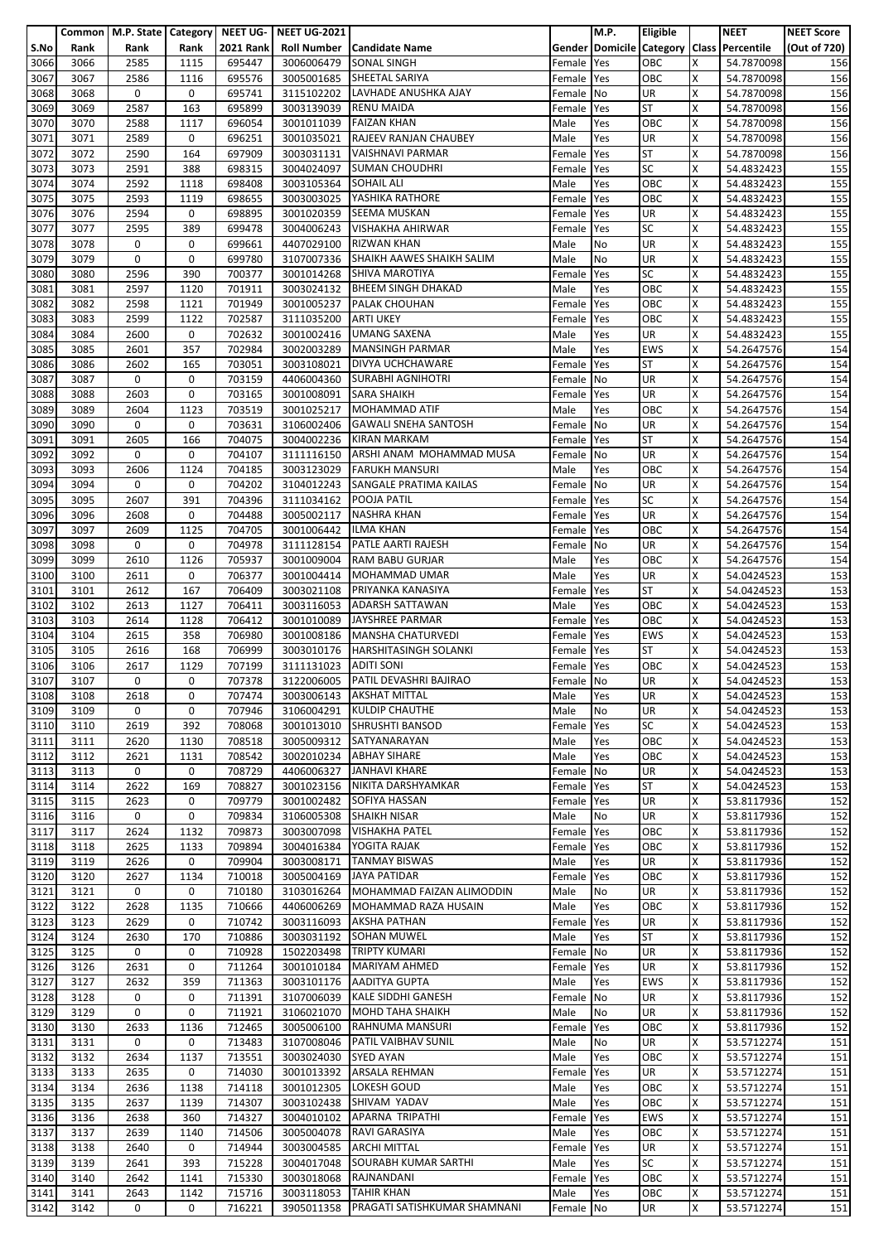|              |              | Common   M.P. State   Category |              | NEET UG-         | <b>NEET UG-2021</b>      |                                                   |                      | M.P.       | <b>Eligible</b>   |        | <b>NEET</b>                               | <b>NEET Score</b> |
|--------------|--------------|--------------------------------|--------------|------------------|--------------------------|---------------------------------------------------|----------------------|------------|-------------------|--------|-------------------------------------------|-------------------|
| S.No         | Rank         | Rank                           | Rank         | <b>2021 Rank</b> | <b>Roll Number</b>       | <b>Candidate Name</b>                             |                      |            |                   |        | Gender Domicile Category Class Percentile | (Out of 720)      |
| 3066         | 3066         | 2585                           | 1115         | 695447           | 3006006479               | <b>SONAL SINGH</b>                                | Female               | Yes        | OBC               | X      | 54.7870098                                | 156               |
| 3067         | 3067         | 2586                           | 1116         | 695576           | 3005001685               | <b>SHEETAL SARIYA</b>                             | Female               | Yes        | OBC               | X      | 54.7870098                                | 156               |
| 3068         | 3068         | 0                              | 0            | 695741           | 3115102202               | LAVHADE ANUSHKA AJAY                              | Female               | No         | <b>UR</b>         | X      | 54.7870098                                | 156               |
| 3069         | 3069         | 2587                           | 163          | 695899           | 3003139039               | <b>RENU MAIDA</b><br><b>FAIZAN KHAN</b>           | Female               | Yes        | <b>ST</b>         | Χ      | 54.7870098                                | 156               |
| 3070<br>3071 | 3070<br>3071 | 2588<br>2589                   | 1117<br>0    | 696054<br>696251 | 3001011039<br>3001035021 | RAJEEV RANJAN CHAUBEY                             | Male<br>Male         | Yes<br>Yes | OBC<br>UR         | x<br>x | 54.7870098<br>54.7870098                  | 156<br>156        |
| 3072         | 3072         | 2590                           | 164          | 697909           | 3003031131               | <b>VAISHNAVI PARMAR</b>                           | Female               | Yes        | <b>ST</b>         | X      | 54.7870098                                | 156               |
| 3073         | 3073         | 2591                           | 388          | 698315           | 3004024097               | <b>SUMAN CHOUDHRI</b>                             | Female               | Yes        | <b>SC</b>         | X      | 54.4832423                                | 155               |
| 3074         | 3074         | 2592                           | 1118         | 698408           | 3003105364               | <b>SOHAIL ALI</b>                                 | Male                 | Yes        | OBC               | X      | 54.4832423                                | 155               |
| 3075         | 3075         | 2593                           | 1119         | 698655           | 3003003025               | YASHIKA RATHORE                                   | Female               | Yes        | OBC               | X      | 54.4832423                                | 155               |
| 3076         | 3076         | 2594                           | 0            | 698895           | 3001020359               | <b>SEEMA MUSKAN</b>                               | Female               | Yes        | <b>UR</b>         | x      | 54.4832423                                | 155               |
| 3077         | 3077         | 2595                           | 389          | 699478           | 3004006243               | <b>VISHAKHA AHIRWAR</b>                           | Female               | Yes        | <b>SC</b>         | X      | 54.4832423                                | 155               |
| 3078         | 3078         | 0                              | 0            | 699661           | 4407029100               | <b>RIZWAN KHAN</b>                                | Male                 | No         | <b>UR</b>         | X      | 54.4832423                                | 155               |
| 3079         | 3079         | 0                              | 0            | 699780           | 3107007336               | SHAIKH AAWES SHAIKH SALIM                         | Male                 | No         | UR                | Χ      | 54.4832423                                | 155               |
| 3080         | 3080         | 2596                           | 390          | 700377           | 3001014268               | <b>SHIVA MAROTIYA</b>                             | Female               | Yes        | <b>SC</b>         | x      | 54.4832423                                | 155               |
| 3081<br>3082 | 3081<br>3082 | 2597<br>2598                   | 1120<br>1121 | 701911<br>701949 | 3003024132<br>3001005237 | <b>BHEEM SINGH DHAKAD</b><br><b>PALAK CHOUHAN</b> | Male<br>Female       | Yes<br>Yes | OBC<br>OBC        | X<br>X | 54.4832423<br>54.4832423                  | 155<br>155        |
| 3083         | 3083         | 2599                           | 1122         | 702587           | 3111035200               | <b>ARTI UKEY</b>                                  | Female               | Yes        | OBC               | X      | 54.4832423                                | 155               |
| 3084         | 3084         | 2600                           | 0            | 702632           | 3001002416               | <b>UMANG SAXENA</b>                               | Male                 | Yes        | UR                | Χ      | 54.4832423                                | 155               |
| 3085         | 3085         | 2601                           | 357          | 702984           | 3002003289               | <b>MANSINGH PARMAR</b>                            | Male                 | Yes        | <b>EWS</b>        | x      | 54.2647576                                | 154               |
| 3086         | 3086         | 2602                           | 165          | 703051           | 3003108021               | DIVYA UCHCHAWARE                                  | Female               | Yes        | <b>ST</b>         | X      | 54.2647576                                | 154               |
| 3087         | 3087         | 0                              | 0            | 703159           | 4406004360               | <b>SURABHI AGNIHOTRI</b>                          | Female               | No         | UR                | X      | 54.2647576                                | 154               |
| 3088         | 3088         | 2603                           | 0            | 703165           | 3001008091               | <b>SARA SHAIKH</b>                                | Female               | Yes        | UR                | x      | 54.2647576                                | 154               |
| 3089         | 3089         | 2604                           | 1123         | 703519           | 3001025217               | <b>MOHAMMAD ATIF</b>                              | Male                 | Yes        | OBC               | X      | 54.2647576                                | 154               |
| 3090         | 3090         | 0                              | 0            | 703631           | 3106002406               | <b>GAWALI SNEHA SANTOSH</b>                       | Female               | <b>No</b>  | <b>UR</b>         | x      | 54.2647576                                | 154               |
| 3091         | 3091         | 2605                           | 166          | 704075           | 3004002236               | <b>KIRAN MARKAM</b>                               | Female               | Yes        | <b>ST</b>         | x      | 54.2647576                                | 154               |
| 3092         | 3092         | 0<br>2606                      | 0<br>1124    | 704107           | 3111116150               | ARSHI ANAM MOHAMMAD MUSA<br><b>FARUKH MANSURI</b> | Female               | No         | UR<br>OBC         | X<br>X | 54.2647576                                | 154               |
| 3093<br>3094 | 3093<br>3094 | 0                              | 0            | 704185<br>704202 | 3003123029<br>3104012243 | SANGALE PRATIMA KAILAS                            | Male<br>Female No    | Yes        | UR                | Χ      | 54.2647576<br>54.2647576                  | 154<br>154        |
| 3095         | 3095         | 2607                           | 391          | 704396           | 3111034162               | POOJA PATIL                                       | Female               | Yes        | <b>SC</b>         | x      | 54.2647576                                | 154               |
| 3096         | 3096         | 2608                           | 0            | 704488           | 3005002117               | <b>NASHRA KHAN</b>                                | Female               | Yes        | <b>UR</b>         | x      | 54.2647576                                | 154               |
| 3097         | 3097         | 2609                           | 1125         | 704705           | 3001006442               | <b>ILMA KHAN</b>                                  | Female               | Yes        | OBC               | X      | 54.2647576                                | 154               |
| 3098         | 3098         | 0                              | 0            | 704978           | 3111128154               | PATLE AARTI RAJESH                                | Female               | No         | UR                | X      | 54.2647576                                | 154               |
| 3099         | 3099         | 2610                           | 1126         | 705937           | 3001009004               | <b>RAM BABU GURJAR</b>                            | Male                 | Yes        | OBC               | X      | 54.2647576                                | 154               |
| 3100         | 3100         | 2611                           | 0            | 706377           |                          | 3001004414 MOHAMMAD UMAR                          | Male                 | Yes        | <b>UR</b>         | x      | 54.0424523                                | 153               |
| 3101         | 3101         | 2612                           | 167          | 706409           | 3003021108               | PRIYANKA KANASIYA                                 | Female               | Yes        | <b>ST</b>         | X      | 54.0424523                                | 153               |
| 3102         | 3102         | 2613                           | 1127         | 706411           | 3003116053               | <b>ADARSH SATTAWAN</b>                            | Male                 | Yes        | OBC               | X<br>X | 54.0424523                                | 153               |
| 3103<br>3104 | 3103<br>3104 | 2614<br>2615                   | 1128<br>358  | 706412<br>706980 | 3001010089<br>3001008186 | JAYSHREE PARMAR<br><b>MANSHA CHATURVEDI</b>       | Female<br>Female     | Yes<br>Yes | OBC<br><b>EWS</b> | Χ      | 54.0424523<br>54.0424523                  | 153<br>153        |
| 3105         | 3105         | 2616                           | 168          | 706999           | 3003010176               | <b>HARSHITASINGH SOLANKI</b>                      | Female               | Yes        | <b>ST</b>         | x      | 54.0424523                                | 153               |
| 3106         | 3106         | 2617                           | 1129         | 707199           | 3111131023               | <b>ADITI SONI</b>                                 | Female               | Yes        | OBC               | X      | 54.0424523                                | 153               |
| 3107         | 3107         | 0                              | 0            | 707378           |                          | 3122006005 PATIL DEVASHRI BAJIRAO                 | Female No            |            | UR                | X      | 54.0424523                                | 153               |
| 3108         | 3108         | 2618                           | 0            | 707474           |                          | 3003006143 AKSHAT MITTAL                          | Male                 | Yes        | <b>UR</b>         | X      | 54.0424523                                | 153               |
| 3109         | 3109         | 0                              | 0            | 707946           | 3106004291               | <b>KULDIP CHAUTHE</b>                             | Male                 | No         | <b>UR</b>         | Χ      | 54.0424523                                | 153               |
| 3110         | 3110         | 2619                           | 392          | 708068           | 3001013010               | <b>SHRUSHTI BANSOD</b>                            | Female               | Yes        | <b>SC</b>         | X      | 54.0424523                                | 153               |
| 3111         | 3111         | 2620                           | 1130         | 708518           | 3005009312               | SATYANARAYAN                                      | Male                 | Yes        | OBC               | x      | 54.0424523                                | 153               |
| 3112         | 3112         | 2621                           | 1131         | 708542           | 3002010234               | <b>ABHAY SIHARE</b>                               | Male                 | Yes        | OBC               | X      | 54.0424523                                | 153               |
| 3113<br>3114 | 3113<br>3114 | 0<br>2622                      | 0<br>169     | 708729<br>708827 | 4406006327<br>3001023156 | <b>JANHAVI KHARE</b><br>NIKITA DARSHYAMKAR        | Female<br>Female Yes | No         | UR<br><b>ST</b>   | X<br>Χ | 54.0424523<br>54.0424523                  | 153<br>153        |
| 3115         | 3115         | 2623                           | 0            | 709779           | 3001002482               | SOFIYA HASSAN                                     | Female               | <b>Yes</b> | <b>UR</b>         | X      | 53.8117936                                | 152               |
| 3116         | 3116         | 0                              | 0            | 709834           | 3106005308               | <b>SHAIKH NISAR</b>                               | Male                 | No         | <b>UR</b>         | X      | 53.8117936                                | 152               |
| 3117         | 3117         | 2624                           | 1132         | 709873           | 3003007098               | <b>VISHAKHA PATEL</b>                             | Female Yes           |            | OBC               | X      | 53.8117936                                | 152               |
| 3118         | 3118         | 2625                           | 1133         | 709894           | 3004016384               | YOGITA RAJAK                                      | Female               | Yes        | OBC               | x      | 53.8117936                                | 152               |
| 3119         | 3119         | 2626                           | 0            | 709904           | 3003008171               | <b>TANMAY BISWAS</b>                              | Male                 | Yes        | <b>UR</b>         | X      | 53.8117936                                | 152               |
| 3120         | 3120         | 2627                           | 1134         | 710018           | 3005004169               | <b>JAYA PATIDAR</b>                               | Female               | Yes        | OBC               | X      | 53.8117936                                | 152               |
| 3121         | 3121         | 0                              | 0            | 710180           |                          | 3103016264 MOHAMMAD FAIZAN ALIMODDIN              | Male                 | No         | UR                | Χ      | 53.8117936                                | 152               |
| 3122         | 3122         | 2628                           | 1135<br>0    | 710666           | 4406006269               | MOHAMMAD RAZA HUSAIN                              | Male                 | Yes        | OBC               | X<br>X | 53.8117936                                | 152               |
| 3123<br>3124 | 3123<br>3124 | 2629<br>2630                   | 170          | 710742<br>710886 | 3003116093<br>3003031192 | AKSHA PATHAN<br><b>SOHAN MUWEL</b>                | Female<br>Male       | Yes<br>Yes | UR<br><b>ST</b>   | Χ      | 53.8117936<br>53.8117936                  | 152<br>152        |
| 3125         | 3125         | 0                              | 0            | 710928           | 1502203498               | <b>TRIPTY KUMARI</b>                              | Female               | No         | <b>UR</b>         | X      | 53.8117936                                | 152               |
| 3126         | 3126         | 2631                           | 0            | 711264           | 3001010184               | <b>MARIYAM AHMED</b>                              | Female               | Yes        | UR                | X      | 53.8117936                                | 152               |
| 3127         | 3127         | 2632                           | 359          | 711363           | 3003101176               | <b>AADITYA GUPTA</b>                              | Male                 | Yes        | <b>EWS</b>        | X      | 53.8117936                                | 152               |
| 3128         | 3128         | 0                              | 0            | 711391           | 3107006039               | <b>KALE SIDDHI GANESH</b>                         | Female               | No         | <b>UR</b>         | x      | 53.8117936                                | 152               |
| 3129         | 3129         | 0                              | 0            | 711921           | 3106021070               | <b>MOHD TAHA SHAIKH</b>                           | Male                 | No         | <b>UR</b>         | X      | 53.8117936                                | 152               |
| 3130         | 3130         | 2633                           | 1136         | 712465           | 3005006100               | RAHNUMA MANSURI                                   | Female               | Yes        | OBC               | X      | 53.8117936                                | 152               |
| 3131         | 3131         | 0                              | 0            | 713483           | 3107008046               | <b>PATIL VAIBHAV SUNIL</b>                        | Male                 | No         | UR                | x      | 53.5712274                                | 151               |
| 3132         | 3132         | 2634                           | 1137         | 713551           | 3003024030               | <b>SYED AYAN</b>                                  | Male                 | Yes        | OBC               | X      | 53.5712274                                | 151               |
| 3133<br>3134 | 3133<br>3134 | 2635<br>2636                   | 0<br>1138    | 714030<br>714118 | 3001013392<br>3001012305 | ARSALA REHMAN<br><b>LOKESH GOUD</b>               | Female<br>Male       | Yes<br>Yes | UR<br>OBC         | x<br>X | 53.5712274<br>53.5712274                  | 151<br>151        |
| 3135         | 3135         | 2637                           | 1139         | 714307           | 3003102438               | SHIVAM YADAV                                      | Male                 | Yes        | OBC               | X      | 53.5712274                                | 151               |
| 3136         | 3136         | 2638                           | 360          | 714327           | 3004010102               | APARNA TRIPATHI                                   | Female Yes           |            | <b>EWS</b>        | X      | 53.5712274                                | 151               |
| 3137         | 3137         | 2639                           | 1140         | 714506           | 3005004078               | RAVI GARASIYA                                     | Male                 | Yes        | OBC               | X      | 53.5712274                                | 151               |
| 3138         | 3138         | 2640                           | 0            | 714944           | 3003004585               | <b>ARCHI MITTAL</b>                               | Female               | Yes        | <b>UR</b>         | x      | 53.5712274                                | 151               |
| 3139         | 3139         | 2641                           | 393          | 715228           | 3004017048               | SOURABH KUMAR SARTHI                              | Male                 | Yes        | <b>SC</b>         | X      | 53.5712274                                | 151               |
| 3140         | 3140         | 2642                           | 1141         | 715330           | 3003018068               | RAJNANDANI                                        | Female Yes           |            | OBC               | x      | 53.5712274                                | 151               |
| 3141         | 3141         | 2643                           | 1142         | 715716           | 3003118053               | <b>TAHIR KHAN</b>                                 | Male                 | Yes        | OBC               | X      | 53.5712274                                | 151               |
| 3142         | 3142         | 0                              | 0            | 716221           | 3905011358               | PRAGATI SATISHKUMAR SHAMNANI                      | Female No            |            | UR                | X      | 53.5712274                                | 151               |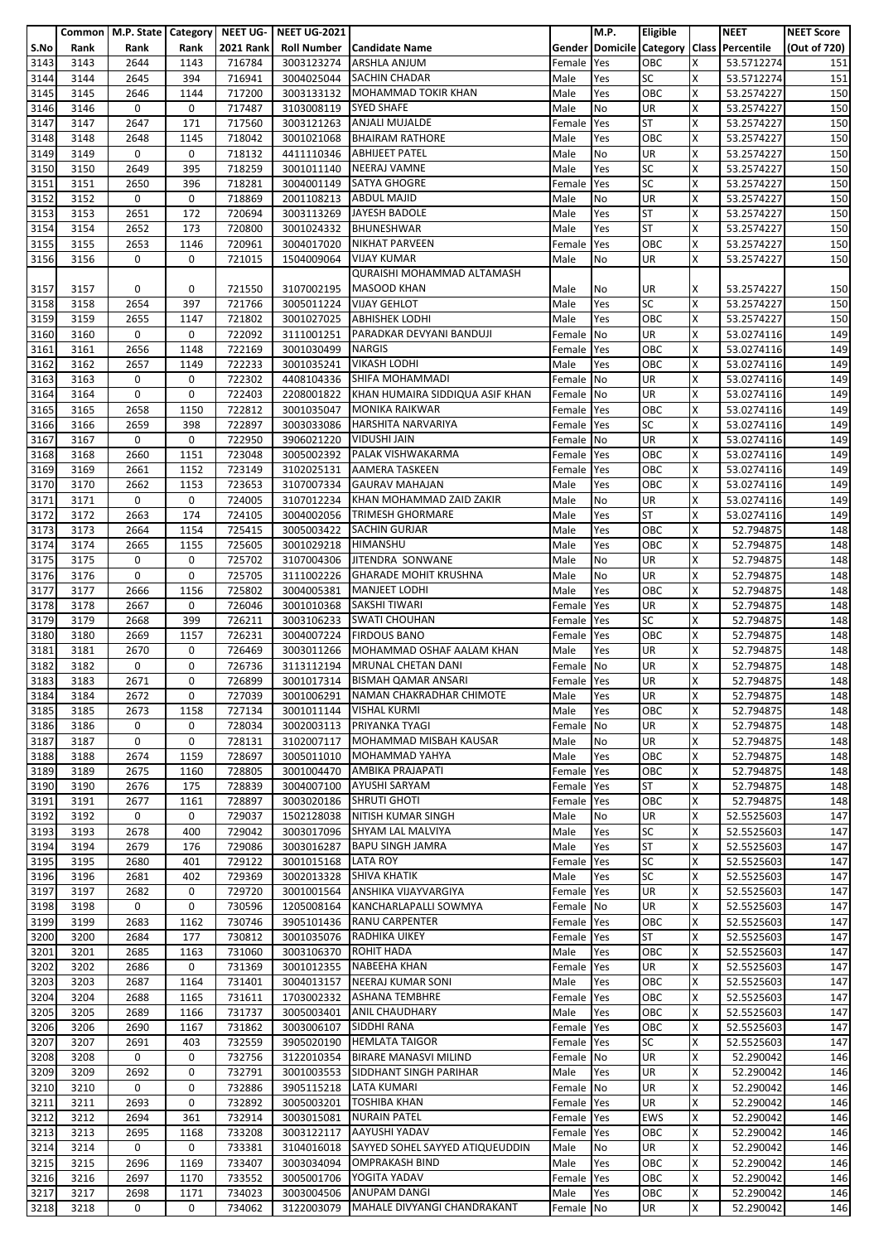|              |              | Common   M.P. State   Category   NEET UG- |      |                  | <b>NEET UG-2021</b>      |                                     |                | M.P.       | Eligible                 |        | <b>NEET</b>             | <b>NEET Score</b> |
|--------------|--------------|-------------------------------------------|------|------------------|--------------------------|-------------------------------------|----------------|------------|--------------------------|--------|-------------------------|-------------------|
| S.No         | Rank         | Rank                                      | Rank | <b>2021 Rank</b> | <b>Roll Number</b>       | <b>Candidate Name</b>               | Gender         |            | <b>Domicile Category</b> |        | <b>Class Percentile</b> | (Out of 720)      |
| 3143         | 3143         | 2644                                      | 1143 | 716784           | 3003123274               | <b>ARSHLA ANJUM</b>                 | Female         | Yes        | OBC                      | x      | 53.5712274              | 151               |
| 3144         | 3144         | 2645                                      | 394  | 716941           | 3004025044               | <b>SACHIN CHADAR</b>                | Male           | Yes        | <b>SC</b>                | X      | 53.5712274              | 151               |
| 3145         | 3145         | 2646                                      | 1144 | 717200           |                          | <b>MOHAMMAD TOKIR KHAN</b>          |                | Yes        | OBC                      | X      | 53.2574227              | 150               |
|              |              |                                           |      |                  | 3003133132               |                                     | Male           |            |                          |        |                         |                   |
| 3146         | 3146         | 0                                         | 0    | 717487           | 3103008119               | <b>SYED SHAFE</b>                   | Male           | No         | UR                       | X      | 53.2574227              | 150               |
| 3147         | 3147         | 2647                                      | 171  | 717560           | 3003121263               | <b>ANJALI MUJALDE</b>               | Female         | Yes        | <b>ST</b>                | x      | 53.2574227              | 150               |
| 3148         | 3148         | 2648                                      | 1145 | 718042           | 3001021068               | <b>BHAIRAM RATHORE</b>              | Male           | Yes        | OBC                      | Χ      | 53.2574227              | 150               |
| 3149         | 3149         | 0                                         | 0    | 718132           | 4411110346               | <b>ABHIJEET PATEL</b>               | Male           | No         | <b>UR</b>                | Χ      | 53.2574227              | 150               |
| 3150         | 3150         | 2649                                      | 395  | 718259           | 3001011140               | <b>NEERAJ VAMNE</b>                 | Male           | Yes        | SC                       | X      | 53.2574227              | 150               |
| 3151         | 3151         | 2650                                      | 396  | 718281           | 3004001149               | <b>SATYA GHOGRE</b>                 | Female         | Yes        | SC                       | Χ      | 53.2574227              | 150               |
| 3152         | 3152         | 0                                         | 0    | 718869           | 2001108213               | <b>ABDUL MAJID</b>                  | Male           | No         | UR                       | X      | 53.2574227              | 150               |
| 3153         | 3153         | 2651                                      | 172  | 720694           | 3003113269               | JAYESH BADOLE                       | Male           | Yes        | <b>ST</b>                | x      | 53.2574227              | 150               |
| 3154         | 3154         | 2652                                      | 173  | 720800           | 3001024332               | <b>BHUNESHWAR</b>                   | Male           | Yes        | <b>ST</b>                | X      | 53.2574227              | 150               |
| 3155         | 3155         | 2653                                      | 1146 | 720961           | 3004017020               | <b>NIKHAT PARVEEN</b>               | Female         | Yes        | OBC                      | Χ      | 53.2574227              | 150               |
| 3156         | 3156         | 0                                         | 0    | 721015           | 1504009064               | <b>VIJAY KUMAR</b>                  | Male           | No         | UR                       | Χ      | 53.2574227              | 150               |
|              |              |                                           |      |                  |                          | QURAISHI MOHAMMAD ALTAMASH          |                |            |                          |        |                         |                   |
| 3157         | 3157         | 0                                         | 0    | 721550           | 3107002195               | <b>MASOOD KHAN</b>                  | Male           | No         | UR                       | x      | 53.2574227              | 150               |
| 3158         | 3158         | 2654                                      | 397  | 721766           | 3005011224               | <b>VIJAY GEHLOT</b>                 | Male           | Yes        | <b>SC</b>                | X      | 53.2574227              | 150               |
| 3159         | 3159         | 2655                                      | 1147 | 721802           | 3001027025               | <b>ABHISHEK LODHI</b>               | Male           | Yes        | OBC                      | X      | 53.2574227              | 150               |
| 3160         | 3160         | 0                                         | 0    | 722092           |                          | 3111001251 PARADKAR DEVYANI BANDUJI | Female         | No         | UR                       | Χ      | 53.0274116              | 149               |
| 3161         | 3161         | 2656                                      | 1148 | 722169           | 3001030499               | <b>NARGIS</b>                       | Female         | Yes        | OBC                      | X      | 53.0274116              | 149               |
| 3162         | 3162         | 2657                                      | 1149 | 722233           | 3001035241               | <b>VIKASH LODHI</b>                 | Male           | Yes        | OBC                      | X      | 53.0274116              | 149               |
| 3163         | 3163         | 0                                         | 0    | 722302           | 4408104336               | SHIFA MOHAMMADI                     | Female         | No         | UR                       | X      | 53.0274116              | 149               |
|              |              |                                           |      |                  |                          | KHAN HUMAIRA SIDDIQUA ASIF KHAN     |                |            |                          |        |                         |                   |
| 3164         | 3164         | 0                                         | 0    | 722403           | 2208001822               | <b>MONIKA RAIKWAR</b>               | Female         | No         | UR<br>OBC                | Χ<br>X | 53.0274116              | 149               |
| 3165         | 3165         | 2658                                      | 1150 | 722812           | 3001035047               |                                     | Female         | Yes        |                          |        | 53.0274116              | 149               |
| 3166         | 3166         | 2659                                      | 398  | 722897           | 3003033086               | <b>HARSHITA NARVARIYA</b>           | Female         | Yes        | <b>SC</b>                | X      | 53.0274116              | 149               |
| 3167         | 3167         | 0                                         | 0    | 722950           | 3906021220               | <b>VIDUSHI JAIN</b>                 | Female No      |            | $\overline{\mathsf{UR}}$ | X      | 53.0274116              | 149               |
| 3168         | 3168         | 2660                                      | 1151 | 723048           | 3005002392               | PALAK VISHWAKARMA                   | Female         | Yes        | OBC                      | X      | 53.0274116              | 149               |
| 3169         | 3169         | 2661                                      | 1152 | 723149           | 3102025131               | <b>AAMERA TASKEEN</b>               | Female         | Yes        | OBC                      | X      | 53.0274116              | 149               |
| 3170         | 3170         | 2662                                      | 1153 | 723653           | 3107007334               | <b>GAURAV MAHAJAN</b>               | Male           | Yes        | OBC                      | Χ      | 53.0274116              | 149               |
| 3171         | 3171         | 0                                         | 0    | 724005           | 3107012234               | KHAN MOHAMMAD ZAID ZAKIR            | Male           | No         | UR                       | X      | 53.0274116              | 149               |
| 3172         | 3172         | 2663                                      | 174  | 724105           | 3004002056               | <b>TRIMESH GHORMARE</b>             | Male           | Yes        | <b>ST</b>                | X      | 53.0274116              | 149               |
| 3173         | 3173         | 2664                                      | 1154 | 725415           | 3005003422               | <b>SACHIN GURJAR</b>                | Male           | Yes        | OBC                      | x      | 52.794875               | 148               |
| 3174         | 3174         | 2665                                      | 1155 | 725605           | 3001029218               | <b>HIMANSHU</b>                     | Male           | Yes        | OBC                      | Χ      | 52.794875               | 148               |
| 3175         | 3175         | 0                                         | 0    | 725702           | 3107004306               | JITENDRA SONWANE                    | Male           | No         | UR                       | Χ      | 52.794875               | 148               |
| 3176         | 3176         | 0                                         | 0    | 725705           | 3111002226               | <b>GHARADE MOHIT KRUSHNA</b>        | Male           | No         | UR                       | X      | 52.794875               | 148               |
| 3177         | 3177         | 2666                                      | 1156 | 725802           | 3004005381               | <b>MANJEET LODHI</b>                | Male           | Yes        | OBC                      | Χ      | 52.794875               | 148               |
| 3178         | 3178         | 2667                                      | 0    | 726046           | 3001010368               | SAKSHI TIWARI                       | Female         | Yes        | UR                       | X      | 52.794875               | 148               |
| 3179         | 3179         | 2668                                      | 399  | 726211           | 3003106233               | <b>SWATI CHOUHAN</b>                | Female         | Yes        | <b>SC</b>                | Χ      | 52.794875               | 148               |
| 3180         | 3180         | 2669                                      | 1157 | 726231           | 3004007224               | <b>FIRDOUS BANO</b>                 | Female         | Yes        | OBC                      | Χ      | 52.794875               | 148               |
| 3181         | 3181         | 2670                                      | 0    | 726469           | 3003011266               | MOHAMMAD OSHAF AALAM KHAN           | Male           | Yes        | UR                       | X      | 52.794875               | 148               |
| 3182         | 3182         | 0                                         | 0    | 726736           | 3113112194               | <b>MRUNAL CHETAN DANI</b>           | Female No      |            | UR                       | X      | 52.794875               | 148               |
| 3183         | 3183         | 2671                                      | 0    | 726899           |                          | 3001017314 BISMAH QAMAR ANSARI      | Female Yes     |            | UR                       | X      | 52.794875               | 148               |
| 3184         | 3184         | 2672                                      | 0    | 727039           | 3001006291               | NAMAN CHAKRADHAR CHIMOTE            | Male           | Yes        | UR                       | X      | 52.794875               | 148               |
| 3185         | 3185         | 2673                                      | 1158 | 727134           | 3001011144               | <b>VISHAL KURMI</b>                 | Male           | Yes        | OBC                      | X      | 52.794875               | 148               |
| 3186         | 3186         | 0                                         | 0    | 728034           |                          | 3002003113 PRIYANKA TYAGI           | Female         | No         | <b>UR</b>                | x      | 52.794875               | 148               |
| 3187         | 3187         | $\mathbf 0$                               | 0    | 728131           | 3102007117               | MOHAMMAD MISBAH KAUSAR              | Male           | No         | UR                       | X      | 52.794875               | 148               |
|              |              |                                           |      |                  |                          |                                     |                |            |                          | X      |                         |                   |
| 3188         | 3188         | 2674                                      | 1159 | 728697           | 3005011010               | MOHAMMAD YAHYA                      | Male           | Yes        | OBC                      |        | 52.794875               | 148               |
| 3189         | 3189         | 2675                                      | 1160 | 728805           | 3001004470               | AMBIKA PRAJAPATI                    | Female         | Yes        | OBC                      | x      | 52.794875               | 148               |
| 3190         | 3190         | 2676                                      | 175  | 728839           | 3004007100               | <b>AYUSHI SARYAM</b>                | Female         | Yes        | <b>ST</b>                | X      | 52.794875               | 148               |
| 3191         | 3191         | 2677                                      | 1161 | 728897           | 3003020186               | <b>SHRUTI GHOTI</b>                 | Female         | Yes        | <b>OBC</b>               | x      | 52.794875               | 148               |
| 3192         | 3192         | 0                                         | 0    | 729037           | 1502128038               | <b>NITISH KUMAR SINGH</b>           | Male           | No         | UR                       | Χ      | 52.5525603              | 147               |
| 3193         | 3193         | 2678                                      | 400  | 729042           | 3003017096               | SHYAM LAL MALVIYA                   | Male           | Yes        | <b>SC</b>                | X      | 52.5525603              | 147               |
| 3194         | 3194         | 2679                                      | 176  | 729086           | 3003016287               | <b>BAPU SINGH JAMRA</b>             | Male           | Yes        | <b>ST</b>                | x      | 52.5525603              | 147               |
| 3195         | 3195         | 2680                                      | 401  | 729122           | 3001015168               | <b>LATA ROY</b>                     | Female         | Yes        | <b>SC</b>                | X      | 52.5525603              | 147               |
| 3196         | 3196         | 2681                                      | 402  | 729369           |                          | 3002013328 SHIVA KHATIK             | Male           | Yes        | <b>SC</b>                | X      | 52.5525603              | 147               |
| 3197         | 3197         | 2682                                      | 0    | 729720           | 3001001564               | ANSHIKA VIJAYVARGIYA                | Female         | Yes        | UR                       | X      | 52.5525603              | 147               |
| 3198         | 3198         | 0                                         | 0    | 730596           | 1205008164               | KANCHARLAPALLI SOWMYA               | Female         | No         | <b>UR</b>                | X      | 52.5525603              | 147               |
| 3199         | 3199         | 2683                                      | 1162 | 730746           |                          | 3905101436 RANU CARPENTER           | Female         | Yes        | OBC                      | X      | 52.5525603              | 147               |
| 3200         | 3200         | 2684                                      | 177  | 730812           |                          | 3001035076 RADHIKA UIKEY            | Female         | Yes        | <b>ST</b>                | X      | 52.5525603              | 147               |
| 3201         | 3201         | 2685                                      | 1163 | 731060           | 3003106370               | <b>ROHIT HADA</b>                   | Male           | Yes        | OBC                      | x      | 52.5525603              | 147               |
| 3202         | 3202         | 2686                                      | 0    | 731369           | 3001012355               | <b>NABEEHA KHAN</b>                 | Female         | Yes        | <b>UR</b>                | Χ      | 52.5525603              | 147               |
| 3203         | 3203         | 2687                                      | 1164 | 731401           | 3004013157               | NEERAJ KUMAR SONI                   | Male           | Yes        | OBC                      | X      | 52.5525603              | 147               |
| 3204         | 3204         | 2688                                      | 1165 | 731611           | 1703002332               | <b>ASHANA TEMBHRE</b>               | Female         | Yes        | OBC                      | X      | 52.5525603              | 147               |
| 3205         | 3205         | 2689                                      | 1166 | 731737           | 3005003401               | <b>ANIL CHAUDHARY</b>               | Male           | Yes        | OBC                      | X      | 52.5525603              | 147               |
| 3206         | 3206         | 2690                                      | 1167 | 731862           | 3003006107               | SIDDHI RANA                         | Female         | Yes        | OBC                      | x      | 52.5525603              | 147               |
| 3207         | 3207         | 2691                                      | 403  | 732559           | 3905020190               | <b>HEMLATA TAIGOR</b>               | Female Yes     |            | <b>SC</b>                | X      | 52.5525603              | 147               |
| 3208         | 3208         | 0                                         | 0    | 732756           | 3122010354               | <b>BIRARE MANASVI MILIND</b>        | Female         | No         | UR                       | X      | 52.290042               | 146               |
| 3209         | 3209         | 2692                                      | 0    | 732791           |                          | 3001003553 SIDDHANT SINGH PARIHAR   | Male           | Yes        | <b>UR</b>                | x      | 52.290042               | 146               |
| 3210         | 3210         | 0                                         | 0    | 732886           | 3905115218               | <b>LATA KUMARI</b>                  | Female No      |            | UR                       | X      | 52.290042               | 146               |
| 3211         | 3211         | 2693                                      | 0    | 732892           | 3005003201               | <b>TOSHIBA KHAN</b>                 | Female         | Yes        | <b>UR</b>                | x      | 52.290042               | 146               |
| 3212         | 3212         | 2694                                      | 361  | 732914           | 3003015081               | <b>NURAIN PATEL</b>                 | Female         | Yes        | <b>EWS</b>               | Χ      | 52.290042               | 146               |
| 3213         | 3213         | 2695                                      | 1168 | 733208           | 3003122117               | AAYUSHI YADAV                       | Female         | Yes        | OBC                      | x      | 52.290042               | 146               |
| 3214         | 3214         | 0                                         | 0    | 733381           | 3104016018               | SAYYED SOHEL SAYYED ATIQUEUDDIN     | Male           | No         | <b>UR</b>                | x      | 52.290042               | 146               |
| 3215         | 3215         | 2696                                      | 1169 | 733407           | 3003034094               | <b>OMPRAKASH BIND</b>               | Male           | Yes        | OBC                      | Χ      | 52.290042               | 146               |
|              |              |                                           | 1170 |                  |                          | YOGITA YADAV                        |                |            | OBC                      | X      |                         |                   |
| 3216<br>3217 | 3216<br>3217 | 2697<br>2698                              | 1171 | 733552<br>734023 | 3005001706<br>3003004506 | <b>ANUPAM DANGI</b>                 | Female<br>Male | Yes<br>Yes | OBC                      | Χ      | 52.290042<br>52.290042  | 146<br>146        |
|              | 3218         | 0                                         | 0    | 734062           |                          | MAHALE DIVYANGI CHANDRAKANT         |                |            |                          | X      |                         |                   |
| 3218         |              |                                           |      |                  | 3122003079               |                                     | Female No      |            | UR                       |        | 52.290042               | 146               |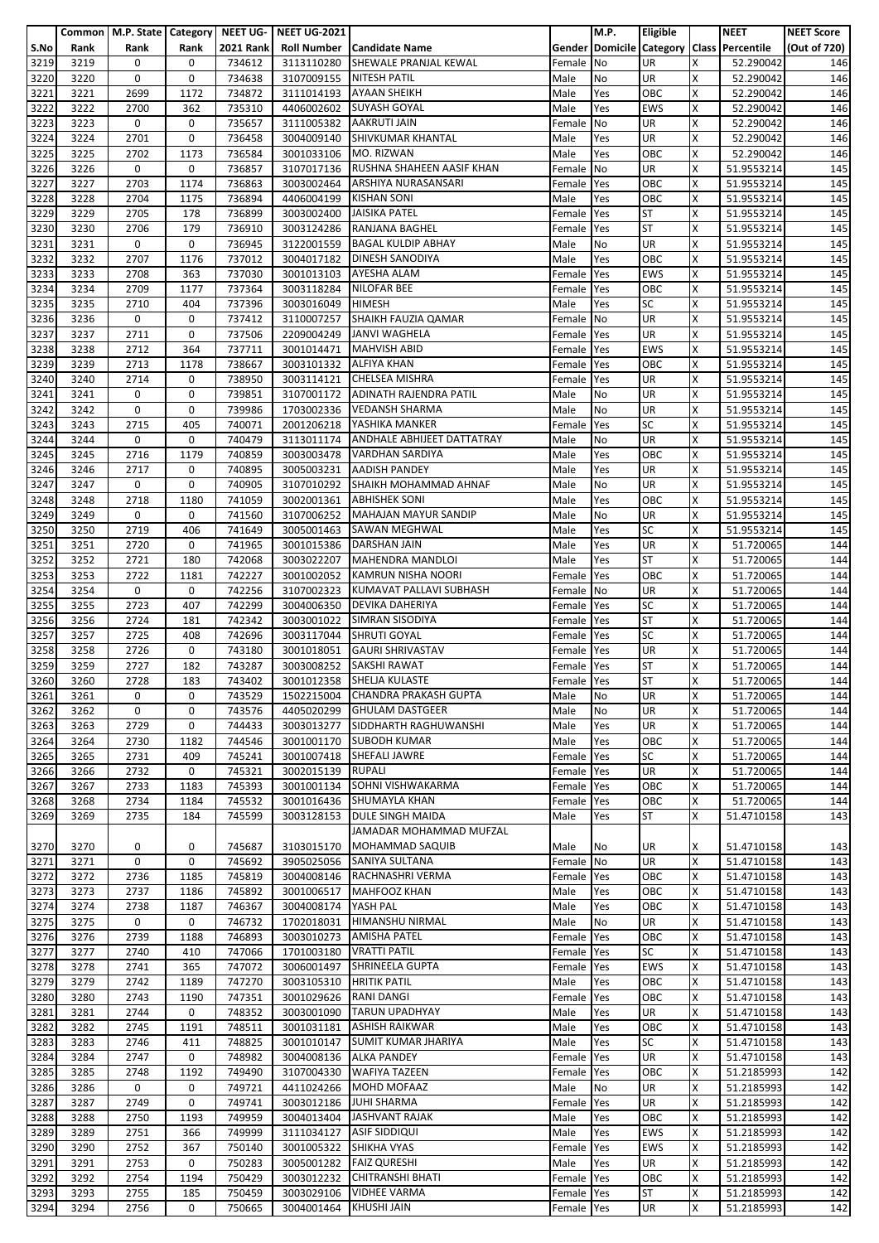|      |      | Common   M.P. State   Category   NEET UG- |             |                  | <b>NEET UG-2021</b>     |                                   |            | M.P.                            | Eligible   |   | <b>NEET</b>             | <b>NEET Score</b> |
|------|------|-------------------------------------------|-------------|------------------|-------------------------|-----------------------------------|------------|---------------------------------|------------|---|-------------------------|-------------------|
| S.No | Rank | Rank                                      | Rank        | <b>2021 Rank</b> |                         | <b>Roll Number Candidate Name</b> |            | <b>Gender Domicile Category</b> |            |   | <b>Class Percentile</b> | (Out of 720)      |
| 3219 | 3219 | 0                                         | 0           | 734612           | 3113110280              | SHEWALE PRANJAL KEWAL             | Female     | No                              | UR         | Χ | 52.290042               | 146               |
| 3220 | 3220 | 0                                         | 0           | 734638           | 3107009155              | <b>NITESH PATIL</b>               | Male       | No                              | UR         | X | 52.290042               | 146               |
|      |      |                                           |             |                  |                         |                                   |            |                                 |            |   |                         |                   |
| 3221 | 3221 | 2699                                      | 1172        | 734872           | 3111014193              | <b>AYAAN SHEIKH</b>               | Male       | Yes                             | OBC        | x | 52.290042               | 146               |
| 3222 | 3222 | 2700                                      | 362         | 735310           | 4406002602              | <b>SUYASH GOYAL</b>               | Male       | Yes                             | <b>EWS</b> | X | 52.290042               | 146               |
| 3223 | 3223 | 0                                         | 0           | 735657           | 3111005382              | <b>AAKRUTI JAIN</b>               | Female     | No                              | UR         | X | 52.290042               | 146               |
| 3224 | 3224 | 2701                                      | 0           | 736458           | 3004009140              | SHIVKUMAR KHANTAL                 | Male       | Yes                             | UR         | X | 52.290042               | 146               |
|      |      |                                           |             |                  |                         |                                   |            |                                 |            |   |                         |                   |
| 3225 | 3225 | 2702                                      | 1173        | 736584           | 3001033106              | MO. RIZWAN                        | Male       | Yes                             | OBC        | X | 52.290042               | 146               |
| 3226 | 3226 | 0                                         | 0           | 736857           | 3107017136              | RUSHNA SHAHEEN AASIF KHAN         | Female     | No                              | UR         | X | 51.9553214              | 145               |
| 3227 | 3227 | 2703                                      | 1174        | 736863           | 3003002464              | ARSHIYA NURASANSARI               | Female     | Yes                             | OBC        | x | 51.9553214              | 145               |
| 3228 | 3228 | 2704                                      | 1175        | 736894           | 4406004199              | <b>KISHAN SONI</b>                | Male       | Yes                             | OBC        | x | 51.9553214              | 145               |
|      |      |                                           |             |                  |                         |                                   |            |                                 |            |   |                         |                   |
| 3229 | 3229 | 2705                                      | 178         | 736899           | 3003002400              | <b>JAISIKA PATEL</b>              | Female     | Yes                             | <b>ST</b>  | x | 51.9553214              | 145               |
| 3230 | 3230 | 2706                                      | 179         | 736910           | 3003124286              | RANJANA BAGHEL                    | Female     | Yes                             | <b>ST</b>  | X | 51.9553214              | 145               |
| 3231 | 3231 | 0                                         | 0           | 736945           | 3122001559              | <b>BAGAL KULDIP ABHAY</b>         | Male       | No                              | UR         | X | 51.9553214              | 145               |
| 3232 | 3232 | 2707                                      | 1176        | 737012           | 3004017182              | DINESH SANODIYA                   | Male       | Yes                             | OBC        | X | 51.9553214              | 145               |
|      |      |                                           |             |                  |                         | AYESHA ALAM                       |            |                                 |            |   |                         |                   |
| 3233 | 3233 | 2708                                      | 363         | 737030           | 3001013103              |                                   | Female     | Yes                             | <b>EWS</b> | X | 51.9553214              | 145               |
| 3234 | 3234 | 2709                                      | 1177        | 737364           | 3003118284              | <b>NILOFAR BEE</b>                | Female     | Yes                             | OBC        | Χ | 51.9553214              | 145               |
| 3235 | 3235 | 2710                                      | 404         | 737396           | 3003016049              | <b>HIMESH</b>                     | Male       | Yes                             | <b>SC</b>  | X | 51.9553214              | 145               |
| 3236 | 3236 | 0                                         | 0           | 737412           | 3110007257              | SHAIKH FAUZIA QAMAR               | Female     | <b>No</b>                       | UR         | x | 51.9553214              | 145               |
| 3237 | 3237 | 2711                                      | 0           | 737506           | 2209004249              | <b>JANVI WAGHELA</b>              |            | Yes                             | UR         | x | 51.9553214              | 145               |
|      |      |                                           |             |                  |                         |                                   | Female     |                                 |            |   |                         |                   |
| 3238 | 3238 | 2712                                      | 364         | 737711           | 3001014471              | <b>MAHVISH ABID</b>               | Female     | Yes                             | <b>EWS</b> | X | 51.9553214              | 145               |
| 3239 | 3239 | 2713                                      | 1178        | 738667           | 3003101332              | <b>ALFIYA KHAN</b>                | Female     | Yes                             | OBC        | Χ | 51.9553214              | 145               |
| 3240 | 3240 | 2714                                      | 0           | 738950           | 3003114121              | <b>CHELSEA MISHRA</b>             | Female     | Yes                             | UR         | X | 51.9553214              | 145               |
|      |      |                                           |             |                  |                         |                                   |            |                                 | UR         | X |                         |                   |
| 3241 | 3241 | 0                                         | 0           | 739851           | 3107001172              | <b>ADINATH RAJENDRA PATIL</b>     | Male       | No                              |            |   | 51.9553214              | 145               |
| 3242 | 3242 | 0                                         | 0           | 739986           | 1703002336              | <b>VEDANSH SHARMA</b>             | Male       | No                              | UR         | x | 51.9553214              | 145               |
| 3243 | 3243 | 2715                                      | 405         | 740071           | 2001206218              | YASHIKA MANKER                    | Female     | Yes                             | <b>SC</b>  | X | 51.9553214              | 145               |
| 3244 | 3244 | 0                                         | 0           | 740479           | 3113011174              | ANDHALE ABHIJEET DATTATRAY        | Male       | No                              | UR         | Χ | 51.9553214              | 145               |
| 3245 | 3245 | 2716                                      | 1179        | 740859           |                         | VARDHAN SARDIYA                   |            | Yes                             | OBC        | X |                         |                   |
|      |      |                                           |             |                  | 3003003478              |                                   | Male       |                                 |            |   | 51.9553214              | 145               |
| 3246 | 3246 | 2717                                      | 0           | 740895           | 3005003231              | <b>AADISH PANDEY</b>              | Male       | Yes                             | UR         | X | 51.9553214              | 145               |
| 3247 | 3247 | $\mathbf 0$                               | 0           | 740905           | 3107010292              | SHAIKH MOHAMMAD AHNAF             | Male       | No                              | UR         | X | 51.9553214              | 145               |
| 3248 | 3248 | 2718                                      | 1180        | 741059           | 3002001361              | <b>ABHISHEK SONI</b>              | Male       | Yes                             | OBC        | X | 51.9553214              | 145               |
| 3249 |      | 0                                         | 0           | 741560           |                         | <b>MAHAJAN MAYUR SANDIP</b>       |            | No                              | <b>UR</b>  | X |                         |                   |
|      | 3249 |                                           |             |                  | 3107006252              |                                   | Male       |                                 |            |   | 51.9553214              | 145               |
| 3250 | 3250 | 2719                                      | 406         | 741649           | 3005001463              | <b>SAWAN MEGHWAL</b>              | Male       | Yes                             | <b>SC</b>  | X | 51.9553214              | 145               |
| 3251 | 3251 | 2720                                      | 0           | 741965           | 3001015386              | <b>DARSHAN JAIN</b>               | Male       | Yes                             | UR         | X | 51.720065               | 144               |
| 3252 | 3252 | 2721                                      | 180         | 742068           | 3003022207              | MAHENDRA MANDLOI                  | Male       | Yes                             | <b>ST</b>  | X | 51.720065               | 144               |
| 3253 | 3253 | 2722                                      | 1181        | 742227           |                         | <b>KAMRUN NISHA NOORI</b>         |            |                                 | OBC        | X |                         | 144               |
|      |      |                                           |             |                  | 3001002052              |                                   | Female     | Yes                             |            |   | 51.720065               |                   |
| 3254 | 3254 | 0                                         | 0           | 742256           | 3107002323              | KUMAVAT PALLAVI SUBHASH           | Female     | No                              | UR         | X | 51.720065               | 144               |
| 3255 | 3255 | 2723                                      | 407         | 742299           | 3004006350              | <b>DEVIKA DAHERIYA</b>            | Female     | Yes                             | <b>SC</b>  | X | 51.720065               | 144               |
| 3256 | 3256 | 2724                                      | 181         | 742342           | 3003001022              | SIMRAN SISODIYA                   | Female     | Yes                             | <b>ST</b>  | х | 51.720065               | 144               |
| 3257 | 3257 | 2725                                      | 408         | 742696           |                         | <b>SHRUTI GOYAL</b>               |            | Yes                             | <b>SC</b>  | X |                         | 144               |
|      |      |                                           |             |                  | 3003117044              |                                   | Female     |                                 |            |   | 51.720065               |                   |
| 3258 | 3258 | 2726                                      | 0           | 743180           | 3001018051              | <b>GAURI SHRIVASTAV</b>           | Female     | Yes                             | <b>UR</b>  | X | 51.720065               | 144               |
| 3259 | 3259 | 2727                                      | 182         | 743287           | 3003008252              | SAKSHI RAWAT                      | Female     | Yes                             | <b>ST</b>  | х | 51.720065               | 144               |
| 3260 | 3260 | 2728                                      | 183         | 743402           |                         | 3001012358 SHELJA KULASTE         | Female Yes |                                 | <b>ST</b>  | X | 51.720065               | 144               |
| 3261 |      | 0                                         | 0           |                  |                         | 1502215004 CHANDRA PRAKASH GUPTA  |            |                                 | <b>UR</b>  | X |                         |                   |
|      | 3261 |                                           |             | 743529           |                         |                                   | Male       | No                              |            |   | 51.720065               | 144               |
| 3262 | 3262 | 0                                         | 0           | 743576           | 4405020299              | <b>GHULAM DASTGEER</b>            | Male       | No                              | UR         | X | 51.720065               | 144               |
| 3263 | 3263 | 2729                                      | 0           | 744433           |                         | 3003013277 SIDDHARTH RAGHUWANSHI  | Male       | Yes                             | <b>UR</b>  | х | 51.720065               | 144               |
| 3264 | 3264 | 2730                                      | 1182        | 744546           | 3001001170              | <b>SUBODH KUMAR</b>               | Male       | Yes                             | OBC        | Χ | 51.720065               | 144               |
| 3265 | 3265 | 2731                                      | 409         | 745241           |                         | 3001007418 SHEFALI JAWRE          |            | Yes                             | <b>SC</b>  | X | 51.720065               | 144               |
|      |      |                                           |             |                  |                         |                                   | Female     |                                 |            |   |                         |                   |
| 3266 | 3266 | 2732                                      | 0           | 745321           | 3002015139              | <b>RUPALI</b>                     | Female     | Yes                             | <b>UR</b>  | x | 51.720065               | 144               |
| 3267 | 3267 | 2733                                      | 1183        | 745393           | 3001001134              | SOHNI VISHWAKARMA                 | Female     | Yes                             | OBC        | X | 51.720065               | 144               |
| 3268 | 3268 | 2734                                      | 1184        | 745532           | 3001016436              | <b>SHUMAYLA KHAN</b>              | Female     | Yes                             | OBC        | X | 51.720065               | 144               |
| 3269 | 3269 | 2735                                      | 184         | 745599           | 3003128153              | <b>DULE SINGH MAIDA</b>           | Male       | Yes                             | ST         | Χ | 51.4710158              | 143               |
|      |      |                                           |             |                  |                         |                                   |            |                                 |            |   |                         |                   |
|      |      |                                           |             |                  |                         | JAMADAR MOHAMMAD MUFZAL           |            |                                 |            |   |                         |                   |
| 3270 | 3270 | 0                                         | 0           | 745687           | 3103015170              | <b>MOHAMMAD SAQUIB</b>            | Male       | No                              | UR         | х | 51.4710158              | 143               |
| 3271 | 3271 | 0                                         | 0           | 745692           | 3905025056              | SANIYA SULTANA                    | Female     | No                              | UR         | x | 51.4710158              | 143               |
| 3272 | 3272 | 2736                                      | 1185        | 745819           |                         | 3004008146 RACHNASHRI VERMA       | Female     | Yes                             | OBC        | X | 51.4710158              | 143               |
| 3273 | 3273 | 2737                                      | 1186        | 745892           | 3001006517              | <b>MAHFOOZ KHAN</b>               |            |                                 | OBC        | X | 51.4710158              |                   |
|      |      |                                           |             |                  |                         |                                   | Male       | Yes                             |            |   |                         | 143               |
| 3274 | 3274 | 2738                                      | 1187        | 746367           | 3004008174              | YASH PAL                          | Male       | Yes                             | OBC        | X | 51.4710158              | 143               |
| 3275 | 3275 | 0                                         | 0           | 746732           | 1702018031              | HIMANSHU NIRMAL                   | Male       | No                              | UR         | x | 51.4710158              | 143               |
| 3276 | 3276 | 2739                                      | 1188        | 746893           | 3003010273              | <b>AMISHA PATEL</b>               | Female     | Yes                             | OBC        | X | 51.4710158              | 143               |
| 3277 | 3277 | 2740                                      | 410         | 747066           | 1701003180              | <b>VRATTI PATIL</b>               | Female     | Yes                             | <b>SC</b>  | x | 51.4710158              | 143               |
|      |      |                                           |             |                  |                         | SHRINEELA GUPTA                   |            |                                 |            |   |                         |                   |
| 3278 | 3278 | 2741                                      | 365         | 747072           | 3006001497              |                                   | Female     | Yes                             | <b>EWS</b> | X | 51.4710158              | 143               |
| 3279 | 3279 | 2742                                      | 1189        | 747270           | 3003105310 HRITIK PATIL |                                   | Male       | Yes                             | OBC        | X | 51.4710158              | 143               |
| 3280 | 3280 | 2743                                      | 1190        | 747351           | 3001029626              | <b>RANI DANGI</b>                 | Female     | Yes                             | OBC        | X | 51.4710158              | 143               |
| 3281 | 3281 | 2744                                      | 0           | 748352           | 3003001090              | <b>TARUN UPADHYAY</b>             | Male       | Yes                             | UR         | X | 51.4710158              | 143               |
| 3282 | 3282 | 2745                                      | 1191        | 748511           | 3001031181              | <b>ASHISH RAIKWAR</b>             | Male       | Yes                             | OBC        | X |                         |                   |
|      |      |                                           |             |                  |                         |                                   |            |                                 |            |   | 51.4710158              | 143               |
| 3283 | 3283 | 2746                                      | 411         | 748825           | 3001010147              | <b>SUMIT KUMAR JHARIYA</b>        | Male       | Yes                             | <b>SC</b>  | X | 51.4710158              | 143               |
| 3284 | 3284 | 2747                                      | $\mathbf 0$ | 748982           |                         | 3004008136 ALKA PANDEY            | Female     | Yes                             | <b>UR</b>  | X | 51.4710158              | 143               |
| 3285 | 3285 | 2748                                      | 1192        | 749490           | 3107004330              | <b>WAFIYA TAZEEN</b>              | Female     | Yes                             | OBC        | X | 51.2185993              | 142               |
| 3286 | 3286 | 0                                         | 0           | 749721           | 4411024266              | <b>MOHD MOFAAZ</b>                | Male       | No                              | UR         | X | 51.2185993              | 142               |
|      |      |                                           |             |                  |                         |                                   |            |                                 |            |   |                         |                   |
| 3287 | 3287 | 2749                                      | 0           | 749741           | 3003012186              | <b>JUHI SHARMA</b>                | Female     | Yes                             | <b>UR</b>  | X | 51.2185993              | 142               |
| 3288 | 3288 | 2750                                      | 1193        | 749959           | 3004013404              | <b>JASHVANT RAJAK</b>             | Male       | Yes                             | OBC        | X | 51.2185993              | 142               |
| 3289 | 3289 | 2751                                      | 366         | 749999           |                         | 3111034127 ASIF SIDDIQUI          | Male       | Yes                             | <b>EWS</b> | X | 51.2185993              | 142               |
| 3290 | 3290 | 2752                                      | 367         | 750140           | 3001005322              | <b>SHIKHA VYAS</b>                | Female Yes |                                 | <b>EWS</b> | X | 51.2185993              | 142               |
|      |      |                                           |             |                  |                         | <b>FAIZ QURESHI</b>               |            |                                 |            | X |                         |                   |
| 3291 | 3291 | 2753                                      | 0           | 750283           | 3005001282              |                                   | Male       | Yes                             | UR         |   | 51.2185993              | 142               |
| 3292 | 3292 | 2754                                      | 1194        | 750429           |                         | 3003012232 CHITRANSHI BHATI       | Female Yes |                                 | OBC        | X | 51.2185993              | 142               |
| 3293 | 3293 | 2755                                      | 185         | 750459           | 3003029106              | <b>VIDHEE VARMA</b>               | Female Yes |                                 | <b>ST</b>  | X | 51.2185993              | 142               |
| 3294 | 3294 | 2756                                      | 0           | 750665           | 3004001464              | <b>KHUSHI JAIN</b>                | Female Yes |                                 | UR         | X | 51.2185993              | 142               |
|      |      |                                           |             |                  |                         |                                   |            |                                 |            |   |                         |                   |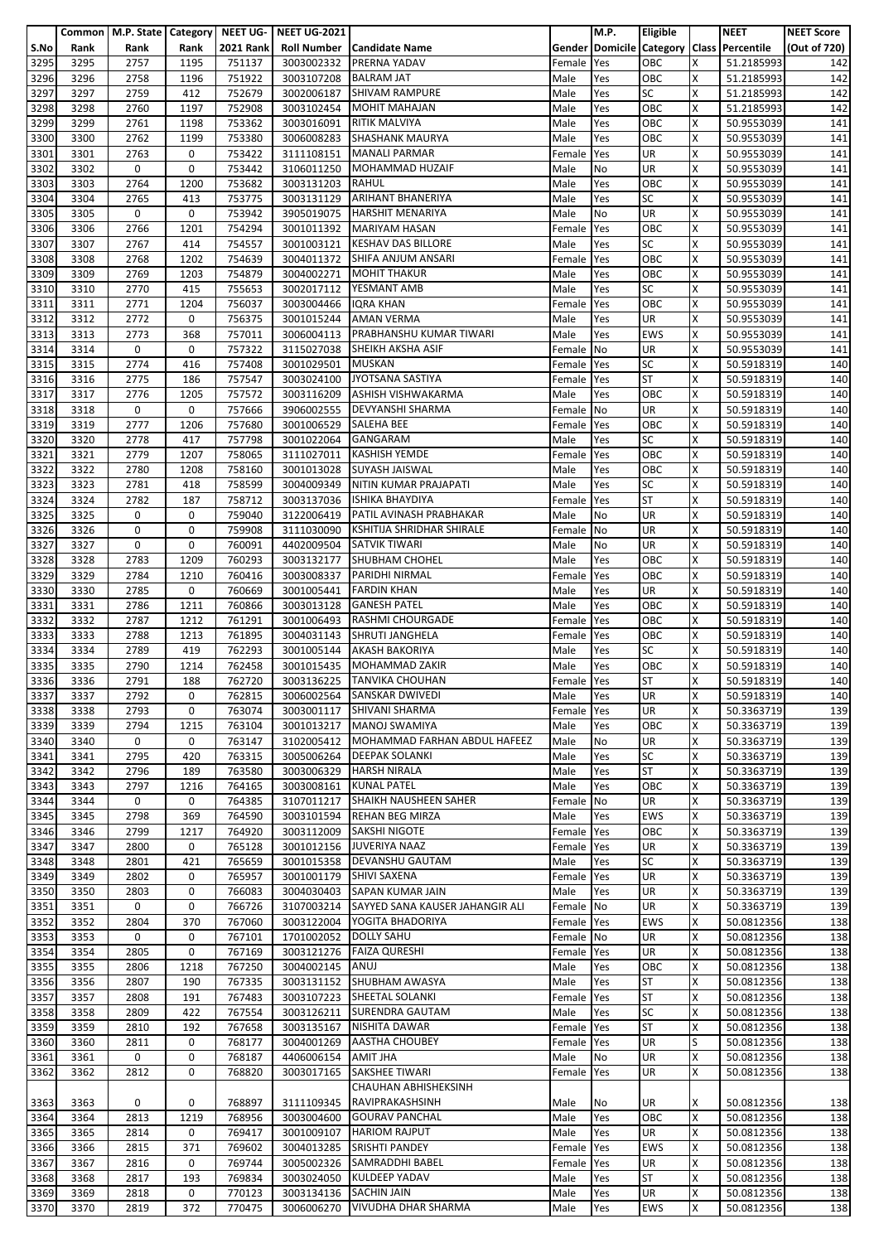|              |              | Common   M.P. State   Category   NEET UG- |             |                  | <b>NEET UG-2021</b>      |                                                   |                | M.P.       | <b>Eligible</b>  |        | <b>NEET</b>                               | <b>NEET Score</b> |
|--------------|--------------|-------------------------------------------|-------------|------------------|--------------------------|---------------------------------------------------|----------------|------------|------------------|--------|-------------------------------------------|-------------------|
| S.No         | Rank         | Rank                                      | Rank        | <b>2021 Rank</b> | <b>Roll Number</b>       | <b>Candidate Name</b>                             |                |            |                  |        | Gender Domicile Category Class Percentile | (Out of 720)      |
| 3295         | 3295         | 2757                                      | 1195        | 751137           | 3003002332               | PRERNA YADAV                                      | Female         | Yes        | OBC              | X      | 51.2185993                                | 142               |
| 3296         | 3296         | 2758                                      | 1196        | 751922           | 3003107208               | <b>BALRAM JAT</b>                                 | Male           | Yes        | OBC<br><b>SC</b> | X      | 51.2185993                                | 142               |
| 3297<br>3298 | 3297<br>3298 | 2759<br>2760                              | 412<br>1197 | 752679<br>752908 | 3002006187<br>3003102454 | <b>SHIVAM RAMPURE</b><br><b>MOHIT MAHAJAN</b>     | Male<br>Male   | Yes        | OBC              | X<br>Χ | 51.2185993<br>51.2185993                  | 142<br>142        |
| 3299         | 3299         | 2761                                      | 1198        | 753362           | 3003016091               | <b>RITIK MALVIYA</b>                              | Male           | Yes<br>Yes | OBC              | x      | 50.9553039                                | 141               |
| 3300         | 3300         | 2762                                      | 1199        | 753380           | 3006008283               | <b>SHASHANK MAURYA</b>                            | Male           | Yes        | OBC              | X      | 50.9553039                                | 141               |
| 3301         | 3301         | 2763                                      | 0           | 753422           | 3111108151               | <b>MANALI PARMAR</b>                              | Female         | Yes        | UR               | X      | 50.9553039                                | 141               |
| 3302         | 3302         | 0                                         | 0           | 753442           | 3106011250               | <b>MOHAMMAD HUZAIF</b>                            | Male           | No         | <b>UR</b>        | X      | 50.9553039                                | 141               |
| 3303         | 3303         | 2764                                      | 1200        | 753682           | 3003131203               | <b>RAHUL</b>                                      | Male           | Yes        | OBC              | Χ      | 50.9553039                                | 141               |
| 3304         | 3304         | 2765                                      | 413         | 753775           | 3003131129               | <b>ARIHANT BHANERIYA</b>                          | Male           | Yes        | <b>SC</b>        | X      | 50.9553039                                | 141               |
| 3305         | 3305         | 0                                         | 0           | 753942           | 3905019075               | <b>HARSHIT MENARIYA</b>                           | Male           | No         | UR               | x      | 50.9553039                                | 141               |
| 3306         | 3306         | 2766                                      | 1201        | 754294           |                          | 3001011392 MARIYAM HASAN                          | Female         | Yes        | OBC              | X      | 50.9553039                                | 141               |
| 3307         | 3307         | 2767                                      | 414         | 754557           | 3001003121               | <b>KESHAV DAS BILLORE</b>                         | Male           | Yes        | <b>SC</b>        | X      | 50.9553039                                | 141               |
| 3308         | 3308         | 2768                                      | 1202        | 754639           | 3004011372               | SHIFA ANJUM ANSARI                                | Female         | Yes        | OBC              | Χ      | 50.9553039                                | 141               |
| 3309         | 3309         | 2769                                      | 1203        | 754879           | 3004002271               | <b>MOHIT THAKUR</b>                               | Male           | Yes        | OBC              | x      | 50.9553039                                | 141               |
| 3310         | 3310         | 2770                                      | 415         | 755653           | 3002017112               | YESMANT AMB                                       | Male           | Yes        | <b>SC</b>        | x      | 50.9553039                                | 141               |
| 3311<br>3312 | 3311<br>3312 | 2771<br>2772                              | 1204<br>0   | 756037<br>756375 | 3003004466<br>3001015244 | <b>IQRA KHAN</b><br><b>AMAN VERMA</b>             | Female<br>Male | Yes<br>Yes | OBC<br><b>UR</b> | X<br>X | 50.9553039                                | 141<br>141        |
| 3313         | 3313         | 2773                                      | 368         | 757011           | 3006004113               | PRABHANSHU KUMAR TIWARI                           | Male           | Yes        | <b>EWS</b>       | X      | 50.9553039<br>50.9553039                  | 141               |
| 3314         | 3314         | 0                                         | 0           | 757322           | 3115027038               | SHEIKH AKSHA ASIF                                 | Female         | No         | <b>UR</b>        | X      | 50.9553039                                | 141               |
| 3315         | 3315         | 2774                                      | 416         | 757408           | 3001029501               | <b>MUSKAN</b>                                     | Female         | Yes        | SC               | x      | 50.5918319                                | 140               |
| 3316         | 3316         | 2775                                      | 186         | 757547           | 3003024100               | JYOTSANA SASTIYA                                  | Female         | Yes        | <b>ST</b>        | X      | 50.5918319                                | 140               |
| 3317         | 3317         | 2776                                      | 1205        | 757572           | 3003116209               | <b>ASHISH VISHWAKARMA</b>                         | Male           | Yes        | OBC              | X      | 50.5918319                                | 140               |
| 3318         | 3318         | 0                                         | 0           | 757666           | 3906002555               | <b>DEVYANSHI SHARMA</b>                           | Female         | No         | <b>UR</b>        | Χ      | 50.5918319                                | 140               |
| 3319         | 3319         | 2777                                      | 1206        | 757680           | 3001006529               | <b>SALEHA BEE</b>                                 | Female         | Yes        | OBC              | X      | 50.5918319                                | 140               |
| 3320         | 3320         | 2778                                      | 417         | 757798           | 3001022064               | <b>GANGARAM</b>                                   | Male           | Yes        | <b>SC</b>        | X      | 50.5918319                                | 140               |
| 3321         | 3321         | 2779                                      | 1207        | 758065           | 3111027011               | <b>KASHISH YEMDE</b>                              | Female         | Yes        | OBC              | Χ      | 50.5918319                                | 140               |
| 3322         | 3322         | 2780                                      | 1208        | 758160           | 3001013028               | <b>SUYASH JAISWAL</b>                             | Male           | Yes        | OBC              | x      | 50.5918319                                | 140               |
| 3323         | 3323         | 2781                                      | 418         | 758599           | 3004009349               | NITIN KUMAR PRAJAPATI                             | Male           | Yes        | <b>SC</b>        | Χ      | 50.5918319                                | 140               |
| 3324         | 3324         | 2782                                      | 187         | 758712           | 3003137036               | <b>ISHIKA BHAYDIYA</b>                            | Female         | Yes        | <b>ST</b>        | x      | 50.5918319                                | 140               |
| 3325         | 3325         | 0                                         | 0           | 759040           | 3122006419               | PATIL AVINASH PRABHAKAR                           | Male           | No         | <b>UR</b>        | X      | 50.5918319                                | 140               |
| 3326         | 3326         | 0                                         | 0           | 759908           | 3111030090               | KSHITIJA SHRIDHAR SHIRALE<br><b>SATVIK TIWARI</b> | Female         | No         | UR               | X      | 50.5918319                                | 140               |
| 3327<br>3328 | 3327<br>3328 | 0<br>2783                                 | 0<br>1209   | 760091<br>760293 | 4402009504<br>3003132177 | <b>SHUBHAM CHOHEL</b>                             | Male<br>Male   | No<br>Yes  | UR<br>OBC        | X<br>Χ | 50.5918319<br>50.5918319                  | 140<br>140        |
| 3329         | 3329         | 2784                                      | 1210        | 760416           | 3003008337               | PARIDHI NIRMAL                                    | Female         | Yes        | OBC              | x      | 50.5918319                                | 140               |
| 3330         | 3330         | 2785                                      | 0           | 760669           | 3001005441               | <b>FARDIN KHAN</b>                                | Male           | Yes        | UR               | X      | 50.5918319                                | 140               |
| 3331         | 3331         | 2786                                      | 1211        | 760866           | 3003013128               | <b>GANESH PATEL</b>                               | Male           | Yes        | OBC              | Χ      | 50.5918319                                | 140               |
| 3332         | 3332         | 2787                                      | 1212        | 761291           | 3001006493               | RASHMI CHOURGADE                                  | Female         | Yes        | OBC              | x      | 50.5918319                                | 140               |
| 3333         | 3333         | 2788                                      | 1213        | 761895           | 3004031143               | <b>SHRUTI JANGHELA</b>                            | Female         | Yes        | OBC              | X      | 50.5918319                                | 140               |
| 3334         | 3334         | 2789                                      | 419         | 762293           | 3001005144               | <b>AKASH BAKORIYA</b>                             | Male           | Yes        | <b>SC</b>        | X      | 50.5918319                                | 140               |
| 3335         | 3335         | 2790                                      | 1214        | 762458           | 3001015435               | <b>MOHAMMAD ZAKIR</b>                             | Male           | Yes        | OBC              | X      | 50.5918319                                | 140               |
| 3336         | 3336         | 2791                                      | 188         | 762720           |                          | 3003136225 TANVIKA CHOUHAN                        | Female Yes     |            | <b>ST</b>        | X      | 50.5918319                                | 140               |
| 3337         | 3337         | 2792                                      | 0           | 762815           |                          | 3006002564 SANSKAR DWIVEDI                        | Male           | Yes        | <b>UR</b>        | X      | 50.5918319                                | 140               |
| 3338         | 3338         | 2793                                      | 0           | 763074           | 3003001117               | SHIVANI SHARMA                                    | Female         | Yes        | <b>UR</b>        | Χ      | 50.3363719                                | 139               |
| 3339         | 3339         | 2794                                      | 1215        | 763104           | 3001013217               | <b>MANOJ SWAMIYA</b>                              | Male           | Yes        | OBC              | X      | 50.3363719                                | 139               |
| 3340         | 3340         | 0                                         | 0           | 763147           | 3102005412               | MOHAMMAD FARHAN ABDUL HAFEEZ                      | Male           | No         | <b>UR</b>        | x      | 50.3363719                                | 139               |
| 3341         | 3341         | 2795                                      | 420         | 763315           | 3005006264               | <b>DEEPAK SOLANKI</b>                             | Male           | Yes        | <b>SC</b>        | X      | 50.3363719                                | 139               |
| 3342         | 3342<br>3343 | 2796<br>2797                              | 189<br>1216 | 763580<br>764165 | 3003006329               | <b>HARSH NIRALA</b><br><b>KUNAL PATEL</b>         | Male           | Yes        | <b>ST</b><br>OBC | x<br>Χ | 50.3363719                                | 139               |
| 3343<br>3344 | 3344         | 0                                         | 0           | 764385           | 3003008161<br>3107011217 | SHAIKH NAUSHEEN SAHER                             | Male<br>Female | Yes<br>No  | <b>UR</b>        | x      | 50.3363719<br>50.3363719                  | 139<br>139        |
| 3345         | 3345         | 2798                                      | 369         | 764590           |                          | 3003101594 REHAN BEG MIRZA                        | Male           | Yes        | <b>EWS</b>       | X      | 50.3363719                                | 139               |
| 3346         | 3346         | 2799                                      | 1217        | 764920           | 3003112009               | <b>SAKSHI NIGOTE</b>                              | Female Yes     |            | OBC              | X      | 50.3363719                                | 139               |
| 3347         | 3347         | 2800                                      | 0           | 765128           | 3001012156               | <b>JUVERIYA NAAZ</b>                              | Female         | Yes        | <b>UR</b>        | x      | 50.3363719                                | 139               |
| 3348         | 3348         | 2801                                      | 421         | 765659           | 3001015358               | <b>DEVANSHU GAUTAM</b>                            | Male           | Yes        | <b>SC</b>        | X      | 50.3363719                                | 139               |
| 3349         | 3349         | 2802                                      | 0           | 765957           | 3001001179               | <b>SHIVI SAXENA</b>                               | Female         | Yes        | <b>UR</b>        | X      | 50.3363719                                | 139               |
| 3350         | 3350         | 2803                                      | 0           | 766083           | 3004030403               | SAPAN KUMAR JAIN                                  | Male           | Yes        | UR               | Χ      | 50.3363719                                | 139               |
| 3351         | 3351         | 0                                         | 0           | 766726           | 3107003214               | SAYYED SANA KAUSER JAHANGIR ALI                   | Female         | No         | <b>UR</b>        | Χ      | 50.3363719                                | 139               |
| 3352         | 3352         | 2804                                      | 370         | 767060           |                          | 3003122004 YOGITA BHADORIYA                       | Female         | Yes        | <b>EWS</b>       | x      | 50.0812356                                | 138               |
| 3353         | 3353         | 0                                         | 0           | 767101           | 1701002052               | <b>DOLLY SAHU</b>                                 | Female No      |            | UR               | Χ      | 50.0812356                                | 138               |
| 3354         | 3354         | 2805                                      | 0           | 767169           | 3003121276               | <b>FAIZA QURESHI</b>                              | Female         | Yes        | <b>UR</b>        | X      | 50.0812356                                | 138               |
| 3355         | 3355         | 2806                                      | 1218        | 767250           | 3004002145               | ANUJ<br>SHUBHAM AWASYA                            | Male           | Yes        | OBC<br><b>ST</b> | X<br>X | 50.0812356                                | 138               |
| 3356<br>3357 | 3356<br>3357 | 2807<br>2808                              | 190<br>191  | 767335<br>767483 | 3003131152<br>3003107223 | SHEETAL SOLANKI                                   | Male<br>Female | Yes<br>Yes | <b>ST</b>        | x      | 50.0812356<br>50.0812356                  | 138<br>138        |
| 3358         | 3358         | 2809                                      | 422         | 767554           | 3003126211               | <b>SURENDRA GAUTAM</b>                            | Male           | Yes        | <b>SC</b>        | X      | 50.0812356                                | 138               |
| 3359         | 3359         | 2810                                      | 192         | 767658           | 3003135167               | NISHITA DAWAR                                     | Female         | Yes        | <b>ST</b>        | x      | 50.0812356                                | 138               |
| 3360         | 3360         | 2811                                      | 0           | 768177           | 3004001269               | <b>AASTHA CHOUBEY</b>                             | Female Yes     |            | UR               | S      | 50.0812356                                | 138               |
| 3361         | 3361         | 0                                         | 0           | 768187           | 4406006154               | AMIT JHA                                          | Male           | No         | UR               | X      | 50.0812356                                | 138               |
| 3362         | 3362         | 2812                                      | 0           | 768820           | 3003017165               | <b>SAKSHEE TIWARI</b>                             | Female         | Yes        | <b>UR</b>        | X      | 50.0812356                                | 138               |
|              |              |                                           |             |                  |                          | CHAUHAN ABHISHEKSINH                              |                |            |                  |        |                                           |                   |
| 3363         | 3363         | 0                                         | 0           | 768897           | 3111109345               | RAVIPRAKASHSINH                                   | Male           | No         | <b>UR</b>        | x      | 50.0812356                                | 138               |
| 3364         | 3364         | 2813                                      | 1219        | 768956           | 3003004600               | <b>GOURAV PANCHAL</b>                             | Male           | Yes        | OBC              | X      | 50.0812356                                | 138               |
| 3365         | 3365         | 2814                                      | 0           | 769417           | 3001009107               | <b>HARIOM RAJPUT</b>                              | Male           | Yes        | <b>UR</b>        | X      | 50.0812356                                | 138               |
| 3366         | 3366         | 2815                                      | 371         | 769602           | 3004013285               | <b>SRISHTI PANDEY</b>                             | Female         | Yes        | <b>EWS</b>       | x      | 50.0812356                                | 138               |
| 3367         | 3367         | 2816                                      | 0           | 769744           | 3005002326               | SAMRADDHI BABEL                                   | Female         | Yes        | UR               | X      | 50.0812356                                | 138               |
| 3368         | 3368         | 2817                                      | 193         | 769834           | 3003024050               | <b>KULDEEP YADAV</b>                              | Male           | Yes        | <b>ST</b>        | x      | 50.0812356                                | 138               |
| 3369<br>3370 | 3369<br>3370 | 2818<br>2819                              | 0<br>372    | 770123<br>770475 | 3003134136<br>3006006270 | <b>SACHIN JAIN</b><br>VIVUDHA DHAR SHARMA         | Male<br>Male   | Yes<br>Yes | UR<br>EWS        | x<br>X | 50.0812356<br>50.0812356                  | 138<br>138        |
|              |              |                                           |             |                  |                          |                                                   |                |            |                  |        |                                           |                   |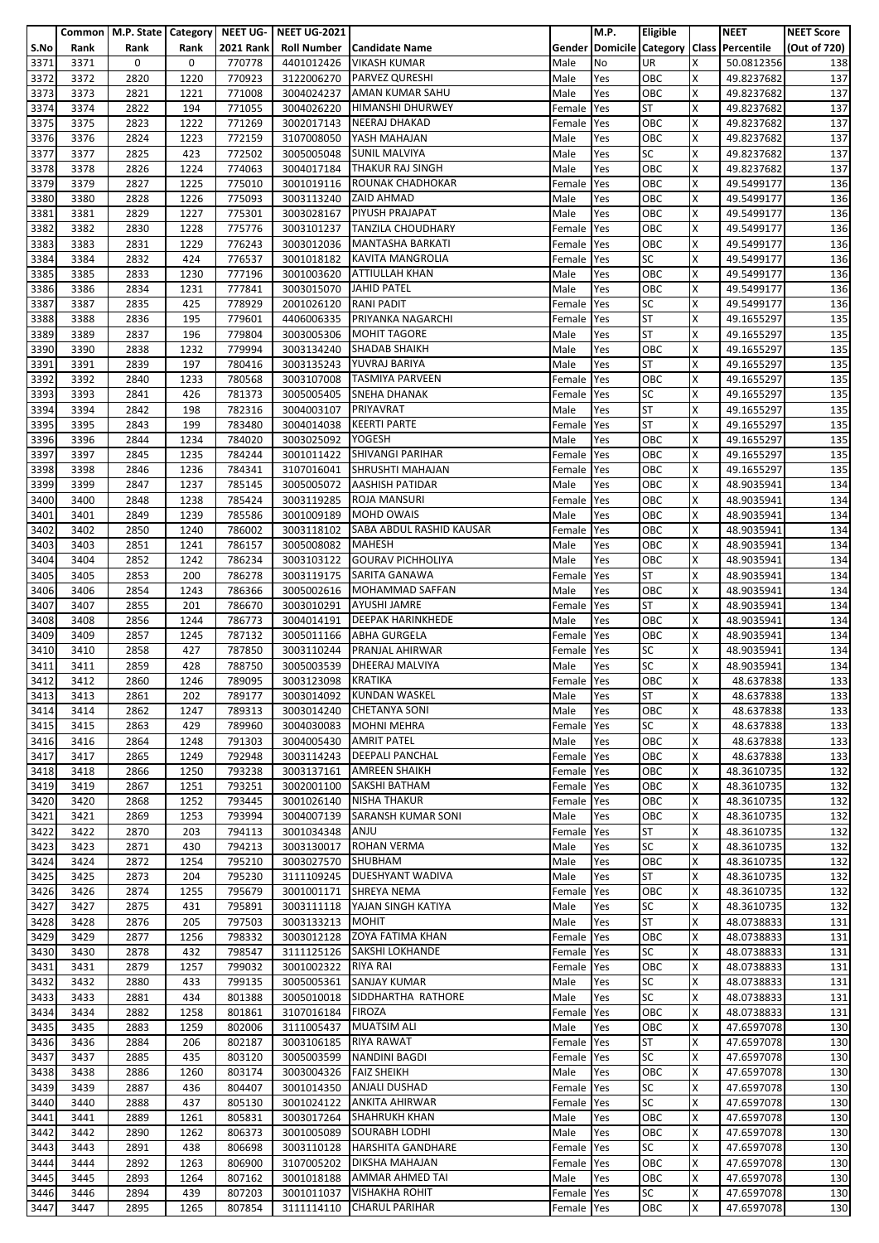|              |              | Common   M.P. State   Category   NEET UG- |              |                  | <b>NEET UG-2021</b>            |                                                  |                    | <b>M.P.</b> | Eligible               |        | <b>NEET</b>                               | <b>NEET Score</b> |
|--------------|--------------|-------------------------------------------|--------------|------------------|--------------------------------|--------------------------------------------------|--------------------|-------------|------------------------|--------|-------------------------------------------|-------------------|
| S.No         | Rank         | Rank                                      | Rank         | <b>2021 Rank</b> | <b>Roll Number</b>             | Candidate Name                                   |                    |             |                        |        | Gender Domicile Category Class Percentile | (Out of 720)      |
| 3371         | 3371         | 0                                         | 0            | 770778           | 4401012426                     | VIKASH KUMAR                                     | Male               | No          | <b>UR</b>              | X      | 50.0812356                                | 138               |
| 3372         | 3372         | 2820                                      | 1220         | 770923           | 3122006270                     | <b>PARVEZ QURESHI</b>                            | Male               | Yes         | OBC                    | X      | 49.8237682                                | 137               |
| 3373         | 3373         | 2821                                      | 1221         | 771008           | 3004024237                     | AMAN KUMAR SAHU                                  | Male               | Yes         | OBC                    | X      | 49.8237682                                | 137               |
| 3374         | 3374<br>3375 | 2822                                      | 194<br>1222  | 771055           | 3004026220                     | <b>HIMANSHI DHURWEY</b><br>NEERAJ DHAKAD         | Female             | Yes         | <b>ST</b><br>OBC       | Χ<br>x | 49.8237682                                | 137               |
| 3375<br>3376 | 3376         | 2823<br>2824                              | 1223         | 771269<br>772159 | 3002017143<br>3107008050       | YASH MAHAJAN                                     | Female<br>Male     | Yes<br>Yes  | OBC                    | x      | 49.8237682<br>49.8237682                  | 137<br>137        |
| 3377         | 3377         | 2825                                      | 423          | 772502           | 3005005048                     | <b>SUNIL MALVIYA</b>                             | Male               | Yes         | <b>SC</b>              | X      | 49.8237682                                | 137               |
| 3378         | 3378         | 2826                                      | 1224         | 774063           | 3004017184                     | <b>THAKUR RAJ SINGH</b>                          | Male               | Yes         | OBC                    | X      | 49.8237682                                | 137               |
| 3379         | 3379         | 2827                                      | 1225         | 775010           | 3001019116                     | <b>ROUNAK CHADHOKAR</b>                          | Female             | Yes         | OBC                    | Χ      | 49.5499177                                | 136               |
| 3380         | 3380         | 2828                                      | 1226         | 775093           | 3003113240                     | <b>ZAID AHMAD</b>                                | Male               | Yes         | OBC                    | X      | 49.5499177                                | 136               |
| 3381         | 3381         | 2829                                      | 1227         | 775301           |                                | 3003028167 PIYUSH PRAJAPAT                       | Male               | Yes         | OBC                    | x      | 49.5499177                                | 136               |
| 3382         | 3382         | 2830                                      | 1228         | 775776           | 3003101237                     | <b>TANZILA CHOUDHARY</b>                         | Female             | Yes         | OBC                    | X      | 49.5499177                                | 136               |
| 3383         | 3383         | 2831                                      | 1229         | 776243           | 3003012036                     | <b>MANTASHA BARKATI</b>                          | Female             | Yes         | OBC                    | X      | 49.5499177                                | 136               |
| 3384         | 3384         | 2832                                      | 424          | 776537           | 3001018182                     | <b>KAVITA MANGROLIA</b>                          | Female             | Yes         | <b>SC</b>              | Χ      | 49.5499177                                | 136               |
| 3385         | 3385         | 2833                                      | 1230         | 777196           | 3001003620                     | <b>ATTIULLAH KHAN</b>                            | Male               | Yes         | OBC                    | x      | 49.5499177                                | 136               |
| 3386         | 3386         | 2834                                      | 1231         | 777841           | 3003015070                     | <b>JAHID PATEL</b>                               | Male               | Yes         | OBC                    | x      | 49.5499177                                | 136               |
| 3387         | 3387         | 2835                                      | 425          | 778929           | 2001026120                     | <b>RANI PADIT</b><br>PRIYANKA NAGARCHI           | Female             | Yes         | <b>SC</b><br><b>ST</b> | X<br>X | 49.5499177                                | 136               |
| 3388<br>3389 | 3388<br>3389 | 2836<br>2837                              | 195<br>196   | 779601<br>779804 | 4406006335<br>3003005306       | <b>MOHIT TAGORE</b>                              | Female<br>Male     | Yes<br>Yes  | <b>ST</b>              | Χ      | 49.1655297<br>49.1655297                  | 135<br>135        |
| 3390         | 3390         | 2838                                      | 1232         | 779994           | 3003134240                     | <b>SHADAB SHAIKH</b>                             | Male               | Yes         | OBC                    | X      | 49.1655297                                | 135               |
| 3391         | 3391         | 2839                                      | 197          | 780416           | 3003135243                     | YUVRAJ BARIYA                                    | Male               | Yes         | <b>ST</b>              | X      | 49.1655297                                | 135               |
| 3392         | 3392         | 2840                                      | 1233         | 780568           | 3003107008                     | <b>TASMIYA PARVEEN</b>                           | Female             | Yes         | OBC                    | X      | 49.1655297                                | 135               |
| 3393         | 3393         | 2841                                      | 426          | 781373           | 3005005405                     | <b>SNEHA DHANAK</b>                              | Female             | Yes         | <b>SC</b>              | x      | 49.1655297                                | 135               |
| 3394         | 3394         | 2842                                      | 198          | 782316           | 3004003107                     | <b>PRIYAVRAT</b>                                 | Male               | Yes         | <b>ST</b>              | X      | 49.1655297                                | 135               |
| 3395         | 3395         | 2843                                      | 199          | 783480           | 3004014038                     | <b>KEERTI PARTE</b>                              | Female             | Yes         | <b>ST</b>              | X      | 49.1655297                                | 135               |
| 3396         | 3396         | 2844                                      | 1234         | 784020           | 3003025092                     | <b>YOGESH</b>                                    | Male               | Yes         | OBC                    | X      | 49.1655297                                | 135               |
| 3397         | 3397         | 2845                                      | 1235         | 784244           | 3001011422                     | <b>SHIVANGI PARIHAR</b>                          | Female             | Yes         | OBC                    | Χ      | 49.1655297                                | 135               |
| 3398         | 3398         | 2846                                      | 1236         | 784341           | 3107016041                     | SHRUSHTI MAHAJAN                                 | Female             | Yes         | OBC                    | X      | 49.1655297                                | 135               |
| 3399         | 3399         | 2847                                      | 1237         | 785145           | 3005005072                     | <b>AASHISH PATIDAR</b>                           | Male               | Yes         | OBC                    | Χ      | 48.9035941                                | 134               |
| 3400         | 3400         | 2848                                      | 1238         | 785424           | 3003119285                     | <b>ROJA MANSURI</b>                              | Female             | Yes         | OBC                    | x      | 48.9035941                                | 134               |
| 3401<br>3402 | 3401<br>3402 | 2849<br>2850                              | 1239<br>1240 | 785586           | 3001009189<br>3003118102       | <b>MOHD OWAIS</b><br>SABA ABDUL RASHID KAUSAR    | Male               | Yes<br>Yes  | OBC<br>OBC             | X<br>X | 48.9035941                                | 134<br>134        |
| 3403         | 3403         | 2851                                      | 1241         | 786002<br>786157 | 3005008082                     | <b>MAHESH</b>                                    | Female<br>Male     | Yes         | OBC                    | X      | 48.9035941<br>48.9035941                  | 134               |
| 3404         | 3404         | 2852                                      | 1242         | 786234           | 3003103122                     | <b>GOURAV PICHHOLIYA</b>                         | Male               | Yes         | OBC                    | Χ      | 48.9035941                                | 134               |
| 3405         | 3405         | 2853                                      | 200          | 786278           | 3003119175                     | SARITA GANAWA                                    | Female             | Yes         | <b>ST</b>              | x      | 48.9035941                                | 134               |
| 3406         | 3406         | 2854                                      | 1243         | 786366           | 3005002616                     | <b>MOHAMMAD SAFFAN</b>                           | Male               | Yes         | OBC                    | x      | 48.9035941                                | 134               |
| 3407         | 3407         | 2855                                      | 201          | 786670           | 3003010291                     | <b>AYUSHI JAMRE</b>                              | Female             | Yes         | <b>ST</b>              | X      | 48.9035941                                | 134               |
| 3408         | 3408         | 2856                                      | 1244         | 786773           | 3004014191                     | <b>DEEPAK HARINKHEDE</b>                         | Male               | Yes         | OBC                    | x      | 48.9035941                                | 134               |
| 3409         | 3409         | 2857                                      | 1245         | 787132           | 3005011166                     | <b>ABHA GURGELA</b>                              | Female             | Yes         | OBC                    | Χ      | 48.9035941                                | 134               |
| 3410         | 3410         | 2858                                      | 427          | 787850           | 3003110244                     | PRANJAL AHIRWAR                                  | Female             | Yes         | <b>SC</b>              | x      | 48.9035941                                | 134               |
| 3411         | 3411         | 2859                                      | 428          | 788750           | 3005003539                     | DHEERAJ MALVIYA                                  | Male               | Yes         | <b>SC</b>              | x      | 48.9035941                                | 134               |
| 3412         | 3412         | 2860                                      | 1246         | 789095           | 3003123098 KRATIKA             |                                                  | Female Yes         |             | OBC                    | Χ      | 48.637838                                 | 133               |
| 3413         | 3413         | 2861                                      | 202          | 789177           |                                | 3003014092 KUNDAN WASKEL                         | Male               | Yes         | ST                     | X      | 48.637838                                 | 133               |
| 3414         | 3414<br>3415 | 2862                                      | 1247<br>429  | 789313           | 3003014240                     | <b>CHETANYA SONI</b><br>3004030083 MOHNI MEHRA   | Male               | Yes         | OBC<br><b>SC</b>       | Χ<br>x | 48.637838                                 | 133               |
| 3415<br>3416 | 3416         | 2863<br>2864                              | 1248         | 789960<br>791303 | 3004005430                     | <b>AMRIT PATEL</b>                               | Female<br>Male     | Yes<br>Yes  | OBC                    | Χ      | 48.637838<br>48.637838                    | 133<br>133        |
| 3417         | 3417         | 2865                                      | 1249         | 792948           | 3003114243                     | <b>DEEPALI PANCHAL</b>                           | Female Yes         |             | OBC                    | Χ      | 48.637838                                 | 133               |
| 3418         | 3418         | 2866                                      | 1250         | 793238           | 3003137161                     | <b>AMREEN SHAIKH</b>                             | Female             | Yes         | OBC                    | x      | 48.3610735                                | 132               |
| 3419         | 3419         | 2867                                      | 1251         | 793251           | 3002001100                     | <b>SAKSHI BATHAM</b>                             | Female Yes         |             | OBC                    | Χ      | 48.3610735                                | 132               |
| 3420         | 3420         | 2868                                      | 1252         | 793445           | 3001026140                     | <b>NISHA THAKUR</b>                              | Female             | Yes         | OBC                    | X      | 48.3610735                                | 132               |
| 3421         | 3421         | 2869                                      | 1253         | 793994           | 3004007139                     | <b>SARANSH KUMAR SONI</b>                        | Male               | Yes         | OBC                    | X      | 48.3610735                                | 132               |
| 3422         | 3422         | 2870                                      | 203          | 794113           | 3001034348                     | ANJU                                             | Female Yes         |             | <b>ST</b>              | X      | 48.3610735                                | 132               |
| 3423         | 3423         | 2871                                      | 430          | 794213           | 3003130017                     | <b>ROHAN VERMA</b>                               | Male               | Yes         | <b>SC</b>              | x      | 48.3610735                                | 132               |
| 3424         | 3424         | 2872                                      | 1254         | 795210           | 3003027570                     | SHUBHAM                                          | Male               | Yes         | OBC                    | X      | 48.3610735                                | 132               |
| 3425         | 3425         | 2873                                      | 204          | 795230           |                                | 3111109245 DUESHYANT WADIVA                      | Male               | Yes         | <b>ST</b>              | X      | 48.3610735                                | 132               |
| 3426         | 3426         | 2874                                      | 1255         | 795679           | 3001001171                     | <b>SHREYA NEMA</b>                               | Female Yes         |             | OBC                    | Χ      | 48.3610735                                | 132               |
| 3427         | 3427         | 2875                                      | 431          | 795891           | 3003111118                     | YAJAN SINGH KATIYA                               | Male               | Yes         | <b>SC</b>              | X      | 48.3610735                                | 132               |
| 3428<br>3429 | 3428<br>3429 | 2876<br>2877                              | 205<br>1256  | 797503<br>798332 | 3003133213 MOHIT<br>3003012128 | ZOYA FATIMA KHAN                                 | Male               | Yes<br>Yes  | <b>ST</b><br>OBC       | X<br>Χ | 48.0738833<br>48.0738833                  | 131<br>131        |
| 3430         | 3430         | 2878                                      | 432          | 798547           | 3111125126                     | <b>SAKSHI LOKHANDE</b>                           | Female  <br>Female | Yes         | <b>SC</b>              | X      | 48.0738833                                | 131               |
| 3431         | 3431         | 2879                                      | 1257         | 799032           | 3001002322 RIYA RAI            |                                                  | Female             | Yes         | OBC                    | X      | 48.0738833                                | 131               |
| 3432         | 3432         | 2880                                      | 433          | 799135           | 3005005361                     | <b>SANJAY KUMAR</b>                              | Male               | Yes         | <b>SC</b>              | x      | 48.0738833                                | 131               |
| 3433         | 3433         | 2881                                      | 434          | 801388           |                                | 3005010018 SIDDHARTHA RATHORE                    | Male               | Yes         | <b>SC</b>              | x      | 48.0738833                                | 131               |
| 3434         | 3434         | 2882                                      | 1258         | 801861           | 3107016184                     | <b>FIROZA</b>                                    | Female             | Yes         | OBC                    | X      | 48.0738833                                | 131               |
| 3435         | 3435         | 2883                                      | 1259         | 802006           | 3111005437                     | <b>MUATSIM ALI</b>                               | Male               | Yes         | OBC                    | X      | 47.6597078                                | 130               |
| 3436         | 3436         | 2884                                      | 206          | 802187           | 3003106185                     | <b>RIYA RAWAT</b>                                | Female Yes         |             | <b>ST</b>              | Χ      | 47.6597078                                | 130               |
| 3437         | 3437         | 2885                                      | 435          | 803120           | 3005003599                     | <b>NANDINI BAGDI</b>                             | Female             | Yes         | <b>SC</b>              | X      | 47.6597078                                | 130               |
| 3438         | 3438         | 2886                                      | 1260         | 803174           | 3003004326 FAIZ SHEIKH         |                                                  | Male               | Yes         | OBC                    | X      | 47.6597078                                | 130               |
| 3439         | 3439         | 2887                                      | 436          | 804407           |                                | 3001014350 ANJALI DUSHAD                         | Female             | Yes         | <b>SC</b>              | Χ      | 47.6597078                                | 130               |
| 3440         | 3440         | 2888                                      | 437          | 805130           | 3001024122                     | <b>ANKITA AHIRWAR</b>                            | Female             | Yes         | <b>SC</b>              | X      | 47.6597078                                | 130               |
| 3441         | 3441         | 2889                                      | 1261         | 805831           |                                | 3003017264 SHAHRUKH KHAN                         | Male               | Yes         | OBC                    | X      | 47.6597078                                | 130               |
| 3442<br>3443 | 3442<br>3443 | 2890<br>2891                              | 1262<br>438  | 806373<br>806698 | 3001005089<br>3003110128       | <b>SOURABH LODHI</b><br><b>HARSHITA GANDHARE</b> | Male<br>Female     | Yes<br>Yes  | OBC<br><b>SC</b>       | X<br>x | 47.6597078<br>47.6597078                  | 130<br>130        |
| 3444         | 3444         | 2892                                      | 1263         | 806900           | 3107005202                     | <b>DIKSHA MAHAJAN</b>                            | Female             | Yes         | OBC                    | X      | 47.6597078                                | 130               |
| 3445         | 3445         | 2893                                      | 1264         | 807162           |                                | 3001018188 AMMAR AHMED TAI                       | Male               | Yes         | OBC                    | X      | 47.6597078                                | 130               |
| 3446         | 3446         | 2894                                      | 439          | 807203           | 3001011037                     | <b>VISHAKHA ROHIT</b>                            | Female Yes         |             | SC                     | X      | 47.6597078                                | 130               |
| 3447         | 3447         | 2895                                      | 1265         | 807854           | 3111114110                     | <b>CHARUL PARIHAR</b>                            | Female Yes         |             | OBC                    | X      | 47.6597078                                | 130               |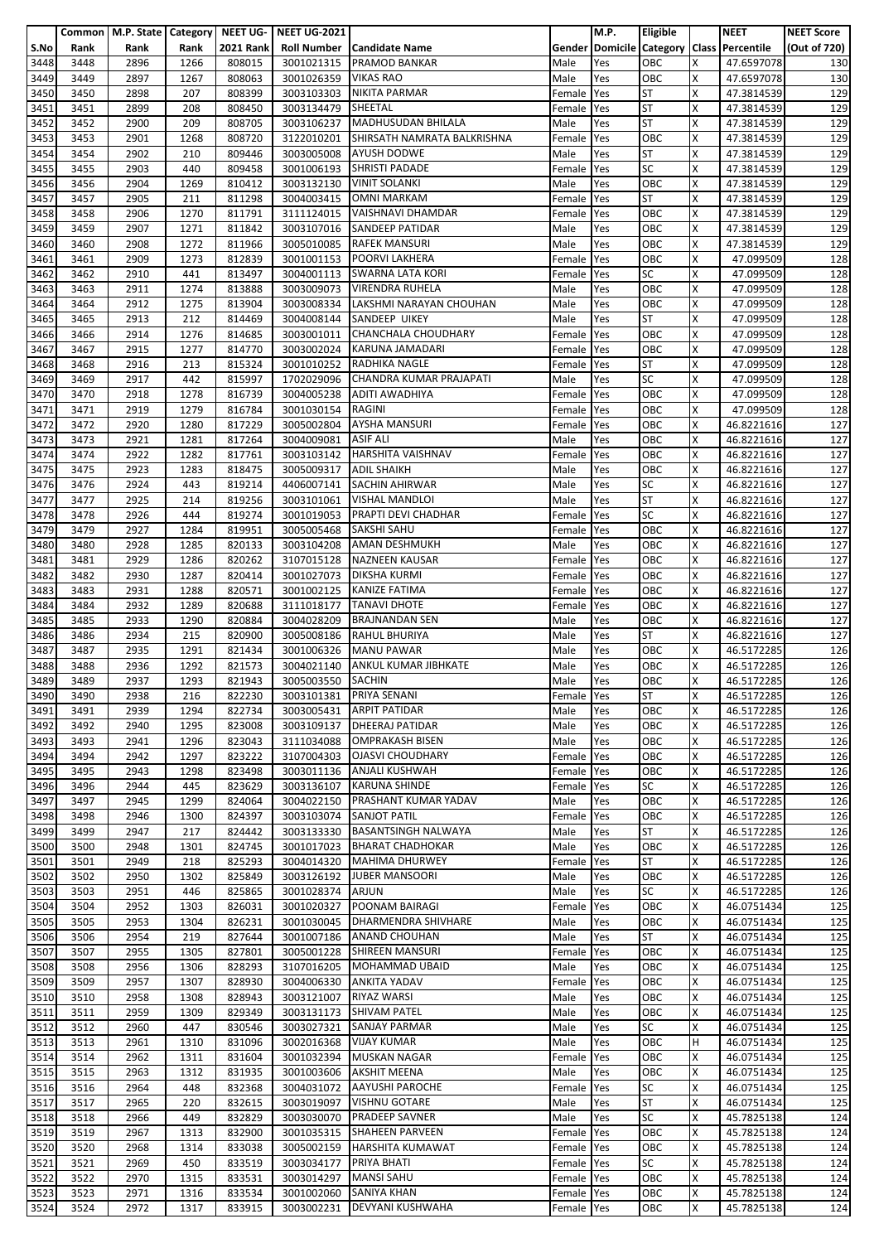|      |      |      |      |                  | Common   M.P. State   Category   NEET UG-   NEET UG-2021 |                                |            | M.P. | <b>Eligible</b> |   | <b>NEET</b>                               | <b>NEET Score</b> |
|------|------|------|------|------------------|----------------------------------------------------------|--------------------------------|------------|------|-----------------|---|-------------------------------------------|-------------------|
| S.No | Rank | Rank | Rank | <b>2021 Rank</b> |                                                          | Roll Number   Candidate Name   |            |      |                 |   | Gender Domicile Category Class Percentile | (Out of 720)      |
| 3448 | 3448 | 2896 | 1266 | 808015           | 3001021315                                               | <b>PRAMOD BANKAR</b>           | Male       | Yes  | OBC             | x | 47.6597078                                | 130               |
|      |      |      |      |                  |                                                          |                                |            |      |                 |   |                                           |                   |
| 3449 | 3449 | 2897 | 1267 | 808063           | 3001026359                                               | <b>VIKAS RAO</b>               | Male       | Yes  | OBC             | X | 47.6597078                                | 130               |
| 3450 | 3450 | 2898 | 207  | 808399           | 3003103303                                               | <b>NIKITA PARMAR</b>           | Female     | Yes  | <b>ST</b>       | x | 47.3814539                                | 129               |
| 3451 | 3451 | 2899 | 208  | 808450           | 3003134479                                               | SHEETAL                        | Female     | Yes  | <b>ST</b>       | Χ | 47.3814539                                | 129               |
| 3452 | 3452 | 2900 | 209  | 808705           | 3003106237                                               | MADHUSUDAN BHILALA             | Male       | Yes  | <b>ST</b>       | X | 47.3814539                                | 129               |
| 3453 | 3453 | 2901 | 1268 | 808720           | 3122010201                                               | SHIRSATH NAMRATA BALKRISHNA    | Female     | Yes  | OBC             | Χ | 47.3814539                                | 129               |
| 3454 | 3454 | 2902 | 210  | 809446           | 3003005008                                               | <b>AYUSH DODWE</b>             | Male       | Yes  | <b>ST</b>       | X | 47.3814539                                | 129               |
| 3455 | 3455 | 2903 | 440  | 809458           |                                                          | 3001006193 SHRISTI PADADE      | Female     | Yes  | <b>SC</b>       | X | 47.3814539                                | 129               |
|      |      |      |      |                  |                                                          |                                |            |      |                 |   |                                           |                   |
| 3456 | 3456 | 2904 | 1269 | 810412           | 3003132130                                               | <b>VINIT SOLANKI</b>           | Male       | Yes  | OBC             | Χ | 47.3814539                                | 129               |
| 3457 | 3457 | 2905 | 211  | 811298           | 3004003415                                               | <b>OMNI MARKAM</b>             | Female     | Yes  | <b>ST</b>       | x | 47.3814539                                | 129               |
| 3458 | 3458 | 2906 | 1270 | 811791           | 3111124015                                               | <b>VAISHNAVI DHAMDAR</b>       | Female     | Yes  | OBC             | x | 47.3814539                                | 129               |
| 3459 | 3459 | 2907 | 1271 | 811842           | 3003107016                                               | <b>SANDEEP PATIDAR</b>         | Male       | Yes  | OBC             | X | 47.3814539                                | 129               |
| 3460 | 3460 | 2908 | 1272 | 811966           | 3005010085                                               | <b>RAFEK MANSURI</b>           | Male       | Yes  | OBC             | X | 47.3814539                                | 129               |
| 3461 | 3461 | 2909 | 1273 | 812839           | 3001001153                                               | <b>POORVI LAKHERA</b>          | Female     | Yes  | OBC             | Χ | 47.099509                                 | 128               |
| 3462 | 3462 | 2910 | 441  | 813497           |                                                          | 3004001113 SWARNA LATA KORI    | Female     | Yes  | <b>SC</b>       | X | 47.099509                                 | 128               |
| 3463 | 3463 | 2911 | 1274 | 813888           | 3003009073                                               | <b>VIRENDRA RUHELA</b>         | Male       | Yes  | OBC             | X | 47.099509                                 | 128               |
|      |      |      |      |                  |                                                          |                                |            |      |                 |   |                                           |                   |
| 3464 | 3464 | 2912 | 1275 | 813904           | 3003008334                                               | LAKSHMI NARAYAN CHOUHAN        | Male       | Yes  | OBC             | x | 47.099509                                 | 128               |
| 3465 | 3465 | 2913 | 212  | 814469           |                                                          | 3004008144 SANDEEP UIKEY       | Male       | Yes  | <b>ST</b>       | X | 47.099509                                 | 128               |
| 3466 | 3466 | 2914 | 1276 | 814685           |                                                          | 3003001011 CHANCHALA CHOUDHARY | Female     | Yes  | OBC             | Χ | 47.099509                                 | 128               |
| 3467 | 3467 | 2915 | 1277 | 814770           |                                                          | 3003002024 KARUNA JAMADARI     | Female     | Yes  | OBC             | X | 47.099509                                 | 128               |
| 3468 | 3468 | 2916 | 213  | 815324           | 3001010252                                               | <b>RADHIKA NAGLE</b>           | Female     | Yes  | <b>ST</b>       | x | 47.099509                                 | 128               |
| 3469 | 3469 | 2917 | 442  | 815997           | 1702029096                                               | CHANDRA KUMAR PRAJAPATI        | Male       | Yes  | <b>SC</b>       | Χ | 47.099509                                 | 128               |
| 3470 | 3470 | 2918 | 1278 | 816739           | 3004005238                                               | ADITI AWADHIYA                 | Female     | Yes  | OBC             | Χ | 47.099509                                 | 128               |
| 3471 | 3471 | 2919 | 1279 | 816784           | 3001030154                                               | <b>RAGINI</b>                  | Female     | Yes  | OBC             | Χ | 47.099509                                 | 128               |
|      |      |      |      |                  |                                                          |                                |            |      |                 |   |                                           |                   |
| 3472 | 3472 | 2920 | 1280 | 817229           | 3005002804                                               | <b>AYSHA MANSURI</b>           | Female     | Yes  | OBC             | X | 46.8221616                                | 127               |
| 3473 | 3473 | 2921 | 1281 | 817264           | 3004009081                                               | <b>ASIF ALI</b>                | Male       | Yes  | OBC             | X | 46.8221616                                | 127               |
| 3474 | 3474 | 2922 | 1282 | 817761           | 3003103142                                               | <b>HARSHITA VAISHNAV</b>       | Female     | Yes  | OBC             | X | 46.8221616                                | 127               |
| 3475 | 3475 | 2923 | 1283 | 818475           | 3005009317 ADIL SHAIKH                                   |                                | Male       | Yes  | OBC             | x | 46.8221616                                | 127               |
| 3476 | 3476 | 2924 | 443  | 819214           |                                                          | 4406007141 SACHIN AHIRWAR      | Male       | Yes  | <b>SC</b>       | Χ | 46.8221616                                | 127               |
| 3477 | 3477 | 2925 | 214  | 819256           | 3003101061                                               | <b>VISHAL MANDLOI</b>          | Male       | Yes  | <b>ST</b>       | x | 46.8221616                                | 127               |
| 3478 | 3478 | 2926 | 444  | 819274           | 3001019053                                               | <b>PRAPTI DEVI CHADHAR</b>     | Female     | Yes  | <b>SC</b>       | x | 46.8221616                                | 127               |
| 3479 | 3479 | 2927 | 1284 | 819951           | 3005005468                                               | <b>SAKSHI SAHU</b>             | Female     | Yes  | OBC             | x | 46.8221616                                | 127               |
|      |      |      |      |                  |                                                          |                                |            |      |                 | x |                                           |                   |
| 3480 | 3480 | 2928 | 1285 | 820133           | 3003104208                                               | <b>AMAN DESHMUKH</b>           | Male       | Yes  | OBC             |   | 46.8221616                                | 127               |
| 3481 | 3481 | 2929 | 1286 | 820262           | 3107015128                                               | <b>NAZNEEN KAUSAR</b>          | Female     | Yes  | OBC             | Χ | 46.8221616                                | 127               |
| 3482 | 3482 | 2930 | 1287 | 820414           | 3001027073                                               | <b>DIKSHA KURMI</b>            | Female     | Yes  | OBC             | X | 46.8221616                                | 127               |
| 3483 | 3483 | 2931 | 1288 | 820571           | 3001002125                                               | <b>KANIZE FATIMA</b>           | Female     | Yes  | OBC             | Χ | 46.8221616                                | 127               |
| 3484 | 3484 | 2932 | 1289 | 820688           | 3111018177                                               | <b>TANAVI DHOTE</b>            | Female     | Yes  | OBC             | X | 46.8221616                                | 127               |
| 3485 | 3485 | 2933 | 1290 | 820884           | 3004028209                                               | <b>BRAJNANDAN SEN</b>          | Male       | Yes  | OBC             | x | 46.8221616                                | 127               |
| 3486 | 3486 | 2934 | 215  | 820900           | 3005008186                                               | <b>RAHUL BHURIYA</b>           | Male       | Yes  | <b>ST</b>       | Χ | 46.8221616                                | 127               |
| 3487 | 3487 | 2935 | 1291 | 821434           | 3001006326                                               | <b>MANU PAWAR</b>              | Male       | Yes  | OBC             | X | 46.5172285                                | 126               |
| 3488 | 3488 | 2936 | 1292 | 821573           | 3004021140                                               | ANKUL KUMAR JIBHKATE           | Male       | Yes  | OBC             | X | 46.5172285                                | 126               |
|      |      |      |      |                  |                                                          |                                |            |      |                 |   |                                           |                   |
| 3489 | 3489 | 2937 | 1293 | 821943           | 3005003550 SACHIN                                        |                                | Male       | Yes  | OBC             | X | 46.5172285                                | 126               |
| 3490 | 3490 | 2938 | 216  | 822230           |                                                          | 3003101381 PRIYA SENANI        | Female Yes |      | <b>ST</b>       | X | 46.5172285                                | 126               |
| 3491 | 3491 | 2939 | 1294 | 822734           | 3003005431                                               | <b>ARPIT PATIDAR</b>           | Male       | Yes  | OBC             | Χ | 46.5172285                                | 126               |
| 3492 | 3492 | 2940 | 1295 | 823008           | 3003109137                                               | <b>DHEERAJ PATIDAR</b>         | Male       | Yes  | OBC             | x | 46.5172285                                | 126               |
| 3493 | 3493 | 2941 | 1296 | 823043           | 3111034088                                               | <b>OMPRAKASH BISEN</b>         | Male       | Yes  | OBC             | Χ | 46.5172285                                | 126               |
| 3494 | 3494 | 2942 | 1297 | 823222           | 3107004303                                               | <b>OJASVI CHOUDHARY</b>        | Female     | Yes  | OBC             | X | 46.5172285                                | 126               |
| 3495 | 3495 | 2943 | 1298 | 823498           | 3003011136                                               | <b>ANJALI KUSHWAH</b>          | Female     | Yes  | OBC             | X | 46.5172285                                | 126               |
|      |      | 2944 |      |                  |                                                          | <b>KARUNA SHINDE</b>           |            |      | <b>SC</b>       | X |                                           |                   |
| 3496 | 3496 |      | 445  | 823629           | 3003136107                                               |                                | Female     | Yes  |                 |   | 46.5172285                                | 126               |
| 3497 | 3497 | 2945 | 1299 | 824064           | 3004022150                                               | PRASHANT KUMAR YADAV           | Male       | Yes  | OBC             | x | 46.5172285                                | 126               |
| 3498 | 3498 | 2946 | 1300 | 824397           | 3003103074                                               | <b>SANJOT PATIL</b>            | Female     | Yes  | OBC             | Χ | 46.5172285                                | 126               |
| 3499 | 3499 | 2947 | 217  | 824442           | 3003133330                                               | <b>BASANTSINGH NALWAYA</b>     | Male       | Yes  | <b>ST</b>       | X | 46.5172285                                | 126               |
| 3500 | 3500 | 2948 | 1301 | 824745           | 3001017023                                               | <b>BHARAT CHADHOKAR</b>        | Male       | Yes  | OBC             | X | 46.5172285                                | 126               |
| 3501 | 3501 | 2949 | 218  | 825293           | 3004014320                                               | <b>MAHIMA DHURWEY</b>          | Female     | Yes  | <b>ST</b>       | X | 46.5172285                                | 126               |
| 3502 | 3502 | 2950 | 1302 | 825849           |                                                          | 3003126192 JUBER MANSOORI      | Male       | Yes  | OBC             | x | 46.5172285                                | 126               |
| 3503 | 3503 | 2951 | 446  | 825865           | 3001028374                                               | <b>ARJUN</b>                   | Male       | Yes  | <b>SC</b>       | Χ | 46.5172285                                | 126               |
| 3504 | 3504 | 2952 | 1303 | 826031           | 3001020327                                               | POONAM BAIRAGI                 | Female     | Yes  | OBC             | X | 46.0751434                                | 125               |
| 3505 | 3505 | 2953 | 1304 | 826231           | 3001030045                                               | DHARMENDRA SHIVHARE            | Male       | Yes  | OBC             | X | 46.0751434                                | 125               |
|      |      |      |      |                  |                                                          |                                |            |      |                 |   |                                           |                   |
| 3506 | 3506 | 2954 | 219  | 827644           | 3001007186                                               | <b>ANAND CHOUHAN</b>           | Male       | Yes  | <b>ST</b>       | X | 46.0751434                                | 125               |
| 3507 | 3507 | 2955 | 1305 | 827801           | 3005001228                                               | <b>SHIREEN MANSURI</b>         | Female     | Yes  | OBC             | x | 46.0751434                                | 125               |
| 3508 | 3508 | 2956 | 1306 | 828293           | 3107016205                                               | <b>MOHAMMAD UBAID</b>          | Male       | Yes  | OBC             | Χ | 46.0751434                                | 125               |
| 3509 | 3509 | 2957 | 1307 | 828930           | 3004006330                                               | <b>ANKITA YADAV</b>            | Female     | Yes  | OBC             | x | 46.0751434                                | 125               |
| 3510 | 3510 | 2958 | 1308 | 828943           | 3003121007                                               | <b>RIYAZ WARSI</b>             | Male       | Yes  | OBC             | X | 46.0751434                                | 125               |
| 3511 | 3511 | 2959 | 1309 | 829349           | 3003131173                                               | <b>SHIVAM PATEL</b>            | Male       | Yes  | OBC             | X | 46.0751434                                | 125               |
| 3512 | 3512 | 2960 | 447  | 830546           | 3003027321                                               | <b>SANJAY PARMAR</b>           | Male       | Yes  | <b>SC</b>       | x | 46.0751434                                | 125               |
| 3513 | 3513 | 2961 | 1310 | 831096           | 3002016368                                               | <b>VIJAY KUMAR</b>             | Male       | Yes  | OBC             | H | 46.0751434                                | 125               |
| 3514 | 3514 | 2962 | 1311 | 831604           | 3001032394                                               | <b>MUSKAN NAGAR</b>            | Female     | Yes  | OBC             | X | 46.0751434                                | 125               |
|      |      |      |      |                  |                                                          | <b>AKSHIT MEENA</b>            |            |      |                 |   |                                           |                   |
| 3515 | 3515 | 2963 | 1312 | 831935           | 3001003606                                               |                                | Male       | Yes  | OBC             | X | 46.0751434                                | 125               |
| 3516 | 3516 | 2964 | 448  | 832368           | 3004031072                                               | <b>AAYUSHI PAROCHE</b>         | Female     | Yes  | <b>SC</b>       | X | 46.0751434                                | 125               |
| 3517 | 3517 | 2965 | 220  | 832615           | 3003019097                                               | <b>VISHNU GOTARE</b>           | Male       | Yes  | <b>ST</b>       | X | 46.0751434                                | 125               |
| 3518 | 3518 | 2966 | 449  | 832829           | 3003030070                                               | <b>PRADEEP SAVNER</b>          | Male       | Yes  | <b>SC</b>       | Χ | 45.7825138                                | 124               |
| 3519 | 3519 | 2967 | 1313 | 832900           | 3001035315                                               | <b>SHAHEEN PARVEEN</b>         | Female     | Yes  | OBC             | x | 45.7825138                                | 124               |
| 3520 | 3520 | 2968 | 1314 | 833038           | 3005002159                                               | <b>HARSHITA KUMAWAT</b>        | Female Yes |      | OBC             | X | 45.7825138                                | 124               |
| 3521 | 3521 | 2969 | 450  | 833519           | 3003034177                                               | PRIYA BHATI                    | Female     | Yes  | SC              | X | 45.7825138                                | 124               |
| 3522 | 3522 | 2970 | 1315 | 833531           | 3003014297                                               | <b>MANSI SAHU</b>              | Female     | Yes  | OBC             | x | 45.7825138                                | 124               |
| 3523 | 3523 | 2971 | 1316 | 833534           | 3001002060                                               | <b>SANIYA KHAN</b>             | Female Yes |      | OBC             | X | 45.7825138                                | 124               |
| 3524 | 3524 | 2972 | 1317 | 833915           |                                                          | <b>DEVYANI KUSHWAHA</b>        |            |      | OBC             | X | 45.7825138                                |                   |
|      |      |      |      |                  | 3003002231                                               |                                | Female Yes |      |                 |   |                                           | 124               |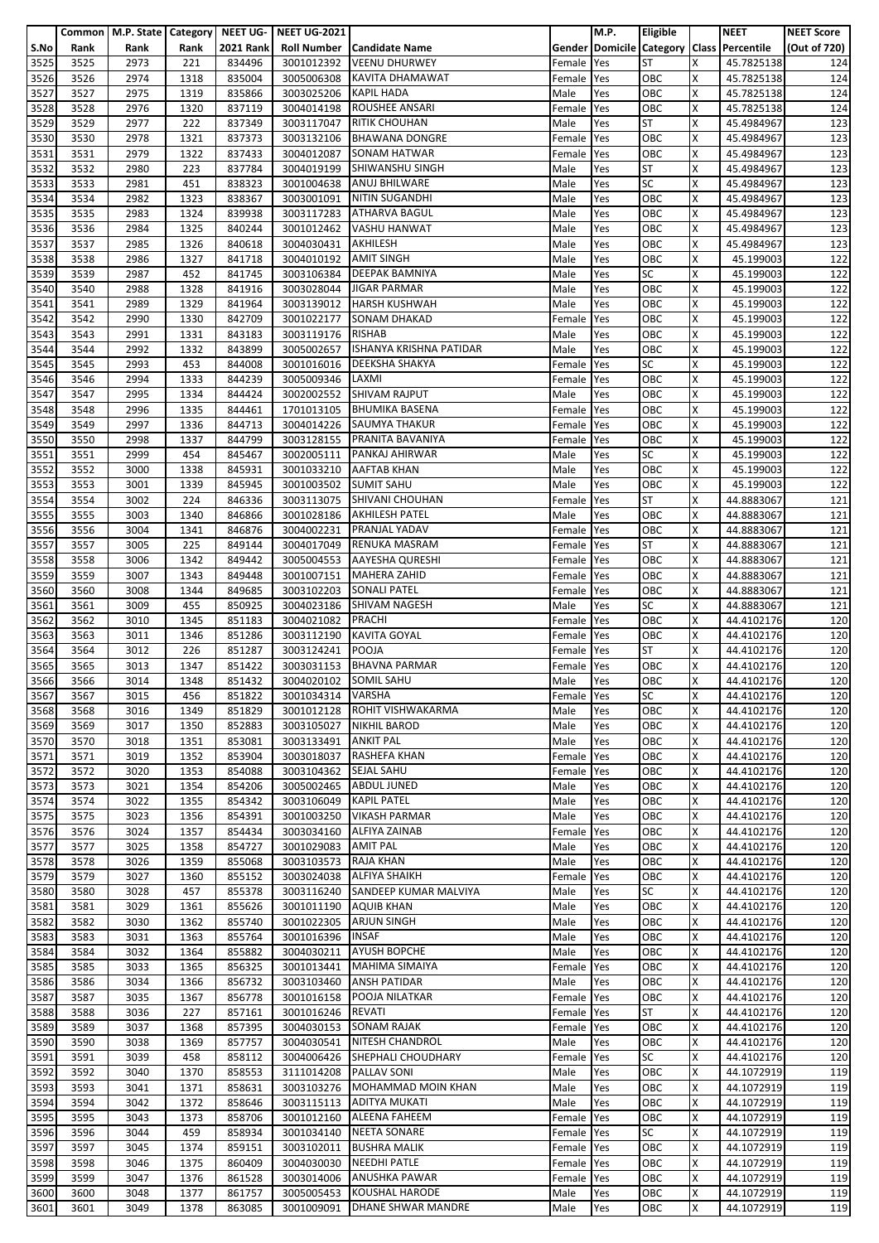|      |      |      |      |                  | Common   M.P. State   Category   NEET UG-   NEET UG-2021 |                              |            | M.P. | <b>Eligible</b> |   | <b>NEET</b>                               | <b>NEET Score</b> |
|------|------|------|------|------------------|----------------------------------------------------------|------------------------------|------------|------|-----------------|---|-------------------------------------------|-------------------|
| S.No | Rank | Rank | Rank | <b>2021 Rank</b> |                                                          | Roll Number   Candidate Name |            |      |                 |   | Gender Domicile Category Class Percentile | (Out of 720)      |
|      |      |      |      |                  |                                                          |                              |            |      |                 |   |                                           |                   |
| 3525 | 3525 | 2973 | 221  | 834496           | 3001012392                                               | <b>VEENU DHURWEY</b>         | Female     | Yes  | <b>ST</b>       | x | 45.7825138                                | 124               |
| 3526 | 3526 | 2974 | 1318 | 835004           | 3005006308                                               | KAVITA DHAMAWAT              | Female Yes |      | OBC             | X | 45.7825138                                | 124               |
| 3527 | 3527 | 2975 | 1319 | 835866           | 3003025206                                               | <b>KAPIL HADA</b>            | Male       | Yes  | OBC             | X | 45.7825138                                | 124               |
| 3528 | 3528 | 2976 | 1320 | 837119           | 3004014198                                               | ROUSHEE ANSARI               | Female     | Yes  | OBC             | X | 45.7825138                                | 124               |
| 3529 | 3529 | 2977 | 222  | 837349           | 3003117047                                               | <b>RITIK CHOUHAN</b>         | Male       | Yes  | <b>ST</b>       | x | 45.4984967                                | 123               |
|      |      |      |      |                  |                                                          |                              |            |      |                 |   |                                           |                   |
| 3530 | 3530 | 2978 | 1321 | 837373           | 3003132106                                               | <b>BHAWANA DONGRE</b>        | Female     | Yes  | OBC             | X | 45.4984967                                | 123               |
| 3531 | 3531 | 2979 | 1322 | 837433           | 3004012087                                               | <b>SONAM HATWAR</b>          | Female     | Yes  | OBC             | X | 45.4984967                                | 123               |
| 3532 | 3532 | 2980 | 223  | 837784           | 3004019199                                               | <b>SHIWANSHU SINGH</b>       | Male       | Yes  | <b>ST</b>       | x | 45.4984967                                | 123               |
| 3533 | 3533 | 2981 | 451  | 838323           | 3001004638                                               | <b>ANUJ BHILWARE</b>         | Male       | Yes  | <b>SC</b>       | Χ | 45.4984967                                | 123               |
| 3534 | 3534 | 2982 | 1323 | 838367           | 3003001091                                               | <b>NITIN SUGANDHI</b>        | Male       | Yes  | OBC             | x | 45.4984967                                | 123               |
| 3535 | 3535 | 2983 | 1324 | 839938           | 3003117283                                               | <b>ATHARVA BAGUL</b>         | Male       | Yes  | OBC             | x | 45.4984967                                | 123               |
| 3536 | 3536 | 2984 | 1325 | 840244           |                                                          | <b>VASHU HANWAT</b>          | Male       | Yes  | OBC             | X | 45.4984967                                | 123               |
|      |      |      |      |                  | 3001012462                                               |                              |            |      |                 |   |                                           |                   |
| 3537 | 3537 | 2985 | 1326 | 840618           | 3004030431                                               | AKHILESH                     | Male       | Yes  | OBC             | x | 45.4984967                                | 123               |
| 3538 | 3538 | 2986 | 1327 | 841718           | 3004010192                                               | <b>AMIT SINGH</b>            | Male       | Yes  | OBC             | X | 45.199003                                 | 122               |
| 3539 | 3539 | 2987 | 452  | 841745           | 3003106384                                               | <b>DEEPAK BAMNIYA</b>        | Male       | Yes  | <b>SC</b>       | X | 45.199003                                 | 122               |
| 3540 | 3540 | 2988 | 1328 | 841916           |                                                          | 3003028044 JIGAR PARMAR      | Male       | Yes  | OBC             | X | 45.199003                                 | 122               |
| 3541 | 3541 | 2989 | 1329 | 841964           | 3003139012                                               | <b>HARSH KUSHWAH</b>         | Male       | Yes  | OBC             | x | 45.199003                                 | 122               |
| 3542 | 3542 | 2990 | 1330 | 842709           |                                                          | 3001022177 SONAM DHAKAD      | Female     | Yes  | OBC             | x | 45.199003                                 | 122               |
| 3543 | 3543 | 2991 | 1331 | 843183           | 3003119176                                               | <b>RISHAB</b>                | Male       | Yes  | OBC             | Χ | 45.199003                                 | 122               |
|      |      |      |      |                  |                                                          | ISHANYA KRISHNA PATIDAR      |            |      |                 | X |                                           |                   |
| 3544 | 3544 | 2992 | 1332 | 843899           | 3005002657                                               |                              | Male       | Yes  | OBC             |   | 45.199003                                 | 122               |
| 3545 | 3545 | 2993 | 453  | 844008           | 3001016016                                               | <b>DEEKSHA SHAKYA</b>        | Female     | Yes  | <b>SC</b>       | x | 45.199003                                 | 122               |
| 3546 | 3546 | 2994 | 1333 | 844239           | 3005009346                                               | LAXMI                        | Female     | Yes  | OBC             | X | 45.199003                                 | 122               |
| 3547 | 3547 | 2995 | 1334 | 844424           |                                                          | 3002002552 SHIVAM RAJPUT     | Male       | Yes  | OBC             | X | 45.199003                                 | 122               |
| 3548 | 3548 | 2996 | 1335 | 844461           | 1701013105                                               | <b>BHUMIKA BASENA</b>        | Female     | Yes  | OBC             | X | 45.199003                                 | 122               |
| 3549 | 3549 | 2997 | 1336 | 844713           |                                                          | 3004014226 SAUMYA THAKUR     | Female     | Yes  | OBC             | x | 45.199003                                 | 122               |
| 3550 | 3550 | 2998 | 1337 | 844799           |                                                          | 3003128155 PRANITA BAVANIYA  | Female     | Yes  | OBC             | X | 45.199003                                 | 122               |
| 3551 | 3551 | 2999 | 454  | 845467           | 3002005111                                               | PANKAJ AHIRWAR               | Male       | Yes  | SC              | x | 45.199003                                 | 122               |
|      |      |      |      |                  |                                                          |                              |            |      |                 |   |                                           |                   |
| 3552 | 3552 | 3000 | 1338 | 845931           | 3001033210                                               | <b>AAFTAB KHAN</b>           | Male       | Yes  | OBC             | x | 45.199003                                 | 122               |
| 3553 | 3553 | 3001 | 1339 | 845945           | 3001003502 SUMIT SAHU                                    |                              | Male       | Yes  | OBC             | Χ | 45.199003                                 | 122               |
| 3554 | 3554 | 3002 | 224  | 846336           | 3003113075                                               | SHIVANI CHOUHAN              | Female     | Yes  | <b>ST</b>       | x | 44.8883067                                | 121               |
| 3555 | 3555 | 3003 | 1340 | 846866           | 3001028186                                               | <b>AKHILESH PATEL</b>        | Male       | Yes  | OBC             | X | 44.8883067                                | 121               |
| 3556 | 3556 | 3004 | 1341 | 846876           | 3004002231                                               | <b>PRANJAL YADAV</b>         | Female     | Yes  | OBC             | x | 44.8883067                                | 121               |
| 3557 | 3557 | 3005 | 225  | 849144           | 3004017049                                               | <b>RENUKA MASRAM</b>         | Female     | Yes  | <b>ST</b>       | x | 44.8883067                                | 121               |
| 3558 | 3558 | 3006 | 1342 | 849442           | 3005004553                                               | <b>AAYESHA QURESHI</b>       | Female     | Yes  | OBC             | Χ | 44.8883067                                | 121               |
| 3559 | 3559 | 3007 | 1343 | 849448           | 3001007151                                               | <b>MAHERA ZAHID</b>          | Female     | Yes  | OBC             | X | 44.8883067                                | 121               |
|      |      |      |      |                  |                                                          |                              |            |      | OBC             |   |                                           |                   |
| 3560 | 3560 | 3008 | 1344 | 849685           | 3003102203                                               | <b>SONALI PATEL</b>          | Female     | Yes  |                 | Χ | 44.8883067                                | 121               |
| 3561 | 3561 | 3009 | 455  | 850925           | 3004023186                                               | <b>SHIVAM NAGESH</b>         | Male       | Yes  | <b>SC</b>       | X | 44.8883067                                | 121               |
| 3562 | 3562 | 3010 | 1345 | 851183           | 3004021082                                               | <b>PRACHI</b>                | Female     | Yes  | OBC             | x | 44.4102176                                | 120               |
| 3563 | 3563 | 3011 | 1346 | 851286           | 3003112190                                               | <b>KAVITA GOYAL</b>          | Female     | Yes  | OBC             | X | 44.4102176                                | 120               |
| 3564 | 3564 | 3012 | 226  | 851287           | 3003124241                                               | <b>POOJA</b>                 | Female     | Yes  | <b>ST</b>       | X | 44.4102176                                | 120               |
| 3565 | 3565 | 3013 | 1347 | 851422           | 3003031153                                               | <b>BHAVNA PARMAR</b>         | Female     | Yes  | OBC             | X | 44.4102176                                | 120               |
| 3566 | 3566 | 3014 | 1348 | 851432           | 3004020102 SOMIL SAHU                                    |                              | Male       | Yes  | OBC             | X | 44.4102176                                | 120               |
| 3567 | 3567 | 3015 | 456  | 851822           | 3001034314 VARSHA                                        |                              | Female Yes |      | <b>SC</b>       | X | 44.4102176                                | 120               |
|      |      |      |      |                  | 3001012128                                               | ROHIT VISHWAKARMA            |            |      |                 |   |                                           |                   |
| 3568 | 3568 | 3016 | 1349 | 851829           |                                                          |                              | Male       | Yes  | OBC             | Χ | 44.4102176                                | 120               |
| 3569 | 3569 | 3017 | 1350 | 852883           | 3003105027                                               | <b>NIKHIL BAROD</b>          | Male       | Yes  | OBC             | x | 44.4102176                                | 120               |
| 3570 | 3570 | 3018 | 1351 | 853081           | 3003133491                                               | <b>ANKIT PAL</b>             | Male       | Yes  | OBC             | Χ | 44.4102176                                | 120               |
| 3571 | 3571 | 3019 | 1352 | 853904           | 3003018037                                               | <b>RASHEFA KHAN</b>          | Female     | Yes  | OBC             | X | 44.4102176                                | 120               |
| 3572 | 3572 | 3020 | 1353 | 854088           | 3003104362                                               | <b>SEJAL SAHU</b>            | Female     | Yes  | OBC             | X | 44.4102176                                | 120               |
| 3573 | 3573 | 3021 | 1354 | 854206           | 3005002465                                               | <b>ABDUL JUNED</b>           | Male       | Yes  | OBC             | X | 44.4102176                                | 120               |
| 3574 | 3574 | 3022 | 1355 | 854342           | 3003106049                                               | <b>KAPIL PATEL</b>           | Male       | Yes  | OBC             | X | 44.4102176                                | 120               |
| 3575 | 3575 | 3023 | 1356 | 854391           | 3001003250                                               | <b>VIKASH PARMAR</b>         | Male       | Yes  | OBC             | Χ | 44.4102176                                | 120               |
|      |      |      |      |                  |                                                          | <b>ALFIYA ZAINAB</b>         |            |      |                 |   |                                           |                   |
| 3576 | 3576 | 3024 | 1357 | 854434           | 3003034160                                               |                              | Female     | Yes  | OBC             | X | 44.4102176                                | 120               |
| 3577 | 3577 | 3025 | 1358 | 854727           | 3001029083                                               | <b>AMIT PAL</b>              | Male       | Yes  | OBC             | X | 44.4102176                                | 120               |
| 3578 | 3578 | 3026 | 1359 | 855068           | 3003103573                                               | <b>RAJA KHAN</b>             | Male       | Yes  | OBC             | X | 44.4102176                                | 120               |
| 3579 | 3579 | 3027 | 1360 | 855152           |                                                          | 3003024038 ALFIYA SHAIKH     | Female     | Yes  | OBC             | x | 44.4102176                                | 120               |
| 3580 | 3580 | 3028 | 457  | 855378           | 3003116240                                               | SANDEEP KUMAR MALVIYA        | Male       | Yes  | <b>SC</b>       | X | 44.4102176                                | 120               |
| 3581 | 3581 | 3029 | 1361 | 855626           | 3001011190                                               | <b>AQUIB KHAN</b>            | Male       | Yes  | OBC             | X | 44.4102176                                | 120               |
| 3582 | 3582 | 3030 | 1362 | 855740           | 3001022305                                               | <b>ARJUN SINGH</b>           | Male       | Yes  | OBC             | X | 44.4102176                                | 120               |
| 3583 | 3583 | 3031 | 1363 | 855764           | 3001016396                                               | <b>INSAF</b>                 | Male       | Yes  | OBC             | X | 44.4102176                                | 120               |
| 3584 | 3584 | 3032 | 1364 | 855882           | 3004030211                                               | <b>AYUSH BOPCHE</b>          | Male       | Yes  | OBC             | X | 44.4102176                                | 120               |
| 3585 | 3585 | 3033 | 1365 | 856325           | 3001013441                                               | <b>MAHIMA SIMAIYA</b>        |            |      | OBC             | X | 44.4102176                                | 120               |
|      |      |      |      |                  |                                                          |                              | Female     | Yes  |                 |   |                                           |                   |
| 3586 | 3586 | 3034 | 1366 | 856732           | 3003103460                                               | <b>ANSH PATIDAR</b>          | Male       | Yes  | OBC             | X | 44.4102176                                | 120               |
| 3587 | 3587 | 3035 | 1367 | 856778           | 3001016158                                               | <b>POOJA NILATKAR</b>        | Female     | Yes  | OBC             | X | 44.4102176                                | 120               |
| 3588 | 3588 | 3036 | 227  | 857161           | 3001016246                                               | <b>REVATI</b>                | Female     | Yes  | <b>ST</b>       | X | 44.4102176                                | 120               |
| 3589 | 3589 | 3037 | 1368 | 857395           | 3004030153                                               | <b>SONAM RAJAK</b>           | Female     | Yes  | OBC             | x | 44.4102176                                | 120               |
| 3590 | 3590 | 3038 | 1369 | 857757           | 3004030541                                               | <b>NITESH CHANDROL</b>       | Male       | Yes  | OBC             | X | 44.4102176                                | 120               |
| 3591 | 3591 | 3039 | 458  | 858112           | 3004006426                                               | SHEPHALI CHOUDHARY           | Female     | Yes  | SC              | X | 44.4102176                                | 120               |
| 3592 | 3592 | 3040 | 1370 | 858553           | 3111014208                                               | <b>PALLAV SONI</b>           | Male       | Yes  | OBC             | X | 44.1072919                                | 119               |
| 3593 | 3593 | 3041 | 1371 | 858631           | 3003103276                                               | MOHAMMAD MOIN KHAN           | Male       | Yes  | OBC             | X | 44.1072919                                | 119               |
|      |      |      |      |                  |                                                          | <b>ADITYA MUKATI</b>         |            |      |                 |   |                                           |                   |
| 3594 | 3594 | 3042 | 1372 | 858646           | 3003115113                                               |                              | Male       | Yes  | OBC             | x | 44.1072919                                | 119               |
| 3595 | 3595 | 3043 | 1373 | 858706           | 3001012160                                               | <b>ALEENA FAHEEM</b>         | Female     | Yes  | OBC             | Χ | 44.1072919                                | 119               |
| 3596 | 3596 | 3044 | 459  | 858934           | 3001034140                                               | <b>NEETA SONARE</b>          | Female     | Yes  | <b>SC</b>       | X | 44.1072919                                | 119               |
| 3597 | 3597 | 3045 | 1374 | 859151           | 3003102011                                               | <b>BUSHRA MALIK</b>          | Female     | Yes  | OBC             | X | 44.1072919                                | 119               |
| 3598 | 3598 | 3046 | 1375 | 860409           | 3004030030                                               | <b>NEEDHI PATLE</b>          | Female     | Yes  | OBC             | X | 44.1072919                                | 119               |
| 3599 | 3599 | 3047 | 1376 | 861528           | 3003014006                                               | <b>ANUSHKA PAWAR</b>         | Female     | Yes  | OBC             | x | 44.1072919                                | 119               |
| 3600 | 3600 | 3048 | 1377 | 861757           | 3005005453                                               | <b>KOUSHAL HARODE</b>        | Male       | Yes  | OBC             | X | 44.1072919                                | 119               |
| 3601 | 3601 | 3049 | 1378 | 863085           | 3001009091                                               | DHANE SHWAR MANDRE           | Male       | Yes  | OBC             | X | 44.1072919                                | 119               |
|      |      |      |      |                  |                                                          |                              |            |      |                 |   |                                           |                   |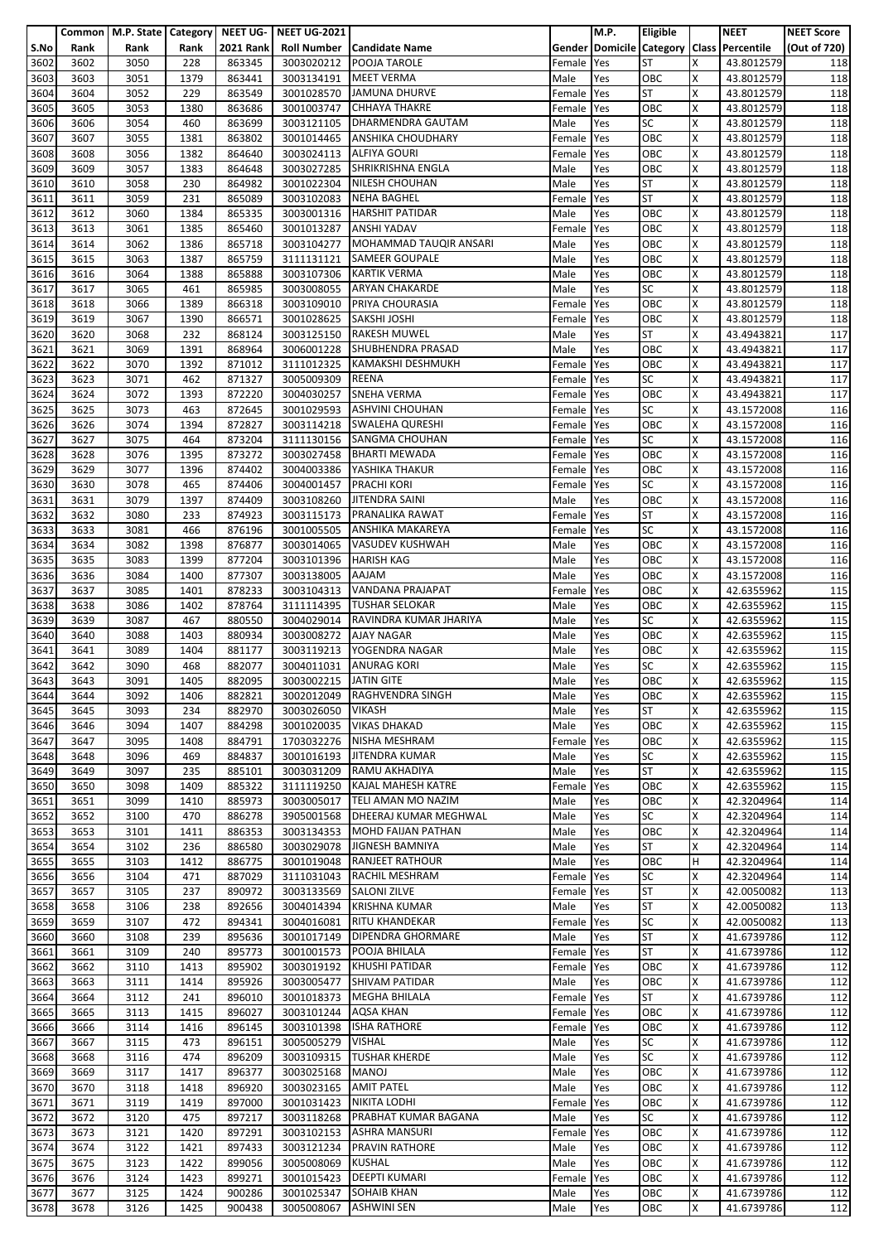|              |              | Common   M.P. State   Category   NEET UG- |              |                  | <b>NEET UG-2021</b>      |                                                         |                      | <b>M.P.</b> | Eligible         |        | <b>NEET</b>                               | <b>NEET Score</b> |
|--------------|--------------|-------------------------------------------|--------------|------------------|--------------------------|---------------------------------------------------------|----------------------|-------------|------------------|--------|-------------------------------------------|-------------------|
| S.No         | Rank         | Rank                                      | Rank         | <b>2021 Rank</b> | <b>Roll Number</b>       | <b>Candidate Name</b>                                   |                      |             |                  |        | Gender Domicile Category Class Percentile | (Out of 720)      |
| 3602         | 3602         | 3050                                      | 228          | 863345           | 3003020212               | POOJA TAROLE                                            | Female               | Yes         | <b>ST</b>        | X      | 43.8012579                                | 118               |
| 3603<br>3604 | 3603<br>3604 | 3051<br>3052                              | 1379<br>229  | 863441<br>863549 | 3003134191<br>3001028570 | <b>MEET VERMA</b><br><b>JAMUNA DHURVE</b>               | Male<br>Female       | Yes<br>Yes  | OBC<br><b>ST</b> | X<br>X | 43.8012579<br>43.8012579                  | 118<br>118        |
| 3605         | 3605         | 3053                                      | 1380         | 863686           | 3001003747               | <b>CHHAYA THAKRE</b>                                    | Female               | Yes         | OBC              | Χ      | 43.8012579                                | 118               |
| 3606         | 3606         | 3054                                      | 460          | 863699           | 3003121105               | DHARMENDRA GAUTAM                                       | Male                 | Yes         | <b>SC</b>        | x      | 43.8012579                                | 118               |
| 3607         | 3607         | 3055                                      | 1381         | 863802           | 3001014465               | <b>ANSHIKA CHOUDHARY</b>                                | Female               | Yes         | OBC              | X      | 43.8012579                                | 118               |
| 3608         | 3608         | 3056                                      | 1382         | 864640           | 3003024113               | <b>ALFIYA GOURI</b>                                     | Female               | Yes         | OBC              | X      | 43.8012579                                | 118               |
| 3609         | 3609         | 3057                                      | 1383         | 864648           | 3003027285               | SHRIKRISHNA ENGLA                                       | Male                 | Yes         | OBC              | X      | 43.8012579                                | 118               |
| 3610         | 3610         | 3058                                      | 230          | 864982           | 3001022304               | NILESH CHOUHAN                                          | Male                 | Yes         | <b>ST</b>        | Χ      | 43.8012579                                | 118               |
| 3611         | 3611         | 3059                                      | 231          | 865089           | 3003102083               | <b>NEHA BAGHEL</b>                                      | Female               | Yes         | <b>ST</b>        | X      | 43.8012579                                | 118               |
| 3612         | 3612<br>3613 | 3060                                      | 1384         | 865335           | 3003001316               | <b>HARSHIT PATIDAR</b><br><b>ANSHI YADAV</b>            | Male                 | Yes         | OBC<br>OBC       | x<br>X | 43.8012579<br>43.8012579                  | 118               |
| 3613<br>3614 | 3614         | 3061<br>3062                              | 1385<br>1386 | 865460<br>865718 | 3001013287<br>3003104277 | MOHAMMAD TAUQIR ANSARI                                  | Female<br>Male       | Yes<br>Yes  | OBC              | X      | 43.8012579                                | 118<br>118        |
| 3615         | 3615         | 3063                                      | 1387         | 865759           | 3111131121               | <b>SAMEER GOUPALE</b>                                   | Male                 | Yes         | OBC              | Χ      | 43.8012579                                | 118               |
| 3616         | 3616         | 3064                                      | 1388         | 865888           | 3003107306               | <b>KARTIK VERMA</b>                                     | Male                 | Yes         | OBC              | x      | 43.8012579                                | 118               |
| 3617         | 3617         | 3065                                      | 461          | 865985           | 3003008055               | <b>ARYAN CHAKARDE</b>                                   | Male                 | Yes         | SC               | x      | 43.8012579                                | 118               |
| 3618         | 3618         | 3066                                      | 1389         | 866318           | 3003109010               | PRIYA CHOURASIA                                         | Female               | Yes         | OBC              | X      | 43.8012579                                | 118               |
| 3619         | 3619         | 3067                                      | 1390         | 866571           | 3001028625               | <b>SAKSHI JOSHI</b>                                     | Female               | Yes         | OBC              | X      | 43.8012579                                | 118               |
| 3620         | 3620         | 3068                                      | 232          | 868124           | 3003125150               | <b>RAKESH MUWEL</b>                                     | Male                 | Yes         | <b>ST</b>        | Χ      | 43.4943821                                | 117               |
| 3621<br>3622 | 3621<br>3622 | 3069<br>3070                              | 1391<br>1392 | 868964<br>871012 | 3006001228<br>3111012325 | SHUBHENDRA PRASAD<br>KAMAKSHI DESHMUKH                  | Male<br>Female       | Yes<br>Yes  | OBC<br>OBC       | x<br>X | 43.4943821<br>43.4943821                  | 117<br>117        |
| 3623         | 3623         | 3071                                      | 462          | 871327           | 3005009309               | <b>REENA</b>                                            | Female               | Yes         | <b>SC</b>        | X      | 43.4943821                                | 117               |
| 3624         | 3624         | 3072                                      | 1393         | 872220           | 3004030257               | <b>SNEHA VERMA</b>                                      | Female               | Yes         | OBC              | x      | 43.4943821                                | 117               |
| 3625         | 3625         | 3073                                      | 463          | 872645           | 3001029593               | <b>ASHVINI CHOUHAN</b>                                  | Female               | Yes         | <b>SC</b>        | Χ      | 43.1572008                                | 116               |
| 3626         | 3626         | 3074                                      | 1394         | 872827           | 3003114218               | <b>SWALEHA QURESHI</b>                                  | Female               | Yes         | OBC              | X      | 43.1572008                                | 116               |
| 3627         | 3627         | 3075                                      | 464          | 873204           | 3111130156               | <b>SANGMA CHOUHAN</b>                                   | Female               | Yes         | <b>SC</b>        | X      | 43.1572008                                | 116               |
| 3628         | 3628         | 3076                                      | 1395         | 873272           | 3003027458               | <b>BHARTI MEWADA</b>                                    | Female               | Yes         | OBC              | Χ      | 43.1572008                                | 116               |
| 3629         | 3629         | 3077                                      | 1396         | 874402           | 3004003386               | YASHIKA THAKUR                                          | Female               | Yes         | OBC              | X      | 43.1572008                                | 116               |
| 3630         | 3630<br>3631 | 3078                                      | 465<br>1397  | 874406<br>874409 | 3004001457               | <b>PRACHI KORI</b><br><b>JITENDRA SAINI</b>             | Female Yes           |             | SC<br>OBC        | Χ<br>x | 43.1572008                                | 116               |
| 3631<br>3632 | 3632         | 3079<br>3080                              | 233          | 874923           | 3003108260<br>3003115173 | <b>PRANALIKA RAWAT</b>                                  | Male<br>Female       | Yes<br>Yes  | <b>ST</b>        | X      | 43.1572008<br>43.1572008                  | 116<br>116        |
| 3633         | 3633         | 3081                                      | 466          | 876196           | 3001005505               | <b>ANSHIKA MAKAREYA</b>                                 | Female               | Yes         | <b>SC</b>        | X      | 43.1572008                                | 116               |
| 3634         | 3634         | 3082                                      | 1398         | 876877           | 3003014065               | VASUDEV KUSHWAH                                         | Male                 | Yes         | OBC              | x      | 43.1572008                                | 116               |
| 3635         | 3635         | 3083                                      | 1399         | 877204           | 3003101396               | <b>HARISH KAG</b>                                       | Male                 | Yes         | OBC              | Χ      | 43.1572008                                | 116               |
| 3636         | 3636         | 3084                                      | 1400         | 877307           | 3003138005               | <b>AAJAM</b>                                            | Male                 | Yes         | OBC              | x      | 43.1572008                                | 116               |
| 3637         | 3637         | 3085                                      | 1401         | 878233           | 3003104313               | VANDANA PRAJAPAT                                        | Female               | Yes         | OBC              | x      | 42.6355962                                | 115               |
| 3638         | 3638         | 3086                                      | 1402         | 878764           | 3111114395               | <b>TUSHAR SELOKAR</b>                                   | Male                 | Yes         | OBC              | Χ      | 42.6355962                                | 115               |
| 3639<br>3640 | 3639<br>3640 | 3087<br>3088                              | 467<br>1403  | 880550<br>880934 | 3003008272               | 3004029014 RAVINDRA KUMAR JHARIYA<br><b>AJAY NAGAR</b>  | Male<br>Male         | Yes<br>Yes  | <b>SC</b><br>OBC | X<br>X | 42.6355962<br>42.6355962                  | 115<br>115        |
| 3641         | 3641         | 3089                                      | 1404         | 881177           | 3003119213               | YOGENDRA NAGAR                                          | Male                 | Yes         | OBC              | X      | 42.6355962                                | 115               |
| 3642         | 3642         | 3090                                      | 468          | 882077           | 3004011031               | <b>ANURAG KORI</b>                                      | Male                 | Yes         | <b>SC</b>        | x      | 42.6355962                                | 115               |
| 3643         | 3643         | 3091                                      | 1405         | 882095           | 3003002215 JATIN GITE    |                                                         | Male                 | Yes         | OBC              | X      | 42.6355962                                | 115               |
| 3644         | 3644         | 3092                                      | 1406         | 882821           |                          | 3002012049 RAGHVENDRA SINGH                             | Male                 | Yes         | OBC              | x      | 42.6355962                                | 115               |
| 3645         | 3645         | 3093                                      | 234          | 882970           | 3003026050               | <b>VIKASH</b>                                           | Male                 | Yes         | <b>ST</b>        | Χ      | 42.6355962                                | 115               |
| 3646         | 3646         | 3094                                      | 1407         | 884298           | 3001020035               | <b>VIKAS DHAKAD</b>                                     | Male                 | Yes         | OBC              | X      | 42.6355962                                | 115               |
| 3647<br>3648 | 3647<br>3648 | 3095<br>3096                              | 1408<br>469  | 884791<br>884837 | 1703032276<br>3001016193 | <b>NISHA MESHRAM</b><br><b>JITENDRA KUMAR</b>           | Female Yes<br>Male   | Yes         | OBC<br><b>SC</b> | x<br>X | 42.6355962<br>42.6355962                  | 115<br>115        |
| 3649         | 3649         | 3097                                      | 235          | 885101           | 3003031209               | RAMU AKHADIYA                                           | Male                 | Yes         | <b>ST</b>        | X      | 42.6355962                                | 115               |
| 3650         | 3650         | 3098                                      | 1409         | 885322           | 3111119250               | KAJAL MAHESH KATRE                                      | Female               | Yes         | OBC              | Χ      | 42.6355962                                | 115               |
| 3651         | 3651         | 3099                                      | 1410         | 885973           | 3003005017               | TELI AMAN MO NAZIM                                      | Male                 | Yes         | OBC              | X      | 42.3204964                                | 114               |
| 3652         | 3652         | 3100                                      | 470          | 886278           | 3905001568               | DHEERAJ KUMAR MEGHWAL                                   | Male                 | Yes         | <b>SC</b>        | X      | 42.3204964                                | 114               |
| 3653         | 3653         | 3101                                      | 1411         | 886353           |                          | 3003134353 MOHD FAIJAN PATHAN                           | Male                 | Yes         | OBC              | X      | 42.3204964                                | 114               |
| 3654         | 3654         | 3102                                      | 236          | 886580           | 3003029078               | JIGNESH BAMNIYA                                         | Male                 | Yes         | <b>ST</b>        | x      | 42.3204964                                | 114               |
| 3655<br>3656 | 3655<br>3656 | 3103<br>3104                              | 1412<br>471  | 886775<br>887029 | 3001019048               | <b>RANJEET RATHOUR</b><br>3111031043 RACHIL MESHRAM     | Male                 | Yes         | OBC<br><b>SC</b> | H<br>X | 42.3204964<br>42.3204964                  | 114<br>114        |
| 3657         | 3657         | 3105                                      | 237          | 890972           | 3003133569               | <b>SALONI ZILVE</b>                                     | Female<br>Female Yes | Yes         | <b>ST</b>        | Χ      | 42.0050082                                | 113               |
| 3658         | 3658         | 3106                                      | 238          | 892656           | 3004014394               | <b>KRISHNA KUMAR</b>                                    | Male                 | Yes         | <b>ST</b>        | X      | 42.0050082                                | 113               |
| 3659         | 3659         | 3107                                      | 472          | 894341           | 3004016081               | <b>RITU KHANDEKAR</b>                                   | Female               | Yes         | <b>SC</b>        | x      | 42.0050082                                | 113               |
| 3660         | 3660         | 3108                                      | 239          | 895636           | 3001017149               | <b>DIPENDRA GHORMARE</b>                                | Male                 | Yes         | <b>ST</b>        | Χ      | 41.6739786                                | 112               |
| 3661         | 3661         | 3109                                      | 240          | 895773           | 3001001573               | POOJA BHILALA                                           | Female               | Yes         | <b>ST</b>        | X      | 41.6739786                                | 112               |
| 3662         | 3662         | 3110                                      | 1413         | 895902           |                          | 3003019192 KHUSHI PATIDAR                               | Female               | Yes         | OBC              | X      | 41.6739786                                | 112               |
| 3663         | 3663         | 3111                                      | 1414         | 895926           | 3003005477               | <b>SHIVAM PATIDAR</b>                                   | Male                 | Yes         | OBC<br><b>ST</b> | X<br>x | 41.6739786                                | 112               |
| 3664<br>3665 | 3664<br>3665 | 3112<br>3113                              | 241<br>1415  | 896010<br>896027 | 3003101244               | 3001018373 MEGHA BHILALA<br>AQSA KHAN                   | Female<br>Female     | Yes<br>Yes  | OBC              | X      | 41.6739786<br>41.6739786                  | 112<br>112        |
| 3666         | 3666         | 3114                                      | 1416         | 896145           |                          | 3003101398 ISHA RATHORE                                 | Female               | Yes         | OBC              | X      | 41.6739786                                | 112               |
| 3667         | 3667         | 3115                                      | 473          | 896151           | 3005005279               | <b>VISHAL</b>                                           | Male                 | Yes         | <b>SC</b>        | X      | 41.6739786                                | 112               |
| 3668         | 3668         | 3116                                      | 474          | 896209           | 3003109315               | <b>TUSHAR KHERDE</b>                                    | Male                 | Yes         | <b>SC</b>        | X      | 41.6739786                                | 112               |
| 3669         | 3669         | 3117                                      | 1417         | 896377           | 3003025168               | MANOJ                                                   | Male                 | Yes         | OBC              | X      | 41.6739786                                | 112               |
| 3670         | 3670         | 3118                                      | 1418         | 896920           | 3003023165               | <b>AMIT PATEL</b>                                       | Male                 | Yes         | OBC              | Χ      | 41.6739786                                | 112               |
| 3671         | 3671         | 3119                                      | 1419         | 897000           | 3001031423               | <b>NIKITA LODHI</b>                                     | Female               | Yes         | OBC              | X      | 41.6739786                                | 112               |
| 3672<br>3673 | 3672<br>3673 | 3120<br>3121                              | 475<br>1420  | 897217<br>897291 | 3003102153               | 3003118268 PRABHAT KUMAR BAGANA<br><b>ASHRA MANSURI</b> | Male<br>Female       | Yes<br>Yes  | <b>SC</b><br>OBC | X<br>X | 41.6739786<br>41.6739786                  | 112<br>112        |
| 3674         | 3674         | 3122                                      | 1421         | 897433           | 3003121234               | <b>PRAVIN RATHORE</b>                                   | Male                 | Yes         | OBC              | x      | 41.6739786                                | 112               |
| 3675         | 3675         | 3123                                      | 1422         | 899056           | 3005008069               | <b>KUSHAL</b>                                           | Male                 | Yes         | OBC              | X      | 41.6739786                                | 112               |
| 3676         | 3676         | 3124                                      | 1423         | 899271           |                          | 3001015423 DEEPTI KUMARI                                | Female               | Yes         | OBC              | X      | 41.6739786                                | 112               |
| 3677         | 3677         | 3125                                      | 1424         | 900286           | 3001025347               | <b>SOHAIB KHAN</b>                                      | Male                 | Yes         | OBC              | X      | 41.6739786                                | 112               |
| 3678         | 3678         | 3126                                      | 1425         | 900438           | 3005008067               | <b>ASHWINI SEN</b>                                      | Male                 | Yes         | OBC              | X      | 41.6739786                                | 112               |